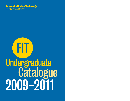**Fashion Institute of Technology State University of New York** 

# **FIT** Undergraduate<br>Catalogue 2009-2011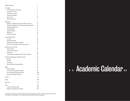| Academic Calendar                                         | 2   |
|-----------------------------------------------------------|-----|
| <b>The College</b>                                        | 4   |
| <b>Fashion Institute of Technology</b>                    | 5   |
| FIT and New York City                                     | 5   |
| <b>Teaching and Learning</b>                              | 5   |
| <b>Campus and Facilities</b>                              | 6   |
| Alumni of FIT                                             | 10  |
| <b>History and Mission</b>                                | 11  |
| Admissions                                                | 12  |
| Selection of Applicants for Associate Degree Programs     | 13  |
| Selection of Applicants for Baccalaureate Degree Programs | 19  |
| <b>International Applicants</b>                           | 20  |
| <b>Visiting Students</b>                                  | 21  |
| <b>Special Assistance</b>                                 | 21  |
| Notification                                              | 22  |
| Visits to the College                                     | 22  |
| <b>Instructional Programs</b>                             | 24  |
| Curricula                                                 | 25  |
| <b>Scholastic Standing</b>                                | 43  |
| <b>Requirements for Degree Completion</b>                 | 45  |
| Dean's List and Academic Achievements Awards              | 47  |
| <b>Expenses and Financial Aid</b>                         | 52  |
| <b>Tuition and Fees</b>                                   | 53  |
| <b>Tuition and Fee Refunds</b>                            | 57  |
| <b>Financial Aid</b>                                      | 58  |
| The Educational Foundation for the Fashion Industries     | 60  |
| <b>Enrollment Management and Student Success</b>          | 66  |
| <b>Services</b>                                           | 67  |
| Activities                                                | 70  |
| Governance                                                | 72  |
| <b>Student Rights and Responsibilities</b>                | 72  |
| Majors                                                    | 80  |
| Degree Programs                                           | 81  |
| Two-Year Associate Degree Programs                        | 82  |
| One-Year Associate Degree Programs                        | 100 |
| Baccalaureate Degree Programs                             | 108 |
| Courses                                                   | 137 |
| Faculty                                                   | 300 |
| <b>Directories</b>                                        | 324 |
| Index                                                     | 336 |
| <b>Location and Campus Map</b>                            | 350 |
| Request for Admissions Information                        | 352 |

The programs, requirements, tuition, and fees published in this catalogue are subject to change without notice, at any time, at the discretion of the college. For further information and telephone references, see page 352.

# » Academic Calendar »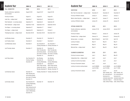| Academic Year                                         | 2009-10                                                                                                                                      | 2010-11                                      | 2011-12                                                                        | <b>Academic Your</b>                          |
|-------------------------------------------------------|----------------------------------------------------------------------------------------------------------------------------------------------|----------------------------------------------|--------------------------------------------------------------------------------|-----------------------------------------------|
| <b>FALL SEMESTER</b>                                  | 2009                                                                                                                                         | 2010                                         | 2011                                                                           | <b>WINTERIM</b>                               |
| Faculty conferences, registration,<br>and orientation | August 24-29                                                                                                                                 | August 23-27                                 | August 22-26                                                                   | New Year's Eve obs                            |
| First day of classes                                  | August 31                                                                                                                                    | August 30                                    | August 29                                                                      | First day of Winteri                          |
| Labor Day — college closed                            | September 7                                                                                                                                  | September 6                                  | September 5                                                                    | Martin Luther King                            |
| Rosh Hashanah <i>— no evening classes</i>             | September 18                                                                                                                                 | September 8                                  | September 28                                                                   | Last day of Winterin                          |
| Rosh Hashanah <i>— college closed</i>                 | September 19-20                                                                                                                              | September 9-10                               | September 29-30                                                                |                                               |
| Yom Kippur-no evening classes                         | September 27                                                                                                                                 | September 17                                 | October 7                                                                      | SPRING SEMES                                  |
| Yom Kippur <i>— college closed</i>                    | September 28                                                                                                                                 | September 18                                 | October 8                                                                      | <b>Faculty conferences</b><br>and orientation |
| Thanksgiving recess-college closed                    | November 26-29                                                                                                                               | November 25-28                               | November 24-27                                                                 | First day of classes                          |
|                                                       |                                                                                                                                              |                                              |                                                                                | President's Day - $c$                         |
| Last Monday classes                                   | December 21                                                                                                                                  | December 13                                  | December 12                                                                    | Spring recess - no                            |
| Last Tuesday classes                                  | December 8                                                                                                                                   | December 7                                   | December 6                                                                     | Last day of classes                           |
| Last Wednesday classes                                | December 9                                                                                                                                   | Day: December 8                              | Day: December 7                                                                | Commencement                                  |
| Last Thursday classes                                 | December 17                                                                                                                                  | December 16<br>Note: Thursday day            | Evening: December 15 Evening: December 14<br>December 15<br>Note: Thursday day | Memorial Day - co.                            |
|                                                       |                                                                                                                                              | and evening classes<br>also meet on Tuesday, | and evening classes<br>also meet on Tuesday,                                   | SUMMER/SUMI                                   |
|                                                       |                                                                                                                                              | December 14.                                 | December 13.                                                                   | First day of summe                            |
| Last Friday classes                                   | Day: December 18                                                                                                                             | Day: Monday,                                 | Day: Monday,                                                                   | Independence Day-                             |
|                                                       | Evening: Tuesday,<br>December 22                                                                                                             | December 20<br>Evening: Wednesday,           | December 19<br>Evening: Wednesday,                                             | Last day of summe                             |
|                                                       |                                                                                                                                              | December 22                                  | December 21                                                                    | First day of Summe                            |
|                                                       |                                                                                                                                              | Note: Friday evening<br>classes also meet on | Note: Friday evening<br>classes also meet on                                   | Last day of summe                             |
| Last Saturday classes                                 | December 19<br>Note: Saturday day<br>and evening classes<br>also meet on Tuesday,<br>December 15.                                            | Monday, December 20                          | Monday, December 19<br>Tuesday, December 21 Tuesday, December 20               | Last day of Summe                             |
| Last Sunday classes                                   | Day: December 20<br>Evening: Wednesday,<br>December 23<br>Note: Sunday day and<br>evening classes also<br>meet on Wednesday,<br>December 16. | December 19                                  | December 18                                                                    |                                               |

| Academic Year                                         | 2009-10                        | 2010-11                                                                                                                 | 2011-12                                                                                                                                                                  |
|-------------------------------------------------------|--------------------------------|-------------------------------------------------------------------------------------------------------------------------|--------------------------------------------------------------------------------------------------------------------------------------------------------------------------|
| WINTERIM                                              | 2010                           | 2011                                                                                                                    | 2012                                                                                                                                                                     |
| New Year's Eve observed - college closed              | December 31                    | December 31                                                                                                             | December 31                                                                                                                                                              |
| First day of Winterim classes                         | January 4                      | January 3                                                                                                               | January 3                                                                                                                                                                |
| Martin Luther King Day — college closed               | January 18                     | January 17                                                                                                              | January 16                                                                                                                                                               |
| Last day of Winterim classes                          | January 25                     | January 24                                                                                                              | January 24                                                                                                                                                               |
| SPRING SEMESTER                                       | 2010                           | 2011                                                                                                                    | 2012                                                                                                                                                                     |
| Faculty conferences, registration,<br>and orientation | January 27-30                  | January 26-28                                                                                                           | January 25-27                                                                                                                                                            |
| First day of classes                                  | February 1                     | January 31                                                                                                              | January 30                                                                                                                                                               |
| President's Day-college closed                        | February 15                    | February 21                                                                                                             | February 20                                                                                                                                                              |
| Spring recess - no classes                            | March 29-April 4               | April 18-24                                                                                                             | April 2-8                                                                                                                                                                |
| Last day of classes                                   | May 24                         | May 23                                                                                                                  | <b>May 21</b>                                                                                                                                                            |
| Commencement                                          | <b>May 25</b>                  | May 24                                                                                                                  | <b>May 22</b>                                                                                                                                                            |
| Memorial Day - college closed                         | <b>May 31</b>                  | <b>May 30</b>                                                                                                           | <b>May 28</b>                                                                                                                                                            |
| SUMMER/SUMMERIM                                       | 2010                           | 2011                                                                                                                    | 2012                                                                                                                                                                     |
| First day of summer classes                           | June 1                         | <b>May 31</b>                                                                                                           | <b>May 29</b>                                                                                                                                                            |
| Independence Day-college closed                       | July 5                         | July 4                                                                                                                  | July 4                                                                                                                                                                   |
| Last day of summer day classes                        | July 6                         | July 5                                                                                                                  | July 2                                                                                                                                                                   |
| First day of Summerim classes                         | July 7                         | July 6                                                                                                                  | July 3                                                                                                                                                                   |
| Last day of summer evening classes                    | July 26 (M&W)<br>July 20 (T&R) | July 25 (M&W)<br>July 19 (T&R)                                                                                          | July 23 (M&W)<br>July 17 (T&R)                                                                                                                                           |
| Last day of Summerim classes                          | July 28                        | July 27<br>Note: Tuesday, July<br>26, is the last day of<br>Summerim for<br>extended classes that<br>meet only 4 days a | July 25<br>Note: Tuesday, July<br>24, is the last day of<br>Summerim for<br>extended classes that<br>meet only 4 days a<br>week, without Fridays. week, without Fridays. |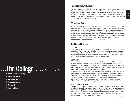The College

### The College >>> IIIU UUIIUSU > >> > > > > >

- 5 Fashion Institute of Technology
- 5 FIT and New York City
- 5 Teaching and Learning
- 6 Campus and Facilities
- 10 Alumni of FIT
- 11 History and Mission

#### Fashion Institute of Technology

The Fashion Institute of Technology (F.I.T.<sup>®</sup>) is a selective State University of New York college of art and design, business and technology, FIT offers more than 40 programs of study leading to the Associate in Applied Science, Bachelor of Fine Arts, Bachelor of Science, Master of Arts, and Master of Professional Studies degrees. FIT provides students with an unmatched combination of specialized curricula, an in-depth liberal arts education, affordable tuition, and an extraordinary location in the center of New York City, world capital of the arts, business, and media.

#### FIT and New York City

New York City is FIT's extended campus—a laboratory for learning and living—and its unparalleled cultural and commercial resources immeasurably enrich the college's programs and enhance each student's opportunity for personal and professional growth. The faculty is made up of New York City's professionals, who infuse a hands-on teaching approach with real-world expertise. Frequent visits by students to the city's numerous corporate headquarters, design studios, galleries, libraries, museums, retail establishments, and showrooms complement regular on-campus visits by fashion and other business leaders, who come to serve as guest critics and to discuss the current trends and technological advancements emerging in the marketplace.

#### Teaching and Learning

#### FIT FACULTY

FIT's approach to teaching blends theory and practice, with a faculty drawn from academia, the arts, and business. Together, they offer a curriculum rich in insight gained from their continuing professional activity, combined with the traditional educational values of the liberal arts. Student-instructor interaction is encouraged. The college offers a maximum class size of 25, and courses are structured to foster participation, independent thinking, and self-expression.

#### LIBERAL ARTS

FIT's approach to teaching and learning is founded on the belief that successful students need to be critical thinkers and problem-solvers. Liberal arts courses are designed to broaden students' understanding of the humanities and to develop their knowledge of the natural and social sciences in order to prepare them to succeed in a culturally diverse world. A required liberal arts curriculum comprises 40 percent of every program of study at the college.

The School of Liberal Arts' offerings include focused curricula—such as the Asia and Latin America concentrations—that allow students to gain specialized knowledge of a particular area, and a Bachelor of Science program in Visual Art Management. The school also administers Presidential Scholars, FIT's honors program. Available to academically exceptional students in all disciplines, the Presidential Scholars program offers challenging liberal arts courses, projects, colloquia, and extracurricular activities designed to broaden horizons and stimulate discourse.

#### INDUSTRY ADVISORY COUNCILS

Each of FIT's degree programs is supported by an advisory group of professionals, drawn largely from the college's highly placed alumni. Group members consult with faculty to review and recommend curriculum updates and innovations. They arrange for student field trips to professional workspaces, participate in student recruitment, and help students identify career possibilities. Advisory groups also plan seminars on technical subjects and the latest advancements in their fields, and work to maintain close ties between industry and the college.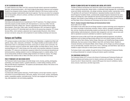#### IN THE CLASSROOM AND BEYOND

The College

FIT makes extensive use of New York City's resources through industry-sponsored competitions, field trips, and sponsored projects—all of which bridge the gap between classroom and workplace. Students have designed window displays at Bed Bath & Beyond's Fifth Avenue location and had advertising campaigns implemented by state tourism agencies. They have won prizes from companies such as Aeropostale, Johnson & Johnson, and Macy's and had their designs implemented by firms such as Lancôme.

#### INTERNSHIPS AND CAREER PLACEMENT

Internships and job placement are an essential part of the FIT experience. The college's extensive internship program provides students with vital experience in a vast array of New York City businesses during their college years. Sponsor organizations have included American Eagle, Bloomingdale's, Calvin Klein, Estée Lauder, Fairchild Publications, MTV, and Saatchi & Saatchi. More than one-third of FIT internships lead to job offers by the sponsoring companies. FIT's Career Services Office, which maintains a placement rate of approximately 90 percent, offers lifetime services to all alumni, along with a full complement of career-building workshops and resources.

#### Campus and Facilities

FIT's campus occupies an entire block in the Chelsea area of Manhattan, a neighborhood filled with galleries, shops, cafes, restaurants, and theaters. The college's facilities provide students with the opportunity to learn in a stimulating environment, and be part of a vibrant, active community. The campus comprises numerous computer labs, athletic facilities, the Gladys Marcus Library, and the renowned Museum at FIT, which houses one of the world's most important collections of costumes and textiles. FIT's classroom and laboratory equipment reflects the most advanced educational and technical practices, enabling students to work on challenging projects in a realistic setting. A fullservice dining facility and Barnes & Noble college bookstore are located on campus. The college maintains three residence halls on West 27th Street, and one on nearby West 31st Street.

#### FRED P. POMERANTZ ART AND DESIGN CENTER

The Pomerantz Center houses display and exhibit design rooms; drawing, painting, photography, printmaking, and sculpture studios; a graphics laboratory; a model-making workshop; and the 280-seat Katie Murphy Amphitheatre. The academic and administrative offices of the School of Art and Design are also located here.

#### **Print/FX Graphics Lab**

#### Room D529, 212 217.5474

A professionally staffed graphics laboratory, Print/FX Graphics Lab has high-resolution, large-format printers to accommodate banners, CAD prints, displays, fine art prints, overlays, photography, posters, presentation graphics, and textile proofs. The lab is also equipped with laminating, scanning, slide duplication, and wire-binding capabilities.

#### MARVIN FELDMAN CENTER AND THE BUSINESS AND LIBERAL ARTS CENTER

The Marvin Feldman and Business and Liberal Arts centers house academic and specialized classrooms, cutting and sewing labs, design studios, a multimedia foreign languages lab, a professional screen print facility, technical labs, a toy design workshop, television studios, weaving labs, and the 775-seat Morris W. and Fannie B. Haft Auditorium. Specialized facilities include the Annette Green/Fragrance Foundation Studio, a professionally equipped fragrance development lab; and a fabrics and findings lab, which replicates the resources and techniques used by working fashion designers. Also located in these buildings are the academic and administrative offices for the Jay and Patty Baker School of Business and Technology and the School of Liberal Arts.

#### **Peter G. Scotese Computer-Aided Design and Communications Center**  Room C220, 212 217.3520

The facilities in this center allow Art and Design students to explore technology and its integration in the creation and design of advertising, animation, fashion, interiors, packaging, photography, textiles, and toys. Business and technology students use these labs for the study of marker-making, patternmaking, textile development, production data management, and more. Labs are also available for specialized coursework undertaken by students in specific programs.

Students have access to Mac and PC labs with specialized peripheral equipment, and software applications such as Adobe and Macromedia software from such industry leaders as Gerber and Lectra are used by Fabric Styling, Fashion Design, Menswear, and Textile/Surface Design students. Additionally, they have access to Colour Matters, Karat CAD, and Fashion Studio. Students in Computer Animation and Interactive Media, Interior Design, and Toy Design use software packages such as 3D Studio Max, AutoCAD, Final Cut Pro, Form Z, Softimage, and Solid Works. Open labs are available to support instruction on these systems and programs.

The Scotese Center is also available, through the School of Continuing and Professional Studies, to working professionals for computer training and industry-specific workshops.

#### THE CONFERENCE CENTER AT FIT

The Conference Center at FIT is home to the School of Continuing and Professional Studies and features conference and training rooms for industry seminars and workshops. The center also houses the John E. Reeves Great Hall, a nearly 6,400-square-foot venue for exhibitions, fashion shows, lectures, trade shows, and other large events.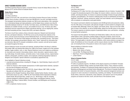### The College

#### SHIRLEY GOODMAN RESOURCE CENTER

The Shirley Goodman Resource Center, on Seventh Avenue, houses the Gladys Marcus Library, The Museum at FIT, and the School of Graduate Studies.

#### **Gladys Marcus Library**

#### 212 217.4340

The College

#### www.fitnyc.edu/library

Located on the fourth, fifth, and sixth floors of the Shirley Goodman Resource Center, the Gladys Marcus Library provides a collection of more than 300,000 print, non-print, and digital resources. The newspaper and periodical collection includes over 500 current subscriptions, with a specialization in international design and trade publications, and the Digital Library contains more than 90 searchable databases hosted by FIT, the New York State Library, and SUNYConnect. Most of these databases are available remotely, via log-in, and available 24 hours a day. The library also offers specialized resources supporting the college's educational offerings, such as clipping files, fashion and trend forecasting services, runway show DVDs, and sketch collections.

The library's fourth floor contains a library instruction classroom, Research and Instructional Services, and Special Collections. The fifth floor serves as the principal book collection of the library, and also houses the George Levinson Multimedia Room, for viewing and listening to audiovisual materials. The sixth floor holds designer and fashion files, forecasting services, "look books," microfilm, the newspaper and periodical collection, and a "Smart" classroom for information literacy instruction, Mac and PC computer workstations, printers, scanners, and self-service copiers are located throughout the library.

Special Collections houses rare books and materials, including all titles in the library's collection that predate 1860, and selected titles dating from 1860 to the present, singled out for their aesthetic qualities, fragile condition, rarity, or value. Special Collections covers such subjects as architecture, art, decoration and ornament, dressmaking, fashion, interior decoration, regional costume, tailoring, textile design, the textile industry, and textile science. It also includes archives, original fashion sketches, photographs, portfolios of plates, and scrapbooks containing biographical material on designers and companies. Special Collections is accessible by appointment only.

Some highlights of Special Collections include:

- corporate and personal archives, including B.H. Wragge, Inc., David Dubinsky, Esquire, and an FIT historical collection;
- Fashion for America!, which includes reproductions of 4,500 original fashion sketches, representing more than 50 designers and houses;
- periodicals such as Gazette du Bon Ton (1912-25), Harper's Bazaar (1867-1939), Les Idées Nouvelles de la Mode (1922-32), and Vogue (1916-39);
- sketches by/from Bergdorf Goodman, Berley Studio, Cardinal Fashion Studios, Davidow, Lady Duff-Gordon (known as Lucile, c.1908-19), the Frances Neady Fashion Illustrations Collection, Sophie Gimbel, Bill and Hazel Haire, Joseph Love, Inc., Muriel King (c.1932-45, including costumes designed for Katharine Hepburn, Ginger Rogers, and Margaret Sullavan), Harriet Meserole, Max Meyer, Frederick Milton, Florence Schatken, and Whittingham and Humphreys (1888-1914);
- W.P.A. scrapbooks of picture sources.

#### **The Museum at FIT**

#### 212 217.4530

www.fitnyc.edu/museum

The Museum at FIT is New York City's only museum dedicated to the art of fashion. Founded in 1967 to support the educational programs of the college, the museum collects, conserves, documents, exhibits, and interprets fashion. Its mission is to advance knowledge of fashion through exhibitions, programs, and publications. The museum's collecting policy focuses on aesthetically and historically significant "directional" clothing, accessories, textiles, and visual materials, such as photographs, with an emphasis on contemporary avant-garde fashion.

The museum's permanent collection encompasses some 50,000 garments and accessories, dating from the 18th century to the present, with particular strength in women's fashion by designers such as Azzedine Alaïa, Balenciaga, Chanel, Dior, Halston, and Charles James. There are more than 4,000 pairs of shoes in the collection, as well as 30,000 textiles, dating from the fifth century to the present. The museum organizes an extensive program of specialized classes, tours, and lectures—including an annual fashion symposium.

The museum has three galleries: The Fashion and Textile History Gallery is the only venue in the United States to offer a permanent (rotating) display of 250 years of fashion, drawn from the museum's permanent collections. The museum's Gallery FIT is dedicated to student and faculty exhibitions. The largest gallery is devoted to special exhibitions, which receive extensive coverage in the media. All exhibitions are free to the public, and the museum attracts more than 100,000 visitors a year, not including the tens of thousands of visitors to the museum's website.

Recent exhibitions of distinction include:

- Gothic: Dark Glamour
- Madame Grès: Sphinx of Fashion
- Love and War: The Weaponized Woman
- Ralph Rucci: The Art of Weightlessness
- London Fashion

#### **School of Graduate Studies**

#### 212 217.4300

www.fitnyc.edu/gradstudies

FIT offers six graduate programs. The Master of Arts degree programs are Art Market: Principles and Practices; Exhibition Design; Fashion and Textile Studies: History, Theory, Museum Practice; and Illustration. The Master of Professional Studies degree programs are Cosmetics and Fragrance Marketing and Management and Global Fashion Management. The School of Graduate Studies also administers the Center for Executive Education, which offers advanced management seminars and programs for senior executives in manufacturing, marketing, and retailing. The administrative and faculty offices, classrooms, laboratories, study collections, and research room for the graduate programs are housed on the third, fourth, and sixth floors of the Goodman Center.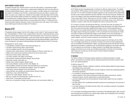#### DAVID DUBINSKY STUDENT CENTER

Throughout the eight-story Dubinsky Center are arts and crafts studios, a comprehensive health center, a counseling center, a dance studio, a design/research lighting lab (with more than 400 commercially available lighting fixtures), a game room, lounges, an outdoor sitting area, the Style Shop (the student-run boutique on the first floor), student government and club offices, a student radio station, two gyms, and a weight room. Students are encouraged to take advantage of the full range of services and activities offered by Student Life, located on the seventh floor. Also in the center are the Counseling Center, Disability Support Services/FIT-ABLE, Educational Opportunity Program, Financial Aid, International Student Advisors, and Internship Center offices; a 17,000-square-foot street-level student cafeteria, featuring a variety of food stations and a wide range of menu options; and an 8,000-square-foot Barnes & Noble at FIT bookstore.

#### Alumni of FIT

The College

FIT graduates actively engage in the life of the college in order to help FIT meet its goals and objectives. They participate in a variety of ways, as guest lecturers and critics, as internship sponsors, and as members of alumni advisory groups and the FIT Alumni Association. Every FIT alumnus is welcome to become a member of the Alumni Association, which works closely with the college and The Educational Foundation for the Fashion Industries to stimulate interest among professional leaders, assist with curriculum development, and support fundraising initiatives that benefit students and the FIT community

Distinguished FIT alumni include:

- Leslie Blodgett, president and CEO, Bare Escentuals Beauty, Inc.
- Fran Boller, apparel director, Nike's Jordan Division
- Tony Chi, president and CEO, Tony Chi & Associates
- Francisco Costa, creative director, Calvin Klein Collection for Women, Calvin Klein, Inc.
- William Frake, motion picture animator and three-time Emmy award winner
- Nina Garcia, fashion director, Marie Claire
- Joy Herfel, president, Polo Ralph Lauren Brands
- Norma Kamali, president and fashion designer, Norma Kamali
- Calvin Klein, founder, Calvin Klein, Inc.
- Nanette Lepore, fashion designer, Nanette Lepore
- Chris Casson Madden, founder and CEO, Chris Madden, Inc.
- Raymond Matts, president and founder, Raymond Matts the art of perfumery
- Edward Menicheschi, vice president and publisher, Vanity Fair magazine
- Juliet Polcsa, costume designer for film and television
- James Rothwell, vice president and creative director, McCann Erickson
- Ralph Rucci, owner, Chado Ralph Rucci
- Suzanne Tick, textile designer, Suzanne Tick, Inc.
- Billy Tucci, founder and writer/illustrator, Crusade Fine Arts, Ltd.
- Robert Verdi, TV personality and style expert
- Dave Voss, vice president of design, boys entertainment, and new business, Mattel, Inc.

#### History and Mission

As FIT defines its future educational goals, it continues to reflect its original mission. The college was founded in 1944 to prepare men and women for work in the fashion industry as it grew in size and scope. FIT now offers its students 44 degree programs not only in fashion and its related fields, but also in other creative professions that have made New York City their focal point. Students who come to the college to study these specialized programs are goal-oriented, setting their sights high in their chosen fields of study. Today, there are more than 10,000 U.S. and international students enrolled in FIT's diverse curricula, attending classes day and evening, all year round, online and at locations on campus, in New York City, throughout the country, and around the world.

FIT is unique in its history and educational offerings. Just seven years after its founding, FIT became one of the first community colleges empowered under the program of the State University of New York to grant the Associate in Applied Science degree. As the curricula expanded beyond fashion and its more broadly defined industries to include business, communications, and design, the college's degree offerings also expanded. In 1975, an amendment to the education law of New York State was approved permitting the college to confer Bachelor of Fine Arts and Bachelor of Science degrees. Four years later, another amendment was approved authorizing the granting of master's degrees, and the first master's programs were introduced in 1985.

FIT is a public institution, receiving its principal financial support from the State and City of New York. The college is governed by its own Board of Trustees, all of whom are active professionals who are committed to the development of talent. Local sponsorship comes from the New York City Department of Education in cooperation with The Educational Foundation for the Fashion Industries. FIT is accredited by the Commission on Higher Education of the Middle States Association of Colleges and Schools (www.msche.org), the National Association of Schools of Art and Design (http://nasad.arts-accredit.org), and the Council for Interior Design Accreditation (www.accredit-id.org).

#### FIT MISSION

The Fashion Institute of Technology prepares students for professional excellence in design, fashion, and business by providing a premier educational experience that fosters creativity, career focus, and a global perspective.

To fulfill its mission, FIT:

- develops students' aesthetic, intellectual, analytical, and technological abilities through programs that integrate theory and practice;
- offers students a rigorous and innovative curriculum taught by a faculty with outstanding academic and industry experience;
- is committed to a broad-based education in the liberal arts;
- exposes students to their chosen professions through internships, guest lectures, industrysponsored projects, and other opportunities for experiential learning;
- promotes student growth and self-development through student support services, programs, and activities;
- provides students with a multifaceted educational experience incorporating the vast resources of New York City;
- is an urban institution of the State University of New York, providing an education of exceptional quality and affordability.

FIT is committed to prohibiting discrimination in accordance with applicable federal, state, and local laws (including but not limited to race, national origin, gender, age, and disability) and to providing equal opportunity in educational programs.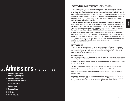Admissions

**Admissions** 

#### Selection of Applicants for Associate Degree Programs

FIT is a selective public institution that prepares students for a wide range of careers in creative business and design professions. Academic accomplishments, achievements that predict success on the college level, and demonstrated talent are factors that the Admissions Committee considers when evaluating applications. When the committee is evaluating transfer applications, overall grade point average and performance in liberal arts courses are also considered. All applicants—whether intending to study full time in a matriculated day program, or in an evening/weekend program must meet the same admissions standards.

FIT believes that a person's creative and leadership abilities are revealed through participation in activities in any of several fields, such as governing organizations, student clubs, or the visual and performing arts. The Admissions Committee would like to know about all accomplishments in which applicants take pride. All applicants are required to submit a personal essay indicating why they selected their particular major, and highlighting all activities or accomplishments.

All applicants to School of Art and Design programs must offer evidence of artistic and creative ability through the submission of a portfolio. Fashion Design applicants should be versed in both art and garment construction. Successful applicants to School of Business and Technology programs will have demonstrated the ability to work with others, qualities of leadership, and sound mathematical skills. Advertising and Marketing Communications applicants must show advanced ability in writing and/or other language skills.

#### STUDENT CATEGORIES

FIT offers a variety of study schedules during the fall, spring, summer, Summerim, and Winterim semesters in order to meet the needs of its students. The following definitions provide clarification of the student categories at FIT. Not all student categories are mutually exclusive—one-year students, for example, are also full-time students.

#### **Matriculated Students**

Matriculated students are those who are enrolled in an FIT degree program, whether undergraduate or graduate, full- or part-time. Matriculated students are given preference for on-campus housing.

**MATRICULATED DAY** Matriculated day students are enrolled full time, and the majority of their classes take place during the day.

**FULL-TIME** Full-time undergraduate students are enrolled for 12 or more credits per semester.

**PART-TIME** Part-time undergraduate students are enrolled for less than 12 credits per semester.

**ONE-YEAR** One-year students are matriculated undergraduates enrolled in a one-year associate degree program.

**MATRICULATED EVENING/WEEKEND** For those students looking to balance the demands of career or family with their education, FIT offers a number of evening/weekend degree programs (see pages 26–27). Courses in these programs are scheduled during the evening and/or weekend.

# >>> Admissions > > >> >>

- 13 Selection of Applicants for Associate Degree Programs
- 19 Selection of Applicants for Baccalaureate Degree Programs
- 20 International Applicants
- 21 Visiting Students
- 21 Special Assistance
- 22 Notification
- 22 Visits to the College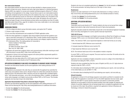#### **Non-matriculated Students**

Non-matriculated students are those who have not been admitted to a degree program but are enrolled in at least one course. Students who hold a high school diploma or a General Equivalency Diploma (GED) may register for courses and complete certificate programs offered at FIT without submitting a formal application to the college. Courses that are open to non-matriculated students are typically scheduled during the evening and on the weekend; they may or may not carry college credit. Some credit-bearing courses are reserved for matriculated students only. All students must meet prerequisite requirements for any course they plan to take. All students who wish to seek a degree must apply through a formal admissions process before accumulating more than 24 credits (see Matriculation Status Policy, page 46, for details on how many credits taken in non-matriculated status may be applied to a degree).

#### ADMISSIONS PROCESS

1. Visit the college and attend a group information session, and explore the FIT website.

- 2. Choose a major program of study.
- 3. Go to www.fitnyc.edu/admissions and complete the FIT/SUNY application online.
- 4. After the online application is completed, high school students should ask their guidance counselor to send their transcripts to FIT's Admissions Office. Transfer students should request that official transcripts be sent directly from their high school(s) and college(s) registrar's offices to FIT's Admissions Office. The mailing address for transcripts is:

Fashion Institute of Technology Admissions Office 227 West 27th Street, Room C139 New York, NY 10001-5992

- 5. Applicants will submit their academic history and a personal essay online after receiving an email with instructions to access MyFIT (http://www.myfit.fitnyc.edu).
- 6. Applicants to School of Art and Design programs will receive portfolio requirements specific to their major, and submission instructions.
- 7. Applicants who have taken either AP or CLEP exams must contact the College Board and request official test scores be sent directly to the FIT Admissions office.

#### APPLICATION RECOMMENDED FILING DATES FOR ADMISSION TO ASSOCIATE DEGREE PROGRAMS

Domestic and international students use the same application when seeking admission to FIT.

#### **Rolling Admissions**

All applications are processed in the order they are received after the applicant has submitted the online essay and academic history forms. Receipt of these two online items activates the acknowledging process in the Admissions Office. Decisions will only be rendered after completed applications—with transcripts and essays—are on file in the Admissions Office. In addition, all applicants whose native language is not English must provide an official TOEFL or IELTS score. This includes applicants who have been living in the United States.

#### **Application Recommended Filing Dates to Associate Degree Programs.**

Domestic and international applicants use the same application when seeking admission to FIT. Please visit the following link: http://fitnyc.edu/undergradadmissions for additional information.

- No later than **January 1** for the fall semester.
- No later than **October 1** for the spring semester.

Students who have not completed applications by **January 1** for the fall semester or **October 1** for the spring semester risk being closed out of the major of their choice.

#### **Readmission**

Students who seek readmission to FIT should notify Admissions in writing or online at http://www3.fitnyc.edu/undergradadmissions prior to the intended semester of reentry.

- No later than **January 1** for the fall semester.
- No later than **October 1** for the spring semester.

#### ADDITIONAL APPLICATION MATERIALS **Transcripts**

Transcripts must be sent directly to FIT. Transfer students who have not yet earned their college degree must submit a high school transcript with proof of high school graduation.

Applicants educated outside the United States should refer to the International Applicant Credentials link at www.fitnyc.edu/registrar for country-specific transcript requirements.

#### **TOEFL/IELTS Scores**

Applicants whose native language is not English must provide an official Test of English as a Foreign Language (TOEFL) score or an International English Language Testing System (IELTS) score.

TOEFL: The minimum TOEFL score requirement depends on which test format you are using:

1 Internet-based test (IBT): Minimum score must be 80.

2. Computer-based test: Minimum score must be 213.

3. Paper-based test: Minimum score must be 550.

IELTS: The minimum band score of 6.5 in the academic module is required.

A current TOEFL or IELTS score is required. The score must be no more than 18 months old on the date of anticipated enrollment.

Applicants who have completed an English composition course at a college in the United States are not exempt from taking the TOEFL or IELTS.

Students who have completed less than four years of English (not ESL) at a U.S. high school are required to take the TOEFL or IELTS.

For information about scheduling the TOEFL exam and obtaining score reports, visit www.toefl.org. In the United States you can call 609 771.7100.

For information about scheduling the IELTS and obtaining score reports, visit www.ielts.org.

#### **Artwork Evaluation**

All applicants to School of Art and Design programs must submit a portfolio for evaluation by the faculty. After the application is received by FIT from the SUNY Application Services Center, applicants can enter MyFIT to access specific instructions and options to submit their portfolio. Applicants are encouraged to choose the earliest possible review date available. By delaying submission of a portfolio, applicants risk not having enough time to complete the application and may be closed out of the major. No portfolio is required from applicants to School of Business and Technology or School of Liberal Arts programs.

Admissions

Admissions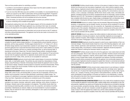There are three possible options for submitting a portfolio:

- 1. e-portfolio is recommended for applicants whose majors have this option available. Access to e-portfolio will be available through MyFIT.
- 2. If you live more than 200 miles away and e-portfolio is not available, it is recommended that you submit your artwork by mail. Mail-in authorization will be provided through MyFIT. Prospective applicants to FIT should not mail unsolicited portfolios to FIT or the SUNY Application Services Center. Unsolicited portfolios will not be evaluated and will not be returned.
- 3. If you live nearby, you may also be provided the option to present your portfolio in person. In-person scheduling will be available through MyFIT.

Most applicants seeking direct entry into a BFA degree program will first be evaluated at the AAS level to determine eligibility. BFA degree applicants may, according to their major, be contacted directly by the department once academic eligibility has been determined by the Admissions Office.

Departmental portfolio requirements are listed below and can also be found on the FIT website at www.fitnyc.edu/portfoliorequirements. The applicant must be the sole creator of all artwork in his or her submitted portfolio.

#### AAS PORTFOLIO REQUIREMENTS

**FASHION DESIGN (WOMEN'S WEAR ONLY)** The Fashion Design portfolio requires applicants to complete five specific fashion design sketches, 6–10 original fashion artwork sketches, photos of garments, and four essay questions. Portfolio pages should all be 8.5" x 11" inches or 21 x 28 cm. All fashion design sketches must include fabric swatches for each design shown. Photographs of garments applicants have constructed that demonstrate sewing and/or creative abilities are required in the portfolio. Evaluators will focus on creativity and design sense, as well as technical skills. A drawing test will be given. Please note: The entire Fashion Design portfolio, including the design test, fashion artwork sketches, and photographs of garments, will be retained by FIT and will not be returned when the applicant sends them in. Applicants should submit only color copies of photographs and artwork. Slides, DVDs, and CDs are not acceptable for submission.

**ACCESSORIES DESIGN** Applicants should submit eight original designs of accessories (handbags, shoes, belts, or small leather goods). The portfolio may also include four interpretations of these designs using Photoshop or Illustrator. All drawings should indicate the applicant's level of creativity and sense of design. Emphasis should be placed on proportion and three-dimensionality. Photos or slides of original work may be included. Portfolio may also include finished articles, such as a handbag or small leather goods.

**COMMUNICATION DESIGN** Portfolios should include 12 to 15 pieces that reveal imagination, design skills, sense of color, and drawing ability, as well as the use of typography. Artwork in any medium may be presented; it need not relate specifically to advertising or graphic design. The inclusion of a sketchbook is encouraged. Applicants should also include computer design samples if they have them. Organization and neatness are considered as part of the evaluation.

**FINE ARTS** Artwork from direct observation is preferred. Applicants should submit at least ten examples in any medium: drawings, watercolors, pastels, paintings, prints, photos of sculpture, or 3D designs. Students need not have examples in all categories. The portfolio should reflect freehand drawing and sketching ability, sensitivity to color, line, proportion, and neatness of portfolio presentation. Sketchbooks are welcome. Slides are not recommended for in-person evaluation; however, they are welcome for mail-in portfolios; photographs or color copies are acceptable substitutes for large work.

**ILLUSTRATION** Portfolios should include a minimum of ten pieces of original art drawn or painted directly from life and up to ten more pieces of applicants' work, which could be created by using photo reference. Applicants should include at least one drawing or painting from the following five categories: portraits; situations (people sleeping, eating, watching TV); environments (a view out a window, a room, a cityscape, a landscape); still life (fruits, flowers, books, shoes, wine bottles and glasses); conceptual (a person as an animal, a businessman the size of a skyscraper, a person of stone). Maximum size is 18" x 24". The inclusion of a sketchbook is strongly encouraged. All work must have been completed within the last two years. Graphic design or photography that is not illustration should not be included. A drawing test will be given at the time of the in-person portfolio evaluation.

**INTERIOR DESIGN** Artwork of a variety of types may be presented. Measured drawings (floor plans, elevations, or perspectives) may be included, however, any artwork will be considered if it communicates the applicant's sensitivity to color, line, proportion, etc. Organization and neatness are considered as part of the evaluation. Sketchbooks are welcome. A drawing test will be given at the time of in-person portfolio evaluation. In addition, applicants are required to complete a Home Test, which must be submitted with the portfolio.

**JEWELRY DESIGN** Artwork in any medium that reflects attention to detail and sense of color and design, particularly in drawing and sculpture, may be submitted. Applicants are encouraged to supply a selection of jewelry, either designs or actual pieces. Beaded items should be limited to no more than five pieces. Photographs or slides of work are also acceptable.

**MENSWEAR DESIGN** Applicants should be prepared to submit seven original sketches of their own menswear designs. These should include at least two of any of the following categories: suits, sport coats, knitwear, sportswear, active sportswear, formal wear, and casual wear. The aim is to assess creative design ability, not proficiency in fashion illustration. Applicants should be prepared to explain their interest in entering the menswear industry in essay form.

**PHOTOGRAPHY** Portfolios should contain 24 to 30 of the applicants' most creative black-and-white and color photographs. Work in other media may also be submitted. Portfolios should communicate sensitivity to design, imagination, creativity, diverse subject matter, willingness to be experimental, ability to convey complex ideas visually, and organization and neatness of portfolio presentation. Evaluators prefer photos processed and printed by the applicant, but commercially prepared work will be accepted. Applicants should be prepared to explain their interest in commercial and editorial photography. Additionally, applicants are required to complete a Home Test, which must be submitted with the portfolio.

**TEXTILE/SURFACE DESIGN** Portfolios should contain original artwork in any technique or medium that demonstrates drawing and painting ability, creativity, and color and design sense. Applicants may submit up to 15 pieces that might include drawings and paintings from nature (shells, figures, flowers, etc.), samples of weaving, screen-printed or hand-painted fabrics, and fiber art. Slides and/or photographs of large paintings or 3D pieces are welcome, as are sketchbooks. A drawing test will be given at the time of the in-person evaluation. Applicants who submit portfolios by mail will be required to complete a Home Test.

**VISUAL PRESENTATION AND EXHIBITION DESIGN** Artwork of any media will be considered as long as it communicates the applicant's overall artistic ability, creativity, design sense, and sensitivity to color, line, and proportion. Applicants may submit up to 25 pieces that can include (but are not limited to) drawings such as ground plans, perspective drawings, sketches, photographs or slides of display arrangements, paintings, collages, and craft work. Evaluators consider the applicant's interest in the program, the variety of areas in which the applicant has created work, and the creative potential of the applicant. In addition, applicants are required to complete a Home Test, which must be submitted with the portfolio.

Admissions

**Admissions**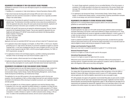#### REQUIREMENTS FOR ADMISSION TO TWO-YEAR ASSOCIATE DEGREE PROGRAMS

Candidates for admission to the two-year AAS degree programs are evaluated according to the following criteria:

- 1. Candidacy for, or possession of, high school diploma or General Equivalency Diploma (GED).
- 2. High school transcript showing grade point average (GPA) and rank in class (except applicants who have received an associate's or bachelor's degree from a regionally accredited college in the United States).

3. A personal essay describing the applicant's background and reasons for choosing FIT and the selected major. The Admissions Committee would like to know about all accomplishments in which the applicants take pride, along with career goals and personal interests. Applicants will be emailed submission instructions upon completion of the online application.

4. SAT/ACT: SAT and ACT test scores are not required for admissions purposes. They are, however, required for the Presidential Scholars Program. They are also required for placement into your English and math classes at FIT. SAT/ACT scores should be sent directly to the following address: Fashion Institute of Technology Center for Placement, B623 227 West 27th Street New York, NY 10001

Applicants who have not submitted SAT/ACT test scores will have to take the FIT placement exam.

- 5. For applicants whose native language is not English, an official TOEFL or IELTS score. Students graduating from U.S. high schools with blocks of coursework completed as English as a Second Language (ESL), or who have completed less than four years of English (not ESL) at a U.S. high school, are also required to take the TOEFL or IELTS to prove English proficiency. For TOEFL or IELTS requirements, see page 15.
- 6. For applicants to School of Art and Design programs, a portfolio containing representative examples of their art and design work (see Artwork Evaluation, pages 15–17).
- 7. For transfer students, official transcripts from all colleges attended.
- 8. Applicants educated outside the United States should go to the International Applicants Credentials link at www.fitnyc.edu/registrar for country-specific information about transcript requirements.

#### REQUIREMENTS FOR ADMISSION TO ONE-YEAR ASSOCIATE DEGREE PROGRAMS

FIT has developed special one-year AAS degree programs (two semesters of study, ranging from 30.5-41 credits each) in Accessories Design, Advertising and Marketing Communications, Communication Design, Fashion Design, Fashion Merchandising Management, Jewelry Design, Textile Development and Marketing, and Textile/Surface Design.

The application for one-year AAS programs is the same application used for the two-year programs. Once the application is filed, an official college transcript from each institution should be forwarded to the Admissions Office showing all completed coursework, and, if applicable, degree and date granted.

In order to be eligible for any of these programs, applicants must meet the following criteria:

1. Graduation from a four-year, regionally accredited institution or completion of at least 30 transferable credits at an accredited college, with a minimum of 24 credits equivalent to FIT's liberal arts requirements: 3 credits in college-level mathematics above basic algebra; 3 credits in English composition; 3 credits in literature or speech; 3 credits in physical science, biology, or life science; 12 credits in the humanities/social sciences; and one course in physical education.

For Jewelry Design applicants: graduation from an accredited Bachelor of Fine Arts program, or completion of 24 credits equivalent to the liberal arts requirements of the Jewelry Design major (see page 105), including 6 credits in art history and courses in basic design, general drawing, and sculpture.

2. For applicants to the Accessories Design, Communication Design, Fashion Design, Jewelry Design, or Textile/Surface Design program, a strong portfolio containing representative examples of their art and design work (see Artwork Evaluation, pages 15–17).

#### REQUIREMENTS FOR ADMISSION TO EVENING/WEEKEND DEGREE PROGRAMS

Applicants to FIT's evening/weekend degree programs adhere to the same admissions guidelines as matriculated day students.

#### ACADEMIC CREDIT BY EVALUATION

Accepted applicants may apply up to 30 credits earned through published subject examinations (examples listed below) and transfer credit toward fulfillment of degree requirements at FIT. Those who have completed liberal arts courses at regionally accredited institutions, in which a grade of "C" or better has been achieved, will receive credit for coursework equivalent to courses at FIT (see Transfer of Credit, page 44).

Credit for published examinations applies to the following three tests, provided that the specified minimum performance levels are met, and that the subject examination is in an area that would normally be eligible to receive credit during an evaluation of transfer credits.

#### **College-Level Examination Program (CLEP)**

Mean score must meet or exceed the equivalent of a grade of "C" in a formal course.

**Advanced Placement Program**  A score of 3 or higher on a scale of 5 points used for this program.

#### **International Baccalaureate Program**

A score of 4 or higher on exams for higher-level (HL) courses.

Official test scores must be sent directly to the FIT Admissions Office by the issuing board or awarding authority. Complete information about applying for academic credit by evaluation is available in the Registrar's Office and at www.fitnyc.edu/registrar.

#### Selection of Applicants for Baccalaureate Degree Programs

The college offers 23 baccalaureate programs leading to either the Bachelor of Fine Arts (BFA) or Bachelor of Science (BS) degree. Admissions priority is given to FIT's AAS graduates, although external applicants who meet the eligibility requirements are also encouraged to apply.

FIT's AAS graduates who apply by the application recommended filing dates are given priority consideration for admission into the same major's baccalaureate-level program. Applicants must have met the General Education (see General Education Requirements, pages 31–38) and liberal arts (see pages 29–31) requirements and maintained the required GPA. Applicants who do not meet these criteria or who wish acceptance into another program may require an interview, or an interview and artwork evaluation.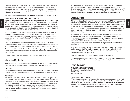The associate-level major pages (82–107) show the recommended bachelor's programs available to students from each of FIT's AAS programs. Associate-level students who wish to apply to a baccalaureate-level program other than those recommended should review the courses on the applicable baccalaureate-level major pages (108–136) and consult with the appropriate department chairperson for advisement.

Priority application filing date is no later than **January 1** for fall admission and **October 1** for spring.

#### ADMISSION CRITERIA FOR BACCALAUREATE DEGREE PROGRAMS

Applicants seeking admission to one of FIT's bachelor's degree programs must hold an AAS degree from FIT or an equivalent degree or 60 appropriate credits from a regionally accredited four-year bachelor's degree program. They must also meet the appropriate prerequisites as required by the major and have completed FIT's liberal arts requirements (with the exception of physical education). Further requirements may include an interview with a departmental committee, review of academic standing, and artwork evaluation for all applicants to BFA programs.

Graduates of associate degree programs in the liberal arts are eligible to apply to FIT majors in Cosmetics and Fragrance Marketing, Direct and Interactive Marketing, Fabric Styling, Home Products Development, International Trade and Marketing for the Fashion Industries, Production Management: Fashion and Related Industries, Textile Development and Marketing, or Visual Art Management.

Those applicants who have not completed the requisite specialized courses for the major must complete the required "bridge" courses or an appropriate one- or two-year degree program offered by FIT before they may be considered for admission to the college's bachelor's degree programs.

Students who apply for transfer to FIT from a four-year bachelor's degree program must have completed a minimum of 60 credits, including the requisite art or specialized courses for the major and the liberal arts requirements.

For more information, please visit www.fitnyc.edu/html/admissions/WhatAreTheMajors.

#### International Applicants

Applicants educated outside the United States should follow the International Applicant Credentials link at www.fitnyc.edu/registrar for detailed information about transcript requirements.

#### TOEFL SCORE

**Admissions** 

Students whose native language is not English must provide an official Test of English as a Foreign Language (TOEFL) or International English Language Testing System (IELTS) score (see page 15).

#### STUDENT VISAS

In accordance with federal regulations, FIT only issues I-20 forms (Certificates of Eligibility for Nonimmigrant [F-1] Student Status) to students who have been admitted to a full-time program of study leading to a degree. Students who wish to apply for an F-1 student visa or who hold F-1 student status must obtain an I-20. To obtain an I-20, students must submit an International Student Financial Statement (ISFS) to FIT after being admitted to the college. The U.S. Citizenship and Immigration Services require verification of the student's ability to finance studies in the United States. An estimate of expenses based on current tuition, fees, and living and personal expenses appears on the ISFS.

After notification of acceptance, a tuition deposit is required. Two to three weeks after receipt of tuition deposit, the college will issue an I-20, which is necessary to apply for a visa at a U.S. Consulate in order to enter the United States to study and to maintain F-1 status while attending FIT. To download the ISFS and for more information about applying for a visa and the terms and conditions of F-1 status, visit FIT's International Student Advisors website at www.fitnyc.edu/oisa.

#### Visiting Students

This program offers selected students the opportunity to take courses at FIT in order to supplement educational programs taken at other institutions without the necessity of a formal transfer. Applicants must be attending colleges that are formally registered as part of FIT's Visiting Student Program in order to be considered. Applicants must be full-time, matriculated undergraduates at their home institution with a minimum cumulative GPA of 3.0 (on a 4.0 scale) and completion of at least 60 credits prior to starting the program. A portfolio of artwork is required for admission to School of Art and Design programs.

Applications must be made through the designated liaison at the applicant's home institution. Written approval from the designated liaison must be forwarded to the Admissions Office. Recommended application filing dates are **January 1** for fall and **October 1** for spring. Applicants must file the FIT/SUNY application online at www.fitnyc.edu/admissions.

Visiting students are not eligible for financial aid from FIT. They should apply for aid from their home institution.

Admission to the Accessories Design, Communication Design, Jewelry Design, Textile Development and Marketing, and Textile/Surface Design programs for visiting students is limited to the fall semester only. Advertising and Marketing Communications and Fashion Merchandising Management are available in spring and fall.

Housing application instructions are enclosed with students' acceptance letter.

Applicants are admitted to a one-year AAS degree program. The FIT degree is awarded once the student has submitted proof of receipt of bachelor's degree at the home institution.

#### Special Assistance

#### EDUCATIONAL OPPORTUNITY PROGRAMS

David Dubinsky Student Center, Room A571 212 217.4170 www.fitnyc.edu/eop

#### **Educational Opportunity Program**

FIT offers New York State residents from economically disadvantaged circumstances the opportunity to pursue a postsecondary education through its Educational Opportunity Program (EOP). Initiated at the college in 1973, EOP provides supplemental academic support and expanded student services to eligible and capable individuals who seek higher education despite long-term socioeconomic challenges. EOP's services foster academic persistence and achievement.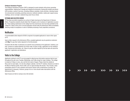#### **Childcare Assistance Program**

The Childcare Assistance Program (CAP) is designed to assist students with primary parenting responsibilities, helping them manage and integrate the demands of being both student and parent. CAP provides a variety of services, including childcare subsidies, family activities, individual academic and personal counseling, parenting resources, textbook subsidies, weekly peer support group meetings, and an overnight, weekend-long career-focus retreat.

#### VETERANS AND SELECTIVE SERVICE

FIT has been accorded recognition as a school of higher learning by the Department of Veterans Affairs. Prospective students should obtain their VA papers as far in advance of registration as possible. Those seeking readmission to the college from the armed forces who have been admitted to the college for a date of entry prior to formal separation should notify the Admissions Office immediately following receipt of acceptance in order to facilitate processing of early separation procedures.

#### **Notification**

Admissions

A nonrefundable tuition deposit of \$150 is required of accepted applicants to reserve their space at FIT.

Upon written request to the Admissions Office, accepted applicants may be granted an extension until **May 1** to pay their tuition deposits for the fall semester.

Enclosed with the letter of admission are specific forms pertaining to the applicants' residency, parents' consent for medical attention (for those under 18 years of age), application for the residence halls, financial aid information, etc. Failure to pay the tuition deposit by the due date will cancel the applicants' registration and attendance.

#### Visits to the College

Applicants wishing to visit FIT are encouraged to attend group information sessions held at noon throughout the year every Tuesday, Wednesday, and Friday except for major holidays. The college is closed on Fridays in June, July, and the first week of August. Please check the website at fitnyc.edu for exact dates. (To view the college's calendar, visit the FIT website.) Sessions are held in the Marvin Feldman Center, Room C205, and run approximately 90 minutes. They include a video presentation about FIT and a question-and-answer session with an Admissions counselor. No appointment is necessary. However, groups of six or more should make reservations with the Admissions Office.

Open houses are held on campus every fall semester.

#### > >> >> >>> >>> >> >> >>>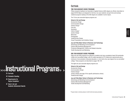### Instructional Programs

# >>>Instructional Programs>>

25 Curricula

- 43 Scholastic Standing
- 45 Requirements for Degree Completion
- 47 Dean's List and Academic Achievement Awards

#### **Curricula**

#### TWO-YEAR ASSOCIATE DEGREE PROGRAMS

Fifteen programs leading to an Associate in Applied Science (AAS) degree are offered, described on pages 82-99. Majors are designed for full-time, two-year students, but part-time and evening/ weekend programs leading to the AAS degree are available in some majors.

The 15 two-year associate degree programs are:

**School of Art and Design** Accessories Design Communication Design Fashion Design\* Fine Arts Illustration Interior Design\* Jewelry Design **Menswear** Photography Textile/Surface Design Visual Presentation and Exhibition Design

#### **Jay and Patty Baker School of Business and Technology**

Advertising and Marketing Communications\* Fashion Merchandising Management\* Production Management: Fashion and Related Industries Textile Development and Marketing

#### ONE-YEAR ASSOCIATE DEGREE PROGRAMS

Eight one-year AAS programs are offered for students who have completed at least 30 transferable credits at an accredited college, with 24 credits equivalent to FIT's liberal arts requirements plus a minimum of one semester of physical education, or who hold a four-year degree from an accredited college. These programs are described on pages 100–107.

The eight one-year associate degree programs are:

#### **School of Art and Design**

Accessories Design Communication Design Fashion Design\* Jewelry Design (see page 19 for specific admissions criteria) Textile/Surface Design

#### **Jay and Patty Baker School of Business and Technology**

Advertising and Marketing Communications\* Fashion Merchandising Management\* Textile Development and Marketing

\*Program takes in entering classes in both the fall and spring semesters.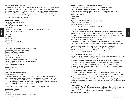#### BACCALAUREATE DEGREE PROGRAMS

Thirteen programs leading to a Bachelor of Fine Arts (BFA) degree and ten leading to a Bachelor of Science (BS) degree are offered, described on pages 108–136. Majors offered by the School of Art and Design lead to the BFA degree; majors offered by the Jay and Patty Baker School of Business and Technology and the School of Liberal Arts lead to the BS degree. Majors are designed for full-time, two-year students, but part-time and evening/weekend students may also meet the requirements in some of the majors.

The 23 baccalaureate degree programs are:

#### **School of Art and Design**

Accessories Design and Fabrication Advertising Design Computer Animation and Interactive Media Fabric Styling Fashion Design (with specializations in Children's Wear, Intimate Apparel, Knitwear, Special Occasion, and Sportswear) Fine Arts Graphic Design Illustration Interior Design\* Packaging Design Photography and the Digital Image Textile/Surface Design

#### **Jay and Patty Baker School of Business and Technology**

Advertising and Marketing Communications\* Cosmetics and Fragrance Marketing Direct and Interactive Marketing Fashion Merchandising Management\* Home Products Development International Trade and Marketing for the Fashion Industries\* Production Management: Fashion and Related Industries Technical Design Textile Development and Marketing

**School of Liberal Arts**

Toy Design

Instructional Instructional<br>Programs

Visual Art Management

#### EVENING/WEEKEND DEGREE PROGRAMS

www.fitnyc.edu/evening\_weekend

FIT provides students with the opportunity to complete an associate or baccalaureate degree through evening and/or weekend study. Nine evening/weekend degree programs are offered. These programs are coordinated by the School of Continuing and Professional Studies, in conjunction with the academic departments and schools. All associate programs lead to the AAS degree; baccalaureate programs lead to either the BFA or BS degree.

The four associate degree programs available through evening/weekend study are:

#### **School of Art and Design**

Communication Design Fashion Design \*Program takes in entering classes in both the fall and spring semesters.

#### **Jay and Patty Baker School of Business and Technology**

Advertising and Marketing Communications (one-year option also available) Fashion Merchandising Management (one-year option also available)

The five baccalaureate degree programs available through evening/weekend study are:

#### **School of Art and Design** Graphic Design Illustration

#### **Jay and Patty Baker School of Business and Technology**

Advertising and Marketing Communications Fashion Merchandising Management International Trade and Marketing for the Fashion Industries

#### CREDIT CERTIFICATE PROGRAMS

FIT offers a number of credit certificate programs that provide students with the opportunity to enhance their skills in specialized fields. Non-matriculated students may enroll in credit certificate programs. Upon successful completion of a concentrated sequence of credit-bearing courses, and with faculty recommendation, students are granted a certificate of completion.

#### **Aron and Esther Goldfarb Leather Apparel** (HEGIS 5012)

Designed for students seeking additional knowledge in the area of leather apparel design and construction, this program offers certificates in either a menswear or women's wear concentration.

Each concentration consists of a 12-credit curriculum comprised of five courses: AP 241–Leather Apparel Design Room Techniques, AP 253–Leather Apparel Design, AR 152–Leather Apparel Portfolio, FS 334–Leather Forecasting and Styling, and LD 112–Decorative Leather Techniques.

#### **CAD for Fashion Designers—Apparel** (HEGIS 5012)

This program provides students with the specialized knowledge and skills in computer-aided design (CAD) used in the design and manufacturing of apparel.

The program consists of four required courses chosen from among the following six courses: AP 222–Computer-Aided Flat Pattern Design, AP 223–Advanced Computer-Aided Flat Pattern Design, AP 322–Apparel Product Data Management, AP 337–Primavision Apparel Design Development, AP 421–Computerized Pattern Design, and AP 422–Advanced Computerized Pattern Design: Gerber AccuMark.

#### **CAD for Fashion Designers—Art** (HEGIS 5012)

CAD for Fashion Designers-Art provides students with the technical skills required to create fashion design presentation products, such as digital trend concept boards and computer-generated portfolios.

The program consists of five required courses: AR 115–Introduction to CAD Software for Fashion Designers, AR 214–Fashion Design Using Photoshop, AR 215–Fashion Design Using Illustrator, AR 216–Fashion Design Using Primavision and Colour Matters, and AR 245–Digital Fashion Design Portfolio.

#### **Draping Techniques** (HEGIS 5012)

Intended primarily for those who wish to enhance their draping skills without enrolling in a degree program, Draping Techniques presents students with projects that incorporate both draping and patternmaking techniques, covering a variety of approaches and methods in analyzing and developing patterns.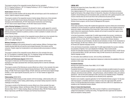The program consists of four sequential courses offered over four semesters: DP 111–Draping Proficiency I, DP 112–Draping Proficiency II, DP 211–Draping Proficiency III, and

#### DP 212–Draping Proficiency IV. **Haute Couture** (HEGIS 5012)

Haute Couture provides students with the design skills and techniques used in the manufacture of custom, made-to-measure women's clothing.

The program consists of five sequential courses in fashion design offered over a three-semester time span: AP 242–Haute Couture Sewing Techniques, AP 243–Haute Couture Decorative Techniques and Embellishments, AP 244–Haute Couture Construction and Technology, AP 275–Haute Couture Apparel Design, and AR 292–Haute Couture Portfolio.

#### **Ladies Tailoring Techniques** (HEGIS 5012)

This program was developed in response to the demand for classic, quality apparel for women's tailored clothes. Projects range from fundamental to more advanced skills and processes in ladies tailoring and prepare students for positions as tailors or tailor's assistants in sample rooms and custom tailoring shops.

Ladies Tailoring Techniques consists of four sequential courses offered over a four-semester time span: TL 111–Ladies Tailoring I, TL 112–Ladies Tailoring II, TL 211–Ladies Tailoring III, and TL 212–Ladies Tailoring IV.

#### **Millinery Techniques** (HEGIS 5012)

Instructional nstructional<br>Programs

> Developed in response to the renewed demand for quality headwear, Millinery Techniques helps students develop skills that will meet the most stringent demands of the industry and the consumer. Projects range from fundamental to more advanced skills and processes in millinery techniques.

The program consists of four sequential courses offered over a four-semester time span: ML 113–Foundations in Headwear Design, ML 114–Headwear Design and Patternmaking, ML 241–Bridal Specialization, and ML 242–Conceptual Headwear.

#### **Outerwear and Performance Apparel** (HEGIS 5012)

The program in Outerwear and Performance Apparel provides students with the latest techniques in this highly specialized field, technically preparing them to meet the challenges of the industry.

The program consists of the following six courses offered over a three- to four-semester time span: AP 144–Outerwear and Performance Apparel Sewing Techniques, AP 281–Outerwear Apparel Design, AP 282–Performance Apparel Design, AR 291–Outerwear and Performance Apparel Design Portfolio, LD 251–Sport-Specific Accessories, and TS 171–Hi-Tech Textiles for Apparel and Accessories.

#### **Patternmaking** (HEGIS 5012)

The program in Patternmaking provides students with the knowledge, craftsmanship skills, and techniques in draping, marker making, patternmaking, and sample-making required to meet the challenges of the industry.

The program consists of the following five courses offered over a three-semester time span: PM 121–Patternmaking I: Misses' and Women's Wear, PM 122–Patternmaking II: Misses' and Women's Wear, PM 171–Pattern Grading: Misses' and Women's Wear, PM 233–Patternmaking: Misses' Sportswear, and PM 255–Fit Analysis and Technical Documentation.

#### LIBERAL ARTS

Business and Liberal Arts Center, Room B623, 212 217.4320 www.fitnyc.edu/liberalarts

Every degree program at FIT has at its core a required, comprehensive liberal arts curriculum, taught by the faculty of the college's School of Liberal Arts. Education in the liberal arts develops students' critical thinking and communications skills, provides them with a global perspective, and nurtures interests that can enrich and inform their professional and personal lives.

The School of Liberal Arts also administers the liberal arts concentrations, FIT's Presidential Scholars honors program, and the Visual Art Management BS program.

#### **Concentrations**

Some major programs of study offer students the opportunity to pursue a liberal arts concentration, a selection of courses focused on a particular discipline that provides a more cohesive program of study and a deeper understanding of the chosen field. These courses will also fulfill some of the major's liberal arts requirements; therefore, students will not need to exceed their regular course load to pursue a concentration.

In the Asia Concentration, students take 15 credits (approximately five courses), including two semesters of Chinese or two semesters of Japanese, from a pre-selected list. Offerings include EN 273–Literature of India, EN 371–Chinese Odyssey: Introduction to Chinese Literature, HA 221–East Asian Art and Civilization, HA 225–Art and Civilization of India, PL143–Introduction to Asian Philosophy, SS 356–Asia in Motion, SS 277–Cultural Expressions of Non-Western Dress, and all Chinese and Japanese language courses.

In the Latin America Concentration, students take 15 credits (approximately five courses), including two semesters of Spanish, from a pre-selected list of offerings. These courses include: HA 224–Pre-Columbian American Art and Civilization, LA 231–Latin American Fiction, LA 222–Survey of Latin American Music, SS 353–Latin America Today, SS 446–Economics of Latin America, and all Spanish language courses.

For information about additional courses, visit www.fitnyc.edu/liberalarts.

Students should contact their major department chairperson to determine the availability of this concentration in their major.

#### **Presidential Scholars**

Business and Liberal Arts Center, Room B602, 212 217.4590

www.fitnyc.edu/honors

Presidential Scholars is FIT's honors program, providing motivated and gifted students the opportunity to take part in specially designed liberal arts courses, interdisciplinary group projects, monthly colloquia, and extracurricular activities—arts performances, cultural institution visits, and outdoors adventures—that use the entire landscape of New York City as an extended campus. Presidential Scholars receive an annual merit stipend and are afforded priority registration.

Students must complete a separate application for the Presidential Scholars program. For the associate-level program, competitive admission is based on class rank, high school GPA, and SAT scores. For the baccalaureate-level program, students must have a GPA of 3.5. Applications are available on the Presidential Scholars website.

#### **School of Liberal Arts Departments**

The Educational Skills Department (ES) offers courses in English as a second language and college-level preparation in reading and writing. The department also supervises the Academic Skills and Academic Testing Centers.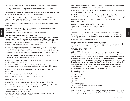#### The English and Speech Department (EN) offers courses in literature, speech, theater, and writing.

The Foreign Language Department offers courses in French (FR), Italian (IT), Japanese (JA), Mandarin Chinese (CH), and Spanish (SP).

The Health, Physical Education, and Dance Department offers a variety of health education (HE) and physical education (PE) courses, including individual and team activities.

The History of Art and Civilization Department (HA) offers a variety of history of art and civilization courses representing both Western and non-Western cultures. It also administers the interdisciplinary Visual Art Management BS program.

The Science and Mathematics Department offers courses in biology and physical science (SC) and mathematics (MA).

The Social Sciences Department offers courses in five disciplines: economics, political science, psychology, sociology (SS), and philosophy (PL).

The School of Liberal Arts also offers courses in music and U.S. history (LA).

#### **Liberal Arts Requirements for Associate Degree Students**

Instructional Instructional<br>Programs

> All students are required to either submit SAT/ACT scores or take the English, arithmetic, and algebra placement tests in order to be placed at the appropriate course level. Based upon placement test scores, some students are required to take developmental courses in Educational Skills (ES) or mathematics (MA) in addition to the general requirements listed below. For placement test exemption information, see page 45 or visit www.fitnyc.edu/placementtests.

> All two-year AAS degree students must complete a total of at least 24 liberal arts credits. Some majors require specific courses within these general requirements. Most majors' curricula also include two Health and Physical Education courses (totaling 2 additional credits). Please refer to the specific major page, in the Majors section of this catalogue (pages 82–99), for more information.

**FOR SCHOOL OF ART AND DESIGN MAJORS** The liberal arts credits are distributed as follows:

3 credits: EN 121–English Composition or EN 362 (Honors)\*

3 credits: One English and Speech course from the following: EN 231, EN 232, EN 233, EN 236, EN 241, EN 242, EN 244, EN 245, or EN 253\*\*

6 credits: Two Social Sciences courses from the following: SS 131–General Psychology, SS 141–Macroeconomics, SS 151–Introduction to World Affairs, or SS 171–Introductory Sociology\*\*

3 credits: One mathematics course from the following: MA 131, MA 161, MA 213, MA 222, MA 242, or MA 331\*

3 credits: One science course from the following two groups:

Physical Science: SC 111, SC 112, SC 045/145, SC 326, or SC 032/332\*

Biology: SC 121, SC 122, or SC 253\*

3 credits: HA 112–History of Western Art and Civilization: Renaissance to the Modern Era\*\*

3 credits: One History of Art and Civilization course from the following: HA 111, HA 121, HA 221, HA 223, HA 224, HA 225, HA 226, HA 231, HA 311, or HA 314\*

2 credits: Health and Physical Education (HE, PE)

\*These courses satisfy general educational requirements.

\*\*Some of these courses may satisfy General Education requirements in one or more areas. See pages 31–38 for a list of courses approved for General Education requirements.

**FOR SCHOOL OF BUSINESS AND TECHNOLOGY MAJORS** The liberal arts credits are distributed as follows: 3 credits: EN 121–English Composition, EN 362 (Honors)\*

3 credits: One English and Speech course from the following: EN 231, EN 232, EN 233, EN 236, EN 241, EN 242, EN 244, EN245, or EN 253\*

6 credits: Two Social Sciences courses from the following: SS 131–General Psychology, SS 141–Macroeconomics, SS 151–Introduction to World Affairs, or SS 171–Introductory Sociology\*

3 credits: One mathematics course from the following: MA 113, MA 131, MA 161, MA 213, MA 222, MA 242, or MA 331\*

3 credits: One science course from the following two groups:

Physical Science: SC 111, SC 112, SC 045/145, or SC 032/332\*

Biology: SC 121, SC 122, or SC 253\*

3 credits: HA 112–History of Western Art and Civilization: Renaissance to the Modern Era\*

3 credits: One course in U.S. history or one additional liberal arts course from either English and Speech, Foreign Languages, History of Art and Civilization, Science and Mathematics, or Social Sciences\*

2 credits: Health and Physical Education (HE, PE)

#### **Liberal Arts Requirements for Baccalaureate Degree Students**

Liberal arts requirements for bachelor's degree students vary by major. Refer to the specific major's page in the Majors section of this catalogue (pages 108–136) for more information.

#### GENERAL EDUCATION REQUIREMENTS

#### www.fitnyc.edu/gened

SUNY has mandated that students who matriculated after fall 2000 must fulfill General Education requirements in ten areas in order to receive a bachelor's degree. For most FIT majors, these requirements are incorporated into the curriculum and will be fulfilled through the major's required courses. While the Registrar's Office monitors each student's progress in the fulfillment of SUNY General Education requirements, final responsibility for completing the requirements is the student's. A SUNY General Education requirement completed at one SUNY campus will not have to be repeated at FIT.

Thirty (30) credits comprise the SUNY General Education requirement. An FIT course cannot be used to meet more than one SUNY General Education area. One SUNY-approved course from each of the following ten areas (a minimum of 3 credits each) is required:

- G1 Basic Communication
- G2 Mathematics
- G3 Natural Sciences
- G4 Social Sciences
- G5 Western Civilization
- G6 The Arts
- G7 Humanities
- G8 Foreign Language
- G9 Other World Civilizations (Non-Western Civilizations)

G10 American History

The first seven areas are typically taken at the associate level, and the remaining three are taken at the baccalaureate level. Some majors, however, require specific courses and areas in designated semesters throughout the four years.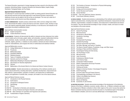Instructional Programs

The General Education requirement in foreign language has been waived for the following six BFA programs: Advertising Design, Computer Animation and Interactive Media, Graphic Design, Illustration, Packaging Design, and Toy Design.

#### **Approved General Education Courses**

The following FIT courses have been certified by SUNY as meeting specific General Education student learning outcomes and have been approved to meet General Education requirements. Additional courses may be added to this list as they are developed. The most up-to-date list of approved courses can be found at www.fitnyc.edu/gened.

**G1 BASIC COMMUNICATION** Students produce coherent texts within common college-level written forms; demonstrate the ability to revise and improve such texts; research a topic, develop an argument, and organize supporting details; develop proficiency in oral discourse; and evaluate an oral presentation according to established criteria.

Approved Basic Communication courses:

EN 121 English Composition

Instructional nstructional<br>Programs

EN 362 Creative Nonfiction (Honors)

**G2 MATHEMATICS** Students will demonstrate the ability to interpret and draw inferences from mathematical models such as formulas, graphs, tables, and schematics; represent mathematical information symbolically, visually, numerically, and verbally; employ quantitative methods such as arithmetic, algebra, geometry, or statistics to solve problems; estimate and check mathematical results for reasonableness; and recognize the limits of mathematical and statistical methods.

Approved Mathematics courses:

- MA 113 College Mathematics for Business and Technology
- MA 131 Precalculus
- MA 161 Mathematical Ideas
- MA 213 Quantitative Methods
- MA 222 Statistical Analysis
- MA 241 Topics in Probability and Geometry
- MA 242 Geometry and the Art of Design
- MA 311 Mathematical Modeling for Business Applications
- MA 321 Data Analysis for Business Applications
- MA 331 Calculus
- MA 391 Mathematics of the Ancient World in Its Cultural and Historic Context (Honors)

**G3 NATURAL SCIENCES** Students demonstrate an understanding of the methods scientists use to explore natural phenomena, including observation, hypothesis development, measurement and data collection, experimentation, evaluation of evidence, and employment of mathematical analysis; and application of scientific data, concepts, and models in one of the natural sciences.

Approved Natural Sciences courses:

- SC 111 Introduction to the Physical Sciences
- SC 112 Earth Science
- SC 121 Introduction to Biological Science
- SC 122 Field Biology
- SC 131 Physics
- SC 043/143 Introduction to Chemistry and Laboratory
- SC 045/145 Survey of General and Organic Chemistry and Laboratory
- SC 046/146 Basic Chemistry for Cosmetics and Fragrances and Laboratory
- SC 244 Fundamentals of Organic Chemistry
- SC 251 The Evolution of Humans: Introduction to Physical Anthropology
- SC 252 Environmental Science
- SC 253 Ecology and Environmental Problems
- SC 321 Human Structure and Function
- SC 326 Human Nutrition
- SC 032/332 Color and Light/Color Science Laboratory
- SC 391 Crime Scene Chemistry (Honors)

**G4 SOCIAL SCIENCES** Students demonstrate an understanding of the methods social scientists use to explore social phenomena, including observation, hypothesis development, measurement and data collection, experimentation, evaluation of evidence, and employment of mathematical and interpretive analysis. They also demonstrate knowledge of major concepts, models, and issues of at least one discipline in the social sciences.

Approved Social Sciences courses:

- SS 131 General Psychology
- SS 141 Macroeconomics
- SS 151 Introduction to World Affairs
- SS 171 Introductory Sociology
- SS 231 Personality
- SS 232 Developmental Psychology
- SS 237 Industrial Psychology
- SS 251 American Government and Politics
- SS 272 Sex Roles, Marriage, and Family in Transition
- SS 273 The Study of Social Problems: Prostitution, Drugs, and Other Issues
- SS 275 Sociology of Race and Ethnic Relations
- SS 332 Psychological Testing and Interviewing
- SS 334 The Psychology of Color
- SS 342 Microeconomics
- SS 343 Labor Economics
- SS 352 Contemporary Western Europe
- SS 353 Latin America Today
- SS 354 Comparative Political Systems
- SS 373 Modern Organizations and Group Processes
- SS 374 Cross-Cultural Studies
- SS 376 Clothing and Society
- SS 377 Religion in American Society: A Sociological Perspective
- SS 385 Social Psychology
- SS 391 Economic Ideas Past and Present (Honors)
- SS 392 Psychopathology and Modern Life (Honors)
- SS 393 Politics in the Middle East (Honors)
- SS 443 International Economics
- SS 445 Money and Banking
- SS 446 Economies of Latin America

**G5 WESTERN CIVILIZATION** Students demonstrate knowledge of the development of the distinctive features of the history, institutions, economy, society, culture, etc., of Western civilization and relate the development of Western civilization to that of other regions of the world. Courses that satisfy the Western Civilization learning outcomes should be focused on a foundational aspect of the development of Western civilization, and not on a narrowly defined topic or chronological period.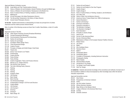#### Approved Western Civilization courses:

- EN 392 Greek Myths and Their Transformations (Honors)
- HA 111 History of Western Art and Civilization: Ancient Prehistory through the Middle Ages
- HA 112 History of Western Art and Civilization: Renaissance to the Modern Era
- HA 213 Rome: A Cultural History in Painting, Sculpture, and Architecture
- HA 311 Medieval Art
- HA 396 Art and Patronage in the Italian Renaissance (Honors)
- LA 394 The Old and New Testaments in the History of Ideas (Honors)
- PL 391 Ancient Greek Philosophy (Honors)

**G6 THE ARTS** Students demonstrate an understanding of at least one principal form of artistic expression and the creative process inherent therein.

Note: A number of the following courses are fewer than 3 credits. Nevertheless, a total of 3 credits is required.

Approved courses in The Arts:

Instructional nstructional<br>Programs

- AC 362 Video Studio Production (formerly Broadcast Workshop)
- AD 381 Concept Development Workshop I
- AD 383 Communications Planning and Print Advertising
- AR 101 Fashion Art and Design
- AR 112 Fashion Art and Design
- CD 111 Foundation I/Basic Design Theory
- CD 113 Three-Dimensional Design
- CD 132 Creative Process
- DE 101 Principles of Display and Exhibit Design: Small Scale
- EN 251 Theatre Arts
- EN 254 Drama: From Script to Live Theatre
- EN 262 Screenwriting
- EN 361 Creative Writing
- EN 363 Fiction Writing
- EN 364 Poetry Writing
- EN 391 Creative Imagination: Theory and Process (Honors)
- EN 397 Women in U.S. Theatre (Honors)
- EN 398 Film Art/Film Critic (Honors)
- EN 399 The Craft of Writing Poetry (Honors)
- FA 101 Painting
- FA 102 Painting
- FA 103 Painting
- FA 104 Sculpture: Basic
- FA 105 Life Drawing
- FA 107 Basic Design
- FA 108 Basic Drawing
- FA 113 Two-Dimensional Design
- FA 114 Fundamentals of Design II: 3D Form and Structure
- FA 116 Creative Media
- FA 131 Life Drawing I
- FA 132 Life Drawing II
- FA 141 Drawing I
- FA 142 Drawing II
- FA 202 Basic Design: 3D
- FF112 Fashion Art and Design II
- FF 113 Fashion Art and Design for One-Year Program
- GD 311 Graphic Design I
- GD 312 Graphic Design II
- HA 213 Rome: A Cultural History in Painting, Sculpture, and Architecture
- HA 214 Art in New York
- HA 394 History of New York Architecture (Honors)
- HP 231 America at Home: Product Styles from 1900 to Contemporary
- IL 123 General Illustration I
- IL 131 Fashion Life Drawing I
- IL 302 Drawing for Animation I
- IL 303 Drawing for Animation II
- IL 362 The Illustrator's Heritage I
- IL 364 The Illustrator's Heritage II
- IL 374 Book Illustration I
- JD 101 Principles of Jewelry Design
- LA 211 Dance as Art
- LA 223 Survey of Latin American Music
- LA 321 Survey of American Music
- LA 395 Masterpieces of Music in the European Classical Tradition (Honors)
- PE 111 Modern Dance
- PE 113 Jazz Dance
- PF 114 Ballet I
- PE 116 Afro-Caribbean Dance
- PF 118 Flamenco Dance
- PF 214 Ballet II
- PH 101 Photography Basics
- PH 116 Photography Basics
- PH 117 Principles of Photography, Including Darkroom Instruction
- PH 162 Photographic Styling
- SD 141 Nature Studies
- SD 142 Advanced Nature Studies
- TY 101 Introduction to Toy Design
- TY 411 Toy Design II and Product Update
- TY 416 Hard Toy: Design

**G7 HUMANITIES** Students demonstrate knowledge of the conventions and methods of at least one of the humanities in addition to those encompassed by other knowledge areas within the General Education requirements.

Approved Humanities courses:

- EN 231 Short Fiction
- EN 232 Perspectives on American Literature
- EN 233 Poetry
- EN 234 Gay and Lesbian Literature
- EN 235 African-American Literature
- EN 236 Major Writers of the Western World
- EN 237 Images of Women in the American Work Force
- EN 238 Comedy
- EN 253 Dramatic Literature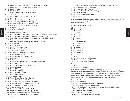- EN 271 Literature and History: The Development of American Culture to 1865
- EN 272 Identity in America: History and Literature 1865 to Present
- EN 273 Literature of India
- EN 331 Introduction to Shakespeare
- EN 333 Modern Literature: The Spirit of the 20th Century
- EN 334 The Novel
- EN 335 Working Women in the U.S.: 1865 to Present
- EN 352 History of Film
- EN 371 Chinese Odyssey: Introduction to Chinese Literature
- EN 381 Asian Fiction: Regional Selections (Honors)
- EN 391 Creative Imagination: Theory and Process (Honors)
- EN 392 Greek Myths and their Transformations (Honors)
- EN 393 Shakespeare

Instructional nstructional<br>Programs

- EN 394 American Lives (Honors)
- EN 395 Travel Literature and the Travel Essay (Honors)
- EN 396 Shakespeare's Plays (Honors)
- HA 111 History of Western Art and Civilization: Ancient to Prehistory Through the Middle Ages
- HA 112 History of Western Art and Civilization: Renaissance to the Modern Era
- HA 121 Cities and Civilizations: The Eastern Mediterranean World, c. 3000 BCE-1000 CE
- HA 212 Renaissance Art
- HA 213 Rome: A Cultural History in Painting, Sculpture, and Architecture
- HA 214 Art in New York
- HA 215 History of Menswear
- HA 216 American Indian Art and Civilization
- HA 221 East Asian Art and Civilization
- HA 223 African Art and Civilization
- HA 224 Pre-Columbian American Art and Civilization
- HA 225 Art and Civilization of India
- HA 226 Art and Civilization of the Islamic World
- HA 231 Modern Art
- HA 311 Medieval Art
- HA 312 Women in Western Art from the Late 18th Century to the Present
- HA 314 History of American Art
- HA 331 Contemporary Art and Culture: 1945 to Present
- HA 332 Modern Architecture
- HA 342 History of Textile Design
- HA 343 History of Photography
- HA 344 History of Western Costume
- HA 345 History of Industrial Design
- HA 391 The Bauhaus (Honors)
- HA 392 The Art of Venice: Titan to Tiepolo (Honors)
- HA 393 Art and Myth in the Classical World (Honors)
- HA 395 Studies in American Indian Art and Culture (Honors)
- HA 396 Art and Patronage in the Italian Renaissance (Honors)
- HA 397 Studies in Maya Art and Culture (Honors)
- HA 411 Western Theories of Art
- LA 231 Latin American Fiction: From 1960s to the Present
- LA 391 Issues in the Humanities and Technology (Honors)
- LA 393 New York City: An Interdisciplinary Approach (Honors)
- LA 394 The Old and New Testaments in the History of Ideas (Honors)
- LA 396 Religion and Religious Dissent in American History to the Civil War (Honors)
- PL 141 Introduction to Western Philosophy
- PL 143 Introduction to Asian Philosophies
- PL 211 Informal Logic: A Guide to Clear Thinking
- PL 321 Philosophy of Art

- PL 391 Ancient Greek Philosophy (Honors)
- PL 431 Philosophy: Ethics

**G8 FOREIGN LANGUAGE** Students demonstrate a basic proficiency in the understanding and use of a foreign language and knowledge of the distinctive features of the culture(s) associated with the language they are studying.

Approved Foreign Language courses:

| CH 111               | Chinese I                         |
|----------------------|-----------------------------------|
| CH 112               | Chinese II                        |
| FR 111               | French I                          |
| FR 112               | French II                         |
| FR 213               | French III                        |
| FR 214               | French IV                         |
| IT 111               | Italian I                         |
| IT 112               | Italian II                        |
| IT 132               | Italian in Florence               |
| IT 213               | Italian III                       |
| IT 214               | Italian IV                        |
| JA 111               | Japanese I                        |
| JA 112               | Japanese II                       |
| JA 213               | Japanese III                      |
| JA 214               | Japanese IV                       |
| SP 111               | Spanish I                         |
| SP 112               | Spanish II                        |
| SP 132               | Spanish in Santiago de Compostela |
| SP 141               | Spanish for Spanish Speakers I    |
| SP 142               | Spanish for Spanish Speakers II   |
| SP 213               | Spanish III                       |
| $\sim$ $\sim$ $\sim$ |                                   |

- SP 214 Spanish IV
- SP 215 Spanish for Business

**G9 OTHER WORLD CIVILIZATIONS (NON-WESTERN CIVILIZATIONS)** Students demonstrate knowledge of either a broad outline of world history or the distinctive features of the history, institutions, economy, society and culture of one non-Western civilization. Courses in this area have to be non-Eurocentric and non-U.S. in focus. In addition to courses on the civilizations of Asia or Africa, this would, for example, allow courses on the civilizations of indigenous peoples of the Americas.

Approved Other World Civilizations courses:

- EN 273 Literature of India
- EN 371 Chinese Odyssey: Introduction to Chinese Literature
- EN 381 Asian Fiction: Regional Selections (Honors)
- HA 121 Cities and Civilizations: The Eastern Mediterranean World, c. 3000 BCE-1000 CE
- HA 216 American Indian Art and Civilization
- HA 221 East Asian Art and Civilization
- HA 223 African Art and Civilization
- HA 224 Pre-Columbian American Art and Civilization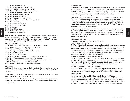- HA 225 Art and Civilization of India
- HA 226 Art and Civilization of the Islamic World
- HA 227 Archaeological Excavation in Israel—Summer
- HA 395 Studies in American Indian Art and Culture (Honors)
- HA 397 Studies in Maya Art and Culture (Honors)
- PL 143 Introduction to Asian Philosophies
- SS 151 Introduction to World Affairs
- SS 252 China and Japan: Yesterday and Today
- SS 277 Cultural Expressions of Non-Western Dress and Fashion
- SS 353 Latin America Today
- SS 354 Comparative Political Systems
- SS 355 Contemporary African Politics
- SS 356 Asia in Motion

Instructional Instructional<br>Programs

- SS 374 Cross-Cultural Studies
- SS 393 Politics in the Middle East (Honors)
- SS 446 Economies of Latin America

**G10 AMERICAN HISTORY** Students demonstrate knowledge of a basic narrative of American history: political, economic, social, and cultural, including knowledge of unity and diversity in American society; knowledge of common institutions in American society and how they have affected different groups; and understanding of America's evolving relationship with the rest of the world.

Approved American History courses:

- EN 271 Literature and History: The Development of American Culture to 1865
- EN 272 Identity in America: History and Literature, 1865 to Present
- EN 274 Voices of Civil Rights in American History
- EN 335 Working Women in the United States: 1865 to Present
- HA 314 History of American Art
- LA 221 U.S. History: Civil War to Present
- LA 224 Distant Neighbors: A History of Latin America and the United States
- LA 392 United States History and Culture, 1860 to Present (Honors)
- LA 396 Religion and Religious Dissent in American History to the Civil War (Honors)
- LA 397 New York City and the Invention of America (Honors)
- SS 276 Deviance in American History: A Sociological Perspective

#### **Competencies**

In addition to the ten areas described above, SUNY mandates the General Education competencies of critical thinking and information management. Both are covered in courses throughout the FIT curriculum.

**CRITICAL THINKING** Students identify, analyze, and evaluate arguments as they occur in their own or others' work, and develop well-reasoned arguments.

**INFORMATION MANAGEMENT** Students perform the basic operations of personal computer use, understand and use basic research techniques, and locate, evaluate, and synthesize information from a variety of sources.

#### INDEPENDENT STUDY

Independent study opportunities are available to full-time day students in the fall and spring semesters. Independent study refers to individualized instruction, which is provided in a tutorial manner outside of a regularly offered class schedule. Participating students create their own course of study with the sponsoring faculty member, and use the opportunity to undertake advanced work in a particular subject or pursue an individual project, or a combination of these activities.

For all undergraduate degree programs, a maximum 3 credits of independent study are allowed. Credits earned for independent study cannot be used to substitute for courses listed in this catalogue; they may only be used for an elective. Consequently, two-year AAS students may only undertake independent study in the third or fourth semesters of their program. One-year AAS students may only undertake independent study in the second semester of their program. BFA and BS students are eligible in any upper-level semester.

Independent study requests are student-initiated, and must be made in the preceding semester. To be eligible for independent study, students must have a minimum GPA of 3.5. Students must complete, sign, and submit their portion of the Independent Study Proposal and Agreement Form (available at www.fitnyc.edu/forms), by **April 15** for the following fall semester and by **November 15** for the following academic spring semester.

#### INTERNATIONAL PROGRAMS

Business and Liberal Arts Center, Room B119, 212.217.5380 www.fitnyc.edu/internationalprograms

The Office of International Programs provides students the opportunity to study abroad for a year, a semester, or in the summer or Winterim sessions for three to five weeks. Students may also study abroad through SUNY programs and the College Consortium for International Study (CCIS). Applicants are selected competitively and are required to have a minimum 3.0 GPA. Students must receive advisement regarding the transferability of credits from their department's chairperson or international program advisor, and from the Registrar's Office.

#### **International Fashion Design in New York and Florence**

International Fashion Design in New York and Florence allows AAS students to spend one academic year in New York City and one academic year in Florence, Italy. Students may study abroad in either their first or second year. Courses are taught in English, and students receive FIT credits for the courses completed. Select students may also participate for the fourth semester only.

#### **International Fashion Design in New York and Milan**

International Fashion Design in New York and Milan allows BFA students to spend one academic year in New York City and one academic year in Milan, Italy. Students may study abroad in either their third or fourth year. Courses are taught in English, and students receive FIT credits for the courses completed.

#### **International Fashion Merchandising Management in New York and Florence**

International Fashion Merchandising Management in New York and Florence allows students who have been accepted into the BS program to study in Florence for an academic year (fifth and sixth semesters) or for the fifth or sixth semester only, returning to New York City for their final academic year. Courses are taught in English, and students receive FIT credits for the courses completed.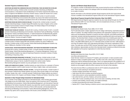#### **Semester Programs at Institutions Abroad**

**ADVERTISING AND MARKETING COMMUNICATIONS AND INTERNATIONAL TRADE AND MARKETING IN ENGLAND** During the fall or spring, a limited number of seventh-semester Advertising and Marketing Communications or International Trade and Marketing for the Fashion Industries BS students may study in England at the Middlesex University's Hendon campus, located 30 minutes from London.

**ADVERTISING AND MARKETING COMMUNICATIONS IN FRANCE** A limited number of seventh-semester Advertising and Marketing Communications BS students may study at the Institut Commercial de Nancy in Nancy, France, a prestigious specialized school with an international management program.

**ADVERTISING DESIGN AND GRAPHIC DESIGN IN ENGLAND** During the fall, a limited number of seventhsemester Advertising Design or Graphic Design BFA students may study in England, at the London College of Communication's School of Graphic Design, the Chelsea College of Art and Design in London, or Nottingham Trent University.

**BUSINESS AND TECHNOLOGY IN MEXICO** During the fall or spring, a limited number of sixth- or seventhsemester Advertising and Marketing Communication, International Trade and Marketing, Production Management: Fashion and Related Industries, or Textile Development and Marketing BS students may study abroad at the Instituto Tecnológico y de Estudios Superiores de Monterrey (ITESM) in Monterrey, Mexico. Courses are taught in English.

**FASHION DESIGN AND FASHION MERCHANDISING MANAGEMENT IN AUSTRALIA** During the spring semester, a limited number of Fashion Design BFA sixth-semester students may study in Melbourne, Australia. A limited number of third-semester Fashion Merchandising Management students may study in Melbourne, Australia, for fall or spring.

**FASHION DESIGN, FASHION MERCHANDISING MANAGEMENT, AND PRODUCTION MANAGEMENT IN HONG KONG** During the fall or spring, a limited number of sixth- or seventh-semester baccalaureate-level Fashion Design, Fashion Merchandising Management, or Production Management: Fashion and Related Industries students may study at Hong Kong Polytechnic University's Institute of Textiles and Clothing in Hong Kong, China.

**FASHION MERCHANDISING MANAGEMENT IN ENGLAND** During the spring, a limited number of sixthsemester Fashion Merchandising Management BS students may study in England at the University of Westminster campus in Harrow, located 20 minutes from central London. Fashion Merchandising Management students may also participate in an internship.

**LIBERAL ARTS SEMESTER IN FLORENCE** Qualified students can study full time for a semester in Florence and receive academic credit for select courses in art history, English, Italian, and social sciences.

**TEXTILE/SURFACE DESIGN IN CANADA, ENGLAND, OR ISRAEL** During the fall semester, a limited number of third-semester Textile/Surface Design students may study at Nova Scotia College of Art and Design in Halifax, Canada. Also, sixth- or seventh-semester Textile/Surface Design students may study at Winchester School of Art, England, and Shenkar College of Textiles and Fashion, Ramat-Gan, Israel.

#### **Semesters in Italy Through College Consortium for International Study**

FIT is a member of the College Consortium for International Study, which includes approximately 100 colleges across the United States. Under the auspices of the consortium and FIT, Advertising and Marketing Communications, Fashion Merchandising Management, and International Trade and Marketing for the Fashion Industries BS students may spend their seventh semester studying international business at the American University of Rome. Both associate- and baccalaureate-level Advertising and Marketing Communications, Fashion Merchandising Management, and Fine Arts students may spend a fall or spring semester at the Scuola Lorenzo De'Medici in Florence.

#### **Summer and Winterim Study Abroad Courses**

FIT conducts a number of international short study courses during the summer and Winterim sessions. These courses are listed in the catalogue within the individual disciplines and are from three to six weeks in duration.

Specific information on the individual semester abroad programs and the short study abroad courses is available in the International Programs Office and on the International Programs website.

#### **Study Abroad Programs through the State University of New York (SUNY)**

With departmental and Registrar approval, students may also study abroad through one of the programs offered by SUNY. For more information, visit www.studyabroad.com/suny, or visit the International Programs Office.

#### INTERNSHIP CENTER

#### David Dubinsky Student Center, Room A605, 212 217.3540

The FIT Internship Center is highly regarded for the rich college-credit-bearing, experiential program it offers FIT students. The college maintains strong alliances with organizations ranging from communications and merchandising companies to museums and other nonprofits, and students participate in customized, semester-long learning experiences focused on benefiting both interns and sponsor organizations. The Internship Center's mission is to help students learn how to identify good career fits, advance in those careers, and market themselves throughout their professional lives in wide range of fields. In the 2008–2009 academic year, FIT's Internship Center provided more than 1,900 students in more than 25 academic majors with credit-bearing internships in the sponsor organizations of their choice. The center also runs the FIT/NYC Summer Internship Program, which is open to students from other institutions. Approximately one-third of the Internship Center's students are offered full-time jobs after graduation by the sponsor organizations for which they have interned.

#### CAREER SERVICES

Business and Liberal Arts Center, Room B216, 212 217.3000 www.fitnyc.edu/careerservices

Career Services' mission is to empower FIT students, past and present, to make successful career decisions in today's competitive global market. The office works with a wide variety of employers, helping each meet its individual personnel needs. There is an ongoing demand in the workplace for FIT alumni of all ages and experience levels. Lifetime placement services are offered to all FIT alumni, and students are encouraged to utilize the office's resources from the start of their education.

The Career Services Office is a professional center for all FIT students and graduates that:

- advises on career planning for all students and alumni;
- develops strategic partnerships with industry;
- holds career fairs and on-campus recruitment programs;
- hosts online access to various specialized recruitment websites;
- lists online full-time, part-time, freelance, and summer positions;
- offers walk-in career counseling services, one-on-one career counseling, and class visits;
- presents career-building, résumé-writing, and related workshops;
- provides annual placement and industry information;
- teaches HD111–Career Planning, an elective course in career planning and guidance.

Instructional Programs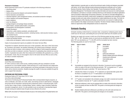#### **Placement of Graduates**

Recent placement reports show FIT graduates employed in the following professions:

- advertising artists;
- display artists;
- fashion and accessories designers and assistant designers;
- fashion illustrators and sketchers;
- industrial engineers, plant management trainees, and assistant production managers;
- interior designers and assistant designers;
- jewelry designers;
- junior toy designers;
- package designers and package design assistants;
- patternmakers, assistant patternmakers, and graders;
- photographers and photographer's assistants;
- product developers;
- copywriters, public relations assistants, and editorial staff;
- merchandisers, merchandising assistants, marketing trainees, retail executive trainees, buyers,
- Instructional Instructional<br>Programs
- store managers and assistant store managers;
- stylists and assistant stylists;

and assistant buyers;

• textile artists and designers, textile converters and assistants, and textile technologists.

Copies of annual placement reports are available in the Career Services Office.

Preparation for students' placement starts prior to their graduation, often early in their final semester. Counselors visit classes, see students individually, and conduct group workshops. Some job interviews are held on campus, when employers visit the college to meet prospective graduates, and others are held on employers' premises. Placement of a graduating class extends over several months. If graduates have plans other than employment immediately after graduation (e.g. continuing education, travel), they are encouraged to return to the Career Services Office as soon as they are ready to consider employment.

#### ONLINE COURSES

#### www3.fitnyc.edu/onlinelearning

FIT offers numerous online credit courses, enabling students with busy schedules to do their coursework on a more flexible schedule. Online learning at FIT is both interactive and collaborative. Students receive instruction, submit assignments, and actively participate in discussions from anywhere with an internet connection. Students leverage the wealth of resources available through the web to support their education.

#### CONTINUING AND PROFESSIONAL STUDIES

#### Conference Center at FIT, lower level, 212 217.3334

#### www.fitnyc.edu/continuinged

The School of Continuing and Professional Studies offers evening/weekend degree programs, as well as certificates, and credit, non-credit, online, and training courses to adult learners, individuals and groups that are interested in advancing their professional careers or educational goals. SCPS courses span a range of topics, including design, fashion, retailing, image consulting, leadership, innovation management, and art. It is also possible to earn an associate or baccalaureate degree through evening and weekend study through services offered by the school.

Within SCPS, the Center for Professional Studies focuses on the training needs of the global fashion and

related industries' corporate sector, as well as the enrichment needs of artists and designers associated with fashion. Its Hot Topics offerings include professional development certificates such as Creative Business Ownership, Fashion Styling, Color Specialist, Product Development Essentials, and Retail Experience Management. The Enterprise Center provides information and resources for small businesses and freelancers, and hands-on computer workshops that focus on the hardware and software applications used by the fashion-related design and business professions. The Center for Innovation Management, a resource for business and industry, assists senior management in organizations and corporations to better manage innovation and create cultures characterized by creative leadership and new ideas. The Center for Precollege Programs offers Saturday and Sunday Live and Summer Live courses for middle and high school students in the college's several areas of expertise. The Senior Scholars initiative provides senior citizens an opportunity to take undergraduate courses at a reduced rate.

#### Scholastic Standing

Scholastic standing is determined by a semester index, computed by multiplying grade value by credit hours for the course, and dividing the sum by the total credit hours the students carried.

Students may repeat only courses in which one of the following grades has been received: "F," "WA," "WD," or "WF." All grades remain on record and are calculated into the GPA. Grades of incomplete ("IN") are calculated as an "F" in the GPA until the incomplete has been resolved. The following grades are used for final marks:

| <b>GRADE</b> | <b>QUALITY POINTS</b> | <b>GRADE</b> | <b>GRADE VALUE</b>                      |
|--------------|-----------------------|--------------|-----------------------------------------|
| А            | 4.0                   | IN           | Incomplete                              |
| A-           | 3.7                   | IP           | In progress                             |
| B+           | 3.3                   |              | Auditor                                 |
| B            | 3.0                   | P            | Passed                                  |
| B-           | 2.7                   | WA           | Authorized withdrawal                   |
| C+           | 2.3                   | <b>WD</b>    | Student-initiated authorized withdrawal |
| C            | 2.0                   | WF           | Unauthorized withdrawal                 |
| С-           | 1.7                   | Υ            | Intermediate grade                      |
| D            | 1.0                   | Ζ            | No grade                                |
|              | 0                     |              |                                         |

- IN Incompletes are assigned at the instructor's discretion. Coursework must be completed within six weeks of the start of the following semester. "IN" is computed as an "F" until an appropriate letter grade is submitted. "IN" cannot become a "WD."
- IP Indicates that a thesis is in progress. "IP" is replaced by an appropriate letter grade when the thesis is completed or by an "F" if matriculation is not maintained.
- L Auditor (may be assigned for non-degree student only).
- P/F A "P" grade is not calculated in the scholastic average, but credit is received and recorded on the academic transcript. An "F" grade is calculated in the GPA.
- WA Authorized withdrawal, which may be assigned after six weeks at the instructor's discretion, carries no penalty and does not affect GPA. This grade is a terminal grade and changes are not accepted.
- WD Student-initiated authorized withdrawal is permitted up to the sixth week and does not affect GPA. This grade is a terminal grade and changes are not accepted.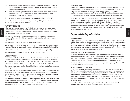- WF Unauthorized withdrawal, which may be assigned after six weeks at the instructor's discretion, carries a penalty, and is equivalent to an "F" in the GPA. This grade is a terminal grade and changes are not accepted.
- Y Intermediate grade assigned after the first of two semesters or the first two semesters of a three-semester sequence. "Y" will be replaced by an appropriate letter grade when sequence is completed. Does not affect GPA.
- Z No grade reported by instructor at grade-processing deadline. Does not affect GPA.

All grade disputes must be resolved within two years of receipt of the grade and cannot be disputed once the degree is awarded and sealed.

#### PROCEDURE FOR PASS/FAIL

- 1. No major subject can be taken on a pass/fail basis. AAS candidates are permitted to take a maximum of 6 free elective or liberal arts elective credits on a pass/fail basis. BS candidates may take up to 6 liberal arts elective credits for a pass/fail grade. BFA candidates are permitted to take 3 elective credits on a pass/fail basis.
- 2. At least one full semester must have been completed at FIT; students must be currently registered for no fewer than 12 regularly graded credits in addition to the course taken on a pass/fail basis.
- 3. Only 3 credit hours per semester can be taken on a pass/fail basis.
- 4. The instructor must be informed within the first three weeks of the class that the course is to be taken on a pass/fail basis. Forms are available online at www.fitnyc.edu/registrar and in the Registrar's Office.
- 5. No more than one pass/fail course may be taken in any one department during each degree program.
- 6. Only a course with a grade of "F," "WA," "WD," or "WF" may be repeated.

#### ACADEMIC STANDARDS

The Committee on Academic Standards reviews student transcripts at the end of each fall and spring semester. A transcript that shows a semester GPA below 2.0 is unsatisfactory and the student may be placed on probation or dismissed from the college. A transcript is also considered unsatisfactory if the student has received grades of "D," "F," "IN," "WA," "WD," or "WF" in the coursework.

Students may be placed on probation with credit limitations or may be terminated for unsatisfactory academic performance.

Students who have been dismissed for academic reasons can register only as non-matriculated students on a part-time basis with permission of their major department chairperson. A cumulative GPA of 2.0 must be achieved in courses appropriate to the students' former degree program before they may be considered for readmission through the Admissions Office.

Students whose cumulative GPA is below 2.0 at the completion of at least 50 percent of the required courses or at the end of the second semester are not permitted to register for the third semester as matriculated students. Any students dismissed in such a manner have the right to appeal to the major department in consultation with the Committee on Academic Standards.

#### TRANSFER OF CREDIT

The Registrar's Office evaluates courses from any other regionally accredited college for transfer of credit (see page 19). Acceptance of specific units depends upon the requirement of the major for which application is made and the extent and degree of similarity between the program previously pursued and that to which transfer is requested. Only "C" or better grades are acceptable.

FIT subscribes to SUNY regulations with regard to transfer of grades from SUNY and CUNY colleges.

Students who are interested in transferring to senior colleges after graduation from FIT are advised in the Registrar's Office. Upon the students' written request, the Registrar sends an official transcript to any educational institution. A separate audit sheet for SUNY General Education Requirements is also sent when students apply to SUNY senior colleges. Official transcripts are not given directly to the students. Transcripts are \$5 each. Normal processing takes approximately five business days. Rush transcripts can be processed for a \$10 fee. The transcript request form is available at www.fitnyc.edu/registrar.

#### Requirements for Degree Completion

#### **Time Requirements**

Full-time students must complete all requirements for their degree within four years from the original date of matriculation; part-time students must complete all requirements within eight years from the original date of matriculation. After the period expires, students must reapply through Admissions and have their credentials reevaluated. Courses taken ten or more years ago are subject to reevaluation and must be approved by the appropriate department chairperson or academic dean in order for students to receive credit toward their degree.

#### REQUIREMENTS FOR THE ASSOCIATE DEGREE

To qualify for the Associate in Applied Science degree, candidates must be matriculated (officially admitted to degree status); satisfactorily complete the credit and course requirements prescribed for their majors, related areas, and liberal arts; achieve a minimum GPA of 2.0 for all work completed; receive the recommendation of the faculty; and submit an application for graduation with fee.

For more specific course requirements, consult the major pages beginning on page 82 and the SUNY General Education requirements on pages 31–38.

#### **Writing and Mathematics Proficiency**

Students are expected to develop their writing and mathematics skills as early as possible during their studies to enhance their prospects for academic and career success. In order to pre-enroll/register for the initial semester of study in a degree program, all full- and part-time AAS students must complete English and mathematics placement testing or demonstrate that they qualify for exemption from placement testing. Students who are placed into Educational Skills or developmental mathematics courses or EN 121–English Composition should register for these courses in the first semester of study.

Information on how to demonstrate English and mathematics proficiency is available in the Academic Skills Center, Room A608B, and at www.fitnyc.edu/placementtests.

Instructional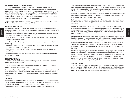#### REQUIREMENTS FOR THE BACCALAUREATE DEGREE

To qualify for the Bachelor of Science or Bachelor of Fine Arts degree, students must be matriculated (officially admitted to degree status); satisfactorily complete the credit and course requirements prescribed for their majors, related areas, and liberal arts; achieve a minimum GPA of 2.0 for all work completed; receive the recommendation of the faculty; and submit an application and fee for graduation. Students receiving the BFA degree are required to complete a total of four courses in History of Art and Civilization (HA) or their approved equivalents, and 30 credits in general studies (not including History of Art and Civilization courses).

For more specific course requirements, consult the major pages beginning on page 108, and the SUNY General Education requirements on pages 31–38.

#### MATRICULATION STATUS POLICY

Instructional Instructional<br>Programs Non-matriculated students (i.e., students enrolled in at least one course but not admitted into a degree program) seeking admission to a two-year associate or baccalaureate degree program at FIT should note the following:

- A minimum of 50 percent of the credits identified in any degree program as major area or related area credits must be taken while matriculated.
- No more than 30 credits taken at FIT in non-matriculated status may be applied to a two-year associate or baccalaureate degree.

Non-matriculated students seeking admission to a one-year associate degree program should note the following:

- A minimum of 50 percent of the credits identified in any degree program as major area or related area credits must be taken while matriculated.
- No more than 15 credits taken at FIT in non-matriculated status may be applied to a one-year associate degree.

Students pursuing a second baccalaureate degree should review the specific degree requirements with the Registrar's Office.

#### RESIDENCY REQUIREMENTS

To earn a two-year associate degree, students must complete at FIT a minimum of 30 credits as required by the major (see pages 82–99).

To earn a one-year associate degree, students must complete at FIT a minimum of 30 credits as required by the major (see pages 100–107).

To earn a baccalaureate degree, students must complete at FIT a minimum of 60 credits as required by the major. However, if students have already earned an appropriate FIT associate degree, they must complete at FIT a minimum of 30 upper-division credits as required by the major (see pages 108–136).

#### ATTENDANCE

Attendance shall be taken in all classes. The general policy with regard to student attendance in any class is determined by the instructor and is announced to the class at the beginning of each semester. Specific procedures for handling absences are detailed in the *Student Rights and* Responsibilities Policy Manual, available online at www.fitnyc.edu/rightsandresponsibilities.

On occasion, students are unable to attend a class session due to illness, accident, or other emergency. Students should contact their instructor(s) directly, via phone or email. If students are unable to reach their instructor(s), they should contact the appropriate academic department office(s). Extended absences from class should be substantiated by appropriate documentation.

No persons shall be expelled from or be refused admission as students of the college for the reason that they are unable to attend classes or to participate in any examination, study, or work requirements on a particular day(s) because of religious beliefs.

Students unable to attend classes on a particular day(s) because of religious beliefs shall, because of such absence on the particular day(s), be excused from any examination or any study or work requirements.

It shall be the responsibility of the faculty and the administrative officials of the college to make available to students absent from school because of religious beliefs, an equivalent opportunity to make up any examination, study, or work requirements that they may have missed because of such absence on any particular day(s). No fees of any kind shall be charged for making available such equivalent opportunity.

In effectuating the provisions of this section, it shall be the duty of the faculty and of the administrative officials to exercise the fullest measure of good faith. No adverse or prejudicial effects shall result to any student because of his or her availing himself or herself of the provisions of this section.

Any students who are aggrieved by the alleged failure of any faculty or administrative officials to comply in good faith with the provisions of this section shall be entitled to maintain an action or proceeding in the supreme court of the county in which the college is located for the enforcement of their rights.

It shall be the responsibility of the administrative officials of the college to give written notice to students of their rights under this section, informing them that students who are absent from school because of religious beliefs must be given an equivalent opportunity to register for classes or make up any examination, study, or work requirements that they may have missed because of such absence on any particular day(s). No fees of any kind shall be charged by the college for making available to such students such equivalent opportunity.

#### OFFICIAL WITHDRAWAL

Students who voluntarily withdraw from the college should go to the Counseling Center for an exit interview. Complying with this procedure will put their records in good order and will facilitate readmission to FIT if they decide to return in the future or wish to have transcripts of grades sent elsewhere. Title IV recipients must have an exit interview before withdrawal.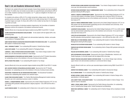#### Dean's List and Academic Achievement Awards

The Dean's List, posted at the end of each semester, honors those students who have completed more than 12 credits (may not include courses taken on a pass/fail basis) and achieved a GPA of 3.5 or better. Students receiving an incomplete or an "F" grade are ineligible for the Dean's List that semester.

For students who achieve a GPA of 3.75 or better during their college careers, their degree is granted summa cum laude. For those with a GPA of 3.5 or better but less than 3.75, their degree is granted magna cum laude. For those with a GPA of 3.25 or better but less than 3.5, the degree is granted cum laude.

Upon the recommendation of individual academic departments, the Committee on Academic Standards confirms the recipients of all academic achievement awards.

Awards offered only to baccalaureate degree students during 2009-10 and 2010-11 include:

**ALUMNI ASSOCIATION DISTINGUISHED SCHOLAR AWARD** To the student with the highest GPA in the graduating class.

**GEORGE WYBENGA AWARD** To a BFA student who demonstrates leadership, initiative, and academic excellence in Packaging Design.

**HOME FASHION PRODUCTS ASSOCIATION GRADUATION AWARD FOR DESIGN EXCELLENCE** To a graduating BFA student in Textile/Surface Design.

**JEAN L. ROSENBLATT AWARD** To an outstanding BFA student in Textile/Surface Design.

**LASZLO ROTH AWARD** To an outstanding BFA student in Packaging Design.

**LAWRENCE J. ISRAEL INTERIOR DESIGN SCHOLARSHIP AWARD** To an Interior Design student in their senior year who demonstrates excellence in retail design.

**MARION BRANDRISS EXTRACURRICULAR SERVICE AWARD** Sponsored by the FIT Student Association, for outstanding service to the institution in the area of extracurricular activities.

**MATTEL/FISHER-PRICE AWARD** To an outstanding BFA student in Toy Design.

Awards offered only to two-year associate's degree students during 2009-10 and 2010-11 include:

**AMY LOCICERO FEDERICO EXTRACURRICULAR SERVICE AWARD** Sponsored by the FIT Student Association, for outstanding service to the institution in the area of extracurricular activities.

**EDUCATIONAL FOUNDATION FOR THE FASHION INDUSTRIES AWARD** The Educational Foundation chooses four outstanding AAS students from selected majors.

**ELAINE STONE SCHOLARSHIP AWARD** To a Fashion Merchandising Management student entering the junior year who is planning to pursue a career in retailing

**GEORGE J. LEVINSON MEMORIAL AWARD** Sponsored by the United College Employees of FIT, for two outstanding AAS graduates entering bachelor's degree programs—one a BFA and the other a BS—at FIT.

**GLADYS MARCUS AWARD** For outstanding merit in liberal arts, to be used for travel or education.

**INTERIOR DESIGN ALUMNI ENDOWED SCHOLARSHIP AWARD** To an Interior Design student in the sophomore year who demonstrates overall excellence.

**INTERIOR DESIGN DEPARTMENT FACULTY COMMENCEMENT AWARD** To an outstanding Interior Design AAS graduate entering the BFA program.

**JOSEPH A. GAROFALO COMMENCEMENT AWARD** Sponsored by the United College Employees of FIT, for a full-time AAS student in the Baker School of Technology with a minimum GPA of 3.0 who has demonstrated outstanding service to the institution and community. To be used for baccalaureatelevel study at FIT.

**JUDITH M. PARKAS COMMENCEMENT AWARD** Sponsored by the United College Employees of FIT, for an AAS student who has demonstrated outstanding service to the institution and community. To be used for baccalaureate-level study at FIT.

**LEADERSHIP SCHOLAR AWARD** Sponsored by the United College Employees of FIT, for an AAS student who has demonstrated outstanding service to the institution and community. To be used for baccalaureate-level study at FIT.

**LOUIS STOLLAR SCHOLARSHIPS** Sponsored by the United College Employees of FIT, to two outstanding AAS graduates entering bachelor's degree programs—one a BFA and the other a BS—at FIT.

**MINNIE MALLOV STONE MEMORIAL AWARD** To an outstanding AAS student in Fashion Merchandising Management entering the BS program.

**NICHOLAS POLITIS INTERIOR DESIGN AWARD** To an outstanding AAS student in Interior Design.

**PANERO/ZELNIK INTERIOR DESIGN AWARD** To an outstanding Interior Design AAS graduate entering the BFA program.

**PAULINE HALPER MEMORIAL AWARD** To an outstanding AAS student in Textile/Surface Design.

**UNITE DISTINGUISHED SCHOLAR AWARD** Sponsored by the Union of Needletrades, Industrial, and Textile Employees, for the AAS student with the highest GPA in the class.

**VINCENT TROCCHIA SCHOLARSHIP AWARD IN INTERIOR DESIGN** To an Interior Design major entering upper division who demonstrates excellence in commercial interior design.

Awards offered to both one- and two-year associate degree students during 2009-10 and 2010-11 include:

**ANDREW PIZZO MEMORIAL AWARD** To an outstanding AAS student in Accessories Design.

**BILLIE GORDON AWARD** To an outstanding AAS student in Textile/Surface Design.

**INTIMATE APPAREL COUNCIL MERIT AWARD** To an outstanding AAS student in Fashion Design with a specialization in intimate apparel.

**JACK LOWERY TRAVEL SCHOLARSHIP AWARD** To an outstanding AAS student in Interior Design. To be used for travel or education.

**JAMES I. SPIEGEL ANNUAL AWARD** Sponsored by the Textile Veterans Association, for outstanding merit in Textile/Surface Design and/or Textile Development and Marketing.

**MARIE ROSE CAMPOREALE AWARD** For outstanding merit in Fashion Design with an emphasis in bridal design.

Instructional Instructional<br>Programs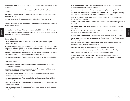**MARY DOUGLASS AWARD** To an outstanding AAS student in Fashion Design with a specialization in sportswear.

**RAYMOND NORDHEIM MEMORIAL AWARD** To an outstanding AAS student in Textile Development and Marketing.

**ROSE LANZILOTTI MEMORIAL AWARD** To a Textile/Surface Design AAS student who demonstrates outstanding originality.

**SAKS FIFTH AVENUE AWARD** For outstanding merit in Fashion Design. To be used for travel or education.

**SYMPHONY FABRICS AWARD** To an oustanding AAS student in Fashion Design, with an emphasis in patternmaking technology.

Awards offered only to Master of Arts degree students during 2009–10 and 2010–11 include:

**EDUCATION FOUNDATION FOR THE FASHION INDUSTRIES AWARD** The Education Foundation chooses an outstanding MA student from selected majors.

#### Special merit awards:

Instructional nstructional<br>Programs

> **ARTHUR I. CAINE MEMORIAL AWARD** For creativity in color and design in Fashion Design or Textile/Surface Design.

**GLENN BOYLES MEMORIAL AWARD** For one AAS and one BFA student who show great technical skill, artistic ability, and personal flair in the rendering of architectural interiors. To be used toward the purchase of books on interior design and architecture.

**JERRY ADLER MEMORIAL AWARD** To the member of the Delta Epsilon Chi Association (DECA) or the Merchandising Society who has contributed most to the welfare of others.

**PAUL SHAPIRO SOCIOLOGY AWARD** To a talented student enrolled in SS 171–Introductory Sociology.

#### Departmental awards:

**ALFRED B. WAGNER MEMORIAL CONTINUING EDUCATION AWARD** To an outstanding Continuing and Professional Studies student.

**ANDREW AND PHYLLIS SEIFER HUMANITARIAN RESEARCH AWARD** To an outstanding Interior Design student who demonstrates excellence in thesis research.

**BERNARD OLIVER MEMORIAL AWARD** To an outstanding student majoring in Fashion Design or Fashion Merchandising Management.

**BRIAN ZIENTEK MEMORIAL AWARD** To an outstanding Fashion Design student with a specialization in swimwear design.

**CHARLES REICHMAN KNITWEAR TECHNOLOGY AWARD** To an outstanding Fashion Design student with a specialization in knitwear.

**EVELYN DAWSON WYNN AWARD** To an outstanding Fashion Design student who has demonstrated avant-garde talent.

**FRANK SHAPIRO MEMORIAL AWARD** To an outstanding Fine Arts student, who must donate one of his/her works to the Fine Arts Department's collection.

**JAMES T. CLARKE MEMORIAL AWARD** To an outstanding graduating Fashion Design student.

JODI TILTON/JONES APPAREL AWARD To a Presidential Scholars student in Advertising and Marketing Communications with the highest GPA, who is active in department activities.

**JOHN PAUL STELLEFSON MEMORIAL AWARD** To an outstanding student in Production Management: Fashion and Related Industries.

**JOSEPH J. AMATO/MARY MILLS MEMORIAL AWARD** To an outstanding student demonstrating excellence in Fine Arts.

**MAX MEYER MEMORIAL AWARD** Awarded by the FIT Student Association for outstanding leadership and service.

**MICHAEL ALLEN NOETH AWARD** Awarded by Student Life to a student who demonstrates outstanding leadership, service, and creative programming skills.

**MORRIS ROTHMAN MEMORIAL AWARD** To an outstanding Jewish student in Textile/Surface Design.

**NAMSB FOUNDATION, INC./MARVIN A. BLUMENFELD AWARD** To an outstanding student for excellence in Menswear design.

**PRESIDENTIAL SCHOLARS ALUMNI JODI TILTON MEMORIAL AWARD** To a Presidential Scholar in their sophomore or junior year for summer study abroad.

**RACHEL LABENSKY AWARD** To an outstanding student in Fashion Design-Apparel.

**REVLON, INC., AWARD** To an outstanding student in Cosmetics and Fragrance Marketing.

**RONALD AND ANNE LUBMAN AWARD** To an outstanding student in Interior Design.

**SYLVIA GALVARIN STUDENT LEADERSHIP AWARD** To a student who has actively served on a student-faculty committee with particular emphasis on, but not limited to, the Student Affairs Committee.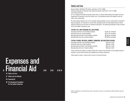# Expenses and > Financial Aid >> >> >>>

53 Tuition and Fees

- 57 Tuition and Fee Refunds
- 58 Financial Aid
- 60 The Educational Foundation for the Fashion Industries

#### Tuition and Fees

Bursar's Office: 236 West 27th Street, sixth floor, 212 217.3680

Cashiering Operations: Business and Liberal Arts Center, Room B127, 212 217.3680 www.fitnyc.edu/bursar

FIT is a college of the State University of New York. It receives state funding and support from the Department of Education of the City of New York. This assistance allows the college to offer the tuition rates noted below.

All matriculating students new to FIT, including visiting students and new matriculants to bachelor's degree programs, are required to confirm their acceptance with a nonrefundable advance tuition deposit of \$150 as soon as they are notified of admission. The following schedules of fees are effective for the 2009-10 academic year:

#### TUITION: FULL-TIME PROGRAM (FALL AND SPRING)

| Associate-level New York City/State residents     | \$1,857 per semester |
|---------------------------------------------------|----------------------|
| Associate-level out-of-state residents            | \$5,571 per semester |
| Baccalaureate-level New York City/State residents | \$2,584 per semester |
| Baccalaureate-level out-of-state residents        | \$6,302 per semester |

#### TUITION: EVENING, WEEKEND, SUMMER, SUMMERIM, AND WINTERIM SESSIONS

| \$155 per credit* |
|-------------------|
| \$464 per credit* |
| \$215 per credit* |
| \$525 per credit* |
|                   |

Tuition and fees are subject to change without prior notice at the discretion of the college's Board of Trustees. Current tuition and fees are available at www.fitnyc.edu/bursar.

Tuition paid by check or money order must be in the exact amount.

\*Tuition is charged for non-credit-bearing courses. Laboratories, lectures, and workshops are billed at different rates (see Fees, page 55).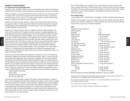#### RESIDENCY FOR TUITION PURPOSES

#### **U.S. Citizens and Permanent Resident Aliens**

To qualify as a New York State resident, one must have established legal residence by maintaining a domicile in New York State for a period of at least one year preceding the first day of the semester.

A domicile is defined as a fixed permanent home to which one intends to return after being absent for a period of time. A person does not acquire a New York State domicile simply by being physically present in New York for a period of 12 months. A person retains a domicile until their present domicile is abandoned and another domicile is established.

In addition to the general domicile standards, students under the age of 22 and whose parents or legal guardians reside out of state must present evidence of financial independence from parents or legal guardians and an established New York State domicile in order to be designated as New York State residents for tuition purposes.

Applications for change of residency status are available at the Bursar's Office at 236 West 27th Street, sixth floor, and on the FIT website at www.fitnyc.edu/bursar. Completed applications with supporting documents must be submitted prior to the end of the registration period for the semester for which the application is intended. Residents of any of the five boroughs of New York City must sign the residency affidavit printed on the registration form at the time of admissions to the college. New York City residents who have met the New York State residency requirement by maintaining a domicile in New York State for a period of at least one year preceding the date of registration do not have to file a County Certificate of Residence. New York State residents who do not reside in any of the five boroughs of New York City must file a County Certificate of Residence (issued by the county in which the student resides) in order to be eligible for the in-state resident tuition rate. It is mandatory that the student present a new certificate at the beginning of each academic year. This certificate must be filed with the Bursar's Office at the beginning of the term for which the certificate is intended.

Students who enroll at the college in the fall semester are required to submit a new certificate the following fall. Students who enroll after the fall semester (Winterim, spring, or summer) must submit a certificate at the beginning of their first semester of attendance at FIT and a new certificate at the beginning of the following fall semester. Note that individual counties have deadline dates and may have different criteria for issuing the certificates. Notices are mailed each year to continuing FIT students who are enrolled as New York State residents reminding them of the deadline dates along with an application for the County Certificate of Residence and instructions for completing the form. However, regardless of whether the FIT notices are received, students are responsible for submitting the completed affidavits to their respective counties and the County Certificate of Residence to:

Fashion Institute of Technology Bursar's Office 236 West 27th Street, sixth floor New York City 10001-5992

The County Certificate of Residence is issued by the student's County Administrative or Treasurer's Office, not by FIT. Applications and information pertaining to the location of county offices are available at the Bursar's Office and on the Bursar's website, listed above. Application forms are also available at the county offices. Students who fail to submit a valid County Certificate of Residence to the college by the deadline dates will be billed the equivalent of non-resident tuition. No exceptions will be made. New York State Law requires that students who reside in New York State, outside any of the five boroughs of New York City, must file a County Certificate of Residence certified by their home county to qualify for the in-state tuition rate.

New York State residents who are eligible for the in-state tuition rate but have moved from one county to another within New York State within the last six months must file for a County Certificate of Residence with both counties and submit both certificates to the Bursar's Office. Other residency requirements, county certificate applications, and additional information may be found at www.fitnyc.edu/bursar.

#### **Non-immigrant Aliens**

Foreign students with F-1 Student Visas are not eligible for the New York State resident tuition rate.

Students with other types of visas may be eligible if they have been residents of New York State for one year prior to the date of registration (see above). Students must have possessed the qualifying visa for at least one year prior to the date of registration.

#### FEES

| Application to baccalaureate-level                                                                                                                                                                                                                                                                                                                                                                                                                                                                                                                                       | \$25                                                                                                                                                                                                                             |
|--------------------------------------------------------------------------------------------------------------------------------------------------------------------------------------------------------------------------------------------------------------------------------------------------------------------------------------------------------------------------------------------------------------------------------------------------------------------------------------------------------------------------------------------------------------------------|----------------------------------------------------------------------------------------------------------------------------------------------------------------------------------------------------------------------------------|
| Duplicate diploma                                                                                                                                                                                                                                                                                                                                                                                                                                                                                                                                                        | \$ 10                                                                                                                                                                                                                            |
| Graduation                                                                                                                                                                                                                                                                                                                                                                                                                                                                                                                                                               | \$30                                                                                                                                                                                                                             |
| Health insurance <sup>1</sup>                                                                                                                                                                                                                                                                                                                                                                                                                                                                                                                                            | \$355.50 per semester                                                                                                                                                                                                            |
| <b>Health Services</b>                                                                                                                                                                                                                                                                                                                                                                                                                                                                                                                                                   | \$75 per semester                                                                                                                                                                                                                |
| Laboratory <sup>2</sup>                                                                                                                                                                                                                                                                                                                                                                                                                                                                                                                                                  | \$10 per course                                                                                                                                                                                                                  |
| Late examination                                                                                                                                                                                                                                                                                                                                                                                                                                                                                                                                                         | \$25 per occurrence                                                                                                                                                                                                              |
| Late payment                                                                                                                                                                                                                                                                                                                                                                                                                                                                                                                                                             | 1.5% per month on balance                                                                                                                                                                                                        |
| Late registration (full-time)                                                                                                                                                                                                                                                                                                                                                                                                                                                                                                                                            | \$100 per occurrence                                                                                                                                                                                                             |
| Late registration (part-time)                                                                                                                                                                                                                                                                                                                                                                                                                                                                                                                                            | \$50 per occurrence                                                                                                                                                                                                              |
| Locker rental                                                                                                                                                                                                                                                                                                                                                                                                                                                                                                                                                            | \$10 per student/per semester                                                                                                                                                                                                    |
| Offsetting service <sup>3</sup>                                                                                                                                                                                                                                                                                                                                                                                                                                                                                                                                          | \$ 5 per semester                                                                                                                                                                                                                |
| Patternmaking course                                                                                                                                                                                                                                                                                                                                                                                                                                                                                                                                                     | \$25 per course                                                                                                                                                                                                                  |
| <b>Placement test</b>                                                                                                                                                                                                                                                                                                                                                                                                                                                                                                                                                    | \$25 per occurrence                                                                                                                                                                                                              |
| Program change                                                                                                                                                                                                                                                                                                                                                                                                                                                                                                                                                           | \$25 per occurrence                                                                                                                                                                                                              |
| <b>Recreation and Athletics</b>                                                                                                                                                                                                                                                                                                                                                                                                                                                                                                                                          | \$ 30 per semester                                                                                                                                                                                                               |
| Replacement ID card                                                                                                                                                                                                                                                                                                                                                                                                                                                                                                                                                      | \$25 per occurrence                                                                                                                                                                                                              |
| Returned check                                                                                                                                                                                                                                                                                                                                                                                                                                                                                                                                                           | \$25 per occurrence                                                                                                                                                                                                              |
| Student Activity <sup>4</sup>                                                                                                                                                                                                                                                                                                                                                                                                                                                                                                                                            | \$ 60 per semester                                                                                                                                                                                                               |
| SUNY Learning Network (online courses)                                                                                                                                                                                                                                                                                                                                                                                                                                                                                                                                   | \$15 per online credit hour                                                                                                                                                                                                      |
| Technology                                                                                                                                                                                                                                                                                                                                                                                                                                                                                                                                                               |                                                                                                                                                                                                                                  |
| Full-time                                                                                                                                                                                                                                                                                                                                                                                                                                                                                                                                                                | \$ 60 per semester                                                                                                                                                                                                               |
| Part-time                                                                                                                                                                                                                                                                                                                                                                                                                                                                                                                                                                | \$ 30 per semester                                                                                                                                                                                                               |
| Transcript                                                                                                                                                                                                                                                                                                                                                                                                                                                                                                                                                               | 5 (\$10 for rush request)                                                                                                                                                                                                        |
| $\begin{array}{c} \n\text{Area} \\ \text{Area} \\ \text{Area} \\ \text{Area} \\ \text{Area} \\ \text{Area} \\ \text{Area} \\ \text{Area} \\ \text{Area} \\ \text{Area} \\ \text{Area} \\ \text{Area} \\ \text{Area} \\ \text{Area} \\ \text{Area} \\ \text{Area} \\ \text{Area} \\ \text{Area} \\ \text{Area} \\ \text{Area} \\ \text{Area} \\ \text{Area} \\ \text{Area} \\ \text{Area} \\ \text{Area} \\ \text{Area} \\ \text{Area} \\ \text{Area} \\ \text{Area} \\ \text{Area} \\ \text{Area} \\ \text{Area} \\ \text{Area} \\ \text{Area} \\ \text{Area} \\ \$<br>. | $\mathbf{r}$ , and the set of the set of the set of the set of the set of the set of the set of the set of the set of the set of the set of the set of the set of the set of the set of the set of the set of the set of the set |

Books and supplies cost between \$600-\$900 (depending on major) per semester.

<sup>1</sup> This insurance must be purchased by all full-time students unless evidence of other coverage is submitted. The rate shown is for domestic students. For a more detailed explanation, see Health Services, page 68.

<sup>2</sup> Fee is charged to each part-time student who registers for a course requiring life/fashion models and/or the use of certain specialized equipment/materials.

<sup>3</sup> Fee is charged to part-time students and is non-refundable.

<sup>4</sup> Approved by FIT's Board of Trustees in accordance with Student Council regulations.

Financial Aid Expenses and

Expenses and<br>Financial Aid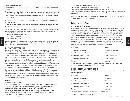#### TUITION PAYMENT DEADLINES

Non-matriculated students are required to pay full tuition liability at the time of registration for each semester.

Tuition due dates are determined by the college in advance of each semester and may vary from one academic year to the next. Tuition due dates for the fall semester normally occur between mid-July and early August. Tuition due dates for the spring semester normally occur between late December and early January.

All students who register after the payment due date are required to make tuition payment immediately upon registration.

All students attending summer, Summerim, and Winterim sessions are required to pay full tuition liability at the time of registration.

Payment may be made via American Express, Discover, MasterCard, Visa, money order, or personal check. Checks and money orders should be made payable to Fashion Institute of Technology and mailed to:

Fashion Institute of Technology Bursar's Office–Cashiering Operations 227 27th Street, Room B127 New York City 10001-5992

Student ID number must be indicated on your payment. Students may make payments in person at Cashiering Operations. Online credit card payments may also be made—by continuing students only—via www.fitnyc.edu/onlinestudentinfo.

#### NON-PAYMENT OF DEBTS AND FINES

Checks returned by a bank as unpaid for any reason will result in a returned check fee of \$25 charged to the student's account. The college reserves the right not to accept a personal check for payment under some conditions; for example, a history of prior returned checks or checks without pre-printed name and address. Note that a stop payment draft against a check is not considered an official withdrawal from the college and students will be charged a \$25 returned check fee in addition to the tuition liability.

Late payments are subject to a late fee of 1.5 percent per month on all outstanding balances. Students who fail to pay their bills or other college debts will be ineligible to register, graduate, or obtain transcripts or other services from the college. Outstanding debts may be referred to a licensed collection agency and collection fees up to 331⁄3 percent may be added to the outstanding balance. If legal action becomes necessary, litigation and all court costs will be the student's responsibility.

Students who have not satisfied their full financial obligations, exclusive of certified financial aid or tuition payment plans, by the scheduled due date may be subsequently de-registered and all previously assigned classes may be dropped. Late registration and program change fees may be assessed to students who are de-registered and wish to re-enroll. Students are not guaranteed class availability if they need to re-register for courses.

#### HOUSING

#### www.fitnyc.edu/residentiallife

On-campus residences include traditional and apartment/suite-style accommodations. Traditional accommodations include a meal plan administered through food services on campus; for apartment/suite residents, the meal plan is optional (see Residential Life, page 69).

Charges vary according to type of accommodation and building. All rates include a Resident Association fee and technology services fee. Rates are subject to change without prior notice at the discretion of the college's Board of Trustees.

Typical charges for resident students as of fall 2009 are:

- traditional accommodations: \$5,435–\$5,590 per person per semester;
- apartment/suite accommodations: \$5,545–\$8,325 per person per semester.

Meal plans (mandatory for traditional residence hall residents) range from \$1,510-\$1,940 per person per semester.

A \$300 annual fee plus a fee of \$25 per semester is required of all resident students for the Student Resident Association and technology services.

#### Tuition and Fee Refunds

#### FULL- AND PART-TIME PROGRAMS

All refunds are based on the official date of withdrawal. An application for refund of tuition must be made on the Withdrawal/Refund of Tuition Form provided in the Registration Center or in writing. No refunds will be permitted unless an official withdrawal form is submitted in the required time period. The date on which the Withdrawal/Refund of Tuition Form is received by the Registrar's Office is considered the official date of the student's withdrawal. The \$5 offsetting service fee is nonrefundable. Student health insurance is nonrefundable after the first day of the semester. Nonattendance in class or stop payment on a check is not considered an official withdrawal from the college. The student remains responsible for all tuition liabilities. Students receiving Title IV financial aid will be processed according to federal guidelines. The refund period terminates by the end of the third week of classes, in accordance with the following schedule:

| Withdrawals                           | Refunds                    |
|---------------------------------------|----------------------------|
| Prior to the first day of semester    | 100% of tuition and fees** |
| Prior to the second week of semester* | 75% of tuition and fees**  |
| Prior to the third week of semester*  | 50% of tuition and fees**  |
| Prior to the fourth week of semester* | 25% of tuition and fees**  |
| Thereafter                            | No refund                  |

The refund process generally takes six to eight weeks after the semester begins. All credit card refunds are issued through the appropriate credit card carrier.

#### SUMMER, SUMMERIM, AND WINTERIM SESSIONS

The refund period terminates prior to the fourth scheduled session of the course, in accordance with the following schedule:

| Withdrawals                         | Refunds         |
|-------------------------------------|-----------------|
| Prior to the first day of semester  | 100% of tuition |
| Prior to the second day of semester | 75% of tuition  |
| Prior to the third day of semester  | 50% of tuition  |
| Prior to the fourth day of semester | 25% of tuition  |
| Thereafter                          | No refund       |

\*The first week ends on Sunday regardless of which day of the week classes begin.

\*\*The student health insurance fee is nonrefundable.

Expenses and

Financial Aid Expenses and

Expenses and<br>Financial Aid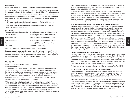#### HOUSING REFUNDS

Payment will be refunded in full if students' application for residence accommodation is not accepted.

No refund of payment will be made if students are directed by the college to vacate the premises before the departure date and relocate to other housing due to the students' violation of the residence contract.

If students' applications for residence accommodation are accepted and the students thereafter withdraw or are dismissed from the college or residence halls, or voluntarily change to accommodations not provided by the college before the departure date, a partial refund may be made as set forth below:

- 100% refund less a \$50 charge if withdrawal is completed with Residential Life more than seven days prior to first day of contract.
- 100% refund less a \$300 charge if withdrawal is completed with Residential Life less than seven days prior to first day of contract.

#### **Room Portion**

Expenses and Financial Aid Percentages to be refunded and charged on or before the contract week ending Saturday (5 pm):

| First week of contract  | 75% refund (25% charge) of total room charges |
|-------------------------|-----------------------------------------------|
| Second week of contract | 50% refund (50% charge) of total room charges |
| Third week of contract  | 25% refund (75% charge) of total room charges |
| Thereafter              | No refund (100% charge) of total room charges |
| Meal portion            | (Prorated on a weekly basis)                  |

Refund policy applies even if student does not move into the residence halls.

If more than two students are required to occupy a room (i.e., designated triple rooms), there will be a reduction in room rental. Students receive a rebate after they have been contacted regarding a reduction in occupancy. This does not apply to suites or rooms that have two or four occupants for the academic year in Alumni Hall, Co-ed Hall, Nagler Hall, and Kaufman Hall.

#### Financial Aid

David Dubinsky Student Center, Room A212A, 212 217.3560 www.fitnyc.edu/financialaid

FIT attempts to remove financial barriers to college entrance by providing scholarships, grants, loans, and part-time employment based on available funding for students with financial need. Students who are in a degree program and require financial assistance of any kind must complete the Free Application for Federal Student Aid (FAFSA), designating FIT (code 002866) as a college choice. The FAFSA is the core application for all financial aid programs. Apply online at www.fafsa.ed.gov. Foreign students are not eligible for financial assistance from FIT. Visiting students should consult their home institutions for assistance.

FIT directly administers its institutional grants and scholarships, which are provided by The Educational Foundation for the Fashion Industries. Federal funding administered by the college may include Federal Perkins Loans, Federal Supplemental Educational Opportunity Grants, Pell Grants, Academic Competitiveness Grants, federally subsidized and unsubsidized loans for students and parents, as well as the Federal Work Study program. New York State residents who meet state guidelines for eligibility may also receive Tuition Assistance Program (TAP) and/or Educational Opportunity Program (EOP) funds through FIT.

Financial assistance is not automatically renewed. Since most financial aid awards are made for an academic year, students must reapply each academic year by submitting the required forms by the dates established and published by Financial Aid.

The amount of financial aid awarded depends on funds available to FIT as well as the students' educational budget and anticipated available resources. Priority for institutionally administered funds is given to students enrolled and designated as full-time. Federal funds at FIT are contingent on congressional authorizations and appropriations, and institutional funds are subject to funding. Eligibility requirements and funding regulations governing federal and state programs may change from year to year depending on legislative action. For more information, visit the Financial Aid website.

#### SATISFACTORY ACADEMIC PROGRESS (SAP) STANDARDS FOR FINANCIAL AID RECIPIENTS

The Higher Education Amendments require that colleges and universities provide federal aid to those students who are in good academic standing and making satisfactory progress in a degree program. The U.S. Department of Education requires that students make satisfactory academic progress (i.e., successfully complete at least 66 percent of attempted courses) and maintain a cumulative GPA of 2.0. The Satisfactory Academic Progress (SAP) guidelines are available in the Financial Aid Department and at www.fitnyc.edu/financial aid. Students are responsible for reading and adhering to these guidelines.

Students who do not meet the SAP standards will be issued a warning and placed on financial aid probation. Once in this status, if a student again does not meet the SAP standards, then the student's status will be changed to financial aid termination. Under this status the student must attend at least one semester without the benefit of federal and institutional aid. The student's academic record will then be reviewed to regain eligibility. If there were extenuating circumstances that led to the termination, s/he may submit an appeal that will be reviewed by the Financial Aid Committee. The student will then be advised, in writing, of the committee's decision.

#### FINANCIAL AID WITHDRAWAL AND RETURN OF FUNDS

Financial aid recipients who withdraw partially or fully must have their financial aid reviewed. If students withdraw during the first 60 percent of the enrollment period and have any form of federal aid disbursed, the amount of the refund will be based upon a distribution formula as required by federal regulations. The refund distribution, prescribed by law and regulation, is in the following order: Unsubsidized Federal Stafford Loan, Subsidized Federal Stafford Loan, Federal PLUS Loan, Federal Perkins Loan, Federal Pell Grant, Federal SEOG, other Title IV Aid programs, and other federal sources of aid.

Additional information on these refund and repayment policies may be obtained from Financial Aid.

#### TUITION ASSISTANCE PROGRAM (TAP) FOR NEW YORK STATE RESIDENTS

Full-time students who are New York State residents may be eligible for a TAP grant ranging from \$500 to full tuition per year. New York State residents who are registered for 6-11 credits in a degree program may be eligible for Aid for Part-Time Students (APTS) or Part-Time TAP. For more information, visit www.fitnyc.edu/financialaid or www.hesc.com.

The State University of New York has received approval from the State Education Department for University-Wide Standards for awarding state awards. The new regulations require full-time students receiving state awards to complete a minimum number of credits each term in a registered or otherwise approved program with a minimum GPA, and to accumulate enough credits to graduate with an associate degree within a maximum of six semesters of aid, and a bachelor's degree in eight semesters of aid. These regulations apply only to full-time students receiving state awards.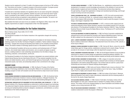Students must be registered for at least 12 credits in the degree program at the time of TAP certification. Three factors are involved: 1) academic progress in the previous semester; 2) program pursuit in the previous semester; 3) a minimum of 12 credits in the current semester.

If students fail to meet these standards, the regulations allow for one waiver during their undergraduate career. According to the waiver guidelines, students may ask for and receive the waiver if good reason is presented for their inability to meet minimum standards. The waiver will become part of students' records and they are expected to make satisfactory progress thereafter. The waiver is not automatically given and students must apply and be approved.

More detailed information and waiver forms are available in the Registrar's Office, Room C158. TAP eligibility requirements are subject to change based on New York State legislation.

#### The Educational Foundation for the Fashion Industries

Marvin Feldman Center, Room C204, 212 217.4100 www.fitnyc.edu/effi

The Educational Foundation for the Fashion Industries is the organization charged with receiving gifts for FIT.

In 1944, apparel industry leaders organized The Educational Foundation for the Fashion Industries, obtaining a charter from the New York Board of Regents to establish a "fashion institute of design and technology." Charged with nurturing and educating future leaders for the constantly evolving fashion industry, the Fashion Institute of Technology opened its doors to 100 students its first semester.

Today, the Educational Foundation still serves as an advisory and fundraising body to FIT. Board members, who include today's leaders and innovators, serve on panels and appear as special lecturers, enabling students to meet outstanding representatives from the fields of design, merchandising, production, communications, and the arts.

The Educational Foundation for the Fashion Industries is designated a tax-exempt institution under Federal Internal Revenue Service Code Section 501(c)(3). FIT has received recognition from the fashion and related industries, alumni, and friends through generous financial gifts. The list of commencement awards, loan funds, and scholarships attests to their commitment to the college.

#### HONORARY CHAIRS

**EMILY WILKENS CHAIR IN EXTERNAL IMPRESSIONS** In 1965, the Board of Trustees of the Fashion Institute of Technology established a chair honoring Ms. Wilkens for her assistance and counsel in founding a program to foster self-evaluation and self-improvement as steps toward social maturity.

#### ENDOWMENTS

**EDWIN GOODMAN ENDOWMENT IN FASHION (BUYING AND MERCHANDISING)** In 1955, the Goodman family established an endowment of fashion in memory of Edwin Goodman, of Bergdorf Goodman. The endowment made possible the development of the Fashion Merchandising Management major.

**INTERNATIONAL FABRICARE INSTITUTE ENDOWMENT IN TEXTILE AND APPAREL CARE TECHNOLOGY** In 1966, the National Institute of Dry Cleaning established an endowment in textile and apparel care technology. This endowment helped to develop materials and programs for the distribution of information about servicing and maintaining fashion products to designers, manufacturers, and distributors, as well as maintenance of the Textile and Apparel Lab.

**THE WOOL BUREAU ENDOWMENT** In 1968, The Wool Bureau, Inc., established an endowment for the development of a program to enrich knowledge and awareness of the utilization of wool and wool textile products in apparel and home furnishings. The endowment achieves these objectives through teaching, through direct applications in design and manufacturing technology, and through research involving wool and wool products.

**TRIFARI, KRUSSMAN AND FISHEL, INC., ENDOWMENT IN JEWELRY** In 1975, the world-renowned jewelry firm of Trifari, Krussman and Fishel, Inc., endowed a jewelry design laboratory in the college in honor of the company's 50th anniversary. The endowment is used to assist the program in Jewelry Design, which began in September 1975.

**THE SHIRLEY GOODMAN RESOURCE CENTER ENDOWMENT** In 1975, a resource center support fund was named and endowed to honor Shirley Goodman, executive vice president emeritus of FIT and executive director of The Educational Foundation for the Fashion Industries (1949-91). Today, the Shirley Goodman Resource Center houses the Gladys Marcus Library, The Museum at FIT, and the School of Graduate Studies.

**THE REVLON ENDOWMENT IN COSMETICS MARKETING** In 1980, the Revlon Corporation established an endowed fund to enrich and extend the Cosmetics and Fragrance Marketing program. Each year, \$1,000 is allotted from this endowment for the Revlon Academic Achievement Award.

**JACK C. LEBOWITZ ENDOWMENT IN MENSWEAR** In 1981, the National Association of Men's Sportswear Buyers created an endowment in Menswear. The endowment honors the memory of Mr. Lebowitz, a former buyer at Macy's.

**NORMAN M. MORRIS ENDOWMENT IN JEWELRY DESIGN** In 1981, Norman M. Morris, whose firm was the United States agent for Omega watches, established an endowed fund in Jewelry Design. The fund provides for the inclusion of watch design within the department's program of study.

**SCOVILL ENDOWMENT IN RESEARCH AND DESIGN** In 1984, the Scovill Apparel Fasteners Group provided an endowment for research in product design and applications emphasizing fasteners utilization. The chair of this endowment serves as the liaison between students and faculty and the fasteners industry.

**INTIMATE APPAREL ENDOWMENT IN FASHION DESIGN** In 1985, a league of corporation and private sponsors, primarily in the intimate apparel industry, endowed funds to develop an intimate apparel specialization in the Fashion Design BFA program. Part of these funds are used for a yearly honor scholarship and merit award for students studying intimate apparel.

**THE MILDRED CUSTIN ROOM** In 1986, family and friends of Mildred Custin, known as America's "first lady" of retailing, endowed funds to name and maintain a room in her honor. Today, the Mildred Custin Room is a highly used computer library resource lab.

**GUSTAV NEIMEYER ENDOWMENT IN JEWELRY DESIGN** In 1988, the trustees of the Gustav H. Neimeyer Memorial Education Fund voted to create a discretionary endowment with the remaining assets of the fund for the Jewelry Design Department.

**THE COLIN BIRCH MEMORIAL WINDOW** In 1990, friends of Colin Birch, the display window artist at Bloomingdale's for many years, endowed funds to maintain FIT's display window on Seventh Avenue. This window, and its ever-changing displays by Visual Presentation and Exhibition Design students, act as a living memorial to Mr. Birch.

**PHILLIPS-VAN HEUSEN ENDOWMENT IN MENSWEAR** In 1990, the Phillips-Van Heusen Corporation created an endowment to enrich the program in Menswear.

Financial Aid Expenses and

Expenses and<br>Financial Aid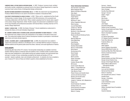**LAWRENCE ISRAEL LECTURE SERIES IN INTERIOR DESIGN** In 1997, Professor Lawrence Israel, architect and faculty member, established an endowed fund for the Interior Design Department to create the Lawrence Israel Lecture Series of distinguished design professionals.

**MILDRED ROTHMAN ENDOWMENT IN EDUCATIONAL SKILLS** In 1998, this endowment was bequeathed by Professor Mildred Rothman to be used for the benefit of students in Educational Skills.

**ELSA PERETTI PROFESSORSHIP IN JEWELRY DESIGN** In 2001, Tiffany and Co. established the Elsa Peretti Professorship in Jewelry Design. On the occasion of the 25th anniversary of its successful and rewarding collaboration with Elsa Peretti, Tiffany created a perpetual fund for faculty salary support in the Jewelry Design Department. At Ms. Peretti's request, the endowment is established in honor of her long friendship and professional association with Samuel Beizer, founding chairman of FIT's Jewelry Design Department.

**GEORGE T. DORSCH FUND** In 2002, the Estate of George T. Dorsch established an endowment to enhance the History of Art and Civilization Department.

**DR. LEONARD FLORENCE AND SY STEWARD GLOBAL SCHOLARS ENDOWMENT IN HOME PRODUCTS** In 2005, this endowment was created to honor the contributions of two leaders in the field of home products. This endowment enables Home Products Development students to participate in international trade shows and study abroad programs.

**ALFRED Z. SOLOMON–JANET A. SLOANE ENDOWMENT FUND** In 2005, this endowment was created to support the accessories collection at The Museum at FIT. It will help fulfill the museum's mission to educate students and the general public about the artistic, historical, and social significance of fashion.

#### SCHOLARSHIPS

Expenses and Expenses and<br>Financial Aid

> Scholarship gifts help further FIT's mission. Full and partial scholarships are available to full-time students offering evidence of financial need and academic merit. A limited number of partial scholarships have been established for matriculated evening and weekend students who demonstrate financial need. A number of honor scholarships provided by the friends and families of FIT are awarded—based on aptitude, need, and scholastic achievement—to students who have completed a year of study at FIT. Some of these are limited to specific criteria established by the donor.

**Honor Scholorship Contributors** 

Abe Schrader Corporation Maria Spagnola Alaya Marion and Myron Alexander Ellen Alpert Melanie Amariglio Anglo Fabrics Apparel Guild Mortimer H. April Arthur Englander Memorial Marie Auyang Jay and Patty Baker Jacalyn E.S. Bennett Bergdorf Goodman Bernard G. Cohn Memorial Sidney Bernstein Bessie and Barnet Ginsburg Family Memorial Maurice Biderman Rose Wells Bing Hazel Bishop Bloomingdale's Abraham Blumenfeld Myron H. Blumenfeld Borg Fabrics Brunschwig & Fils Buick Design Joseph Calio Morris Camhe Roger Caracappa Pierre Cardin Carleton Woolen Mills Bill Carone Eunice Cashin Memorial Milton J. Cassell Memorial Cato-Howard Davidowitz Cato-Murray Turkel Robert Chavez and Annette Green Jerome and Simona Chazen Barbara and Arnold Cohen Colbert Foundation Joseph A. Coleman, M.D./Maidenform Ruben Cruz David Dubinsky Foundation Davidow Suits, Inc. David Schwartz Foundation David Zelinka Memorial Melvin E. Dawley

Samuel L. Deitsch Dianne Rubinfeld Memorial Henry Doneger Dorothy Ross Memorial George T. Dorsch Adele C. Elgart Eli Elias Ellis Family Etienne Aigner Fabergé John Fabian Fairchild Publications Fashion Group Foundation Fashion Group/Isabel and Ruben Toledo Jack Fensterrmacher Filene's Charitable Foundation Financo, Inc. FIT Alumni Association FIT Student-Faculty Corporation Frank Olive Memorial Frederick Atkins, Inc. Michael Fux Helen Galland Gemini Shippers Association General Mills/David Crystal, Inc. Gerald and May Ellen Ritter Memorial Dolores Zuckerman Gewirtz Julius Gewirtz Gianni Versace Gimbel Brothers and Saks Fifth Avenue Giorgio Armani Fashion Corp. Giorgio di Sant'Angelo Memorial Gladys Marcus Memorial for International Studies Gokhan-Kucuk Lynn and Carl Goldstein Samuel and Sara Golub Edwin A. Goodman Ann Gravseth and James E. Preston Annette Green George J. Greenberg Lester Gribetz Lester Gribetz/Sol Levine Ann Kissel Grun Ira Guilden William Randolph Hearst Foundation Ira Hechler Hoechst Celanese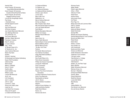Hoechst Fiber Home Products '03 honoring Evans/Gittlitz/Kilbride/Sabin/Sen Home Products '04 honoring Cavaliero/Chinni/Foley/Karron/Salus Home Products '05 honoring Daggett/Fux/Kirby/Lavene Leo and Elly Honig/Anglo Fabrics Paul Honig I. Kleinfeld & Sons Intimate Apparel Council Jaclyn, Inc. Jane Scott Memorial JCPenney Company Jean Claude Mastroianni Memorial Jean Wallrapp Memorial Jerry Silverman, Inc. Joe Powers Memorial Joel Barry Wigler Memorial Francesca S. Joelson Allan R. Johnson E. Susan Johnson Faie J. Joyce JP Morgan Chase & Co. JP Stevens & Co., Inc. Jules Yuckman Memorial Martin Paul Kahn Kaufhof George S. Kaufman Ed Kavanaugh and Stanley Kohlenberg Kayser-Roth Foundation Catherine Kelly Werner Klaas Melvin E. Kleeblatt Henry R. Kravis Sophie LaBue Carole Gottlieb Lang William Lauder Laverne Neil Memorial Jan B. Law LCU Foundation Jack C. Lebowitz John G. Ledes Laurence C. Leeds Gerson and Judith Leiber Leslie Fay, Inc. Lion Brand Yarn Company Felice and Al Lippert Liz Claiborne/Annette Green

Expenses and Financial Aid

Liz Claiborne/Dillards Liz Claiborne, Inc. Liz Claiborne/Ortenberg Liz Claiborne/Shirley Goodman Antonio Lopez–Alumni Lord & Taylor Macy's New York Maidenform, Inc. Marvin Feldman Memorial Ok Cha Lee Mason May Company Dept. Stores May and Samuel Rudin Foundation Jerry and Saskia McDaniel David Mercer Michele Marzigliano Memorial Milliken & Company Monique Recant Memorial NAMSB Nancy Greer, Inc. Nancy Yedlin Memorial National Board of Coat and Suit Industry National Millinery Board Neiman Marcus Group The New York Times Pantone Pat Sandler Memorial Alumni Paul Hellman Foundation Peggy Ward Memorial/Macy's Elsa Peretti Elsa Peretti/Tiffany & Co. Petrie Stores Corporation Phillips-Van Heusen Corporation Leonard W. Pollatschek Fred P. Pomerantz Gerta Pomerantz John J. Pomerantz Popular Price Dress Contractors Association Christine Pratt/Home Products Alumni Arthur Price Memorial Raincheetahs by Naman John E. Reeves Reeves Brothers Foundation Regine's Reliance Group Holdings, Inc. Judith and Burton Resnick Retail Brand Alliance Revlon, Inc. Revlon/Linda Harris

Richman Family Walter Riedler Robert Lagary Memorial Arthur J. Rolfo Vittorina R. Rolfo Robert Rose Andrew Rosen Anita James Rosen Carl Rosen Russ Togs, Inc. Margo Scarvarda and Lawrence Aiken Peter G. Scotese Marie B. Simms Adele and Wesley Simpson Splash Swimwear Springs Mills Michael and Susanna Steinberg Sterling National Bank & Trust Company Bernice and Milton Stern Robert Stock Elaine Stone Robert J. Suslow Suzy Perette, Inc. John Szarkowski Sandra and Arthur Tauber Tamara Lizzi Memorial Textile Distributor's Association Tiedemann Trust Company TJX/Jack Lindner Tokai Women's Jr. College Lee and Marvin Traub Vidal Sassoon Adolph, Lily, and Peter Vogel Marco Wachter Walter Richardson Memorial Warnaco Group, Inc. Norman V. Wechsler Emanuel and Mabel Weintraub David B. Weiss Edward Weissman WestPoint Stevens Louise Dahl Wolfe Wool Bureau YMA Zelinka-Matlick, Inc. Zina Sisman Levy Memorial Ann and Harvey Zlesnick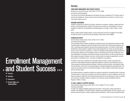### > >>> Enrollment Management and Student Success

- 67 Services
- 70 Activities
- 72 Governance
- 72 Student Rights and Responsibilities

#### **Services**

#### ENROLLMENT MANAGEMENT AND STUDENT SUCCESS

Business and Liberal Arts Center, Room B221, 212 217.3800 www.fitnyc.edu/studentaffairs

The Division of Enrollment Management and Student Success is essential to FIT's primary goal: to promote the intellectual, cultural, personal, and social development of students, as well as to provide quality student services.

#### ACADEMIC ADVISEMENT

Academic advisement is offered by the deans, admissions counselors, registrars, department chairpersons, and individual faculty members. Discussions may range from consideration of courses available to students to the advantages and disadvantages of a change in major studies or career goals.

When a student needs remedial studies, courses and tutorial services are available in the college through the School of Liberal Arts and the Academic Skills Center, Room A608B.

#### COUNSELING CENTER

David Dubinsky Student Center, Room A212B, 212 217.4260 www.fitnyc.edu/counseling

The Counseling Center provides confidential counseling services and educational programs to help students adjust to college life, deal with problems that can affect their well-being and academic success, and develop skills needed for personal and professional success. The center's mental health practitioners assess students' conditions and provide appropriate care, which can include support during a crisis, short-term counseling, or a referral to qualified and affordable treatment resources in the community. Students are encouraged to seek out counseling at the first sign of difficulty, since early identification of problems minimizes the impact of those problems on their personal lives and their academic progress. Students may call or visit the center to arrange an appointment, come by during walk-in consultation hours, or be seen immediately for emergencies.

Enrollment<br>Management Management Enrollment

In addition to personal counseling, the Counseling Center provides a variety of programs and resources to help students develop competencies needed for academic and professional success. These programs include educational workshops, freshman success seminars, and academic probation interventions, which focus on important aspects of student development and performance. The center also provides a variety of informational booklets on topics related to mental health, personal growth, and study skills.

Any students placed on academic probation are required to attend the Counseling Center's structured workshop series or meet with a counselor. Any full-time students who wish to withdraw from the college are required to initiate the formal withdrawal procedure by first contacting the center to schedule an exit interview. Students unable to schedule an exit interview should immediately notify the Registrar's Office in writing.

#### FIT-ABLE: DISABILITY SUPPORT SERVICES

David Dubinsky Student Center, Room A570, 212 217.4090 (TTY 212 217.4097) www.fitnyc.edu/fitable

FIT-ABLE, the college's Disability Support Services Office, is the primary campus advocate for students with disabilities. Through FIT-ABLE, students are provided support services, programs, and advocacy toward the goal of career readiness and self-sufficiency. These services include internship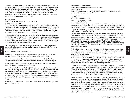counseling, tutoring, specialized academic advisement, and training on assistive technology. A staff sign language interpreter is available by appointment. Early contact with FIT-ABLE is recommended to discuss academic adjustments and accommodations, as certain requests, such as interpretation services, may take some time to fulfill. The college respects the students' right not to self-identify as having a disability. FIT complies with Section 504 of the Rehabilitation Act of 1973 and the Americans with Disabilities Act of 1990 through its provision of these services and by prohibiting discrimination against students based upon disability.

#### HEALTH SERVICES

David Dubinsky Student Center, Room A402, 212 217.4190 www.fitnyc.edu/healthservices

FIT's Health Services is an accredited primary care facility staffed by nurse practitioners and physicians, a nutritionist, an acupuncturist, and a health educator. The office provides general medical and gynecological care. A referral list of consultants is available in cases where a specialist's evaluation and treatment are required. Health Services also provides counseling on topics such as family planning, nutrition, stress management, and health maintenance.

FIT has a mandatory health insurance policy. All full-time students (including international students) are automatically billed for health insurance. Students can be excused from the mandatory insurance if they have equal or better health insurance from another company. In order to waive the mandatory insurance, it is necessary to complete and submit a waiver form by the deadline. For deadline dates and other insurance information, contact Health Services.

New York State law mandates that all students must provide proof of immunity against measles, mumps, and rubella in order to attend classes. Students born prior to January 1, 1957, are exempt from these requirements.

Proof of immunity is defined for the following as:

**MEASLES** Two doses of live measles vaccine given on or after the first birthday, and after 1967, physician's documented history of the disease or serological evidence of immunity.

**RUBELLA (GERMAN MEASLES)** One dose of live rubella vaccine given on or after the first birthday, or serological evidence of immunity. A physician-documented history for rubella will not be accepted.

**MUMPS** One dose of live mumps vaccine given on or after the first birthday, a physician-documented history of the disease, or serological evidence of immunity.

New York Sate Public Health Law (NYS PHL) §2167 requires colleges and universities to distribute information about meningococcal disease and vaccination to all students registered for 6 credits or more, whether they live on or off campus. Students must notify Health Services if they will receive the meningitis vaccination, have received it in the past, or decline/refuse to receive the immunization. Please note that according to NYS Public Health Law, no institution shall permit any student to attend the institution in excess of thirty days or to register for the next semester's classes without complying with this law.

An immunization form and a health form, enclosed in the admissions packet, must be completed and returned to Health Services.

#### INTERNATIONAL STUDENT ADVISORS

David Dubinsky Student Center, Room A608D, 212 217.3700 www.fitnyc.edu/oisa

The Office of International Student Advisors (OISA) assists international students with issues regarding their status while attending FIT.

#### RESIDENTIAL LIFE

Alumni Hall, first floor, 212 217.3900 Kaufman Hall, first floor, 212 217.3930 www.fitnyc.edu/residentiallife

FIT's residence halls play an integral role in the FIT community and the personal development of its students. Living on campus enables students to interact with their peers not only in an academic setting, but also in a social environment. Each semester, Residential Life hosts an extensive new student orientation, and its counselors and student staff live in the halls, to assist students with their adjustment to college and living in New York City.

Four residence halls house approximately 2,300 students in single, double, triple, and quad occupancy rooms and suites. Alumni Hall, Co-ed Hall, and Nagler Hall are located on West 27th Street, and house approximately 1,217 students. The accommodations in Nagler Hall and Co-ed Hall are primarily double occupancies, but also include a limited number of studios and one-bedroom quad suites. Alumni Hall consists of two-bedroom quad suites. The George and Mariana Kaufman Residence Hall, located on nearby West 31st Street, houses approximately 1,100 students, offering one-, two-, three-, and four-bed apartment-style accommodations, each containing its own kitchenette and bathroom facilities.

All FIT residence hall rooms are furnished with a bed, chair, chest of drawers, closet space, phone and data jacks, and access to a cable TV jack. Each hall has centrally located lounges and laundry facilities; Kaufman Hall also has an on-site fitness center. Cooking is only permitted in apartment/suite accommodations.

All full-time matriculated students are eligible to apply for housing. Priority is given to full-time, firstyear students who have submitted their housing application before June 15 and paid their tuition deposit. Residential Life also assists with off-campus housing options. Those students seeking offcampus housing options should visit www.fitnyc.edu/offcampushousing.

Once admitted to the college, students wishing to live in the residence halls should apply for housing online, as early as possible, on the Residential Life website. Applicants will have access to the online housing application within five business days of their tuition deposit payment. If students withdraw from housing after an application has been accepted, all withdrawal charges will be applied (see Housing Refunds on page 58). For returning students, a room selection lottery is held each spring, allowing them to choose their residence and roommates for the next academic year.

The residence halls are closed from the last day of fall semester classes until the first day of Winterim classes and from the last day of summer classes until the first day of the fall semester. Unless otherwise noted, housing contracts are for the academic year (not including winter and summer recess sessions) only. Winter recess housing is available to students with housing contracts for the full academic year. Interested students may inquire about availability and apply at the Residential Life Office, and must pay the additional charges in full at Cashiering Operations. Select residence hall accommodations are available for rental during the summer. Applications, rates, and eligibility requirements for summer residence are available in the Residential Life Office. On-campus food services are not available during the college's recess periods.

Enrollment Management

Enrollment<br>Management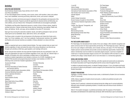## **Activities**

## ATHLETICS AND RECREATION

David Dubinsky Student Center, Room AX12A, 212 217.4210

www.fitnyc.edu/athletics

FIT has intercollegiate teams in bowling, cross-country, dance, half-marathon, indoor and outdoor track, men's basketball, swimming and diving, table tennis, tennis, and women's volleyball.

The college's recreation and intramural program is designed for the participation and enjoyment of the entire college community. Programs provide the opportunity for physical activity and fellowship, promote wellness, and use of leisure time. Participants of all skill levels are encouraged to participate.

The Athletics and Recreation Department sponsors a variety of drop-in fitness classes, taught by certified instructors. Classes include body toning, hip-hop, kickboxing, leg sculpting, Pilates mat, Salsa, self-defense, Tae Bo, and yoga, and are available to the entire FIT community.

Open gym hours during the week allow students, faculty, and staff to participate in team and individual sports such as basketball, dance, table tennis, tennis, and volleyball.

The fitness center is located in the sub-basement of the Business and Liberal Arts Center and is open 7 am-10 pm weekdays, and 11 am-5 pm weekends. Cardiovascular machines, free weights, and Nautilus and universal machines are available. A fitness attendant is on duty at all times.

### CLUBS

Clubs are organized each year as student interest dictates. The major-oriented clubs are open to all students regardless of major and extend the study of the various disciplines in an informal way through such activities as field trips, guest speakers, and meetings with alumni.

All full- and part-time students who have paid their Student Activity fee may participate in clubs. All clubs and organizations are open to all students regardless of race, color, age, sex, national origin, or disability. All students who wish to participate on athletic teams or hold leadership positions in student organizations must maintain a minimum of a 2.0 GPA. Candidates for and elected FITSA executive and programming board members must maintain a 2.3 GPA. The following is the current list of student organizations at FIT:

Christian Fellowship Cosmetic Creative Showcase Culinary Arts Delta Epsilon Chi Association (DECA) Direct Marketing Display Fabric Styling Fashion Design Fashion Illustration Fine Arts FIT Words Gospel Choir Handbook Holistic Lifestyle Home Products ICE

I Love NY Interior Design International Student Association International Trade Students Association (ITSA) Inter-Society Color Council (ISCC) Intimate Apparel Italian Jewelry Design Connection Korean Campus Crusade for Christ (KCCC) Latin American Students Organization (LASO) L'Chaim Lesbian, Gay, Bisexual, Transgender, and Friends (LGBT) Menswear Merchandising Society Merchandising Society Style Shop Model Workshop One Club Package Design

Phi Theta Kappa **Photography** Portfolio (Yearbook) Production Management Public Relations Student Society of America (PRSSA) Resident Hall Community Council (RHCC) Salsa Snow Club Student Ambassadors Student Council Textile Design Theater Ensemble Urban Studio Visual Art Management Visual Presentation and Exhibition Design W27 (Newspaper) WFIT (Radio) Women in Cable Telecommunications

## PHI THETA KAPPA HONOR SOCIETY

Phi Theta Kappa, the international honor society of two-year colleges, offers students recognition and opens numerous doors for future opportunities and learning. Phi Theta Kappa has nearly 1,200 chapters at two-year colleges in all 50 states, and in Canada, Germany, and Japan. FIT's Phi Theta Kappa chapter sponsors several activities and provides numerous leadership opportunities. Students interested in membership must be enrolled in an associate's degree program, must have completed 12 credit hours in required associate's degree courses at FIT, have attained a GPA of at least 3.5, and be certified by the college. Contact Student Life for more information or a membership application.

## SOCIAL AND CULTURAL EVENTS

Concerts, dances, flea markets, films, field trips, and other special and social events are planned by the Student Association and Programming Board and the various clubs throughout the year.

In addition to planned evening events, on selected Tuesdays between 1-2 pm, all students and faculty are welcome to attend and participate in events arranged by the Entertainment Hour Committee of the Student Association.

## STUDENT PUBLICATIONS

Highlights, a monthly calendar of extracurricular events, is distributed by Student Life to all members of the FIT community.

ICON, a literary magazine of student artwork and poetry, is edited and published annually by the Student Association.

Portfolio, the FIT yearbook, is planned and produced during the college year for annual publication. Although mainly devoted to graduating students, it includes class and extracurricular activities of undergraduates.

West 27, the student newspaper, is published periodically under the auspices of the Student Association and distributed to the student body and faculty. Staff membership is open to all students.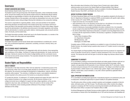## **Governance**

### STUDENT ASSOCIATION AND COUNCIL

David Dubinsky Student Center, Room A710, 212 217.4130

The Student Council is the governing body of the Student Association, whose membership includes all full- and part-time students who have paid the student activity fee. Membership affords students the privileges and responsibilities of citizens in the self-governing college community. The council consists of elected officers of the association, and at least one representative from every club. All other interested students receive voting privileges following their attendance at two consecutive meetings.

The council is responsible for organizing athletic, cultural, and social activities for the students; determining allocations and disbursement of the student activity fees in accordance with the purposes and duties of the association and the policies of the Board of Trustees of the college; cooperating with the administration in the definition and enforcement of all student regulations; and working with the administration to maintain good public relations, fostering greater unity among the administration, the faculty, and the student body.

The Student Association president, elected each year by the Student Association, is a member of the Board of Trustees with voting rights and responsibilities.

### STUDENT-FACULTY COMMITTEES

The Student Association and the Faculty Senate select representatives to constitute joint committees, such as admissions/registration, assessment, counseling, curriculum, diversity, library, and student affairs.

#### THE FIT STUDENT-FACULTY CORPORATION

The FIT Student-Faculty Corporation is an independent entity with nine directors, three representing each constituency of the college—the Board of Trustees and administration, the faculty, and the student body. It derives its revenue from the rental of college facilities and from commission income from food services and the campus bookstore. The corporation allocates this revenue for the benefit of the students and faculty.

## Student Rights and Responsibilities

#### CODE OF CONDUCT

The Chancellor of the State University of New York has stated that "a fundamental purpose of the State University of New York is to provide quality education for all those who enroll. In pursuit of this objective, the university encourages the development of independence, maturity, and ethical sensitivity within students." The university, in fulfilling the mission, must establish standards of conduct essential to the orderly pursuit of its function as an educational institution.

FIT accepts this doctrine. To implement it, FIT students prepared and support the basic code of conduct to guide all members of our college community. All who become members of our college community have an obligation to support and obey college regulations, as they are also expected to obey local, state, and federal law. Those who cannot or will not comply will be subject to disciplinary action including possible withdrawal of the privilege of continued attendance at the college.

More information about infractions of the Campus Code of Conduct and a clearly defined judicial procedure can be found in the Student Rights and Responsibilities Policy Manual (www.fitnyc.edu/rightsandresponsibilities). Copies are available in Enrollment Management and Student Success, Room B221, and Student Life, Room A713.

### ACCESS TO OFFICIAL STUDENT RECORDS

The Family Educational Rights and Privacy Act (FERPA), and regulations adopted by the Secretary of the U.S. Department of Education to implement FERPA, provide students with specific rights relating to their records at FIT. Under FERPA, a student has the right to:

- inspect and review his or her education records;
- seek amendment of his or her education records that he or she believes to be inaccurate, misleading, or otherwise in violation of the student's privacy rights;
- consent to disclosures of personally identifiable information contained in his or her education records, except to the extent that FERPA and the regulations authorize disclosure without consent;
- file with the United States Department of Education a complaint concerning alleged failures by FIT to comply with the requirements of FERPA or the Secretary's regulations. Complaints should be filed in writing:

Family Policy Compliance Office U.S. Department of Education 400 Maryland Ave., S.W. Washington, DC 20202-4605

Complete copies of FERPA and the regulations are available for review in Enrollment Services and Student Success. Any student having a question about access to FIT student records is encouraged to consult them.

The Student Rights and Responsibilities Policy Manual sets forth the procedures for inspection and review of education records and for a student to request amendment of his or her own education records. The manual also sets forth the types of records the college may disclose without student consent.

### COMMITMENT TO DIVERSITY

FIT is committed to creating an environment that attracts and retains people of diverse racial and cultural backgrounds. By providing a learning and working environment that encourages, utilizes, respects, and appreciates the full expression of every individual's ability, the FIT community fosters its mission and grows because of its rich pluralistic experience. The college is committed to prohibiting discrimination, whether based on race, national origin, gender, religion, ethnic background, age, disability, marital status, sexual orientation, or any other criterion specified by applicable federal, state, or local laws.

### EQUAL OPPORTUNITY/AFFIRMATIVE ACTION

FIT is committed to providing equal opportunity in educational programs in its admissions policy and in employment, including the opportunity for upward mobility for all qualified individuals.

The affirmative action officer provides complaint resolution and investigates complaints of discrimination, affirmative action, and Title IX issues. The affirmative action officer monitors the college's progress in complying with Title IX and laws concerning discrimination and affirmative action. The Affirmative Action Officer is located in the President's Office in C908.

Enrollment Management and Student Success provides students with complaint resolution, training, and orientation on Section 504 of the Rehabilitation Act of 1973 and the Americans with Disabilities Act.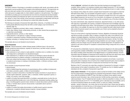#### HARASSMENT

The Fashion Institute of Technology is committed to providing its staff, faculty, and students with the opportunity to pursue excellence in their academic and professional endeavors. This opportunity can exist only when each member of the community is assured an atmosphere of mutual respect in which each person is judged solely on criteria related to academic or job performance. The college is committed to providing such an environment free from all forms of harassment and discrimination and ensuring students and employees the right to an environment free from discriminatory intimidation, ridicule, or insult. Each member of the community is responsible for being familiar with this policy, fostering mutual respect, and refraining from conduct that violates this policy.

The following are examples of harassment that might offend, embarrass, or humiliate an individual:

- treating people differently because they fall within a certain category (see Commitment to Diversity, page 73);
- offensive or suggestive comments, letters, emails, or telephone calls;
- insults, jokes, teasing, threats, embarrassing comments, or other remarks that put people down or make them uncomfortable;
- inappropriate pictures, cartoons, or other objects;
- making obscene or rude gestures or ogling or leering at someone;
- unwanted or unnecessary touching or blocking someone's movement;
- imitating, mimicking, or mocking a person's accent, disability, or stutter.

The examples above are not intended to be all-inclusive.

#### **Sexual Harassment**

Enrollment<br>Management Management **DEFINITION** Sexual harassment, whether between people of different sexes or the same sex, includes unwelcome sexual advances, requests for sexual favors, and other verbal or physical conduct of a sexual nature:

- when submission to such conduct is made explicitly or implicitly a term or condition of an individual's employment or participation in an educational program;
- when submission to or rejection of such conduct by an individual is used as the basis for personnel decisions for academic evaluation or advancement affecting the individual;
- when such conduct has the purpose or effect of unreasonably interfering with an individual's work or academic performance or creating an intimidating, hostile, or offensive working or academic environment.

Some examples of sexual harassment include:

- physical assault;
- direct or implied threats that submission to sexual advances will be a condition of employment, work status, promotion, grades, or letters of recommendation;
- a pattern of conduct to discomfort or humiliate that includes comments of a sexual nature or sexually explicit statements, questions, jokes, or anecdotes, whether expressed in person, in writing, or by email or voice-mail message;
- a pattern of conduct that would discomfort or humiliate a reasonable person at whom the conduct was directed that includes one or more of the following: unnecessary touching, patting, hugging, or brushing against a person's body; remarks of a sexual nature about a person's clothing or body; or remarks about a person's sexual activity or speculation about a person's sexual experience;
- a pattern of conduct that implies discrimination or hostility toward a person's personal, professional, or academic interests because of gender or sexual orientation.

The examples above are not intended to be all-inclusive.

**TO FILE A COMPLAINT** Individuals who believe they have been harassed are encouraged to file a complaint. When a student or an employee complains about alleged harassment, FIT will investigate the allegation regardless of whether the complaint conforms to a particular format or is made in writing.

Any employee of the college who wants to complain about harassment is encouraged to contact the Affirmative Action Officer, any vice president, the general counsel, or any dean, department chairperson, or department director. An employee is not required to complain first to his or her supervisor about alleged harassment, but may do so if he or she prefers. An employee is not required to follow the chain of command in filing a complaint, but may refer a complaint to any of the above individuals.

Any senior administrator, dean, department chairperson, department director, or any other person with supervisory responsibility who receives a complaint of harassment must immediately report the complaint to the affirmative action officer. If the harassment is or may be ongoing and the affirmative action officer is not available, the supervisor to whom the complaint has been made should immediately contact the general counsel or any vice president, any of whom can be contacted by Security if they are not on campus.

There are no time limits for reporting harassment. However, allegations of harassment should be reported as promptly as possible. Delay in making a complaint may make it more difficult for the college to investigate allegations. Individuals who believe they have been harassed may also file charges with the United States Equal Employment Opportunity Commission, the New York State Division of Human Rights, or other agencies having jurisdiction over such charges. In general, the deadline to file such charges runs from the last date of unlawful harassment. An employee is not required to wait until an internal FIT complaint is resolved before filing a charge with one or more of these agencies.

FIT will protect the confidentiality of persons making harassment allegations to the extent possible. FIT cannot guarantee complete confidentiality, since it may not be able to conduct an effective investigation without revealing certain information to the alleged harasser or to potential witnesses. However, information about the allegation of harassment will be shared only with those who need to know about it. Records relating to harassment complaints are kept confidential to the extent possible.

The Affirmative Action Officer will investigate harassment complaints and will take or recommend appropriate action. Employees who are found to have violated harassment policy may be subject to various penalties including termination of employment and dismissal from the college.

Members of the FIT community who make false complaints of harassment for improper or inappropriate purposes will be subject to disciplinary action. FIT prohibits any form of retaliation against individuals who file a complaint of harassment in good faith.

**SEXUAL ASSAULT PREVENTION** FIT has programs in place to protect all members of the college community from sexual assault, including programs for prevention and prosecution of these crimes that occur within the jurisdiction of SUNY/FIT. New York State Law defines crimes related to sexual assault as sexual misconduct, rape, criminal sexual acts, forcible touching, sexual abuse, and aggravated sexual abuse. If any FIT student has been sexually or otherwise assaulted on campus, he or she should contact Security at 212 217.7777 immediately, get to a safe place as soon as possible, and try to preserve all physical evidence (do not bathe, douche, or wash your clothes). Remember, assaults—sexual or otherwise—are crimes; they are not the victim's fault. Victims have the right to pursue adjudication of crimes that occur on the campus through criminal courts and /or through the college's disciplinary process as outlined in this publication.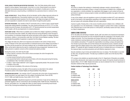**SEXUAL ASSAULT PREVENTION AND REPORTING PROCEDURES** New York State statutes define sexual assault in various degrees. Sexual assault, of any kind, is a crime. Sexual assault is any actual or attempted nonconsensual sexual activity including, but not limited to, forcible anal or oral sex, attempted intercourse, sexual touching, or exhibitionism by a person(s) known or unknown to the victim.

**SEXUAL OFFENSE POLICY** Sexual offenses will not be tolerated, and the college vigorously enforces its policies and applicable laws. Documented violations can result in a wide range of disciplinary actions, including permanent expulsion from the college. The college encourages and will lend support and cooperation to students who elect to seek redress through the justice system.

**REPORTING PROCEDURES** Any member of the FIT community who is a victim of rape or sexual assault should seek medical attention immediately. The victim should call Security at 212.217.7777 or, if the incident occurred off campus, the local police at 911. FIT Security personnel can provide transportation to the hospital, with the accompaniment of a trained professional.

**DISCIPLINARY ACTION** Where there is probable cause to believe the college's regulations prohibiting sexual misconduct have been violated, the college will pursue strong disciplinary action through its own procedures. An individual charged with sexual misconduct will be subject to college disciplinary procedures, whether or not prosecution under New York State Criminal Statutes is pending. This discipline includes the possibility of suspension or expulsion from the college.

The college will make every effort to be responsive and sensitive to the victims of these serious crimes. Protection of the victim and prevention of continued trauma are the college's top priorities. If the victim and the accused live in the same residence hall, an immediate hearing with the Judicial Officer will be held to determine the need for modifying the living arrangements. Assistance for any other personal or academic concerns will be reviewed and options provided.

During this process, the victim has the right:

Enrollment<br>Management Management

- to have a person or persons of the victim's choice accompany the victim throughout the disciplinary hearing;
- to remain present during the entire proceeding;
- to be assured that his/her irrelevant past sexual history will not be discussed during the hearing, as established in New York State criminal codes;
- to make a "victim impact statement" and to suggest an appropriate penalty if the accused is found in violation of the code;
- to be informed immediately of the outcome of the hearing.

During the disciplinary process, the rights of the accused are as described in the Judicial Procedures section of the Student Rights and Responsibilities Policy Manual.

**INFORMATION AND SUPPORT** Any member of the FIT community who is the victim of sexual assault or sexual misconduct may seek support from the college's Counseling Center, Room A212B, 212 217.4260, and Health Services, Room A402, 212 217.4190.

**EDUCATIONAL PROGRAMS** Educational programs to promote awareness of rape and sex offenses are presented regularly to the FIT community by the Counseling Center, Health Services, Residential Life, Security, and Student Life. The college also offers an online training on preventing sexual harassment at http://training/newmedialearning.com/psh/fashioninstitute.

#### **Hazing**

Any action or situation that recklessly or intentionally endangers mental or physical health, or involves the forced consumption of liquor or drugs for the purpose of initiation into or affiliation with any organization, is strictly prohibited. Any organization that engages in such conduct will have its permission to operate on campus property revoked, and additional penalties may apply to the participating individuals.

A copy of the college's rules and regulations is given to all students enrolled at FIT, and is deemed to be part of the bylaws of all organizations operating on the college's campus, which will review annually such bylaws with individuals affiliated with such organizations.

A person is guilty of hazing when, in the course of another person's initiation into or affiliation with any organization, he or she intentionally or recklessly engages in conduct which creates a substantial risk of physical injury to such other person or a third person, and thereby causes such injury. Hazing is a Class A misdemeanor.

#### CAMPUS CRIME STATISTICS

At FIT, the safety and well-being of students, faculty, staff, and visitors are of paramount importance. A safe and secure environment can only be achieved through the cooperation of all members of the college community. The Crime Awareness and Campus Security Act of 1990 requires all postsecondary institutions receiving federal aid to provide their communities with an annual report about crime statistics and policies. FIT accepts the responsibility of providing a campus atmosphere free from threats to personal safety and one that enhances the educational process. Students and their parents expect the college campus to be a place of safety and everyone shares this responsibility. In addition, FIT upholds the right of students and staff to know of incidents that occur on campus and the measures taken to promote precautions and swift effective responses to crises.

Security maintains a log of crimes and incidents that occur on campus. The information is recorded by date, time, and general location. The daily log is available for public view at the Security Office, Room D442.

FIT's campus crime statistics as reported annually to the U.S. Department of Education are available at www.fitnyc.edu/security; hard copies are provided upon request. All inquiries should be directed to Student Affairs, 212 217.3800. Related information can also be obtained from the U.S. Department of Education website at http://ope.ed.gov/security.

#### **Fashion Institute of Technology Crime Statistics**

| OFFENSE            | 2006 | 2007 | 2008 |
|--------------------|------|------|------|
| MURDER             |      |      |      |
| On campus          | 0    | U    |      |
| In residence halls | 0    | 0    |      |
| On public property | 0    |      |      |
| MANSLAUGHTER       |      |      |      |
| On campus          | 0    | U    |      |
| In residence halls | 0    | O    |      |
| On public property |      |      |      |
|                    |      |      |      |

Enrollment Management

**Enrollment**<br>Management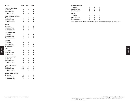|                          | <b>OFFENSE</b>                     | 2006             | 2007             | 2008                   | <b>WEAPONS POSSESSION*</b>                                                                      |
|--------------------------|------------------------------------|------------------|------------------|------------------------|-------------------------------------------------------------------------------------------------|
|                          | <b>SEX OFFENSES (FORCIBLE)</b>     |                  |                  |                        | $\boldsymbol{0}$<br>$\boldsymbol{0}$<br>$\boldsymbol{0}$<br>On campus                           |
|                          | On campus                          | $\pmb{0}$        | $\boldsymbol{0}$ | $\pmb{0}$              | $\boldsymbol{0}$<br>$\mathbf{1}$<br>$\overline{1}$<br>In residence halls                        |
|                          | In residence halls                 | $\boldsymbol{0}$ | $\mathbf{1}$     | $\pmb{0}$              | $\pmb{0}$<br>$\boldsymbol{0}$<br>$\pmb{0}$<br>On public property                                |
|                          | On public property                 | $\pmb{0}$        | 5                | $\pmb{0}$              | <b>ARRESTS</b>                                                                                  |
|                          |                                    |                  |                  |                        | $\boldsymbol{0}$<br>$\boldsymbol{0}$<br>On campus<br>$\mathbf 1$                                |
|                          | <b>SEX OFFENSES (NON-FORCIBLE)</b> |                  |                  |                        | $\boldsymbol{0}$<br>$\overline{1}$<br>In residence halls<br>$\mathbf{1}$                        |
|                          | On campus                          | $\mathbf{1}$     | $\pmb{0}$        | $\pmb{0}$              | $\mathbf 0$<br>$\pmb{0}$<br>0<br>On public property                                             |
|                          | In residence halls                 | $\mathbf{1}$     | $\boldsymbol{0}$ | $\pmb{0}$              |                                                                                                 |
|                          | On public property                 | $\pmb{0}$        | $\mathbf 0$      | $\pmb{0}$              | There were no reports of hate crimes for the above-mentioned areas during the reporting period. |
|                          | <b>ROBBERY</b>                     |                  |                  |                        |                                                                                                 |
|                          | On campus                          | 0                | $\pmb{0}$        | $\pmb{0}$              |                                                                                                 |
|                          | In residence halls                 | $\boldsymbol{0}$ | $\boldsymbol{0}$ | $\pmb{0}$              |                                                                                                 |
|                          | On public property                 | $\mathbf{0}$     | $\mathbf 0$      | $\overline{1}$         |                                                                                                 |
|                          | AGGRAVATED ASSAULT                 |                  |                  |                        |                                                                                                 |
|                          | On campus                          |                  | $\pmb{0}$        | $\pmb{0}$              |                                                                                                 |
|                          | In residence halls                 | $\pmb{0}$        | $\mathbf 0$      |                        |                                                                                                 |
|                          | On public property                 | $\overline{1}$   | $\mathbf 0$      | $\pmb{0}$<br>$\pmb{0}$ |                                                                                                 |
|                          |                                    |                  |                  |                        |                                                                                                 |
|                          | <b>BURGLARY</b>                    |                  |                  |                        |                                                                                                 |
|                          | On campus                          | $\pmb{0}$        | $\pmb{0}$        | $\overline{1}$         |                                                                                                 |
|                          | In residence halls                 | $\pmb{0}$        | $\pmb{0}$        | $\pmb{0}$              |                                                                                                 |
|                          | On public property                 | $\pmb{0}$        | $\mathbf 0$      | $\pmb{0}$              |                                                                                                 |
|                          | <b>ARSON</b>                       |                  |                  |                        |                                                                                                 |
| Enrollment<br>Management | On campus                          | $\pmb{0}$        | $\boldsymbol{0}$ | $\mathbf 0$            |                                                                                                 |
|                          | In residence halls                 | $\pmb{0}$        | $\boldsymbol{0}$ | $\pmb{0}$              |                                                                                                 |
|                          | On public property                 | $\mathbf{0}$     | $\mathbf 0$      | $\pmb{0}$              |                                                                                                 |
|                          |                                    |                  |                  |                        |                                                                                                 |
|                          | MOTOR VEHICLE THEFT                |                  |                  |                        |                                                                                                 |
|                          | On campus                          | $\pmb{0}$        | $\boldsymbol{0}$ | $\pmb{0}$              |                                                                                                 |
|                          | In residence halls                 | $\pmb{0}$        | $\boldsymbol{0}$ | $\boldsymbol{0}$       |                                                                                                 |
|                          | On public property                 | $\mathbf{0}$     | $\mathbf{0}$     | $\pmb{0}$              |                                                                                                 |
|                          | <b>LIQUOR LAW VIOLATIONS*</b>      |                  |                  |                        |                                                                                                 |
|                          | On campus                          | 11               | $\boldsymbol{0}$ | $\boldsymbol{9}$       |                                                                                                 |
|                          | In residence halls                 | 220              | $18$             | $\, 8$                 |                                                                                                 |
|                          | On public property                 | $\mathbf{1}$     | 3                | $\overline{1}$         |                                                                                                 |
|                          | DRUG-RELATED VIOLATIONS*           |                  |                  |                        |                                                                                                 |
|                          | On campus                          | $\boldsymbol{0}$ | $\pmb{0}$        | $\pmb{0}$              |                                                                                                 |
|                          | In residence halls                 | $32\,$           | $\,6\,$          | $\sqrt{5}$             |                                                                                                 |
|                          | On public property                 | $\overline{5}$   | 3                | $\mathbf 0$            |                                                                                                 |
|                          |                                    |                  |                  |                        |                                                                                                 |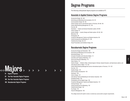# $\text{Majors.} \rightarrow \text{S} \rightarrow \text{S}$

- 81 Degree Programs
- 82 Two-Year Associate Degree Programs
- 100 One-Year Associate Degree Programs
- 108 Baccalaureate Degree Programs

## Degree Programs

The following undergraduate degree programs are available at FIT.

## Associate in Applied Science Degree Programs

Accessories Design 82, 100 Advertising and Marketing Communications 83, 101 Communication Design 84, 102 Fashion Design (and an international option in Florence) 85–86, 103 Fashion Merchandising Management 87, 104 Fine Arts 88 Illustration — Fashion and General Illustration options 89–90 Interior Design 91 Jewelry Design — Jewelry Design and Studio options 92–93, 105 Menswear 94 Photography 95 Production Management: Fashion and Related Industries 96 Textile Development and Marketing 97, 106 Textile/Surface Design 98, 107 Visual Presentation and Exhibition Design 99

## Baccalaureate Degree Programs

Accessories Design and Fabrication 108 Advertising and Marketing Communications 109 Advertising Design 110 Computer Animation and Interactive Media 111 Cosmetics and Fragrance Marketing 112 Direct and Interactive Marketing 113 Fabric Styling 114 Fashion Design — Children's Wear, Intimate Apparel, Knitwear, Special Occasion, and Sportswear options, and International option in Milan 115–120 Fashion Merchandising Management (and an international option in Florence) 121–122 Fine Arts 123 Graphic Design 124 Home Products Development 125 Illustration 126 Interior Design 127 International Trade and Marketing for the Fashion Industries 128 Packaging Design 129 Photography and the Digital Image 130 Production Management: Fashion and Related Industries 131 Technical Design 132 Textile Development and Marketing 133 Textile/Surface Design 134 Toy Design 135 Visual Art Management 136

The college reserves the right to review or amend any course and/or program requirements.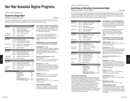## Two-Year Associate Degree Programs

ASSOCIATE DEGREE PROGRAM (AAS)

## Accessories Design Major

Applications accepted for fall only. Applications accepted for fall only.

The major in Accessories Design offers qualified students the opportunity to prepare for positions as designers, product development personnel, stylists, and patternmakers of leather and other accessories products.

| <b>Semester 1</b>         |                                      |                                                                                                                                | <b>Credits</b>       |
|---------------------------|--------------------------------------|--------------------------------------------------------------------------------------------------------------------------------|----------------------|
| MAJOR AREA                | LD 111<br>LD 121<br>LD 133<br>LD 143 | Leather and Materials Technology<br>Anatomy for Accessories<br>Footwear Design/Construction I<br>Handbag Design/Construction I | 2.5<br>1.5<br>3<br>3 |
| RELATED AREA              | FA 113                               | Design I: 2D and Color G6                                                                                                      | 1.5                  |
| LIBERAL ARTS              | choice                               | see Requirements*                                                                                                              | 6                    |
| <b>Semester 2</b>         |                                      |                                                                                                                                |                      |
| MAJOR AREA                | LD 113<br>LD 134<br>LD 144           | <b>Manipulating Leather</b><br><b>Footwear Design/Construction II</b><br>Handbag Design/Construction II                        | 1.5<br>3<br>3        |
| RELATED AREA              | <b>FA 114</b><br>PH 272              | Design II: 3D Form and Structure G6 1.5<br>Photoshop I for Photographers                                                       | 2                    |
| LIBERAL ARTS              | choice                               | see Requirements*                                                                                                              | 6                    |
| <b>Semester 3</b>         |                                      |                                                                                                                                |                      |
| MAJOR AREA                | LD 231<br>LD 253<br>LD 262           | Boot Patternmaking/Construction<br><b>Designing Desk Accessories</b><br>Technical Spec/Black Line Dwg.                         | 1.5<br>2<br>1.5      |
| RELATED AREA              | IL 321                               | Digital Sketching and Comping                                                                                                  | 1.5                  |
| LIBERAL ARTS              | choice                               | see Requirements*                                                                                                              | 6                    |
| <b>Semester 4</b>         |                                      |                                                                                                                                |                      |
| MAJOR AREA                | ID 242<br>LD 243<br>LD 263           | <b>Advanced Handbag Construction</b><br>Belt Design and Patternmaking<br><b>Marker Rendering for Accessories</b>               | 1.5<br>1.5<br>2.5    |
| <b>LIBERAL ARTS</b>       | choice                               | see Requirements*                                                                                                              | 6                    |
| <b>ELECTIVE</b>           | choice                               | General elective                                                                                                               | $2 - 3$              |
| TOTAL CREDIT REQUIREMENTS |                                      |                                                                                                                                |                      |

#### MAJOR AREA 28 RELATED AREA 6.5 LIBERAL ARTS 24 ELECTIVE 2-3 HEALTH AND/OR PHYS. ED 2 TOTAL Minimum Required 62.5

#### **SUNY GENERAL EDUCATION REQUIREMENTS**

A "G" followed by a number 1-10 identifies specific courses that meet SUNY General Education baccalaureate degree requirements (see pages 31–38 or visit www.fitnyc.edu/gened).

G1 Basic Communication; G2 Math; G3 Science; G4 Social Science; G5 Western Civilization; G6 Arts; G7 Humanities; G8 Foreign Language; G9 Other World Civilizations; G10 American History.

#### **\*REQUIREMENTS: See below (also see pages 29–31 for college liberal arts requirements).**

#### **English/Speech**: 6 credits

EN 121 (G1) (Prerequisite: College-level English as demonstrated by placement test OR completion of appropriate Educational Skills courses) and CHOICE of EN 231, 232, 233, 236, 241, 242, 244, 245, or 253.

#### **History of Art and Civilization**: 6 credits HA 112 (G5), and CHOICE of HA 111, 121, 221, 223, 224, 225, 226,

231, 311, or 314 (any one of these meets G7).

#### **Mathematics**: 3-3.5 credits

Graduation requirement: Arithmetic proficiency as demonstrated by placement test OR completion of appropriate developmental mathematics course(s). CHOICE of MA 131, 161, 213, 222, 242, or 331 (any one of these meets G2).

#### **Science**: 3-5 credits

CHOICE of SC 111, 112, 121, 122, 045/145, 253, 326, or 032/332 (any one of these meets G3).

#### **Social Sciences**: 6 credits

CHOICE of two: SS 131, 141, 151, or 171 (any one of these meets G4).

#### **UPPER DIVISION ALTERNATIVE**

Graduates of this program are eligible to apply for admission to the Bachelor of Fine Arts major in Accessories Design and Fabrication (page 108).

|  | <b>Advertising and Marketing Communications Major</b> |  |
|--|-------------------------------------------------------|--|

ASSOCIATE DEGREE PROGRAM (AAS)

Applications accepted for fall and spring. The set of the set of the set of the set of the set of the set of the set of the set of the set of the set of the set of the set of the set of the set of the set of the set of the

The major in Advertising and Marketing Communications offers qualified students preparation for careers in advertising (other than art and design), publicity, public relations, corporate communications, direct marketing, promotion, media production, and journalism. Career opportunities are found in retail and wholesale organizations, advertising agencies, and publicity and public relations firms, as well as with publications and other media.

| <b>Semester 1</b>                |                            |                                                                                                              | <b>Credits</b>                                |
|----------------------------------|----------------------------|--------------------------------------------------------------------------------------------------------------|-----------------------------------------------|
| <b>MAJOR AREA</b>                | AC 111<br>AC 161           | <b>Advertising and Promotion</b><br>Multimedia Computing                                                     | 3<br>2                                        |
| RELATED AREA                     | CD 122<br><b>FM 114</b>    | Digital Layout I<br>Intro. to the Fashion Industry                                                           | 2<br>3                                        |
| <b>LIBERAL ARTS</b>              | <b>EN 121</b><br>choice    | <b>English Composition G1</b><br>see Requirements*                                                           | 3<br>3                                        |
| <b>Semester 2</b>                |                            |                                                                                                              |                                               |
| <b>MAJOR AREA</b>                | AC 113<br>AC 141<br>AC 171 | <b>Strategic Planning for IMC</b><br>Journalism<br><b>Mass Communications</b>                                | 3<br>3<br>3                                   |
| <b>LIBERAL ARTS</b>              | choice                     | see Requirements*                                                                                            | 6                                             |
| <b>Semester 3</b>                |                            |                                                                                                              |                                               |
| MAJOR AREA                       | AC 221<br>AC 272           | <b>Publicity Workshop</b><br>Research Methods in IMC                                                         | 3<br>3                                        |
| RELATED AREA                     | DM 211                     | Workshop in Direct Marketing                                                                                 | 3                                             |
| <b>LIBERAL ARTS</b>              | choice<br>choice           | see Requirements*<br>see American History* G10                                                               | 3<br>3                                        |
| Semester 4                       |                            |                                                                                                              |                                               |
| MAJOR AREA                       | AC 231<br>AC 271<br>choice | <b>Advertising Copywriting</b><br><b>Audiences and Media</b><br>see Major Area elective**                    | 3<br>3<br>$3 - 4$                             |
| <b>LIBERAL ARTS</b>              | SS 141<br>choice           | Macroeconomics G4<br>see Requirements*                                                                       | 3<br>3                                        |
| <b>ELECTIVE</b>                  | choice                     | General elective                                                                                             | $2 - 3$                                       |
| <b>TOTAL CREDIT REQUIREMENTS</b> |                            |                                                                                                              |                                               |
|                                  |                            | <b>MAJOR AREA</b><br><b>RELATED AREA</b><br><b>LIBERAL ARTS</b><br><b>ELECTIVE</b><br>HEALTH AND/OR PHYS. ED | 29-30<br>8<br>24<br>$2 - 3$<br>$\overline{c}$ |

Graduates of this program are eligible to apply for admission to the Bachelor of Science programs in Advertising and Marketing Communications (page 109), Cosmetics and Fragrance Marketing (page 112), Direct and Interactive Marketing (page 113), Production Management: Fashion and Related Industries (page 131), and Textile Development and Marketing (page 133). By completing certain course requirements, graduates may also apply for admission to the Bachelor of Science programs in Fashion Merchandising Management (page 121), Home Products Development (page 125), and International Trade and Marketing

**UPPER DIVISION ALTERNATIVES**

for the Fashion Industries (page 128).

TOTAL Minimum Required 65

#### **SUNY GENERAL EDUCATION REQUIREMENTS**

A "G" followed by a number 1-10 identifies specific courses that meet SUNY General Education baccalaureate degree requirements (see pages 31–38 or visit www.fitnyc.edu/gened).

G1 Basic Communication; G2 Math; G3 Science; G4 Social Science; G5 Western Civilization; G6 Arts; G7 Humanities; G8 Foreign Language; G9 Other World Civilizations; G10 American History.

#### **\*REQUIREMENTS: See below (also see pages 29–31 for college liberal arts requirements).**

#### **American History**: 3 credits

CHOICE of EN 271, 272, 274, LA 221, or 392 (any one of these meets G10).

#### **English/Speech**: 6 credits

EN 121 (G1) (Prerequisite: College-level English as demonstrated by placement test OR completion of appropriate Educational Skills courses), and CHOICE of EN 241, 242, 243, 244, 245, or 341.

#### **History of Art and Civilization**: 3 credits HA 112 (G5).

#### **Mathematics**: 3-3.5 credits

Graduation requirement: Arithmetic proficiency as demonstrated by placement test OR completion of appropriate developmental mathematics course(s). CHOICE of MA 131, 161, 213, 222, or 331 (any one of these meets G2).

#### **Science:** 3-5 credits

CHOICE of SC 111, 112, 121, 122, 045/145, or 032/332 (any one of these meets G3).

#### **Social Sciences**: 3 credits

CHOICE of SS 131, 151, or 171 (any one of these meets G4).

#### **\*\*MAJOR AREA ELECTIVE**

CHOICE of AC 211, 232, 242, 262, or IC 298.

#### **EVENING/WEEKEND OPTION**

A 4-semester evening/weekend option is available for this degree program (see pages 26–27 or visit the FIT website at www.fitnyc.edu/evening\_weekend). The sequence of courses is the same as that listed on this page.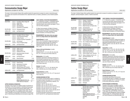## Communication Design Major

Applications accepted for fall only. The set of the set of the set of the set of the set of the set of the set of the set of the set of the set of the set of the set of the set of the set of the set of the set of the set o

The major in Communication Design offers qualified students the opportunity to prepare for careers in advertising agencies, graphic and corporate communications firms, department stores, art studios, publications, and as freelance graphic designers.

| <b>Semester 1</b>   |                                      |                                                                                                                                       | <b>Credits</b>                    |
|---------------------|--------------------------------------|---------------------------------------------------------------------------------------------------------------------------------------|-----------------------------------|
| MAJOR AREA          | CD 111<br>CD 121<br>CD 122           | Foundation I/Basic Design G6<br><b>Studio Skills</b><br>Digital Layout I                                                              | 3<br>1.5<br>2                     |
|                     | CD 131                               | <b>Color Workshop</b>                                                                                                                 | 1.5                               |
|                     | CD 171                               | Introduction to Typography                                                                                                            | 1.5                               |
| <b>RELATED AREA</b> | PH 116                               | <b>Photography Basics</b>                                                                                                             | $\overline{2}$                    |
| LIBERAL ARTS        | choice                               | see Requirements*                                                                                                                     | 6                                 |
| <b>Semester 2</b>   |                                      |                                                                                                                                       |                                   |
| MAJOR AREA          | CD 112<br>CD 113<br>CD 132<br>CD 172 | Foundation II/Comm. Design<br><b>Three-Dimensional Design</b><br><b>Creative Process</b><br>Computer Drawing & Typography             | 3<br>1.5<br>1.5<br>$\overline{2}$ |
| <b>RELATED AREA</b> | FA 131<br>GD 232                     | Life Drawing I<br>Survey of Graphic Design                                                                                            | 1.5<br>3                          |
| LIBERAL ARTS        | choice                               | see Requirements*                                                                                                                     | 6                                 |
| Semester 3          |                                      |                                                                                                                                       |                                   |
| MAJOR AREA          | CD 222<br>CD 251<br>CD 271           | Digital Layout II<br>Digital Imagery<br>Designing with Type                                                                           | 2<br>1.5<br>1.5                   |
| <b>RELATED AREA</b> | AD 213<br>FA 171                     | <b>Advertising Design Concepts</b><br>Printmaking I                                                                                   | 3<br>1.5                          |
| LIBERAL ARTS        | choice                               | see Requirements*                                                                                                                     | 6                                 |
| <b>ELECTIVE</b>     | choice                               | General elective                                                                                                                      | $1.5 - 3$                         |
| Semester 4          |                                      |                                                                                                                                       |                                   |
| <b>MAJOR AREA</b>   | CD 231                               | <b>Visual Process</b>                                                                                                                 | 1.5                               |
| RELATED AREA        | AC 201<br>GD 214<br>GD 243<br>PK 211 | <b>Advertising &amp; Promotion</b><br>The Corporate Image<br><b>Website Design and Production</b><br>Introduction to Packaging Design | 2<br>3<br>$\overline{2}$<br>1.5   |
| LIBERAL ARTS        | choice                               | see Requirements*                                                                                                                     | 6                                 |

#### **TOTAL CREDIT REQUIREMENTS**

Majors

| <b>MAJOR AREA</b>             | 24        |
|-------------------------------|-----------|
| <b>RELATED AREA</b>           | 19.5      |
| LIBERAL ARTS                  | 24        |
| <b>ELECTIVE</b>               | $1.5 - 3$ |
| HEALTH AND/OR PHYS. ED        | 2         |
| <b>TOTAL Minimum Required</b> | 71        |
|                               |           |

#### **UPPER DIVISION ALTERNATIVES**

Graduates of this program are eligible to apply for admission to the Bachelor of Fine Arts programs in Advertising Design (page 110), Computer Animation and Interactive Media (page 111), Graphic Design (page 124), Packaging Design (page 129), and Toy Design (page 135). By completing certain course requirements, graduates may also apply to the Bachelor of Science program in Advertising and Marketing Communications (page 109).

#### **SUNY GENERAL EDUCATION REQUIREMENTS**

A "G" followed by a number 1-10 identifies specific courses that meet SUNY General Education baccalaureate degree requirements (see pages 31–38 or visit www.fitnyc.edu/gened).

G1 Basic Communication; G2 Math; G3 Science; G4 Social Science; G5 Western Civilization; G6 Arts; G7 Humanities; G8 Foreign Language; G9 Other World Civilizations; G10 American History.

**\*REQUIREMENTS: See below (also see pages 29–31 for college liberal arts requirements).**

#### **English/Speech**: 6 credits

EN 121 (G1) (Prerequisite: College-level English as determined by placement test OR completion of appropriate Educational Skills courses), and CHOICE of EN 231, 232, 233, 236, 241, 242, 244, 245, or 253.

**History of Art and Civilization**: 6 credits HA 112 (G5), and CHOICE of HA 111, 121, 221, 223, 224, 225, 226, 231, 311, or 314 (any one of these meets G7).

#### **Mathematics**: 3-3.5 credits

Graduation requirement: Arithmetic proficiency as demonstrated by placement test OR completion of appropriate developmental mathematics course(s). CHOICE of MA 131, 161, 213, 222, 242, or 331 (any one of these meets G2).

#### **Science**: 3-5 credits

CHOICE of SC 111, 112, 121, 122, 045/145, 253, 326, or 032/332 (any one of these meets G3).

#### **Social Sciences**: 6 credits

CHOICE of two: SS 131, 141, 151, or 171 (any one of these meets G4).

#### **EVENING/WEEKEND OPTION**

A 6-semester evening/weekend option is available for this degree program (see pages 26–27 or visit the FIT website at www.fitnyc.edu/evening\_weekend). The sequence of courses is: Semester 1: CD 111, CD 122, CD 171 Semester 2: CD 112, CD 121, CD 131, EN 121 Semester 3: CD 113, CD 132, CD 172, FA 131, PH 116 Semester 4: CD 222, CD 251, FA 171, GD 232 Semester 5: CD 231, CD 271, AD 213, GD 243, SS 131 Semester 6: AC 201, GD 214, PK 211 For physical education and liberal arts courses (except EN 121 and SS 131), see Requirements listed above.

ASSOCIATE DEGREE PROGRAM (AAS)

## Fashion Design Major

Applications accepted for fall and spring. The set of the set of the set of the set of the set of the set of the set of the set of the set of the set of the set of the set of the set of the set of the set of the set of the

The major in Fashion Design offers qualified students the opportunity to prepare for positions as designers, assistant designers, technical designers, stylists, or fashion executives.

| Semester 1                   |                                                          |                                                                                                                                                                                                                                                            | <b>Credits</b>                   |
|------------------------------|----------------------------------------------------------|------------------------------------------------------------------------------------------------------------------------------------------------------------------------------------------------------------------------------------------------------------|----------------------------------|
| MAJOR AREA                   | FD 111<br>FD 121<br>FD 131<br>FF 111<br>FF 114           | Draping I: Fundamentals<br>Flat Pattern Design I<br>Sewing Techniques I<br>Fashion Art and Design I<br>Model Drawing I for Fashion Des.                                                                                                                    | 3<br>1.5<br>1.5<br>2<br>1        |
| RELATED AREA<br>LIBERAL ARTS | FA 105<br><b>EN 121</b><br>choice                        | Life Drawing G6<br><b>English Composition G1</b><br>see Mathematics* G2                                                                                                                                                                                    | 1.5<br>3<br>$3 - 3.5$            |
| <b>Semester 2</b>            |                                                          |                                                                                                                                                                                                                                                            |                                  |
| MAJOR AREA                   | FD 112<br>FD 132<br>FD 221<br>FF 112<br>FF 241           | Draping II: Const. Silhouettes<br>Sewing Techniques II<br>Flat Pattern Design II<br>Fashion Art and Design II<br>Fashion Design Comp.: Photoshop                                                                                                           | 3<br>1.5<br>1.5<br>2<br>1.5      |
| RELATED AREA                 | <b>TS 132</b>                                            | Intro. to Textiles for Fashion Designers                                                                                                                                                                                                                   | 3                                |
| LIBERAL ARTS                 | choice<br>choice                                         | see Science* G3<br>see English/Speech*                                                                                                                                                                                                                     | $3 - 5$<br>3                     |
| <b>Semester 3</b>            |                                                          |                                                                                                                                                                                                                                                            |                                  |
| <b>MAJOR AREA</b>            | FD 211<br>FF 211<br>FF 221<br>FF 242                     | Draping III: Soft Silhouettes<br><b>Fashion Art and Design III</b><br><b>Fashion Past and Present</b><br>Fashion Design Comp.: Illustrator                                                                                                                 | 3<br>2<br>2<br>1.5               |
| LIBERAL ARTS                 | <b>HA112</b><br>choice                                   | History of Western Art & Civ. G5<br>see Social Sciences* G4                                                                                                                                                                                                | 3<br>3                           |
| PE/HEALTH                    | choice                                                   | PE/Health                                                                                                                                                                                                                                                  | 1                                |
| Semester 4                   |                                                          |                                                                                                                                                                                                                                                            |                                  |
| MAJOR AREA<br><sub>or</sub>  | FD 212<br>FD 241<br>FF 212<br>FF 243<br>FD 241<br>FF 213 | <b>Apparel Concentration:</b><br>Draping IV: Advanced Techniques<br>Apparel Product Data Mgmt.<br>Fashion Art and Design IV<br><b>Digital Flats and Specs</b><br><b>Art Concentration:</b><br>Apparel Product Data Mgmt.<br>Model Visualization Techniques | 3<br>1.5<br>2<br>1.5<br>1.5<br>1 |
|                              | FF 243<br>FF 244<br>FF 291                               | <b>Digital Flats and Specs</b><br>Design Collections: Vis. Solutions<br><b>Fashion Portfolio Collection</b>                                                                                                                                                | 1.5<br>1.5<br>2                  |
| LIBERAL ARTS<br>ELECTIVE     | choice<br>choice<br>choice                               | see Social Sciences*<br>see Humanities* G7<br>General elective                                                                                                                                                                                             | 3<br>3<br>$1 - 2.5$              |
| PE/HEALTH                    | choice                                                   | PE/Health                                                                                                                                                                                                                                                  | 1                                |
| TOTAL CREDIT REQUIREMENTS    |                                                          |                                                                                                                                                                                                                                                            |                                  |
|                              |                                                          | MAJOR ARFA (APPARFI)                                                                                                                                                                                                                                       | 35                               |

or MAJOR AREA (ART) 34.5 RELATED AREA 4.5 LIBERAL ARTS 24-26.5 ELECTIVE 1-2.5 HEALTH AND/OR PHYS.ED. 2 TOTAL Minimum Required APPAREL 66.5 ART 66

#### **SUNY GENERAL EDUCATION REQUIREMENTS**

A "G" followed by a number 1-10 identifies specific courses that meet SUNY General Education baccalaureate degree requirements (see pages 31–38 or visit www.fitnyc.edu/gened).

G1 Basic Communication; G2 Math; G3 Science; G4 Social Science; G5 Western Civilization; G6 Arts; G7 Humanities; G8 Foreign Language; G9 Other World Civilizations; G10 American History.

**\*REQUIREMENTS: See below (also see pages 29–31 for college liberal arts requirements).**

#### **English/Speech:** 6 credits

EN 121 (G1) (Prerequisite: College-level English as demonstrated by placement test OR completion of appropriate Educational Skills courses) and CHOICE of EN 231, 232, 233, 236, 241, 242, 244, 245, or 253.

#### **Humanities**: 3 credits

CHOICE of HA 111, 214, 221, 223, 224, 225, 226, 231, 311, 312, 314, 331, 332, 342, 343, 344, 345, 391, 392, or 393 (any one of these meets G7).

#### **Mathematics**: 3-3.5 credits

Graduation requirement: Arithmetic proficiency as demonstrated by placement test OR completion of appropriate developmental mathematics course(s). CHOICE of MA 131, 161, 213, 222, 242, or 331 (any one of these meets G2).

#### **Science**: 3-5 credits

CHOICE of SC 111, 112, 121, 122, 045/145, 253, 326, or 032/332 (any one of these meets G3).

#### **Social Sciences**: 6 credits

CHOICE of two: SS 131, 141, 151, or 171 (any one of these meets G4).

#### **EVENING/WEEKEND OPTION**

A 6-semester (plus Winter and Summer) evening/weekend option is available for this degree program (see pages 26–27 or visit the FIT website at www.fitnyc.edu/evening\_weekend).

#### **UPPER DIVISION ALTERNATIVES**

Graduates of this program are eligible to apply for admission to the Bachelor of Fine Arts programs in Fashion Design (pages 115–120), Fabric Styling (page 114), Textile/Surface Design (page 134), and Toy Design (page 135), and the Bachelor of Science programs in Production Management: Fashion and Related Industries (page 131), Technical Design (page 132), and Textile Development and Marketing (page 133).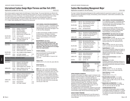## International Fashion Design Major/Florence and New York (IFDF)

Applications accepted for fall only. The set of the set of the set of the set of the set of the set of the set of the set of the set of the set of the set of the set of the set of the set of the set of the set of the set o

This overseas academic program leads to the AAS degree in Fashion Design. The courses listed below are offered in the IFDF program in Florence. Students may attend this overseas program for one year by spending semesters 1 and 2 in New York and semesters 3 and 4 in Florence, or by spending semesters 1 and 2 in Florence and semesters 3 and 4 in New York. Refer to the Fashion Design AAS degree requirements on page 85 and to the department's website at www.fitnyc.edu/fashiondesign for courses to be taken in New York and for other information. Students must complete IT 111–Italian I before attending IFDF in Florence for the second year.

|                   | One Year in Florence - Semesters 1 and 2 |                                            |                |  |
|-------------------|------------------------------------------|--------------------------------------------|----------------|--|
| Semester 1        |                                          |                                            | <b>Credits</b> |  |
| MAJOR AREA        | FD 111                                   | Draping I: Fundamentals                    | 3              |  |
|                   | FD 121                                   | Flat Pattern Design I                      | 1.5            |  |
|                   | FD 131                                   | Sewing Techniques I                        | 1.5            |  |
|                   | FF 111                                   | <b>Fashion Art and Design I</b>            | 2              |  |
|                   | FF 114                                   | Model Drawing I for Fashion Des.           | 1              |  |
| RELATED AREA      | FA 105                                   | Life Drawing G6                            | 1.5            |  |
| LIBERAL ARTS      | HA 112                                   | History of Western Art & Civ. G5           | 3              |  |
|                   | choice                                   | see Foreign Language* G8                   | $3 - 3.5$      |  |
| 0r                |                                          | see Social Sciences*                       | 3              |  |
| <b>Semester 2</b> |                                          |                                            |                |  |
| <b>MAJOR AREA</b> | FD 112                                   | Draping II: Const. Silhouettes             | 3              |  |
|                   | FD 132                                   | Sewing Techniques II                       | 1.5            |  |
|                   | FD 221                                   | Flat Pattern Design II                     | 1.5            |  |
|                   | FF 112                                   | <b>Fashion Art and Design II</b>           | 2              |  |
|                   | FF 241                                   | Fashion Design Comp.: Photoshop            | 1.5            |  |
| RELATED AREA      | <b>TS 132</b>                            | Intro. to Textiles for Fashion Designers 3 |                |  |
| LIBERAL ARTS      | choice                                   | see Foreign Language*                      | $3 - 3.5$      |  |
|                   | choice                                   | see History of Art & Civ.* G7              | 3              |  |
|                   |                                          | One Year in Florence - Semesters 3 and 4   |                |  |
| Semester 3        |                                          |                                            |                |  |

**Majors** 

| Semester 3   |                  |                                                              |          |
|--------------|------------------|--------------------------------------------------------------|----------|
| MAJOR AREA   | FD 211           | Draping III: Soft Silhouettes                                | 3        |
|              | FF 211           | <b>Fashion Art and Design III</b>                            | 2        |
|              | FF 221           | <b>Fashion Past and Present</b>                              | 2        |
|              | FF 242           | Fashion Design Comp.: Illustrator                            | 1.5      |
| LIBERAL ARTS | HA 112<br>choice | History of Western Art & Civ. G5<br>see Foreign Language* G8 | 3<br>3.5 |
| Semester 4   |                  |                                                              |          |
| MAJOR AREA   | FD 212           | Draping IV: Advanced Techniques                              | 3        |
|              | FD 241           | Apparel Product Data Mgmt.                                   | 1.5      |
|              | FF 212           | <b>Fashion Art and Design IV</b>                             | 2        |
|              | FF 243           | Digital Flats and Specs                                      | 1.5      |
|              |                  |                                                              |          |

LIBERAL ARTS HA 212 Renaissance Art 3 ELECTIVE choice General elective 1-2.5

choice see Foreign Language\* 3-3.5

A "G" followed by a number 1-10 identifies specific courses that meet SUNY General Education baccalaureate degree requirements (see pages 31–38 or visit www.fitnyc.edu/gened).

**SUNY GENERAL EDUCATION REQUIREMENTS**

G1 Basic Communication; G2 Math; G3 Science; G4 Social Science; G5 Western Civilization; G6 Arts; G7 Humanities; G8 Foreign Language; G9 Other World Civilizations; G10 American History.

#### **\*REQUIREMENTS: See below. Please note that these requirements vary depending on the length of study in Italy. See Fashion Design Department for more specific information. (Also see pages 29–31 for college liberal arts requirements.)**

#### **Foreign Language**:

IT 111, IT 112, IT 213, or IT 214 (can take the place of Social Science requirement) (G8) IT 122 (does NOT meet G8) NOTE: IT 111 must be taken in 1st year for 2nd year of IFD.

#### **History of Art**:

CHOICE of HA 112, 212, 342, 344, and/or 392 (G7).

#### **Social Sciences**:

SS 151 and/or SS 171.

**NOTE**: EN 121 (G1), choice of English/Speech, Mathematics (G2), Science (G3), and PE/Health, normally taken in 1st semester in New York, must be made up in 2nd year for students attending IFDF for 1st year. However, students will already have taken HA 112, choice of Social Science and 1 Italian course, which substitutes for the 2nd Social Science, and a choice of History of Art: HA 112, 212, 342, 344, and/or 392, all not normally taken until 2nd year in New York.

ASSOCIATE DEGREE PROGRAM (AAS)

## Fashion Merchandising Management Major

Applications accepted for fall and spring. The set of the set of the set of the set of the set of the set of the set of the set of the set of the set of the set of the set of the set of the set of the set of the set of the

The major in Fashion Merchandising Management offers qualified students the opportunity to prepare for careers with retail and wholesale organizations in buying, merchandising, product development, creative fashion presentations, sales, management, or marketing.

#### **Semester 1 Credits** MAJOR AREA FM 114 Intro. to the Fashion Industry 3 FM 116 Fashion Business Practices 3 RELATED AREA AC 111 Advertising and Promotion 3 MG 153 Excel for Business 2 LIBERAL ARTS choice see Requirements\* 6 **Semester 2** MAJOR AREA FM 117 Introduction to Fashion Marketing 3 FM 262 Contemporary Retail Management 3 choice See Major Area alternatives\*\*\* 3 LIBERAL ARTS choice see Requirements\* 9 **Semester 3** MAJOR AREA FM 224 Merchandising Math Apps. 3 FM 268 Team Development Workshop 2.5<br>choice See Maior Area alternatives\*\*\* 3-4 choice See Major Area alternatives\*\*\* RELATED AREA TS 111 Fundamentals of Textiles 3 choice see Related Area elective\*\* 1.5-4 LIBERAL ARTS choice see Requirements\* 3 **Semester 4** MAJOR AREA FM 225 Fashion Merchandising 3 FM 244 Product Development 3 LIBERAL ARTS MA 222 Statistical Analysis 3.5 choice see Requirements\* 3 ELECTIVE choice see Arts\* G6 3 **TOTAL CREDIT REQUIREMENTS**

| <b>MAJOR AREA</b>             | 29.5-30.5  |
|-------------------------------|------------|
| <b>RELATED AREA</b>           | $9.5 - 12$ |
| LIBERAL ARTS                  | 24.5       |
| <b>ELECTIVE</b>               | 3          |
| <b>HEALTH AND/OR PHYS.ED</b>  | 2          |
| <b>TOTAL Minimum Required</b> | 68.5       |

#### **UPPER DIVISION ALTERNATIVE**

Graduates of this program are eligible to apply for admission to the Bachelor of Fine Arts program in Fabric Styling (page 114), and the Bachelor of Science programs in Cosmetics and Fragrance Marketing (page 112), Direct and Interactive Marketing (page 113), Fashion Merchandising Management (pages 121–122), Home Products Development (page 125), International Trade and Marketing for the Fashion Industries (page 128), Production Management: Fashion and Related Industries (page 131), and Textile Development and Marketing (page 133).

By completing certain course requirements, graduates may also apply to the Bachelor of Science programs in Advertising and Marketing Communications (page 109) and Technical Design (page 132).

#### **ONLINE DEGREE PROGRAM**

The Fashion Merchandising Management 2-year AAS program is also offered online (see www.fitnyc.edu/onlinelearning for a list of **86** Majors course offerings). Majors **87**

#### **SUNY GENERAL EDUCATION REQUIREMENTS**

A "G" followed by a number 1-10 identifies specific courses that meet SUNY General Education baccalaureate degree requirements (see pages 31–38 or visit www.fitnyc.edu/gened).

G1 Basic Communication; G2 Math; G3 Science; G4 Social Science; G5 Western Civilization; G6 Arts; G7 Humanities; G8 Foreign Language; G9 Other World Civilizations; G10 American History.

#### **\*REQUIREMENTS: See below (also see pages 29–31 for college liberal arts requirements).**

#### **American History**: 3 credits

CHOICE of EN 271, 272, 274, 335, HA 314, LA 221, LA 392, or any other course which meets the American History Gen. Ed. requirement (G10).

#### **Arts**: 3 credits

CHOICE of EN 251, 262, 361, HA 214, HP 231, LA 211, or LA 321 (any one of these meets G6).

#### **English/Speech**: 6 credits

EN 121 (G1) (Prerequisite: College-level English as demonstrated by placement test OR completion of appropriate Educational Skills courses), and CHOICE of EN 231, 232, 233, or 236 before the fourth semester.

#### **History of Art and Civilization**: 3 credits HA 112 (G5).

#### **Mathematics**: 3.5 credits

Graduation requirement: Arithmetic proficiency as demonstrated by placement test OR completion of appropriate developmental mathematics course(s). MA 222 (G2).

#### **Science**: 3-5 credits

CHOICE of SC 111, 112, 121, 122, 045/145, 032/332, or 253 (any one of these meets G3).

#### **Social Sciences**: 6 credits SS 141 (G4), and

CHOICE of SS 131, 151, or 171.

**\*\*RELATED AREA ELECTIVES:** 1.5-4 credits CHOICE of AC 221, AR 101, AR 115, DE 101, HD 111, HP 201, IC 298, ID 103, JD 101, PH 116, PH 162, or SD 112.

#### **\*\*\*MAJOR AREA ALTERNATIVES:** 6-7 credits CHOICE of two of the following courses: FM 144, 212, 213, 222, 223, 226, 231, 251, 491.

#### **EVENING/WEEKEND OPTION**

A 4-semester evening/weekend option is available for this degree program (see pages 26–27 or visit the FIT website at www.fitnyc.edu/evening\_weekend). The sequence of courses is the same as that listed on this page.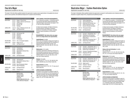## Fine Arts Major

Applications accepted for fall only. The set of the set of the set of the set of the set of the set of the set of the set of the set of the set of the set of the set of the set of the set of the set of the set of the set o

The major in Fine Arts offers qualified students the opportunity to explore career opportunities in the applied arts and prepare to work as painters with additional background in sculpture and printmaking.

| <b>Semester 1</b>                |                                                             |                                                                                                            | <b>Credits</b>                |
|----------------------------------|-------------------------------------------------------------|------------------------------------------------------------------------------------------------------------|-------------------------------|
| MAJOR AREA                       | FA 113<br><b>FA114</b><br>FA 131<br>FA 141<br>FA 151        | Design I: 2D and Color<br>Design II: 3D Form and Structure<br>Life Drawing I<br>Drawing I G6<br>Painting I | 1.5<br>1.5<br>1.5<br>1.5<br>3 |
| <b>LIBERAL ARTS</b>              | <b>HA112</b><br>choice                                      | History of Western Art & Civ. G5<br>see Requirements*                                                      | 3<br>3                        |
| <b>Semester 2</b>                |                                                             |                                                                                                            |                               |
| MAJOR AREA                       | FA 132<br>FA 142<br>FA 152<br>FA 161<br><b>FA171</b>        | Life Drawing II G6<br>Drawing II<br>Painting II<br>Sculpture I<br>Printmaking I                            | 1.5<br>1.5<br>3<br>3<br>1.5   |
| RELATED AREA                     | CG 111                                                      | Intro. to Computer Graphics                                                                                | 1                             |
| <b>LIBERAL ARTS</b>              | HA 231<br>choice                                            | Modern Art G7<br>see Requirements*                                                                         | 3<br>3                        |
| <b>Semester 3</b>                |                                                             |                                                                                                            |                               |
| MAJOR AREA                       | <b>FA172</b><br>FA 231<br>FA 251<br><b>FA 252</b><br>FA 261 | Printmaking II<br>Life Drawing III<br>Approaches to Abstract Ptg. I<br>Painting III<br>Sculpture II        | 1.5<br>1.5<br>3<br>3<br>3     |
| <b>LIBERAL ARTS</b>              | choice                                                      | see Requirements*                                                                                          | 6                             |
| <b>Semester 4</b>                |                                                             |                                                                                                            |                               |
| MAJOR AREA                       | FA 232<br>FA 253<br><b>FA 254</b>                           | Life Drawing IV<br>Approaches to Abstract Ptg. II<br>Painting IV                                           | 1.5<br>3<br>3                 |
| RELATED AREA                     | PH 003<br>PH 103                                            | <b>Basic Photography Studio</b><br><b>Basic Photography</b>                                                | 0<br>$\overline{2}$           |
| LIBERAL ARTS                     | choice                                                      | see Requirements*                                                                                          | 6                             |
| <b>ELECTIVE</b>                  | choice                                                      | General elective                                                                                           | $1.5 - 3$                     |
| <b>TOTAL CREDIT REQUIREMENTS</b> |                                                             |                                                                                                            |                               |
|                                  |                                                             | <b>MAJOR AREA</b><br>RELATED AREA<br>LIBERAL ARTS                                                          | 39<br>3<br>24                 |

ELECTIVE 1.5-3 HEALTH AND/OR PHYS. ED 2 TOTAL Minimum Required 69.5

**SUNY GENERAL EDUCATION REQUIREMENTS**

A "G" followed by a number 1-10 identifies specific courses that meet SUNY General Education baccalaureate degree requirements (see pages 31–38 or visit www.fitnyc.edu/gened).

G1 Basic Communication; G2 Math; G3 Science; G4 Social Science; G5 Western Civilization; G6 Arts; G7 Humanities; G8 Foreign Language; G9 Other World Civilizations; G10 American History.

**\*REQUIREMENTS: See below (also see pages 29–31 for college liberal arts requirements).**

#### **English/Speech**: 6 credits

EN 121 (G1) (Prerequisite: College-level English as demonstrated by placement test OR completion of appropriate Educational Skills courses), and CHOICE of EN 231, 232, 233, 236, 241, 242, 244, 245, or 253.

#### **Mathematics**: 3-3.5 credits

Graduation requirement: Arithmetic proficiency as demonstrated by placement test OR completion of appropriate developmental mathematics course(s). CHOICE of MA 131, 161, 213, 222, 242, or 331 (any one of these meets G2).

#### **Science**: 3-5 credits

CHOICE of SC 111, 112, 121, 122, 045/145, 253, 326, or 032/332 (any one of these meets G3).

**Social Sciences**: 6 credits

CHOICE of two: SS 131, 141, 151, 171 (any one of these meets G4).

#### **UPPER DIVISION ALTERNATIVES**

Graduates of this program are eligible to apply for admission to the Bachelor of Fine Arts programs in Computer Animation and Interactive Media (page 109), Fine Arts (page 123), Textile/Surface Design (page 134), and Toy Design (page 135).

## Illustration Major - Fashion Illustration Option

Applications accepted for fall only. The set of the set of the set of the set of the set of the set of the set of the set of the set of the set of the set of the set of the set of the set of the set of the set of the set o

The major in Illustration offers qualified students the opportunity to prepare for staff positions and a freelance career as illustrators in graphic design firms, ad agencies and publishing houses.

|                                                |                                                                                                                                                                  | <b>Credits</b>              |
|------------------------------------------------|------------------------------------------------------------------------------------------------------------------------------------------------------------------|-----------------------------|
| IL 114<br>IL 123<br>IL 133<br>IL 141<br>IL 151 | <b>Fashion Applications</b><br>General Illustration I G6<br>Anatomical Life Drawing: Illus. I<br>Fashion Expression in Dwg.<br><b>Dynamic Drawing Techniques</b> | 1.5<br>1.5<br>2<br>1.5<br>2 |
| PH 116                                         | Photography Basics                                                                                                                                               | 2                           |
| choice                                         | see Requirements*                                                                                                                                                | 6                           |
|                                                |                                                                                                                                                                  |                             |
| IL 115<br>IL 125<br>IL 127                     | Concepts - Lifestyle/Fash. Illus. I<br>Photoshop for the Illustrator<br>Applying Color to Illustrate the                                                         | 1.5<br>2                    |
| IL 134<br>IL 145                               | Anatomical Life Drawing: Illus. II<br>Fashion Dwg. & Stylization I                                                                                               | 1.5<br>1.5<br>3             |
| choice                                         | see Requirements*                                                                                                                                                | 6                           |
|                                                |                                                                                                                                                                  |                             |
| IL 210<br>IL 231<br>IL 241                     | Concepts - Lifestyle/Fash. Illus. II<br>Anatomical Life Drawing: Illus. III<br>Fashion Dwg. & Stylization II                                                     | 3<br>1.5<br>3               |
| CD 201<br>CD 271                               | <b>Computer Typesetting and Design</b><br>Designing with Type                                                                                                    | 2<br>1.5                    |
| choice                                         | see Requirements*                                                                                                                                                | 6                           |
|                                                |                                                                                                                                                                  |                             |
| IL 212<br>IL 232<br>IL 242                     | Concepts - Lifestyle/Fash. Illus. III<br>Anatomical Life Drawing: Illus. IV<br>Fashion Dwg. & Stylization III                                                    | 3<br>1.5<br>3               |
| CD 122<br>FA 104                               | Digital Layout I<br>Sculpture - Basic G6                                                                                                                         | $\overline{2}$<br>1.5       |
| choice                                         | see Requirements*                                                                                                                                                | 6                           |
| choice                                         | General elective                                                                                                                                                 | $1.5 - 3$                   |
|                                                |                                                                                                                                                                  | <b>Written Word</b>         |

#### **TOTAL CREDIT REQUIREMENTS**

| <b>MAJOR AREA</b>             | 33        |
|-------------------------------|-----------|
| <b>RELATED AREA</b>           | 9         |
| <b>LIBERAL ARTS</b>           | 24        |
| <b>ELECTIVE</b>               | $1.5 - 3$ |
| <b>HEALTH AND/OR PHYS. ED</b> | 2         |
| <b>TOTAL Minimum Required</b> | 69.5      |
|                               |           |

#### **SUNY GENERAL EDUCATION REQUIREMENTS**

A "G" followed by a number 1-10 identifies specific courses that meet SUNY General Education baccalaureate degree requirements (see pages 31–38 or visit www.fitnyc.edu/gened).

G1 Basic Communication; G2 Math; G3 Science; G4 Social Science; G5 Western Civilization; G6 Arts; G7 Humanities; G8 Foreign Language; G9 Other World Civilizations; G10 American History.

#### **\*REQUIREMENTS: See below (also see pages 29–31 for college liberal arts requirements).**

#### **English/Speech**: 6 credits

EN 121 (G1) (Prerequisite: College-level English as demonstrated by placement test OR completion of appropriate Educational Skills courses), and CHOICE of EN 231, 232, 233, 236, 241, 242, 244, 245, or 253.

#### **History of Art and Civilization**: 6 credits HA 112 (G5), and

CHOICE of HA 111, 121, 221, 223, 224, 225, 226, 231, 311, or 314 (any one of these meets G7).

#### **Mathematics**: 3-3.5 credits

Graduation requirement: Arithmetic proficiency as demonstrated by placement test OR completion of appropriate developmental mathematics course(s). CHOICE of MA 131, 161, 213, 222, 242, or 331 (any one of these meets G2).

#### **Science**: 3-5 credits

CHOICE of SC 111, 112, 121, 122, 045/145, 253, 326, or 032/332 (any one of these meets G3).

#### **Social Sciences**: 6 credits

CHOICE of two of the following: SS 131, 141, 151, 171 (any one of these meets G4).

#### **UPPER DIVISION ALTERNATIVES**

Graduates of this program are eligible to apply for admission to the Bachelor of Fine Arts programs in Computer Animation and Interactive Media (page 111), Illustration (page 126), Textile/Surface Design (page 134), and Toy Design (page 135).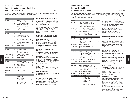## Illustration Major - General Illustration Option

Applications accepted for fall only. The set of the set of the set of the set of the set of the set of the set of the set of the set of the set of the set of the set of the set of the set of the set of the set of the set o

The major in Illustration offers qualified students the opportunity to prepare for staff positions and a freelance career as illustrators in graphic design firms, ad agencies and publishing houses.

| <b>Semester 1</b>                |                  |                                                                | <b>Credits</b>        |
|----------------------------------|------------------|----------------------------------------------------------------|-----------------------|
| MAJOR AREA                       | IL 114           | <b>Fashion Applications</b>                                    | 1.5                   |
|                                  | IL 123<br>IL 133 | General Illustration I G6<br>Anatomical Life Drawing: Illus. I | 1.5<br>$\overline{2}$ |
|                                  | IL 141           | Fashion Expression in Dwg.                                     | 1.5                   |
|                                  | IL 151           | <b>Dynamic Drawing Techniques</b>                              | 2                     |
| RELATED AREA                     | PH 116           | <b>Photography Basics</b>                                      | $\overline{2}$        |
| LIBERAL ARTS                     | choice           | see Requirements*                                              | 6                     |
| <b>Semester 2</b>                |                  |                                                                |                       |
| MAJOR AREA                       | IL 124           | <b>General Illustration II</b>                                 | 3                     |
|                                  | IL 125           | Photoshop for the Illustrator                                  | $\overline{2}$        |
|                                  | IL 127           | Applying Color to Illustrate the<br><b>Written Word</b>        | 1.5                   |
|                                  | IL 128           | Perspective Drawing, Composition                               |                       |
|                                  |                  | and Concept                                                    | 1.5                   |
|                                  | IL 134           | Anatomical Life Drawing: Illus. II                             | 1.5                   |
|                                  | IL 152           | Figure Drawing I                                               | 1.5                   |
| <b>LIBERAL ARTS</b>              | choice           | see Requirements*                                              | 6                     |
| <b>Semester 3</b>                |                  |                                                                |                       |
| MAJOR AREA                       | IL 223           | <b>General Illustration III</b>                                | 3                     |
|                                  | IL 251           | Figure Drawing II                                              | 1.5                   |
|                                  | IL 272           | Illus. Rendering Techniques                                    | 1.5                   |
| RELATED AREA                     | CD 201           | Computer Typesetting and Design                                | 2                     |
|                                  | CD 271           | Designing with Type                                            | 1.5                   |
| LIBERAL ARTS                     | choice           | see Requirements*                                              | 6                     |
| <b>Semester 4</b>                |                  |                                                                |                       |
| MAJOR AREA                       | IL 224           | <b>General Illustration IV</b>                                 | 3                     |
|                                  | IL 231<br>IL 252 | Anatomical Life Dwg: Illus. III<br><b>Figure Drawing III</b>   | 1.5<br>1.5            |
|                                  | IL 274           | <b>Illustration Process</b>                                    | 1.5                   |
| RELATED AREA                     | CD 122           | Digital Layout I                                               | $\overline{2}$        |
|                                  | FA 104           | Sculpture - Basic G6                                           | 1.5                   |
| LIBERAL ARTS                     | choice           | see Requirements*                                              | 6                     |
| <b>ELECTIVE</b>                  | choice           | General elective                                               | $1.5 - 3$             |
| <b>TOTAL CREDIT REQUIREMENTS</b> |                  |                                                                |                       |

| <b>MAJOR AREA</b>             | 33        |
|-------------------------------|-----------|
| <b>RELATED AREA</b>           | 9         |
| LIBERAL ARTS                  | 24        |
| <b>ELECTIVE</b>               | $1.5 - 3$ |
| HEALTH AND/OR PHYS. ED        |           |
| <b>TOTAL Minimum Required</b> | 695       |
|                               |           |

**SUNY GENERAL EDUCATION REQUIREMENTS**

A "G" followed by a number 1-10 identifies specific courses that meet SUNY General Education baccalaureate degree requirements (see pages 31–38 or visit www.fitnyc.edu/gened).

G1 Basic Communication; G2 Math; G3 Science; G4 Social Science; G5 Western Civilization; G6 Arts; G7 Humanities; G8 Foreign Language; G9 Other World Civilizations; G10 American **History** 

**\*REQUIREMENTS: See below (also see pages 29–31 for college liberal arts requirements).**

#### **English/Speech**: 6 credits

EN 121 (G1) (Prerequisite: College-level English as demonstrated by placement test OR completion of appropriate Educational Skills courses), and CHOICE of EN 231, 232, 233, 236, 241, 242, 244, 245, or 253.

**History of Art and Civilization**: 6 credits HA 112 (G5), and CHOICE of HA 111, 121, 221, 223, 224, 225, 226, 231, 311 or 314 (any one of these meets G7)

#### **Mathematics**: 3-3.5 credits

Graduation requirement: Arithmetic proficiency as demonstrated by placement test OR completion of appropriate developmental mathematics course(s). CHOICE of MA 131, 161, 213, 222, 242, or 331 (any one of these meets G2).

#### **Science**: 3-5 credits

CHOICE of SC 111, 112, 121, 122, 045/145, 253, 326, or 032/332 (any one of these meets G3).

#### **Social Sciences**: 6 credits

CHOICE of two: SS 131, 141, 151, or 171 (any one of these meets G4).

#### **UPPER DIVISION ALTERNATIVES**

Graduates of this program are eligible to apply for admission to the Bachelor of Fine Arts programs in Computer Animation and Interactive Media (page 111), Illustration (page 136), Textile/Surface Design (page 134), and Toy Design (page 135).

ASSOCIATE DEGREE PROGRAM (AAS)

## Interior Design Major

Applications accepted for fall and spring. The set of the set of the HEGIS 5012

The major in Interior Design, a CIDA (Council for Interior Design Accreditation) accredited program, offers qualified students the opportunity to prepare for careers as interior designers with design, architectural, and similar firms, or as freelance designers, draftspersons, or renderers. Interior Design major transfer credits are subject to departmental approvals, considered only from CIDA-accredited programs.

| <b>Semester 1</b>                    |                                                |                                                                                                                                             | <b>Credits</b>                    |
|--------------------------------------|------------------------------------------------|---------------------------------------------------------------------------------------------------------------------------------------------|-----------------------------------|
| MAJOR AREA                           | ID 115<br>ID 121<br>ID 133<br>ID 157           | <b>Interior Design Studio I</b><br>Survey of Interior Design<br><b>Presentation Techniques I</b><br><b>Drafting for Interior Design</b>     | 4<br>$\overline{2}$<br>1.5<br>1.5 |
| RELATED AREA<br>and<br><sub>0r</sub> | CG 111<br>CD 113<br>FA 141                     | Intro. to Computer Graphics<br>Three-Dimensional Design G6<br>Drawing I G6                                                                  | 1<br>1.5<br>1.5                   |
| <b>LIBERAL ARTS</b>                  | <b>EN 121</b><br><b>HA112</b>                  | <b>English Composition G1</b><br>History of Western Art & Civ. G5                                                                           | 3<br>3                            |
| <b>Semester 2</b>                    |                                                |                                                                                                                                             |                                   |
| MAJOR AREA                           | ID 116<br>ID 134<br>ID 158<br>ID 253           | <b>Interior Design Studio II</b><br><b>Presentation Techniques II</b><br>Perspective Drawing<br>AutoCAD I                                   | 4<br>1.5<br>1.5<br>1.5            |
| RELATED AREA                         | <b>FA 142</b>                                  | Drawing II G6                                                                                                                               | 1.5                               |
| LIBERAL ARTS                         | choice<br>choice                               | see History of Art & Civ.*<br>see Requirements*                                                                                             | 3<br>3                            |
| Semester 3                           |                                                |                                                                                                                                             |                                   |
| MAJOR AREA                           | ID 212<br>ID 221<br>ID 241<br>ID 243<br>ID 255 | <b>Interior Design Studio III</b><br>Interior Design: 1650 to 1850<br>Lighting Design I<br>Materials/Methods of Int. Const. I<br>AutoCAD II | 4<br>2.5<br>1.5<br>1.5<br>1.5     |
| RELATED AREA                         | <b>TS 122</b>                                  | Textile Principles for Int. Design                                                                                                          | 1.5                               |
| LIBERAL ARTS                         | choice                                         | see Requirements*                                                                                                                           | 6                                 |
| Semester 4                           |                                                |                                                                                                                                             |                                   |
| MAJOR AREA                           | ID 214<br><b>ID 222</b><br>ID 254<br>ID 262    | Interior Design Studio IV<br>Interior Design: 1850 to 1950<br><b>Interior Design Working Drawings 2</b><br><b>Professional Practice I</b>   | 4<br>2.5<br>$\overline{2}$        |
| LIBERAL ARTS                         | choice                                         | see Requirements*                                                                                                                           | 6                                 |
| <b>ELECTIVE</b>                      | choice                                         | General elective                                                                                                                            | $1.5 - 3$                         |
| TOTAL CREDIT REQUIREMENTS            |                                                |                                                                                                                                             |                                   |

MAJOR AREA 39 RELATED AREA 5.5 LIBERAL ARTS 24 ELECTIVE 1.5-3 HEALTH AND/OR PHYS. ED 2 TOTAL Minimum Required 72

#### **SUNY GENERAL EDUCATION REQUIREMENTS**

A "G" followed by a number 1-10 identifies specific courses that meet SUNY General Education baccalaureate degree requirements (see pages 31–38 or visit www.fitnyc.edu/gened).

G1 Basic Communication; G2 Mathematics; G3 Science; G4 Social Sciences; G5 Western Civilization; G6 Arts; G7 Humanities; G8 Foreign Language; G9 Other World Civilizations; G10 American History.

#### **\*REQUIREMENTS: See below (also see pages 29–31 for college liberal arts requirements).**

#### **English/Speech**: 6 credits

EN 121 (G1) (Prerequisite: College-level English as demonstrated by placement test OR completion of appropriate Educational Skills courses), and CHOICE of EN 231, 232, 233, 236, 241, 242, 244, or 253.

#### **History of Art and Civilization**: 3 credits

CHOICE of HA 111, 121, 221, 223, 224, 225, 226, 231, 311, or 314 (any one of these meets G7).

#### **Mathematics**: 3-3.5 credits

Graduation requirements: Arithmetic proficiency as demonstrated by placement test OR completion of appropriate developmental mathematics course(s). CHOICE of MA 131, 161, 213, 222, 242, or 331 (any one of these meets G2).

#### **Science**: 3-5 credits

CHOICE of SC 111, 112, 121, 122, 045/145, 252, 253, 326, or 032/332 (any one of these meets G3).

#### **Social Sciences**: 6 credits

CHOICE of two: SS 131, 141, 151, or 171 (any one of these meets G4).

#### **UPPER DIVISION ALTERNATIVES**

Graduates of this program are eligible to apply for admission to the Bachelor of Fine Arts programs in Interior Design (page 127) and Toy Design (page 135), and the Bachelor of Science program in Textile Development and Marketing (page 133).

By completing certain course requirements before the seventh semester, graduates may also apply for admission to the Bachelor of Science program in Home Products Development (page 125).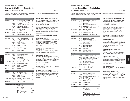## Jewelry Design Major - Design Option

Applications accepted for fall only. The set of the set of the set of the set of the set of the set of the set of the set of the set of the set of the set of the set of the set of the set of the set of the set of the set o

The major in Jewelry Design offers qualified students the opportunity to prepare for positions as designers, self-employed jewelers, or executives in the manufacturing of jewelry.

| <b>Semester 1</b> |                                                          |                                                                                                                                                                                                      | <b>Credits</b>                |
|-------------------|----------------------------------------------------------|------------------------------------------------------------------------------------------------------------------------------------------------------------------------------------------------------|-------------------------------|
| <b>MAJOR AREA</b> | JD 113<br>JD 114<br>JD 121<br>JD 131<br>JD 133<br>JD 172 | <b>Beginning Soldering Techniques</b><br>Piercing and Sawing Techniques<br><b>Wax Carving</b><br><b>Mechanical Drafting for Jewelers</b><br>Intro. to Jewelry Design<br>Tools, Equipment & Processes | 1.5<br>1.5<br>1.5<br>1.5<br>1 |
| RELATED AREA      | FA 104                                                   | Sculpture - Basic G6                                                                                                                                                                                 | 1.5                           |
|                   | FA 141                                                   | Drawing I G6                                                                                                                                                                                         | 1.5                           |
| LIBERAL ARTS      | EN 121                                                   | <b>English Composition G1</b>                                                                                                                                                                        | 3                             |
|                   | SC 111                                                   | Intro. to the Physical Sciences G3                                                                                                                                                                   | 3                             |

MAJOR AREA JD 115 Metal Forming Techniques 1.5

#### **Semester 2**

Majors

|                           | JD 116        | Costume Jewelry: White Metal        | 1.5            |
|---------------------------|---------------|-------------------------------------|----------------|
|                           | <b>JD 122</b> | Jewelry Casting                     | 2              |
|                           | JD 134        | Jewelry Design II                   | 1.5            |
|                           | JD 171        | <b>Materials &amp; Properties</b>   | 2              |
|                           | JD 173        | <b>Materials and Findings</b>       | 1              |
| <b>RELATED AREA</b>       | FA 107        | <b>Basic Design</b>                 | 1.5            |
| LIBERAL ARTS              | choice        | see History of Art & Civ.*          | 3              |
|                           | choice        | see Requirements*                   | 3              |
| Semester 3                |               |                                     |                |
| <b>MAJOR AREA</b>         | JD 231        | <b>Objects Design and Rendering</b> | 1.5            |
|                           | JD 233        | Jewelry Design III                  | 1.5            |
|                           | JD 241        | Intro. to Gemology                  | $\overline{2}$ |
|                           | JD 262        | <b>Estimating Costs</b>             | 1              |
|                           | JD 263        | Costume Jewelry Prod./Mktg.         | 3              |
| <b>RELATED AREA</b>       | CG 111        | Intro. to Computer Graphics         | 1              |
|                           | DE 101        | Display Design: Small Scale         | $\overline{2}$ |
| LIBERAL ARTS              | choice        | see History of Art & Civ.*          | 3              |
|                           | choice        | see Requirements*                   | 3              |
| <b>ELECTIVE</b>           | choice        | General elective                    | $1.5 - 3$      |
| <b>Semester 4</b>         |               |                                     |                |
| <b>MAJOR AREA</b>         | JD 235        | Fine Jewelry Portfolio              | 1.5            |
|                           | JD 236        | <b>Fashion Jewelry Portfolios</b>   | 1.5            |
|                           | JD 243        | Gemology II                         | 1.5            |
|                           | JD 261        | <b>Changes and Trends</b>           | 2              |
| <b>RELATED AREA</b>       | CG 212        | Intro. to 3D Computer Modeling      | 2              |
|                           | SD 141        | Nature Studies                      | 1.5            |
| LIBERAL ARTS              | choice        | see Requirements*                   | 6              |
| TOTAL CREDIT REQUIREMENTS |               |                                     |                |
|                           |               | MAJOR AREA<br>RELATED AREA          | 33<br>11       |

LIBERAL ARTS 24 ELECTIVE 1.5-3 HEALTH AND/OR PHYS. ED 2 TOTAL Minimum Required 71.5

**SUNY GENERAL EDUCATION REQUIREMENTS** A "G" followed by a number 1-10 identifies specific

courses that meet SUNY General Education baccalaureate degree requirements (see pages 31–38 or visit www.fitnyc.edu/gened).

G1 Basic Communication; G2 Math; G3 Science; G4 Social Science; G5 Western Civilization; G6 Arts; G7 Humanities; G8 Foreign Language; G9 Other World Civilizations; G10 American History.

#### **\*REQUIREMENTS: See below (also see pages 29–31 for college liberal arts requirements).**

#### **English/Speech**: 6 credits

EN 121 (G1) (Prerequisite: College-level English as demonstrated by placement test OR completion of appropriate Educational Skills courses), and CHOICE of EN 231, 232, 233, 236, 241, 242, 244, 245, or 253.

#### **History of Art and Civilization**: 6 credits HA 112 (G5), and

CHOICE of HA 111, 121, 221, 223, 224, 225, 226, 231, 311, or 314 (any one of these meets G7).

#### **Mathematics**: 3-3.5 credits

Graduation requirement: Arithmetic proficiency as demonstrated by placement test OR completion of appropriate developmental mathematics course(s). CHOICE of MA 131, 161, 213, 222, 242, or 331 (any one of these meets G2).

#### **Social Sciences**: 6 credits

CHOICE of two: SS 131, 141, 151, or 171 (any one of these meets G4).

#### **UPPER DIVISION ALTERNATIVES**

Graduates of this program are eligible to apply for admission to the Bachelor of Fine Arts programs in Accessories Design and Fabrication (page 108), Textile/Surface Design (page 134), and Toy Design (page 135).

ASSOCIATE DEGREE PROGRAM (AAS)

## Jewelry Design Major - Studio Option

Applications accepted for fall only. The set of the set of the set of the set of the set of the set of the set of the set of the set of the set of the set of the set of the set of the set of the set of the set of the set o

The major in Jewelry Design offers qualified students the opportunity to prepare for positions as designers, self-employed jewelers, or executives in the manufacturing of jewelry.

#### **Semester 1 credits** MAJOR AREA JD 113 Beginning Soldering Techniques 1.5 JD 114 Piercing and Sawing Techniques 1.5 JD 121 Wax Carving 1 JD 131 Mechanical Drafting for Jewelers 1.5 JD 133 Intro. to Jewelry Design 1.5 JD 172 Tools, Equipment & Processes 1 RELATED AREA FA 104 Sculpture - Basic G6 1.5 FA 141 Drawing I G6 1.5 LIBERAL ARTS EN 121 English Composition G1 3 SC 111 Intro. to the Physical Sciences G3 3

## **Semester 2**

| MAJOR AREA   | JD 115 | <b>Metal Forming Techniques:</b>   |     |
|--------------|--------|------------------------------------|-----|
|              |        | <b>Chasing and Repousse</b>        | 1.5 |
|              | JD 116 | Costume Jewelry: White Metal       | 1.5 |
|              | JD 122 | Jewelry Casting                    | 2   |
|              | JD 134 | Jewelry Design II                  | 1.5 |
|              | JD 171 | <b>Materials &amp; Properties</b>  | 2   |
|              | JD 173 | <b>Materials and Findings</b>      | 1   |
| RELATED AREA | FA 107 | <b>Basic Design</b>                | 1.5 |
| LIBERAL ARTS | choice | see History of Art & Civ.*         | 3   |
|              | choice | see Requirements*                  | 3   |
| Semester 3   |        |                                    |     |
| MAJOR AREA   | JD 213 | Non-Trad. Metal Construc. Tech.    | 1.5 |
|              | JD 214 | Diamond Jewelry Techniques         | 1.5 |
|              | JD 215 | Alt. Materials/Jewelry Fabrication | 1.5 |
|              | JD 216 | Adv. Piercing & Metal Carving      | 1.5 |
|              | JD 241 | Intro. to Gemology                 | 2   |
|              | JD 251 | Principles of Silversmithing       | 1.5 |
|              | JD 262 | <b>Estimating Costs</b>            | 1   |

## RELATED AREA CG 111 Intro. to Computer Graphics 1

LIBERAL ARTS choice see History of Art & Civ.\* 3 choice see Requirements\* 3

#### **Semester 4**

| MAJOR AREA                | JD 217 | Handmade Platinum Jewelry            | 1.5       |
|---------------------------|--------|--------------------------------------|-----------|
|                           | JD 218 | <b>Hollow Form Jewelry</b>           | 1.5       |
|                           | JD 219 | Clasps, Closings, and Findings       | 1.5       |
|                           | JD 243 | Gemology II                          | 1.5       |
|                           | JD 252 | <b>Silversmithing Project Studio</b> | 1.5       |
|                           | JD 261 | <b>Changes and Trends</b>            | 2         |
| LIBERAL ARTS              | choice | see Requirements*                    | 6         |
| ELECTIVE                  | choice | General elective                     | $1.5 - 3$ |
| TOTAL CREDIT REQUIREMENTS |        |                                      |           |
|                           |        | MAJOR AREA                           | 37.5      |
|                           |        | <b>RELATED AREA</b>                  | 5.5       |
|                           |        | LIBERAL ARTS                         | 24        |
|                           |        | <b>ELECTIVE</b>                      | $1.5 - 3$ |

HEALTH AND/OR PHYS. ED 2 TOTAL Minimum Required 70.5

#### **SUNY GENERAL EDUCATION REQUIREMENTS**

A "G" followed by a number 1-10 identifies specific courses that meet SUNY General Education baccalaureate degree requirements (see pages 31–38 or visit www.fitnyc.edu/gened).

G1 Basic Communication; G2 Math; G3 Science; G4 Social Science; G5 Western Civilization; G6 Arts; G7 Humanities; G8 Foreign Language; G9 Other World Civilizations; G10 American History.

#### **\*REQUIREMENTS: See below (also see pages 29-31 for college liberal arts requirements).**

#### **English/Speech**: 6 credits

EN 121 (G1) (Prerequisite: College-level English as demonstrated by placement test OR completion of appropriate Educational Skills courses), and CHOICE of EN 231, 232, 233, 236, 241, 242, 244, 245, or 253.

#### **History of Art and Civilization**: 6 credits

HA 112 (G5), and CHOICE of HA 111, 121, 221, 223, 224, 225, 226, 231, 311, or 314 (any one of these meets G7).

#### **Mathematics**: 3-3.5 credits

Graduation requirement: Arithmetic proficiency as demonstrated by placement test OR completion of appropriate developmental mathematics course(s). CHOICE of MA 131, 161, 213, 222, or 331 (any one of these meets G2).

#### **Social Sciences**: 6 credits

CHOICE of two: SS 131, 141, 151, or 171 (any one of these meets G4).

#### **UPPER DIVISION ALTERNATIVES**

Graduates of this program are eligible to apply for admission to the Bachelor of Fine Arts programs in Accessories Design and Fabrication (page 108), Textile/Surface Design (page 134), and Toy Design (page 135).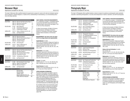## Menswear Major

Applications accepted for fall only. The set of the set of the set of the set of the set of the set of the set of the set of the set of the set of the set of the set of the set of the set of the set of the set of the set o

The major in Menswear offers qualified students the opportunity to prepare for careers with retail and wholesale organizations as designers, assistant designers, or stylists with an understanding of merchandising, or as merchandising executives with design aptitudes.

|                                   |                                                                                           | <b>Credits</b>                                                                                                                                                                                                                                                                                                                 |
|-----------------------------------|-------------------------------------------------------------------------------------------|--------------------------------------------------------------------------------------------------------------------------------------------------------------------------------------------------------------------------------------------------------------------------------------------------------------------------------|
| MW 141<br>MW 151                  | <b>Menswear Construction</b><br><b>Menswear Design I</b>                                  | 3<br>1.5<br>1.5                                                                                                                                                                                                                                                                                                                |
| FA 107<br>IL 103<br><b>TS 111</b> | Basic Design G6<br><b>Illustrating the Male Figure</b><br><b>Fundamentals of Textiles</b> | 1.5<br>1.5<br>3                                                                                                                                                                                                                                                                                                                |
| <b>HA112</b><br>choice            | History of Western Art & Civ. G5<br>see Requirements*                                     | 3<br>3                                                                                                                                                                                                                                                                                                                         |
|                                   |                                                                                           |                                                                                                                                                                                                                                                                                                                                |
|                                   | <b>Menswear Design II</b><br>Computer Design I                                            | 1.5<br>2<br>$\overline{c}$<br>$\overline{2}$                                                                                                                                                                                                                                                                                   |
| FA 105                            | Life Drawing G6                                                                           | 1.5                                                                                                                                                                                                                                                                                                                            |
| HA 215<br>choice                  | History of Menswear G7<br>see Requirements*                                               | 3<br>3                                                                                                                                                                                                                                                                                                                         |
|                                   |                                                                                           |                                                                                                                                                                                                                                                                                                                                |
|                                   | Menswear Design III                                                                       | 1.5<br>2<br>2                                                                                                                                                                                                                                                                                                                  |
| <b>FM 202</b>                     | The Marketing of Menswear                                                                 | 3                                                                                                                                                                                                                                                                                                                              |
| choice                            | see Requirements*                                                                         | 6                                                                                                                                                                                                                                                                                                                              |
|                                   |                                                                                           |                                                                                                                                                                                                                                                                                                                                |
| IC 296<br>MW 221                  | AAS Internship B: Career Explor.<br>Digital Art for Menswear<br><b>Menswear Design IV</b> | 2<br>1.5<br>5                                                                                                                                                                                                                                                                                                                  |
| choice                            | see Requirements*                                                                         | 6                                                                                                                                                                                                                                                                                                                              |
|                                   |                                                                                           |                                                                                                                                                                                                                                                                                                                                |
|                                   | <b>MAJOR AREA</b><br>RELATED AREA<br><b>LIBERAL ARTS</b><br>HEALTH AND/OR PHYS. ED        | 31.5<br>10.5<br>24<br>$\overline{2}$                                                                                                                                                                                                                                                                                           |
|                                   |                                                                                           | MW 131<br>Menswear Flat Patternmaking Design I<br>MW 152<br>MW 232 MW Flat Patternmaking Design II<br>MW 241 Tailoring the Jacket<br>MW 254<br>MW 231 Menswear Flat Patternmaking Design III 4<br>MW 251<br>MW 253 Adv. Computer Fashion Design<br>MW 262 Presentation/Portfolio<br>MW 252<br><b>TOTAL CREDIT REQUIREMENTS</b> |

#### **SUNY GENERAL EDUCATION REQUIREMENTS**

A "G" followed by a number 1-10 identifies specific courses that meet SUNY General Education baccalaureate degree requirements (see pages 31–38 or visit www.fitnyc.edu/gened).

G1 Basic Communication; G2 Math; G3 Science; G4 Social Science; G5 Western Civilization; G6 Arts; G7 Humanities; G8 Foreign Language; G9 Other World Civilizations; G10 American History.

#### **\*REQUIREMENTS: See below (also see pages 29–31 for college liberal arts requirements).**

#### **English/Speech**: 6 credits

EN 121 (G1) (Prerequisite: College-level English as demonstrated by placement test OR completion of appropriate Educational Skills courses), and CHOICE of EN 231, 232, 233, 236, 241, 242, 244, 245, or 253.

#### **Mathematics**: 3-3.5 credits

Graduation requirement: Arithmetic proficiency as demonstrated by placement test OR completion of appropriate developmental mathematics course(s). CHOICE of MA 131, 161, 213, 222, 242, or 331 (any one of these meets G2).

#### **Science**: 3-5 credits

CHOICE of SC 111, 112, 121, 122, 045/145, 253, 326, or 032/332 (any one of these meets G3).

#### **Social Sciences**: 6 credits

CHOICE of two of the following: SS 131, 141, 151, or 171 (any one of these meets G4).

#### **UPPER DIVISION ALTERNATIVES**

Graduates of this program are eligible to apply for admission to the Bachelor of Fine Arts programs in Fabric Styling (page 114) and Textile/Surface Design (page 134), and the Bachelor of Science programs in Direct and Interactive Marketing (page 113 ), Production Management: Fashion and Related Industries (page 131), Technical Design (page 132), and Textile Development and Marketing (page 138).

By completing certain course requirements, graduates may also apply for admission to the Bachelor of Science programs in Fashion Merchandising Management (pages 121–122), and International Trade and Marketing for the Fashion Industries (page 128).

ASSOCIATE DEGREE PROGRAM (AAS)

## Photography Major

Applications accepted for fall only. And the state of the state of the state of the state of the state of the state of the state of the state of the state of the state of the state of the state of the state of the state of

The major in Photography offers qualified students a chance to prepare for positions as photographic studio assistants, corporate or advertising photographers, or as entry-level entrepreneurs in fashion, illustration, and still-life photography.

| <b>Semester 1</b>   |                                      |                                                                                                                               | <b>Credits</b>                             |
|---------------------|--------------------------------------|-------------------------------------------------------------------------------------------------------------------------------|--------------------------------------------|
| <b>MAJOR AREA</b>   | PH 112<br>PH 114<br>PH 131<br>PH 162 | Introduction to Photography<br>Introduction to Digital Photography 1<br><b>Lighting Principles</b><br>Photographic Styling G6 | 3<br>2<br>2                                |
| RELATED AREA        | CG 111<br>FA 202                     | Intro. to Computer Graphics<br>Basic Design: 3D G6                                                                            | 1<br>1                                     |
| <b>LIBERAL ARTS</b> | choice                               | see Requirements*                                                                                                             | 6                                          |
| <b>Semester 2</b>   |                                      |                                                                                                                               |                                            |
| <b>MAJOR AREA</b>   | PH 113<br>PH 115<br>PH 241<br>PH 272 | Photographic Techniques<br>Ad. Photography/Medium Format<br><b>Foundations of Color</b><br>Photoshop I for Photographers      | 2<br>3<br>$\overline{2}$<br>$\overline{2}$ |
| RELATED AREA        | FA 108                               | <b>Basic Drawing</b>                                                                                                          | 1                                          |
| LIBERAL ARTS        | choice                               | see Requirements*                                                                                                             | 6                                          |
| PE/HEALTH           | choice                               | PE/Health                                                                                                                     | 1                                          |
| <b>Semester 3</b>   |                                      |                                                                                                                               |                                            |
| MAJOR AREA          | PH 121<br>PH 231<br>PH 274           | Large Format Photography<br><b>Electronic Flash</b><br>Photoshop II for Photographers                                         | 2<br>4<br>$\overline{2}$                   |
| RELATED AREA        | AD 203                               | Advertising Design and Layout                                                                                                 | 2                                          |
| LIBERAL ARTS        | choice                               | see Requirements*                                                                                                             | 6                                          |
| PE/HEALTH           | choice                               | PE/Health                                                                                                                     | 1                                          |
| Semester 4          |                                      |                                                                                                                               |                                            |
| MAJOR AREA          | PH 242<br>PH 262                     | Adv. Projects and Portfolio Dev.<br>Professional Procedures for<br>the Commercial Photographer                                | 45<br>$\overline{2}$                       |
| RELATED AREA        | CG 214                               | Web Page Construction                                                                                                         | 1.5                                        |
| LIBERAL ARTS        | choice                               | see Requirements*                                                                                                             | 6                                          |
| <b>ELECTIVE</b>     | choice                               | General elective                                                                                                              | 1.5                                        |
|                     |                                      |                                                                                                                               |                                            |

#### **TOTAL CREDIT REQUIREMENTS**

| <b>MAJOR AREA</b>             | 31.5 |
|-------------------------------|------|
| <b>RELATED AREA</b>           | 65   |
| <b>LIBERAL ARTS</b>           | 24   |
| <b>ELECTIVE</b>               | 15   |
| PE/HEALTH                     | 2    |
| <b>TOTAL Minimum Required</b> | 65.5 |

#### **SUNY GENERAL EDUCATION REQUIREMENTS**

A "G" followed by a number 1-10 identifies specific courses that meet SUNY General Education baccalaureate degree requirements (see pages 31–38 or visit www.fitnyc.edu/gened).

G1 Basic Communication; G2 Math; G3 Science; G4 Social Science; G5 Western Civilization; G6 Arts; G7 Humanities; G8 Foreign Language; G9 Other World Civilizations; G10 American History.

#### **\*REQUIREMENTS: See below (also see pages 29–31 for college liberal arts requirements).**

#### **English/Speech**: 6 credits

EN 121 (G1) (Prerequisite: College-level English as demonstrated by placement test OR completion of appropriate Educational Skills courses), and CHOICE of EN 231, 232, 233, 236, 241, 242, 244, 245, or 253.

#### **History of Art and Civilization**: 6 credits HA 112 (G5), and

CHOICE of HA 111, 121, 221, 223, 224, 225, 226, 231, 311, or 314 (any one of these meets G7).

#### **Mathematics**: 3-3.5 credits

Graduation requirement: Arithmetic proficiency as demonstrated by placement test OR completion of appropriate developmental mathematics course(s). CHOICE of MA 131, 161, 213, 222, 242, or 331 (any one of these meets G2).

#### **Science**: 3-5 credits

CHOICE of SC 111, 112, 121, 122, 045/145, 253, 326, or 032/332 (any one of these meets G3).

#### **Social Sciences**: 6 credits

CHOICE of two: SS 131, 141, 151, or 171 (any one of these meets G4).

#### **UPPER DIVISION ALTERNATIVES**

Graduates of this program are eligible to apply for admission to the Bachelor of Fine Arts programs in Computer Animation and Interactive Media (page 111) and Photography and the Digital Image (page 130).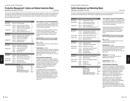## Production Management: Fashion and Related Industries Major

Applications accepted for fall only. The second second second second second second second second second second second second second second second second second second second second second second second second second second

The major in Production Management: Fashion and Related Industries offers preparation for careers in the management of the production processes within a global marketplace for the fashion-related businesses. Graduates are employed in the areas of production control, sourcing, costing, engineering, product development, quality assurance, technical design, and other administrative positions.

| <b>Semester 1</b>         |               |                                       | <b>Credits</b> |
|---------------------------|---------------|---------------------------------------|----------------|
| MAJOR ARFA                | MG 153        | <b>Excel for Business</b>             | 2              |
| <b>RELATED AREA</b>       | FM 114        | Intro. to the Fashion Industry        | 3              |
|                           | TS 015        | Textiles/Prod. Mgmt. Laboratory       | 1.5            |
|                           | <b>TS 115</b> | <b>Textiles/Production Management</b> | 3              |
| LIBERAL ARTS              | EN 121        | <b>English Composition G1</b>         | 3              |
|                           | <b>HA112</b>  | History of Western Art & Civ. G5      | 3              |
| <b>Semester 2</b>         |               |                                       |                |
| <b>MAJOR AREA</b>         | MG 114        | Principles of Prod. Construction      | 3              |
|                           | MG 132        | <b>Marketing for Manufacturers</b>    | 3              |
|                           | MG 253        | Object-Oriented DB Mgmt.              | $\overline{2}$ |
| LIBERAL ARTS              | MA 222        | <b>Statistical Analysis G2</b>        | 3.5            |
|                           | SC 112        | Earth Science G3                      | 3.5            |
| Semester 3                |               |                                       |                |
| <b>MAJOR AREA</b>         | MG 242        | <b>Principles of Accounting</b>       | 3              |
|                           | MG 252        | <b>Product Data Management</b>        | 3              |
| <b>LIBERAL ARTS</b>       | SS 131        | General Psychology G4                 | 3              |
|                           | choice        | see English/Speech*                   | 3              |
|                           | choice        | see Arts* G6                          | 3              |
| Semester 4                |               |                                       |                |
| <b>MAJOR AREA</b>         | MG 234        | Supply Chain Management               | 3              |
|                           | IC 297        | AAS Internship C: Career Explor.      | 3              |
| RFI ATFD ARFA             | <b>FM 322</b> | <b>Fashion Inventory Management</b>   | 3              |
| LIBERAL ARTS              | SS 141        | Macroeconomics                        | 3              |
|                           | SS 237        | Industrial Psychology                 | 3              |
| TOTAL CREDIT REQUIREMENTS |               |                                       |                |

| <b>UUIREMENIS</b>             |      |
|-------------------------------|------|
| <b>MAJOR AREA</b>             | 22   |
| <b>RELATED AREA</b>           | 10.5 |
| LIBERAL ARTS                  | 28   |
| <b>HEALTH AND/OR PHYS. ED</b> | 2    |
| <b>TOTAL Minimum Required</b> | 62.5 |
|                               |      |

#### **SUNY GENERAL EDUCATION REQUIREMENTS**

A "G" followed by a number 1-10 identifies specific courses that meet SUNY General Education baccalaureate degree requirements (see pages 31–38 or visit www.fitnyc.edu/gened).

G1 Basic Communication; G2 Math; G3 Science; G4 Social Science; G5 Western Civilization; G6 Arts; G7 Humanities; G8 Foreign Language; G9 Other World Civilizations; G10 American History.

#### **\*REQUIREMENTS: See below (also see pages 29–31 for college liberal arts requirements).**

**Arts**: 3 credits

CHOICE of EN 251, 254, 361, or HA 214 (any one of these meets G6).

#### **English/Speech**: 6 credits

EN 121 (G1) (Prerequisite: College-level English as demonstrated by placement test OR completion of appropriate Educational Skills courses), and CHOICE of EN 231, 232, 233, 236, 241, 242, 244, 245, or 253.

#### **UPPER DIVISION ALTERNATIVES**

Graduates of this program are eligible to apply for admission to the Bachelor of Science programs in Direct and Interactive Marketing (page 113), Home Products Development (page 125), Production Management: Fashion and Related Industries (page 131), and Textile Development and Marketing (page 133).

By completing certain course requirements, graduates may also apply for admission to the Bachelor of Science programs in Advertising and Marketing Communications (page 109), Fashion Merchandising Management (pages 121–122), International Trade and Marketing for the Fashion Industries (page 128), and Technical Design (page 132).

ASSOCIATE DEGREE PROGRAM (AAS)

## Textile Development and Marketing Major

Applications accepted for fall only. The state of the state of the state of the state of the state of the state of the state of the state of the state of the state of the state of the state of the state of the state of the

The major in Textile Development and Marketing offers preparation for careers in the development of fabrics for the fashion and home furnishings industries, with emphasis on global sourcing and textile applications.

| <b>Semester 1</b>   |                                |                                                                             | <b>Credits</b>      |
|---------------------|--------------------------------|-----------------------------------------------------------------------------|---------------------|
| MAJOR AREA          | <b>TS 111</b>                  | <b>Fundamentals of Textiles</b>                                             | 3                   |
| <b>RELATED AREA</b> | AC 111                         | Advertising and Promotion                                                   | 3                   |
|                     | FM 114                         | Intro. to the Fashion Industry                                              | 3                   |
| LIBERAL ARTS        | EN 121                         | <b>English Composition G1</b>                                               | 3                   |
|                     | SC 111                         | Intro. to the Physical Sciences G3                                          | 3                   |
| <b>Semester 2</b>   |                                |                                                                             |                     |
| <b>MAJOR AREA</b>   | TT 173                         | Computer Apps. for Textile Dev.                                             | 2                   |
|                     | <b>TT 174</b><br>TT 273        | <b>Comparative Fabric Structures</b><br>Textile Industry: Historical Survey | 3<br>$\overline{2}$ |
| RELATED AREA        | MG 108                         | <b>Textile Products Manufacturing</b>                                       | 2                   |
| LIBERAL ARTS        | HA 112                         | History of Western Art & Civ. G5                                            | 3                   |
|                     | SS 141                         | Macroeconomics G4                                                           | 3                   |
| <b>Semester 3</b>   |                                |                                                                             |                     |
| MAJOR AREA          | TT 301                         | <b>Textile Applications</b>                                                 | 3                   |
|                     | TT 473                         | Textiles/Home Furnishing Mkts.                                              | 2                   |
| RFI ATFD ARFA       | MG 242                         | Principles of Accounting                                                    | 3                   |
| LIBERAL ARTS        | PL 211                         | Informal Logic: Clear Thinking G7                                           | 3                   |
|                     | SC 032                         | <b>Color Science Laboratory</b>                                             | 1                   |
|                     | SC 332<br>choice               | <b>Color and Light</b><br>see English/Speech*                               | 3<br>3              |
|                     |                                |                                                                             |                     |
| <b>Semester 4</b>   |                                |                                                                             |                     |
| <b>MAJOR AREA</b>   | <b>TT 247</b><br><b>TT 475</b> | Applied Color Technology/Styling<br><b>Textile Marketing</b>                | 2<br>3              |
| RELATED AREA        | <b>IN 201</b>                  | Global Sourcing/Textile Industries                                          | 3                   |
| <b>LIBERAL ARTS</b> | choice                         | see Arts* G6                                                                | 3                   |
|                     | choice                         | see Math* G2                                                                | $3 - 3.5$           |
|                     | choice                         | see Social Sciences*                                                        | 3                   |

#### **TOTAL CREDIT REQUIREMENTS**

| MAJOR AREA                    | 20          |
|-------------------------------|-------------|
| <b>RELATED AREA</b>           | 14          |
| LIBERAL ARTS                  | $31 - 31.5$ |
| HEALTH AND/OR PHYS. ED        |             |
| <b>TOTAL Minimum Required</b> | 67          |
|                               |             |

#### **SUNY GENERAL EDUCATION REQUIREMENTS**

A "G" followed by a number 1-10 identifies specific courses that meet SUNY General Education baccalaureate degree requirements (see pages 31–38 or visit www.fitnyc.edu/gened).

G1 Basic Communication; G2 Math; G3 Science; G4 Social Science; G5 Western Civilization; G6 Arts; G7 Humanities; G8 Foreign Language; G9 Other World Civilizations; G10 American History.

#### **\*REQUIREMENTS: See below (also see pages 29–31 for college liberal arts requirements).**

**Arts**: 3 credits

CHOICE of EN 251, EN 262, HP 231, or LA 321, (any one of these meets G6).

#### **English/Speech**: 6 credits

EN 121 (G1) (Prerequisite: College-level English as demonstrated by placement test OR completion of appropriate Educational Skills courses), and CHOICE of EN 231, 232, 233, 236, 241, 242, 244, 245, or 253.

#### **Mathematics**: 3-3.5 credits

CHOICE of any course from list of Gen. Ed. Mathematics courses (G2).

**Social Sciences**: 3 credits CHOICE of SS 131, 151, or 171.

#### **UPPER DIVISION ALTERNATIVES**

Graduates of this program are eligible to apply for admission to the Bachelor of Science programs in Direct and Interactive Marketing (page 113), Home Products Development (page 125), Production Management: Fashion and Related Industries (page 131), and Textile Development and Marketing (page 133), and the Bachelor of Fine Arts program in Fabric Styling (page 114).

By completing certain course requirements, graduates may also apply to the Bachelor of Science programs in Advertising and Marketing Communications (page 109), Fashion Merchandising Management (pages 121–122), International Trade and Marketing for the Fashion Industries (page 128), and Technical Design (page 132).

Majors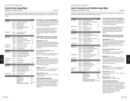## Textile/Surface Design Major

Applications accepted for fall only. The set of the set of the set of the set of the set of the set of the set of the set of the set of the set of the set of the set of the set of the set of the set of the set of the set o

The major in Textile/Surface Design offers qualified students the opportunity to prepare for careers in the fabrics, fashion, home furnishings, and related industries as designers, colorists, stylists, and studio directors, as well as freelance entrepreneurs.

| 2<br>$\overline{2}$<br>3<br>1.5  |
|----------------------------------|
|                                  |
|                                  |
|                                  |
| 1.5                              |
| 1.5                              |
| 3                                |
| 3                                |
|                                  |
| 3                                |
| 1.5<br>1.5                       |
| 1.5                              |
| 1.5                              |
| 3                                |
| 3                                |
| 3                                |
|                                  |
| 2                                |
| 1.5                              |
| 2<br>2                           |
| 1.5                              |
| 6                                |
| $1.5 - 3$                        |
|                                  |
| 2                                |
| 3                                |
| 2                                |
| $\overline{c}$<br>$\overline{2}$ |
|                                  |
| 6                                |
|                                  |
| 39                               |
|                                  |
| 4.5<br>24                        |
|                                  |

TOTAL Minimum Required 69

#### **SUNY GENERAL EDUCATION REQUIREMENTS**

A "G" followed by a number 1-10 identifies specific courses that meet SUNY General Education baccalaureate degree requirements (see pages 31–38 or visit www.fitnyc.edu/gened).

G1 Basic Communication; G2 Math; G3 Science; G4 Social Science; G5 Western Civilization; G6 Arts; G7 Humanities; G8 Foreign Language; G9 Other World Civilizations; G10 American History.

#### **\*REQUIREMENTS: See below (also see pages 29–31 for college liberal arts requirements).**

#### **English/Speech**: 6 credits

EN 121 (G1) (Prerequisite: College-level English as demonstrated by placement test OR completion of appropriate Educational Skills courses), and CHOICE of EN 231, 232, 233, 236, 241, 242, 244, 245, or 253.

#### **History of Art and Civilization**: 6 credits HA 112 (G5), and

CHOICE of HA 111, 121, 221, 223, 224, 225, 226, 231, 311, or 314 (any one of these meets G7).

#### **Mathematics**: 3-3.5 credits

Graduation requirement: Arithmetic proficiency as demonstrated by placement test OR completion of appropriate developmental mathematics course(s). CHOICE of MA 131, 161, 213, 222, 242, or 331 (any one of these meets G2).

#### **Science**: 3-5 credits

CHOICE of SC 111, 112, 121, 122, 045/145, 253, 326, or 032/332 (any one of these meets G3).

#### **Social Sciences**: 6 credits

CHOICE of two: SS 131, 141, 151, or 171 (any one of these meets G4).

#### **UPPER DIVISION ALTERNATIVES**

Graduates of this program are eligible to apply for admission to the Bachelor of Fine Arts programs in Fabric Styling (page 114 ) and Textile/Surface Design (page 134), and the Bachelor of Science program in Textile Development and Marketing (page 133).

ASSOCIATE DEGREE PROGRAM (AAS)

## Visual Presentation and Exhibition Design Major

Applications accepted for fall only. The set of the set of the set of the set of the set of the set of the set of the set of the set of the set of the set of the set of the set of the set of the set of the set of the set o

Graduates of Visual Presentation and Exhibition Design may pursue opportunities in designing for retail projects, as well as museums, showrooms, events, and other themed environments.

| <b>Semester 1</b>                |                                                              |                                                                                                                                                                | <b>Credits</b>                                            |
|----------------------------------|--------------------------------------------------------------|----------------------------------------------------------------------------------------------------------------------------------------------------------------|-----------------------------------------------------------|
| MAJOR AREA                       | <b>DE 123</b><br>DE 131<br><b>DE 141</b><br>DE 161           | Design and Rendering<br>Studio Design: Prod. Presentation<br>Display Graphics I<br><b>Professional Practices</b>                                               | $\overline{2}$<br>$\overline{2}$<br>$\overline{2}$<br>1.5 |
| RELATED AREA                     | FA 141<br>PH 116                                             | Drawing I<br>Photography Basics G6                                                                                                                             | 1.5<br>2                                                  |
| LIBERAL ARTS                     | choice                                                       | see Requirements*                                                                                                                                              | 6                                                         |
| <b>Semester 2</b>                |                                                              |                                                                                                                                                                |                                                           |
| MAJOR AREA                       | <b>DE 124</b><br><b>DE 133</b><br><b>DE 142</b>              | Design and Rendering<br>Adv. Studio Design: Prod. Present.<br><b>Display Graphics II</b>                                                                       | $\overline{2}$<br>$\overline{2}$<br>$\overline{2}$        |
| RELATED AREA                     | FM 101<br>ID 104<br>ID 133                                   | Survey of Fashion Merchandising<br>Light/Sound/Motion<br><b>Presentation Techniques I</b>                                                                      | 3<br>1.5<br>1.5                                           |
| LIBERAL ARTS                     | choice                                                       | see Requirements*                                                                                                                                              | 6                                                         |
| <b>Semester 3</b>                |                                                              |                                                                                                                                                                |                                                           |
| MAJOR AREA                       | <b>DE 125</b><br>DE 232<br>DE 234<br>DE 236<br><b>DE 242</b> | <b>CAD for Visual Presentation</b><br><b>Elements of Visual Merchandising</b><br>Point-of-Purchase Display<br>Studio Design/Exhibition<br>Display Graphics III | 2<br>1.5<br>1.5<br>1.5<br>1.5                             |
| RELATED AREA                     | PK 211<br>choice                                             | Introduction to Packaging Design<br>see Related Area elective**                                                                                                | 1.5<br>1.5                                                |
| LIBERAL ARTS                     | choice                                                       | see Requirements*                                                                                                                                              | 6                                                         |
| Semester 4                       |                                                              |                                                                                                                                                                |                                                           |
| MAJOR AREA                       | DE 213<br>DE 243<br>DE 251<br>DE 262                         | <b>Exhibition Design</b><br><b>Exhibit Design Graphics</b><br><b>Event and Promotion Design</b><br>Portfolio Development                                       | 3<br>1.5<br>2<br>1                                        |
| LIBERAL ARTS                     | choice                                                       | see Requirements*                                                                                                                                              | 6                                                         |
| ELECTIVE                         | choice                                                       | General elective                                                                                                                                               | $1.5 - 3$                                                 |
| <b>TOTAL CREDIT REQUIREMENTS</b> |                                                              |                                                                                                                                                                |                                                           |

MAJOR AREA 29 RELATED AREA 12.5 LIBERAL ARTS 24 ELECTIVE 1.5-3 HEALTH AND/OR PHYS. ED 2 TOTAL Minimum Required 69

#### **SUNY GENERAL EDUCATION REQUIREMENTS**

A "G" followed by a number 1-10 identifies specific courses that meet SUNY General Education baccalaureate degree requirements (see pages 31–38 or visit www.fitnyc.edu/gened).

G1 Basic Communication; G2 Math; G3 Science; G4 Social Science; G5 Western Civilization; G6 Arts; G7 Humanities; G8 Foreign Language; G9 Other World Civilizations; G10 American History.

#### **\*REQUIREMENTS: See below (also see pages 29–31 for college liberal arts requirements).**

#### **English/Speech**: 6 credits

EN 121 (G1) (Prerequisite: College-level English as demonstrated by placement test OR completion of appropriate Educational Skills courses) and CHOICE of EN 231, 232, 233, 236, 241, 242, 244, 245, or 253.

#### **History of Art and Civilization**: 6 credits

HA 112 (G5) and

CHOICE of HA 111, 221, 223, 224, 225, 226, 231, 311, or 314 (any one of these meets G7).

#### **Mathematics**: 3-3.5 credits

Graduation requirement: Arithmetic proficiency as demonstrated by placement test OR completion of appropriate developmental mathematics course(s). CHOICE of MA 131, 161, 213, 222, 242, or 331 (any one of these meets G2).

#### **Science**: 3-5 credits

CHOICE of SC 111, 112, 121, 122, 045/145, 253, 326, or 032/332 (any one of these meets G3).

#### **Social Sciences**: 6 credits

CHOICE of two: SS 131, 141, 151, 171 (any one of these meets G4).

#### **\*\*RELATED AREA:** 1.5 credits

CHOICE of FA 101, or FA 104, or FA 142.

#### **UPPER DIVISION ALTERNATIVES**

Graduates of this program are eligible to apply for admission to the Bachelor of Fine Arts programs in Accessories Design and Fabrication (page 108), Fabric Styling (page 114), Packaging Design (page 129), and Toy Design (page 135), and the Bachelor of Science programs in Home Products Development (page 125) and Visual Art Management (page 136).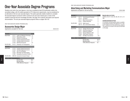## One-Year Associate Degree Programs

Students who hold a four-year degree or who have completed at least 30 transferable credits at an accredited college, with 24 credits equivalent to FIT's liberal arts requirements, may be considered for an alternative to the two-year associate degree. This option generally enables students to complete the associate degree coursework within a period of one year and is based upon a review of the student's transcript and prior knowledge and skills. See page 18 for specific information and required documentation. The one-year associate degree programs follow on pages 100–107.

ONE-YEAR ASSOCIATE DEGREE PROGRAM (AAS)

## Accessories Design Major

Applications accepted for fall only. The second state of the second state of the second state of the second state of the second state of the second state of the second state of the second state of the second state of the s

| <b>Semester 1</b>         |        |                                       | <b>Credits</b> |
|---------------------------|--------|---------------------------------------|----------------|
| MAJOR AREA                | LD 111 | Leather and Materials Technology      | 2.5            |
|                           | LD 113 | <b>Manipulating Leather</b>           | 1.5            |
|                           | LD 121 | Anatomy for Accessories               | 1.5            |
|                           | LD 133 | <b>Footwear Design/Construction I</b> | 3              |
|                           | LD 143 | Handbag Design/Construction I         | 3              |
|                           | LD 165 | <b>Sketching Accessories</b>          | 2.5            |
| RELATED AREA              | PH 272 | Photoshop I for Photographers         | 2              |
| <b>Semester 2</b>         |        |                                       |                |
| MAJOR AREA                | LD 134 | Footwear Design/Construction II       | 3              |
|                           | LD 144 | Handbag Design/Construction II        | 3              |
|                           | LD 227 | Intro. to Line Building               | 2              |
|                           | LD 243 | Belt Design and Patternmaking         | 1.5            |
|                           | LD 293 | Developing a Successful Portfolio     | 3              |
| RELATED AREA              | MW 255 | Accessories Computer Design I         | 2              |
| TOTAL CREDIT REQUIREMENTS |        |                                       |                |
|                           |        | MAJOR AREA                            | 26.5           |
|                           |        | RELATED AREA                          | 4              |
|                           |        | <b>TOTAL Minimum Required</b>         | 30.5           |

ONE-YEAR ASSOCIATE DEGREE PROGRAM (AAS)

## Advertising and Marketing Communications Major

TOTAL Minimum Required 35

Applications accepted for fall and spring. The set of the set of the set of the set of the set of the set of the set of the set of the set of the set of the set of the set of the set of the set of the set of the set of the

| Semester 1                |        |                                  | credits |  |
|---------------------------|--------|----------------------------------|---------|--|
| MAJOR AREA                | AC 111 | <b>Advertising and Promotion</b> | 3       |  |
|                           | AC 141 | Journalism                       | 3       |  |
|                           | AC 171 | <b>Mass Communications</b>       | 3       |  |
|                           | AC 221 | <b>Publicity Workshop</b>        | 3       |  |
| RELATED AREA              | CD 122 | Digital Layout I                 | 2       |  |
|                           | FM 114 | Intro. to the Fashion Industry   | 3       |  |
| <b>Semester 2</b>         |        |                                  |         |  |
| <b>MAJOR AREA</b>         | AC 113 | Strategic Planning for IMC       | 3       |  |
|                           | AC 231 | <b>Advertising Copywriting</b>   | 3       |  |
|                           | AC 271 | Audiences and Media              | 3       |  |
|                           | AC 272 | Research Methods in IMC          | 3       |  |
|                           | AC 362 | Video Studio Production          | 3       |  |
|                           | choice | See Major Area electives*        | $3 - 4$ |  |
| TOTAL CREDIT REQUIREMENTS |        |                                  |         |  |
|                           |        | MAJOR AREA                       | 30-31   |  |
|                           |        | RELATED AREA                     | 5       |  |

**\*MAJOR AREA ELECTIVES:**

CHOICE of AC 211, 232, 242, 262, 291, 341, or IC 298.

#### **EVENING/WEEKEND OPTION**

A 2-semester evening/weekend option is available for this degree program (see pages 26–27 or visit the FIT website at www.fitnyc.edu/evening\_weekend). The sequence of courses is the same as that listed on this page.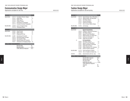## Communication Design Major

Applications accepted for fall only. The state of the state of the HEGIS 5012

MAJOR AREA CD 112 Foundation II/Comm.

**Semester 1** 

|        | <b>Credits</b> |  |
|--------|----------------|--|
| Design | 3              |  |
|        | 1.5            |  |

|                                  | CD 121 | Studio Skills                        | 1.5 |  |
|----------------------------------|--------|--------------------------------------|-----|--|
|                                  | CD 122 | Digital Layout I                     | 2   |  |
|                                  | CD 132 | <b>Creative Process</b>              | 1.5 |  |
|                                  | CD 171 | Introduction to Typography           | 1.5 |  |
|                                  | CD 172 | Computer Drawing & Typography        | 2   |  |
| RELATED AREA                     | GD 235 | Survey of Graphic Design             | 2   |  |
|                                  | PH 116 | Photography Basics                   | 2   |  |
| <b>Semester 2</b>                |        |                                      |     |  |
| MAJOR AREA                       | CD 231 | <b>Visual Process</b>                | 1.5 |  |
|                                  | CD 251 | Digital Imagery                      | 1.5 |  |
|                                  | CD 271 | Designing with Type                  | 1.5 |  |
| RELATED AREA                     | AC 201 | <b>Advertising &amp; Promotion</b>   | 2   |  |
|                                  | AD 213 | <b>Advertising Design Concepts</b>   | 3   |  |
|                                  | GD 214 | The Corporate Image                  | 3   |  |
|                                  | GD 243 | <b>Website Design and Production</b> | 2   |  |
|                                  | PK 211 | Introduction to Packaging Design     | 1.5 |  |
| <b>TOTAL CREDIT REQUIREMENTS</b> |        |                                      |     |  |
|                                  |        |                                      |     |  |

#### MAJOR AREA 16 RELATED AREA 15.5 TOTAL Minimum Required 31.5

Majors

ONE-YEAR ASSOCIATE DEGREE PROGRAM (AAS)

## Fashion Design Major

Applications accepted for fall and spring. The state of the state of the HEGIS 5012

| <b>Semester 1</b>         |                                                          |                                                                                                                                                                                                                                    | <b>Credits</b>                     |
|---------------------------|----------------------------------------------------------|------------------------------------------------------------------------------------------------------------------------------------------------------------------------------------------------------------------------------------|------------------------------------|
| <b>MAJOR AREA</b>         | FD 113<br>FD 114<br>FD 121<br>FD 131<br>FF 113<br>FF 141 | Apparel Design: Struc. Silhouettes<br><b>Apparel Design: Soft Silhouettes</b><br>Flat Pattern Design I<br>Sewing Techniques I<br><b>Fashion Art &amp; Design</b><br>Intro. to Comp. Fashion Design                                 | 4<br>3<br>1.5<br>1.5<br>5<br>1     |
| RELATED AREA              | FA 105                                                   | Life Drawing                                                                                                                                                                                                                       | 1.5                                |
| <b>Semester 2</b>         |                                                          |                                                                                                                                                                                                                                    |                                    |
| MAJOR AREA                | FD 212<br>FD 221<br>FD 241<br>FF 114<br>FF 212<br>FF 243 | <b>Apparel Concentration:</b><br>Draping IV: Advanced Techniques<br>Flat Pattern Design II<br>Apparel Product Data Mgmt.<br>Model Drawing I for Fashion Des.<br><b>Fashion Art and Design IV</b><br><b>Digital Flats and Specs</b> | 3<br>1.5<br>1.5<br>1<br>2<br>1.5   |
| <sub>or</sub>             | FD 221<br>FD 241<br>FF 213<br>FF 243<br>FF 244<br>FF 291 | <b>Art Concentration:</b><br>Flat Pattern Design II<br>Apparel Product Data Mgmt.<br><b>Model Visualization Techniques</b><br>Digital Flats and Specs<br>Design Collections: Vis. Solutions<br><b>Fashion Portfolio Collection</b> | 1.5<br>1.5<br>1<br>1.5<br>1.5<br>2 |
| RELATED AREA              | CL 112<br><b>TS 132</b>                                  | Faces and Places in Fashion<br>Intro, to Textiles for Fashion Des.                                                                                                                                                                 | 1<br>3                             |
| ELECTIVE                  | choice                                                   | General elective (Art Con. only)                                                                                                                                                                                                   | $1 - 2.5$                          |
| TOTAL CREDIT REQUIREMENTS |                                                          |                                                                                                                                                                                                                                    |                                    |
|                           |                                                          | MAJOR AREA (Annarel)                                                                                                                                                                                                               | 26.5                               |

| <b>MAJOR AREA (Apparel)</b>   | 26.5      |
|-------------------------------|-----------|
| MAJOR AREA (Art)              | 25        |
| <b>RELATED AREA</b>           | 5.5       |
| ELECTIVE (Art only)           | $1 - 2.5$ |
| <b>TOTAL Minimum Required</b> |           |
| (Apparel)                     | 32        |
| (Art)                         | 31.5      |
|                               |           |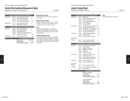## Fashion Merchandising Management Major

Applications accepted for fall and spring. The set of the set of the set of the set of the set of the set of the set of the set of the set of the set of the set of the set of the set of the set of the set of the set of the

| Semester 1                |               |                                   | <b>Credits</b> |
|---------------------------|---------------|-----------------------------------|----------------|
| <b>MAJOR AREA</b>         | FM 114        | Intro. to the Fashion Industry    | 3              |
|                           | FM 116        | <b>Fashion Business Practices</b> | 3              |
|                           | FM 117        | Intro. to Fashion Marketing       | 3              |
|                           | <b>FM 268</b> | <b>Team Development Workshop</b>  | 2.5            |
| <b>RELATED AREA</b>       | AC 111        | <b>Advertising and Promotion</b>  | 3              |
|                           | <b>TS 111</b> | <b>Fundamentals of Textiles</b>   | 3              |
| <b>Semester 2</b>         |               |                                   |                |
| MAJOR AREA                | <b>FM 224</b> | Merch. Math Applications          | 3              |
|                           | FM 225        | <b>Fashion Merchandising</b>      | 3              |
|                           | FM 244        | <b>Product Development</b>        | 3              |
|                           | FM 262        | Contemporary Retail Management    | 3              |
|                           | choice        | See Major Area electives*         | 3-4            |
| <b>RELATED AREA</b>       | choice        | see Related Area elective**       | 1-4            |
| TOTAL CREDIT REQUIREMENTS |               |                                   |                |

| <b>MAJOR AREA</b>             | 26.5-27.5 |
|-------------------------------|-----------|
| <b>RELATED AREA</b>           | $7 - 10$  |
| <b>TOTAL Minimum Required</b> | 33.5      |

#### **\*MAJOR AREA ELECTIVES:**

CHOICE of FM 144, 212, 213, 222, 223, 226, 231, 251, or 491.

**\*\*RELATED AREA ELECTIVES:**

CHOICE of AC 221, AR 101, AR 115, CL 112, DE 101, HD 111, HP 201, IC 298, IC 498, ID 103, JD 101, MG 153, PH 116, PH 162, or SD 112.

#### **NOTE:**

All one-year AAS students must complete all requirements for the FMM one-year curriculum in residence as indicated above. No transfer credits will be accepted.

#### **EVENING/WEEKEND OPTION**

A 2-semester evening/weekend option is available for this degree program (see pages 26–27 or visit the FIT website at www.fitnyc.edu/evening\_weekend). The sequence of courses is the same as that listed on this page.

| Semester 1                       |                                                                 |                                                                                                                                                                                  | <b>Credits</b>                              |
|----------------------------------|-----------------------------------------------------------------|----------------------------------------------------------------------------------------------------------------------------------------------------------------------------------|---------------------------------------------|
| MAJOR AREA                       | JD 121<br>JD 131<br>JD 133<br>JD 172<br>JD 241<br>JD 262        | <b>Wax Carving</b><br><b>Mechanical Drafting for Jewelers</b><br>Intro. to Jewelry Design<br>Tools, Equipment & Processes<br>Intro. to Gemology<br><b>Estimating Costs</b>       | 1<br>1.5<br>1.5<br>1<br>$\overline{2}$<br>1 |
| plus OPTION A                    | JD 213<br>JD 214<br>JD 215<br>JD 216<br>JD 251                  | Non-traditional Construc. Tech./Metal 1.5<br>Diamond Jewelry Techniques<br>Alt. Materials - Jewelry Fabrication<br>Adv. Piercing & Metal Carving<br>Principles of Silversmithing | 1.5<br>1.5<br>1.5<br>1.5                    |
| or OPTION B                      | JD 231<br>JD 233<br>JD 263                                      | <b>Objects Design and Rendering</b><br>Jewelry Design III<br>Costume Jewelry Prod./Mktg.                                                                                         | 1.5<br>1.5<br>3                             |
| RELATED AREA                     |                                                                 |                                                                                                                                                                                  |                                             |
| <b>OPTION B</b>                  | CG 111<br><b>DE 101</b>                                         | Intro. to Computer Graphics<br>Display Design: Small Scale                                                                                                                       | 1<br>2                                      |
| Semester 2                       |                                                                 |                                                                                                                                                                                  |                                             |
| MAJOR AREA                       | JD 116<br><b>JD 122</b><br>JD 171<br>JD 173<br>JD 243<br>JD 261 | Costume Jewelry: White Metal<br>Jewelry Casting<br><b>Materials &amp; Properties</b><br><b>Materials and Findings</b><br>Gemology II<br><b>Changes and Trends</b>                | 1.5<br>2<br>$\overline{2}$<br>1<br>1.5<br>2 |
| plus OPTION A                    | JD 217<br>JD 218<br>JD 219<br><b>JD 252</b>                     | Handmade Platinum Jewelry<br>Hollow Form Jewelry<br>Clasps, Closings, and Findings<br>Silversmithing Project Studio                                                              | 1.5<br>1.5<br>1.5<br>1.5                    |
| or OPTION B                      | JD 235<br>JD 236                                                | Fine Jewelry Portfolio<br><b>Fashion Jewelry Portfolios</b>                                                                                                                      | 1.5<br>1.5                                  |
| RELATED AREA<br>OPTION A         | CG 111                                                          | Intro. to Computer Graphics                                                                                                                                                      | 1                                           |
| or OPTION B                      | CG 212<br>SD 141                                                | Intro. to 3D Computer Modeling<br>Nature Studies                                                                                                                                 | 2<br>1.5                                    |
| <b>TOTAL CREDIT REQUIREMENTS</b> |                                                                 |                                                                                                                                                                                  |                                             |
|                                  |                                                                 | OPTION A (STUDIO):<br><b>MAJOR AREA:</b><br><b>RELATED AREA:</b><br><b>TOTAL Minimum Required</b>                                                                                | 31.5<br>1<br>32.5                           |
|                                  |                                                                 | OPTION B (DESIGN):<br><b>MAJOR AREA:</b><br><b>RELATED AREA:</b>                                                                                                                 | 27<br>6.5                                   |

ONE-YEAR ASSOCIATE DEGREE PROGRAM (AAS)

Jewelry Design Major

TOTAL Minimum Required 33.5

#### **NOTE:**

Applications accepted for fall only. The state of the state of the HEGIS 5012

See admissions criteria on page 19.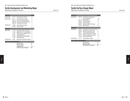## Textile Development and Marketing Major

Applications accepted for fall only. The contract of the HEGIS 5313

**Semester 1 Credits** MAJOR AREA TS 111 Fundamentals of Textiles 3 RELATED AREA AC 111 Advertising and Promotion 3<br>FM 114 Intro. to the Fashion Industry 3 FM 114 Intro. to the Fashion Industry MG 108 Textile Products Manufacturing 2<br>MG 242 Principles of Accounting 3 MG 242 Principles of Accounting LIBERAL ARTS SC 032 Color Science Laboratory 1<br>SC 332 Color and Light 3 SC 332 Color and Light **Semester 2** MAJOR AREA TT 174 Comparative Fabric Structures 3 TT 247 Applied Color Technology/Styling 2 TT 273 Textile Industry: Historical Survey 2 TT 301 Textile Applications 3 TT 473 Textiles/Home Furnishing Mkts. 2 TT 475 Textile Marketing 3 RELATED AREA IN 201 Global Sourcing/Textile Industries 3 **TOTAL CREDIT REQUIREMENTS** MAJOR AREA 18

RELATED AREA 14 LIBERAL ARTS 4 TOTAL Minimum Required 36

| ONE-YEAR ASSOCIATE DEGREE PROGRAM (AAS) |  |  |
|-----------------------------------------|--|--|

## Textile/Surface Design Major

Applications accepted for fall only. The set of the set of the set of the set of the set of the set of the set of the set of the set of the set of the set of the set of the set of the set of the set of the set of the set o

| Semester 1                |              |                                        | <b>Credits</b> |
|---------------------------|--------------|----------------------------------------|----------------|
| MAJOR AREA                | SD 125       | Print Design for Apparel and           |                |
|                           |              | Home Furnishings                       | 4.5            |
|                           | SD 141       | Nature Studies                         | 1.5            |
|                           | SD 155       | Decorative Fabrics                     | 2              |
|                           | SD 185       | <b>Screen Printing</b>                 | 2              |
|                           | SD 224       | <b>Computer-Aided Print Design</b>     | 1.5            |
|                           | TD 137       | <b>Woven Design</b>                    | 3              |
| <b>Semester 2</b>         |              |                                        |                |
| MAJOR AREA                | SD 221       | Techniques for Printed Text. & Surf. 3 |                |
|                           | SD 253       | <b>Advanced Decorative Fabrics</b>     | 2              |
|                           | SD 271       | <b>T/SD Using Adobe Illustrator</b>    | 2              |
|                           | SD 321       | <b>Advanced Hand Screen Printing</b>   | 2              |
|                           | TD 133       | CAD/Yarn-Dyed Woven Fabrics            | 1.5            |
|                           | TD 237       | <b>Experimental Wovens</b>             | 2              |
| RELATED AREA              | <b>TS111</b> | <b>Fundamentals of Textiles</b>        | 3              |
| TOTAL CREDIT REQUIREMENTS |              |                                        |                |
|                           |              | MAJOR AREA                             | 27             |
|                           |              | RELATED AREA                           | 3              |
|                           |              | <b>TOTAL Minimum Required</b>          | 30             |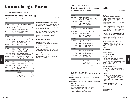## Baccalaureate Degree Programs

BACHELOR OF FINE ARTS DEGREE PROGRAM (BFA)

## Accessories Design and Fabrication Major

Applications accepted for fall only. Applications accepted for fall only.

| <b>Semester 5</b>    |               |                                          | <b>Credits</b> |
|----------------------|---------------|------------------------------------------|----------------|
| MAJOR AREA           | LD 332        | <b>Theatrical and Character Footwear</b> | 3              |
|                      | LD 342        | Zippered Handbags                        | 2.5            |
| RELATED AREA         | FA 203        | Drawing for Accessories                  | 15             |
|                      | MW 255        | Accessories Computer Design I            | 2              |
| LIBERAL ARTS         | HA 344        | <b>History of Western Costume</b>        | 3              |
|                      | SS 376        | <b>Clothing and Society</b>              | 3              |
| Semester 6           |               |                                          |                |
| MAJOR AREA           | LD 331        | Athletic Footwear Design                 | 3              |
|                      | ID 341        | Experimental Handbag Techniques          | 3              |
| RELATED AREA         | FF 341        | Computer Art for Access. Desian          | 1.5            |
|                      | <b>FS 341</b> | Fabrics In Fashion: 1860-Present         | 3              |
|                      | <b>SD 481</b> | <b>Screen Printing: Scarves</b>          | $\overline{2}$ |
| <b>I IRFRAI ARTS</b> | choice        | see Other World Civ * G9                 | 3              |
| <b>Semester 7</b>    |               |                                          |                |
| MAJOR AREA           | LD 333        | Non-Traditional Footwear                 | 3              |
|                      | LD 451        | Sport Bags and Carrying Gear             | 3              |
|                      | ID471         | The Accessories Industry                 | $\overline{2}$ |
| RFI ATFD ARFA        | JD 231        | <b>Objects Design and Rendering</b>      | 1.5            |
| n٢                   | PK 303        | Packaging Design for Accessories         | 2              |
| LIBERAL ARTS         | FN 322        | Prof. Writing in Art & Design            | 3              |
|                      | choice        | see Foreign Language* G8                 | 3.5            |
| <b>Semester 8</b>    |               |                                          |                |
| MAJOR AREA           | ID491         | Accessories Design Senior Project        | 3              |
|                      | LD 492        | Portfolio Development                    | 2.5            |
| RELATED AREA         | IC 498        | Sr. Internship D: Career Planning        | 4              |

| KELATEV AKEA- |                  | IG 498 Sr. Internship D: Gareer Planning           |                 |
|---------------|------------------|----------------------------------------------------|-----------------|
| LIBERAL ARTS  | choice<br>choice | see American History* G10<br>see Foreign Language* | -3<br>$3 - 3.5$ |
|               |                  |                                                    |                 |

#### **TOTAL CREDIT REQUIREMENTS**

| <b>MAJOR AREA</b>             | 25          |
|-------------------------------|-------------|
| <b>RELATED AREA</b>           | 15.5-16     |
| LIBERAL ARTS                  | $21.5 - 22$ |
| <b>TOTAL Minimum Required</b> | 62          |

#### **SUNY GENERAL EDUCATION REQUIREMENTS** A "G" followed by a number 1-10 identifies specific courses that meet SUNY General Education baccalaureate degree requirements (see pages 31–38 or visit www.fitnyc.edu/gened).

G1 Basic Communication; G2 Math; G3 Science; G4 Social Science; G5 Western Civilization; G6 Arts; G7 Humanities; G8 Foreign Language; G9 Other World Civilizations; G10 American History.

#### **\*REQUIREMENTS: See below**

one of these meets G10).

**American History**: 3 credits CHOICE of EN 271 or 272, or LA 221 or 392 (any

**Foreign Language**: 6.5-7 credits Two semesters of the same foreign language, one

of which must be a 3.5-credit non-conversational course (G8).

#### **Other World Civilizations**: 3 credits

CHOICE of HA 121, 221, 223, 224, 225, or 226 (any one of these meets G9).

#### BACHELOR OF SCIENCE DEGREE PROGRAM (BS)

## Advertising and Marketing Communications Major

Applications accepted for fall and spring. The set of the set of the set of the HEGIS 0509

| <b>Semester 5</b>                  |                                   |                                                                                                  | <b>Credits</b>                  |
|------------------------------------|-----------------------------------|--------------------------------------------------------------------------------------------------|---------------------------------|
| MAJOR AREA                         | AC 222<br>AC 361<br>AC 362        | <b>Sales Promotion</b><br>Computer Apps. for Mktg. Comm.<br>Video Studio Production**** G6       | 3<br>$\overline{2}$<br>3        |
| LIBERAL ARTS                       | MA 213<br>SS 342<br>choice        | Quantitative Methods *<br><b>Microeconomics</b><br>see Foreign Language* G8                      | 3<br>3<br>3.5                   |
| Semester 6                         |                                   |                                                                                                  |                                 |
| <b>MAJOR AREA</b>                  | AC 321<br>choice                  | Principles of Public Relations<br>see Major Area electives**                                     | 3<br>3                          |
| RELATED AREA                       | <b>BL 343</b>                     | Introduction to Business Law                                                                     | 3                               |
| LIBERAL ARTS                       | <b>MA 222</b><br>choice<br>choice | Statistical Analysis *<br>see Foreign Language*<br>see Requirements*                             | 3.5<br>$3 - 3.5$<br>3           |
| Semester 7                         |                                   |                                                                                                  |                                 |
| MAJOR AREA<br>and<br>or            | AC 411<br>IC 498<br>choice        | <b>Brand Management</b><br>Sr. Internship D***<br>see Major Area electives**                     | 3<br>4<br>3                     |
| LIBERAL ARTS                       | choice<br>choice                  | see Other World Civ.* G9<br>see Requirements*                                                    | 3<br>6                          |
| Semester 8                         |                                   |                                                                                                  |                                 |
| MAJOR AREA<br>and<br><sub>0r</sub> | choice<br>IC 498<br>choice        | see Major Area electives**<br>Sr. Internship D***<br>see Major Area electives**                  | 3<br>4<br>3                     |
| LIBERAL ARTS                       | PL 431<br>choice                  | Philosophy: Ethics G7<br>see Requirements*                                                       | 3<br>6                          |
| TOTAL CREDIT REQUIREMENTS          |                                   |                                                                                                  |                                 |
|                                    |                                   | <b>MAJOR AREA</b><br><b>RELATED AREA</b><br><b>LIBERAL ARTS</b><br><b>TOTAL Minimum Required</b> | $27 - 28$<br>3<br>37-37.5<br>67 |
|                                    |                                   |                                                                                                  |                                 |

#### **NOTES**

Communication Design and Business and Technology students must complete AC 111 (or AC 201), 221, 231, and 271 prior to semester 6. All other FIT students must complete the one-year program in Advertising and Marketing Communications prior to semester 6.

Students who did not receive an AAS in Advertising and Marketing Communications may also choose from the following electives, provided all prerequisites have been met: AC 211, 242, or 262.

#### **SUNY GENERAL EDUCATION REQUIREMENTS**

A "G" followed by a number 1-10 identifies specific courses that meet SUNY General Education baccalaureate degree requirements (see pages 31–38 or visit www.fitnyc.edu/gened).

G1 Basic Communication; G2 Math; G3 Science; G4 Social Science; G5 Western Civilization; G6 Arts; G7 Humanities; G8 Foreign Language; G9 Other World Civilizations; G10 American History.

#### **\*REQUIREMENTS: See below**

**Economics**: 3 credits CHOICE of SS 343 or 443

#### **Writing/Literature**: 6 credits

CHOICE of one of the following Writing courses: EN 262, 321, 361, 362, 363, or 364. CHOICE of one of the following Literature courses: EN 231, 232, 233, 234, 235, 236, 237, 238, 273, 331, 333, 334, 352, or 371.

#### **Foreign Language**: 6.5-7 credits

Two semesters of the same foreign language, one of which must be a 3.5 credit non-conversational course (G8).

#### **Mathematics**:

With permission, MA 331 may be substituted for MA 213. Algebra proficiency must be completed prior to enrolling in MA 213 or MA 331. Arithmetic proficiency must be completed prior to enrolling in MA 222.

#### **Other World Civilizations**: 3 credits

CHOICE of SS 353, 354, or 356 (any one of these meets G9).

**Psychology:** 6 credits SS 131 and SS 237.

**108** Majors Majors **109**

Majors

| <b>MAJOR AREA</b> | choice   | see Major Area electives** |  |
|-------------------|----------|----------------------------|--|
| and               | IC $498$ | Sr. Internship D***        |  |
| nr                | choice   | see Major Area electives** |  |
| LIBERAL ARTS      | PL 431   | Philosophy: Ethics G7      |  |
|                   | choice   | see Requirements*          |  |

| <b>MAJOR AREA</b>             | $27 - 28$ |
|-------------------------------|-----------|
| RFI ATFD ARFA                 |           |
| LIBERAL ARTS                  | 37-37.5   |
| <b>TOTAL Minimum Required</b> | 67        |

#### **\*\*MAJOR AREA ELECTIVES:** 9 credits

CHOICE of three: AC 232, 291, 341, 412, 413, 423, 424, 461, 462, 471.

**\*\*\*IC 498 is required and must be taken in either the 7th or 8th semester.**

**\*\*\*\*Students who took AC 362 for the AAS degree must replace it with AC 272.**

#### **EVENING/WEEKEND OPTION**

A 4-semester evening/weekend option is available for this degree program (see pages 26–27 or visit the FIT website at www.www.fitnyc.edu/evening\_weekend). The sequence of courses is the same as that listed on this page.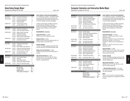## Advertising Design Major

Applications accepted for fall only. The set of the set of the set of the set of the set of the set of the set of the set of the set of the set of the set of the set of the set of the set of the set of the set of the set o

| <b>Semester 5</b>    |                  |                                                                                | <b>Credits</b>        |
|----------------------|------------------|--------------------------------------------------------------------------------|-----------------------|
| MAJOR AREA           | AD 381           | Concept Dev. Workshop I                                                        | 3.5                   |
| RELATED AREA         | AC 231           | <b>Advertising Copywriting</b>                                                 | 3                     |
|                      | CD 371<br>CD 441 | <b>Advanced Typography I</b><br><b>Broadcast Design</b>                        | 1.5<br>2              |
| <b>I IRFRAI ARTS</b> |                  |                                                                                |                       |
|                      | SS 334<br>choice | The Psychology of Color<br>see Other World Civ.* G9                            | 3<br>3                |
| <b>Semester 6</b>    |                  |                                                                                |                       |
| MAJOR AREA           | AD 382           | Concept Dev. Workshop II                                                       | 1.5                   |
|                      | AD 383           | Comm. Planning/Print Advert.                                                   | 3.5                   |
| RELATED AREA         | CD 322           | Design Process Technology                                                      | 2                     |
|                      | CD 361<br>CD 372 | <b>Professional Practices</b><br>Advanced Typography II                        | $\overline{2}$<br>1.5 |
|                      | GD 344           | Graphic Design in Digital Media                                                | 2                     |
| <b>LIBERAL ARTS</b>  | EN 322           | Prof. Writing in Art and Design                                                | 3                     |
|                      | choice           | see History of Art & Civ.*                                                     | 3                     |
| <b>Semester 7</b>    |                  |                                                                                |                       |
| MAJOR AREA           | AD 442           | <b>TV Studio/TV Ad Concepts</b>                                                | 3.5                   |
|                      | AD 481<br>AD 494 | <b>Art Direction</b>                                                           | 1.5<br>3              |
|                      |                  | Senior Design Project Research                                                 |                       |
| RELATED AREA         | DD 231<br>GD 401 | <b>Production Techniques/Prepress</b><br><b>Graphic Design for Advertising</b> | 2<br>3                |
| LIBERAL ARTS         | choice           | see American History* G10                                                      | 3                     |
|                      | choice           | see Liberal Arts elective*                                                     | 3                     |
| Semester 8           |                  |                                                                                |                       |
| MAJOR AREA           | AD 464           | Senior Portfolio Design                                                        | 1.5                   |
|                      |                  |                                                                                |                       |

| <b>TOTAL CREDIT REQUIREMENTS</b> |        |                                      |     |  |
|----------------------------------|--------|--------------------------------------|-----|--|
| <b>RELATED AREA</b>              |        | CD 442 Senior 3D Presentation Design | 1.5 |  |
|                                  |        | AD 496 Advanced Ad Design Workshop   | 3   |  |
|                                  |        | AD 495 Senior Design Project         | 3   |  |
|                                  | AD 491 | Internship                           | 4   |  |
| MAJOR AREA                       |        | AD 464 Senior Portfolio Design       | 1.5 |  |

| <b>MAJOR AREA</b>             | 28   |
|-------------------------------|------|
| <b>RELATED AREA</b>           | 20.5 |
| <b>LIBERAL ARTS</b>           | 18   |
| <b>TOTAL Minimum Required</b> | 66.5 |

## **SUNY GENERAL EDUCATION REQUIREMENTS**

A "G" followed by a number 1-10 identifies specific courses that meet SUNY General Education baccalaureate degree requirements (see pages 31–38 or visit FIT's website, www.fitnyc.edu/gened).

G1 Basic Communication; G2 Math; G3 Science; G4 Social Science; G5 Western Civilization; G6 Arts; G7 Humanities; G8 Foreign Language; G9 Other World Civilizations; G10 American History.

#### **\*REQUIREMENTS: See below**

**Liberal Arts Elective**: 3 credits CHOICE of any non-HA liberal arts course.

**American History**: 3 credits CHOICE of any non-HA course that meets Gen. Ed. American History requirement (G10).

#### **Foreign Language**:

The Gen. Ed. Foreign Language requirement (G8) has been waived for the Advertising Design major.

**History of Art and Civilization**: 3 credits CHOICE of any HA course not previously taken or required.

#### **Other World Civilizations**: 3 credits

CHOICE of HA 121, 221, 223, 224, 225, 226, or any other HA course that meets Gen. Ed. Other World Civ. requirement (G9).

| <b>Semester 5</b>   |                                                          |                                                                                                                                                                                                  | <b>Credits</b>                                               |
|---------------------|----------------------------------------------------------|--------------------------------------------------------------------------------------------------------------------------------------------------------------------------------------------------|--------------------------------------------------------------|
| MAJOR AREA          | CG 314<br>CG 321<br>CG 341<br>CG 344<br>CG 346<br>CG 351 | <b>Programming Concepts</b><br>Design for Interactive Media II<br>3D Modeling and Animation<br><b>History of Animation</b><br><b>Principles of Animation I</b><br>Storyboarding and Storytelling | 2<br>$\overline{2}$<br>$\overline{2}$<br>3<br>1.5<br>2       |
| <b>RELATED AREA</b> | IL 302                                                   | Drawing for Animation I                                                                                                                                                                          | $\overline{2}$                                               |
| LIBERAL ARTS        | choice                                                   | see Liberal Arts Electives*                                                                                                                                                                      | 3                                                            |
| Semester 6          |                                                          |                                                                                                                                                                                                  |                                                              |
| MAJOR AREA          | CG 322<br>CG 342<br>CG 345<br>CG 352<br>CG 353           | Interface Design<br><b>Advanced 3D Computer Modeling</b><br>3D Computer Animation<br>Music and Sound Design<br><b>Motion Graphics</b>                                                            | 2<br>$\overline{2}$<br>$\overline{2}$<br>$\overline{2}$<br>2 |
| RELATED AREA        | IL 303                                                   | Drawing for Animation II                                                                                                                                                                         | 1.5                                                          |
| LIBERAL ARTS        | choice<br>choice                                         | see Liberal Arts elective*<br>see Liberal Arts elective*                                                                                                                                         | 3<br>3                                                       |
| Semester 7          |                                                          |                                                                                                                                                                                                  |                                                              |
| MAJOR AREA          | CG 421<br>CG 441<br>CG 446<br>CG 451<br>CG 452<br>CG 491 | <b>Interactive Project Design</b><br><b>Advanced 3D Animation</b><br><b>Principles of Animation II</b><br>Computer-Assisted Post-Prod.<br>Music Production/Thesis I<br>Senior Project Planning   | 3<br>3<br>1.5<br>2<br>$\overline{2}$<br>1.5                  |
| RELATED AREA        | choice                                                   | see Related Area elective**                                                                                                                                                                      | $1.5 - 3$                                                    |
| LIBERAL ARTS        | choice                                                   | see American History* G10                                                                                                                                                                        | 3                                                            |
| <b>Semester 8</b>   |                                                          |                                                                                                                                                                                                  |                                                              |
| MAJOR AREA          | CG 422<br>CG 442<br>CG 453<br>CG 492                     | <b>Interactive Production</b><br><b>Animation Production</b><br><b>Music Production/Thesis II</b><br><b>Senior Project</b>                                                                       | 3<br>3<br>1.5<br>3                                           |
| LIBERAL ARTS        | choice<br>choice                                         | see Other World Civ.* G9<br>see Liberal Arts Electives*                                                                                                                                          | 3<br>3                                                       |

#### MAJOR AREA 46 RELATED AREA 5-6.5 LIBERAL ARTS 18 TOTAL Minimum Required 69

#### BACHELOR OF FINE ARTS DEGREE PROGRAM (BFA)

## Computer Animation and Interactive Media Major

Applications accepted for fall only. The second second second second second second second second second second second second second second second second second second second second second second second second second second

#### or visit www.fitnyc.edu/gened). G1 Basic Communication; G2 Math; G3 Science; G4 Social Science; G5 Western Civilization; G6 Arts; G7 Humanities; G8 Foreign Language; G9 Other World Civilizations; G10 American History. **\*REQUIREMENTS: See below**

**SUNY GENERAL EDUCATION REQUIREMENTS** A "G" followed by a number 1-10 identifies specific courses that meet SUNY General Education baccalaureate degree requirements (see pages 31–38

**Liberal Arts Electives**: 12 credits Semester 5: CHOICE of any non-HA, 3-credit liberal arts course Semester 6: CHOICE of any one of the following: EN 238, 262, 352, 361, or LA 321, and Semester 6: CHOICE of any 3-credit liberal arts course Semester 8: CHOICE of any non-HA, 3-credit liberal arts course

#### **American History**: 3 credits

CHOICE of EN 271, 272, LA 221, 392 or any other non-HA course which meets Gen. Ed. American History requirement (G10).

#### **Foreign Language**:

The Gen. Ed. Foreign Language requirement (G8) has been waived for the Computer Animation and Interactive Media major.

#### **Other World Civilizations**: 3 credits

CHOICE of HA 121, 221, 223, 224, 225, or 226 (any one of these meets G9)

#### **\*\*RELATED AREA ELECTIVE:** 1.5-3 credits

Any course in Art and Design for which student has met prerequisites.

#### **NOTE:**

CG 211, 212, 213, and 221 or their equivalents must be completed prior to application to the BFA program.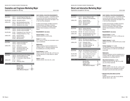## Cosmetics and Fragrance Marketing Major

Applications accepted for fall only. The control of the control of the control of the control of the control of the control of the control of the control of the control of the control of the control of the control of the c

| <b>Semester 5</b>     |        |                                    | <b>Credits</b> |
|-----------------------|--------|------------------------------------|----------------|
| <b>MAJOR AREA</b>     | CM 311 | Cosmetic/Fragrance/Toiletry Inds.  | 3              |
|                       | CM 341 | Cosmetics & Fragrance Marketing    | 3              |
| RELATED AREA          | MG 304 | <b>Information Systems</b>         | 2              |
| LIBERAL ARTS          | MA 311 | Math Modeling/Business Apps. *     | 3              |
|                       | SC 046 | Chemistry for Cos. & Frag. Lab.    | 1              |
|                       | SC 146 | Chemistry for Cos. & Frag.         | 3              |
| Semester 6            |        |                                    |                |
| MAJOR AREA            | CM 023 | Cosmetic Product Knowledge Lab     | 1              |
|                       | CM 323 | <b>Cosmetic Product Knowledge</b>  | 2              |
| <b>RELATED AREA</b>   | DE 301 | Presentation for Cos. & Frag. Ind. | $\overline{2}$ |
|                       | PK 302 | Packaging Design/Cos. & Frag.      | 2              |
| LIBERAL ARTS          | EN 321 | <b>Business Writing</b>            | 3              |
|                       | MA 222 | Statistical Analysis *             | 3.5            |
|                       | SS 342 | Microeconomics                     | 3              |
| Semester <sub>7</sub> |        |                                    |                |
| MAJOR AREA            | CM 024 | Fragrance Knowledge Lab            | 1              |
|                       | CM 424 | Fragrance Knowledge                | $\overline{2}$ |
| <b>LIBERAL ARTS</b>   | FR 111 | French I G8                        | 3.5            |
|                       | SS 443 | International Fconomics            | 3              |
|                       | choice | see American History* G10          | 3              |
|                       | choice | see Social Sciences* G9            | 3              |
|                       | choice | see Speech*                        | 3              |
| Semester 8            |        |                                    |                |
| <b>MAJOR AREA</b>     | CM 423 | Cosmetic/Fragrance Dev. Wkshp.     | 3              |
|                       | CM 425 | <b>Environmental Fragrancing</b>   | 3              |
|                       | IC 498 | Sr. Internship D: Career Planning  | 4              |

LIBERAL ARTS FR 112 French II 3.5

#### **TOTAL CREDIT REQUIREMENTS**

Majors

| MAJOR AREA                    | 22   |
|-------------------------------|------|
| <b>RELATED AREA</b>           | ĥ    |
| LIBERAL ARTS                  | 38.5 |
| <b>TOTAL Minimum Required</b> | 66.5 |

PL 431 Philosophy: Ethics 3

#### **SUNY GENERAL EDUCATION REQUIREMENTS**

A "G" followed by a number 1-10 identifies specific courses that meet SUNY General Education baccalaureate degree requirements (see pages 31–38 or visit www.fitnyc.edu/gened).

G1 Basic Communication; G2 Math; G3 Science; G4 Social Science; G5 Western Civilization; G6 Arts; G7 Humanities; G8 Foreign Language; G9 Other World Civilizations; G10 American History.

#### **\*REQUIREMENTS: See below**

**American History**: 3 credits

CHOICE of EN 272 or LA 221 (G10).

**French**: 6.5-7 credits FR 111 and FR 112 (G8) (one conversation course

#### **Mathematics**:

may be substituted).

Algebra proficiency must be completed prior to enrolling in MA 311. Arithmetic proficiency must be completed prior to enrolling in MA 222.

#### **Social Sciences**: 3 credits

CHOICE of SS 353, 354, 355, 356, or 374 (any one of these meets Gen. Ed. Other World Civ. requirement G9).

#### **Speech**: 3 credits

CHOICE of EN 241, 242, 244, 341, or 342.

| BACHELOR OF SCIENCE DEGREE PROGRAM (BS) |
|-----------------------------------------|
|-----------------------------------------|

## Direct and Interactive Marketing Major

Applications accepted for fall only. And the state of the state of the state of the HEGIS 0509

| <b>Semester 5</b>         |        |                                                   | <b>Credits</b> |
|---------------------------|--------|---------------------------------------------------|----------------|
| <b>MAJOR AREA</b>         | AC 272 | Research Methods in IMC                           | 3              |
|                           | DM 211 | Workshop in Direct Marketing                      | 3              |
| LIBERAL ARTS              | EN 321 | <b>Business Writing</b>                           | 3              |
|                           | MA 222 | Statistical Analysis *                            | 3.5            |
|                           | SS 342 | <b>Microeconomics</b>                             | 3              |
|                           | choice | see Speech*                                       | 3              |
| <b>Semester 6</b>         |        |                                                   |                |
| <b>MAJOR AREA</b>         | DM 321 | Database Marketing                                | 3              |
|                           | DM 331 | <b>Direct Response Copywriting</b>                | 3              |
| RFI ATFD ARFA             | MG 306 | Info. Systems: Case Analysis                      | 2              |
| LIBERAL ARTS              | MA 311 | Math Modeling/Business Apps. *                    | 3              |
|                           | choice | see Other World Civ * G9                          | 3              |
| <b>Semester 7</b>         |        |                                                   |                |
| <b>MAJOR AREA</b>         | DM 421 | DM Finance and Operations                         | 3              |
|                           | DM 432 | Direct Response Media Planning                    | 3              |
| LIBERAL ARTS              | PI 431 | Philosophy: Ethics                                | 3              |
|                           | choice | see English Literature*                           | 3              |
|                           | choice | see Foreign Language* G8<br>Liberal Arts elective | 3.5            |
|                           | choice |                                                   | 3              |
| Semester 8                |        |                                                   |                |
| <b>MAJOR AREA</b>         | DM 433 | <b>Direct Marketing Communications</b>            | 3              |
|                           | IC 498 | Sr. Internship D: Career Planning                 | 4              |
| <b>RELATED AREA</b>       | choice | Major or Related Area Elective**                  | 3              |
| LIBERAL ARTS              | choice | see American History* G10                         | 3              |
|                           | choice | see Foreign Language*                             | $3 - 3.5$      |
| TOTAL CREDIT REQUIREMENTS |        |                                                   |                |
|                           |        | <b>MAJOR AREA</b>                                 | 25             |

RELATED AREA 5 LIBERAL ARTS 37-37.5 TOTAL Minimum Required 67

#### **SUNY GENERAL EDUCATION REQUIREMENTS** A "G" followed by a number 1-10 identifies specific

courses that meet SUNY General Education baccalaureate degree requirements (see pages 31–38 or visit www.fitnyc.edu/gened).

G1 Basic Communication; G2 Math; G3 Science; G4 Social Science; G5 Western Civilization; G6 Arts; G7 Humanities; G8 Foreign Language; G9 Other World Civilizations; G10 American History.

#### **\*REQUIREMENTS: See below**

#### **American History**: 3 credits

CHOICE of EN 271, 272, LA 221, or 392 (any one of these meets G10).

#### **English Literature:** 3 credits

CHOICE of any 200- or 300-level EN course, except Speech.

#### **Foreign Language**: 6.5-7 credits

Two semesters of the same foreign language, one of which must be a 3.5 credit non-conversational course (G8).

#### **Mathematics**:

Arithmetic proficiency must be completed prior to enrolling in MA 222. Algebra proficiency must be completed prior to enrolling in MA 311.

#### **Other World Civilizations**: 3 credits

CHOICE of SS 353, 354, 355, 356, 374, or 393 (any one of these meets G9).

#### **Speech**: 3 credits

CHOICE of EN 241, 242, 244, 341, or 342, or a liberal arts elective may be substituted if an equivalent speech course has been taken previously.

#### **\*\*MAJOR OR RELATED AREA ELECTIVE:**

3 credits CHOICE of AC 231, 262, 362, BL 343, DM 434, DM 435, FM 231, 262, or 323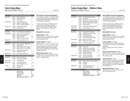## Fabric Styling Major

Applications accepted for fall only. The set of the set of the set of the set of the set of the set of the set of the set of the set of the set of the set of the set of the set of the set of the set of the set of the set o

| <b>Semester 5</b>         |               |                                          | <b>Credits</b> |
|---------------------------|---------------|------------------------------------------|----------------|
| MAJOR AREA                | <b>FS 312</b> | <b>Research Techniques</b>               | 1.5            |
|                           | <b>FS 321</b> | <b>Fashion Knit Design</b>               | 3              |
|                           | <b>FS 331</b> | <b>Fabric Styling I</b>                  | 3              |
| RELATED AREA              | ID 322        | <b>Decorative Arts Survey</b>            | $\overline{2}$ |
|                           | TD 312        | <b>Graphics for Textile Design I</b>     | $\overline{2}$ |
|                           | <b>TS 341</b> | Survey of Textile Printing Tech.         | 2.5            |
| LIBERAL ARTS              | SC 032        | <b>Color Science Laboratory</b>          | 1              |
|                           | SC 332        | <b>Color and Light</b>                   | 3              |
| Semester 6                |               |                                          |                |
| MAJOR AREA                | FS 451        | <b>Color Combinations and Repeats</b>    | 3              |
| RELATED AREA              | AR 301        | <b>Fashion Art for Textile Designers</b> | $\overline{2}$ |
|                           | BE 261        | <b>Starting a Small Business</b>         | 3              |
|                           | ID 201        | Color for Interiors                      | 2.5            |
|                           | <b>TD 412</b> | Graphics for Textile Design II           | 2              |
| <b>I IRFRAI ARTS</b>      | choice        | see American History* G10                | 3              |
| <b>Semester 7</b>         |               |                                          |                |
| MAJOR AREA                | <b>FS 341</b> | Fabrics In Fashion: 1860-Present         | 3              |
|                           | <b>FS 431</b> | <b>Fabric Styling II</b>                 | 2              |
|                           | <b>FS 432</b> | CAD for Woven and Print Styling          | $\overline{2}$ |
|                           | <b>FS 433</b> | Digital Present. for Fabric Stylists     | $\overline{2}$ |
| RELATED AREA              | AC 111        | Advertising and Promotion                | 3              |
|                           | PH 162        | Photographic Styling                     | $\overline{2}$ |
| <b>LIBERAL ARTS</b>       | choice        | see Foreign Language* G8                 | 3.5            |
| <b>Semester 8</b>         |               |                                          |                |
| <b>MAJOR AREA</b>         | <b>FS 424</b> | Home Fashion Design                      | 3              |
|                           | <b>FS 453</b> | <b>Professional Presentation</b>         | 1.5            |
| RELATED AREA              | TT 475        | <b>Textile Marketing</b>                 | 3              |
| <b>LIBERAL ARTS</b>       | choice        | see Foreign Language*                    | $3 - 3.5$      |
|                           | choice        | see Other World Civ.* G9                 | 3              |
| <b>ELECTIVE</b>           | choice        | General elective                         | $1.5 - 3$      |
| 0r                        | FS 491        | Internship                               | 2              |
| TOTAL CREDIT REQUIREMENTS |               |                                          |                |

| <b>MAJOR AREA</b>             | 24        |
|-------------------------------|-----------|
| <b>RELATED AREA</b>           | 24        |
| <b>LIBERAL ARTS</b>           | 16.5      |
| <b>ELECTIVE</b>               | $1.5 - 3$ |
| <b>TOTAL Minimum Required</b> | 66        |
|                               |           |

#### **SUNY GENERAL EDUCATION REQUIREMENTS** A "G" followed by a number 1-10 identifies specific courses that meet SUNY General Education baccalaureate degree requirements (see pages 31–38 or visit www.fitnyc.edu/gened).

G1 Basic Communication; G2 Math; G3 Science; G4 Social Science; G5 Western Civilization; G6 Arts; G7 Humanities; G8 Foreign Language; G9 Other World Civilizations; G10 American History.

#### **\*REQUIREMENTS: See below**

**American History**: 3 credits CHOICE of EN 271, 272, 335, LA 221, or any other non-HA course which meets Gen. Ed. American History requirement (G10).

#### **Foreign Language**: 6.5-7 credits

CHOICE of CH 111, 112, FR 111, 112, IT 111, 112, JA 111, 112, SP 111, 112, or 141. One 3.5-credit foreign language course meets Gen. Ed. Foreign Language requirement (G8). One conversation course may be substituted for the second foreign language requirement.

#### **Other World Civilizations**: 3 credits

CHOICE of HA 121, 221, 223, 224, 225, or 226, or any other HA course which meets Gen. Ed. Other World Civ. requirement (G9).

## Fashion Design Major - Children's Wear

Applications accepted for fall only. The set of the set of the set of the set of the set of the set of the set of the set of the set of the set of the set of the set of the set of the set of the set of the set of the set o

| <b>Semester 5</b>       |                                                          |                                                                                                                                                                                                 | <b>Credits</b>                                             |
|-------------------------|----------------------------------------------------------|-------------------------------------------------------------------------------------------------------------------------------------------------------------------------------------------------|------------------------------------------------------------|
| <b>MAJOR AREA</b>       | FD 321<br>FD 351<br>FD 352<br>FD 353<br>FF 321<br>FF 351 | <b>Computerized Pattern Design</b><br><b>Body Contour</b><br>Knitwear Des.: Flat Pat. Des. & Sew.<br>Knitwear Design: Machine Knitting<br>20th Cent. Style & Modern Design<br>Knitwear Design I | 1.5<br>1.5<br>1.5<br>$\overline{2}$<br>2<br>1.5            |
| <b>RELATED AREA</b>     | FM 301                                                   | <b>Fashion Merch./Apparel Designers</b>                                                                                                                                                         | 3                                                          |
| I IRFRAI ARTS           | choice                                                   | see Other World Civ * G9                                                                                                                                                                        | 3                                                          |
| <b>Semester 6</b>       |                                                          |                                                                                                                                                                                                 |                                                            |
| <b>MAJOR AREA</b>       | FD 341<br>FD 361<br>FD 363<br>FF 361<br>FF 362           | Design with Hi-Tech Fabrics<br>Introduction to Children's Wear<br>Swimwear Design<br>Children's Wear Design<br>Comp. Children's Wear Design                                                     | 1.5<br>2.5<br>$\overline{2}$<br>$\overline{2}$<br>1.5      |
| <b>RELATED AREA</b>     | FM 324<br>MG 301                                         | <b>Business of Licensing</b><br>Apparel Prod.: Labor Analysis                                                                                                                                   | 3<br>$\overline{2}$                                        |
| LIBERAL ARTS            | choice                                                   | see Foreign Language* G8                                                                                                                                                                        | 3.5                                                        |
| <b>Semester 7</b>       |                                                          |                                                                                                                                                                                                 |                                                            |
| <b>MAJOR AREA</b><br>0r | FD 355<br>FD 364<br>FD 375<br>FD 391<br>FF 393<br>FF 394 | Primavision I<br>Outerwear/Perf. App. Design<br>Textile Lace and Technology I<br>Children's Wear Lic. Practicum<br>Portfolio: Sportswear<br>Portfolio: Active Wear                              | 1.5<br>2<br>1.5<br>1.5<br>$\overline{2}$<br>$\overline{2}$ |
| LIBERAL ARTS            | choice<br>choice                                         | see Foreign Language*<br>see History of Art & Civ.*                                                                                                                                             | $3 - 3.5$<br>3                                             |
| Semester 8              |                                                          |                                                                                                                                                                                                 |                                                            |
| <b>MAJOR AREA</b>       | FD 491<br>FF 491<br>FF 492                               | Senior Collection: Children's Wear<br>Internship<br>E-portfolio                                                                                                                                 | 3<br>2<br>1                                                |
| LIBERAL ARTS            | choice                                                   | see American History* G10                                                                                                                                                                       | 3                                                          |

choice see Liberal Arts elective\* 3

MAJOR AREA 34 RELATED AREA 8 LIBERAL ARTS 18.5-19 TOTAL Minimum Required 60.5

**TOTAL CREDIT REQUIREMENTS**

#### **SUNY GENERAL EDUCATION REQUIREMENTS**

A "G" followed by a number 1-10 identifies specific courses that meet SUNY General Education baccalaureate degree requirements (see pages 31–38 or visit www.fitnyc.edu/gened).

G1 Basic Communication; G2 Math; G3 Science; G4 Social Science; G5 Western Civilization; G6 Arts; G7 Humanities; G8 Foreign Language; G9 Other World Civilizations; G10 American History.

#### **\*REQUIREMENTS: See below**

#### **American History**: 3 credits

CHOICE of EN 271, 272, 335, LA 221, or any other non-HA course which meets Gen. Ed. American History requirement (G10).

#### **Foreign Language**: 6.5-7 credits

Two semesters of the same foreign language, one of which must be a 3.5 credit non-conversational course (G8). CHOICE: Chinese, French, Italian, Japanese, or Spanish.

#### **History of Art and Civilization**: 3 credits

CHOICE of HA 111, 214, 221, 223, 224, 225, 226, 231, 311, 312, 314, 331, 332, 342, 343, 344, 345, 391, 392, 393, or 394.

#### **Liberal Arts Elective**: 3 credits

CHOICE of any non-HA course from the following areas: CH (Chinese), EN (English/Speech), FR (French), IT (Italian), JA (Japanese), LA (Liberal Arts), MA (Math), SC (Science), SP (Spanish), or SS (Social Science).

#### **Other World Civilizations**: 3 credits

CHOICE of HA 121, 221, 223, 224, 225, or 226 (any one of these meets G9).

Majors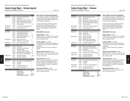## Fashion Design Major - Intimate Apparel

Applications accepted for fall only. The set of the set of the set of the set of the set of the set of the set of the set of the set of the set of the set of the set of the set of the set of the set of the set of the set o

| <b>Semester 5</b>   |                                                                 |                                                                                                                                                                                                     | <b>Credits</b>                                    |
|---------------------|-----------------------------------------------------------------|-----------------------------------------------------------------------------------------------------------------------------------------------------------------------------------------------------|---------------------------------------------------|
| <b>MAJOR AREA</b>   | FD 321<br>FD 351<br>FD 352<br>FD 353<br>FF 321<br>FF 351        | <b>Computerized Pattern Design</b><br><b>Body Contour</b><br>Knitwear Des.: Flat Pat. Des. & Sew. 1.5<br>Knitwear Design: Machine Knitting<br>20th Cent. Style & Modern Design<br>Knitwear Design I | 1.5<br>1.5<br>2<br>2<br>1.5                       |
| <b>RELATED AREA</b> | FM 301                                                          | <b>Fashion Merch./Apparel Designers</b>                                                                                                                                                             | 3                                                 |
| LIBERAL ARTS        | choice                                                          | see Other World Civ.* G9                                                                                                                                                                            | 3                                                 |
| Semester 6          |                                                                 |                                                                                                                                                                                                     |                                                   |
| <b>MAJOR AREA</b>   | FD 371<br>FD 372<br>FD 373<br>FF 371<br>FF 372                  | Intimate Apparel Sewing Tech.<br><b>Control Shapewear Design</b><br>Intimate Apparel Line Dev.<br>Shapewear and Foundation: Art<br>Intimate Apparel CAD                                             | 2<br>$\overline{2}$<br>1.5<br>1.5<br>1.5          |
| <b>RELATED AREA</b> | FM 324<br>MG 301                                                | <b>Business of Licensing</b><br>Apparel Prod.: Labor Analysis                                                                                                                                       | 3<br>$\overline{2}$                               |
| LIBERAL ARTS        | choice                                                          | see Foreign Language* G8                                                                                                                                                                            | 3.5                                               |
| Semester 7          |                                                                 |                                                                                                                                                                                                     |                                                   |
| <b>MAJOR AREA</b>   | FD 355<br>FD 375<br>FD 471<br><b>FD 472</b><br>FD 473<br>FF 396 | Primavision I<br>Textile Lace and Technology I<br><b>Foundation Design</b><br><b>Foundation Fitting Techniques</b><br>Underfashion Comp. Ptrnmkg./Grad.<br>Senior Portfolio: Intimate Apparel       | 1.5<br>1.5<br>$\overline{2}$<br>1.5<br>1.5<br>1.5 |
| LIBERAL ARTS        | choice<br>choice                                                | see Foreign Language*<br>see History of Art & Civ.*                                                                                                                                                 | $3 - 3.5$<br>3                                    |
| <b>Semester 8</b>   |                                                                 |                                                                                                                                                                                                     |                                                   |
| <b>MAJOR AREA</b>   | FD 494<br><b>FF 404</b>                                         | Senior Collection: Intimate Apparel 3<br>المتمالم ويسمعها                                                                                                                                           |                                                   |

## FF 491 Internship 2 FF 492 E-portfolio 1 LIBERAL ARTS choice see American History\* G10 3 choice see Liberal Arts elective\*

#### **TOTAL CREDIT REQUIREMENTS**

| <b>MAJOR AREA</b>             | 34      |
|-------------------------------|---------|
| <b>RELATED AREA</b>           | 8       |
| LIBERAL ARTS                  | 18.5-19 |
| <b>TOTAL Minimum Required</b> | 60.5    |

#### **SUNY GENERAL EDUCATION REQUIREMENTS** A "G" followed by a number 1-10 identifies specific courses that meet SUNY General Education baccalaureate degree requirements (see pages 31–38 or visit www.fitnyc.edu/gened).

G1 Basic Communication; G2 Math; G3 Science; G4 Social Science; G5 Western Civilization; G6 Arts; G7 Humanities; G8 Foreign Language; G9 Other World Civilizations; G10 American History.

#### **\*REQUIREMENTS: See below**

#### **American History**: 3 credits CHOICE of EN 271, 272, 335, LA 221, or any other non-HA course which meets Gen. Ed. American History requirement (G10).

**Foreign Language**: 6.5-7 credits

Two semesters of the same foreign language, one of which must be a 3.5 credit non-conversational course (G8). CHOICE: Chinese, French, Italian, Japanese, or Spanish

#### **History of Art and Civilization**: 3 credits

CHOICE of HA 111, 214, 221, 223, 224, 225, 226, 231, 311, 312, 314, 331, 332, 342, 343, 344, 345, 391, 392, 393, or 394.

#### **Liberal Arts Elective**: 3 credits

CHOICE of any non-HA course from the following areas: CH (Chinese), EN (English/Speech), FR (French), IT (Italian), JA (Japanese), LA (Liberal Arts), MA (Math), SC (Science), SP (Spanish), or SS (Social Science).

#### **Other World Civilizations**: 3 credits

CHOICE of HA 121, 221, 223, 224, 225, or 226 (any one of these meets G9).

## Fashion Design Major - Knitwear

BACHELOR OF FINE ARTS DEGREE PROGRAM (BFA)

Applications accepted for fall only. The set of the set of the set of the set of the set of the set of the set of the set of the set of the set of the set of the set of the set of the set of the set of the set of the set o

| <b>Semester 5</b>   |                                                          |                                                                                                                                                                                                 | <b>Credits</b>                     |
|---------------------|----------------------------------------------------------|-------------------------------------------------------------------------------------------------------------------------------------------------------------------------------------------------|------------------------------------|
| <b>MAJOR AREA</b>   | FD 321<br>FD 351<br>FD 352<br>FD 353<br>FF 321<br>FF 351 | <b>Computerized Pattern Design</b><br><b>Body Contour</b><br>Knitwear Des.: Flat Pat. Des. & Sew.<br>Knitwear Design: Machine Knitting<br>20th Cent. Style & Modern Design<br>Knitwear Design I | 1.5<br>1.5<br>1.5<br>2<br>2<br>1.5 |
| RELATED AREA        | FM 301                                                   | <b>Fashion Merch./Apparel Designers</b>                                                                                                                                                         | 3                                  |
| <b>LIBERAL ARTS</b> | choice                                                   | see Other World Civ.* G9                                                                                                                                                                        | 3                                  |
| <b>Semester 6</b>   |                                                          |                                                                                                                                                                                                 |                                    |
| <b>MAJOR AREA</b>   | FD 354<br>FD 355<br>FF 352                               | Knitwear Des.: Drap., Sew., Pat. Des.<br>Primavision I<br>Knitwear Design II                                                                                                                    | 1.5<br>1.5<br>1.5                  |
| <b>RELATED AREA</b> | FM 324<br>FS 321<br>MG 301<br><b>TS 261</b>              | <b>Business of Licensing</b><br><b>Fashion Knit Design</b><br>Apparel Prod.: Labor Analysis<br>Intro. to Weft Knitting Principles                                                               | 3<br>3<br>$\overline{2}$<br>3      |
| LIBERAL ARTS        | choice                                                   | see Foreign Language* G8                                                                                                                                                                        | 3.5                                |
| <b>Semester 7</b>   |                                                          |                                                                                                                                                                                                 |                                    |
| <b>MAJOR AREA</b>   | FD 356<br>FD 451<br>FD 452<br>FF 395                     | Seamless Knit Design: Stoll M1<br>Knitwear Des.: Full Fash./Pointelle<br>Primavision II<br>Portfolio: Knitwear Design                                                                           | 2<br>$\overline{2}$<br>1.5<br>1.5  |
| <b>RELATED AREA</b> | <b>TS 431</b>                                            | Advanced Concepts in Weft Knitting                                                                                                                                                              | 2.5                                |
| <b>LIBERAL ARTS</b> | choice<br>choice                                         | see Foreign Language*<br>see History of Art & Civ.*                                                                                                                                             | $3 - 3.5$<br>3                     |
| <b>Semester 8</b>   |                                                          |                                                                                                                                                                                                 |                                    |
| <b>MAJOR AREA</b>   | FD 493<br>FF 491<br>FF 492                               | Senior Collection: Knitwear Design<br>Internship<br>E-portfolio                                                                                                                                 | 1.5<br>2<br>1                      |

#### RELATED AREA TS 366 Exp. Weft Knit. Structures/Machinery 2 LIBERAL ARTS choice see American History\* G10 3 choice see Liberal Arts elective\* 3

#### **TOTAL CREDIT REQUIREMENTS**

| MAJOR AREA                    | 26      |
|-------------------------------|---------|
| <b>RELATED AREA</b>           | 18.5    |
| LIBERAL ARTS                  | 18.5-19 |
| <b>TOTAL Minimum required</b> | 63      |

#### **SUNY GENERAL EDUCATION REQUIREMENTS**

A "G" followed by a number 1-10 identifies specific courses that meet SUNY General Education baccalaureate degree requirements (see pages 31–38 or visit www.fitnyc.edu/gened).

G1 Basic Communication; G2 Math; G3 Science; G4 Social Science; G5 Western Civilization; G6 Arts; G7 Humanities; G8 Foreign Language; G9 Other World Civilizations; G10 American History.

#### **\*REQUIREMENTS: See below**

#### **American History**: 3 credits

CHOICE of EN 271, 272, 335, LA 221, or any other non-HA course which meets Gen. Ed. American History requirement (G10).

#### **Foreign Language**: 6.5-7 credits

Two semesters of the same foreign language, one of which must be a 3.5 credit non-conversational course (G8). CHOICE: Chinese, French, Italian, Japanese, or

Spanish.

#### **History of Art and Civilization**: 3 credits

CHOICE of HA 111, 214, 221, 223, 224, 225, 226, 231, 311, 312, 314, 331, 332, 342, 343, 344, 345, 391, 392, 393, or 394.

#### **Liberal Arts Elective**: 3 credits

CHOICE of any non-HA course from the following areas: CH (Chinese), EN (English/Speech), FR (French), IT (Italian), JA (Japanese), LA (Liberal Arts), MA (Math), SC (Science), SP (Spanish), or SS (Social Science).

#### **Other World Civilizations**: 3 credits

CHOICE of HA 121, 221, 223, 224, 225, or 226 (any one of these meets G9).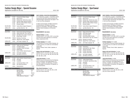## Fashion Design Major - Special Occasion

Applications accepted for fall only. The set of the set of the set of the set of the set of the set of the set of the set of the set of the set of the set of the set of the set of the set of the set of the set of the set o

| <b>Semester 5</b>   |                                                          |                                                                                                                                                                                                 | <b>Credits</b>                         |
|---------------------|----------------------------------------------------------|-------------------------------------------------------------------------------------------------------------------------------------------------------------------------------------------------|----------------------------------------|
| <b>MAJOR AREA</b>   | FD 321<br>FD 351<br>FD 352<br>FD 353<br>FF 321<br>FF 351 | <b>Computerized Pattern Design</b><br><b>Body Contour</b><br>Knitwear Des.: Flat Pat. Des. & Sew.<br>Knitwear Design: Machine Knitting<br>20th Cent. Style & Modern Design<br>Knitwear Design I | 1.5<br>1.5<br>1.5<br>2<br>2<br>1.5     |
| RELATED AREA        | FM 301                                                   | <b>Fashion Merch./Apparel Designers</b>                                                                                                                                                         | 3                                      |
| LIBERAL ARTS        | choice                                                   | see Other World Civ * G9                                                                                                                                                                        | 3                                      |
| Semester 6          |                                                          |                                                                                                                                                                                                 |                                        |
| <b>MAJOR AREA</b>   | FD 231<br>FD 232<br>FD 374<br>FF 391                     | Haute Couture Sewing Techniques 2<br>Haute Couture Dec. Tech, and Emb. 2<br>Flat Pattern Des. for Spec. Occasion 1.5<br>Bridal Design: Portfolio                                                | 2                                      |
| <b>RELATED AREA</b> | FM 324<br>MG 301                                         | <b>Business of Licensing</b><br>Apparel Prod.: Labor Analysis                                                                                                                                   | 3<br>$\overline{2}$                    |
| LIBERAL ARTS        | choice                                                   | see Foreign Language* G8                                                                                                                                                                        | 3.5                                    |
| <b>Semester 7</b>   |                                                          |                                                                                                                                                                                                 |                                        |
| <b>MAJOR AREA</b>   | FD 375<br>FD 471<br>FD 472<br>FD 474<br>FF 397           | Textile Lace and Technology I<br><b>Foundation Design</b><br><b>Foundation Fitting Techniques</b><br><b>Bridal Design</b><br>Senior Portfolio: Special Occasion                                 | 1.5<br>2<br>1.5<br>2<br>$\overline{2}$ |
| LIBERAL ARTS        | choice<br>choice                                         | see Foreign Language*<br>see History of Art & Civ.*                                                                                                                                             | $3 - 3.5$<br>3                         |
| <b>Semester 8</b>   |                                                          |                                                                                                                                                                                                 |                                        |
| <b>MAJOR AREA</b>   | FD 495<br>FF 491<br>FF 492                               | Senior Collection: Special Occasion 3<br>Internship<br>E-portfolio                                                                                                                              | 2<br>1                                 |
| LIBERAL ARTS        | choice<br>choice                                         | see American History* G10<br>see Liberal Arts elective*                                                                                                                                         | 3<br>3                                 |

ELECTIVE choice General elective 1.5-3

MAJOR AREA 32.5 RELATED AREA 8 LIBERAL ARTS 18.5-19 ELECTIVE 1.5-3<br>
TOTAL Minimum Required 60.5 TOTAL Minimum Required 60.5

**TOTAL CREDIT REQUIREMENTS**

#### **SUNY GENERAL EDUCATION REQUIREMENTS** A "G" followed by a number 1-10 identifies specific courses that meet SUNY General Education bac-

calaureate degree requirements (see pages 31–38 or visit www.fitnyc.edu/gened).

G1 Basic Communication; G2 Math; G3 Science; G4 Social Science; G5 Western Civilization; G6 Arts; G7 Humanities; G8 Foreign Language; G9 Other World Civilizations; G10 American History.

#### **\*REQUIREMENTS: See below**

**American History**: 3 credits CHOICE of EN 271, 272, 335, LA 221, or any other non-HA course which meets Gen. Ed. American History requirement (G10).

#### **Foreign Language**: 6.5-7 credits

Two semesters of the same foreign language, one of which must be a 3.5 credit non-conversational course (G8). CHOICE: Chinese, French, Italian, Japanese, or Spanish

#### **History of Art and Civilization**: 3 credits

CHOICE of HA 111, 214, 221, 223, 224, 225, 226, 231, 311, 312, 314, 331, 332, 342, 343, 344, 345, 391, 392, 393, or 394.

#### **Liberal Arts Elective**: 3 credits

CHOICE of any non-HA course from the following areas: CH (Chinese), EN (English/Speech), FR (French), IT (Italian), JA (Japanese), LA (Liberal Arts), MA (Math), SC (Science), SP (Spanish), or SS (Social Science).

#### **Other World Civilizations**: 3 credits

CHOICE of HA 121, 221, 223, 224, 225, or 226 (any one of these meets G9).

#### BACHELOR OF FINE ARTS DEGREE PROGRAM (BFA)

## Fashion Design Major - Sportswear

Applications accepted for fall only. The set of the set of the set of the set of the set of the set of the set of the set of the set of the set of the set of the set of the set of the set of the set of the set of the set o

| <b>Semester 5</b> |                                                          |                                                                                                                                                                                                     | <b>Credits</b>                                    |
|-------------------|----------------------------------------------------------|-----------------------------------------------------------------------------------------------------------------------------------------------------------------------------------------------------|---------------------------------------------------|
| MAJOR AREA        | FD 321<br>FD 351<br>FD 352<br>FD 353<br>FF 321<br>FF 351 | <b>Computerized Pattern Design</b><br><b>Body Contour</b><br>Knitwear Des.: Flat Pat, Des. & Sew. 1.5<br>Knitwear Design: Machine Knitting<br>20th Cent. Style & Modern Design<br>Knitwear Design I | 1.5<br>1.5<br>2<br>2<br>1.5                       |
| RELATED AREA      | FM 301                                                   | <b>Fashion Merch./Apparel Designers</b>                                                                                                                                                             | 3                                                 |
| LIBERAL ARTS      | choice                                                   | see Other World Civ.* G9                                                                                                                                                                            | 3                                                 |
| <b>Semester 6</b> |                                                          |                                                                                                                                                                                                     |                                                   |
| MAJOR AREA        | FD 341<br>FD 362<br>FD 363<br>FF 392<br>FF 398           | Design with Hi-Tech Fabrics<br><b>Active Sport Design</b><br>Swimwear Design<br>Swim/Active Sport Portfolio<br>Outerwear/Perf. App. Des. Portfolio                                                  | 1.5<br>2<br>$\overline{2}$<br>$\overline{2}$<br>2 |
| RELATED AREA      | FM 324<br>MG 301                                         | <b>Business of Licensing</b><br>Apparel Prod.: Labor Analysis                                                                                                                                       | 3<br>2                                            |
| LIBERAL ARTS      | choice                                                   | see Foreign Language* G8                                                                                                                                                                            | 3.5                                               |
| <b>Semester 7</b> |                                                          |                                                                                                                                                                                                     |                                                   |
| MAJOR AREA<br>0r  | FD 355<br>FD 364<br>FD 461<br>FF 393<br>FF 394           | Primavision I<br>Outerwear/Perf. App. Design<br><b>Tailoring Techniques</b><br>Portfolio: Sportswear<br>Portfolio: Active Wear                                                                      | 1.5<br>2<br>2<br>$\overline{2}$<br>$\overline{2}$ |
| LIBERAL ARTS      | choice<br>choice                                         | see Foreign Language*<br>see History of Art & Civ.*                                                                                                                                                 | $3 - 3.5$<br>3                                    |
| <b>Semester 8</b> |                                                          |                                                                                                                                                                                                     |                                                   |
| <b>MAJOR AREA</b> | FD 475<br>FD 496<br>FF 491                               | Leather Apparel Design<br>Sr. Collection: Sports/Active Wear<br>Internship                                                                                                                          | 2<br>3<br>$\overline{2}$                          |

LIBERAL ARTS choice see American History\* G10 3

**TOTAL CREDIT REQUIREMENTS**

Internship 2 FF 492 E-portfolio 1

> MAJOR AREA 35 RELATED AREA 8 LIBERAL ARTS 18.5-19 TOTAL Minimum Required 61.5

choice see Liberal Arts elective\* 3

#### **SUNY GENERAL EDUCATION REQUIREMENTS**

A "G" followed by a number 1-10 identifies specific courses that meet SUNY General Education baccalaureate degree requirements (see pages 31–38 or visit www.fitnyc.edu/gened).

G1 Basic Communication; G2 Math; G3 Science; G4 Social Science; G5 Western Civilization; G6 Arts; G7 Humanities; G8 Foreign Language; G9 Other World Civilizations; G10 American History.

#### **\*REQUIREMENTS: See below**

#### **American History**: 3 credits

CHOICE of EN 271, 272, 335, LA 221, or any other non-HA course which meets Gen. Ed. American History requirement (G10).

#### **Foreign Language**: 6.5-7 credits

Two semesters of the same foreign language, one of which must be a 3.5 credit non-conversational course (G8).

CHOICE: Chinese, French, Italian, Japanese, or Spanish.

#### **History of Art and Civilization**: 3 credits

CHOICE of HA 111, 214, 221, 223, 224, 225, 226, 231, 311, 312, 314, 331, 332, 342, 343, 344, 345, 391, 392, 393, or 394.

#### **Liberal Arts Elective**: 3 credits

CHOICE of any non-HA course from the following areas: CH (Chinese), EN (English/Speech), FR (French), IT (Italian), JA (Japanese), LA (Liberal Arts), MA (Math), SC (Science), SP (Spanish), or SS (Social Science).

#### **Other World Civilizations**: 3 credits

CHOICE of HA 121, 221, 223, 224, 225, or 226 (any one of these meets G9).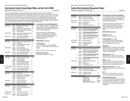## International Fashion Design Major/Milan and New York (IFDM)

Applications accepted for fall only. The set of the set of the set of the set of the set of the set of the set of the set of the set of the set of the set of the set of the set of the set of the set of the set of the set o

This overseas academic program leads to the Bachelor of Fine Arts degree in Fashion Design. It is offered in collaboration with the Politecnico di Milano. The courses below are those offered in Milan. In certain cases, some classes may be substituted for those offered by Politecnico. Students may attend this overseas program for one year—in semesters 5 and 6, or 7 and 8. The Knitwear track is offered in semesters 5 and 6. The Sportswear/Children's Wear track is offered in semesters 5 and 6, or in semesters 7 and 8. Refer to the Fashion Design BFA degree requirements on pages 115–119 and to the department's website at www.fitnyc.edu/fashiondesign for courses to be taken in New York and other information. Students must complete IT 111-Italian I before attending IFDM in Milan.

|                             |               | Semester 5 - Knitwear, Sportswear, Children's Wear Tracks Credits |                |
|-----------------------------|---------------|-------------------------------------------------------------------|----------------|
| MAJOR AREA                  | FD 321        | <b>Computerized Pattern Design</b>                                | 1.5            |
|                             | FD 351        | <b>Body Contour</b>                                               | 1.5            |
|                             | FD 352        | Knitwear Des.: Flat Pat. Des./Sew.                                | 1.5            |
|                             | FD 353        | Knitwear Design: Machine Knitting                                 | 2              |
|                             | FF 351        | Knitwear Design I                                                 | 1.5            |
| RELATED AREA                | FM 301        | <b>Fashion Merch./Apparel Designers</b>                           | 3              |
|                             | <b>FM 324</b> | The Business of Licensing                                         | 3              |
| LIBERAL ARTS                | HA 345        | History of Industrial Design G7                                   | 3              |
|                             | choice        | see Foreign Language* G8                                          | 3.5            |
| Semester 6 - Knitwear Track |               |                                                                   |                |
| MAJOR AREA                  | FD 354        | Knitwear Des.: Draping, Adv. Sew.                                 | 1.5            |
|                             | FD 355        | Primavision I                                                     | 1.5            |
|                             | FF 321        | 20th Cent. Style/Mod. Designer                                    | 2              |
|                             | FF 352        | Knitwear Design II                                                | 1.5            |
| RELATED AREA                | <b>FS 321</b> | <b>Fashion Knit Design</b>                                        | 3              |
|                             | MG 301        | Apparel Prod. Labor Analysis                                      | 2              |
|                             | <b>TS 261</b> | Intro. to Weft Knitting Principles                                | 3              |
| LIBERAL ARTS                | <b>HA344</b>  | History of Western Costume G7                                     | 3              |
|                             | SS 374        | Cross-Cultural Studies G9                                         | 3              |
|                             |               | Semester 6 - Sportswear/Children's Wear Track                     |                |
| <b>MAJOR AREA</b>           | FD 341        | Designing with Hi-Tech Fabrics                                    | 1.5            |
|                             | FD 362        | <b>Active Sport Design</b>                                        | 2              |
|                             | FD 363        | Swimwear Design                                                   | $\overline{2}$ |
|                             | FF 321        | 20th Cent. Style/Mod. Designer                                    | $\overline{2}$ |
|                             | FF 392        | Swim/Active Sport Portfolio                                       | 2              |
|                             | FF 398        | Outerwear/Perf. App. Des. Port.                                   | $\overline{2}$ |
| <b>RELATED AREA</b>         | MG 301        | Apparel Prod. Labor Analysis                                      | $\overline{2}$ |
| <b>LIBERAL ARTS</b>         | <b>HA344</b>  | History of Western Costume G7                                     | 3              |
|                             | SS 374        | Cross-Cultural Studies G9                                         | 3              |
|                             |               | Semester 7 - Sportswear/Children's Wear Track                     |                |
| MAJOR AREA                  | FD 355        | Primavision I                                                     | 1.5            |
|                             | FD 364        | Outerwear/Perf. Apparel Design                                    | 2              |
|                             | FD 391        | Children's Wear Lic. Practicum**                                  | 1.5            |
|                             | FD 461        | <b>Tailoring Techniques</b>                                       | 2              |
|                             | FF 393        | Portfolio: Sportswear                                             | 2              |
| <b>LIBERAL ARTS</b>         | <b>EN 272</b> | <b>Identity in America G10</b>                                    | 3              |
|                             | choice        | see Foreign Language*                                             | 3.5            |
|                             |               | Semester 8 - Sportswear/Children's Wear Track                     |                |
| MAJOR AREA                  | FD 475        | Leather Apparel Design                                            | 2              |
|                             | FD 496        | Sr. Coll.: Sportswear/Active Wear                                 | 3              |
|                             | FF 491        | Internship                                                        | $\overline{2}$ |
|                             | FF 492        | ePortfolio                                                        | 1              |
| <b>RELATED AREA</b>         | choice        | see Related Area Electives***                                     | $\overline{2}$ |
| <b>LIBERAL ARTS</b>         | <b>HA344</b>  | History of Western Costume G7                                     | 3              |
|                             | SS 374        | Cross-Cultural Studies G9                                         | 3              |

**SUNY GENERAL EDUCATION REQUIREMENTS** A "G" followed by a number 1-10 identifies specific

courses that meet SUNY General Education baccalaureate degree requirements (see pages 31–38 or visit www.fitnyc.edu/gened).

G1 Basic Communication; G2 Mathematics; G3 Science; G4 Social Sciences; G5 Western Civilization; G6 Arts; G7 Humanities; G8 Foreign Language; G9 Other World Civilizations; G10 American History

#### **\*REQUIREMENTS: See below**

#### **Foreign Language**:

IT 112, 213, 214 (any one of these meets G8) Note: IT 111 must be taken before acceptance into program.

#### \*\*FD391 is for Children's Wear students only.

#### **\*\*\*RELATED AREA ELECTIVES**

|  | See Program Coordinator for course(s). |  |  |  |  |  |
|--|----------------------------------------|--|--|--|--|--|
|--|----------------------------------------|--|--|--|--|--|

| BACHELOR OF SCIENCE DEGREE PROGRAM (BS) |  |  |  |
|-----------------------------------------|--|--|--|
|                                         |  |  |  |

## Fashion Merchandising Management Major

Applications accepted for fall and spring. The set of the set of the set of the HEGIS 0509

| <b>Semester 5</b>             |                                      |                                                                                                            | <b>Credits</b>            |
|-------------------------------|--------------------------------------|------------------------------------------------------------------------------------------------------------|---------------------------|
| <b>MAJOR AREA</b>             | <b>FM 324</b><br>FM 361              | <b>Business of Licensing</b><br>Management for Retailing                                                   | 3<br>3                    |
| RELATED AREA                  | MG 306                               | Info. Systems: Case Analysis                                                                               | 2                         |
| LIBERAL ARTS                  | EN 321<br>MA 321<br>choice           | <b>Business Writing</b><br>Data Analysis<br>see Foreign Language* G8                                       | 3<br>3<br>3.5             |
| Semester 6                    |                                      |                                                                                                            |                           |
| MAJOR AREA                    | choice<br>FM 322                     | <b>Buying and Planning Specialization:</b><br><b>Fashion Inventory Management</b>                          | 3                         |
| <sub>or</sub>                 | choice<br>FM 341                     | <b>Product Development Specialization:</b><br>Computer-Aided Product Dev. I                                | 3                         |
| <sub>or</sub>                 | choice<br>FM 321<br>choice           | <b>Fashion Management Specialization:</b><br>Wkshp. in Apparel Merchandising<br>See Major Area electives** | 3<br>$3 - 4$              |
| RELATED AREA                  | MK 351                               | <b>Marketing Research</b>                                                                                  | 3                         |
| LIBERAL ARTS                  | choice<br>SS 342<br>choice           | see Foreign Language*<br>Microeconomics<br>see Speech*                                                     | $3 - 3.5$<br>3<br>3       |
| Semester 7                    |                                      |                                                                                                            |                           |
| MAJOR AREA                    | <b>FM 325</b>                        | Financial Assortment and Planning 3                                                                        |                           |
|                               | choice<br>FM 423                     | <b>Buying and Planning Specialization:</b><br><b>Fashion Planning and Allocation</b>                       | 3                         |
| <sub>or</sub>                 | choice<br>FM 441                     | <b>Product Development Specialization:</b><br>Computer-Aided Product Dev. II                               | 3                         |
| <sub>or</sub>                 | choice<br>FM 431                     | <b>Fashion Management Specialization:</b><br>Sales Management                                              | 3                         |
| LIBERAL ARTS<br><sub>or</sub> | MA 311<br>MA 331<br>choice<br>choice | Math Modeling/Business Apps.<br>Calculus<br>see Economics*<br>see Social Sciences* G9                      | 3<br>3<br>3<br>3          |
| <b>Semester 8</b>             |                                      |                                                                                                            |                           |
| MAJOR AREA                    | <b>FM 422</b><br>IC 498              | <b>Merchandising Strategies</b><br>Sr. Internship D: Career Planning                                       | 3<br>4                    |
| LIBERAL ARTS                  | PL 431<br>choice                     | Philosophy: Ethics G7<br>Liberal Arts elective                                                             | 3<br>6                    |
| TOTAL CREDIT REQUIREMENTS     |                                      |                                                                                                            |                           |
|                               |                                      | <b>MAJOR AREA</b><br>RELATED AREA<br>LIBERAL ARTS                                                          | $25 - 26$<br>5<br>36.5-37 |
|                               |                                      | <b>TOTAL Minimum Required</b>                                                                              | 66.5                      |

**SUNY GENERAL EDUCATION REQUIREMENTS** A "G" followed by a number 1-10 identifies specific courses that meet SUNY General Education baccalaureate degree requirements (see pages 31–38 or visit www.fitnyc.edu/gened).

G1 Basic Communication; G2 Math; G3 Science; G4 Social Science; G5 Western Civilization; G6 Arts; G7 Humanities; G8 Foreign Language; G9 Other World Civilizations; G10 American History.

#### **\*REQUIREMENTS: See below**

**Economics**: 3 credits CHOICE of SS 343, 443 or 445.

**Foreign Language**: 6.5-7 credits

Two semesters of the same foreign language, taken consecutively, one of which must be a 3.5 credit non-conversational course (G8).

#### **Mathematics**:

Algebra proficiency or MA 003 must be completed prior to enrolling in MA 311, MA 321, or MA 331. Students must complete MA 222 prior to enrolling in MA 321 in the 5th semester

#### **Social Sciences**: 3 credits

**Speech**: 3 credits

CHOICE of SS 354 or 374 (either one of these meets Gen. Ed. Other World Civ. requirement G9).

CHOICE of EN 241, 242, 244, 245, 341, 342, or a liberal arts elective may be substituted if an equivalent speech course has been taken previously.

#### **\*\*MAJOR AREA ELECTIVES:** 3-4 credits

CHOICE of FM 226, 321, 323, 362, 431, 491, 499 or BL 343.

#### **NOTE:**

FM 114, 224, 244, MG 153, SS 141, and TS 111 must be completed prior to the sixth semester.

#### **EVENING/WEEKEND OPTION**

A 4-semester evening/weekend option is available for this degree program (see pages 26–27 or visit the FIT website at www.fitnyc.edu/evening\_weekend). The sequence of courses is the same as that listed on this page.

Majors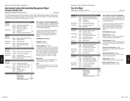## International Fashion Merchandising Management Major/ Florence and New York

Applications accepted for fall and spring. The set of the set of the HEGIS 0509 HEGIS 0509

This overseas academic program leads to the bachelor's degree in Fashion Merchandising Management. Students spend semesters 5 and 6 in Florence and semesters 7 and 8 in New York. Students must complete IT 111-Italian I before attending International Fashion Merchandising Management in Florence.

| Semester 5   |               |                                         | <b>Credits</b> |
|--------------|---------------|-----------------------------------------|----------------|
| FLORENCE:    |               |                                         |                |
| MAJOR AREA   | <b>FM 226</b> | International Buying/Marketing          | 3              |
|              | FM 324        | <b>Business of Licensing</b>            | 3              |
|              | FM 361        | <b>Management for Retailing</b>         | 3              |
| LIBERAL ARTS | HA 212        | Renaissance Art G7                      | 3              |
|              | IT 112        | Italian II G8                           | 3.5            |
|              | SS 354        | <b>Comparative Political Systems G9</b> | -3             |

#### **Semester 6**

| FLORENCE:           |        |                                   |     |
|---------------------|--------|-----------------------------------|-----|
| MAJOR AREA          | FM 321 | Wkshp. in Apparel Merchandising   | 3   |
|                     | FM 431 | Sales Management                  | 3   |
| <b>RELATED AREA</b> | IN 312 | <b>International Trade</b>        | 3   |
| LIBERAL ARTS        | FN 245 | Intercultural Communication       | 3   |
|                     | HA 344 | <b>History of Western Costume</b> | 3   |
| Οľ                  | IT 213 | Italian III                       | 3.5 |

| NEW YORK:<br>MAJOR AREA |                            | FM 325 Financial Assortment and Planning 3                                             |   |
|-------------------------|----------------------------|----------------------------------------------------------------------------------------|---|
| RELATED AREA            |                            | MG 306 Info. Systems: Case Analysis                                                    | 2 |
| LIBERAL ARTS            | EN 321<br>MA 321<br>SS 342 | <b>Business Writing</b><br>Data Analysis for Business Applications 3<br>Microeconomics | 3 |
| Semester 8              |                            |                                                                                        |   |

| NEW YORK:    |        |                                        |   |
|--------------|--------|----------------------------------------|---|
| MAJOR AREA   |        | <b>FM 422</b> Merchandising Strategies | 3 |
|              | IC 498 | Sr. Internship D: Career Planning      | 4 |
| LIBERAL ARTS |        | MA 311 Math Modeling/Business Apps.    | 3 |
| or           | MA 331 | Calculus                               | 3 |
|              | PL 431 | Philosophy: Ethics G7                  | 3 |
|              | choice | see Economics*                         | 3 |
|              |        |                                        |   |

#### **TOTAL CREDIT REQUIREMENTS**

| MAJOR AREA                    | 25      |
|-------------------------------|---------|
| <b>RELATED AREA</b>           | 5       |
| LIBERAL ARTS                  | 37-37.5 |
| <b>TOTAL Minimum Required</b> | 67      |

#### **SUNY GENERAL EDUCATION REQUIREMENTS**

A "G" followed by a number 1-10 identifies specific courses that meet SUNY General Education baccalaureate degree requirements (see pages 31–38 or visit www.fitnyc.edu/gened).

G1 Basic Communication; G2 Math; G3 Science; G4 Social Science; G5 Western Civilization; G6 Arts; G7 Humanities; G8 Foreign Language; G9 Other World Civilizations; G10 American History.

#### **\*REQUIREMENTS: See below**

**Economics:** 3 credits CHOICE of SS 343 or 443.

#### **Foreign Language:** 6.5-7 credits

Two semesters of Italian, one of which must be a 3.5 credit, non-conversational course (G8). Note that IT 213 can be taken as an optional liberal arts elective (after completion of the foreign language 6.5-7 credit requirement). Note: Italian I must be taken prior to travel (G8). Liberal Arts Credits Summary includes IT 111 Italian I, 3.5 credits.

#### **Mathematics:**

Algebra proficiency must be completed prior to enrolling in MA 311, MA 321, or MA 331.

#### **NOTE:**

FM 114, 224, 244, MG 153, SS 141, TS 111, and the algebra proficiency exam must be completed prior to semester 6.

BACHELOR OF FINE ARTS DEGREE PROGRAM (BFA)

## Fine Arts Major

Applications accepted for fall only. The set of the set of the set of the set of the set of the set of the set of the set of the set of the set of the set of the set of the set of the set of the set of the set of the set o

| <b>Semester 5</b>  |                                      |                                                                                                                                     | <b>Credits</b>                  |  |  |
|--------------------|--------------------------------------|-------------------------------------------------------------------------------------------------------------------------------------|---------------------------------|--|--|
| MAJOR AREA         | FA 341<br>FA 351<br>FA 361<br>FA 371 | <b>Experimental Drawing Workshop</b><br>Painting V: Contemporary Concepts<br>Sculpture III<br>Printmaking III                       | 1<br>3<br>3<br>1.5              |  |  |
| RELATED AREA       | CG 211                               | <b>Computer-Assisted Design</b>                                                                                                     | $\overline{2}$                  |  |  |
| LIBERAL ARTS       | choice<br>HA 231                     | see Foreign Language* G8<br>Modern Art*                                                                                             | 3.5<br>3                        |  |  |
| Semester 6         |                                      |                                                                                                                                     |                                 |  |  |
| MAJOR AREA         | FA 352<br>FA 363                     | Painting VI: Painting Imagery<br>Sculpture: Casting                                                                                 | 3<br>3                          |  |  |
| RELATED AREA<br>0r | CG 214<br>CG 311                     | <b>Web Page Construction</b><br>2D Computer Image Generation                                                                        | 1.5<br>2                        |  |  |
| LIBERAL ARTS       | choice<br><b>HA411</b>               | see Foreign Language*<br>Western Theories of Art                                                                                    | 3.5<br>3                        |  |  |
| <b>ELECTIVE</b>    | choice                               | General elective                                                                                                                    | $1.5 - 3$                       |  |  |
| Semester 7         |                                      |                                                                                                                                     |                                 |  |  |
| <b>MAJOR AREA</b>  | FA 451<br>FA 462<br>FA 471           | Painting VII: Personal Aesthetics<br><b>Sculpture: New Materials</b><br>Adv. Experimental Printmaking                               | 3<br>3<br>1.5                   |  |  |
| RELATED AREA       | choice                               | see Related Area elective**                                                                                                         | 3                               |  |  |
| LIBERAL ARTS       | choice                               | see American History* G10                                                                                                           | 3                               |  |  |
| <b>ELECTIVE</b>    | choice                               | General elective                                                                                                                    | $1.5 - 3$                       |  |  |
| Semester 8         |                                      |                                                                                                                                     |                                 |  |  |
| MAJOR AREA<br>0r   | FA 411<br>FA 491<br>FA 492<br>IC 496 | Interdisciplinary Media<br>Senior Project Thesis: Painting<br>Senior Project Thesis: Sculpture<br>Sr. Internship B: Career Planning | 1.5<br>3<br>3<br>$\overline{2}$ |  |  |
| RELATED AREA       | BE 403                               | The Artist in the Marketplace                                                                                                       | 3                               |  |  |
| LIBERAL ARTS       | choice<br>choice                     | see Other World Civ.* G9<br>see Writing elective*                                                                                   | 3<br>3                          |  |  |
|                    | <b>TOTAL CREDIT REQUIREMENTS</b>     |                                                                                                                                     |                                 |  |  |
|                    |                                      | MAJOR AREA                                                                                                                          | 28.5-30                         |  |  |

RELATED AREA 9.5-10 LIBERAL ARTS 22 ELECTIVE 3-6 TOTAL Minimum Required 63

#### **SUNY GENERAL EDUCATION REQUIREMENTS**

A "G" followed by a number 1-10 identifies specific courses that meet SUNY General Education baccalaureate degree requirements (see pages 31–38 or visit www.fitnyc.edu).

G1 Basic Communication; G2 Math; G3 Science; G4 Social Science; G5 Western Civilization; G6 Arts; G7 Humanities; G8 Foreign Language; G9 Other World Civilizations; G10 American History.

#### **\*REQUIREMENTS: See below**

#### **American History**: 3 credits

CHOICE of any non-HA course which meets Gen. Ed. American History requirement (G10).

#### **Foreign Language**: 7 credits

Two semesters of the same foreign language, both of which must be 3.5 credit, non-conversational course (G8).

#### **History of Art and Civilization**: 3 credits

If HA 231 has been taken previously, then substitute HA 331.

**Other World Civilizations**: 3 credits CHOICE of HA 121, 221, 223, 224, 225, or 226 (any one of these meets G9).

**Writing Elective**: 3 credits CHOICE of EN 262, 321, 361, 362, 363, or 364.

#### **\*\*RELATED AREA ELECTIVE:** 3 credits CHOICE of SD 101, SD 227, or IL 133.

Majors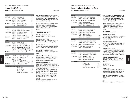## Graphic Design Major

Applications accepted for fall only. The set of the set of the set of the set of the set of the set of the set of the set of the set of the set of the set of the set of the set of the set of the set of the set of the set o

| <b>Semester 5</b>   |                  |                                                                           | <b>Credits</b>      |
|---------------------|------------------|---------------------------------------------------------------------------|---------------------|
| MAJOR AREA          | GD 311           | Graphic Design I                                                          | 3                   |
|                     | GD 342           | <b>Publication Design</b>                                                 | 3                   |
| RELATED AREA        | CD 371           | <b>Advanced Typography I</b>                                              | 1.5                 |
|                     | CD 441           | <b>Broadcast Design</b>                                                   | 2                   |
| <b>LIBERAL ARTS</b> | SS 334           | The Psychology of Color                                                   | 3                   |
|                     | choice           | see Liberal Arts elective*                                                | 3                   |
| Semester 6          |                  |                                                                           |                     |
| MAJOR ARFA          | GD 312           | Graphic Design II                                                         | 3                   |
|                     | GD 344           | Graphic Design in Digital Media                                           | 2                   |
| RELATED AREA        | CD 322           | Design Process Technology                                                 | 2                   |
|                     | CD 361           | <b>Professional Practices</b>                                             | $\overline{2}$      |
|                     | CD 372           | Advanced Typography II                                                    | 1.5                 |
| LIBERAL ARTS        | FN 322           | Prof. Writing in Art and Design                                           | 3                   |
|                     | choice           | see History of Art & Civ.*                                                | 3                   |
| Semester 7          |                  |                                                                           |                     |
| MAJOR ARFA          | GD 411           | Graphic Design III                                                        | 3                   |
|                     | GD 441           | <b>Environmental Graphics</b>                                             | 2                   |
| RELATED AREA        | AD 494           | Senior Design Project Research                                            | 3                   |
|                     | AD 496           | Advanced Ad Design Workshop                                               | 3<br>$\overline{2}$ |
|                     | DD 231<br>SD 303 | <b>Production Techniques/Prepress</b><br>Screen Printing with Type Images | 1.5                 |
|                     |                  |                                                                           |                     |
| LIBERAL ARTS        | choice           | see American History* G10                                                 | 3                   |
| Semester 8          |                  |                                                                           |                     |

| 0.7111531510                     |                                      |                                                                                                        |                      |
|----------------------------------|--------------------------------------|--------------------------------------------------------------------------------------------------------|----------------------|
| MAJOR AREA                       | GD 414                               | Graphic Design for Packaging                                                                           | 2                    |
| RELATED AREA                     | AD 464<br>AD 491<br>AD 495<br>CD 442 | Senior Portfolio Design<br>Internship<br><b>Senior Design Project</b><br>Senior 3D Presentation Design | 1.5<br>4<br>3<br>1.5 |
| <b>LIBERAL ARTS</b>              | choice                               | see Other World Civ.* G9                                                                               | 3                    |
| <b>TOTAL CREDIT REQUIREMENTS</b> |                                      |                                                                                                        |                      |
|                                  |                                      | MA IOD ADEA                                                                                            | 10                   |

| <b>MAJOR AREA</b>             | 18   |
|-------------------------------|------|
| <b>RELATED AREA</b>           | 28.5 |
| <b>LIBERAL ARTS</b>           | 18   |
| <b>TOTAL Minimum Required</b> | 64.5 |

## **SUNY GENERAL EDUCATION REQUIREMENTS**

A "G" followed by a number 1-10 identifies specific courses that meet SUNY General Education baccalaureate degree requirements (see pages 31–38 or visit www.fitnyc.edu/gened).

G1 Basic Communication; G2 Math; G3 Science; G4 Social Science; G5 Western Civilization; G6 Arts; G7 Humanities; G8 Foreign Language; G9 Other World Civilizations; G10 American History.

#### **\*REQUIREMENTS: See below**

**Liberal Arts Elective**: 3 credits CHOICE of any non-HA liberal arts course.

#### **American History**: 3 credits CHOICE of any non-HA course that meets the Gen.

Ed. requirement for American History (G10).

#### **Foreign Language**:

The Gen. Ed. Foreign Language requirement (G8) has been waived for the Graphic Design major.

#### **History of Art & Civilization**: 3 credits

CHOICE of any HA course not previously taken or required.

#### **Other World Civilizations**: 3 credits

CHOICE of HA 121, 221, 223, 224, 225, 226, or any other HA course that meets the Gen. Ed. requirement for Other World Civ. (G9).

#### **EVENING/WEEKEND OPTION**

A 5-semester evening/weekend option is available for this degree program (see pages 26–27 or visit the FIT web site at www.fitnyc.edu/evening\_weekend). The sequence of courses is: Semester 5: GD 311, CD 371, CD 441, SS 334 Semester 6: GD 342, GD 344, CD 322, CD 372, EN 322

Semester 7: GD 312, GD 441, AD 496, CD 361 Semester 8: GD 411, AD 494, DD 231, SD 303 Semester 9: GD 414, AD 464, AD 491, AD 495, CD 442

For liberal arts courses (except SS 334 and EN 322), see Requirements listed above.

| BACHELOR OF SCIENCE DEGREE PROGRAM (BS) |  |  |
|-----------------------------------------|--|--|
|                                         |  |  |

## Home Products Development Major

Applications accepted for fall only. And the state of the state of the state of the HEGIS 0509

| <b>Semester 5</b>         |                  |                                                       | <b>Credits</b> |
|---------------------------|------------------|-------------------------------------------------------|----------------|
| <b>MAJOR AREA</b>         | HP 313           | Home Products Hard Lines I                            | 3              |
|                           | HP 315           | Textile Apps.: Home Products                          | 2.5            |
| RELATED AREA              | MG 306           | Info. Systems: Case Analysis                          | 2              |
| LIBERAL ARTS              | <b>EN 321</b>    | <b>Business Writing</b>                               | 3              |
|                           | <b>HA345</b>     | History of Industrial Design                          | 3              |
|                           | choice           | see Foreign Language* G8                              | 3.5            |
| Semester 6                |                  |                                                       |                |
| MAJOR AREA                | HP 314           | Home Products Hard Lines II                           | 3              |
|                           | HP 321           | Licensing and Branding                                | $\overline{2}$ |
| RELATED AREA              | PK 301           | Home Products Pkg. Design                             | 2              |
| LIBERAL ARTS              | SS 342           | <b>Microeconomics</b>                                 | 3              |
|                           | choice           | see Foreign Language*                                 | $3 - 3.5$      |
|                           | choice           | see Science/Math*                                     | $3 - 3.5$      |
| Semester 7                |                  |                                                       |                |
| MAJOR AREA                | HP 421           | <b>Strategic Product Management</b>                   | 3              |
|                           | HP 491           | Home Products Design and Dev.                         | 3              |
| RELATED AREA              | choice           | see Related Area alternative**                        | $2.5 - 3$      |
| LIBERAL ARTS              | SS 443           | <b>International Economics</b>                        | 3              |
|                           | choice           | see Science/Math*                                     | $3 - 3.5$      |
|                           | choice           | see Speech*                                           | 3              |
| <b>Semester 8</b>         |                  |                                                       |                |
| MAJOR AREA                | <b>HP 492</b>    | Home Products Senior Project                          | 2              |
|                           | IC 498           | Sr. Internship D: Career Planning                     | 4              |
| <b>LIBERAL ARTS</b>       | PL 431           | Philosophy: Ethics                                    | 3              |
|                           | choice<br>choice | see American History* G10<br>see Other World Civ.* G9 | 3<br>3         |
|                           |                  |                                                       |                |
| TOTAL CREDIT REQUIREMENTS |                  |                                                       |                |
|                           |                  | <b>MAJOR AREA</b>                                     | 22.5           |
|                           |                  | <b>RELATED AREA</b>                                   | $6.5 - 7$      |
|                           |                  | <b>LIBERAL ARTS</b>                                   | 36.5-38        |

TOTAL Minimum Required 65.5

## SS 353, 354, 355, 356, or 374 (any one of these meets G9).

**Science**: 3 credits CHOICE of SC 253 or 331.

#### **Speech**: 3 credits

CHOICE of EN 241, 242, 244, 341, or 342, or a liberal arts elective may be substituted if an equivalent speech course has been taken previously.

**SUNY GENERAL EDUCATION REQUIREMENTS** A "G" followed by a number 1-10 identifies specific courses that meet SUNY General Education baccalaureate degree requirements (see pages 31–38

G1 Basic Communication; G2 Math; G3 Science; G4 Social Science; G5 Western Civilization; G6 Arts; G7 Humanities; G8 Foreign Language; G9 Other World Civilizations; G10 American

CHOICE of EN 271, EN 272, LA 221, LA 392, or any course that meets American History Gen. Ed.

Two semesters of the same foreign language, one of which must be a 3.5 credit non-conversational

CHOICE of MA 222, 242, 311, or 331. Arithmetic proficiency must be completed prior to enrolling in MA 222 or MA 242. Algebra proficiency must be completed prior to enrolling in MA 311 or MA 331.

or visit www.fitnyc.edu/gened).

**\*REQUIREMENTS: See below American History**: 3 credits

**Foreign Language**: 6.5-7 credits

**Mathematics**: 3-3.5 credits

**Other World Civilizations**: 3 credits CHOICE of HA 221, 223, 224, 225, 226, PL 143,

requirement (G10).

course (G8).

History.

#### **\*\*RELATED AREA ALTERNATIVE:** 2.5-3 credits

CHOICE of BE 261, CM 425, IN 301, IN 312, or TT 054/454.

**NOTE:**

TS 111 must be completed prior to the fifth semester.

## Majors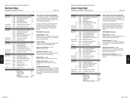## Illustration Major

Applications accepted for fall only. The set of the set of the set of the set of the set of the set of the set of the set of the set of the set of the set of the set of the set of the set of the set of the set of the set o

| <b>Semester 5</b>                |                                                |                                                                                                                                                                                | <b>Credits</b>                  |
|----------------------------------|------------------------------------------------|--------------------------------------------------------------------------------------------------------------------------------------------------------------------------------|---------------------------------|
| MAJOR AREA                       | IL 323<br>IL 362<br>IL 374<br>IL 382<br>IL 388 | Adobe Illustrator for the Illustrator<br>The Illustrator's Heritage I<br><b>Book Illustration I</b><br>Visual Self-Expression<br><b>Materials and Techniques</b>               | 2<br>3<br>1.5<br>3.5<br>2       |
| RELATED AREA                     | CD 351                                         | Illustration Portfolio for the Web                                                                                                                                             | 2                               |
| LIBERAL ARTS                     | choice                                         | see American History* G10                                                                                                                                                      | 3                               |
| Semester 6                       |                                                |                                                                                                                                                                                |                                 |
| MAJOR AREA                       | IL 324<br>IL 364<br>IL 375<br>IL 383<br>IL 389 | Digital Painting for the Illustrator<br>The Illustrator's Heritage II<br><b>Book Illustration II</b><br><b>Advanced Drawing/Composition</b><br><b>Materials and Techniques</b> | 1.5<br>3<br>1.5<br>3.5<br>2     |
| RELATED AREA                     | CG 213                                         | 2D Computer Animation                                                                                                                                                          | 2                               |
| <b>LIBERAL ARTS</b>              | choice                                         | see Writing elective*                                                                                                                                                          | 3                               |
| Semester 7                       |                                                |                                                                                                                                                                                |                                 |
| MAJOR AREA                       | IL 461<br>IL 471<br>IL 482<br>IL 491           | <b>Illustration Workshop</b><br>Documentary Artist I<br>Color Rendering: Media I<br>Mentor/Specialization Projects I                                                           | 3<br>$\overline{2}$<br>2.5<br>3 |
| RELATED AREA                     | PH 406                                         | Digital Special Effects/Retouching                                                                                                                                             | $\overline{2}$                  |
| LIBERAL ARTS                     | choice                                         | see History of Art & Civ.*                                                                                                                                                     | 3                               |
| Semester 8                       |                                                |                                                                                                                                                                                |                                 |
| MAJOR AREA                       | IL 472<br>IL 483<br>IL 492                     | Documentary Artist II<br>Color Rendering: Media II<br>Mentor/Specialization Projects II                                                                                        | 2<br>1.5<br>3                   |
| RELATED AREA                     | <b>BE 402</b><br>CD 222                        | The Business of Illustration<br>Digital Layout II                                                                                                                              | 1<br>2                          |
| <b>LIBERAL ARTS</b>              | choice<br>choice                               | Liberal Arts elective**<br>see Other World Civ.* G9                                                                                                                            | 3<br>3                          |
| <b>ELECTIVE</b>                  | choice                                         | General elective                                                                                                                                                               | $1.5 - 3$                       |
| <b>TOTAL CREDIT REQUIREMENTS</b> |                                                |                                                                                                                                                                                |                                 |
|                                  |                                                | MAJOR ARFA                                                                                                                                                                     | 40.5                            |

RELATED AREA 9 LIBERAL ARTS 15 ELECTIVE 1.5-3 TOTAL Minimum Required 66

**SUNY GENERAL EDUCATION REQUIREMENTS** A "G" followed by a number 1-10 identifies specific courses that meet SUNY General Education baccalaureate degree requirements (see pages 31–38 or visit www.fitnyc.edu/gened).

G1 Basic Communication; G2 Math; G3 Science; G4 Social Science; G5 Western Civilization; G6 Arts; G7 Humanities; G8 Foreign Language; G9 Other World Civilizations; G10 American History.

#### **\*REQUIREMENTS: See below**

#### **American History**: 3 credits CHOICE of EN 271, 272, 335, LA 221, or any other non-HA course that meets the Gen. Ed. American History requirement (G10).

#### **Foreign Language**:

The Gen. Ed. Foreign Language requirement (G8) has been waived for the Illustration major.

**History of Art & Civilization**: 3 credits CHOICE of any HA course.

#### **Other World Civilizations**: 3 credits

CHOICE of any non-HA course that meets the Gen. Ed. Other World Civ. requirement (G9).

**Writing Elective**: 3 credits CHOICE of EN 262, 322, 361, 362, 363, or 364.

#### **\*\*LIBERAL ARTS ELECTIVE:** 3 credits

These liberal arts credits must be in non-HA courses.

#### **EVENING/WEEKEND OPTION**

A 4-semester evening/weekend option is available for this degree program (see pages 26–27 or visit the FIT website at www.fitnyc.edu/evening\_weekend). The sequence of courses is the same as that listed on this page.

BACHELOR OF FINE ARTS DEGREE PROGRAM (BFA)

## Interior Design Major

Applications accepted for fall and spring. The set of the set of the HEGIS 1009

| <b>Semester 5</b>                  |                                                       |                                                                                                                                                             | <b>Credits</b>                                                 |
|------------------------------------|-------------------------------------------------------|-------------------------------------------------------------------------------------------------------------------------------------------------------------|----------------------------------------------------------------|
| MAJOR AREA                         | ID 314<br>ID 341                                      | Interior Design Studio: Residential<br>Lighting Design II                                                                                                   | $\overline{4}$<br>1.5                                          |
|                                    | ID 354                                                | AutoCAD III                                                                                                                                                 | 1.5                                                            |
|                                    | ID 363                                                | <b>Building Regulations</b>                                                                                                                                 | 3                                                              |
| and                                | ID 323                                                | Interior Design: 1950 to Present                                                                                                                            | $\overline{2}$                                                 |
| <sub>0r</sub>                      | ID 431                                                | <b>Computer Rendering</b>                                                                                                                                   | 1.5                                                            |
| RELATED AREA                       | IS 313                                                | <b>Environmental Experience</b>                                                                                                                             | 3                                                              |
| LIBERAL ARTS                       | choice                                                | see Foreign Language* G8                                                                                                                                    | 3.5                                                            |
| Semester 6                         |                                                       |                                                                                                                                                             |                                                                |
| MAJOR AREA<br>and                  | ID 312<br>ID 346<br>ID 362<br>ID 331                  | Interior Design Studio: Institutional 4<br><b>Interior Architectural Detail</b><br>Furniture/Finishes/Fixtures<br><b>Presentation Techniques III</b>        | 1.5<br>1.5<br>1.5                                              |
| <sub>0r</sub>                      | ID 343                                                | Materials/Methods of Int. Const. II                                                                                                                         | $\overline{2}$                                                 |
| RELATED AREA                       | GD 402                                                | Signage and Graphics                                                                                                                                        | 1                                                              |
| LIBERAL ARTS                       | <b>EN 323</b><br>choice                               | Spec. Writing and Thesis Prep.<br>see Foreign Language*                                                                                                     | 3<br>$3 - 3.5$                                                 |
| <b>ELECTIVE</b>                    | choice                                                | General elective                                                                                                                                            | $1.5 - 3$                                                      |
| <b>Semester 7</b>                  |                                                       |                                                                                                                                                             |                                                                |
| MAJOR AREA<br>and<br>0r            | ID 412<br>ID 471<br>ID 494<br>ID 421<br><b>ID 444</b> | Studio: Store Planning/Retail<br><b>Environmental Systems</b><br>Senior Thesis Design Research<br><b>Historic Preservation I</b><br><b>Furniture Design</b> | 4<br>$\overline{2}$<br>$\overline{2}$<br>$\overline{2}$<br>1.5 |
| RELATED AREA                       | PH 404                                                | Basic Interior Design Photo.                                                                                                                                | 2                                                              |
| LIBERAL ARTS                       | choice                                                | see Other World Civ.* G9                                                                                                                                    | 3                                                              |
| Semester 8                         |                                                       |                                                                                                                                                             |                                                                |
| MAJOR AREA<br>and<br><sub>0r</sub> | ID 461<br><b>ID472</b><br>ID 495<br>ID 445<br>ID 493  | <b>Professional Practice II</b><br>Ecology & the Built Environment<br>Senior Thesis Design Project<br><b>Interior Product Design</b><br>Internship          | 2<br>$\overline{2}$<br>4<br>1.5<br>3                           |
| RELATED AREA                       | choice                                                | see Related Area alternative**                                                                                                                              | 3                                                              |
| <b>LIBERAL ARTS</b>                | choice                                                | see American History* G10                                                                                                                                   | 3                                                              |
| TOTAL CREDIT REQUIREMENTS          |                                                       |                                                                                                                                                             |                                                                |
|                                    |                                                       | <b>MAJOR AREA</b><br><b>RELATED AREA</b>                                                                                                                    | 39-42<br>9                                                     |

LIBERAL ARTS 15.5-16 ELECTIVE 1.5-3 TOTAL Minimum Required 65

#### **SUNY GENERAL EDUCATION REQUIREMENTS**

A "G" followed by a number 1-10 identifies specific courses that meet SUNY General Education baccalaureate degree requirements (see pages 31–38 or visit www.fitnyc.edu/gened).

G1 Basic Communication; G2 Math; G3 Science; G4 Social Science; G5 Western Civilization; G6 Arts; G7 Humanities; G8 Foreign Language; G9 Other World Civilizations; G10 American History.

#### **\*REQUIREMENTS: See below**

#### **American History**: 3 credits

CHOICE of any non-HA course that meets Gen. Ed. American History requirement (G10).

#### **Foreign Language**: 6.5-7 credits

Two semesters of the same foreign language, one of which must be a 3.5 credit non-conversational course (G8).

#### **Other World Civilizations**: 3 credits

CHOICE of HA 121, 221, 223, 224, 225, 226, or any other HA course that meets Gen. Ed. Other World Civ. requirement (G9).

#### **\*\*RELATED AREA ALTERNATIVE:** 3 credits CHOICE of AC 211, AC 262, BE 261, BL 343, or HP 313.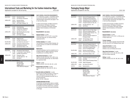## International Trade and Marketing for the Fashion Industries Major

Applications accepted for fall and spring. The set of the set of the HEGIS 0509 HEGIS 0509

**Semester 5 Credits** MAJOR AREA IN 312 International Trade 3 IN 313 Intl. Business Transactions 3 LIBERAL ARTS EN 321 Business Writing 3 MA 222 Statistical Analysis \* 3.5 choice see Foreign Language\* G8 3.5 **Semester 6** MAJOR AREA IN 322 Global Marketing 3 IN 323 Import/Export Regulations 3 choice see Major Area electives\*\* 3 LIBERAL ARTS MA 311 Math Modeling/Business Apps. 3 SS 342 Microeconomics 3 choice see Foreign Language\* 3-3.5 **Semester 7** MAJOR AREA IN 433 Global Sourcing 3 choice see Major Area electives\*\* 3 RELATED AREA choice see Related Area alternative\*\*\* 3 LIBERAL ARTS SS 354 Comparative Political Systems 3 SS 443 International Economics 3 choice see American History\* G10 3

| Semester 8              |                            |                                                                                                  |             |
|-------------------------|----------------------------|--------------------------------------------------------------------------------------------------|-------------|
| <b>MAJOR AREA</b><br>0r | IN 492<br>IC 498<br>choice | International Trade Practicum<br>Sr. Internship D: Career Planning<br>see Major Area electives** | 3<br>4<br>3 |
| LIBERAL ARTS            | PL 431<br>choice<br>choice | Philosophy: Ethics<br>see Other World Civ.* G9<br>see Speech*                                    | 3<br>3<br>3 |
|                         | <b>CREDIT REQUIREMENTS</b> |                                                                                                  |             |

MAJOR AREA 27-28 RELATED AREA 3 LIBERAL ARTS 37-37.5 TOTAL Minimum Required 67

Majors

#### **SUNY GENERAL EDUCATION REQUIREMENTS**

A "G" followed by a number 1-10 identifies specific courses that meet SUNY General Education baccalaureate degree requirements (see pages 31–38 or visit www.fitnyc.edu).

G1 Basic Communication; G2 Math; G3 Science; G4 Social Science; G5 Western Civilization; G6 Arts; G7 Humanities; G8 Foreign Language; G9 Other World Civilizations; G10 American History.

#### **\*REQUIREMENTS: See below**

**American History**: 3 credits CHOICE of EN 271, 272, or LA 221, or any other course that meets Gen. Ed. American History requirement (G10).

#### **Foreign Language**: 6.5-7 credits

Two semesters of the same foreign language, one of which must be a 3.5 credit non-conversational course (G8).

#### **Mathematics**:

Arithmetic proficiency must be completed prior to enrolling in MA 222. Algebra proficiency must be completed prior to enrolling in MA 311.

#### **Other World Civilizations**: 3 credits

CHOICE of SS 353, 355, 356, 374, or 393, or any other course that meets the Gen. Ed. Other World Civ. requirement (G9).

**Speech**: 3 credits CHOICE of EN 241, 242, 244, 245, 341, or 342.

- **\*\*MAJOR AREA ELECTIVES:** 9 credits CHOICE of IN 324, 341, 342, 434, 441, 442, or 443.
- **\*\*\*RELATED AREA ALTERNATIVE:** 3 credits Any IN course not taken previously, or choice of a 300- or 400-level AC, DM, FM, HP, MG, or TT course for which prerequisites have been met, or one of the following: BE 261, HP 201, or MG 242.

#### **EVENING/WEEKEND OPTION**

A 4-semester evening/weekend option is available for this degree program (see pages 26–27 or visit the FIT website at www.fitnyc.edu/evening\_weekend). The sequence of courses is the same as that listed on this page.

BACHELOR OF FINE ARTS DEGREE PROGRAM (BFA)

## Packaging Design Major

Applications accepted for fall only. The set of the set of the set of the set of the set of the set of the set of the set of the set of the set of the set of the set of the set of the set of the set of the set of the set o

| <b>Semester 5</b>         |                                                |                                                                                                                                                                                    | <b>Credits</b>                                               |
|---------------------------|------------------------------------------------|------------------------------------------------------------------------------------------------------------------------------------------------------------------------------------|--------------------------------------------------------------|
| MAJOR AREA                | PK 313<br>PK 324<br>PK 325<br>PK 336<br>PK 341 | Advanced Packaging Design I<br>Packaging Brand Development<br>Typography for Brand Packaging<br>Packaging Materials and Methods<br>Computer Graphics for Pkg. Des.                 | 4<br>$\overline{2}$<br>$\overline{2}$<br>2<br>$\overline{2}$ |
| LIBERAL ARTS              | choice<br>choice                               | see Other World Civ.* G9<br>see Writing*                                                                                                                                           | 3<br>3                                                       |
| <b>Semester 6</b>         |                                                |                                                                                                                                                                                    |                                                              |
| MAJOR AREA                | PK 315<br>PK 316<br>PK 326<br>PK 331<br>PK 342 | Digital Pre-Press for Pkg. Design<br>Advanced Packaging Design II<br>Packaging Design Interdisc. Proj.<br>Flexible Packaging<br>Advanced Computer Graphics for<br>Packaging Design | 2<br>3.5<br>1.5<br>3<br>2                                    |
| LIBERAL ARTS              | SS 334<br>choice                               | The Psychology of Color<br>see Liberal Arts elective*                                                                                                                              | 3<br>3                                                       |
| <b>Semester 7</b>         |                                                |                                                                                                                                                                                    |                                                              |
| MAJOR AREA                | PK 412<br>PK 426<br>PK 431<br>PK 451           | <b>Advanced Packaging Design III</b><br>3D Concepts for Packaging Design<br>Sustainable Packaging Design<br>Survey of Packaging Design                                             | 3.5<br>1.5<br>1.5<br>2                                       |
| RELATED AREA              | BE 261<br>DE 401                               | <b>Starting a Small Business</b><br>Point-of-Purchase Ad/Display                                                                                                                   | 3<br>2.5                                                     |
| LIBERAL ARTS              | choice                                         | see American History* G10                                                                                                                                                          | 3                                                            |
| <b>Semester 8</b>         |                                                |                                                                                                                                                                                    |                                                              |
| MAJOR AREA                | PK 461<br>PK 491<br>PK 492                     | Packaging Portfolio Development<br>Internship<br>Senior Projects/Packaging Design                                                                                                  | 2.5<br>3<br>$\overline{2}$                                   |
| RELATED AREA              | PH 306                                         | Digital Photography                                                                                                                                                                | $\overline{2}$                                               |
| LIBERAL ARTS              | choice                                         | see Liberal Arts elective*                                                                                                                                                         | 3                                                            |
| <b>ELECTIVE</b>           | choice                                         | General elective                                                                                                                                                                   | $1.5 - 3$                                                    |
| TOTAL CREDIT REQUIREMENTS |                                                |                                                                                                                                                                                    |                                                              |

## MAJOR AREA 40 RELATED AREA 7.5 LIBERAL ARTS 18

#### **SUNY GENERAL EDUCATION REQUIREMENTS**

A "G" followed by a number 1-10 identifies specific courses that meet SUNY General Education baccalaureate degree requirements (see pages 31–38 or visit www.fitnyc.edu/gened).

G1 Basic Communication; G2 Math; G3 Science; G4 Social Science; G5 Western Civilization; G6 Arts; G7 Humanities; G8 Foreign Language; G9 Other World Civilizations; G10 American History.

#### **\*REQUIREMENTS: See below**

#### **American History**: 3 credits

CHOICE of EN 271, 272, LA 221, or 392 (any one of these meets G10).

#### **Foreign Language**:

**Writing**: 3 credits

The Gen. Ed. Foreign Language requirement (G8) has been waived for the Packaging Design major.

#### **Liberal Arts Elective**: 6 credits

CHOICE of one HA course, and CHOICE of one non-HA liberal arts course.

#### **Other World Civilizations**: 3 credits

CHOICE of HA 121, 221, 223, 224, 225, or 226 (any one of these meets G9).

CHOICE of EN 262, 322, 361, 362, 363, or 364.

| MAJOR AREA                    | 40        |
|-------------------------------|-----------|
| <b>RELATED AREA</b>           | 75        |
| <b>LIBERAL ARTS</b>           | 18        |
| <b>ELECTIVE</b>               | $1.5 - 3$ |
| <b>TOTAL Minimum Required</b> | 67        |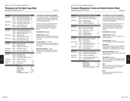## Photography and the Digital Image Major

Applications accepted for fall only. The set of the set of the set of the set of the set of the set of the set of the set of the set of the set of the set of the set of the set of the set of the set of the set of the set o

| Semester 5                |                  |                                                                     | <b>Credits</b>                   |
|---------------------------|------------------|---------------------------------------------------------------------|----------------------------------|
| MAJOR ARFA                | PH 341           | Digital Craft and the Exhibition                                    | 3                                |
|                           | PH 351<br>PH 371 | Prof. Approach to Photojournalism<br>Retouching/Pre-Press Solutions | $\overline{2}$<br>$\overline{2}$ |
|                           |                  |                                                                     |                                  |
| RELATED AREA              | CD 373<br>DE 302 | Convergence of Type and Image<br>Photographic Exhibition Design     | $\overline{2}$<br>$\overline{2}$ |
| LIBERAL ARTS              | choice           | see Other World Civ * G9                                            | 3                                |
|                           | HA 343           | History of Photography                                              | 3                                |
| Semester 6                |                  |                                                                     |                                  |
| MAJOR AREA                | PH 342           | Adv. Project in Style and Media                                     | 3                                |
|                           | PH 361           | Logistics of Location Photography                                   | $\overline{2}$                   |
|                           | PH 372           | Digital Media Technology I                                          | $\overline{2}$                   |
| RELATED AREA              | AP 351           | <b>Experiencing Style</b>                                           | 2                                |
|                           | CG 251           | Basic Editing with Final Cut Pro                                    | 2                                |
| LIBERAL ARTS              | choice<br>EN 323 | see American History* G10<br>Spec. Writing and Thesis Prep.         | 3<br>3                           |
|                           |                  |                                                                     |                                  |
| Semester <sub>7</sub>     |                  |                                                                     |                                  |
| MAJOR AREA                | PH 451           | <b>Multimedia Concepts</b>                                          | 3                                |
|                           | PH 471<br>PH 491 | Digital Media Tech. II<br>Research for Sr. Design Proj.             | $\overline{2}$<br>2              |
|                           |                  |                                                                     |                                  |
| RFI ATFD ARFA             | AC 362           | Video Studio Production                                             | 3                                |
| LIBERAL ARTS              | choice           | see Foreign Language* G8                                            | 3.5                              |
| Semester 8                |                  |                                                                     |                                  |
| MAJOR AREA                | PH 461           | Multimedia Portfolio                                                | 3                                |
|                           | PH 492           | Senior Design Project                                               | $\overline{2}$                   |
|                           | IC 498           | Sr. Internship D: Career Planning                                   | 4                                |
| <b>RELATED AREA</b>       | AC 462           | Video Field Production                                              | 3                                |
| LIBERAL ARTS              | choice           | see Foreign Language*                                               | $3 - 3.5$                        |
| <b>ELECTIVE</b>           | choice           | General elective                                                    | 1.5                              |
| TOTAL CREDIT REQUIREMENTS |                  |                                                                     |                                  |

#### MAJOR AREA 30 RELATED AREA 14 LIBERAL ARTS 18.5-19 ELECTIVE 1.5 TOTAL Minimum Required 64

#### **SUNY GENERAL EDUCATION REQUIREMENTS** A "G" followed by a number 1-10 identifies specific courses that meet SUNY General Education bac-

calaureate degree requirements (see pages 31–38 or visit www.fitnyc.edu/gened).

G1 Basic Communication; G2 Math; G3 Science; G4 Social Science; G5 Western Civilization; G6 Arts; G7 Humanities; G8 Foreign Language; G9 Other World Civilizations; G10 American History.

#### **\*REQUIREMENTS: See below**

**American History**: 3 credits CHOICE of one of the following non-HA courses: EN 271 or 272, or LA 221 or 392 (any one of these meets G10).

#### **Foreign Language**: 6.5 - 7 credits

Two semesters of the same foreign language, one of which must be a 3.5 credit non-conversational course (G8).

#### **Other World Civilizations**: 3 credits

CHOICE of one of the following HA courses: HA 121, 221, 223, 224, 225, 226 (any one of these meets G9).

| <b>MAJOR AREA</b>   | MG 306        | Info. Systems: Case Analysis      | $\overline{2}$ |
|---------------------|---------------|-----------------------------------|----------------|
|                     | MG 311        | Manufacturing I: Equip. Analysis  | 3              |
| LIBERAL ARTS        | EN 321        | <b>Business Writing</b>           | 3              |
|                     | MA 213        | Quantitative Methods *            | 3              |
|                     | choice        | see Foreign Language* G8          | 3.5            |
| <b>Semester 6</b>   |               |                                   |                |
| MAJOR AREA          | MG 312        | Mfg. II: Process Analysis         | 3              |
|                     | MG 313        | <b>Cutting Room Processes</b>     | 3              |
| <b>LIBERAL ARTS</b> | SC 032        | <b>Color Science Laboratory</b>   | 1              |
|                     | SC 332        | <b>Color and Light</b>            | 3              |
|                     | choice        | see Foreign Language*             | 3.5            |
|                     | choice        | see Social Sciences*              | 3              |
| Semester 7          |               |                                   |                |
| <b>MAJOR AREA</b>   | MG 411        | Manufacturing Facilities Mgmt.    | 3              |
|                     | MG 442        | <b>Product Costing</b>            | 3              |
| RELATED AREA        | TT 301        | Textile Applications **           | 3              |
| <sub>0r</sub>       | TT 054        | Textile Quality Assurance Lab     | 1.5            |
| and                 | <b>TT 454</b> | <b>Textile Quality Assurance</b>  | 1              |
| <b>LIBERAL ARTS</b> | choice        | see Other World Civ.* G9          | 3              |
|                     | choice        | see Social Sciences*              | 6              |
| <b>Semester 8</b>   |               |                                   |                |
| <b>MAJOR AREA</b>   | IC 497        | Sr. Internship C: Career Planning | 3              |
|                     | MG 432        | Strategy/Policy/Decision Making   | 3              |
| RELATED AREA        | <b>TS 367</b> | Knit Fabrics and Machinery        | 3              |
| <b>LIBERAL ARTS</b> | PL 211        | Informal Logic: Clear Thinking G7 | 3              |
|                     | choice        | see American History* G10         | 3              |

**Semester 5 Credits**

Production Management: Fashion and Related Industries Major Applications accepted for fall only. And the state of the state of the state of the HEGIS 0599 HEGIS 0599

BACHELOR OF SCIENCE DEGREE PROGRAM (BS)

## **TOTAL CREDIT REQUIP**

| סומאשרה                       |           |
|-------------------------------|-----------|
| MAJOR AREA                    | 23        |
| RELATED AREA                  | $5.5 - 6$ |
| LIBERAL ARTS                  | 35        |
| <b>TOTAL Minimum Required</b> | 63.5      |

#### **SUNY GENERAL EDUCATION REQUIREMENTS**

A "G" followed by a number 1-10 identifies specific courses that meet SUNY General Education baccalaureate degree requirements (see pages 31–38 or visit www.fitnyc.edu/gened).

G1 Basic Communication; G2 Math; G3 Science; G4 Social Science; G5 Western Civilization; G6 Arts; G7 Humanities; G8 Foreign Language; G9 Other World Civilizations; G10 American History.

#### **\*REQUIREMENTS: See below**

#### **American History**: 3 credits

CHOICE of EN 271, 272, LA 221, or 392 (any one of these meets G10).

#### **Foreign Language**: 7 credits

Two semesters of the same foreign language (G8).

#### **Mathematics**:

If MA 213 has previously been taken, students may substitute MA 311. Algebra proficiency must be completed prior to enrolling in MA 213 or MA 311.

#### **Other World Civilizations**: 3 credits

CHOICE of SS 151, 353, 354, 355, or 356 (any one of these meets G9).

#### **Social Sciences**: 9 credits

SS 141, 237, and 342. If these courses have been taken previously, students must substitute another liberal arts course(s).

#### **NOTE:**

MG 114, 132, 153, 234, 242, and TS 111, or their equivalents, must be successfully completed before the sixth semester.

#### **\*\*NOTE:**

Students who have not completed TS 015/115 must take TT 054/454.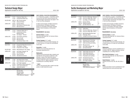## Technical Design Major

Applications accepted for fall only. The set of the set of the set of the set of the set of the set of the set of the set of the set of the set of the set of the set of the set of the set of the set of the set of the set o

| <b>Semester 5</b>     |               |                                             | <b>Credits</b> |
|-----------------------|---------------|---------------------------------------------|----------------|
| MAJOR AREA            | TC 311        | Production Pattern Dev. I                   | 2              |
|                       | TC 321        | Computerized Pattern Dev.                   | 2              |
| RELATED AREA          | MG 314        | Mfg. Process Analysis                       | 2              |
|                       | TS 301        | <b>Advanced Textiles</b>                    | 2.5            |
| LIBERAL ARTS          | EN 321        | <b>Business Writing</b>                     | 3              |
|                       | MA 321        | Data Analysis for Business App.*            | 3              |
|                       | SS 141        | Macroeconomics**                            | 3              |
| Semester 6            |               |                                             |                |
| MAJOR AREA            | TC 312        | <b>Production Pattern Dev. II</b>           | 2              |
|                       | TC 322        | Computerized Grading,                       |                |
|                       |               | Marking & Specs                             | 3              |
|                       | TC 341        | Tech Design I - Wovens                      | 2              |
| LIBERAL ARTS          | SC 032        | <b>Color Science Laboratory</b>             | 1              |
|                       | SC 332        | <b>Color and Light</b>                      | 3              |
|                       | SS 342        | Microeconomics                              | 3              |
|                       | choice        | see American History* G10                   | 3              |
| Semester <sub>7</sub> |               |                                             |                |
| MAJOR AREA            | TC 421        | <b>Computerized Pattern/Fit Corrections</b> | 2              |
|                       | <b>TC 441</b> | Tech Design II - Stretch                    | 2              |
|                       | <b>TC 451</b> | Production & Tech. Design                   | 2              |
| RELATED AREA          | FM 302        | Merchandising for Tech. Design              | 2              |
| <b>LIBERAL ARTS</b>   | choice        | see Foreign Language* G8                    | 3.5            |
|                       | choice        | see Humanities* G7                          | 3              |
|                       | SS 343        | Labor Economics                             | 3              |
| <sub>0r</sub>         | SS 443        | International Fconomics                     | 3              |

| Semester 8                       |                                      |                                                                                                                        |                          |
|----------------------------------|--------------------------------------|------------------------------------------------------------------------------------------------------------------------|--------------------------|
| MAJOR AREA                       | TC 491<br>IC 497                     | <b>Tech Design Senior Project</b><br>Senior Internship C: Career Planning                                              | 25<br>3                  |
| LIBERAL ARTS<br><sub>0r</sub>    | choice<br>SS 354<br>SS 374<br>choice | see Foreign Language*<br><b>Comparative Political Systems G9</b><br>Cross-cultural Studies G9<br>Liberal Arts elective | $3 - 3.5$<br>3<br>3<br>3 |
| <b>TOTAL CREDIT REQUIREMENTS</b> |                                      |                                                                                                                        |                          |

| MAJOR AREA                    | 22.5    |
|-------------------------------|---------|
| <b>RELATED AREA</b>           | 6.5     |
| LIBERAL ARTS                  | 37.5-38 |
| <b>TOTAL Minimum Required</b> | 66.5    |

#### **SUNY GENERAL EDUCATION REQUIREMENTS** A "G" followed by a number 1-10 identifies specific

courses that meet SUNY General Education baccalaureate degree requirements (see pages 31–38 or visit www.fitnyc.edu/gened).

G1 Basic Communication; G2 Math; G3 Science; G4 Social Science; G5 Western Civilization; G6 Arts; G7 Humanities; G8 Foreign Language; G9 Other World Civilizations; G10 American History.

#### **\*REQUIREMENTS: See below**

**American History**: 3 credits Any course that meets Gen. Ed. American History requirement (G10).

#### **Foreign Language**: 6.5-7 credits

Two semesters of the same foreign language, one of which must be a 3.5 credit non-conversational course (G8).

#### **Humanities**: 3 credits

CHOICE of any course that meets Gen. Ed. Humanities requirement (G7).

#### **Mathematics**:

If MA 222 was not previously taken, students must take MA 222 in 5th semester and MA 321 in 8th semester, in place of the Liberal Arts elective. Arithmetic proficiency must be completed prior to enrolling in MA 222. Algebra proficiency must be completed prior to enrolling in MA 321.

#### **\*\*NOTE:**

If SS 141 was previously taken, student must take another 3-credit Liberal Arts course.

#### BACHELOR OF SCIENCE DEGREE PROGRAM (BS)

## Textile Development and Marketing Major

Applications accepted for fall only. The same state of the state of the state of the HEGIS 1303

| <b>Semester 5</b>         |               |                                       | <b>Credits</b> |
|---------------------------|---------------|---------------------------------------|----------------|
| MAJOR AREA                | TT 325        | Prod. Dev. & Mkt. Apps.: Wovens I     | 3              |
|                           | <b>TT 335</b> | Prod. Dev. & Mkt. Apps.: Knits I      | 3              |
|                           | TT 471        | Tech./Mktg. of Printed Textiles       | $\overline{2}$ |
| LIBERAL ARTS              | <b>EN 321</b> | <b>Business Writing</b>               | 3              |
|                           | MA 222        | Statistical Analysis *                | 3.5            |
|                           | choice        | see Other World Civ.* G9              | 3              |
| <b>Semester 6</b>         |               |                                       |                |
| <b>MAJOR AREA</b>         | TT 313        | <b>Textile Fibers</b>                 | 3              |
|                           | TT 326        | Prod. Dev. & Mkt. Apps.: Wovens II    | 3              |
|                           | TT 336        | Prod. Dev. & Mkt. Apps.: Knits II     | 3              |
| LIBERAL ARTS              | MA 311        | Math Modeling/Business Apps.*         | 3              |
|                           | PL 431        | Philosophy: Ethics                    | 3              |
|                           | SC 253        | Ecology/Environmental Problems        | 3              |
| <b>Semester 7</b>         |               |                                       |                |
| MAJOR AREA                | TT 342        | Dyeing and Color Technology           | 3              |
|                           | <b>TT 446</b> | <b>Textile Finishing Technology</b>   | $\overline{2}$ |
|                           | <b>TT 477</b> | <b>Textile Converting and Costing</b> | 3              |
| LIBERAL ARTS              | SS 342        | Microeconomics                        | 3              |
|                           | choice        | see Foreign Language* G8              | 3.5            |
|                           | choice        | see Social Sciences*                  | 3              |
| <b>Semester 8</b>         |               |                                       |                |
| MAJOR AREA                | TT 054        | Textile Quality Assurance Lab         | 1.5            |
|                           | <b>TT 454</b> | <b>Textile Quality Assurance</b>      | 1              |
|                           | TT 476        | <b>Textile Project Development</b>    | 3              |
|                           | <b>TT 478</b> | Presentation and E-portfolio          | 1              |
| LIBERAL ARTS              | SS 443        | <b>International Economics</b>        | 3              |
|                           | choice        | see American History* G10             | 3              |
|                           | choice        | see Foreign Language*                 | $3 - 3.5$      |
| TOTAL CREDIT REQUIREMENTS |               |                                       |                |
|                           |               | MAJOR ARFA                            | 31.5           |

#### MAJOR AREA 31.5 LIBERAL ARTS 37-37.5 TOTAL Minimum Required 68.5

#### **SUNY GENERAL EDUCATION REQUIREMENTS**

A "G" followed by a number 1-10 identifies specific courses that meet SUNY General Education baccalaureate degree requirements (see pages 31–38 or visit www.fitnyc.edu/gened).

G1 Basic Communication; G2 Math; G3 Science; G4 Social Science; G5 Western Civilization; G6 Arts; G7 Humanities; G8 Foreign Language; G9 Other World Civilizations; G10 American History.

#### **\*REQUIREMENTS: See below**

#### **American History**: 3 credits

Any course that meets Gen. Ed. American History requirement (G10).

#### **Foreign Language**: 6.5-7 credits

Two semesters of the same foreign language, one of which must be a 3.5 credit non-conversational course (G8).

#### **Mathematics**:

Arithmetic proficiency must be completed prior to enrolling in MA 222. Algebra proficiency must be completed prior to enrolling in MA 311.

#### **Other World Civilizations**: 3 credits

Any course that meets Gen. Ed. Other World Civ. requirement (G9).

#### **Social Sciences**: 3 credits

CHOICE of SS 334, 352, 353, 354, 355, 356, or 374.

#### **NOTE:**

A liberal arts elective must be substituted for each required liberal arts course previously taken.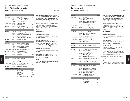## Textile/Surface Design Major

Applications accepted for fall only. The set of the set of the set of the set of the set of the set of the set of the set of the set of the set of the set of the set of the set of the set of the set of the set of the set o

| <b>Semester 5</b>   |               |                                        | <b>Credits</b> |
|---------------------|---------------|----------------------------------------|----------------|
| <b>MAJOR AREA</b>   | <b>FS 312</b> | <b>Research Techniques</b>             | 1.5            |
|                     | SD 351        | Surface Design: Paper Products         | 2              |
|                     | TD 312        | Computer Graphics/Tex. Design I        | $\overline{2}$ |
|                     | TD 332        | Advanced Woven Design                  | $\overline{2}$ |
| <b>RELATED AREA</b> | FA 106        | Printmaking - Basic                    | $\overline{2}$ |
|                     | <b>FA132</b>  | Life Drawing II G6                     | 1.5            |
| LIBERAL ARTS        | HA 342        | History of Textile Design              | 3              |
|                     | choice        | see Foreign Language* G8               | 3.5            |
| Semester 6          |               |                                        |                |
| <b>MAJOR AREA</b>   | SD 357        | Applied Surface Design/Home            | 3              |
|                     | SD 481        | <b>Screen Printing: Scarves</b>        | $\overline{c}$ |
|                     | TD 333        | <b>Fundamentals of Jacquard Design</b> | 3              |
|                     | TD 372        | Design for Knitted Fabrics I           | $\overline{2}$ |
|                     | TD 412        | Computer Graphics/Tex. Design II       | $\overline{2}$ |
| <b>LIBERAL ARTS</b> | choice        | see Foreign Language*                  | 3.5            |
| <b>Semester 7</b>   |               |                                        |                |
| <b>MAJOR AREA</b>   | SD 311        | Lace and Embroidery Design             | 1.5            |
|                     | SD 451        | Surface Design: Media Graphics         | 2              |
|                     | TD 353        | <b>Custom Rug &amp; Carpet Design</b>  | $\overline{2}$ |
|                     | TD 472        | Design for Knitted Fabrics II          | $\overline{2}$ |
| <b>RELATED AREA</b> | HP 315        | <b>Textile Apps.: Home Products</b>    | 2.5            |
| LIBERAL ARTS        | choice        | see Liberal Arts elective*             | 3              |
|                     | choice        | see Other World Civ.* G9               | 3              |
| <b>ELECTIVE</b>     | choice        | General elective                       | $1.5 - 3$      |
| <b>Semester 8</b>   |               |                                        |                |
| MAJOR AREA          | SD 462        | Portfolio Collection                   | 3              |
|                     | SD 471        | CAD/Photoshop and Fash. Studio         | 1.5            |
|                     | TD 491        | Internship                             | 3              |
| <b>RELATED AREA</b> | <b>BL 201</b> | <b>Business Law for the Artist</b>     | 3              |
|                     | CG 214        | <b>Web Page Construction</b>           | 1.5            |
| <b>LIBERAL ARTS</b> | choice        | see American History* G10              | 3              |

#### **TOTAL CREDIT REQUIREMENTS**

| MAJOR AREA                    | 34.5      |
|-------------------------------|-----------|
| <b>RELATED AREA</b>           | 10.5      |
| LIBERAL ARTS                  | 19        |
| <b>ELECTIVE</b>               | $1.5 - 3$ |
| <b>TOTAL Minimum Required</b> | 65.5      |
|                               |           |

#### **SUNY GENERAL EDUCATION REQUIREMENTS** A "G" followed by a number 1-10 identifies specific

courses that meet SUNY General Education baccalaureate degree requirements (see pages 31–38 or visit www.fitnyc.edu/gened).

G1 Basic Communication; G2 Math; G3 Science; G4 Social Science; G5 Western Civilization; G6 Arts; G7 Humanities; G8 Foreign Language; G9 Other World Civilizations; G10 American History.

#### **\*REQUIREMENTS: See below**

**American History**: 3 credits CHOICE of EN 271, 272, 335, or LA 221 (any one of these meets G10).

#### **Foreign Language**: 7 credits

CHOICE of two courses of the same foreign language: CH 111 and 112, or FR 111 and 112, or IT 111 and 112, or JA 111 and 112, or SP 111 and 112 (any one of these meets G8).

#### **Liberal Arts Elective**: 3 credits

These liberal arts credits must be taken in non-HA courses.

#### **Other World Civilizations**: 3 credits

CHOICE of HA 121, 221, 223, 224, 225, or 226 (any one of these meets G9).

#### **NOTE:**

TD 131, SD 121, and SD 224 must be completed prior to the sixth semester.

| BACHELOR OF FINE ARTS DEGREE PROGRAM (BFA) |
|--------------------------------------------|
|--------------------------------------------|

## Toy Design Major

Applications accepted for fall only. The set of the set of the set of the set of the set of the set of the set of the set of the set of the set of the set of the set of the set of the set of the set of the set of the set o

| <b>Semester 5</b>   |                                                                               |                                                                                                                                                                                    | <b>Credits</b>                                                        |
|---------------------|-------------------------------------------------------------------------------|------------------------------------------------------------------------------------------------------------------------------------------------------------------------------------|-----------------------------------------------------------------------|
| MAJOR AREA          | TY 311<br>TY 321<br><b>TY 322</b><br>TY 323<br>TY 351<br>TY 362               | <b>Toy Design I</b><br>Drawing for Toy Design<br>Marker Rendering<br>Basic Drafting for Product Design<br><b>Product Materials and Safety</b><br>The Toy Industry: An Overview     | 1.5<br>1.5<br>1.5<br>1.5<br>2<br>1                                    |
| <b>RELATED AREA</b> | FA 301                                                                        | Anatomy for Toy Designers                                                                                                                                                          | 1.5                                                                   |
| LIBERAL ARTS        | SS 232                                                                        | Developmental Psychology                                                                                                                                                           | 3                                                                     |
| Semester 6          |                                                                               |                                                                                                                                                                                    |                                                                       |
| MAJOR AREA          | TY 313<br><b>TY 325</b><br><b>TY 331</b><br><b>TY 342</b>                     | Soft Toy and Doll Design<br>Adv. Drafting for Product Design<br>Model-Making I<br><b>Computer Graphics in Toy Design</b>                                                           | 3<br>1.5<br>2<br>$\overline{2}$                                       |
| RELATED AREA        | MK 301                                                                        | Marketing for the Toy Industry                                                                                                                                                     | 3                                                                     |
| LIBERAL ARTS        | HA 345<br><b>HE 301</b>                                                       | History of Industrial Design<br><b>Motor Learning</b>                                                                                                                              | 3<br>3                                                                |
| <b>Semester 7A</b>  |                                                                               |                                                                                                                                                                                    |                                                                       |
| MAJOR AREA          | TY 491                                                                        | Summer Internship: Toy Design **                                                                                                                                                   | 4                                                                     |
| <b>Semester 7B</b>  |                                                                               |                                                                                                                                                                                    |                                                                       |
| MAJOR AREA          | TY 411<br><b>TY 416</b><br>TY 417<br><b>TY 418</b><br>TY 431<br><b>TY 442</b> | Toy Design II and Product Update<br>Hard Toy: Design<br>Hard Toy: Engineering<br><b>Licensed Product Design</b><br>Model-Making II<br><b>Advanced Graphics/Toy Design</b>          | 2<br>1.5<br>1.5<br>1.5<br>2<br>$\overline{2}$                         |
| RELATED AREA        | GD 407                                                                        | <b>Graphic Design for Toy Designers</b>                                                                                                                                            | 1.5                                                                   |
| <b>LIBERAL ARTS</b> | MA 041<br>MA 241                                                              | Geometry and Probability Skills<br>Topics in Probability/Geometry                                                                                                                  | 0<br>3                                                                |
| <b>Semester 8</b>   |                                                                               |                                                                                                                                                                                    |                                                                       |
| MAJOR AREA          | PK 403<br>TY 414<br>TY 443<br>TY 461<br>TY 462<br>TY 493                      | Packaging for the Toy Designer<br>Games ***<br>Interactive Media for Toy Design<br><b>Business Practices/Toy Industry</b><br>Professional Portfolio Dev.<br>Senior Project: Desian | 2<br>1.5<br>$\overline{2}$<br>$\overline{2}$<br>$\overline{2}$<br>1.5 |

#### LIBERAL ARTS choice see American History\* G10 3 choice see Other World Civ.\* G9 3

#### **TOTAL CREDIT REQUIREMENTS**

| MAJOR AREA                    | 43 |
|-------------------------------|----|
| <b>RELATED AREA</b>           | 6  |
| LIBERAL ARTS                  | 18 |
| <b>TOTAL Minimum Required</b> | 67 |

#### **SUNY GENERAL EDUCATION REQUIREMENTS**

A "G" followed by a number 1-10 identifies specific courses that meet SUNY General Education baccalaureate degree requirements (see pages 31–38 or visit www.fitnyc.edu/gened).

G1 Basic Communication; G2 Math; G3 Science; G4 Social Science; G5 Western Civilization; G6 Arts; G7 Humanities; G8 Foreign Language; G9 Other World Civilizations; G10 American History.

#### **\*REQUIREMENTS: See below**

#### **American History**: 3 credits

CHOICE of EN 271, 272, LA 221, or 392 (any one of these meets G10).

#### **Foreign Language**:

The Gen. Ed. Foreign Language requirement (G8) has been waived for the Toy Design major.

#### **Other World Civilizations**: 3 credits

CHOICE of HA 121, 221, 223, 224, 225, or 226 (any one of these meets G9).

- \*\*If Internship cannot be completed during the summer, a special independent study program will be arranged in the eighth semester.
- \*\*\*Students may substitute TY 314 or TY 415 for TY 414.

**NOTE:**

FIT assists students in licensing designs, in accordance with terms agreed to by the student and FIT prior to matriculation.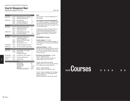## Visual Art Management Major

Applications accepted for fall only. The set of the set of the set of the set of the set of the set of the set of the set of the set of the set of the set of the set of the set of the set of the set of the set of the set o

| <b>Semester 5</b>         |                                      |                                                                                                                                                 | <b>Credits</b>   |
|---------------------------|--------------------------------------|-------------------------------------------------------------------------------------------------------------------------------------------------|------------------|
| <b>MAJOR AREA</b>         | VA 321<br>choice                     | Methods/Meanings in Visual Arts<br>see History of Art Group A**                                                                                 | 3<br>3           |
| LIBERAL ARTS              | EN 321<br>choice<br>choice           | <b>Business Writing</b><br>see Foreign Language* G8<br>see Liberal Arts Selectives*                                                             | 3<br>3.5<br>3    |
| Semester 6                |                                      |                                                                                                                                                 |                  |
| MAJOR AREA                | BL 343<br><b>HA411</b><br>choice     | Introduction to Business Law<br>Western Theories of Art<br>see HA Group B** G9                                                                  | 3<br>3<br>3      |
| LIBERAL ARTS              | MA 311<br>choice                     | Math Modeling/Business Apps.<br>see Foreign Language*                                                                                           | 3<br>$3 - 3.5$   |
| <b>Semester 7</b>         |                                      |                                                                                                                                                 |                  |
| MAJOR AREA                | AC 322<br>VA 431<br>choice<br>choice | Publicity/Public Relations for<br>Visual Art Management<br><b>Business of Art Museum Mgmt.</b><br>see HA Group C**<br>see HA Group B, C, or D** | 3<br>3<br>3<br>3 |
| RELATED AREA              | <b>FA 117</b>                        | Traditional Techniques in Fine Arts                                                                                                             | 2                |
| LIBERAL ARTS              | LA 221                               | U.S. Hist.: Civil War to Present G10 3                                                                                                          |                  |
| <b>Semester 8</b>         |                                      |                                                                                                                                                 |                  |
| <b>MAJOR AREA</b>         | AC 311<br>VA 491                     | Integrated Mktg. Comm. Mgmt.<br>Senior Seminar:<br>The Museum Exhibition                                                                        | 3<br>3           |
| RELATED AREA              | IC 497                               | Sr. Internship C: Career Planning                                                                                                               | 3                |
| LIBERAL ARTS              | <b>EN 241</b>                        | Professional Speech Comm.                                                                                                                       | 3                |
| <b>ELECTIVE</b>           | choice                               | General elective                                                                                                                                | $2 - 3$          |
| TOTAL CREDIT REQUIREMENTS |                                      |                                                                                                                                                 |                  |
|                           |                                      | <b>MAJOR AREA</b>                                                                                                                               | 33               |
|                           |                                      | RELATED AREA                                                                                                                                    | 5                |

LIBERAL ARTS 21.5-22 ELECTIVE 2-3 TOTAL Minimum Required 61.5

#### **NOTE:**

HA 112 and AC 111 must be completed prior to sixth semester.

**SUNY GENERAL EDUCATION REQUIREMENTS** A "G" followed by a number 1-10 identifies specific courses that meet SUNY General Education baccalaureate degree requirements (see pages 31–38 or visit www.fitnyc.edu).

G1 Basic Communication; G2 Math; G3 Science; G4 Social Science; G5 Western Civilization; G6 Arts; G7 Humanities; G8 Foreign Language; G9 Other World Civilizations; G10 American History.

#### **\*REQUIREMENTS: See below**

**Foreign Language**: 6.5-7 credits

Two semesters of the same foreign language, one of which must be a 3.5 credit non-conversational course (G8).

#### **Liberal Arts Selectives**: 3 credits

CHOICE of one of the following: EN 333, 334, 352, 361, 362, 391, 392, 393, 394, 395; LA 321, 391; PL 321, 391, 431; SC 331; SS 237, 334, 342, 343, 354, 374, 391, 443.

**\*\*HA (History of Art) Selectives:** 12 credits Group A: (Western Surveys) HA 231 required (if not previously taken); or CHOICE of HA 311, 314, 331, or 332.

Group B: (Non-Western Civilizations) CHOICE of HA 121, 216, 221, 223, 224, 225, 226, 227, or 395 (any one of these meets G9).

Group C: (Specialized Media) CHOICE of HA 214, 342, 343, 344, or 345.

Group D: (Requires qualification for Presidential Scholars Program or 3.5 GPA with approval of Dean for Liberal Arts) CHOICE of HA 391, 392, 393, 394, 395, or 396.

# >>>Courses >>>>>>>>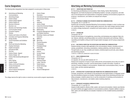## Course Designations

The following letter designations have been assigned to courses given in these areas:

- AC Advertising and Marketing Communications
- AD Advertising Design
- AF Fashion Design
- AP Fashion Design-Apparel
- AR Fashion Design-Art
- BE Business Enterprise
- BL Business Law
- BT Business and Technology Studies
- CD Communication Design
- CG Computer Graphics
- CH Chinese
- CL Fashion and Culture of the World
- CM Cosmetics and Fragrance Marketing
- DD Design Studies
- DE Visual Presentation and Exhibition Design
- DM Direct and Interactive Marketing
- DP Draping Techniques
- EN English and Speech
- ES Educational Skills
- FA Fine Arts
- FD Fashion Design–Apparel
- FF Fashion Design-Art
- FM Fashion Merchandising Management
- FR French
- FS Fabric Styling
- GD Graphic Design
- HA History of Art and Civilization
- HD Human Development
- HE Health Education
- HP Home Products Development
- IC Internship Center
- ID Interior Design
- IL Illustration
- IN International Trade and Marketing
- IS Interdivisional Studies
- IT Italian
- JA Japanese
- JD Jewelry Design
- LA Liberal Arts Divisional Studies
- LD Accessories Design
- MA Mathematics
- MG Production Management: Fashion and Related Industries
- MK Marketing: Fashion and Related Industries
- ML Millinery
- MW Menswear
- PE Physical Education
- PH Photography
- PK Packaging Design
- PL Philosophy
- PM Patternmaking
- SC Science
- SD Surface Design
- SP Spanish
- SS Social Sciences
- TD Textile Design
- TC Technical Design
- TL Ladies' Tailoring
- TS Textile Science
- TT Textile Technology
- TY Toy Design
- VA Visual Art Management

The college reserves the right to review or amend any course and/or program requirements.

## Advertising and Marketing Communications

#### **AC 111 — ADVERTISING AND PROMOTION**

For Advertising and Marketing Communications, Fabric Styling, Fashion Merchandising Management, and Textile Development and Marketing students. Concepts, perspectives, and methods for the development and implementation of integrated marketing communications programs for producers, manufacturers, and retailers are analyzed and critiqued. 3 CREDITS

#### **AC 113 — STRATEGIC PLANNING FOR INTEGRATED MARKETING COMMUNICATIONS**

#### Prerequisites: AC 111 and FM 114

Students plan and develop Integrated Marketing Communications strategies in order to achieve specific marketing objectives. Through student agency teamwork, they make strategic decisions based on creative strategy development, competitive and market analysis, and research interpretation. 3 CREDITS

#### **AC 141 — JOURNALISM**

Prerequisite: EN 121

Practice the techniques of newsgathering, newswriting, and developing news judgment. News stories, features, editorials, and photojournalism are covered in discussions and workshops. Skills in copyediting and headline-writing are built through student newspaper and off-campus assignments. 3 CREDITS

#### **AC 161 — MULTIMEDIA COMPUTING FOR ADVERTISING AND MARKETING COMMUNICATIONS**

Students develop computer skills applicable to the communications industry, including word processing, spreadsheets, networking, presentations, desktop publishing, and internet research. Through hands-on use, they complete such industry-oriented projects as print ads, press releases, and advertising analyses.

2 CREDITS; 4 COMPUTER LABORATORY HOURS PER WEEK

#### **AC 171 — MASS COMMUNICATIONS**

#### Prerequisite: AC 111

Co-requisite: (for one-year AAS students) AC 111

Analysis and comparison of issues of mass media and the communications arts as they are used in advertising, marketing, promotion, and the dissemination of public information. Includes an overview of careers available in communications. Students learn communications theory, new electronic media, and their potential applications.

3 CREDITS

#### **AC 201 — INTRODUCTION TO ADVERTISING AND PROMOTION FOR COMMUNICATION DESIGN**

Concepts, perspectives, and methods for the development and implementation of integrated marketing communications programs are studied. Emphasizing visually driven advertising and direct marketing campaigns, students analyze how to use the components of marketing communications to help producers, manufacturers, and retailers realize marketing objectives. 2 CREDITS

#### **AC 211 — WORKSHOP IN BUSINESS COMMUNICATIONS**

#### Prerequisites: AC 111 and FM 114

Analysis of skills needed for effective written, spoken, and visual communications. Industry case histories are used to identify and suggest solutions to communications problems. Students' abilities to observe, listen, speak, and write effectively are evaluated. Emphasis is on the complete business presentation. 3 CREDITS

Courses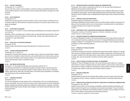#### **AC 221 — PUBLICITY WORKSHOP**

#### Prerequisites: AC 111 and FM 114

Use of current news, events, and personalities as a basis for writing and evaluating institutional and product publicity releases for news and feature stories. Students plan publicity campaigns and create press kits.

3 CREDITS

#### **AC 222 — SALES PROMOTION**

#### Prerequisite: AC 111

Students plan and develop sales promotion activities in order to achieve specific marketing and communications objectives. Both business-to-business and business-to-consumer sales promotion campaigns are developed.

3 CREDITS

#### **AC 231 — ADVERTISING COPYWRITING**

Prerequisites: AC 111 and FM 114, and (for Advertising and Marketing Communications students) AD 101 or CD 122

Evaluating, writing, and editing copy for national, trade, and retail advertising and promotion, internal communications, and direct marketing for all market levels. Includes copy-testing techniques and visualization for copy brainstorming.

3 CREDITS

#### **AC 232 — RADIO AND TV COPYWRITING WORKSHOP**

Prerequisite: AC 231

Students prepare national/retail broadcast advertisements for products and services. 3 CREDITS

#### **AC 242 — FASHION JOURNALISM WORKSHOP**

#### Prerequisites: AC 111 and AC 141

Development of reporting skills needed for a journalism career in fashion and related fields. Students plan and carry out research; conduct interviews; write and edit fashion news, feature stories, and captions; and work with fashion visual materials. Fashion review assignments provide opportunities to practice photojournalism, feature, and editorial writing.

3 CREDITS

Courses

#### **AC 262 — MULTIMEDIA PRESENTATIONS**

Prerequisite: (for Advertising and Marketing Communications students) AC 111

The planning and preparation of multimedia presentations utilizing computer and audiovisual techniques. Coursework covers presentations suitable for public relations, shows, demos, conferences, exhibits, special events, dealer aids, and sales books, and examines these presentations' coordination with advertising and other promotional activities. 3 CREDITS

#### **AC 271 — AUDIENCES AND MEDIA**

#### Prerequisite: AC 111

This course is designed to provide students with an understanding of the role of media planning and buying in advertising. The course reviews such areas as basic measurement tools and the relationship between marketing and advertising objectives translated into media objectives, strategies, and tactics. Students identify target markets, develop media strategies, and evaluate media alternatives and mediabuying approaches.

3 CREDITS

#### **AC 272 — RESEARCH METHODS IN INTEGRATED MARKETING COMMUNICATIONS**

Prerequisites: three credits of mathematics and AC 161 or (for two-year AAS Advertising and Marketing Communications students) MG 153

This course examines the current methods and techniques used to evaluate the effectiveness of marketing, advertising, and promotion. The information-gathering process uses both secondary research data and primary sources. Students create a marketing research project using a variety of research techniques. 3 CREDITS

#### **AC 291 — CAMPAIGN PLANS AND PRESENTATIONS**

Prerequisite: approval of chairperson or instructor

Advertising and Marketing Communications and Communication Design students use acquired marketing and communications skills to solve an actual industry marketing problem by participating in campaign development from inception to presentation. 3 CREDITS

#### **AC 299 — INDEPENDENT STUDY IN ADVERTISING AND MARKETING COMMUNICATIONS**

Prerequisite: a minimum of 3.5 GPA and approval of instructor, chairperson, and dean VARIABLE CREDITS (3 CREDITS MAXIMUM)

#### **AC 311 — INTEGRATED MARKETING COMMUNICATIONS MANAGEMENT**

For Visual Art Management students. Case study techniques are used to help students develop criteria for evaluating the planning, budgeting, and execution of Integrated Marketing Communications strategies. Emphasis is on management of advertising, public relations, direct marketing, and sales promotions to achieve marketing objectives.

## 3 CREDITS

#### **AC 321 — PRINCIPLES OF PUBLIC RELATIONS**

#### Prerequisite: AC 221

Examines the principles and processes underlying the programming of public relations as a management function of marketing. Attention is directed to the specific requirements of interacting with various publics. Students work with public opinion research data on industry-derived projects and cases to design, plan, and write proposals for publicity and public relations programs. 3 CREDITS

#### **AC 322 — PUBLICITY/PUBLIC RELATIONS FOR VISUAL ART MANAGEMENT**

Designed for Visual Art Management majors, this course examines public relations as a management function in museums. Students study how public relations is used to further museum goals by examining how it relates to exhibitions, fundraising, and retail operations. Working with public opinion research data, students create press kits and public relations programs. 3 CREDITS

#### **AC 341 — MAGAZINE JOURNALISM**

Prerequisite: AC 141

Students develop the editorial and marketing skills needed to succeed in today's fast-paced magazine publishing world by creating a magazine prototype directed at a specialized target audience. 3 CREDITS

#### **AC 361 — COMPUTER APPLICATIONS AND INTERACTIVE TECHNOLOGIES FOR MARKETING COMMUNICATIONS** Prerequisite: AC 161 or MG 153

Students improve skills in word processing, spreadsheets, desktop publishing, presentations, and internet research through the use of marketing communications case studies. The use of software applications to solve marketing communications problems is explored, with an emphasis on the creation of public relations communications and advertising executions. 2 CREDITS; 4 COMPUTER LABORATORY HOURS PER WEEK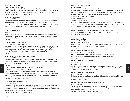#### **AC 362 — VIDEO STUDIO PRODUCTION**

#### Prerequisite or Co-requisite: AC 231

Through workshop activities, students develop professional studio techniques for video, journalism, and communications. Emphasis is placed on audio and video coverage of fashion events, as well as marketing applications. Students work on team assignments in video production. (G6: Arts) 3 CREDITS; 2 LECTURE AND 2 STUDIO HOURS PER WEEK

#### **AC 411 — BRAND MANAGEMENT**

#### Prerequisite: AC 321

Students study the critical elements of brand management—the role of brands and the concept of brand equity—using integrated marketing communications strategies and tactics to build brands. They learn to build brand equity by employing brand elements and leveraging secondary associations through brand extensions, co-branding, and forming strategic alliances with third parties. 3 CREDITS

#### **AC 412 — CREATIVE STRATEGIES**

#### Prerequisite: AC 231

Creative strategies are developed to solve marketing communications problems and build strong brand identities. Students research industry-derived projects and evaluate relevant market factors to create effective strategies.

3 CREDITS

#### **AC 413 — CORPORATE COMMUNICATIONS**

### Prerequisites: AC 321, EN 321, and SS 342

Students develop the skills necessary to create communications that successfully influence an organization's internal and external publics. The course trains students to identify emerging business trends, interpret annual reports and related business documents, and convey business news in a clear, concise style through a variety of business communication and public relations tools. 3 CREDITS

#### **AC 423 — SPECIAL EVENTS MARKETING PUBLIC RELATIONS**

#### Prerequisite: AC 321

Students learn how to integrate special events into a client's marketing communications program. The strategies, planning, and execution of special events are studied using specific cases. Students work with industry clients to produce an event.

3 CREDITS

Courses

# **AC 424 — MARKETING COMMUNICATIONS: AN INTERNATIONAL PERSPECTIVE**

Prerequisites: AC 221 and approval of instructor

Examines the principles and processes of the marketing communications industry in England. Through seminars and field experience, students work with marketing communications companies to design, plan, and implement communications programs. Includes a four-week field experience with the British communications industry.

4 CREDITS; APPROXIMATELY FOUR WEEKS IN JUNE

# **AC 461 — ELECTRONIC MEDIA PRODUCTION**

#### Prerequisite: AC 362

Technical and creative aspects of electronic media are stressed as students write, direct, edit, and produce trade and consumer videos and commercials. The coursework develops video production capabilities and encourages familiarity with a fully equipped, multi-camera studio. Preproduction and postproduction functions are analyzed and evaluated. 3 CREDITS; 2 LECTURE AND 2 STUDIO HOURS PER WEEK

#### **AC 462 — VIDEO FIELD PRODUCTION**

#### Prerequisite: AC 362

The operation and application of portable video and editing equipment to meet fashion marketing, corporate communications, and broadcast journalism objectives and strategies. Through the handson experience of writing, producing, directing, and editing a five-minute infomercial and a 30-second television commercial, students learn planning, budgeting, and digital post-production techniques. 3 CREDITS; 2 LECTURE AND 2 STUDIO HOURS PER WEEK

#### **AC 471 — MEDIA PLANNING**

Prerequisites: AC 271 and MA 222

Examines the relationship between the marketing plan and media planning. This course develops students' understanding of pre- and post-placement media analysis and research. Students develop a media plan utilizing research data and reports from current case histories. 3 CREDITS

#### **AC 499 — INDEPENDENT STUDY IN ADVERTISING AND MARKETING COMMUNICATIONS**

Prerequisites: a minimum of 3.5 GPA and approval of instructor, chairperson, and dean VARIABLE CREDITS (3 CREDITS MAXIMUM)

# Advertising Design

#### **AD 203 — ADVERTISING DESIGN AND LAYOUT**

For Photography students. Application of design principles to photographic layout problems, in black and white and color, utilizing the student's own photographs. 2 CREDITS; 1 LECTURE AND 2 STUDIO HOURS PER WEEK

#### **AD 213 — ADVERTISING DESIGN CONCEPTS**

Prerequisites: CD 112, CD 121, and CD 171 Introductory Advertising Design course. Advertising problems are presented and students are encouraged to develop solutions that are original, unexpected and persuasive. 3 CREDITS; 6 STUDIO HOURS PER WEEK

#### **AD 381 — CONCEPT DEVELOPMENT WORKSHOP I**

Prerequisite: AD 213

Co-requisite: CD 371

A workshop approach, working individually and in teams to create conceptual copy and art in advertising. Case studies in advertising are examined, and original student concepts are developed. (G6: Arts) 3.5 CREDITS; 1 LECTURE AND 5 STUDIO HOURS PER WEEK

# **AD 382 — CONCEPT DEVELOPMENT WORKSHOP II**

Prerequisite: AD 381

Students produce an outstanding and provocative portfolio and refine their strategic thinking, art direction, copywriting, and execution abilities. 1.5 CREDITS; 3 STUDIO HOURS PER WEEK

#### **AD 383 — COMMUNICATIONS PLANNING AND PRINT ADVERTISING**

# Prerequisite: AD 381

The development of concepts for a strategy plan is stressed and used to create a total campaign encompassing various advertising alternatives, such as print, outdoor, interactive, innovative media, direct marketing, and promotion. (G6: Arts)

3.5 CREDITS; 1 LECTURE AND 5 STUDIO HOURS PER WEEK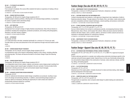#### **AD 442 — TV STUDIO/TV AD CONCEPTS**

Prerequisite: AD 382 From concept to broadcast, this course offers students the hands-on experience of making a 30-second television spot.

3.5 CREDITS; 1 LECTURE AND 5 STUDIO HOURS PER WEEK

#### **AD 464 — SENIOR PORTFOLIO DESIGN**

Prerequisites: AD 494 and (for Graphic Design students) GD 411 Students prepare cohesive portfolios, reflecting their own individual design aesthetics, in preparation for careers in graphic and/or advertising design. 1.5 CREDITS; 3 STUDIO HOURS PER WEEK

#### **AD 481 — ART DIRECTION**

# Prerequisites: AD 383 and CD 372

Development from concept to design of highly finished comprehensives. Role of the art director is considered, including time management, production procedures, and working with photographers, illustrators, and other industry suppliers.

1.5 CREDITS; 3 STUDIO HOURS PER WEEK

#### **AD 491 — INTERNSHIP**

#### Prerequisite: AD 494

A 12-week internship in the field, scheduled individually for a minimum of 14 hours per week. Provides follow-up review and assessment of the work experience through instructor/student conferences.

4 CREDITS

#### **AD 494 — SENIOR DESIGN PROJECT RESEARCH**

Prerequisites: CD 372, EN 322, and (for Graphic Design students) GD 312 A comprehensive study of the research methodology needed to write a thesis, including collecting and analyzing data. This thesis will become the basis for the Senior Design Project the following semester.

3 CREDITS

Courses

#### **AD 495 — SENIOR DESIGN PROJECT**

Prerequisites: AD 494 and (for Graphic Design students) GD 411

In an independent study format, analyze, organize, and execute a senior design project resulting from the senior design project research paper completed in the prior semester. Format provides further opportunity to develop personal voice and communicate original visual messages. 3 CREDITS; 6 STUDIO HOURS PER WEEK

#### **AD 496 — ADVANCED ADVERTISING DESIGN WORKSHOP**

#### Prerequisite: CD 372

Entries for national and international student design competitions are produced, resulting in exposure to the design and advertising industries. In addition, actual advertising design projects presented by clients are introduced, affording the opportunity for client contact and creation of professionally produced material for a portfolio. 3 CREDITS; 6 STUDIO HOURS PER WEEK

# Fashion Design (See also AP, AR, DP, FD, FF, TL)

#### **AF 299 — INDEPENDENT STUDY IN FASHION DESIGN**

Prerequisites: a minimum 3.5 GPA and approval of instructor, chairperson, and dean VARIABLE CREDITS (3 CREDITS MAXIMUM)

#### **AF 341 — COSTUME DESIGN FOR THE PERFORMING ARTS**

Limited to baccalaureate-level students or with approval of department chair. Application of skills to theatrical production design. Through analysis of live theatre, films, and videos, create costume plots and color compositions and learn research techniques, costume painting, and accessory construction. 2.5 CREDITS; 1 LECTURE AND 3 STUDIO HOURS PER WEEK

#### **AF 412 — ETHNIC FASHIONS: RESOURCES AND APPLICATIONS**

Prerequisites: (AF 111 or FF 221) and (AR 111 or FF 111)

Survey of ethnic fashions from archaic to contemporary periods, encompassing American Indian, Mesoamerican, Asian, African, and European folk cultures. Slides and actual costumes familiarize students with basic shapes, colors, symbols, patterns, and texture in ethnic costume and serve as inspiration in developing sketches for contemporary fashions.

2.5 CREDITS; 2 LECTURE AND 1 STUDIO HOURS PER WEEK

#### **AF 499 — INDEPENDENT STUDY IN FASHION DESIGN**

Prerequisites: a minimum 3.5 GPA and approval of instructor, chairperson, and dean VARIABLE CREDITS (3 CREDITS MAXIMUM)

# Fashion Design—Apparel (See also AF, AR, DP, FD, FF, TL)

#### **AP 144 — OUTERWEAR AND PERFORMANCE APPAREL SEWING TECHNIQUES**

Prerequisite: AP 141 or AP 143 or DP 111 or FD 131 or TL 111 or MW 141 or approval of program advisor

Produce outerwear garments in a sample-room setting using construction techniques specific to the outerwear and performance apparel market. Special focus is on the use of technically enhanced fabrics and protective design details in the construction of rainwear, urban outerwear, skiwear, and fishing, hiking, and boating apparel.

2.5 CREDITS; 1 LECTURE AND 3 LABORATORY HOURS PER WEEK

# **AP 221 — FLAT PATTERN DESIGN**

Prerequisite: AP 121 or FD 121 Advanced use of the master pattern. Includes structures for sleeve and body styling, collar designs, and the development of the slack sloper. 2 CREDITS; 1 LECTURE AND 2 LABORATORY HOURS PER WEEK

**AP 222 — COMPUTER-AIDED FLAT PATTERN DESIGN**

Prerequisites: (AP 121 or FD 121) and AR 112

Through hands-on experience, learn computer-aided design for patternmaking and understand its creative potential.

1 CREDIT; 2 COMPUTER LABORATORY HOURS PER WEEK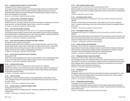#### **AP 223 — ADVANCED COMPUTER-AIDED FLAT PATTERN DESIGN**

#### Prerequisite: AP 222 or approval of chairperson

Learn advanced features and capabilities of computer-aided design using the Lectra Modaris pattern design software. Using CAD, recreate the pattern designer's traditional working environment by translating original ideas to the computer, digitizing and modifying designs, plotting out design creations, and managing the file information. 2 CREDITS; 1 LECTURE AND 2 LABORATORY HOURS PER WEEK

# **AP 241 — LEATHER APPAREL DESIGN ROOM TECHNIQUES**

Prerequisite: AP 141 or AP 143 or FD 131 or MW 141 Teaches construction, processing, finishing, and decorative techniques for making men's or women's leather garments. Learn about the leather apparel industry, resources, and suppliers. 2.5 CREDITS; 1 LECTURE AND 3 LABORATORY HOURS PER WEEK

#### **AP 242 — HAUTE COUTURE SEWING TECHNIQUES**

Prerequisite: AP 141 or AP 143 or DP 111 or FD 131 or TL 111 or approval of program advisor The sewing techniques practiced in the finest haute couture ateliers around the world are introduced and provide the basis for understanding couture. Learn couture techniques in cutting, hand stitching, seam and hem finishes, pocket construction, pressing, and finishing. 2.5 CREDITS; 1 LECTURE AND 3 LABORATORY HOURS PER WEEK

#### **AP 243 — HAUTE COUTURE DECORATIVE TECHNIQUES AND EMBELLISHMENTS**

#### Prerequisite: AP 242 or approval of chairperson

Expands knowledge of the couture by exploring various decorative techniques. Learn how to hand bead and apply rocailles, sequins, pearls, and faux gems on different types of fabrics. Create embellishments such as flowers and frog closures from fabric and ribbons, hand embroider original designs, and learn the arts of quilting, cartridge pleating, and trapunto. 2.5 CREDITS; 1 LECTURE AND 3 LABORATORY HOURS PER WEEK

#### **AP 244 — HAUTE COUTURE CONSTRUCTION AND TECHNOLOGY**

#### Prerequisite: AP 242

Courses

Apply couture sewing methodology and construct a skirt and jacket in order to understand the fitting process, couture fabric selection, proper cutting procedures, and inner construction methods. 2.5 CREDITS; 1 LECTURE AND 3 LABORATORY HOURS PER WEEK

#### **AP 253 — LEATHER APPAREL DESIGN**

Prerequisites: (AP 211 or FD 112) and (AP 221 or FD 221) and AP 241 or MW 232 Study the use of leather, suede, and other animal skins and apply these materials to the design principles exclusive to creating men's and women's apparel. Develop original designs utilizing draping and flat-pattern industrial methods.

2.5 CREDITS; 1 LECTURE AND 3 LABORATORY HOURS PER WEEK

#### **AP 265 — HAND-KNIT DESIGN**

Preparation for using hand-knitting machines to create original ideas for knitted fabrics and garments. Emphasizes using various stitch patterns and different textured yarns and colors to achieve new fabric textures.

2 CREDITS; 1 LECTURE AND 2 LABORATORY HOURS PER WEEK

#### **AP 272 — INTIMATE APPAREL: FOUNDATION GARMENT DESIGN**

Prerequisite: AP 143 or FD 131

Design and development of foundation garments. Techniques are applicable to lingerie, swimwear, and sportswear.

2 CREDITS; 1 LECTURE AND 2 LABORATORY HOURS PER WEEK

#### **AP 275 — HAUTE COUTURE APPAREL DESIGN**

Prerequisites: (AP 211 or DP 212 or FD 112) and AP 243 and AP 244

Apply knowledge of the couture to design, drape, fit, and construct a mini-collection for a particular target market. Develop styles and images through fabric sourcing, market research, and inspirational research.

3 CREDITS; 6 LABORATORY HOURS PER WEEK

#### **AP 281 — OUTERWEAR APPAREL DESIGN**

Prerequisites: (AP 144 and TS 171) and (AP 211 or FD 112) or (AP 221 or FD 221) or DP 211 or MW 232

Drawing on market research and trend services, create original men's and women's traditional, urban, or casual outerwear designs with a focus on the technical, functional, and aesthetic needs of the end user.

2.5 CREDITS; 1 LECTURE AND 3 LABORATORY HOURS PER WEEK

#### **AP 282 — PERFORMANCE APPAREL DESIGN**

Prerequisites: (AP 144 and TS 171) and (AP 211 or FD 112) or (AP 221 or FD 221) or DP 211 or MW 232

Create performance apparel based on the principles of human physiology in extreme movement, and build on the technical and aesthetic needs of the serious outdoor sports enthusiast. Conduct market research and employ forecast services to develop designs. 2.5 CREDITS; 1 LECTURE AND 3 LABORATORY HOURS PER WEEK

### **AP 322 — APPAREL PRODUCT DATA MANAGEMENT**

Prerequisite: AP 222 or PM 221 or approval of program advisor Apply principles of product data management using web-based software. Emphasizes creating garment information and specifications at different stages of development from design to costing to manufacture. Execute style packages and line plans for sample development. 2 CREDITS; 1 LECTURE AND 2 COMPUTER LABORATORY HOURS PER WEEK

#### **AP 337 — PRIMAVISION APPAREL DESIGN DEVELOPMENT**

Prerequisite: AP 334 or FD 353, or approval of chairperson

Gain knowledge of technical line development and execution through the study and use of the software program Primavision, by Lectra Systems. Original concepts are translated into technical design factory packages ready for sample development. Emphasis is on specifications and construction details involved in woven and knit fabric development. 2 CREDITS; 1 LECTURE AND 2 LABORATORY HOURS PER WEEK

#### **AP 351 — EXPERIENCING STYLE**

#### Prerequisite: PH 371

Photography students learn about the factors that influence the design and presentation of a collection. Working with Fashion Design students, they study the importance of the market, branding, trends, and the structure of the design house.

2 CREDITS; 1 LECTURE AND 2 STUDIO HOURS PER WEEK

#### **AP 421 — COMPUTERIZED PATTERN DESIGN**

Prerequisites: AP 221, AP 222, and AR 213

Introduction to the operation of Gerber computer and Gerber pattern design system and development of abilities to efficiently create original ideas by computer. Includes discussion of hardware and patternmaking program.

2 CREDITS; 1 LECTURE AND 2 COMPUTER LABORATORY HOURS PER WEEK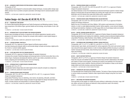# **AP 422 — ADVANCED COMPUTERIZED PATTERN DESIGN: GERBER ACCUMARK**

Prerequisite: AP 421

Using software tools designed for advanced pattern design techniques, increase pattern design capabilities and learn how to combine computer automation with design tools for advanced pattern development.

2 CREDITS; 1 LECTURE AND 2 COMPUTER LABORATORY HOURS PER WEEK

# Fashion Design—Art (See also AF, AP, DP, FD, FF, TL)

# **AR 101 — FASHION ART AND DESIGN**

For Fashion Merchandising Management and Textile Development and Marketing students. Studies basic proportions of the fashion figure, garment details and terminology, and principles of color. (G6: Arts)

1.5 CREDITS; 1 LECTURE AND 1 STUDIO HOURS PER WEEK

# **AR 115 — INTRODUCTION TO CAD SOFTWARE FOR FASHION DESIGNERS**

Acquire basic knowledge and hands-on experience with software applications typically used by designers in the fashion industry. Develop the computer skills needed to create original designs in various formats.

2 CREDITS; 1 LECTURE AND 2 COMPUTER LABORATORY HOURS PER WEEK

#### **AR 152 — LEATHER APPAREL PORTFOLIO**

Prerequisite: AR 114 or approval of Leather Apparel certificate program advisor Use basic drawing and computer skills to communicate design concepts and develop a digital portfolio of men's or women's leather apparel. 2.5 CREDITS; 1 LECTURE AND 3 STUDIO HOURS PER WEEK

#### **AR 182 — FLATS AND SPECS FOR THE FASHION INDUSTRY**

Prerequisite: AR 101 or approval of Fashion Design-Art assistant chairperson Introduces the concept of sketching designs and actual garments in the flat format rather than on the fashion figure. Emphasizes developing flat sketches used for spec sheets, presentation and storyboards, designing and merchandising a line, and record keeping. 1.5 CREDITS; 1 LECTURE AND 1 STUDIO HOURS PER WEEK

#### **AR 213 — INTRODUCTION TO COMPUTERIZED FASHION DESIGN**

#### Prerequisite: AR 112 or FF 112

Courses

Conceptualize fashion design ideas and create original artwork using the computer as a design tool. 1 CREDIT; 2 COMPUTER LABORATORY HOURS PER WEEK

#### **AR 214 — FASHION DESIGN USING PHOTOSHOP**

Prerequisites: (AR 114 or AR 115 or AR 213) and (AR 101 or AR 111), or approval of Fashion Design-Art assistant chairperson

Using Adobe Photoshop, focus on sketching, color stories, line planning, silhouette, and fabric design in order to establish fashion design principles through digital line design development techniques. Includes analysis and interpretation of customer/category research. 2 CREDITS; 1 LECTURE AND 2 COMPUTER LABORATORY HOURS PER WEEK

# **AR 215 — FASHION DESIGN USING ILLUSTRATOR**

Prerequisites: (AR 114 or AR 115 or AR 213) and (AR 101 or AR 111), or approval of Fashion Design-Art assistant chairperson

Use Adobe Illustrator to learn the fundamental and advanced techniques specific to fashion design. Aspects of drawing flats and garment details and working with images and color are addressed. Build fabric and trim libraries and create stitch effects and/or repeat prints. 2 CREDITS; 1 LECTURE AND 2 COMPUTER LABORATORY HOURS PER WEEK

### **AR 216 — FASHION DESIGN USING PRIMAVISION AND COLOUR MATTERS**

Prerequisites: (AR 114 or AR 115 or AR 213) and (AR 101 or AR 111), or approval of Fashion Design-Art assistant chairperson

Master the use of Primavision and Colour Matters, CAD systems used extensively in the fashion industry, in order to create digital presentation boards, fashion graphics, woven and print designs, and flat garment sketches. Emphasis is on CAD usage within an art and design studio environment. 2 CREDITS; 1 LECTURE AND 2 COMPUTER LABORATORY HOURS PER WEEK

#### **AR 245 — DIGITAL FASHION DESIGN PORTFOLIO**

Prerequisites: AR 214, AR 215 and AR 216 , or approval of Fashion Design-Art assistant chairperson Selecting specializations and creating mini-collections, students produce professional digital portfolios using Adobe Photoshop, Adobe Illustrator, Colour Matters, and Primavision CAD applications. 2 CREDITS; 1 LECTURE AND 2 COMPUTER LABORATORY HOURS PER WEEK

# **AR 291 — OUTERWEAR AND PERFORMANCE APPAREL DESIGN PORTFOLIO**

Prerequisites: (AR 111 or FF 111 or MW 151), and (CG 211 or PH 272), and TS 171 Create product, spec sheets, and storyboards for various segments of the men's and women's outerwear and performance apparel industry in order to develop digital portfolios focusing on a particular market. Forecast and track trends, study licensing issues, and explore graphic design as it relates to logos and branding.

2.5 CREDITS; 1 LECTURE AND 3 COMPUTER LABORATORY HOURS PER WEEK

#### **AR 292 — HAUTE COUTURE PORTFOLIO**

Prerequisite: (AR 211 or FF 211), or approval of Fashion Design-Art assistant chairperson Study the muscular and skeletal functions of the human body and their relationships to the design and creation of haute couture apparel, visualizing how anatomy and aesthetics form the basis of designing a haute couture collection. Become proficient in the translation of ideas via the fashion design sketch and further develop a personal drawing style. 2.5 CREDITS; 1 LECTURE AND 3 STUDIO HOURS PER WEEK

**AR 301 — FASHION ART FOR TEXTILE DESIGNERS**

For baccalaureate-level Textile/Surface Design students. The basics of figure drawing and sketching in various media are presented. Students create original fashion designs using their own textile designs.

2 CREDITS; 1 LECTURE AND 2 STUDIO HOURS PER WEEK

#### **AR 311 — SKETCHING FOR FASHION DESIGNERS**

Draw garments as they appear on models and study clothing in relationship to the body. Large, halfsize, petite, and junior-size figures are featured to study proportions used in the industry. 2 CREDITS; 4 STUDIO HOURS PER WEEK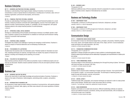# Business Enterprise

# **BE 111 — BUSINESS LAW PRACTICES FOR SMALL BUSINESS**

Develops an understanding of basic legal principles relating to branches of commercial law. Concentrates on areas of special interest to entrepreneurs, including laws of contracts, sales, forms of business organization, personal and real property, and insurance. 3 CREDITS

# **BE 113 — FINANCIAL PRACTICES FOR SMALL BUSINESS**

Provides an understanding of techniques necessary to plan a sound financial foundation for a small business. Analyzes procedures connected with capital budgeting, sources of borrowed capital, management of assets, financial planning, liquidity vs. profitability, and risk management, with special emphasis placed on the unique financial practices of small businesses. 3 CREDITS

#### **BE 121 — OPERATING A SMALL RETAIL BUSINESS**

Develops an understanding of the principles and techniques necessary to profitably operate a retail store. Emphasis is placed on the development of a detailed six-month plan and the decision-making inherent in successful retail businesses.

3 CREDITS

# **BE 261 — STARTING A SMALL BUSINESS**

Investigates the problems and challenges of opening and managing a small business. Emphasis is placed on analysis of financial statements and on developing a business plan. 3 CREDITS

#### **BE 402 — THE BUSINESS OF ILLUSTRATION**

Students learn the business side of an illustration career. Potential markets for illustration are examined, marketing techniques are explored, and legal issues are studied. Key aspects of financial management, including record keeping and tax planning, are covered. 1 CREDIT

#### **BE 403 — THE ARTIST IN THE MARKETPLACE**

Basic business practices relevant to fine artists are presented. Issues in intellectual property and contract law are discussed. Students research potential markets for fine arts and explore pertinent marketing techniques.

3 CREDITS

Courses

# Business Law

# **BL 201 — BUSINESS LAW FOR THE ARTIST**

Informs the visual artist of useful legal knowledge and practical principles of business. Emphasis is placed on the needs of illustrators, textile designers, advertising artists, sculptors, and painters. 3 CREDITS

# **BL 343 — INTRODUCTION TO BUSINESS LAW**

An introduction to basic legal principles relating to branches of commercial law, with special emphasis upon the laws of contracts, sales, agency, and other areas relevant to the career aspirations of fashion industry students.

3 CREDITS

### **BL 443 — BUSINESS LAW II**

Prerequisite: BL 343

Addresses additional areas of the law especially relevant to preparation for careers as business managers or business owners. Aspects of international law are studied. 3 CREDITS

# Business and Technology Studies

### **BT 299 — INDEPENDENT STUDY**

Prerequisites: a minimum 3.5 GPA and approval of instructor, chairperson, and dean VARIABLE CREDITS (3 CREDITS MAXIMUM)

# **BT 499 — INDEPENDENT STUDY**

Prerequisites: a minimum 3.5 GPA and approval of instructor, chairperson, and dean VARIABLE CREDITS (3 CREDITS MAXIMUM)

# Communication Design

#### **CD 111 — FOUNDATION I/BASIC DESIGN THEORY**

An introduction to basic two-dimensional design theory, principles, and practice. Students progress from circle, square, and triangle analysis to the study of line, shape, and form. Course emphasizes studio techniques and media exploration. (G6: Arts) 3 CREDITS; 6 STUDIO HOURS PER WEEK

# **CD 112 — FOUNDATION II/COMMUNICATION DESIGN**

Prerequisites: CD 111 and CD 171 Application of design principles and systems to basic problems in advertising/graphic design. Students explore layout techniques and the relationship of typography and visual elements in creative problem solving.

3 CREDITS; 6 STUDIO HOURS PER WEEK

# **CD 113 — THREE-DIMENSIONAL DESIGN**

Introduces design in three dimensions by developing form through the joining of planes. Techniques with board and paper are stressed. (G6: Arts) 1.5 CREDITS; 3 STUDIO HOURS PER WEEK

#### **CD 121 — STUDIO SKILLS**

Students learn to execute marker renderings of images and type in layouts—from quick thumbnails to art director's roughs—to communicate visual ideas. The techniques of sketching quickly are taught through demonstration, exercise, and practice. 1.5 CREDITS; 3 STUDIO HOURS PER WEEK

#### **CD 122 — DIGITAL LAYOUT I**

Traditional studio skills, typography, and computer techniques are explored in order to create printed pieces using InDesign. Students learn to plan and produce files for printing. 2 CREDITS; 1 LECTURE AND 2 COMPUTER LABORATORY HOURS PER WEEK

#### **CD 123 — BASIC BOOKBINDING**

Students work hands-on to create book structures. Different bookbinding methods are explored, such as non-adhesive structures, accordions, sewing, and case-bound books, with an emphasis on craft and the proper use of materials. 1.5 CREDITS; 3 STUDIO HOURS PER WEEK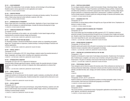#### **CD 131 — COLOR WORKSHOP**

The study of the relationship of color principles, theories, and terminology to the printed page. Students explore various approaches to color application and creation. 1.5 CREDITS; 3 STUDIO HOURS PER WEEK

#### **CD 132 — CREATIVE PROCESS**

Students study various processes and techniques to stimulate and develop creativity. The communication of ideas using visual and verbal methods is explored. (G6: Arts) 1.5 CREDITS; 3 STUDIO HOURS PER WEEK

#### **CD 171 — INTRODUCTION TO TYPOGRAPHY**

Study of basic type forms, terminology, and specification. Application of type in layout design is presented, with an emphasis on rendering techniques. Includes the historical development of type. 1.5 CREDITS; 3 STUDIO HOURS PER WEEK

# **CD 172 — COMPUTER DRAWING AND TYPOGRAPHY**

#### Co-requisite: CD 122

This course concentrates on the creation, use, and versatility of vector-based images and type, emphasizing the connection between design and illustration. 2 CREDITS; 1 LECTURE AND 2 COMPUTER LABORATORY HOURS PER WEEK

#### **CD 201 — COMPUTER TYPESETTING AND DESIGN**

For Illustration students. Introduces the Macintosh computer system as a typesetting and graphic design tool. Through hands-on experience, students develop a working knowledge of hardware and software applications.

2 CREDITS; 1 LECTURE AND 2 COMPUTER LABORATORY HOURS PER WEEK

#### **CD 222 — DIGITAL LAYOUT II**

#### Prerequisite: CD 122

This course is a continuation of CD 122. Using InDesign, students master the essential elements of design, typography, and image control, including color separations and printing. 2 CREDITS; 1 LECTURE AND 2 COMPUTER LABORATORY HOURS PER WEEK

#### **CD 223 — INTRODUCTION TO INDESIGN**

#### Prerequisite: CD 122 or CD 172, or approval of chairperson

Using the Adobe InDesign page layout program, students master the essential elements of design, typography, and image control, and learn to integrate other Adobe applications to enhance their designs.

2 CREDITS; 1 LECTURE AND 2 COMPUTER LABORATORY HOURS PER WEEK

#### **CD 231 — VISUAL PROCESS**

Courses

#### Prerequisites: CD 132 and CD 172

Images and symbols are introduced into the students' graphic vocabulary, providing them with additional methods for communicating ideas. Students develop their concepts both by hand and on computer.

1.5 CREDITS; 3 COMPUTER LABORATORY HOURS PER WEEK

#### **CD 251 — DIGITAL IMAGERY**

#### Prerequisite: CD 172

Introduces digital imagery and its tools and techniques. Using Adobe Photoshop, students work with layers to build intricate visual composites containing multiple images, textures, and transparencies, resulting in practical design solutions.

1.5 CREDITS; 3 COMPUTER LABORATORY HOURS PER WEEK

#### **CD 261 — PORTFOLIO DEVELOPMENT**

For non-degree students seeking to create Communication Design, Advertising Design, Graphic Design, Packaging Design or Visual Presentation and Exhibition Design portfolios. Students build and define their portfolios to a level that is appropriate to their objectives, including college degree program admission or professional employment or advancement. In addition to portfolios, the course includes analysis of student's goals and writing and design of resumes and business cards. 1.5 CREDITS; 3 STUDIO HOURS PER WEEK

### **CD 271 — DESIGNING WITH TYPE**

#### Prerequisite: CD 171

Concentrates on solving design problems through the use of type and letter forms. Emphasizes rendering in a variety of media.

1.5 CREDITS; 3 STUDIO HOURS PER WEEK

#### **CD 272 — ADVANCED COMPUTER DRAWING AND TYPOGRAPHY**

Prerequisite: CD 172

This course builds upon the knowledge and skills acquired in CD 172. Emphasis is placed on advanced concepts of drawing and layout through the use of computer-drawn images and typography. Students create three-dimensional images from two-dimensional designs and prepare and optimize vector-based files for print- and screen-based presentation. 2 CREDITS; 1 LECTURE AND 2 COMPUTER LABORATORY HOURS PER WEEK

#### **CD 322 — DESIGN PROCESS TECHNOLOGY**

#### Prerequisites: CD 222 and CD 251

Students explore grid systems that will assist in processing more complex typographic information. Students increase composition skills and typographic knowledge. 2 CREDITS; 1 LECTURE AND 2 COMPUTER LABORATORY HOURS PER WEEK

# **CD 351 — CREATING AN ILLUSTRATION PORTFOLIO FOR THE WEB**

#### Prerequisite: IL 125

Students are introduced to a basic level of web design and production. Students learn the fundamentals of website layout, navigation, and various ways to develop a web grid using software, such as Dreamweaver. The goal is to develop a site structure that houses the student's portfolio. 2 CREDITS; 1 LECTURE AND 2 COMPUTER LABORATORY HOURS PER WEEK

#### **CD 361 — PROFESSIONAL PRACTICES**

Future designers and art directors explore the business side of their professions by learning how to develop professional relationships; understand contracts and other business documents; negotiate, estimate, and determine fees; start, manage, and market a business; and address ethical and legal issues.

2 CREDITS

#### **CD 371 — ADVANCED TYPOGRAPHY I**

Prerequisites: CD 231, CD 271, and GD 214

Explores solutions to advanced typographical problems invovling typographic origins, forms, and communication. Both hand and computerized typography are developed. 1.5 CREDITS; 3 STUDIO HOURS PER WEEK

### **CD 372 — ADVANCED TYPOGRAPHY II**

# Prerequisite: CD 371

This course presents a comprehensive study of typographic applications and principles of text, grids, ligatures, and letterform development. 1.5 CREDITS; 3 STUDIO HOURS PER WEEK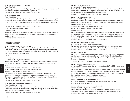#### **CD 373 — THE CONVERGENCE OF TYPE AND IMAGE**

Prerequisite: PH 274

Photography students learn to combine typography and photographic imagery to create promotional materials for a photography exhibit. Adobe InDesign is used. 2 CREDITS; 1 LECTURE AND 2 COMPUTER LABORATORY HOURS PER WEEK

#### **CD 441 — BROADCAST DESIGN**

#### Prerequisite: GD 243

This course guides students through the process of creating successful time-based design projects, which may be disseminated or broadcast via digital networks. The concept of incorporating motion, sound, and interactivity is introduced and experimentation with non-traditional design solutions is encouraged.

2 CREDITS; 1 LECTURE AND 2 COMPUTER LABORATORY HOURS PER WEEK

#### **CD 442 — SENIOR 3D PRESENTATION DESIGN**

#### Prerequisite: AD 494

Students explore the creative process specific to exhibition design in three dimensions. Using threedimensional graphic design, multimedia, and audiovisuals, they design a custom system as a communications tool.

1.5 CREDITS; 3 STUDIO HOURS PER WEEK

# Computer Graphics

# **CG 111 — INTRODUCTION TO COMPUTER GRAPHICS**

Computer graphics concepts and theory are presented through lecture and hands-on experience. Topics include bitmapped vs. vector graphics, color theory and management, graphics file formats, and two- and three-dimensional applications as they relate to art and design disciplines and the web. New and emerging technologies are explored.

1 CREDIT

#### **CG 211 — COMPUTER-ASSISTED DESIGN**

#### Co-requisite: CG 111 or approval of instructor

Paint and image-processing software is used as an artist's tool to solve basic design problems and create original, innovative work. Emphasis is on exploring the visual elements inherent in good design.

Courses

2 CREDITS; 1 LECTURE AND 2 COMPUTER LABORATORY HOURS PER WEEK

# **CG 212 — INTRODUCTION TO THREE-DIMENSIONAL COMPUTER MODELING**

Prerequisite: CG 211 (waived for Jewelry Design students)

The theory and concepts needed to understand three-dimensional space and to construct threedimensional models are introduced. Focus is on acquiring the techniques used to create threedimensional models and how to apply real-world effects to their work through material application and lighting. Software: 3D Studio Max.

2 CREDITS; 1 LECTURE AND 2 COMPUTER LABORATORY HOURS PER WEEK

# **CG 213 — TWO-DIMENSIONAL COMPUTER ANIMATION**

# Prerequisite: CG 211 or PH 272

Exploration of two-dimensional computer animation and its use in websites and the broadcast and entertainment industries. Focus is on animation, design, compositing, and production issues using Adobe Photoshop and After Effects applications. 2 CREDITS; 1 LECTURE AND 2 COMPUTER LABORATORY HOURS PER WEEK

# **CG 214 — WEB PAGE CONSTRUCTION**

Prerequisite: CG 111 or approval of chairperson

Students learn to construct and implement web pages, from content creation through production. Current XHTML and state-of-the-art graphical web designing software, such as Dreamweaver, is discussed, demonstrated, and used to create deliverable web pages. 1.5 CREDITS; 1 LECTURE AND 1 COMPUTER LABORATORY HOURS PER WEEK

# **CG 215 — WEB PAGE CONSTRUCTION II**

Prerequisite: CG 214 or approval of instructor

Students use styles (CSS, or Cascading Style Sheets) to create enhanced web pages. Other DHTML tools such as Javascript and Flash are introduced in order to produce dynamic websites. Students must have working knowledge of HTML.

2 CREDITS; 1 LECTURE AND 2 COMPUTER LABORATORY HOURS PER WEEK

# **CG 221 — DESIGN AND AUTHORING FOR INTERACTIVE MEDIA I**

Prerequisite: CG 111

Introduction to designing for interactive media using Flash and ActionScript to produce finished projects, including websites, DVDs, games, and animation for various delivery media. Importing various kinds of graphics, video, animation, special effects, and sound is explored. Basic scripting techniques are used to build menus and control program flow. 2 CREDITS; 1 LECTURE AND 2 COMPUTER LABORATORY HOURS PER WEEK

#### **CG 222 — GAME DESIGN FOR DIGITAL MEDIA**

Prerequisite: CG 221, CD 441, or approval of chairperson

The theory and implementation of game design is explored through the creation of small games using Adobe Flash and ActionScript. Students must know basic Flash and ActionScript. 2 CREDITS; 1 LECTURE AND 2 COMPUTER LABORATORY HOURS PER WEEK

#### **CG 241 — FLASH ANIMATION**

Introduction to designing character animation using Adobe Flash to produce finished animation for websites, games, broadcast, and various other delivery media. Emphasis is on the integration of graphics, video, special effects, and sound. Students must have proficiency in high-level graphics software, e.g. Photoshop.

2 CREDITS; 1 LECTURE AND 2 COMPUTER LABORATORY HOURS PER WEEK

#### **CG 251 — BASIC EDITING WITH FINAL CUT PRO**

Prerequisites: CG 111 (or appropriate Macintosh experience) and CG 213 or CG 221, or approval of chairperson

The concepts involved in editing video and animation are explored using Final Cut Pro software, with an emphasis on telling a story through the editing process. Learn how to assemble audio and video elements and gain studio experience in managing media assets, nested timelines, and basic workflow procedures. Use stock footage or provide own camera.

2 CREDITS; 1 LECTURE AND 2 COMPUTER LABORATORY HOURS PER WEEK

# **CG 299 — INDEPENDENT STUDY IN COMPUTER GRAPHICS**

Prerequisites: a minimum 3.5 GPA and approval of instructor, chairperson, and dean VARIABLE CREDITS (3 CREDITS MAXIMUM)

# **CG 311 — TWO-DIMENSIONAL COMPUTER IMAGE GENERATION**

Prerequisite: CG 211 or approval of instructor

This advanced image-processing course builds on concepts introduced in previous courses. Sophisticated tools are explored and applied in individual projects. Software: Adobe Photoshop. 2 CREDITS; 1 LECTURE AND 2 COMPUTER LABORATORY HOURS PER WEEK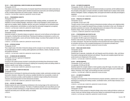# **CG 312 — THREE-DIMENSIONAL COMPUTER MODELING AND RENDERING**

#### Prerequisite: CG 212

This studio course focuses on the process of computer-based three-dimensional model construction as it applies to animation. Students explore standard and advanced construction and rendering techniques as they complete assignments and creative projects. Software: 3ds Max. 2 CREDITS; 1 LECTURE AND 2 COMPUTER LABORATORY HOURS PER WEEK

#### **CG 314 — PROGRAMMING CONCEPTS**

#### Prerequisite: CG 111

Languages used in computer graphics and interactive design, including websites, are presented, with emphasis on current scripting languages. JavaScript (or other current language) is used to present concepts such as variables, objects, properties, data flow, and control. Techniques such as interactive button rollovers, cycling banners, and animations, as well as logic flow and project management, are explored. 2 CREDITS; 1 LECTURE AND 2 COMPUTER LABORATORY HOURS PER WEEK

#### **CG 321 — DESIGN AND AUTHORING FOR INTERACTIVE MEDIA II**

#### Prerequisite: CG 221

Advanced concepts for interaction design are explored, using such current software as the Adobe suite of programs, including Flash and ActionScript. Planning and scripting are emphasized, as well as consideration of overall graphic, sound, and human interface design, to produce Flash projects for the web or stand-alone projects.

2 CREDITS; 1 LECTURE AND 2 COMPUTER LABORATORY HOURS PER WEEK

# **CG 322 — INTERFACE DESIGN**

### Prerequisite: CG 321

This in-depth study of the field of interactive design and the concepts of user interface design focuses on principles that are central to creating usable applications and effective, intuitive, friendly, and consistent graphical interfaces.

2 CREDITS; 1 LECTURE AND 2 COMPUTER LABORATORY HOURS PER WEEK

#### **CG 341 — 3D MODELING AND ANIMATION**

Prerequisite: CG 212 or approval of chairperson

# Co-requisite: CG 346

Focusing on the creative process involved in constructing and animating three-dimensional models, students explore the fundamental techniques for lighting and composing models and adding shaders to produce a specific mood, feeling, or expression.

2 CREDITS; 1 LECTURE AND 2 COMPUTER LABORATORY HOURS PER WEEK

# **CG 342 — ADVANCED 3D COMPUTER MODELING**

#### Prerequisite: CG 341

Courses

Students focus on techniques for planning and executing complex models, particularly animation-ready biomorphic characters. Analysis of the numerous variables that affect how successfully a model will perform in production provides a solid foundation for students to begin building three-dimensional characters and preparing them for three-dimensional animation.

2 CREDITS; 1 LECTURE AND 2 COMPUTER LABORATORY HOURS PER WEEK

# **CG 344 — HISTORY OF ANIMATION**

Students examine the work of pioneering contributions to the moving image on film which led to the invention of film animation techniques. The history of traditional animation and visual effects puts modern computer animation techniques in a larger historical context. Early inventions and innovations by magicians and artists prior to the 20th century are studied. 3 CREDITS

#### **CG 345 — 3D COMPUTER ANIMATION**

Prerequisites: CG 341, CG 346, and CG 351

The fundamental building blocks of three-dimensional animation are examined, and the traditional animation principles as they apply to computer animation are studied. Students learn to analyze motion and the devices of anticipation, reaction, overlapping motion, and squash-and-stretch to add clarity and strength to sequences.

2 CREDITS; 1 LECTURE AND 2 COMPUTER LABORATORY HOURS PER WEEK

### **CG 346 — PRINCIPLES OF ANIMATION I**

Prerequisite: CG 212

Co-requisites: CG 351 and IL 302

Through a series of short projects using two-dimensional animation software and a digitizing tablet, students learn how to apply the classical Disney principles of animation to their work. All phases of animation production are covered, with ongoing discussion and analysis of the work in progress. Students critique, refine, and improve the resulting animations. 1.5 CREDITS; 3 COMPUTER LABORATORY HOURS PER WEEK

#### **CG 351 — STORYBOARDING AND STORYTELLING**

Prerequisite: CG 213 or approval of chairperson Co-requisite: CG 346 or approval of chairperson

Students create stories for animation by taking the first step: organizing their images in a sequence to create a storyboard. They learn the importance of the storyboard and script in planning a character animation and focus on the conceptual development of an expressive animated short. 2 CREDITS; 1 LECTURE AND 2 COMPUTER LABORATORY HOURS PER WEEK

#### **CG 352 — MUSIC AND SOUND DESIGN**

Prerequisite: CG 321

Co-requisite: CG 345

Students learn to generate, manipulate, edit, and integrate sound into animation, video, and interactive projects using appropriate hardware and software. They plan and complete projects that incorporate sound as an integral part of the process.

2 CREDITS; 1 LECTURE AND 2 COMPUTER LABORATORY HOURS PER WEEK

#### **CG 353 — MOTION GRAPHICS**

Prerequisites: CG 321 and CG 341 Co-requisites: CG 345 and CG 352

Students explore the concepts related to motion graphics using still images, live-action video, and three-dimensional computer graphics in conjunction with software programs such as Adobe After Effects, Photoshop, Sony Vegas, and Soundforge and other sound tools.

2 CREDITS; 1 LECTURE AND 2 COMPUTER LABORATORY HOURS PER WEEK

# **CG 411 — 3D COMPUTER ANIMATION**

Prerequisite: CG 312

Focusing on the fundamentals of three-dimensional computer animation, students learn a variety of techniques for analyzing and creating complex, coordinated motion, and the steps necessary to produce animation.

2 CREDITS; 1 LECTURE AND 2 COMPUTER LABORATORY HOURS PER WEEK

# **CG 421 — INTERACTIVE PROJECT DESIGN**

# Prerequisite: CG 322

State-of-the-art visual concepts for interactive design using various media and delivery systems are covered. Good user interface design and top-down design are emphasized through group projects. 3 CREDITS; 2 LECTURE AND 2 COMPUTER LABORATORY HOURS PER WEEK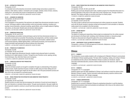#### **CG 422 — INTERACTIVE PRODUCTION**

#### Prerequisite: CG 421

In a simulated real-world production environment, students design and produce a project for a website or other delivery medium. Constraints such as budget, schedule, choice of tools, revisions, scaling down, and tracking the process of development are considered. 3 CREDITS; 1 LECTURE AND 4 COMPUTER LABORATORY HOURS PER WEEK

#### **CG 441 — ADVANCED 3D ANIMATION**

Prerequisites: CG 342 and CG 345

#### Co-requisite: CG 451

A full investigation of the potential of the keyframer and related three-dimensional animation issues is covered. Techniques related to subtle animation control and animation rendering, including compositing, inverse kinematics, advanced morphing, special effects, and an in-depth analysis of lighting and camera, are discussed. Students plan and execute related projects. 3 CREDITS; 2 LECTURE AND 2 COMPUTER LABORATORY HOURS PER WEEK

#### **CG 442 — ANIMATION PRODUCTION**

#### Prerequisites: CG 441 and CG 451

The methodologies and problem-solving techniques used by the three-dimensional animator in a production environment are presented. Storyboarding, task assignments, and fully modular project designs are completed. Topics include advanced storyboard synchronization, detailed camera cut/movement planning, detailed lighting effects, multi-layered processing, and incorporation of imagery/animated maps generated by external software and rotoscoping. 3 CREDITS; 1 LECTURE AND 4 COMPUTER LABORATORY HOURS PER WEEK

#### **CG 446 — PRINCIPLES OF ANIMATION II**

# Prerequisite: CG 346

Co-requisites: CG 441 and CG 491

Using a fully rigged three-dimensional character, students study advanced topics in animation, focusing on an in-depth analysis of motion. Through the use of function curves, spacing, and key frame techniques, they refine their thesis work-in-progress. 1.5 CREDITS; 3 COMPUTER LABORATORY HOURS PER WEEK

#### **CG 451 — COMPUTER-ASSISTED POST-PRODUCTION**

# Prerequisite: CG 345

# Co-requisite: CG 441

Courses

Video and animation projects are brought to completion through an understanding of the postproduction process. Studio experience focuses on hands-on skills using non-linear editing and compositing software. Students gain insight into the film editor's role in the post-production process and learn how to lay out projects for successful posting. 2 CREDITS; 1 LECTURE AND 2 COMPUTER LABORATORY HOURS PER WEEK

# **CG 452 — MUSIC PRODUCTION FOR INTERACTIVE AND ANIMATION THESIS PROJECTS I**

Prerequisite: CG 352

#### Co-requisites: CG 441 and CG 491

Students produce an audio track that encompasses the mechanics of sound and sound design for their own interactive or animation thesis projects. Through sound production, they gain insight into the components needed to construct a sound track that provides depth and excitement to the visual product.

2 CREDITS; 1 LECTURE AND 2 COMPUTER LABORATORY HOURS PER WEEK

# **CG 453 — MUSIC PRODUCTION FOR INTERACTIVE AND ANIMATION THESIS PROJECTS II**

Prerequisite: CG 452

Co-requisites: CG 422, CG 442, and CG 492

Building upon previously designed audio tracks, students progress from theoretical discussion to a practical application of the power of the audio track to their individual work. Through a hands-on approach, they design and apply an accurate sound layer to a thesis project. 1.5 CREDITS; 3 COMPUTER LABORATORY HOURS PER WEEK

#### **CG 491 — SENIOR PROJECT PLANNING**

Co-requisites: CG 421 and CG 441

The senior project is planned and formal storyboard and written proposal are executed. Students work with the faculty member to develop concept and storyboard for short animation or interactive media project to be completed in the final semester.

1.5 CREDITS; 1 LECTURE AND 1 COMPUTER LABORATORY HOURS PER WEEK

#### **CG 492 — SENIOR PROJECT**

Prerequisite: CG 491

The aspects of creating and researching a thesis project are emphasized from the written proposal and storyboard to the thesis itself, including a short individual animation or interactive project. Projects are discussed and critiqued throughout the various developmental stages. 3 CREDITS; 2 LECTURE AND 2 COMPUTER LABORATORY HOURS PER WEEK

#### **CG 499 — INDEPENDENT STUDY IN COMPUTER GRAPHICS**

Prerequisite: a minimum 3.5 GPA and approval of instructor, chairperson, and dean VARIABLE CREDITS (3 CREDITS MAXIMUM)

# **Chinese**

#### **CH 111 — CHINESE I**

This introductory course enables students with no background in Mandarin Chinese to communicate with Mandarin Chinese-speaking people. The basic skills of speaking, reading, and writing in Chinese are established and the cultures where Mandarin Chinese is spoken are introduced. Teacherinstructed multimedia laboratory sessions reinforce skills learned in the classroom. (G8: Foreign Language)

3.5 CREDITS; 3 LECTURE AND 1 LABORATORY HOURS PER WEEK

#### **CH 112 — CHINESE II**

Prerequisite: CH 111 or equivalent

Students expand upon the skills established in Chinese I and continue to study the cultures where Mandarin Chinese is spoken. Teacher-instructed multimedia laboratory sessions reinforce skills learned in the classroom. (G8: Foreign Language) 3.5 CREDITS; 3 LECTURE AND 1 LABORATORY HOURS PER WEEK

#### **CH 122 — CHINESE CONVERSATION I**

Prerequisite: CH 111 or equivalent

Students learn to converse in Mandarin Chinese by emphasizing interaction in real-life situations. Functional and practical verbal communications are addressed, with a focus on the cultures where Mandarin Chinese is spoken. 3 CREDITS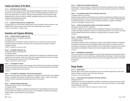# Fashion and Culture of the World

# **CL 112 — FACES AND PLACES IN FASHION**

For one-year Fashion Design and Fashion Merchandising Management students. Students are introduced to the world of fashion through a variety of venues, including appearances by leaders in the fashion and related fields. This course is intended to broaden students' cultural horizons through organized visits to a variety of museums, exhibits, backstage dressing venues, and design rooms, including the Metropolitan Opera house.

1 CREDIT; 2 LECTURE HOURS PER WEEK

# **CL 131 — FASHION IN FRANCE AND ITALY (SUMMER ONLY)**

Compares fashion in France and Italy through visits to French and Italian couture and ready-to-wear establishments, fashion accessory houses, fabric mills, design studios, and museums. 3 CREDITS; APPROXIMATELY 3 WEEKS IN JUNE

# Cosmetics and Fragrance Marketing

# **CM 023 — COSMETIC PRODUCT KNOWLEDGE LAB**

Prerequisites: CM 311, SC 046/146, and CM 341

Co-requisite: CM 323 Through laboratory and evaluation activities, students learn how cosmetics look, feel, and smell

individually and when combined. In the studio, they compound products and begin to evaluate marketed cosmetics.

1 CREDIT; 2 LABORATORY HOURS PER WEEK

# **CM 024 — FRAGRANCE KNOWLEDGE LAB**

Prerequisites: CM 311 and SC 046 /146

# Co-requisite: CM 424

Through laboratory and evaluation activities, students learn how fragrance raw materials smell individually and when combined. Trained in the studio, they compound fragrances and learn to evaluate both fine fragrances and fragrances used in functional products. 1 CREDIT; 2 LABORATORY HOURS PER WEEK

# **CM 151 — THE BUSINESS OF BEAUTY**

This course provides an overview of the techniques used to market consumer products in the beauty industry from ancient times to the present. The history, culture, and key entrepreneurs of this industry and the companies they built are examined. 3 CREDITS

# **CM 311 — THE COSMETICS, FRAGRANCES, AND TOILETRIES INDUSTRIES**

Introduces historical usage of cosmetics, fragrances, and toiletries and the transition from household recipes to marketable retail products. Describes types of suppliers, vendors, retailers, and auxiliary services involved in producing and marketing the products of the industry. 3 CREDITS

# **CM 323 — COSMETIC PRODUCT KNOWLEDGE**

Prerequisites: CM 311, CM 341, and SC 046/146, Co-requisite: CM 023

Students learn how cosmetics are created and manufactured for the marketplace and study the natural and synthetic raw materials used in the process. The marketability of cosmetics and regulatory issues in today's cosmetic business are also examined.

2 CREDITS

Courses

#### **CM 341 — COSMETICS AND FRAGRANCE MARKETING**

Students learn the basic principles of marketing for the cosmetic and fragrance industry. Global and external factors, corporate capabilities, product need, planning, promotion, and launch are considered. 3 CREDITS

#### **CM 351 — THE EUROPEAN COSMETICS AND FRAGRANCE INDUSTRIES**

#### Prerequisite: approval of instructor

Students develop a firsthand understanding of the cosmetics and fragrances marketing process from the European perspective. Issues in product development, production, and retail marketing strategies are addressed through on-site visits to world-renowned manufacturers, suppliers, and retailers. 3 CREDITS; APPROXIMATELY 3 WEEKS IN JUNE

#### **CM 423 — COSMETIC AND FRAGRANCE PRODUCT DEVELOPMENT WORKSHOP**

Prerequisites: CM 323, CM 341, and CM 424

Through a workshop format, students develop and implement strategies to create products in the cosmetic and fragrance industries. Emphasis is on determining the need for new entries in the market and the interdepartmental teamwork required to successfully launch a company's product. 3 CREDITS

#### **CM 424 — FRAGRANCE KNOWLEDGE**

Prerequisites: CM 311 and SC 046 /146

Co-requisite: CM 024

Learning about olfaction and the role played by the sense of smell, students examine how fragrances are created and manufactured for the marketplace. Natural and synthetic raw materials used in the manufacture of fragrances are studied. Students train in the classification of fragrances into odor families, evaluate the marketability of fragrances, and review the regulatory issues related to the business. 2 CREDITS

#### **CM 425 — ENVIRONMENTAL FRAGRANCING**

This course provides a historical background in environmental fragrancing from its spiritual origins in the ancient world to its current market status. Students develop a knowledge of technical terminology and become familiar with home fragrance delivery systems and fragrance types used for environmental fragrances.

3 CREDITS

# Design Studies

#### **DD 112 — DESIGN SURVEY**

Students explore career options in the applied arts and are provided the opportunity to assess their talents and skills by working in each of the areas introduced. 3 CREDITS; 6 STUDIO HOURS PER WEEK

#### **DD 231 — COLOR PRODUCTION TECHNIQUES FOR DIGITAL PREPRESS**

Prerequisite: CD 322

Students learn how to prepare digital files to simplify the complexities of prepress and ensure quality of final output. The relationship between creative vision, what is seen on the screen, and the realities of the printed piece is explored.

2 CREDITS; 1 LECTURE AND 2 COMPUTER LABORATORY HOURS PER WEEK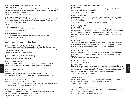#### **DD 271 — FRENCH COSTUME AND INTERIORS: BAROQUE TO PRESENT**

#### Prerequisite: HA 112

An interdisciplinary overview of costumes and interiors of France from the late 17th century to the present, stressing the relationship between clothing and environment. Sessions are conducted in museums, galleries, and historical collections in France. 3 CREDITS; APPROXIMATELY 5 WEEKS IN JUNE AND JULY

### **DD 272 — CONTEMPORARY ITALIAN DESIGN**

Studies the history and aesthetics of 20th-century applied and decorative design in Italy. Conducted in Florence, where students develop an understanding of and appreciation for important designers, design movements, and Italian traditions. 3 CREDITS

# **DD 299 — INDEPENDENT STUDY**

Prerequisite: a minimum 3.5 GPA and approval of instructor, chairperson, and dean VARIABLE CREDITS (3 CREDITS MAXIMUM)

#### **DD 499 — INDEPENDENT STUDY**

Prerequisite: a minimum 3.5 GPA and approval of instructor, chairperson, and dean VARIABLE CREDITS (3 CREDITS MAXIMUM)

# Visual Presentation and Exhibition Design

# **DE 101 — PRINCIPLES OF DISPLAY AND EXHIBIT DESIGN: SMALL SCALE**

For students not majoring in Visual Presentation and Exhibition Design. Basic hands-on display methods used in visual merchandising and an understanding of two- and three-dimensional design practices and materials. (G6: Arts)

2 CREDITS; 1 LECTURE AND 2 STUDIO HOURS PER WEEK

### **DE 102 — PRINCIPLES OF DISPLAY AND EXHIBIT DESIGN: LARGE SCALE**

The introduction to and hands-on creation of large-scale displays using mannequins, fashions, and props. 2 CREDITS; 1 LECTURE AND 2 STUDIO HOURS PER WEEK

#### **DE 123 — DESIGN AND RENDERING**

Principles of display drafting and rendering, including drafting of floor plans and elevations, are presented. Introduces perspective drawing as a means of expressing design concepts. 2 CREDITS; 1 LECTURE AND 2 STUDIO HOURS PER WEEK

# **DE 124 — DESIGN AND RENDERING**

#### Prerequisite: DE 123

Courses

Students are introduced to conceptual design development, incorporating visual adaptation in one- and two-point perspective drawing for retail, trade show, and exhibition presentations. 2 CREDITS; 1 LECTURE AND 2 STUDIO HOURS PER WEEK

#### **DE 125 — CAD FOR VISUAL PRESENTATION**

Prerequisites: DE 123 and DE 141 or approval of chairperson This course introduces two-dimensional computer drafting. Using VectorWorks, students draw plans and elevations for visual presentation and exhibition design projects. 2 CREDITS; 1 LECTURE AND 2 COMPUTER LABORATORY HOURS PER WEEK

### **DE 131 — STUDIO DESIGN: PRODUCT PRESENTATION**

Course introduces contemporary display techniques, equipment, and materials for designing three-dimensional product presentations within the retail environment. 2 CREDITS; 1 LECTURE AND 2 STUDIO HOURS PER WEEK

#### **DE 133 — ADVANCED STUDIO DESIGN: PRODUCT PRESENTATION**

Prerequisite: DE 131

Using mannequins, students conceive, design, and execute fashion presentations thematically coordinated with large-scale product presentations.

2 CREDITS; 1 LECTURE AND 2 STUDIO HOURS PER WEEK

### **DE 141 — DISPLAY GRAPHICS I**

Students are introduced to the role of graphics in the display and exhibit design field. The importance of typography as the root of visual communication is explored using the Macintosh platform as the graphic design tool.

2 CREDITS; 1 LECTURE AND 2 COMPUTER LABORATORY HOURS PER WEEK

# **DE 142 — DISPLAY GRAPHICS II**

Prerequisite: DE 141

Students develop problem-solving and project management skills by designing a storewide promotion for an upscale retail environment. They design a logo, advertising, signage, and other graphics using digital and traditional design and production techniques. Projects present students the opportunity to further develop their computer skills using Adobe Illustrator, QuarkXPress, and Adobe Photoshop.

2 CREDITS; 1 LECTURE AND 2 COMPUTER LABORATORY HOURS PER WEEK

# **DE 143 — STYLING FOR VISUAL PRESENTATION**

Through lectures, demonstrations, and studio projects, students explore an array of styling and visual presentation techniques used in a range of media. Assignments include set and prop styling, scouting for locations, styling for celebrities, fashion shows, and video production. 2 CREDITS; 1 LECTURE AND 2 STUDIO HOURS PER WEEK

#### **DE 161 — PROFESSIONAL PRACTICES**

Develops an awareness of the cultural influences that shape the creative expression of the designer in the promotion and presentation of consumer products. Field trips and guest lecturers are included.

1.5 CREDITS; 1 LECTURE AND 1 STUDIO HOURS PER WEEK

#### **DE 213 — EXHIBITION DESIGN**

Prerequisites: DE 125 and DE 236

Co-requisite: DE 243

Introduces the process of creating exhibitions from conceptualization through design development and presentation. Students learn and apply principles and criteria specific to organizing and conveying information in exhibition environments. Understanding of the principles is demonstrated through proposals that include models, presentation drawings, and other design materials. 3 CREDITS; 1 LECTURE AND 4 STUDIO HOURS PER WEEK

#### **DE 225 — DESIGN AND RENDERING**

Prerequisite: DE 124

Advances design and presentation techniques by introducing the student to modelmaking in the creation and research of exhibitions and designer-oriented fashion shows. 1.5 CREDITS; 3 STUDIO HOURS PER WEEK

#### **DE 226 — CAD FOR VISUAL PRESENTATION II**

Prerequisite: DE 125 or approval of chairperson This course presents 3D CAD techniques in Vector Works, enabling designers to develop and present their concepts in 3D drawings and renderings. 2 CREDITS; 1 LECTURE AND 2 COMPUTER LABORATORY HOURS PER WEEK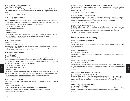#### **DE 232 — ELEMENTS OF VISUAL MERCHANDISING**

#### Prerequisites: DE 124 and DE 141

Presents an overview of how the department store and the small retail shop coordinate their merchandise presentations with their overall design concepts, fixturing, and graphic/signage components.

1.5 CREDITS; 3 STUDIO HOURS PER WEEK

#### **DE 234 — POINT-OF-PURCHASE DISPLAY**

#### Co-requisite: DE 236

Introduces the dynamics of the point-of-purchase (POP) display and its impact on the presentation and sale of merchandise. Includes the design and development of POP structural units using graphics/typography and stresses appropriate materials and construction techniques. 1.5 CREDITS; 3 STUDIO HOURS PER WEEK

#### **DE 236 — STUDIO DESIGN/EXHIBITION**

Prerequisite: DE 133 Co-requisite: DE 234

The elements of thematic display and exhibition design in commercial and institutional environs are examined. The development of professional concepts, ideology, and skills is stressed. 1.5 CREDITS; 3 STUDIO HOURS PER WEEK

#### **DE 242 — DISPLAY GRAPHICS III**

Prerequisite: DE 142

Co-requisites: DE 125 and DE 232

Students create graphic identities for three-dimensional display projects that are worked on concurrently in DE 125 and DE 232. The latest computer software is used to execute design solutions. 1.5 CREDITS; 3 COMPUTER LABORATORY HOURS PER WEEK

#### **DE 243 — EXHIBIT DESIGN GRAPHICS**

Prerequisite: DE 242

Co-requisite: DE 213

Students are introduced to large-format graphics in exhibition design. They learn how to develop design concepts, estimate print production budgets, specify materials, and prepare files for both offset print production and as large-format digital graphics. They produce, print, and mount a comprehensive signage system for the final-semester capstone exhibit.

1.5 CREDITS; 3 STUDIO HOURS PER WEEK

#### **DE 251 — EVENT AND PROMOTION DESIGN**

#### Prerequisite: DE 236

Courses

The displays and exhibits integral to special events, from one-time extravaganzas to permanent exhibitions, are explored. Students design visual presentations and develop techniques for varied applications, learning material sourcing, budget planning, and installation/strike factors. 2 CREDITS; 1 LECTURE AND 2 STUDIO HOURS PER WEEK

#### **DE 262 — PORTFOLIO DEVELOPMENT**

Preparation of the portfolio and resume for career placement and/or the establishment of a self-proprietorship.

1 CREDIT; 2 STUDIO HOURS PER WEEK

# **DE 299 — INDEPENDENT STUDY IN VISUAL PRESENTATION AND EXHIBITION DESIGN**

Prerequisites: a minimum 3.5 GPA and approval of instructor, chairperson, and dean VARIABLE CREDITS (3 CREDITS MAXIMUM)

#### **DE 301 — VISUAL PRESENTATION FOR THE COSMETICS AND FRAGRANCE INDUSTRY**

The components of visual merchandising related to cosmetic and fragrance marketing are explored. Emphasis is on point-of-purchase promotions, seasonal color palettes, and presentation of product on the selling floor.

2 CREDITS; 1 LECTURE AND 2 STUDIO HOURS PER WEEK

#### **DE 302 — PHOTOGRAPHIC EXHIBITION DESIGN**

Students learn how to design, administer and manage a professional theme-based photographic exhibition. The course focuses on gallery presentation and management with an emphasis on threedimensional design, culminating in a final exhibition of the students' photography. 2 CREDITS; 1 LECTURE AND 2 STUDIO HOURS PER WEEK

#### **DE 401 — POINT-OF-PURCHASE AD/DISPLAY**

For Packaging Design students. The dynamics of the packaging/display relationship as a catalyst to the sale of merchandise are presented. Coursework includes the development of point-of-purchase (POP) graphic designs and the techniques, materials, and construction of basic POP ideas. 2.5 CREDITS; 1 LECTURE AND 3 STUDIO HOURS PER WEEK

# Direct and Interactive Marketing

#### **DM 211 — WORKSHOP IN DIRECT MARKETING**

Prerequisite: AC 111 Students study direct and interactive marketing principles and practices and develop a multifaceted

direct marketing plan. 3 CREDITS

#### **DM 321 — DATABASE MARKETING**

Prerequisite: DM 211 or FM 213 Students develop a database marketing plan and construct a functioning marketing database using Microsoft Access. 3 CREDITS

#### **DM 331 — DIRECT RESPONSE COPYWRITING**

Prerequisite: DM 211 or FM 213

Students formulate creative strategies and develop direct marketing copy and design in workshop exercises. Students write copy and prepare design layouts for direct mail, catalogues, and interactive media.

3 CREDITS

### **DM 421 — DIRECT MARKETING FINANCE AND OPERATIONS**

Prerequisites: (DM 211 or FM 213) and MA 311

Students are introduced to the basic finance and operations practices and procedures unique to direct marketing: financial management principles, math and profit analysis techniques, print production, mailing, order processing, and telemarketing. Negotiation with suppliers is covered. 3 CREDITS

#### **DM 432 — DIRECT RESPONSE MEDIA PLANNING**

Prerequisite: DM 211 or FM 213

Students study the different forms of direct response media and analyze how each is best used. They prepare a comprehensive plan, including budgets, for a hypothetical company's product. 3 CREDITS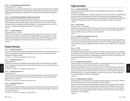#### **DM 433 — DIRECT MARKETING COMMUNICATIONS**

#### Prerequisite: DM 211 or FM 213

Students prepare a comprehensive business plan for a start-up direct marketing business. The plan is presented from the perspective of top management seeking capital from investors, and covers administration, staffing, marketing plans, fulfillment, sales projections, and income statement projections. 3 CREDITS

# **DM 434 — DIRECT MARKETING CAMPAIGN PLANNING AND EXECUTION**

#### Prerequisites: DM 331 and DM 432 and approval of chairperson

Guides students through all the stages of planning and executing a direct marketing campaign. Course operates as a direct marketing agency, where each student functions as part of a management team with both individual and group responsibilities. The class prepares and runs a live campaign for a real marketer, generating responses from the target market. 3 CREDITS

#### **DM 435 — INTERNET MARKETING**

# Prerequisite: DM 211 or FM 213

Students are introduced to current marketing principles and practices on the internet. The course explores email, the internet, and search engine marketing (SEM) as practical applications used to create direct marketing plans and programs that integrate online and offline strategies. In addition, students study the legal and ethical issues involved in using the internet as a marketing tool. 3 CREDITS

# Draping Techniques

# **DP 111 — DRAPING PROFICIENCY I**

Introduces the fundamental principles of developing basic silhouettes of skirts, blouses, bodices, and collars with draping and patternmaking techniques. Use of stripe fabric as it applies to grain line manipulation in design is studied.

2.5 CREDITS; 1 LECTURE AND 3 LABORATORY HOURS PER WEEK

#### **DP 112 — DRAPING PROFICIENCY II**

#### Prerequisite: DP 111

Studies the characteristics and drapability of fabric and its effect on the development of silhouette and style. Students use draping methods and flat pattern techniques to resolve complex problems in design development.

2.5 CREDITS; 1 LECTURE AND 3 LABORATORY HOURS PER WEEK

#### **DP 211 — DRAPING PROFICIENCY III**

#### Prerequisite: DP 112

Courses

Students utilize advanced draping techniques to analyze style, balance, and proportion. Emphasizes the development of mounted and semi-mounted sleeve designs using a variety of silhouettes as applied to suit and coat styles.

2.5 CREDITS; 1 LECTURE AND 3 LABORATORY HOURS PER WEEK

#### **DP 212 — DRAPING PROFICIENCY IV**

#### Prerequisite: DP 211

Develops advanced interpretive skills of draping and patternmaking. Students analyze elements that influence pattern development, including market trends, price points, design categories, target markets, and media sources.

2.5 CREDITS; 1 LECTURE AND 3 LABORATORY HOURS PER WEEK

# English and Speech

# **EN 121 — ENGLISH COMPOSITION**

Prerequisite: college-level English proficiency as demonstrated by placement test or completion of appropriate ES course(s)

This course encourages students' confidence, writing fluency, and the development of a competent writing self by focusing on the writing process. A number of forms are employed, including brainstorming, freewriting, journal writing, reading response journals, and formal essay writing. Classes are conducted as workshops, and both peers and instructor offer constructive feedback. (G1: Basic Communication) 3 CREDITS

### **EN 231 — SHORT FICTION**

#### Prerequisite: EN 121 or equivalent

Students read and analyze stories by authors from around the world. They consider various aspects of narrative and explore different modes of storytelling. The study of short fiction prepares students to read more widely on their own in the future. (G7: Humanities) 3 CREDITS

# **EN 232 — PERSPECTIVES ON AMERICAN LITERATURE**

#### Prerequisite: EN 121 or equivalent

This course gives students an understanding of the American heritage based on three suggested themes: the Puritan ethos, the American dream, and reevaluation of the dream. Includes readings from such major writers as Dickinson, Faulkner, Fitzgerald, Hawthorne, Melville, Twain, and Whitman. (G7: Humanities) 3 CREDITS

# **EN 233 — POETRY**

# Prerequisite: EN 121 or equivalent

By reading and analyzing a wide range of poems from a variety of time periods and cultures, students are introduced to the literary genre of poetry. Students examine word usage, figures of speech, rhythm and meter, and other poetic devices. Understanding and appreciation of poetry are enhanced by reading criticism and listening to recordings. (G7: Humanities) 3 CREDITS

#### **EN 234 — GAY AND LESBIAN LITERATURE**

Prerequisite: EN 121 or equivalent, and one English or speech selective course (EN 231 or EN 232 or EN 233 or EN 236 or EN 241 or EN 242 or EN 244 or EN 245 or EN 253)

Students read a selection of fiction, poetry, and drama from the mid-19th and 20th centuries and analyze how the texts make use of themes and images such as race, class, gender, sexuality, same-sex desire, homosociality, and the trope of the closet. The construction of, and criteria for, a canon of gay and lesbian literature are considered. Readings are chosen from such authors as Wilde, Whitman, Freud, Hughes, Baldwin, and Rich. (G7: Humanities) 3 CREDITS

# **EN 235 — AFRICAN AMERICAN LITERATURE**

# Prerequisites: EN 121 or equivalent, and one English or speech selective course (EN 231 or EN 232 or EN 233 or EN 236 or EN 241 or EN 242 or EN 244 or EN 245 or EN 253)

A survey of the history of African-American literature from slavery to the present is offered. Students read and analyze various genres of African-American literature and are introduced to the social, economic, and political forces that have influenced the writers. Through presentations, critical reading, and analytical writing, students become familiar with the influence of these works on the evolution of world literature. (G7: Humanities)

3 CREDITS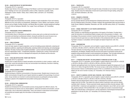#### **EN 236 — MAJOR WRITERS OF THE WESTERN WORLD**

#### Prerequisite: EN 121 or equivalent

Studies major themes in the cultural heritage of the Western world from Greek tragedy to the modern novel. Readings are from such representative writers as Plato, Sophocles, Euripides, Dante, Shakespeare, Austen, Flaubert, Tolstoy, Ibsen, Chekhov, Mann, and Sartre. (G7: Humanities) 3 CREDITS

#### **EN 238 — COMEDY**

#### Prerequisite: EN 121 or equivalent

Studies the nature and characteristics of comedy. Includes an equal consideration of form and meaning. Materials are from such authors as Aristophanes, Shakespeare, Jonson, Moliere, and Congreve, and performers such as Chaplin, the Marx Brothers, and Woody Allen are studied. Includes background readings from such critics as Santayana, Meredith, Frye, Langer, Freud, and Bergson. (G7: Humanities) 3 CREDITS

#### **EN 241 — PROFESSIONAL SPEECH COMMUNICATION**

#### Prerequisite: EN 121 or equivalent

Communication theory is discussed and applied to various areas such as verbal and nonverbal communication and listening in professional contexts. Among the activities the course focuses on are interviews and presentations. Videotaping is used to facilitate learning and assessment. 3 CREDITS

#### **EN 242 — PUBLIC SPEAKING**

# Prerequisite: EN 121 or equivalent

Covers all major aspects of speech preparation, such as formulating purpose statements, analyzing and adapting to audiences, organizing and outlining ideas, assessing evidence and reasoning, and using language effectively. The study of various areas of speech presentation—such as vocal and nonverbal communication, and use of appropriate visuals—complements preparation. Students give a variety of informative and persuasive presentations, which are videotaped and analyzed by the students and the instructor. 3 CREDITS

#### **EN 243 — VOICE AND ARTICULATION: THEORY AND PRACTICE**

#### Prerequisite: EN 121 or equivalent

Students learn to apply theories of speech perception and production in order to analyze, modify, and control their voices and articulation so they can communicate more effectively. Exercises in listening, voice, and speech are conducted.

Courses

3 CREDITS

# **EN 244 — SPEECH DYNAMICS IN GROUP COMMUNICATION**

#### Prerequisite: EN 121 or equivalent

Studies techniques of effective communication in the group process. Students learn to become more skillful communicators through the use of speech dynamics as applied to the psychology of communication. Group members are involved in controversial discussions as participants and group leaders. Emphasis is placed on the enlightenment and problem-solving types of discussion. 3 CREDITS

#### **EN 245 — INTERCULTURAL COMMUNICATION**

### Prerequisite: EN 121 or equivalent

Students are introduced to the communication process among people from different cultures. The course examines how factors such as cultural patterns, verbal and nonverbal communication, and perception play a role in intercultural relationships. Theory and research in intercultural communication are presented and students apply this information to intercultural encounters. 3 CREDITS

#### **EN 251 — THEATRE ARTS**

#### Prerequisite: EN 121 or equivalent

Focuses on appreciation of the theatre through the study of dramatic art as it evolves from page to stage. Students study the relationship of drama text to performance through reading, acting exercises, and theatre attendance. (G6: Arts) 3 CREDITS

#### **EN 253 — DRAMATIC LITERATURE**

Prerequisite: EN 121 or equivalent

Surveys dramatic literature and the development of theatrical performance. Focuses on the evolution of the use of theatrical space in the history of theatre. Students read representative plays and documents of Greek, Roman, Medieval, Elizabethan, Restoration, and 19th- and 20th-century drama. (G7: Humanities) 3 CREDITS

#### **EN 254 — DRAMA: FROM SCRIPT TO LIVE THEATRE (WINTERIM ONLY)**

#### Prerequisite: EN 121 or equivalent

Offers students an understanding and appreciation of all aspects of the theatre. Provides them under the instruction of a professional theatre company and on the premises of a theatre—with knowledge of the processes involved in transforming the play from the printed page to the stage. Course format and supervision are under the direction of the professional staff of an active, performing theatre company in consultation with the English and Speech Department. (G6: Arts) 3 CREDITS

#### **EN 262 — SCREENWRITING**

# Prerequisites: EN 121 or equivalent, and one English or speech selective course (EN 231 or EN 232 or EN 233 or EN 236 or EN 241 or EN 242 or EN 244 or EN 245 or EN 253)

The basic elements of screenwriting are taught: story concept, three-act structure, character arc, scene development, and dialogue. Students study the structure and scenes of successful movies and are assigned writing exercises devoted to scene development and dialogue. They formulate individual projects, from pitching a story to preparing a beat sheet to writing the screenplay. (G6: Arts) 3 CREDITS

# **EN 271 — LITERATURE AND HISTORY: THE DEVELOPMENT OF AMERICAN CULTURE TO 1865**

#### Prerequisites: EN 121 or equivalent, and one English or speech selective course (EN 231 or EN 232 or EN 233 or EN 236 or EN 241 or EN 242 or EN 244 or EN 245 or EN 253)

Students read significant texts from America's cultural development against the background of a narrative of U.S. history through the Civil War. The course surveys a wide variety of literature, from firsthand accounts of slavery to philosophical sources of the U.S. Constitution to early documents in the debate over the role of women in society. (G7: Humanities; G10: American History) 3 CREDITS

#### **EN 272 — IDENTITY IN AMERICA: HISTORY AND LITERATURE, 1865 TO PRESENT**

Prerequisites: EN 121 or equivalent, and one English or speech selective course (EN 231 or EN 232 or EN 233 or EN 236 or EN 241 or EN 242 or EN 244 or EN 245 or EN 253)

Students read and interpret literary texts in order to understand the evolution of America's selfimages since the Civil War. They explore the cultural context of particular works and how identity manifests itself in literature. Themes examined include regional and ethnic diversity between 1865 and World War I; modernism and expatriation in a context of alienation, loss of faith, and new scientific questions between 1918 and World War II; the civil rights and women's movements through 1980; and multiculturalism, postmodernism, and the implications of technological development and globalization in the last 20 years. (G7: Humanities; G10: American History) 3 CREDITS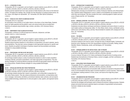#### **EN 273 — LITERATURE OF INDIA**

Prerequisites: EN 121 or equivalent, and one English or speech selective course (EN 231 or EN 232 or EN 233 or EN 236 or EN 241 or EN 242 or EN 244 or EN 245 or EN 253)

Students examine selected texts from major periods of Indian literature with a focus on the historical context. Throughout the readings, they consider how the interactions of mythical ancient stories, history, culture, and religion are represented. (G7: Humanities; G9: Other World Civilizations) 3 CREDITS

#### **EN 274 — VOICES OF CIVIL RIGHTS IN AMERICAN HISTORY**

#### Prerequisite: EN 121 or equivalent

An examination of the evolution of civil rights rhetoric in the history of the United States. Students study civil rights speeches and the political, social, and cultural events that surrounded them. Speeches are analyzed using Aristotle's logic, emotion, and ethics. (G10: American History) 3 CREDITS

#### **EN 299 — INDEPENDENT STUDY IN ENGLISH OR SPEECH**

Prerequisites: a minimum 3.5 GPA and approval of instructor, chairperson, and dean VARIABLE CREDITS (3 CREDITS MAXIMUM)

#### **EN 321 — BUSINESS WRITING**

Prerequisites: EN 121 or equivalent, and one English or speech selective course (EN 231 or EN 232 or EN 233 or EN 236 or EN 241 or EN 242 or EN 244 or EN 245 or EN 253)

Students analyze business situations to write effective correspondence, job search materials, reports, and presentations. They also learn various strategies to elicit appropriate responses for specific audiences. Students are guided in techniques of business research and documentation and develop strategies for using available technology. 3 CREDITS

# **EN 322 — PROFESSIONAL WRITING IN ART AND DESIGN**

Prerequisites: EN 121 or equivalent, and one English or speech selective course (EN 231 or EN 232 or EN 233 or EN 236 or EN 241 or EN 242 or EN 244 or EN 245 or EN 253)

Art and Design students analyze a variety of professional situations in order to create competitive marketing materials, persuasive presentations, and reader-appropriate correspondence. They also develop strategies for producing effective proposals and briefs through guided research and descriptive writing practice. Students develop strategies for using available technologies. 3 CREDITS

#### **EN 323 — SPECIALIZED WRITING AND THESIS PREPARATION**

Prerequisites: EN 121 or equivalent, and one English or speech selective course (EN 231 or EN 232 or EN 233 or EN 236 or EN 241 or EN 242 or EN 244 or EN 245 or EN 253)

Art and design students develop their research, presentation, and writing skills in preparation for their senior thesis projects. They also analyze professional communications, correspondence (electronic messages, memoranda, and letters), promotional materials, basic contracts, and oral reports. Using available technology, students learn to write and speak in a clear, specific, and organized manner. 3 CREDITS

#### **EN 331 — INTRODUCTION TO SHAKESPEARE**

Prerequisites: EN 121 or equivalent, and one English or speech selective course (EN 231 or EN 232 or EN 233 or EN 236 or EN 241 or EN 242 or EN 244 or EN 245 or EN 253)

Selected poetry and plays are presented from a variety of historical, theatrical, and critical perspectives. Students explore Shakespeare's works in relation to the Elizabethan and Jacobean times in which they were produced. They also consider the works' continuing appeal to readers and audiences of theatre and film. (G7: Humanities)

3 CREDITS

#### **EN 333 — MODERN LITERATURE: THE SPIRIT OF THE 20TH CENTURY**

Prerequisites: EN 121 or equivalent, and one English or speech selective course (EN 231 or EN 232 or EN 233 or EN 236 or EN 241 or EN 242 or EN 244 or EN 245 or EN 253)

Emphasizes innovative literary techniques and themes of alienation and social criticism in works by such modern authors as Dostoyevsky, Kafka, T.S. Eliot, Ellison, Sartre, Camus, and Beckett, and by authors from Latin America, Africa, and Asia. Recommended for students with a background in literature. (G7: Humanities)

3 CREDITS

# **EN 334 — THE NOVEL**

Prerequisites: EN 121 or equivalent, and one English or speech selective course (EN 231 or EN 232 or EN 233 or EN 236 or EN 241 or EN 242 or EN 244 or EN 245 or EN 253) Introduces students to the novel as a genre, through the study of selected English, Continental, and American works. Readings are from such representative novelists as Cervantes, Fielding, Austen, Stendhal, Dickens, Dostoyevsky, James, and Hemingway. (G7: Humanities) 3 CREDITS

### **EN 335 — WORKING WOMEN IN THE UNITED STATES: 1865 TO PRESENT**

Prerequisites: EN 121 or equivalent, and one English or speech selective course (EN 231 or EN 232 or EN 233 or EN 236 or EN 241 or EN 242 or EN 244 or EN 245 or EN 253) A survey of almost 150 years of U.S. history and literature through the lens of working women. Students learn the landmarks of American history, women's struggles, and their contributions. (G7: Humanities; G10: American History) 3 CREDITS

#### **EN 341 — DEVELOPING YOUR SPEAKING IMAGE**

Prerequisites: EN 121 or equivalent, and one English or speech selective course (EN 231 or EN 232 or EN 233 or EN 236 or EN 241 or EN 242 or EN 244 or EN 245 or EN 253)

Develops students' interpersonal communication skills. Students are exposed to theoretical frameworks of communications that they apply to practical situations in various exercises. These activities are videotaped, enabling students to review, access, and improve the image they project. 3 CREDITS

#### **EN 342 — ARGUMENTATION AND PERSUASION**

Prerequisites: EN 121 or equivalent, and one English or speech selective course (EN 231 or EN 232 or EN 233 or EN 236 or EN 241 or EN 242 or EN 244 or EN 245 or EN 253)

Examines the strategies and techniques used to influence the decision-making processes. Students prepare and present persuasive speeches based on principles of argumentation and persuasion. Exercises in debate are also included. 3 CREDITS

Courses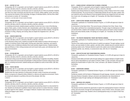#### **EN 352 — HISTORY OF FILM**

Prerequisites: EN 121 or equivalent, and one English or speech selective course (EN 231 or EN 232 or EN 233 or EN 236 or EN 241 or EN 242 or EN 244 or EN 245 or EN 253)

An overview of cinema history and the basic tools for analyzing the art of film are presented. Students view films from major movements and study the uses of camera, editing, lighting, sound, and acting. They examine the evolution of film technology, the legacy of individual authors, and how films reflect and comment on society. (G7: Humanities)

3 CREDITS; 2 LECTURE AND 2 STUDIO HOURS PER WEEK

# **EN 361 — CREATIVE WRITING**

Prerequisites: EN 121 or equivalent, and one English or speech selective course (EN 231 or EN 232 or EN 233 or EN 236 or EN 241 or EN 242 or EN 244 or EN 245 or EN 253)

In a workshop environment, students prepare a portfolio of works from one or more of the following genres: fiction, poetry, or drama. Structure, plot, characterization, point of view, theme, and metaphoric language are explored, and works-in-progress are critiqued by faculty and fellow students. Through the processes of writing, critiquing, and revising, ideas are shaped into imaginative form. (G6: Arts) 3 CREDITS

#### **EN 362 — CREATIVE NONFICTION**

Prerequisites: EN 121 or equivalent, and one English or speech selective course (EN 231 or EN 232 or EN 233 or EN 236 or EN 241 or EN 242 or EN 244 or EN 245 or EN 253)

In this advanced writing course, students are taught the skills needed to produce informal essays or chapters of nonfiction books of high quality. Drawing upon observation, experience, and research, they create works of intellectual substance that reveal carefully shaped structure. Students develop ease and efficiency in their writing processes and work toward clarity, grace, and individual style. (G1: Basic Communication)

3 CREDITS

#### **EN 363 — FICTION WRITING**

Prerequisites: EN 121 or equivalent, and one English or speech selective course (EN 231 or EN 232 or EN 233 or EN 236 or EN 241 or EN 242 or EN 244 or EN 245 or EN 253)

An advanced writing course that develops students' understanding in imaginative storytelling. Students read short stories and novel excerpts and participate in writing exercises to examine writing process strategies. In a workshop environment, students develop and complete two works of short fiction. (G6: Arts) 3 CREDITS

#### **EN 364 — POETRY WRITING**

Courses

Prerequisites: EN 121 or equivalent, and one English or speech selective course (EN 231 or EN 232 or EN 233 or EN 236 or EN 241 or EN 242 or EN 244 or EN 245 or EN 253)

Students learn the major elements of writing poetry through a variety of exercises and examples. Works-in-progress are critiqued by fellow students in a rigorous yet supportive environment. Poems are revised and collected in a portfolio at the end of the semester. (G6: Arts) 3 CREDITS

#### **EN 365 — RESEARCH WRITING**

Prerequisites: EN 121 or equivalent, and one English or speech selective course (EN 231 or EN 232 or EN 233 or EN 236 or EN 241 or EN 242 or EN 244 or EN 245 or EN 253)

This course focuses on developing research proposals and presenting research in a documented format. Students are introduced to qualitative research topics and learn to conduct interviews, maintain an ethical regard for their subjects, and engage in fieldwork. Students make revisions in a workshop setting and engage in peer reviews.

3 CREDITS

#### **EN 371 — CHINESE ODYSSEY: INTRODUCTION TO CHINESE LITERATURE**

Prerequisites: EN 121 or equivalent, and one English or speech selective course (EN 231 or EN 232 or EN 233 or EN 236 or EN 241 or EN 242 or EN 244 or EN 245 or EN 253)

Students study Chinese literature by reading and examining a variety of literary forms from a range of historical periods. The course focuses on relationships between the self, the nation, gender roles, and modernity and how the influence of local and global histories have shaped the focus and reception of each work. All readings are in English. (G7: Humanities; G9: Other World Civilizations) 3 CREDITS

#### **EN 381 — ASIAN FICTION: REGIONAL SELECTIONS (HONORS)**

Prerequisite: qualification for Presidential Scholars Program, or 3.5 GPA with approval of dean for Liberal Arts

An introduction to East Asian fiction. This course focuses on literature from China, Taiwan, Hong Kong, Japan, and Korea from a transnational perspective. Through a range of contemporary to classical canonical fiction, students will investigate various literary genres and explore critical concepts of literary and cultural identity studies. All readings are in English. (G7: Humanities; G9: Other World Civilizations)

3 CREDITS

#### **EN 391 — THE CREATIVE IMAGINATION: THEORY AND PROCESS (HONORS)**

Prerequisite: qualification for Presidential Scholars Program, or 3.5 GPA with approval of dean for Liberal Arts

Theories of the creative process and the nature of creativity are explored. Through readings, journal entries, and case studies of writers, painters, and other artists, students discover practices useful in producing creative works. Particular attention is paid to the creative work of artists traditionally marginalized by gender, race, ethnicity, or socioeconomic class. (G6: Arts; G7: Humanities) 3 CREDITS

#### **EN 392 — GREEK MYTHS AND THEIR TRANSFORMATIONS (HONORS)**

Prerequisite: qualification for Presidential Scholars Program, or 3.5 GPA with approval of dean for Liberal Arts

Introduces Greek deities and Greek myths through readings from original materials (in English translation) as well as interpretations by such authors as Racine, O'Neill, T.S. Eliot, and Sartre. Discusses and analyzes the transformation of myths in film, music, and dance. (G5: Western Civilization; G7: Humanities)

3 CREDITS

#### **EN 393 — SHAKESPEARE (HONORS)**

Prerequisite: qualification for Presidential Scholars Program, or 3.5 GPA with approval of dean for Liberal Arts

Familiarizes students with the theatre of Shakespeare through language, character, and plot analysis. Discusses themes of deception, betrayal, and power and emphasizes new interpretations of Shakespeare's plays through readings and videotaped performances. (G7: Humanities) 3 CREDITS

#### **EN 394 — AMERICAN LIVES (HONORS)**

Prerequisite: qualification for Presidential Scholars Program, or 3.5 GPA with approval of dean for Liberal Arts

This literature seminar presents the opportunity to explore the autobiographical impulse in American writing, past and present, through full-scale biographies, works of fiction, drama, and poetry, and in the memoirs so popular today. Students write an autobiographical essay on an aspect of their lives. (G7: Humanities) 3 CREDITS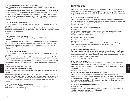#### **EN 395 — TRAVEL LITERATURE AND THE TRAVEL ESSAY (HONORS)**

Prerequisite: qualification for Presidential Scholars Program, or 3.5 GPA with approval of dean for Liberal Arts

Students focus on the impact of travel literature and voyagers' chronicles on political, economic, and cultural development in the Eastern and Western worlds, from pre-Renaissance times to the present. They analyze literature of the so-called golden age of travel, the late 18th century, up to the period between the two world wars and contemporary travel literature in order to discern changes brought about by the advent of tour groups, mass travel, and air transport. (G7: Humanities) 3 CREDITS

#### **EN 396 — SHAKESPEARE'S PLAYS (HONORS)**

Prerequisite: qualification for Presidential Scholars Program, or 3.5 GPA with approval of dean for Liberal Arts

Shakespeare's plays as living literature are introduced. Readings include histories, tragedies, and a late romance, examined in the context of Elizabethan culture and concepts of Shakespearean art from his age to ours. (G7: Humanities)

3 CREDITS

#### **EN 397 — WOMEN IN U.S. THEATRE (HONORS)**

Prerequisite: qualification for Presidential Scholars Program, or 3.5 GPA with approval of dean for Liberal Arts

This course explores the art forms and skills that contribute to the collaborative process of theatre the script; directing; costume, set, and lighting design; and theater management—by focusing on American women practitioners. Historical developments, such as feminism and the growth of regional theater, are also examined. (G6: Arts)

3 CREDITS

#### **EN 398 — FILM ART/FILM CRITIC (HONORS)**

Prerequisite: qualification for Presidential Scholars Program, or 3.5 GPA with approval of dean for Liberal Arts

Students are introduced to cinema history and the basic tools for writing about the art of film. They study how meaning in narrative film is elaborated by uses of camera, editing, lighting, sound, and acting. The course emphasizes the contrast between studio and non-studio films, especially those of Europe, Asia, and third-world countries in contrast to products of the powerful Hollywood system. (G6: Arts)

# Courses

3 CREDITS; 2 LECTURE AND 2 STUDIO HOURS PER WEEK

#### **EN 399 — THE CRAFT OF WRITING POETRY (HONORS)**

Prerequisite: qualification for Presidential Scholars Program, or 3.5 GPA with approval of dean for Liberal Arts

Students immerse themselves in writing poems while they examine the technical and historical aspects of poetry. They study basic elements of poetry such as image, figurative language, rhythm, diction, and form to develop the potential of those elements in their own writing. In order to understand their own creative processes, students read essays about craft and process. (G6: Arts) 3 CREDITS

# **EN 499 — INDEPENDENT STUDY IN ENGLISH OR SPEECH**

Prerequisites: a minimum 3.5 GPA and approval of instructor, chairperson, and dean VARIABLE CREDITS (3 CREDITS MAXIMUM)

# Educational Skills

Based on the English Placement Exam, a student who shows need for improvement in writing and reading may be required to enroll for ES 133 before taking EN 121. Students for whom English is a second language may be required to enroll in ES 123 prior to EN 121 and/or ES 024 as a co-requisite of EN 121.

#### **ES 021 — INTENSIVE ENGLISH AS A SECOND LANGUAGE**

This summer course serves international students and permanent residents accepted to the college who have recently arrived in the United States. Students focus on improving speaking, listening, and presentation skills through learning about life at FIT and in New York. 0 CREDITS; 60 LABORATORY HOURS

#### **ES 023 — ENGLISH AS A SECOND LANGUAGE WORKSHOP**

Co-requisite: ES 123

With intensified instruction in reading and writing, students apply and practice the English skills taught in the co-requisite ES 123. Sessions consist of small-group and individual work. 0 CREDITS; 3 LABORATORY HOURS PER WEEK

#### **ES 024 — ENGLISH AS A SECOND LANGUAGE**

Prerequisites: ES 023 and ES 123 Co-requisite: EN 121 For students who have completed ES 023/123 but are required to take an additional writing course in English as a second language. Must be completed at the same time as EN 121. 0 CREDITS; 2 HOURS PER WEEK

#### **ES 025 — PRONUNCIATION SKILLS FOR ESL STUDENTS**

This course in pronunciation skills for intermediate to advanced students focuses on modifying pronunciation and improving proficiency in spoken English. Students work intensively with English vowels and consonants; master basic features of English stress, rhythm, and intonation; and learn how to use phonetic symbols and pronunciation guides. 0 CREDITS; 2.5 LECTURE HOURS PER WEEK

#### **ES 027 — ENGLISH CONVERSATION**

For intermediate and advanced students for whom English is a second language and who need to improve their oral communication skills. Provides practice in using and understanding spoken English. May be required for students who have completed ES 123 but need additional instruction in speaking and listening.

0 CREDITS; 2 HOURS PER WEEK

#### **ES 028 — ORAL PRESENTATION SKILLS WORKSHOP FOR ESL STUDENTS**

This course in oral presentation skills for intermediate English as a Second Language (ESL) students focuses on the fundamental skills needed to present work verbally to an audience. Through practice in preparing and giving oral presentations in a structured setting, students develop strategies in both verbal and nonverbal communications skills in order to present ideas in an effective and clear manner. 0 CREDITS; 2.5 LABORATORY HOURS PER WEEK

#### **ES 033 — COLLEGE ENGLISH PREPARATION WORKSHOP**

Co-requisite: ES 133 A writing-intensive course in which students expand upon the skills taught in the co-requisite ES 133. Sessions consist of small-group and individual work. 0 CREDITS; 3 LABORATORY HOURS PER WEEK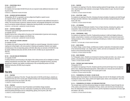#### **ES 034 — EDUCATIONAL SKILLS**

Co-requisite: EN 121 For students who have taken ES 033/133 and who are required to take additional instruction in reading and writing. 0 CREDITS; 2 LABORATORY HOURS PER WEEK

#### **ES 036 — BUSINESS WRITING WORKSHOP**

Prerequisites: EN 121 or equivalent, and one college-level English or speech course Co-requisite: EN 321, EN 322, or EN 323

For students enrolled in EN 321, EN 322, or EN 323 who are required to take additional instruction in writing. The course focuses on grammar, sentence structure, and paragraph development, and includes one-on-one teacher-student interaction, collaborative learning activities, and small-group work. 0 CREDITS; 1 LECTURE AND 1 LABORATORY HOURS PER WEEK

#### **ES 037 — SURVIVAL GRAMMAR**

Prerequisite: appropriate English placement test result Co-requisite: EN 121

Students improve their writing skills by focusing on the fundamentals of grammar and conveying information in an accurate, engaging, and efficient way. 0 CREDITS; 1 LECTURE AND 1 LABORATORY HOURS PER WEEK

#### **ES 123 — ENGLISH AS A SECOND LANGUAGE**

#### Co-requisite: ES 023

For students who need to improve their skills in English as a second language. Instruction is given in reading and writing English, with some practice in listening and speaking. Students must register simultaneously in the corresponding section of ES 023. More than one semester of ES 023/123 may be needed. Additional instruction (ES 024, ES 025, ES 027, ES 028) may be required after ES 023/123.

2 CREDITS

#### **ES 133 — COLLEGE ENGLISH PREPARATION**

#### Co-requisite: ES 033

A writing-intensive course focusing on the stages of the writing process and on strategies to enhance reading comprehension and study skills. Topics include grammar, paragraph structure, and essay development. Students must register simultaneously in the corresponding section of ES 033. Additional instruction (ES 034) may be required. 2 CREDITS

Courses

# Fine Arts

#### **FA 101 — PAINTING**

For students not majoring in Fine Arts. Through observation of still life and the figure, students are introduced to the use of oil or acrylic paint. Students develop color-mixing techniques emphasizing varied approaches to the use of paint. (G6: Arts)

1.5 CREDITS; 3 STUDIO HOURS PER WEEK

# **FA 102 — PAINTING**

Prerequisite: FA 101 (waived for Visual Presentation and Exhibition Design students) For students not majoring in Fine Arts. Continuation of painting from still life and the figure with advanced painting techniques such as underpainting, glazing, and à la prima. (G6: Arts) 1.5 CREDITS; 3 STUDIO HOURS PER WEEK

#### **FA 103 — PAINTING**

For students not majoring in Fine Arts. Abstract painting explored through design, color, and composition. Experimentation with materials is encouraged. Painting medium is open. Any level of experience. (G6: Arts) 1.5 CREDITS; 3 STUDIO HOURS PER WEEK

#### **FA 104 — SCULPTURE - BASIC**

For students not majoring in Fine Arts. Introduces the basic principles of sculpture and relief through the figure and other references. Clay and plasteline are used, and basic casting techniques are introduced. (G6: Arts) 1.5 CREDITS; 3 STUDIO HOURS PER WEEK

**FA 105 — LIFE DRAWING**

For Fashion Design and Menswear students. Focus on figure drawing, stressing line, gesture, and composition. Study of proportion and anatomy of the human figure is undertaken. (G6: Arts) 1.5 CREDITS; 3 STUDIO HOURS PER WEEK

#### **FA 106 — PRINTMAKING - BASIC**

For students not majoring in Fine Arts. Fundamental procedures in relief and intaglio printing are studied, using linoleum, woodcuts, and etching techniques. Students are introduced to basic printmaking processes, with an emphasis on exploring printmaking as a medium. Some drawing experience helpful.

2 CREDITS; 1 LECTURE AND 2 STUDIO HOURS PER WEEK

#### **FA 107 — BASIC DESIGN**

For Fashion Design, Jewelry Design, and Menswear students. Exploration of fundamental concepts of two-dimensional design. Line, shape, texture, rhythm, and color are emphasized, with an introduction to three-dimensional design. (G6: Arts) 1.5 CREDITS; 3 STUDIO HOURS PER WEEK

#### **FA 108 — BASIC DRAWING**

For Photography majors. Students are introduced to drawing in black and white. Line, volume, composition, and perspective are taught through observation of still life and interiors. (G6: Arts) 1 CREDIT; 2 STUDIO HOURS PER WEEK

#### **FA 109 — PORTRAIT AND FIGURE PAINTING**

#### Prerequisite: FA 101

For students not majoring in Fine Arts. Students paint the portrait and the figure from an objective point of view, utilizing fundamental approaches. Initial studies are in charcoal and culminate in finished paintings of the head and figure. Oil or acrylic paint is used. 1.5 CREDITS; 3 STUDIO HOURS PER WEEK

**FA 113 — FUNDAMENTALS OF DESIGN I: 2D AND COLOR**

Students explore the principles of two-dimensional design and color for the designer and fine artist, including the study of line, shape, positive and negative space, texture, and composition. (G6: Arts) 1.5 CREDITS; 3 STUDIO HOURS PER WEEK

#### **FA 114 — FUNDAMENTALS OF DESIGN II: 3D FORM AND STRUCTURE**

The concepts basic to all three-dimensional design are studied: definition of space through the use of line, planes, and solid forms; manipulation of mass, volume, and void; the use of structural systems; the relationship of surface and color to form; and the importance of proportion and scale, light, and shadow. (G6: Arts) 1.5 CREDITS; 3 STUDIO HOURS PER WEEK

Courses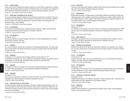#### **FA 116 — CREATIVE MEDIA**

Using a wide variety of materials and design concepts, this course offers an opportunity for students to explore different approaches in creating non-traditional works of art. Emphasis is on enlarging students' capacity for imaginative expression in two- and three-dimensional projects. (G6: Arts) 2 CREDITS; 1 LECTURE AND 2 STUDIO HOURS PER WEEK

#### **FA 117 — TRADITIONAL TECHNIQUES IN THE FINE ARTS**

This course develops students' insight into the techniques of masterworks in art history. The course combines lecture, demonstrations, visits to museums, and hands-on work in the studio. Students study and create works using such techniques as wet and dry media, ink and silverpoint, and encaustic, tempera, and oil painting.

2 CREDITS; 1 LECTURE AND 2 STUDIO HOURS PER WEEK

#### **FA 131 — LIFE DRAWING I**

An introduction to drawing the figure, students study line, proportion, gesture, and composition using pencil and charcoal. Study of anatomy is introduced. (G6: Arts) 1.5 CREDITS; 3 STUDIO HOURS PER WEEK

#### **FA 132 — LIFE DRAWING II**

Prerequisite: FA 131 This course continues the study of the figure, with focus on a more sophisticated use of materials and the study of anatomy. (G6: Arts)

1.5 CREDITS; 3 STUDIO HOURS PER WEEK

#### **FA 141 — DRAWING I**

This course introduces drawing with an emphasis on developing perceptual skills. Line, value, placement, and perspective with still life and interiors as subjects are studied. Black-and-white materials are used. (G6: Arts) 1.5 CREDITS; 3 STUDIO HOURS PER WEEK

#### **FA 142 — DRAWING II**

Prerequisite: FA 141 (waived for Interior Design students who have taken CD 113) A continuation of Drawing I, this course emphasizes compositional concepts using still life, interiors, and the figure. A variety of media, including ink wash, and color are used. (G6: Arts) 1.5 CREDITS; 3 STUDIO HOURS PER WEEK

#### **FA 151 — PAINTING I**

Courses

An introduction to the use of oil paint, this course uses a perceptual approach to still life and the figure. Color mixing, paint application, and compositional strategies are emphasized. 3 CREDITS; 6 STUDIO HOURS PER WEEK

#### **FA 152 — PAINTING II**

Prerequisite: FA 151

This course is a continuation of Painting I, focusing on the figure, with further exploration of painting techniques and continued emphasis on drawing, composition, and color. 3 CREDITS; 6 STUDIO HOURS PER WEEK

#### **FA 153 — WATERCOLOR AND ITS APPLICATIONS**

The basic principles of watercolor technique are introduced. Students gain knowledge of color mixing and perception by direct observation and study of color theory as it pertains to watercolor, both transparent and opaque. Museum visits provide the opportunity to examine artists' uses and applications of various techniques.

1.5 CREDITS; 3 STUDIO HOURS PER WEEK

#### **FA 161 — SCULPTURE I**

This basic course emphasizes traditional sculpture skills with the head and full figure as the subject. Clay is the medium. Basic casting techniques are introduced. 3 CREDITS; 6 STUDIO HOURS PER WEEK

#### **FA 171 — PRINTMAKING I**

Stressing the expression of imaging unique to printmaking, students are introduced to basic printmaking processes, with an emphasis on exploring printmaking as a medium. Relief (woodcut, lino cut), intaglio (etching on metal or plastic), and monotype techniques are explored. Hand tools, edition printing, artists' proofs, and press operation are discussed. 1.5 CREDITS; 3 STUDIO HOURS PER WEEK

#### **FA 172 — PRINTMAKING II**

Prerequisite: FA 171

A continuation of Printmaking I, this course studies more advanced printmaking techniques, including color, paper, and metal plate lithography, resulting in the development of a portfolio or artist's book.

1.5 CREDITS; 3 STUDIO HOURS PER WEEK

#### **FA 202 — BASIC DESIGN: 3D**

For students not majoring in Fine Arts, this course is an introduction to the vocabulary of form in space and encourages inventiveness in concept and use of materials. (G6: Arts) 1 CREDIT; 2 STUDIO HOURS PER WEEK

#### **FA 203 — DRAWING FOR ACCESSORIES**

Students draw still life and the figure from observation. Emphasis is on proportion, line, composition, and value. Accessories are incorporated as part of the subject matter from which the students will draw.

1.5 CREDITS; 3 STUDIO HOURS PER WEEK

#### **FA 231 — LIFE DRAWING III**

Prerequisite: FA 132 A study of the human figure, this course introduces the use of color, experiments with scale and materials, and further develops compositional strategies. 1.5 CREDITS; 3 STUDIO HOURS PER WEEK

#### **FA 232 — LIFE DRAWING IV**

#### Prerequisite: FA 231

A continuation of Life Drawing III, this course emphasizes sustained drawings using mixed media and the development of a more complex relationship between the figure and space. 1.5 CREDITS; 3 STUDIO HOURS PER WEEK

#### **FA 251 — APPROACHES TO ABSTRACT PAINTING I**

Prerequisite: FA 152

Students are introduced to the tradition of abstraction. Projects emphasize color, composition, and experimentation with paint application in a non-objective context.

3 CREDITS; 6 STUDIO HOURS PER WEEK

#### **FA 252 — PAINTING III**

Prerequisite: FA 152 Students explore painting from a representational viewpoint (portrait, figure, and/or landscape). 3 CREDITS; 6 STUDIO HOURS PER WEEK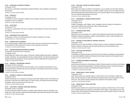#### **FA 253 — APPROACHES TO ABSTRACT PAINTING II**

Prerequisite: FA 251 This course is a continuation of Approaches to Abstract Painting I with an emphasis on developing a personal style. 3 CREDITS; 6 STUDIO HOURS PER WEEK

#### **FA 254 — PAINTING IV**

Prerequisite: FA 252 A continuation of work in Painting III. Students are encouraged to develop a personal style in their preparation of work for exhibition. 3 CREDITS; 6 STUDIO HOURS PER WEEK

#### **FA 261 — SCULPTURE II**

Prerequisite: FA 161 This course is a continuation of the aims of Sculpture I with emphasis on the use of new materials and methods. 3 CREDITS; 6 STUDIO HOURS PER WEEK

#### **FA 299 — INDEPENDENT STUDY IN FINE ARTS**

Prerequisites: a minimum 3.5 GPA and approval of instructor, chairperson, and dean VARIABLE CREDITS (3 CREDITS MAXIMUM)

#### **FA 301 — ANATOMY FOR TOY DESIGNERS**

For Toy Design students. Students learn the basic human bone and muscle structure and compare it to the anatomies of other living forms in order to nurture creativity and invention. 1.5 CREDITS; 3 STUDIO HOURS PER WEEK

#### **FA 341 — DRAWING WORKSHOP/EXPERIMENTAL DRAWING**

Prerequisites: FA 142 and FA 232 or equivalent Co-requisite: FA 351

Experimenting with material, scale, imagery, and process, students integrate observation, imaginationinvention, abstraction, and conceptualization into their working methods. Through the drawing process, students develop their perception of visual components and their relationships in the physical world. 1 CREDIT; 2 STUDIO HOURS PER WEEK

#### **FA 351 — PAINTING V: CONTEMPORARY CONCEPTS**

#### Prerequisite: FA 252 or equivalent

This course explores the postmodern idea that imagery may be combined with abstraction to construct pictorial space. Students study the use of the figure in a perceptual context and as an element in a narrative construct.

3 CREDITS; 6 STUDIO HOURS PER WEEK

#### **FA 352 — PAINTING VI: SOURCES OF PAINTED IMAGERY**

#### Prerequisite: FA 351

Courses

Students develop their own vocabulary by learning to assimilate multiple sources of information and processes to meet their own creative needs. Art of other cultures, technology, personal psychology, and popular cultures provide resources for their work.

3 CREDITS; 6 STUDIO HOURS PER WEEK

#### **FA 361 — SCULPTURE III: ADVANCED TRADITIONAL MATERIALS**

# Prerequisite: FA 261 or equivalent

The study of figurative sculpture in abstract or realistic modes continues using such materials as wax, plaster, stone, wood, and clay. Concepts include fragmentation and/or large-scale execution of the subject. 3 CREDITS; 6 STUDIO HOURS PER WEEK

#### **FA 363 — SCULPTURE: CASTING AS A CREATIVE MEDIUM**

Prerequisite: FA 361

Mold-making and casting as methods of reproduction, a way to transfer work into other materials, and a medium of sculptural expression are studied. Students research the use of traditional and nontraditional materials and produce finished works of art using the methods of mold-making and casting. A commercial casting operation is observed. 3 CREDITS; 6 STUDIO HOURS PER WEEK

#### **FA 371 — PRINTMAKING III: ADVANCED WORKS ON PAPER**

Prerequisite: FA 172 Co-requisite: FA 351 Projects in lithography, relief, intaglio, stencil, collagraph, and the monotype are undertaken to explore both traditional and contemporary ideas in visual expression. 1.5 CREDITS; 3 STUDIO HOURS PER WEEK

#### **FA 411 — INTERDISCIPLINARY MEDIA**

#### Prerequisite: FA 451

Exploring the use of technology in art, students break traditional boundaries that have defined the disciplines of painting, photography, sculpture, and printmaking in order to create multimedia work. 1.5 CREDITS; 3 STUDIO HOURS PER WEEK

#### **FA 451 — PAINTING VII: DEVELOPMENT OF PERSONAL AESTHETICS**

#### Prerequisite: FA 352

Students focus on an area of aesthetic or cultural concern in a series of paintings and sketches to develop conceptual consistency while also exploring differences among individual works. 3 CREDITS; 6 STUDIO HOURS PER WEEK

#### **FA 462 — SCULPTURE: NEW MATERIALS**

#### Prerequisite: FA 363

The exploration of sculpture continues with a focus on how the choice of materials communicates artistic voice and sensibilities. Students are introduced to the concept of public art and site-specific works. 3 CREDITS; 6 STUDIO HOURS PER WEEK

#### **FA 471 — ADVANCED EXPERIMENTAL PRINTMAKING**

#### Prerequisite: FA 371

Advanced photo techniques in printmaking are studied. Students explore new ideas and printmaking formats by using photosensitized plates in methods of lithography, etching, and relief printmaking. Contemporary issues of content in printmaking technology are dealt with. 1.5 CREDITS; 3 STUDIO HOURS PER WEEK

# **FA 491 — SENIOR PROJECT THESIS: PAINTING**

#### Prerequisite: FA 451

Under faculty supervision, students produce a coherent body of work in painting or related disciplines and write and present a paper addressing the developmental process and aesthetic concerns of the work. This capstone project represents the culmination of the students' studies. 3 CREDITS; 6 STUDIO HOURS PER WEEK

# **FA 492 — SENIOR PROJECT THESIS: SCULPTURE**

#### Prerequisite: FA 461

Students pursue individual work supervised by faculty, producing a coherent body of work in sculpture or related disciplines that represent a culmination of their studies. In this capstone course, they present a paper which addresses the developmental process and the aesthetic concerns of the work. 3 CREDITS; 6 STUDIO HOURS PER WEEK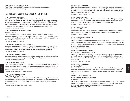#### **FA 499 — INDEPENDENT STUDY IN FINE ARTS**

Prerequisites: a minimum 3.5 GPA and approval of instructor, chairperson, and dean VARIABLE CREDITS (3 CREDITS MAXIMUM)

# Fashion Design—Apparel (See also AF, AP, AR, DP, FF, TL)

#### **FD 111 — DRAPING I: FUNDAMENTALS**

#### Prerequisite or co-requisite: FD 131 for evening/weekend students only

Introductory course explores the three-dimensional draping approach to executing garment design. Projects introduce the important principles of grain, balance and construction. Through critiqued design development on the dress form, students develop their own sense of proportion, silhouette, line and style, while exploring current market trends. Course utilizes strong sewing skills. 3 CREDITS; 6 STUDIO HOURS PER WEEK

#### **FD 112 — DRAPING II: CONSTRUCTED SILHOUETTES**

#### Prerequisite: FD 111

This course enables students to execute jacket styles utilizing advanced draping techniques. Students learn to develop draped patterns for jacket styles that include mounted and semi-mounted sleeves, and various collar and pocket styles. The course also explores how to incorporate tailoring details to enhance garment designs. 3 CREDITS; 6 STUDIO HOURS PER WEEK

#### **FD 113 — APPAREL DESIGN: STRUCTURED SILHOUETTES**

Students learn the principles of draping as a method of designing original garments in three-dimensional form. Draping techniques and construction skills are developed for more advanced structured garments along with an understanding of silhouette, proportion and current style trends. 4 CREDITS; 8 STUDIO HOURS PER WEEK

#### **FD 114 — APPAREL DESIGN: SOFT SILHOUETTES**

Students learn to drape soft silhouettes using muslin and soft fabrics. Creative designs are explored, from basic to classic to complex shapes. An original garment is designed and executed in fabric. 3 CREDITS; 6 STUDIO HOURS PER WEEK

#### **FD 115 — INTRODUCTION TO DRAPING**

This course introduces the student to the basic principles of draping, keeping in mind the importance of grain, balance, and structure in a garment. An understanding of fundamental draping procedures and their application to current trends is addressed. Tools and materials essential for professional results are demonstrated and used.

2 CREDITS; 1 LECTURE AND 2 STUDIO HOURS PER WEEK

#### **FD 116 — APPAREL DESIGN WORKSHOP**

#### Prerequisites: FD 115 and FD 131

A continuation of FD115, this course further develops students' understanding of fundamental draping procedures and their application to current trends. As a final project, a term garment is developed which involves the selection of fabric, draping, and construction, and following industrial sample room procedures.

2 CREDITS; 1 LECTURE AND 2 STUDIO HOURS PER WEEK

#### **FD 121 — FLAT PATTERN DESIGN I**

Introductory flat pattern course explores the two-dimensional method to execute garment designs. Utilizing basic slopers, students develop original design concepts through the slash-and-spread and pivot techniques. Projects are evaluated on the dress form for fit, balance, style, creativity and proportion. Course utilizes strong sewing skills. 1.5 CREDITS; 3 STUDIO HOURS PER WEEK

#### **FD 131 — SEWING TECHNIQUES I**

Students learn the basic professional techniques used in the construction of designers' sample garments. Sewing techniques - including cutting, construction, and finishing - are explored, using industrial equipment to create sample garments in cotton or cotton-type fabrics. 1.5 CREDITS; 3 STUDIO HOURS PER WEEK

#### **FD 132 — SEWING TECHNIQUES II**

#### Prerequisite: FD 131

Builds upon skills learned in Sewing Techniques I. Students learn new and more complex design room construction, and develop advanced techniques currently used in the fashion industry. 1.5 CREDITS; 3 STUDIO HOURS PER WEEK

#### **FD 211 — DRAPING III: SOFT SILHOUETTES**

#### Prerequisite: FD 112

This course involves creative draping techniques with emphasis on soft silhouettes and structure in design. Introduction to dolman sleeve styles, cowls, pants, and cut-and-sew knits are included. The variations in style expand students' creative, critical thinking, and technical skills into different areas of design, while draping in fabric.

3 CREDITS; 6 STUDIO HOURS PER WEEK

### **FD 212 — DRAPING IV: ADVANCED TECHNIQUES**

Prerequisite: (FD 113 and FD 114), or FD 211

This course further develops technical and creative skills in apparel design. Advanced draping projects enable students to explore design through a variety of fabrication, draping, and construction techniques. Students also learn how design resources and presentation skills can help them articulate their ideas.

3 CREDITS; 6 STUDIO HOURS PER WEEK

#### **FD 221 — FLAT PATTERN DESIGN II**

Prerequisite: FD 121

This course allows students to proceed from the study and application of the basic principles of patternmaking to a more comprehensive view of design within flat pattern methods and principles. Basic torso slopers are developed with the sleeve and are combined to form the kimono/dolman sloper.

1.5 CREDITS; 3 STUDIO HOURS PER WEEK

# **FD 231 — HAUTE COUTURE SEWING TECHNIQUES**

#### Co-requisite: FD 232

This course introduces students to the finest sewing techniques practiced in couture workrooms and provides the basis for understanding haute couture. Students learn techniques in cutting, hand stitching, seam and hem finishes, pocket construction, pressing, and finishing. 2 CREDITS; 4 STUDIO HOURS PER WEEK

Courses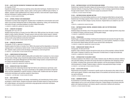#### **FD 232 — HAUTE COUTURE DECORATIVE TECHNIQUES AND EMBELLISHMENTS**

Co-requisite: FD 231

Expands knowledge of the couture by exploring various decorative techniques. Students learn how to hand bead as well as apply rocailles, sequins, pearls, and faux gems on different types of fabrics. In addition, students create embellishments from ribbons and fabric; hand embroider original designs; and learn techniques in quilting, pleating, and trapunto.

2 CREDITS; 4 STUDIO HOURS PER WEEK

#### **FD 241 — APPAREL PRODUCT DATA MANAGEMENT**

Introduction to product data management. Students learn to facilitate the communication and coordination of pre-product development tasks by linking design, engineering, costing, and manufacturing information through a centralized database of product-related information.

1.5 CREDITS; 3 COMPUTER LABORATORY HOURS PER WEEK

#### **FD 281 — CORSETRY IN FASHION I**

#### Prerequisite: DP 112 or FD 112

Students study the history of corsetry from the 1600s to the 1850s and learn how the body is manipulated to create a fashion silhouette. Through museum visits and online market research, students analyze the differences between corsetry and class draping and develop technical patterns to create period corsets using traditional construction techniques.

2.5 CREDITS; 1 LECTURE AND 3 STUDIO HOURS PER WEEK

#### **FD 282 — CORSETRY IN FASHION II**

Prerequisite: FD 281 or approval of chairperson

Students explore the history of corsetry from 1850 to the present and the intepretation of structured undergarments in contemporary fashion trends. Further developing the technical skills learned in FD 281, students create a period corset and design a contemporary corset and garment. 2.5 CREDITS; 1 LECTURE AND 3 STUDIO HOURS PER WEEK

#### **FD 321 — COMPUTERIZED PATTERN DESIGN**

This course builds on students' patternmaking skills and enables them to advance to a more comprehensive study of design using computerized patternmaking methods and principles. Students learn the operation of the System Management and PDS (Pattern Design System) computerized flat-pattern design and technical illustration programs.

1.5 CREDITS; 3 COMPUTER LABORATORY HOURS PER WEEK

#### **FD 341 — DESIGN WITH HIGH-TECH FABRICS**

Students examine the relationship between high-tech fabrics and contemporary sportswear, outerwear, and performance design. The course concentrates on the qualities and functions of high-tech fabrics and their adaptability for specific functions or fashion looks. Students also learn the special construction techniques and machines needed for these fabrics. 1.5 CREDITS; 1 LECTURE AND 1 STUDIO HOURS PER WEEK

# **FD 351 — BODY CONTOUR**

Courses

This course introduces students to the design, merchandising, and manufacturing of body contouring designs in stretch fabrics. Students incorporate market and textile research to drape and flat-pattern original designs, and execute the construction using appropriate construction techniques. 1.5 CREDITS; 3 STUDIO HOURS PER WEEK

#### **FD 352 — KNITWEAR DESIGN: FLAT-PATTERN DESIGN AND SEWING**

Students learn standard flat-pattern design and sewing practices of the knitwear industry, including industrial methods of measuring, fitting, and finishing, in order to develop original knitwear designs through market research. Fabrics for the term project are produced in FD 353. 1.5 CREDITS; 3 STUDIO HOURS PER WEEK

#### **FD 353 — KNITWEAR DESIGN: MACHINE KNITTING**

An introduction to the hand knitting machine as a tool for designing knitted fabrics and garments. Students learn the design aspects of fabric structure, stitch patterns, and textured yarns and colors in order to create new fabric designs in jersey structures. Original fabrics are created for use in FD 352.

2 CREDITS; 4 LABORATORY HOURS PER WEEK

# **FD 354 — KNITWEAR DESIGN: DRAPING, ADVANCED SEWING, AND FLAT-PATTERN DESIGN** Prerequisite: FD 352

Students design and develop a line of fine gauge knitwear and sweater weight garments using industry methods of draping, advanced sewing, and flat pattern design.

1.5 CREDITS; 3 LABORATORY HOURS PER WEEK

#### **FD 355 — PRIMAVISION I**

Students gain a working knowledge of technical line development and execution through the study and use of the proprietary software program Primavision, by Lectra Systems. Emphasis is on specs and construction details dealing with both woven and knit fabric development. 1.5 CREDITS; 3 COMPUTER LABORATORY HOURS PER WEEK

#### **FD 356 — SEAMLESS KNIT DESIGN: STOLL M1**

#### Prerequisites: FD 352 and FD 353

Students create a knitwear program through the study and use of the proprietary software Stoll M1 CAD system. Emphasis is placed on the construction of knitted fabrics in single and double bed. 2 CREDITS; 4 LABORATORY HOURS PER WEEK

#### **FD 361 — INTRODUCTION TO CHILDREN'S WEAR**

Introduces students to the children's wear market. Students study the differences between children's wear and adult clothing, and explore the issues that need to be addressed when designing clothing for children, including sizing, government safety standards, and the psychological implications of child development on design. Students design a collection using appropriate design concepts. 2.5 CREDITS; 1 LECTURE AND 3 STUDIO HOURS PER WEEK

#### **FD 362 — ACTIVE SPORT DESIGN**

Requirements and principles of movement in specific sports are discussed as they relate to the fit of active sports apparel. Students create designs based on the aesthetic and technical needs of the serious sports enthusiast.

2 CREDITS; 4 STUDIO HOURS PER WEEK

### **FD 363 — SWIMWEAR DESIGN**

An introduction to swimwear design. Students gain a broad working knowledge of swimsuits and related apparel such as cover-ups and beach accessories. Original designs are produced using flatpattern and draping techniques, and industry-specific construction methods and machinery. 2 CREDITS; 4 STUDIO HOURS PER WEEK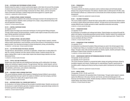#### **FD 364 — OUTERWEAR AND PERFORMANCE APPAREL DESIGN**

Students study the creation of women's performance apparel, which takes into account the principles of extreme movement and the aesthetic and technical needs of the serious outdoor sports enthusiast. Using their newly acquired knowledge of advanced new fibers, fabrics, and trim and performance construction techniques, students design performance apparel for a specific sport. 2 CREDITS; 4 LABORATORY HOURS PER WEEK

#### **FD 371 — INTIMATE APPAREL SEWING TECHNIQUES**

This course introduces students to the construction techniques involved in the development of intimate apparel products. Students create a prototype from a sloper, using professional sewing methods and application techniques.

2 CREDITS; 4 STUDIO HOURS PER WEEK

#### **FD 372 — CONTROL SHAPEWEAR DESIGN**

Co-requisite: FD 371

Students explore the design and construction techniques of control garment fitting prototypes. Through market research and demonstrations, students create original concepts and produce prototypes utilizing specialized construction methods. 2 CREDITS; 4 STUDIO HOURS PER WEEK

#### **FD 373 — INTIMATE APPAREL LINE DEVELOPMENT**

Students study the functions of intimate apparel marketing. Through industry research, students analyze market classifications, trend forecasting, and the entire process of merchandizing an intimate apparel product, from learning terminology to product development, pricing, and advertising. 1.5 CREDITS; 1 LECTURE AND 1 STUDIO HOURS PER WEEK

#### **FD 374 — FLAT-PATTERN DESIGN FOR SPECIAL OCCASION**

Through lectures, demonstrations, and hands-on application, students learn to make patterns for after-five, evening, bridalwear and other special occasion dresses. Students develop their flatpattern-making skills in order to create master slopers that interpret design sketches into threedimensional forms.

1.5 CREDITS; 3 STUDIO HOURS PER WEEK

#### **FD 375 — TEXTILE LACE AND TECHNOLOGY I**

Students learn about textile lace and embellishment technology and its relationship in the design, styling, and marketing of apparel products. Through lectures, field trips, market research, and construction demonstrations, students explore both the domestic and international textile market along with aesthetics, performance, and cost/price relationships.

1.5 CREDITS; 3 STUDIO HOURS PER WEEK

# **FD 391 — CHILDREN'S WEAR LICENSING PRACTICUM**

This course familiarizes students with all aspects of designing licensed children's wear products. Students spend three hours per week for ten weeks at a children's wear host company, and three hours per week for five weeks with an apparel faculty mentor. 1.5 CREDITS; 3 STUDIO HOURS PER WEEK

# **FD 451 — KNITWEAR DESIGN: FULL FASHION AND POINTELLE**

An introduction to full fashion knitting and the principles of pointelle design. Students use jersey and rib structures to create full fashion garments. Emphasis is placed on appropriate design solutions for full fashion garments and designing pointelle patterns. 2 CREDITS; 4 STUDIO HOURS PER WEEK

#### **FD 452 — PRIMAVISION II**

Prerequisite: FD 355

This course explores the industry procedures used to creatively design and technically develop knitwear lines using the Primavision TCX software. Students build on skills learned in FD 355, using the Primavision software as a cohesive tool to communicate and combine all phases of knitwear line development.

1.5 CREDITS; 3 COMPUTER LABORATORY HOURS PER WEEK

#### **FD 461 — TAILORING TECHNIQUES**

This course enables students to elevate their basic sewing skills to an advanced level. Students learn to construct a jacket utilizing hand-tailored methods. Through lectures and demonstrations, students evaluate different levels of quality garments to better understand construction and costing. 2 CREDITS; 4 STUDIO HOURS PER WEEK

#### **FD 471 — FOUNDATION DESIGN**

#### Co-requisite: FD 472

An introduction to foundation and undergarment design. Original designs are produced through flat pattern and draping, incorporating specialized sewing methods. Students research the undergarment fashion market and use historical and textile references to create original garments. Projects in this course coordinate with those in FD 472. 2 CREDITS; 4 STUDIO HOURS PER WEEK

# **FD 472 — FOUNDATION FITTING TECHNIQUES**

# Co-requisite: FD 471

An introduction to professional foundation-fitting techniques as used in the intimate apparel industry. Students learn fitting on a foundation fit model using retail samples and garments of their own design. Through in-class visits and demonstrations by industry experts, students participate in fitting prototypes to explore proper proportion, fit, and comfort.

1.5 CREDITS; 3 STUDIO HOURS PER WEEK

#### **FD 473 — UNDERFASHION COMPUTER PATTERNMAKING/GRADING FOR DESIGN**

Prerequisites: FD 321 and FD 372

Co-requisites: FD 471 and FD 472

This course introduces students to computerized pattern design and grading techniques utilized by foundation designers and industry. Students gain an understanding of specific requirements for foundation pattern shaping and sizing by learning computer pattern development and sizing procedures.

1.5 CREDITS; 3 COMPUTER LABORATORY HOURS PER WEEK

#### **FD 474 — BRIDAL DESIGN**

Prerequisites: FD 231, FD 232, and FD 374

Students are introduced to the specialized field of bridal design. Through market research, students explore the differences in the areas of formal, semi-formal, and informal bridal apparel in the American and international markets. Students develop a collection of bridal designs and execute an original design using industry techniques.

2 CREDITS; 4 STUDIO HOURS PER WEEK

Courses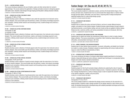#### **FD 475 — LEATHER APPAREL DESIGN**

This course introduces students to the use of leather, suede, and other animal skins for women's apparel design. The course explores the application of design principles exclusive to designing apparel with leather skins. Students create designs through draping and flat pattern utilizing industrial methods. 2 CREDITS; 4 STUDIO HOURS PER WEEK

# **FD 491 — SENIOR COLLECTION: CHILDREN'S WEAR**

# Prerequisite: FF 393 or FF 394

Students develop a senior collection of children's wear under the supervision of an instructor and an industry designer. This course builds upon the technical, creative, and industry knowledge acquired in prior semesters. Utilizing market research and forecasting services, students design and construct a mini-collection.

3 CREDITS; 6 STUDIO HOURS PER WEEK

# **FD 493 — SENIOR COLLECTION: KNITWEAR DESIGN**

# Prerequisite: FF 395

# Co-requisite: TS 366

Students develop a senior collection of knitwear under the supervision of an instructor and an industry designer. This course builds upon the technical, creative, and industry knowledge acquired in prior semesters. Utilizing market research and forecasting services, students design and construct a minicollection.

1.5 CREDITS; 3 STUDIO HOURS PER WEEK

# **FD 494 — SENIOR COLLECTION: INTIMATE APPAREL**

# Prerequisite: FF 396

Students develop a senior collection of intimate apparel under the supervision of an instructor and an industry designer. This course builds upon the technical, creative, and industry knowledge acquired in prior semesters. Utilizing market research and forecasting services, students design and construct a mini-collection.

3 CREDITS; 6 STUDIO HOURS PER WEEK

# **FD 495 — SENIOR COLLECTION: SPECIAL OCCASION**

# Prerequisites: FF 391 and FF 397

Students develop a senior collection of special occasion designs under the supervision of an instructor and an industry designer. This course builds upon the technical, creative, and industry knowledge acquired in prior semesters. Utilizing market research and forecasting services, students design and construct a mini-collection.

3 CREDITS; 6 STUDIO HOURS PER WEEK

# **FD 496 — SENIOR COLLECTION: SPORTSWEAR/ACTIVE WEAR**

#### Prerequisite: FF 393 or FF 394

Students develop a senior collection of sportswear/active wear under the supervision of an instructor and an industry designer. This course builds upon the technical, creative, and industry knowledge acquired in prior semesters. Utilizing market research and forecasting services, students design and construct a mini-collection.

3 CREDITS; 6 STUDIO HOURS PER WEEK

# Fashion Design—Art (See also AF, AP, AR, DP, FD, TL)

# **FF 111 — FASHION ART AND DESIGN I**

This course teaches students to understand, analyze, and draw the female fashion figure, front, turned, and back views. Students learn how to communicate their design ideas in a fashion sketch through garment details, silhouettes, and color theory. Acquiring skills in design development sketching enables them to create simple design groups. 2 CREDITS; 4 STUDIO HOURS PER WEEK

# **FF 112 — FASHION ART AND DESIGN II**

# Prerequisite: FF 111

Students learn to explore the nature and hand of fabrics, and how to render different textures, weights, and patterns in their fashion designs. Students develop original designs through researching historical periods, current fashion styling, and color trends as they are applied in fashion design. Design journals, customer profiles, and various presentation formats are introduced. (G6: Arts) 2 CREDITS; 4 LABORATORY HOURS PER WEEK

# **FF 113 — FASHION ART AND DESIGN FOR ONE-YEAR PROGRAM**

Students learn to sketch and render the contemporary fashion figure in order to create a fashion design collection. The course concentrates on proportion, fabric rendering, design details, garment silhouettes, and presentation techniques. (G6: Arts) 5 CREDITS; 2 LECTURE AND 6 STUDIO HOURS PER WEEK

# **FF 114 — MODEL DRAWING I FOR FASHION DESIGNERS**

Students learn to draw fashion figure proportion, movement, silhouettes, and details from the fashion model in a variety of poses. Emphasis is placed on experimenting with various media and techniques to render the different characteristics of fabric. 1 CREDIT; 2 STUDIO HOURS PER WEEK

# **FF 141 — INTRODUCTION TO COMPUTERIZED FASHION DESIGN**

This course introduces the basics of computer-aided design targeted specifically for the fashion industry. Using both bitmap and vector software, students learn techniques to conceptualize fashion designs and create industry-standard presentations.

1 CREDIT; 2 COMPUTER LABORATORY HOURS PER WEEK

# **FF 211 — FASHION ART AND DESIGN III**

#### Prerequisite: FF 112

Students prepare for their fourth-semester design collections by exploring the roles of research, design development, and editing in the fashion design process. Emphasis is placed on the application of design development to a variety of design groups in order to expand the students' knowledge of key fashion categories, markets, and price points. 2 CREDITS; 4 STUDIO HOURS PER WEEK

# **FF 212 — FASHION ART AND DESIGN IV**

# Prerequisite: FF 113 or FF 211

This course enables students to understand the design process necessary for the execution of a design portfolio. Students create a design portfolio for two design seasons in their chosen area of study. An individual drawing style is developed along with suitable presentation techniques and formats. 2 CREDITS; 4 STUDIO HOURS PER WEEK

Courses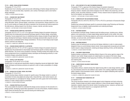#### **FF 213 — MODEL VISUALIZATION TECHNIQUES**

#### Prerequisite: FF 113 or FF 211

Students learn how to develop a quick and accurate methodology of fashion design sketching from models. The course provides ideas, inspiration, and a variety of techniques used to solve fashion design challenges.

1 CREDIT; 2 STUDIO HOURS PER WEEK

# **FF 221 — FASHION PAST AND PRESENT**

#### Prerequisite: FF 112 or FF 113

Slide lectures concentrating on Western fashion cover the ancient eras to the 20th century, emphasizing silhouettes, fabrics, garment details, construction, and accessories. Design projects for a variety of current markets are created with historic inspiration from the periods and cultures explored in the slide lectures, utilizing research from the library, museum, internet, and other sources. 2 CREDITS; 1 LECTURE AND 2 STUDIO HOURS PER WEEK

#### **FF 241 — FASHION DESIGN COMPUTER: PHOTOSHOP**

Prerequisite: AR 101 or FF 111 or FF 113 or approval of Fashion Design-Art assistant chairperson Students learn the fundamental and advanced techniques specific to fashion design, using Adobe Photoshop. Course assignments focus on establishing fashion design principles through digital line design development techniques. Students develop increasingly advanced skills using the core software to produce coordinated fashion design presentations. The focus of each design project targets specific customers and categories.

1.5 CREDITS; 3 COMPUTER LABORATORY HOURS PER WEEK

#### **FF 242 — FASHION DESIGN COMPUTER: ILLUSTRATOR**

Prerequisite: AR 213 or FF 141 or FF 241 or approval of Fashion Design-Art assistant chairperson Students learn the fundamental-to-intermediate-level techniques specific to fashion design using Adobe Illustrator. The course covers all aspects of drawing, including working with images and color. Course assignments focus on establishing industry techniques and developing proficiency in creating fashion designs using Adobe Illustrator.

1.5 CREDITS; 3 COMPUTER LABORATORY HOURS PER WEEK

#### **FF 243 — DIGITAL FLATS AND SPECS**

#### Prerequisites: FF 241 and (FF 141 or FF 242)

Students learn to create garment specification sheets by integrating manual and digital skills. Digital design techniques and business practices are explored in order to create a presentation of a design collection.

Courses

1.5 CREDITS; 3 COMPUTER LABORATORY HOURS PER WEEK

#### **FF 244 — DESIGN COLLECTIONS: VISUAL SOLUTIONS**

#### Prerequisite: FF 113 or FF 211

Students develop design collection concepts for specific areas of the design market in a variety of presentation formats using digital and analog media. Using field trips, retail market research, and internet exploration as a springboard for design, students work with a guest critic from the fashion industry to create a design project for presentation.

1.5 CREDITS; 3 STUDIO HOURS PER WEEK

#### **FF 291 — FASHION PORTFOLIO COLLECTION**

This course enables the student to understand the design process necessary for the execution of a design portfolio, developing original ideas specialized in one area of the industry. Students analyze a target market and develop their own personal drawing and rendering style. 2 CREDITS; 4 STUDIO HOURS PER WEEK

#### **FF 321 — 20TH-CENTURY STYLE AND THE MODERN DESIGNER**

Prerequisite: FF 221 or approval of the Fashion Design-Art assistant chairperson A cultural history of 20th-century women's fashion in the Western world, and its influence on contemporary fashion. Students study fashion designers from the 1850s to the present day, and the political, social, and artistic influences on fashion. Primary research tools are explored as an inspiration for the students' own fashion designs.

2 CREDITS; 1 LECTURE AND 2 STUDIO HOURS PER WEEK

#### **FF 341 — COMPUTER ART FOR ACCESSORIES DESIGN**

Prerequisite: AR 213 or AR 214 or AR 215 or FF 241 or PH 272 or permission of Accessories Design chairperson

Students learn advanced techniques specific to accessories design using Photoshop and Illustrator. Assignments focus on digitally created presentation and rendering techniques. 1.5 CREDITS; 3 STUDIO HOURS PER WEEK

#### **FF 351 — KNITWEAR DESIGN I**

An introduction to knitwear design. Students study the knitting process, including yarns, stitches, patterns, and constructions, to create original design sketches specific to this market. Knit collections are completed in the following categories: performance and seamless knits, body-contouring intimates, cut-and-sew knits, and full fashion machine knits. 1.5 CREDITS; 3 STUDIO HOURS PER WEEK

#### **FF 352 — KNITWEAR DESIGN II**

Students study full-fashioned and cut-and-sew knit design collections in order to create projects designed to focus on current knitwear industry trends. Course assignments incorporate yarn and trend market research, design development, rendering and design sketching of knits, and flat sketching. 1.5 CREDITS; 3 STUDIO HOURS PER WEEK

#### **FF 361 — CHILDREN'S WEAR DESIGN**

Students develop a proficiency in sketching children's figures in the various age/size ranges of the children's wear market. Design projects are created based on an analysis of the trends, design requirements and challenges of each age group of clothing, with emphasis on presentation, drawing, and rendering skills.

2 CREDITS; 4 STUDIO HOURS PER WEEK

#### **FF 362 — COMPUTERIZED CHILDREN'S WEAR DESIGN**

#### Prerequisite: FF 243

Using Adobe software, students develop their digital drawing skills to create design sketches, graphics, and production artwork for the children's wear market. From creating a digital flat to designing pattern repeats to final presentation boards, students learn the digital multitasking skills required in the fashion design industry.

1.5 CREDITS; 3 COMPUTER LABORATORY HOURS PER WEEK

#### **FF 371 — SHAPEWEAR AND FOUNDATION: ART**

### Co-requisite: FF 372

This course introduces students to the intimate apparel control shapewear and body-contouring markets. Students design and sketch original collections in these intimate apparel categories. As inspiration, students research the internet, fashion forecasting services, museums, and fabric and trim shows. Retail market research is a co-assignment with FD 373.

1.5 CREDITS; 3 STUDIO HOURS PER WEEK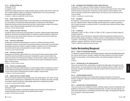#### **FF 372 — INTIMATE APPAREL CAD**

Prerequisite: FF 243 Co-requisite: FF 371

Students learn digital techniques for visually presenting design concepts using over-the-counter software. A special emphasis is placed on renderings of specialty fabrics, trims, and constructions appropriate to specific intimate apparel categories.

1.5 CREDITS; 3 COMPUTER LABORATORY HOURS PER WEEK

#### **FF 391 — BRIDAL DESIGN: PORTFOLIO**

Students create a coherent design portfolio for the bridal industry by researching target market studies, trend spotting, and analyzing the design philosophies of contemporary bridal designers. Students also develop a personal drawing style and learn to develop design concepts via the fashion sketch to create a design presentation appropriate to the focused market. 2 CREDITS; 4 STUDIO HOURS PER WEEK

#### **FF 392 — SWIM/ACTIVE SPORT PORTFOLIO**

Through the study of active sports and the principles of movement, students develop original design sketches for the serious and recreational athlete. As inspiration for portfolio collections, students conduct internet and in-store market research focusing on swim apparel and active sport product lines. 2 CREDITS; 4 STUDIO HOURS PER WEEK

#### **FF 393 — PORTFOLIO: SPORTSWEAR**

Students plan and illustrate original designs for a women's or children's sportswear portfolio. Consideration is given to current trends in the sportswear industry and the impact of communication technologies and economic realities of a global marketplace. Students work in an interdisciplinary environment with the option of developing their concepts in digital or manual formats. 2 CREDITS; 4 STUDIO HOURS PER WEEK

#### **FF 394 — PORTFOLIO: ACTIVE WEAR**

Students plan and illustrate original designs for an active and performance apparel design portfolio for both the women's and children's wear market. Consideration is given to current trends in the industry, the impact of communication technologies, and the economic realities of a global marketplace. Students work in an interdisciplinary environment with the option of developing concepts in digital or manual formats.

2 CREDITS; 4 STUDIO HOURS PER WEEK

#### **FF 395 — PORTFOLIO: KNITWEAR DESIGN**

Students plan and illustrate original designs for a knitwear design portfolio. Consideration is given to current trends and technologies in the knitwear industry. Students work in an interdisciplinary environment with the option of developing their concepts in digital or manual formats. 1.5 CREDITS; 3 STUDIO HOURS PER WEEK

#### **FF 396 — SENIOR PORTFOLIO: INTIMATE APPAREL**

This course introduces students to the specialized areas of the intimate apparel "soft" market. Through extensive research, students gain an understanding of the daywear, loungewear, leisurewear, and sleepwear markets. Students develop their original design sketches into a comprehensive portfolio. 1.5 CREDITS; 3 STUDIO HOURS PER WEEK

#### **FF 397 — SENIOR PORTFOLIO: SPECIAL OCCASION**

Prerequisite: FF 391

This course enables students to understand the design process necessary for the execution of a portfolio appropriate for the evening wear and special occasion market. 2 CREDITS; 4 STUDIO HOURS PER WEEK

#### **FF 398 — OUTERWEAR AND PERFORMANCE APPAREL DESIGN PORTFOLIO**

Prerequisite: FF 243 or approval of Fashion Design-Art assistant chairperson Students become familiar with the current outerwear and performance apparel market. They forecast and track trends and create product, storyboards, and spec sheets for various segments of the women's outerwear and performance apparel industry. Sourcing trims such as hardware and closures are studied.

2 CREDITS; 4 LABORATORY HOURS PER WEEK

### **FF 491 — INTERNSHIP**

An unsalaried, 12-week internship in the industry, scheduled individually for a minimum of ten hours per week. Integrates students' design knowledge with field experience at a specific manufacturer with a company employee as a supervisor/mentor. The Internship Center assists the Fashion Design Department in placement.

2 CREDITS

# **FF 492 — E-PORTFOLIO**

Prerequisite: FF 393, or FF 394, or FF 395, or FF 396, or FF 397, or approval of Fashion Design-Art assistant chairperson

Students explore various techniques for integrating existing hand-generated and digital artwork in electronic fashion design presentations. Emphasis is placed on understanding the architecture of the "e-portfolio," critical thinking, consistency, and ordering of content. Students learn to create visual databases, catalogues, slide shows, and basic web pages.

1 CREDIT; 2 COMPUTER LABORATORY HOURS PER WEEK

# Fashion Merchandising Management

#### **FM 101 — SURVEY OF FASHION MERCHANDISING**

For students not majoring in Business and Technology programs. Explores the interrelationships between the consumer and the primary, secondary, retailing, and auxiliary segments of the fashion industry. Presents the characteristics, merchandising practices, and marketing strategies of fashion businesses.

3 CREDITS

# **FM 114 — INTRODUCTION TO THE FASHION INDUSTRY**

This survey covers the history, characteristics, and global interrelationships of all segments of the fashion industry. The course explores how fiber, textile, and apparel producers, retailers, and home furnishings companies merchandise and market their products within the industry and to the ultimate consumer.

3 CREDITS

# **FM 116 — FASHION BUSINESS PRACTICES**

A comprehensive introduction to the modern fashion business environment. The structures, finances, management, organization, and ethical responsibilities of fashion enterprises are examined in a global context.

3 CREDITS

#### **FM 117 — INTRODUCTION TO FASHION MARKETING**

This course focuses on the integration of fashion marketing concepts, practices and applications and facilitates the development of a marketing/merchandising plan. Through a case study approach, students analyze opportunities in merchandise positioning, brand imagery, and targeting and segmentation of an apparel or other fashion product. 3 CREDITS

Courses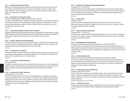#### **FM 118 — CONSUMER MOTIVATION IN FASHION**

Students learn demographic and psychographic information pertaining to consumer behavior and how it relates to the marketing of fashion. Discussions concentrate on consumer research, geographic distribution, income, education, leisure time, family structure, lifestyle, attitude, reference groups, and consumerism as influences. 3 CREDITS

# **FM 121 — MERCHANDISE PLANNING AND CONTROL**

Prerequisite: passing grade on FMM math placement test or MA 005

Provides an understanding of the concepts and calculations necessary for successful merchandising and familiarizes students with the terminology of operating statements, retail method of inventory, planning seasonal purchases, methods of figuring markups, turnover, stock-sales ratios, open-tobuy, markdowns, and terms of sale. 3 CREDITS

#### **FM 122 — FASHION MERCHANDISING: PRINCIPLES AND TECHNIQUES**

Analyzes the buying function and the differences of buyers' responsibilities in various types of merchandising organizations. Studies the principles, procedures, and techniques practiced by merchandisers of fashion goods in determining what assortments to buy and which resources to select. 3 CREDITS

#### **FM 144 — PRODUCT KNOWLEDGE FOR MERCHANDISING**

Familiarizes students with the terminology and characteristics of merchandise of non-textile fashion accessories and home furnishings at all price levels. Enables retail buyers, product developers, and wholesale salespersons to differentiate criteria for price and quality. 3 CREDITS

#### **FM 202 — THE MARKETING OF MENSWEAR**

For Menswear students. Analysis of successful marketing practices of menswear manufacturers selling to all types of retail enterprises. Examines demographics, line development, production and distribution, and interrelationships in the menswear industry. 3 CREDITS

#### **FM 212 — CASE STUDIES IN FASHION MARKETING**

#### Prerequisite: FM 116

Through the case study method, analyze the decision-making process used to arrive at independent solutions to typical marketing problems. Student analyses and presentations of actual cases are evaluated for weighing of factual data, disciplined thinking, and arrival at rational conclusions. 3 CREDITS

#### **FM 213 — INTRODUCTION TO DIRECT MARKETING**

#### Prerequisites: AC 111 and FM 114

Presents a comprehensive overview of the direct marketing industry, including its various components and career opportunities. Through the use of case studies and/or assignments, students learn strategic planning: how to choose and merchandise a product, pinpoint a target audience, develop marketing tests, and analyze results. Students are also introduced to the various electronic vehicles currently used in this ever-changing industry.

3 CREDITS

Courses

#### **FM 221 — WORKSHOP IN FASHION MERCHANDISING MANAGEMENT**

#### Prerequisites: FM 121 and FM 122

Presents students with opportunities to apply knowledge gained in prior courses to make creative solutions for specific problems. Workshop projects such as a day spent with a merchant or the selection of merchandise from manufacturers' offerings aid in understanding the principles and procedures of successful fashion merchandising. 3 CREDITS

#### **FM 222 — IMPORT BUYING**

#### Prerequisite: FM 224

Analyzes key factors in developing import programs, distribution of products, market sources, financing, and aspects associated with apparel and other imported products. The impact of imports on domestic apparel businesses is examined. 3 CREDITS

#### **FM 223 — CREATIVE FASHION PRESENTATIONS**

#### Prerequisites: AC 111 and FM 114

Students prepare and present fashion information through clinics, shows, and written communiques. They learn how to research, analyze, and forecast fashion trends. Awareness of career opportunities in the fashion industries is fostered. 3 CREDITS

#### **FM 224 — MERCHANDISING MATH APPLICATIONS**

Prerequisites: (Passing grade on FMM math placement test or MA 005) and FM 116 Students develop an understanding of the merchandising concepts and calculations necessary for interpreting and responding to financial planning and control reports of the merchandising and store operational teams. Among such reports are sales analyses, maintained markup reports, gross margin and seasonal plans.

3 CREDITS

#### **FM 225 — FASHION MERCHANDISING**

Prerequisites: (Passing grade on FMM math placement test or MA 005) and FM 268 This course provides a comprehensive look at the merchandising environment including the functions and objectives of the merchandising team and the principles and techniques of today's buyers, planners, product developers and account executives. Students work in teams on simulated merchandising projects to execute a seasonal plan.

3 CREDITS

#### **FM 226 — INTERNATIONAL BUYING AND MARKETING**

#### Prerequisite: Approval of instructor

Students, under faculty supervision, visit principal European cities to study the factors involved in fashion marketing and the international customer's attitudes about fashion. Discussions involve methods, practices, and reasons for importation and exportation. Students are expected to complete written assignments.

3 CREDITS; APPROXIMATELY 21 DAYS IN JUNE

# **FM 231 — STRATEGIES OF SELLING**

Principles of personal selling techniques, presentation skills, the art of persuasion, negotiating, and account building in the wholesale markets are developed through lectures and workshops. 3 CREDITS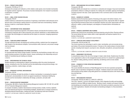#### **FM 244 — PRODUCT DEVELOPMENT**

Prerequisite: FM 268 and TS 111

Introduces the concepts and methods by which retailers create special, store-branded merchandise for targeted customer segments. The process of product development, from research to production to distribution, is studied.

3 CREDITS

#### **FM 251 — SMALL STORE FASHION RETAILING**

#### Prerequisite: FM 224

Enables students to understand the procedures of organizing a small fashion retail enterprise and to become aware of the decision-making inherent in successful small-store merchandising. Students develop a model for a small fashion retail store.

3 CREDITS

# **FM 262 — CONTEMPORARY RETAIL MANAGEMENT**

Students study all operational segments of the fashion industry and describe the functions of each. Contributions employees add to sales productivity and customer satisfaction in retail establishments are studied. New technologies are researched and the impact on consumers' shopping experiences explored.

3 CREDITS

# **FM 268 — TEAM DEVELOPMENT WORKSHOP**

Through individual and team role-playing and workshop activities, students learn the management skills needed in the international workplace. Communications skills, teamwork, and process management are stressed.

2.5 CREDITS

Courses

# **FM 301 — FASHION MERCHANDISING FOR APPAREL DESIGNERS**

For baccalaureate-level Fashion Design students. Examines the merchandising concepts vital to successful business practices in the fashion industry. Issues contributing to the relationships and profitability of manufacturing and retailing are stressed. 3 CREDITS

# **FM 302 — MERCHANDISING FOR TECHNICAL DESIGN**

Students develop an understanding of apparel merchandising within the product development process, including the role of the merchant and the interrelationships among technical design, merchandising, production, creative design, and sales. 2 CREDITS

# **FM 321 — WORKSHOP IN APPAREL MERCHANDISING**

# Prerequisite: FM 244

Hands-on workshops simulate the activities of a fashion merchandiser in overseeing the research, development, and presentation of a line for an apparel manufacturer. Emphasizes handling key accounts and the merchandiser's relationship with design, production, and sales staff. 3 CREDITS

# **FM 322 — FASHION INVENTORY MANAGEMENT**

Prerequisites: MG 306 for Fashion Merchandising Management students; MG 132, MG 153, and MG 251 for Production Management students

In computer simulations, students make decisions involving inventory models, inventory replenishment, and seasonal and long-term merchandising strategies. Students learn to manage a business by developing seasonal financial plans, creating store plans, and balancing multi-store inventories. 3 CREDITS; 2 LECTURE AND 2 COMPUTER LABORATORY HOURS PER WEEK

# **FM 323 — MERCHANDISING FOR ELECTRONIC COMMERCE**

#### Prerequisite: MG 306

Students identify and evaluate how e-commerce is conducted and managed. Visual and merchandise presentations offered in e-tailing are explored. An e-tailing site is simulated, applying merchandising concepts acquired in the class. Career opportunities in the e-commerce sector are also identified. 3 CREDITS

#### **FM 324 — BUSINESS OF LICENSING**

Students examine the business aspects of licensing as they apply to the fashion industry, from licensing assignments through the merchandising approval process. Appropriate skills for negotiating and planning licensed product lines are developed. Business and career opportunities with manufacturers, retailers, product developers, and designers of licensed fashion merchandise are explored.

3 CREDITS

# **FM 325 — FINANCIAL ASSORTMENT AND PLANNING**

Students learn financial and merchandise assortment planning using the Arthur Planning software. The course defines the buyer's duties within a retail organization and teaches students how to develop a financial plan.

3 CREDITS; 2 LECTURE AND 2 LABORATORY HOURS PER WEEK

# **FM 341 — COMPUTER-AIDED PRODUCT DEVELOPMENT I**

Prerequisites: FM 244 and MG 153

This course examines how technology is used to create, merchandise, and communicate during each phase of the product development process. It focuses on the creative phases of product development, including trend research; sourcing for color, silhouette, and patterns; and assortment planning.

3 CREDITS; 2 LECTURE AND 2 COMPUTER LABORATORY HOURS PER WEEK

# **FM 361 — MANAGEMENT FOR RETAILING**

A comprehensive study of the role of the manager in today's retail climate. Students learn the effect of an organization's culture on the management process and how it is viewed from a global perspective. Decision-making, planning, structure, leadership, and defining control are also studied. 3 CREDITS

# **FM 362 — DYNAMICS OF STORE OPERATIONS MANAGEMENT**

#### Prerequisite: FM 361

This course identifies the divisions of Retail Management from the store operations perspective. Specific areas of operations management are analyzed. Students compare and contrast management practices among retailers using skills gained from roundtable discussions with industry executives and field trips. 3 CREDITS

# **FM 422 — MERCHANDISING STRATEGIES**

Prerequisites: FM 325 and (MA 311 or MA 321 or MA 331)

This is the "capstone" course for BS degree students, which integrates the skills and knowledge acquired in previous FMM and related courses. Working in teams, students will research financial, merchandising and competitive data and combine with information provided by executives from various retail organizations. Students will articulate merchandising strategies in a final presentation. 3 CREDITS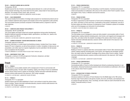#### **FM 423 — FASHION PLANNING AND ALLOCATION**

#### Prerequisites: FM 322

Students assume the role of fashion merchandise planner/allocator for a multi-unit chain store. Using computer technology, they extract data from the system, analyze data for future planning and allocation, and manage inventory levels, sales, and turns. 3 CREDITS; 2 LECTURE AND 2 COMPUTER LABORATORY HOURS PER WEEK

#### **FM 431 — SALES MANAGEMENT**

This course includes the formulation of strategic sales programs for manufactured products and services. Students implement sales programs and evaluate control of the organization's sales activities. The course blends dynamic processes composed of interrelated sections, all geared to reach the sales objectives.

3 CREDITS

#### **FM 441 — COMPUTER-AIDED PRODUCT DEVELOPMENT II**

#### Prerequisites: FM 341 and MG 306

This course applies web-based content and computer applications during product development. Students implement assembly and diagram details, specifications, cost sheets, etc., based on the creative content from FM 341.

3 CREDITS; 2 LECTURE AND 2 COMPUTER LABORATORY HOURS PER WEEK

#### **FM 491 — SUMMER INTERNSHIP: FASHION MERCHANDISING IN LONDON**

#### Prerequisite: approval of instructor

A summer internship in a London-based merchandising company. Includes three 3-hour classes based at FIT prior to departure, as well as three seminars in London. Completion of daily journal, oral presentation, and written report are required. Applications must be submitted in the fall semester prior to acceptance into the program.

4 CREDITS; MINIMUM OF 120 HOURS FROM THE END OF MAY THROUGH JUNE

# **FM 499 — INDEPENDENT STUDY: FMM**

Prerequisite: a minimum 3.5 GPA and approval of instructor, chairperson, and dean VARIABLE CREDITS (3 CREDITS MAXIMUM)

# French

Courses

#### **FR 111 — FRENCH I**

This introductory course enables students with no background in French to communicate with French-speaking people. The basic skills of speaking, reading, and writing in French are established and the cultures where French is spoken are introduced. Teacher-instructed multimedia laboratory sessions reinforce skills learned in the classroom. (G8: Foreign Language) 3.5 CREDITS; 3 LECTURE AND 1 LABORATORY HOURS PER WEEK

#### **FR 112 — FRENCH II**

#### Prerequisite: FR 111 or equivalent

Students expand upon the skills established in French I and continue to study the cultures where French is spoken. Teacher-instructed multimedia laboratory sessions reinforce skills learned in the classroom. (G8: Foreign Language)

3.5 CREDITS; 3 LECTURE AND 1 LABORATORY HOURS PER WEEK

#### **FR 122 — FRENCH CONVERSATION I**

Prerequisite: FR 111 or equivalent

Students learn to converse in French by interacting in real-life situations. Functional and practical verbal communications are addressed, with a focus on the cultures where French is spoken. Course also taught in Paris, France, in Winterim and Summer sessions. 3 CREDITS

#### **FR 132 — FRENCH IN PARIS**

Prerequisite: FR 112 or equivalent

Provides an opportunity for total immersion in French and for developing an awareness of the people, culture, and history of Paris and France. Continuation of the practice, development, and use of the basic spoken and written structures of contemporary French. Emphasis is placed on immediate active use of the language as an instrument of communication. 3.5 CREDITS; 4 DAYS PER WEEK FOR 4 WEEKS IN JUNE

#### **FR 213 — FRENCH III**

#### Prerequisite: FR 112 or equivalent

This intermediate course is designed to review and refine students' communication skills in French. Supplementary reading materials (including poetry, short stories, and magazine and newspaper articles), films, and videos further the students' knowledge of the cultures where French is spoken. Teacher-instructed multimedia laboratory sessions reinforce skills learned in the classroom. (G8: Foreign Language)

3.5 CREDITS; 3 LECTURE AND 1 LABORATORY HOURS PER WEEK

### **FR 214 — FRENCH IV**

Prerequisite: FR 213 or equivalent

Building on French III, students refine their communication skills in French. More advanced supplementary reading materials (including poetry, short stories, and magazine and newspaper articles), films, and videos further the students' knowledge of the cultures where French is spoken. Teacherinstructed multimedia laboratory sessions reinforce skills learned in the classroom. (G8: Foreign Language)

3.5 CREDITS; 3 LECTURE AND 1 LABORATORY HOURS PER WEEK

### **FR 223 — FRENCH CONVERSATION II**

#### Prerequisite: FR 112 or equivalent

Conversational ability in French is further developed and refined by emphasizing interaction in reallife situations. Advanced functional and practical verbal communications are addressed, with a focus on the cultures where French is spoken.

3 CREDITS

#### **FR 315 — INTRODUCTION TO FRENCH LITERATURE**

Prerequisite: FR 214 or equivalent

Introduces students to the history of French literature from the Middle Ages to the 19th century. Examines major French authors in the genres of poetry, the novel, and theatre, and emphasizes literary analysis through discussion. Films, recordings, and other media are used to illuminate the works studied. Conducted entirely in French.

3 CREDITS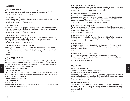# Fabric Styling

### **FS 312 — RESEARCH TECHNIQUES**

Students explore and use a wide range of research materials to develop new designs. Special focus is on historical reference in order to apply and adapt designs to current markets. 1.5 CREDITS; 1 LECTURE AND 1 STUDIO HOURS PER WEEK

# **FS 321 — FASHION KNIT DESIGN**

Reviews various processes of knitting, including warp, raschel, and double knit. Stresses knit designing for today's fashion needs in apparel.

3 CREDITS; 2 LECTURE AND 2 STUDIO HOURS PER WEEK

# **FS 331 — FABRIC STYLING I**

Design concepts, fashion trends, and textile lines are developed for a wide range of markets. Focus is on developing cohesive, visually edited boards for specific areas. Oral presentation skills are developed at the conclusion of each project.

3 CREDITS; 2 LECTURE AND 2 LABORATORY HOURS PER WEEK

# **FS 334 — LEATHER FORECASTING AND STYLING**

Students are taught how to develop and communicate style concepts and fashion trends in leather. Special emphasis is on sources of inspiration, introduction to research, and production techniques for apparel and accessories in the men's and women's wear markets. 2 CREDITS; 1 LECTURE AND 2 STUDIO HOURS PER WEEK

# **FS 341 — ROLE OF FABRICS IN FASHION: 1860 TO PRESENT**

Significant concepts and developments in fabrics and fashion history are examined through a chronological study of innovations in fabrics and their uses by major designers. Knowledge of specific fabrics, designs, and designers is obtained by hands-on use of garments in The Museum at FIT's collections.

3 CREDITS

Courses

# **FS 411 — FABRIC STYLING IN ITALY**

# Prerequisite: HA 112

Students learn how to conduct research, interpret visual materials, and develop forecasting skills through the on-location experience of Italian art, architecture, landscape, fashion, and design. By visiting museums, design studios, and textile mills, students learn about Italian culture and international perspectives, design resources, stores, and markets.

3 CREDITS; APPROXIMATELY 3 WEEKS IN JUNE

# **FS 424 — HOME FASHION DESIGN**

Current lifestyle and fashion trends are analyzed to produce lines for domestics and bed and bath markets. The special needs of licensed designs are discussed. Attention is given to specific historical periods and relevant reference material. 3 CREDITS; 6 LABORATORY HOURS PER WEEK

# **FS 431 — FABRIC STYLING II**

#### Prerequisite: FS 331

Students continue the development of fabrics and/or product lines begun in FS 331, with emphasis on specific marketing and design criteria. 2 CREDITS; 4 LABORATORY HOURS PER WEEK

#### **FS 432 — CAD FOR WOVEN AND PRINT STYLING**

Using CAD programs with weave libraries, students create original woven patterns. Plaids, stripes, and coordinated designs are presented as collections in a storyboard format. 2 CREDITS; 1 LECTURE AND 2 COMPUTER LABORATORY HOURS PER WEEK

#### **FS 433 — DIGITAL PRESENTATION FOR THE FABRIC STYLIST**

#### Prerequisite: TD 312 or approval of instructor

Students use market direction, color forecasts, style information, and national and international trends in order to develop presentations delivered in a digital interactive format. Video, sound, digital photography, annotation, and animation are integrated into a final project. 2 CREDITS; 1 LECTURE AND 2 COMPUTER LABORATORY HOURS PER WEEK

#### **FS 451 — COLOR COMBINATIONS AND REPEATS**

The development and execution of original design ideas are accomplished. Students concentrate on the use of gouache, transfer techniques, repeats, and color combinations. Current fashion trends are analyzed in the design process.

3 CREDITS; 6 LABORATORY HOURS PER WEEK

#### **FS 453 — PROFESSIONAL PRESENTATION**

Students prepare a trend and color forecast, as well as design invitations for their final portfolio show presented to industry members. Individual portfolios are developed and presented at that time. 1.5 CREDITS; 3 LABORATORY HOURS PER WEEK

#### **FS 491 — INTERNSHIP**

A 14-week internship in industry, scheduled individually for a minimum of six hours per week. Completion of a daily journal, a written report on the internship experience, and a portfolio of work (where applicable) is required.

2 CREDITS

#### **FS 499 — INDEPENDENT STUDY IN FABRIC STYLING**

Prerequisites: a minimum 3.5 GPA and approval of instructor, coordinator, and dean For eighth-semester Fabric Styling students. A plan must be submitted to the Fabric Styling coordinator a semester before the class is taken. VARIABLE CREDITS (3 CREDITS MAXIMUM)

# Graphic Design

#### **GD 214 — THE CORPORATE IMAGE**

Prerequisite: CD 112, and (for two-year AAS students only) CD 271 Co-requisite: CD 271 (for one-year AAS students only)

Students develop corporate identity using logotype and logomark, with an emphasis on exploring creative solutions that define a corporate image. The logo application is extended to a complete corporate business system and finished to presentation form. 3 CREDITS; 6 STUDIO HOURS PER WEEK

#### **GD 232 — SURVEY OF GRAPHIC DESIGN**

Traces the development of modern graphic design. Significant stylistic trends and influences are analyzed and compared. The processes used by major designers to realize design solutions are examined. The people, processes, and products involved in the development of modern graphic design are explored. 3 CREDITS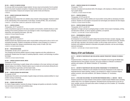#### **GD 235 — SURVEY OF GRAPHIC DESIGN**

For one-year AAS Communication Design students. Surveys visual communication from its earliest forms to its present visualized conceptions. Emphasizes links between society and the evolution of visual communication. Analyzes and compares major stylistic trends and influences. 2 CREDITS

# **GD 243 — WEBSITE DESIGN AND PRODUCTION**

# Co-requisite: CD 251

Students design and produce their own websites using computer markup languages. Emphasis is placed on the understanding of the fundamentals of web design, including XHTML, CSS, and animation. 2 CREDITS; 1 LECTURE AND 2 COMPUTER LABORATORY HOURS PER WEEK

# **GD 311 — GRAPHIC DESIGN I**

#### Prerequisites: CD 271 and GD 214

In this comprehensive approach to the study of graphic communication, students develop an understanding of the inventive potential of form and message to create a visual language by analyzing, researching, and organizing information. (G6: Arts) 3 CREDITS; 6 STUDIO HOURS PER WEEK

# **GD 312 — GRAPHIC DESIGN II**

#### Prerequisites: CD 371 and GD 311

Students examine the analytical process used in visual problem solving and its role as a tool in communicating information. Students conceptualize and develop a visual campaign for a museum or institution and apply their designs comprehensively using a variety of media. (G6: Arts) 3 CREDITS; 6 STUDIO HOURS PER WEEK

# **GD 342 — PUBLICATION DESIGN**

#### Prerequisites: CD 222, CD 271, and GD 214

The conceptual and technical abilities required to design magazines and other publications are emphasized. Students learn the impact of marketing objectives, research, and technology on publication design.

3 CREDITS; 6 STUDIO HOURS PER WEEK

# **GD 344 — GRAPHIC DESIGN IN DIGITAL MEDIA**

# Prerequisite: CD 441

Courses

Advanced use of technology in graphic design with an emphasis on the visual, technical, and organizational makeup of an interface. Students explore ways to create and communicate utilizing the principles of interactivity, hypermedia, and time-based media.

2 CREDITS; 1 LECTURE AND 2 COMPUTER LABORATORY HOURS PER WEEK

# **GD 401 — GRAPHIC DESIGN FOR ADVERTISING**

#### Co-requisite: AD 481

Students learn the systems and principles of graphic design and develop analytical abilities for visual problem solving in advertising. 3 CREDITS; 6 STUDIO HOURS PER WEEK

# **GD 402 — SIGNAGE AND GRAPHICS**

For Interior Design students. Examines the design of signage and graphics as elements of architectural and interior environments and exhibition areas. 1 CREDIT; 2 STUDIO HOURS PER WEEK

# **GD 407 — GRAPHIC DESIGN FOR TOY DESIGNERS**

Prerequisite: TY 313 Examines conceptual and executional skills of the designer, with emphasis on effective problem solving in graphic design. 1.5 CREDITS; 3 STUDIO HOURS PER WEEK

# **GD 411 — GRAPHIC DESIGN III**

Prerequisites: CD 372 and GD 312

Students build on their cognitive abilities and visual problem solving skills by developing innovative products. Students are encouraged to incorporate new technologies and materials into their designs. 3 CREDITS; 6 STUDIO HOURS PER WEEK

#### **GD 414 — GRAPHIC DESIGN FOR PACKAGING**

Prerequisites: GD 411 and GD 441

Application of images and type to packaging design is studied. Various types of packaging, printing, and fabrication methods, as well as regulatory guidelines, are explored. 2 CREDITS; 1 LECTURE AND 2 STUDIO HOURS PER WEEK

#### **GD 441 — ENVIRONMENTAL GRAPHICS**

Prerequisites: CD 372 and GD 311

An introduction to environmental graphic design that examines the basic concepts, language, materials, and processes necessary to solve communication problems in the built environment. Students work with scale, read plans, and construct models, as well as shape volume and form. They gain familiarity with traditional materials for fabrication and graphic production, and new and emerging electronic techniques.

2 CREDITS; 1 LECTURE AND 2 STUDIO HOURS PER WEEK

# History of Art and Civilization

# **HA 111 — HISTORY OF WESTERN ART AND CIVILIZATION: ANCIENT PREHISTORY THROUGH THE MIDDLE AGES**

Presents the history of Western art and civilization from Paleolithic times through the Middle Ages. Illustrated lectures stress political, economic, and social conditions as reflected in architecture, painting, and sculpture. (G5: Western Civilization; G7: Humanities) 3 CREDITS

# **HA 112 — HISTORY OF WESTERN ART AND CIVILIZATION: RENAISSANCE TO THE MODERN ERA**

Presents the history of Western art and civilization from the early Renaissance to the modern era. Illustrated lectures explore painting, sculpture, and architecture in relation to pertinent religious, political, economic, and social conditions. (G5: Western Civilization; G7: Humanities) 3 CREDITS

#### **HA 121 — CITIES AND CIVILIZATIONS: THE EASTERN MEDITERRANEAN WORLD, C. 3000 BCE - 1000 CE**

Students examine the art and civilization of the ancient to medieval eastern Mediterranean (including western Asia) from a non-Western perspective. Illustrated lectures and discussions survey the cultures, societies, and arts of the great urban centers of antiquity up to the Crusades. (G7: Humanities; G9: Other World Civilizations) 3 CREDITS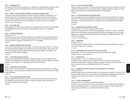#### **HA 212 — RENAISSANCE ART**

Conducted in Florence, this course presents an in-depth study of Italian Renaissance painting, sculpture, and architecture from the late Middle Ages through the early Baroque. (G7: Humanities) 3 CREDITS

#### **HA 213 — ROME: A CULTURAL HISTORY IN PAINTING, SCULPTURE, AND ARCHITECTURE**

Conducted in Rome, this course examines the history of painting, sculpture, and architecture from antiquity to the present. Through field trips, lectures, and discussions, students are introduced to style, iconography, technical innovation, geography, and the cultural, social, economic, and political forces that have shaped Rome's visual arts. (G5: Western Civilization; G6: Arts; G7: Humanities) 3 CREDITS; 5 WEEKS IN JUNE/JULY

#### **HA 214 — ART IN NEW YORK**

Selected studies in the history of art, utilizing resources available in New York City. Critical and historical investigations arise from direct study of art and architecture. (G6: Arts; G7: Humanities) 3 CREDITS

#### **HA 215 — HISTORY OF MENSWEAR**

#### Prerequisite: HA 112

Surveys the history of men's costume in the West, from its foundations in ancient and medieval costume to the late 20th century, through illustrated lectures and visits to the Metropolitan Museum of Art and the Costume Collection at The Museum at FIT. (G7: Humanities) 3 CREDITS

#### **HA 216 — AMERICAN INDIAN ART AND CIVILIZATION**

A study of the art and culture of American Indians, from Alaska to the border of Mexico, from prehistoric time to the present. Students study architecture,carving, painting, pottery, rituals, textiles, and the dramatic changes in American Indian art and culture due to the violence of colonization. (G6: Humanities; G9: Other World Civilizations) 3 CREDITS

#### **HA 221 — EAST ASIAN ART AND CIVILIZATION**

Introduces major characteristics of East Asian civilizations through a survey of traditional art and architecture. Illustrated lectures survey artistic traditions in relation to historical, religious, and social aspects of these civilizations. (G7: Humanities; G9: Other World Civilizations) 3 CREDITS

# Courses

# **HA 223 — AFRICAN ART AND CIVILIZATION**

Surveys cultures of sub-Saharan Africa. Illustrated lectures present art and architecture in relation to history, religion, economic conditions, and social and political structures. (G7: Humanities; G9: Other World Civilizations)

3 CREDITS

# **HA 224 — PRE-COLUMBIAN ART AND CIVILIZATION**

Surveys civilizations of Latin America prior to the arrival of Columbus. Illustrated lectures focus on art, architecture, and performance in relation to economic conditions, history, and religion. (G7: Humanities; G9: Other World Civilizations)

3 CREDITS

# **HA 225 — ART AND CIVILIZATION OF INDIA**

Introduces major characteristics of the Indian civilization through a survey of its traditions of art and architecture. Illustrated lectures survey artistic tradition in relation to historical, religious, and social aspects of this civilization. (G7: Humanities; G9: Other World Civilizations) 3 CREDITS

# **HA 226 — ART AND CIVILIZATION OF THE ISLAMIC WORLD**

This course examines the art and civilization of the Islamic world, from the birth of Islam in the seventh century CE to the present. Students are introduced to the spiritual, philosophical, and sociopolitical factors that led to the formation of this multiethnic style. (G7: Humanities; G9: Other World Civilizations)

3 CREDITS

# **HA 227 — ARCHAEOLOGICAL EXCAVATION IN ISRAEL**

Prerequisite: HA 111 or HA 121 or approval of the instructor

Excavate an archaeological site in Israel and learn archaeological methods "on the job." Attend illustrated lectures three evenings a week, learning about the history, archaeology, and art of the eastern Mediterranean. Travel to Jerusalem and other sites, independently or on organized field trips. (G9: Other World Civilizations)

3 CREDITS; 5 WEEKS IN JUNE/JULY

#### **HA 231 — MODERN ART**

Prerequisite: HA 112 Presents the history of Western art from the 19th century through the mid-20th century in the context of cultural history. (G7: Humanities) 3 CREDITS

#### **HA 299 — INDEPENDENT STUDY IN HISTORY OF ART AND CIVILIZATION**

Prerequisites: a minimum 3.5 GPA and approval of instructor, chairperson, and dean VARIABLE CREDITS (3 CREDITS MAXIMUM)

#### **HA 311 — MEDIEVAL ART**

Prerequisite: HA 111 or HA 112 or approval of chairperson

Presents the history of Western art and civilization from the fall of Rome to the Renaissance. Illustrated lectures present architecture, painting, and sculpture in relation to pertinent religious, economic, and social conditions. (G5: Western Civilization; G7: Humanities) 3 CREDITS

# **HA 312 — WOMEN IN WESTERN ART FROM THE LATE 18TH CENTURY TO THE PRESENT** Prerequisite: HA 231

Students examine the role of women as creators and, to a lesser extent, subjects of art from the 18th through the 20th centuries. This course focuses on the contributions of selected women artists and touches on issues related to the depiction of women in Western art. (G7: Humanities) 3 CREDITS

### **HA 314 — HISTORY OF AMERICAN ART**

Prerequisite: HA 112 or equivalent, or approval of chairperson

A history of art in America from the the early colonial period to the early 20th century. Illustrated lectures present painting, sculpture, and architecture in relation to pertinent religious, political, economic, and social conditions. (G7: Humanities; G10: American History) 3 CREDITS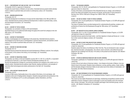#### **HA 331 — CONTEMPORARY ART AND CULTURE: 1945 TO THE PRESENT**

Prerequisite: HA 231 or approval of chairperson

Presents the recent history of Western art and culture. Illustrated lectures present artistic developments in relation to pertinent ideas and events in contemporary culture. (G7: Humanities) 3 CREDITS

#### **HA 332 — MODERN ARCHITECTURE**

#### Prerequisite: HA 112

Traces the development of architecture in Europe and the United States in the 19th and 20th centuries. Illustrated lectures present architectural developments in relation to pertinent ideas, events, and technological innovations. (G7: Humanities) 3 CREDITS

# **HA 342 — HISTORY OF TEXTILE DESIGN**

#### Prerequisites: two semesters of History of Art and Civilization

Illustrated lectures survey patterned textile design throughout the world from antiquity to the mid-20th century. (G7: Humanities) 3 CREDITS

# **HA 343 — HISTORY OF PHOTOGRAPHY**

A history of photography from its beginnings to the present day. Illustrated lectures present a chronological survey that focuses on photographers, technical advancements, and aesthetic considerations in the context of pertinent ideas and events. (G7: Humanities) 3 CREDITS

#### **HA 344 — HISTORY OF WESTERN COSTUME**

#### Prerequisite: HA 112

Illustrated lectures present the historical and social development of Western costume, from antiquity to the present, in the context of the history of art and design. (G7: Humanities) 3 CREDITS

#### **HA 345 — HISTORY OF INDUSTRIAL DESIGN**

Prerequisites: two History of Art and Civilization courses (HA 111, HA 112, or HA 231), or equivalent and approval of instructor, or (for Home Products Development students) HA 112 Surveys the development of design for commercial production from antiquity to the modern era in a cultural context. Illustrated lectures address major theories, leading contributors, and examples of work that reflect technological and artistic achievements in the field. (G7: Humanities) 3 CREDITS

#### **HA 346 — 20TH-CENTURY FASHION AND ART** Prerequisite: HA 231

A survey of 20th-century fashionable dress in the context of the history of art and design, with emphasis on the work of leading fashion designers. Students study garments and accessories in the collection of The Museum at FIT, as well as photographs, fashion illustrations, and films. 3 CREDITS

# **HA 391 — THE BAUHAUS (HONORS)**

Prerequisites: HA 112, HA 231, and qualification for Presidential Scholars Program, or 3.5 GPA with approval of dean for Liberal Arts

A study of the history and development of the influential German art, design, and architecture school; the artists and architects who served on its faculty; and the body of work produced in Germany from 1919 to 1933 and in Chicago from 1938 to 1944. (G7: Humanities) 3 CREDITS

# **HA 392 — THE ART OF VENICE: TITIAN TO TIEPOLO (HONORS)**

Prerequisites: HA 112 and qualification for Presidential Scholars Program, or 3.5 GPA with approval of dean for Liberal Arts

This study of Venetian history provides background for understanding the painting, sculpture, and architecture of Venice from the Renaissance through the 18th century. (G7: Humanities) 3 CREDITS

#### **HA 393 — ART AND MYTH IN THE CLASSICAL WORLD (HONORS)**

Prerequisites: HA 111 or HA 112 and qualification for Presidential Scholars Program, or 3.5 GPA with approval of dean for Liberal Arts

Illustrated lectures examine the Greek myths—and their depiction in Greek and Roman art—in relation to their social and religious contexts. (G7: Humanities) 3 CREDITS

# **HA 394 — HISTORY OF NEW YORK ARCHITECTURE (HONORS)**

Prerequisites: HA 112 and qualification for Presidential Scholars Program, or 3.5 GPA with approval of dean for Liberal Arts

Students explore the history of architecture in New York City. They are introduced to style, iconography, technical innovation, and geography. The cultural, social, economic, and political forces that shaped the city's buildings from the early 17th century to the present are also explored. (G5: Western Civilization; G6: Arts)

# 3 CREDITS

#### **HA 395 — STUDIES IN AMERICAN INDIAN ART AND CULTURE (HONORS)**

Prerequisite: qualification for Presidential Scholars Program, or 3.5 GPA with approval of dean for Liberal Arts

A study of the art and culture of American Indians—from Alaska to the border of Mexico, from prehistoric times to the present. Students study architecture, carving, painting, pottery, rituals, textiles, and the dramatic changes in American Indian art and culture due to the violence of colonization. (G7: Humanities; G9: Other World Civilizations)

# 3 CREDITS

#### **HA 396 — ART AND PATRONAGE IN THE ITALIAN RENAISSANCE (HONORS)**

Prerequisite: HA 112 and qualification for Presidential Scholars Program, or 3.5 GPA with approval of dean for Liberal Arts

This course surveys Italian Renaissance art patronage, emphasizing sociopolitical contexts and the celebration of power. Emphasis is given to patronage in courts and republics and to the merchant class, princes, and popes. The course also considers patronage of less dominant groups, such as women. (G5: Western Civilizations; G7: Humanities) 3 CREDITS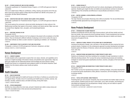#### **HA 397 — STUDIES IN MAYA ART AND CULTURE (HONORS)**

Prerequisite: qualification for Presidential Scholars Program, or 3.5 GPA with approval of dean for Liberal Arts

This is an in-depth study of Maya art, architecture, writing, weaving, and ceramics and of the way these visual forms express aspects of Maya daily life and belief from 300 BC to the present. (G7: Humanities; G9 Other World Civilizations) 3 CREDITS

#### **HA 398 — ARCHITECTURE AND FAITH: ANCIENT AND ISLAMIC CITIES (HONORS)**

Prerequisite: qualification for Presidential Scholars Program, or 3.5 GPA with approval of dean for Liberal Arts

This course explores the commercial, cultural and artistic development of urban cultures in the Mediterranean and Near East regions in the ancient, medieval, and Islamic periods. Major case studies include Rome, Baghdad, Cairo, Jerusalem, and Constantinople/Istanbul. 3 CREDITS

# **HA 411 — WESTERN THEORIES OF ART**

#### Prerequisite: HA 231

Students consider Western theories of art from antiquity to the present with an emphasis on the 20th century. They are introduced to different methods of analyzing a work of art as well as the ways in which these methods can affect a curator's decision in organizing an exhibition. (G7: Humanities) 3 CREDITS

#### **HA 499 — INDEPENDENT STUDY IN HISTORY OF ART AND CIVILIZATION**

Prerequisite: a minimum 3.5 GPA and approval of instructor, chairperson, and dean VARIABLE CREDITS (3 CREDITS MAXIMUM)

# Human Development

#### **HD 111 — CAREER PLANNING**

Provides students with an opportunity to explore their own values, interests, and capabilities and to acquire an in-depth knowledge of the fashion industry and potential career opportunities. Helps students gain insights into the relationship between self-knowledge and career decision-making. Students have access to a computerized career guidance system for the fashion industries. Guest speakers from the industry address career trends and options. 3 CREDITS

Courses

# Health Education

#### **HE 101 — HEALTH EDUCATION**

Stresses the holistic approach to health and focuses on the theory of wellness as a preventive measure against illness. Provides a forum for examining such health issues as nutrition, exercise, relationships, sexuality, substance abuse, and death and dying, among other topics. 1 CREDIT; 2 HOURS PER WEEK

# **HE 102 — STRESS MANAGEMENT**

Identifies how stress affects the mind, body, and spirit. Students learn skills to reduce stress and cope with unavoidable stress in their personal and professional lives. 1 CREDIT; 2 HOURS PER WEEK

#### **HE 201 — HUMAN SEXUALITY**

Examines human sexuality through the life cycle from cultural, physiological, and theoretical perspectives. Students gain insight into their own beliefs and sexual behavior and learn to develop an understanding of the similarities and differences in sexual attitudes and behavior of others. 3 CREDITS

#### **HE 301 — MOTOR LEARNING: A DEVELOPMENTAL APPROACH**

Prerequisite: SS 232

The major theories and principles influencing motor skills are presented. The role and effectiveness of developmentally appropriate toys and equipment are assessed. 3 CREDITS

# Home Products Development

#### **HP 201 — INTRODUCTION TO HOME PRODUCTS**

Students are familiarized with the wide range of home products, both soft lines (textile) and hard lines (non-textile), that comprise the home furnishings industry. Product development and merchandising within each category are emphasized. Many sessions take place at retailers and industry showrooms throughout the city.

3 CREDITS

#### **HP 231 — AMERICA AT HOME: PRODUCT STYLES FROM 1900 TO CONTEMPORARY**

Introduces the elements of design, color, and theory in the decorative arts that comprise the home products industry. Emphasis is on the contemporary approach to product development and design. Students explore the influence of historical, cultural, and social perspectives on products for the home. (G6: Arts)

3 CREDITS

#### **HP 313 — MANUFACTURING AND MARKETING OF HOME PRODUCTS HARD LINES I**

Students are introduced to hard lines marketing from conception through manufacture in order to effectively develop products. Part I surveys the various manufacturing processes and marketing strategies for several hard goods classifications (furniture, ceramics, and glass) of the home furnishings industry.

3 CREDITS

#### **HP 314 — MANUFACTURING AND MARKETING OF HOME PRODUCTS HARD LINES II** Prerequisite: HP 313

Part II further surveys the manufacturing processes, marketing strategies, and product development for several hard goods classifications (metal, giftware, housewares, and home lighting) of the home furnishings industry.

3 CREDITS

#### **HP 315 — TEXTILE APPLICATIONS: HOME PRODUCTS**

Presenting both user and consumer viewpoints, this course examines how textiles relate to end-use home products. Students study the ways in which fibers, yarns, fabric formation, and finishing are interrelated and integrated from the perspectives of design, styling, and cost relative to specific home products and target markets.

2.5 CREDITS; 2 LECTURE AND 1 LABORATORY HOURS PER WEEK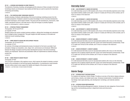#### **HP 321 — LICENSING AND BRANDING IN HOME PRODUCTS**

The elements of licensing, branding, and packaging and the relevance of these concepts to the home furnishings industry are introduced. Case studies and field trips are used to examine the importance of licensing and branding.

2 CREDITS

#### **HP 351 — THE EUROPEAN HOME FURNISHINGS INDUSTRY**

Students develop a firsthand understanding of the home furnishings marketing process from the European perspective. Emphasis is placed on product knowledge in terms of product development, production techniques, and European markets. The group will visit manufacturers, showrooms, retail outlets, specialized museums, and trade shows in Italy and Portugal (or possibly England). 3 CREDITS; APPROXIMATELY 3 WEEKS IN JANUARY

#### **HP 421 — STRATEGIC PRODUCT MANAGEMENT**

Prerequisites: HP 314 and HP 315

#### Co-requisite: HP 491

Students analyze and resolve complex business problems, utilizing their knowledge and understanding of strategic product management. They gain insights and skills necessary to formulate and implement sound marketing strategy.

3 CREDITS

#### **HP 491 — HOME PRODUCTS DESIGN AND DEVELOPMENT PROCESS**

Prerequisites: HP 314 and HP 315

Co-requisite: HP 421

An overview of the design and development process of products for the home is provided. Such principles of design as composition, color, shape, form, and structure are introduced. Differences between the design of products and the product development process in the home furnishings industry are emphasized. Teamwork and presentation skills are implemented as students develop a product line.

3 CREDITS

Courses

#### **HP 492 — HOME PRODUCTS SENIOR PROJECT**

#### Prerequisite: HP 491

The curriculum culminates in this capstone course, which requires the student to develop a product based on the coordination of soft and hard goods classifications. A comprehensive visual presentation and written product review support the viability and integrity of the product concept. 2 CREDITS; 1 LECTURE AND 2 STUDIO HOURS PER WEEK

# Internship Center

#### **IC 296 — AAS INTERNSHIP B: CAREER EXPLORATION**

A 2-credit internship course for AAS students with a focus on the internship experience and on helping students identify suitable career paths. A total of 12 weeks and 78 hours at the worksite, and 12 hours on campus in the classroom.

2 CREDITS

#### **IC 297 — AAS INTERNSHIP C: CAREER EXPLORATION**

A 3-credit internship course for AAS students with a focus on the internship experience and on helping students identify suitable career paths. A total of 12 weeks and 123 hours at the worksite, and 12 hours on campus in the classroom. 3 CREDITS

#### **IC 298 — AAS INTERNSHIP D: CAREER EXPLORATION**

A 4-credit internship course for AAS students with a focus on the internship experience and on helping students identify suitable career paths. A total of 12 weeks and 168 hours at the worksite, and 12 hours on campus in the classroom.

4 CREDITS

#### **IC 496 — SENIOR INTERNSHIP B: CAREER PLANNING**

A 2-credit advanced internship course for baccalaureate students with a focus on the internship experience and on helping students plan their careers and market themselves professionally. A total of 12 weeks and 78 hours at the worksite, and 12 hours on campus in the classroom. 2 CREDITS

#### **IC 497 — SENIOR INTERNSHIP C: CAREER PLANNING**

A 3-credit advanced internship course for baccalaureate students with a focus on the internship experience and on helping students plan their careers and market themselves professionally. A total of 12 weeks and 123 hours at the worksite, and 12 hours on campus in the classroom. 3 CREDITS

#### **IC 498 — SENIOR INTERNSHIP D: CAREER PLANNING**

A 4-credit advanced internship course for baccalaureate students with a focus on the internship experience and on helping students plan their careers and market themselves professionally. A total of 12 weeks and 168 hours at the worksite, and 12 hours on campus in the classroom. 4 CREDITS

# Interior Design

# **ID 101 — INTRODUCTION TO INTERIOR DESIGN**

For students not majoring in Interior Design. Provides an overview of the interior design profession and its history, industry, and related career areas. Introduces fundamentals of residential and contract design, basic space planning, color development, furnishings, and materials selection. 2 CREDITS

#### **ID 103 — INTERIOR DESIGN MERCHANDISING**

For Fashion Merchandising Management students. Introduces the main categories of home furnishings and the merchandising practices in department stores and showrooms. 2 CREDITS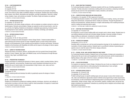#### **ID 104 — LIGHT/SOUND/MOTION**

Prerequisite: DE 131 Co-requisite: DE 133

For Visual Presentation and Exhibition Design students. The elements and principles of lighting, sound, and motion as they relate to exhibition design are introduced. Students learn about lamping, beam spread, color effects, illumination and calculation, and light manipulation. Electricity, voltage, wiring, breakers, fuses, and switches are studied. The effects of light and shadow are explored. 1.5 CREDITS; 3 STUDIO HOURS PER WEEK

#### **ID 115 — INTERIOR DESIGN STUDIO I**

# Co-requisites: ID 133 and ID 157

An introduction to the interior design profession, with an emphasis on problem solving for small residential spaces. Elements and principles of design are explored as well as human factors, color theory, and the art of lighting. Students are introduced to residential space planning, furniture layouts, the development of color schemes, and the selection of finishes, furnishings, and materials. 4 CREDITS; 8 STUDIO HOURS PER WEEK

#### **ID 116 — INTERIOR DESIGN STUDIO II**

Prerequisite: ID 115

#### Co-requisites: ID 134, ID 158, and ID 253

Reinforces concepts and skills developed in Interior Design Studio I. Extends student abilities in space planning and furniture layouts for larger residential spaces to small contract office spaces. Focuses on the development of color schemes and the selection of furniture and finishes. Introduces students to the Americans with Disabilities Act (ADA) and its impact on the design of interior spaces. 4 CREDITS; 8 STUDIO HOURS PER WEEK

#### **ID 121 — SURVEY OF INTERIOR DESIGN**

Analyzes the history of furniture, interiors, and decorative arts from ancient times through Gothic periods in France, England, Italy, Spain, and Middle Europe; and the Renaissance through Baroque periods in Italy, Spain, and Middle Europe.

2 CREDITS

Courses

#### **ID 133 — PRESENTATION TECHNIQUES I**

Presents techniques of rendering the elements of interior spaces in detail, including finishes, fabrics, window treatments, and accessories. Students learn quick visualization techniques and are introduced to the use of varied media in the representation of light, texture, color, value, and form. 1.5 CREDITS; 3 STUDIO HOURS PER WEEK

#### **ID 134 — PRESENTATION TECHNIQUES II**

Prerequisite: ID 133

Perfects rendering skills and develops the ability to graphically express the designs of interior spaces.

1.5 CREDITS; 3 STUDIO HOURS PER WEEK

#### **ID 135 — MODEL CONSTRUCTION**

Students are introduced to architectural modeling materials, techniques, shortcuts, and methods of construction to produce a full-color interior model for client presentation. All aspects of model building, from sketch models to laser, are considered.

1.5 CREDITS; 3 STUDIO HOURS PER WEEK

#### **ID 151 — BASIC DRAFTING TECHNIQUES**

For Continuing Education students. Familiarizes students with the use of drafting equipment and materials. Provides instruction in elementary drafting skills and conventions, employing mechanical pencils and pen and ink in the representation of plans, elevations, and sections. 1.5 CREDITS; 3 STUDIO HOURS PER WEEK

#### **ID 153 — COMPUTER SPACE MODELING AND VISUALIZATION**

Prerequisite or Co-requisite: ID 158 or approval of instructor

For Continuing Education students. The concepts and techniques of creating, viewing, and manipulating three-dimensional, computerized interior models are examined. Through the generation of sections and perspectives, students develop an in-depth understanding of the modeling techniques used for creating and analyzing interior space.

2 CREDITS; 1 LECTURE AND 2 COMPUTER LABORATORY HOURS PER WEEK

#### **ID 157 — DRAFTING FOR INTERIOR DESIGN**

Co-requisites: ID 115 and ID 133

An introductory course to basic drafting skills and concepts used in interior design. Students learn to use drafting materials and tools and to produce design drawings. Universal concepts of interior design drafting are addressed, including line weights and types, scale, and elevation. 1.5 CREDITS; 1 LECTURE AND 1 STUDIO HOURS PER WEEK

#### **ID 158 — PERSPECTIVE DRAWING**

#### Prerequisite: ID 151 or ID 157

Develops skills in producing one- and two-point perspective drawings for the visualization and communication of interior design solutions. Students learn to use different methods of generating perspective views to meet the needs of the interior design profession. 1.5 CREDITS; 3 STUDIO HOURS PER WEEK

#### **ID 172 — DESIGN, COLOR, AND LIGHTING PRINCIPLES AND THEORY**

For Continuing Education students. Students focus on the principles of design and composition as influenced by the use of color and its application in the built environment, and the fundamentals of lighting design as they apply to the form, texture, and finish of interior space. 1.5 CREDITS; 1 LECTURE AND 1 STUDIO HOURS PER WEEK

#### **ID 201 — COLOR FOR INTERIORS**

For students not majoring in Interior Design. Introduces the use of color as a design tool for both residential and contract interiors while analyzing the interrelationship of color and light. 2.5 CREDITS; 1 LECTURE AND 3 STUDIO HOURS PER WEEK

#### **ID 212 — INTERIOR DESIGN STUDIO III**

Prerequisites: ID 116 and ID 158 Co-requisites: ID 241 and ID 243

Problem solving focuses on specific building types and user groups in areas which include corporate, retail, and institutional. Appropriate research methods and programming of client requirements are introduced, as well as techniques of diagramming space to provide proper circulation and activity relationships. Design concept, image, color and finishes, graphics, building codes, and barrier-free design compliance are emphasized. Evaluations by practicing interior designers and architects highlight student presentations.

4 CREDITS; 8 STUDIO HOURS PER WEEK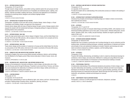### **ID 214 — INTERIOR DESIGN STUDIO IV**

#### Prerequisites: ID 212 and ID 243

Through research, design analysis, and problem solving, students explore the user-groups and challenges associated with the multi-functional use of hospitality and residential spaces. Lighting, color finishes, materials and details, building code issues, and barrier-free applications are emphasized. Evaluations by practicing interior designers and architects highlight student presentations.

4 CREDITS; 8 STUDIO HOURS PER WEEK

## **ID 218 — INTRODUCTION TO DESIGN FOR THE THEATRE**

Prerequisites: completion of first-year AAS courses in Fashion Design, Interior Design, or Visual Presentation and Exhibition Design, and approval of the chairperson

Extends interior design skills into areas of theatrical design through a series of design projects which acquaint the student with the fundamental techniques of designing settings for stage and television, including fashion show productions.

2 CREDITS; 1 LECTURE AND 2 STUDIO HOURS PER WEEK

### **ID 221 — INTERIOR DESIGN: 1650-1850**

Traces the major period styles used in interior design in England, France, and the United States from the mid-17th to the mid-19th centuries, with an analysis of their evolution from concepts and forms developed in early classic civilizations.

2.5 CREDITS; 2 LECTURE AND 1 STUDIO HOURS PER WEEK

## **ID 222 — INTERIOR DESIGN: 1850-1950**

Traces interior design and the evolution of modernism in Europe and the United States from the theory and practice of mid-19th century reformers to the modern movements of the early 20th century. 2.5 CREDITS; 2 LECTURE AND 1 STUDIO HOURS PER WEEK

### **ID 225 — DOMESTIC ARTS AND ARCHITECTURE IN BRITAIN: 1500-1830**

Conducted in England, this course surveys British domestic architecture, interiors, and furnishings from the Medieval to the Regency period. Many lectures take place in historic houses, towns, and museums.

3 CREDITS; APPROXIMATELY 21 DAYS IN JUNE

## **ID 226 — DECORATIVE ARTS, ARCHITECTURE, AND INTERIOR DESIGN IN ITALY**

Focuses on the development of domestic architecture, interior design, and decorative arts in Italy from the Etruscan period through the Baroque. Presented in and around Rome, Florence, and Venice, the course emphasizes the relationship of architecture and interior design, textiles and furniture, as well as the integration of painting and sculpture.

3 CREDITS; APPROXIMATELY 3 WEEKS IN JANUARY AND/OR JUNE

### **ID 241 — LIGHTING DESIGN I**

Courses

Prerequisite: ID 115 Co-requisites: ID 212 and ID 243 Provides basic understanding of vision as affected by light, color, texture, and form. Introduces basic principles of lighting design including criteria, calculations, planning, and layout. 1.5 CREDITS; 1 LECTURE AND 1 STUDIO HOURS PER WEEK

#### **ID 243 — MATERIALS AND METHODS OF INTERIOR CONSTRUCTION I**

Prerequisite: ID 115 Co-requisites: ID 212 and ID 241 Provides the student with an understanding of the construction process as it relates to the building of interior spaces. 1.5 CREDITS; 3 STUDIO HOURS PER WEEK

### **ID 245 — INTRODUCTION TO INTERIOR PLANTSCAPING DESIGN**

Introduces the principles and techniques of planting design as it relates to interior environments, both residential and contract. 3 CREDITS; 2 LECTURE AND 2 STUDIO HOURS PER WEEK

### **ID 253 — AUTOCAD I**

Prerequisites: CG 111 and ID 157

Introduces general concepts of Computer-Aided Design and Drafting (CADD), with emphasis on twodimensional drafting applications such as floor plans, furniture plans, reflected ceiling plans, and elevations. Students create, store, modify, and plot drawings. Students are taught to generate hard copies of their work.

1.5 CREDITS; 3 COMPUTER LABORATORY HOURS PER WEEK

### **ID 254 — INTERIOR DESIGN WORKING DRAWINGS**

#### Prerequisites: ID 158 and ID 243

Students learn how to prepare a construction set of working drawings for use by contractors and the building trades. Architectural drafting techniques, schedules, specifications of materials and finishes, and principles of door and cabinetwork detailing are included. Students read drawings and understand conventions employed by architects, engineers, and the building trades. 2 CREDITS; 4 STUDIO HOURS PER WEEK

## **ID 255 — AUTOCAD II**

## Prerequisite: ID 253

Presents CAD drafting, dimensioning, and detailing in order to create two-dimensional drawings for architecture, interior design, and construction. Methods for creating and using different line types and text styles are demonstrated. An introduction to three-dimensional modeling is included. 1.5 CREDITS; 3 COMPUTER LABORATORY HOURS PER WEEK

#### **ID 262 — PROFESSIONAL PRACTICE I**

A fundamental understanding of the professional standards and practices of interior design, including client relationships and marketing, is provided. Business methods and client record-keeping techniques are introduced. Fabric and furniture resources, typical sampling, specifying, and manufacturing processes are researched and discussed. Special floorings and wall coverings, window treatments, and upholstery methods and techniques are reviewed. 2 CREDITS

## **ID 299 — INDEPENDENT STUDY IN INTERIOR DESIGN**

Prerequisite: a minimum 3.5 GPA and approval of instructor, chairperson, and dean VARIABLE CREDITS (3 CREDITS MAXIMUM)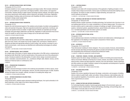#### **ID 312 — INTERIOR DESIGN STUDIO: INSTITUTIONAL**

#### Prerequisite: ID 214 or ID 314

Introduces students to more complex building types and design studies. Work includes institutional spaces, such as health care, government, and religious facilities, cultural centers, and supportive communities. Students develop in-depth research and design analysis methods, and explore specific user-group requirements which address cultural, behavioral, and quality-of-life issues. Application and knowledge of building codes and Americans with Disabilities Act (ADA) compliance are further developed in design project assignments.

4 CREDITS; 8 STUDIO HOURS PER WEEK

#### **ID 314 — INTERIOR DESIGN STUDIO: RESIDENTIAL**

#### Prerequisite: ID 214

Explores the multi-dimensional aspects of the residence and principles of problem solving applied to urban and suburban living space. High-end cooperative/condominium apartments, townhouse, and country and vacation homes are studied. In-depth research methods are expanded upon through exchanges with guest design collaborators and field trips. Application of codes and barrier-free environments are studied, as well as focus areas of design such as the bath and/or kitchen. 4 CREDITS; 8 STUDIO HOURS PER WEEK

#### **ID 322 — DECORATIVE ARTS SURVEY**

Surveys the decorative arts and other related objects, including porcelain and ceramics, metalwork, glass and wood, frames, and carpets from Europe, England, Asia, and America. Students learn to recognize and determine appropriate artifacts as well as ceiling, wall, and floor coverings for use in interior environments. Local resources are identified and craftsmanship technologies are outlined and explored.

2 CREDITS; 1 LECTURE AND 2 STUDIO HOURS PER WEEK

#### **ID 323 — INTERIOR DESIGN: 1950 TO PRESENT**

An in-depth study of the history of interior design and decoration in the 20th century, emphasizing its development after World War II and the transformation of the practice and role of the professional in society. Introduces students to the philosophies of modern interior design movements (postmodernism, minimalism, deconstructionism, etc.), practitioners (Wright, Aalto, Baldwin, Eames), and the influence of historical styles on contemporary work.

## 2 CREDITS

## **ID 331 — PRESENTATION TECHNIQUES III**

#### Prerequisite: ID 134

Courses

Studies in advanced techniques involved in the rendering and presentation of interior spaces, including collage, colored pencil, film, photography, airbrush, and other advanced types of media. Students develop and explore new concepts, methods, and ideas for formatting their design work. 1.5 CREDITS; 3 STUDIO HOURS PER WEEK

### **ID 332 — INTERIOR RENDERING IN COLORED PENCIL**

#### Prerequisite: ID 133

Using colored pencil, students explore advanced rendering techniques, from quick schematics to finished renderings, as they relate to the interior design profession. 1.5 CREDITS; 3 STUDIO HOURS PER WEEK

#### **ID 341 — LIGHTING DESIGN II**

#### Prerequisite: ID 241

Advanced course deals with increased awareness of the application of lighting principles in more complex interior design environments. Various types of architectural and decorative lighting sources are explored. The impact of codes compliance, budget estimating, and project cost control methods are examined.

1.5 CREDITS; 1 LECTURE AND 1 STUDIO HOURS PER WEEK

#### **ID 343 — MATERIALS AND METHODS OF INTERIOR CONSTRUCTION II**

#### Prerequisites: ID 158 and ID 243

Students develop a greater awareness of building technology: the functional role of structure in various building types and how it is a major consideration in an interior design project. The various construction systems used to create exterior envelopes of buildings are taught. Vertical circulation systems, mechanical systems, specialized hardware, special finishes and coatings, and the various C.S.I. formatted specification and information systems are studied.

2 CREDITS; 1 LECTURE AND 2 STUDIO HOURS PER WEEK

#### **ID 346 — INTERIOR ARCHITECTURAL DETAIL**

#### Prerequisite: ID 254

Course addresses basic elements of architectural woodwork and related joinery methodologies and their application to the detailing of various custom components of interior spaces. 1.5 CREDITS; 3 STUDIO HOURS PER WEEK

## **ID 354 — AUTOCAD III**

#### Prerequisites: ID 214 and ID 255

Three-dimensional modeling for interior designers. The course consists of lectures, demonstrations, and lab exercises describing and teaching the general concepts and techniques of creating, viewing, and manipulating three-dimensional computerized architectural models.

1.5 CREDITS; 3 COMPUTER LABORATORY HOURS PER WEEK

#### **ID 362 — FURNITURE, FINISHES, FIXTURES, AND EQUIPMENT**

Students explore the interior design marketplace as it relates to furnishing and accessorizing the interior environment. Methods of learning how to locate, evaluate, and modify such items as upholstered furniture, kitchen and bath equipment, hardware, floor and wall finishes, window treatments, and office systems are studied. Emphasis is placed on the preparation and development of specifications and procurement of design products.

1.5 CREDITS; 1 LECTURE AND 1 STUDIO HOURS PER WEEK

### **ID 363 — BUILDING REGULATIONS**

#### Prerequisite: ID 243

Studies of the various regulations that govern the design, construction, and occupancy of building interiors relative to public health, safety, and welfare. Zoning ordinances, state building codes, federal occupational regulations, fire prevention, egress, barrier-free accessibility (ADA), and administrative requirements are covered.

3 CREDITS

### **ID 373 — HUMAN FACTORS AND INTERIOR ERGONOMICS**

For Continuing Education students. Examine appropriate design to fit environment, space, and equipment to human characteristics. Physical anthropology, physiology, and psychology play a role in the design of everyday tasks at work and in the home. 2 CREDITS; 1 LECTURE AND 2 STUDIO HOURS PER WEEK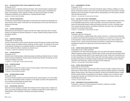## **ID 412 — INTERIOR DESIGN STUDIO: STORE PLANNING/RETAIL DESIGN**

#### Prerequisite: ID 314

Advanced problems in retail/store planning and design, which include boutiques, specialty shops, and department stores. Awareness of regulations and codes, design analysis, presentation techniques, and marketing as well as methods of written and verbal communication are studied. Professional practitioners act as collaborators in evaluating student projects. 4 CREDITS; 8 STUDIO HOURS PER WEEK

#### **ID 421 — HISTORIC PRESERVATION I**

Provides basic understanding and appreciation of preservation and considers the appropriate recycling of historic interior spaces. Preservation and recycling projects in this country and abroad are analyzed and discussed.

2 CREDITS

#### **ID 422 — HISTORIC PRESERVATION II**

Advanced course with emphasis on research and field work. Major preservation and/or recycling projects to be selected and executed individually or in groups. Students develop programs and prepare design solutions.

2 CREDITS

#### **ID 431 — COMPUTER RENDERING**

#### Prerequisites: ID 134 and ID 255

Lectures, demonstrations, and lab exercises describe and teach the general concepts and techniques of creating, viewing, and editing computer renderings of interior spaces. The software for the course is internationally recognized as an acceptable standard for manipulating graphics. The computer offers the student the ability to constantly view and alter work. 1.5 CREDITS; 3 COMPUTER LABORATORY HOURS PER WEEK

#### **ID 441 — LIGHTING DESIGN III**

#### Prerequisite: ID 341

Advanced study of lighting design, emphasizing design and detailing of lighting fixtures for residential and commercial installations. Students explore manufacturing methods and materials, and estimating and obtaining cost quotes.

1.5 CREDITS; 1 LECTURE AND 1 STUDIO HOURS PER WEEK

## **ID 444 — FURNITURE DESIGN**

#### Prerequisite: ID 346

Courses

An introductory course to the creative process of furniture design. Human factors and ergonomics related to furniture design are studied in depth. 1.5 CREDITS; 3 STUDIO HOURS PER WEEK

#### **ID 445 — INTERIOR PRODUCT DESIGN**

#### Prerequisite: ID 346

The course introduces students to three-dimensional interior product design for use in the residential, contract, and hospitality markets. Emphasis is on the design of products with specialized functions, including universal design and special needs.

1.5 CREDITS; 3 STUDIO HOURS PER WEEK

#### **ID 461 — PROFESSIONAL PRACTICE II**

Deals with common situations associated with professional interior design practice, including contracts, procurement and billing procedures, fees, marketing and sales efforts, public relations, professional ethics, office organization, estimating, and progress scheduling. 2 CREDITS

#### **ID 471 — ENVIRONMENTAL SYSTEMS**

#### Prerequisite: ID 115

Examines the control of interior environments through the supply of heating, ventilating, air conditioning, and plumbing systems; study of the various electrical systems and sub-systems is included. Reference sources are provided so students build an understanding of how these systems interface within the built environment.

2 CREDITS; 1 LECTURE AND 2 STUDIO HOURS PER WEEK

#### **ID 472 — ECOLOGY AND THE BUILT ENVIRONMENT**

The growing impact of ecology on the interior design profession is studied and includes such topics as non-depletable energy services, energy conservation, and resource conservation. Students explore the relationships between ecology and building construction, furniture, furnishings, equipment, building mechanical systems, and building maintenance. Recycling, reuse, and ecological awareness are among the areas studied.

2 CREDITS; 1 LECTURE AND 2 STUDIO HOURS PER WEEK

### **ID 493 — INTERNSHIP**

Prerequisite: approval of chairperson

A 12-week internship in a qualified design office, industry showroom, or trade/workroom/fabricator as selected by the student with the approval of the chairperson, for a minimum of 10 hours per week (or the equivalent). Includes individual interviews and assessment reviews with the student and instructor for pre-, during, and post-internship work experience. Assessment forms analyzing and evaluating the experience are required and a final closure interview is held. 3 CREDITS

#### **ID 494 — SENIOR THESIS DESIGN PROJECT RESEARCH**

#### Prerequisites: ID 314, ID 363, and EN 323

A prerequisite to the senior thesis design project, this course deals with research methodology related to preparing a design program. Students obtain, develop, and analyze data and design criteria as well as building drawings specific to their selected areas of study. Faculty and a professional mentor/expert specializing in the student's field of study offer information, guidance, and counsel during the programming phase and subsequent design development of the following semester. Students select their senior thesis topic, subject to the approval of the chairperson. 2 CREDITS; 1 LECTURE AND 2 STUDIO HOURS PER WEEK

#### **ID 495 — SENIOR THESIS DESIGN PROJECT**

#### Prerequisites: ID 412 and ID 494

Based on the design program researched and written in the prior semester, students prepare a capstone project in interior design which synthesizes space planning, building regulations, accessibility, lighting, furniture layouts, color finishes and materials, furniture and furnishings selections, details, and their selected methods of presentation/communication. Students work in a classroom studio throughout the semester and culminate their study with a presentation to faculty, mentors, and invited design professionals.

4 CREDITS; 8 STUDIO HOURS PER WEEK

#### **ID 499 — INDEPENDENT STUDY IN INTERIOR DESIGN**

Prerequisite: a minimum 3.5 GPA and approval of instructor, chairperson, and dean VARIABLE CREDITS (3 CREDITS MAXIMUM)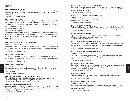## **Illustration**

## **IL 103 — ILLUSTRATING THE MALE FIGURE**

For Menswear students. Study of the human anatomy, proportions, and movement of the male figure, employing varied media, is presented. How garments are affected by muscle movement is emphasized.

1.5 CREDITS; 3 STUDIO HOURS PER WEEK

## **IL 111 — FASHION ILLUSTRATION I**

For Continuing Education students. Students study the procedures and principles of fashion illustration and translate drawings from the live model into finished fashion illustrations, rendering clothing and accessories. Use of pen and ink, marker, and brush and wash techniques suitable for black-andwhite reproduction is discussed.

3 CREDITS; 6 STUDIO HOURS PER WEEK

## **IL 114 — FASHION APPLICATIONS**

The fundamental principles and skills required for commercial fashion illustration are taught. Using black-and-white media geared to print and electronic reproduction, students create fashion images working from the live model. Focus is on developing an individual style and creating exciting, dramatic images.

1.5 CREDITS; 3 STUDIO HOURS PER WEEK

## **IL 115 — CONCEPTS OF LIFESTYLE/FASHION ILLUSTRATION I**

Prerequisites: IL 114 and IL 141

Students develop skills in drawing, stylization, and visual narrative. These techniques are applied to fashion illustration and other areas such as music, political cartoons, portraits, spots, graphic novels, and science fiction.

1.5 CREDITS; 3 STUDIO HOURS PER WEEK

### **IL 123 — GENERAL ILLUSTRATION I**

Explores media, techniques, and art research. Introduces students to printing and the application of general illustration to specific design problems; directs them to tap and discover personal resources for artistic expression. (G6: Arts)

1.5 CREDITS; 3 STUDIO HOURS PER WEEK

## **IL 124 — GENERAL ILLUSTRATION II**

### Prerequisite: IL 123

Courses

Students learn all aspects of producing illustrations, from initial concept to finished artwork, mastering composition and draftsmanship, finding creative solutions, and considering value, tonal contrast, and color harmony.

3 CREDITS; 6 STUDIO HOURS PER WEEK

### **IL 125 — INTRODUCTION TO ADOBE PHOTOSHOP FOR THE ILLUSTRATOR**

This introduction to basic Adobe Photoshop enables students to apply its computer power to the production of both digital and traditional imagery from concept to finish. 2 CREDITS; 1 LECTURE AND 2 COMPUTER LABORATORY HOURS PER WEEK

## **IL 126 — WATERCOLOR COMPS AND ILLUSTRATIONS**

Students learn to develop a wide variety of illustration projects in watercolor, from comps to finishes that are ready for reproduction. Emphasis is on real-world assignments for newspapers, magazines, packaging, advertising, and children's book illustrations. 1.5 CREDITS; 3 STUDIO HOURS PER WEEK

#### **IL 127 — APPLYING COLOR TO ILLUSTRATE THE WRITTEN WORD**

Students learn to use color to produce effective pictorial representations of the written word. By learning the key properties of color and how to manipulate them, students achieve an understanding of color rendering for reproduction. 1.5 CREDITS; 3 STUDIO HOURS PER WEEK

## **IL 128 — PERSPECTIVE DRAWING, COMPOSITION AND CONCEPT**

#### Prerequisite: IL 133

Students learn to apply perspective drawing, composition and conceptualization as a means of developing visual communication skills. 1.5 CREDITS; 3 STUDIO HOURS PER WEEK

### **IL 131 — ILLUSTRATION LIFE DRAWING I**

For Continuing Education students. Study of anatomy, proportion, and drawing in charcoal, pencil, marker, and pastel, and of the nude figure as the basis for understanding the fashion figure. (G6: Arts) 1.5 CREDITS; 3 STUDIO HOURS PER WEEK

### **IL 132 — ILLUSTRATION LIFE DRAWING II**

For Continuing Education students. Continuation of drawing the nude figure from the illustration point of view. Muscle structure is stressed in varied media. 1.5 CREDITS; 3 STUDIO HOURS PER WEEK

## **IL 133 — ANATOMICAL LIFE DRAWING FOR THE ILLUSTRATOR I**

This introductory course in anatomy and life drawing focuses on the skeletal and muscular systems of the body in order to understand the human form, its proportions, contours, and characteristic periphery of movement.

2 CREDITS; 1 LECTURE AND 2 STUDIO HOURS PER WEEK

### **IL 134 — ANATOMICAL LIFE DRAWING FOR THE ILLUSTRATOR II**

### Prerequisite: IL 133

This course extends the understanding of basic anatomy for the artists. Students learn to artistically render the human form through the exploration of composition, perspective, mood, and the effects of light.

1.5 CREDITS; 3 STUDIO HOURS PER WEEK

### **IL 141 — FASHION EXPRESSION IN DRAWING**

Students work from live models to learn drawing skills, fundamental anatomy, and the dynamics of movement in order to develop a foundation for producing high-quality fashion illustrations. Both fashion and human proportion are stressed.

1.5 CREDITS; 3 STUDIO HOURS PER WEEK

### **IL 143 — FASHION DRAWING I**

For Continuing Education students. Drawing from the fashion model. Emphasizes line drawing in charcoal, conte, and other black-and-white media. 2 CREDITS; 4 STUDIO HOURS PER WEEK

## **IL 145 — FASHION DRAWING AND STYLIZATION I**

Prerequisites: IL 114 and IL 141

Students learn the principles of foundation-level figure drawing and develop their skills of observation, interpretation, and eye-hand coordination. An introduction to the fashion and lifestyle illustration marketplace is also presented. 3 CREDITS; 6 STUDIO HOURS PER WEEK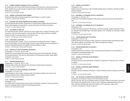#### **IL 151 — DYNAMIC DRAWING TECHNIQUES FOR THE ILLUSTRATOR**

An introduction to dry and wet media drawing techniques of the human form using monochromatic media. Students focus on the concepts of physical contour, stylistic flair, and the dynamics of a clothed figure's movement.

2 CREDITS; 4 STUDIO HOURS PER WEEK

#### **IL 152 — GENERAL ILLUSTRATION FIGURE DRAWING I**

Students develop skills in drawing grouped and cropped figures in a variety of media. 1.5 CREDITS; 3 STUDIO HOURS PER WEEK

#### **IL 175 — ACCESSORY AND FIGURE COMPOSITION FOR FASHION ILLUSTRATION**

For Continuing Education students. Students learn to render fashion-related products and fashion figures using imaginative new approaches. Unusual perspectives and themes are explored. 1.5 CREDITS; 3 STUDIO HOURS PER WEEK

#### **IL 181 — THE ESSENCE OF COMIC ART**

For Continuing Education students. Cultivates the unique graphic style in magazine cartooning, political cartoons, and comic book characters, stressing satire, whimsy, fantasy, and humor. Students develop the ability to succinctly express a comic point of view. 2 CREDITS; 1 LECTURE AND 2 STUDIO HOURS PER WEEK

#### **IL 183 — COMIC BOOK ILLUSTRATION**

For Continuing Education students. This course addresses the professional process of creating comic book illustration, from character design to panel-to-panel continuity and story development. It focuses on sequential illustration as it applies to visual storytelling in comics. 2 CREDITS; 1 LECTURE AND 2 STUDIO HOURS PER WEEK

#### **IL 210 — CONCEPTS OF LIFESTYLE/FASHION ILLUSTRATION II**

Prerequisites: IL 115 and (IL 144 or IL 145) Students learn various approaches to fashion lifestyle drawing and further develop their drawings into finished illustrations. They draw the stylized figure by incorporating line quality, shape, graphic composition, and context.

3 CREDITS; 6 STUDIO HOURS PER WEEK

#### **IL 211 — FASHION INTERPRETATION III**

Prerequisites: IL 113 and (IL 144 or IL 145) Continues study of black-and-white and color techniques in finished fashion illustrations. 2.5 CREDITS; 5 STUDIO HOURS PER WEEK

#### **IL 212 — CONCEPTS OF LIFESTYLE/FASHION ILLUSTRATION III**

Prerequisites: IL 211 and IL 241 Experimentation in various media, employing styles and techniques suitable to the most current clothing and fashion trends. Students prepare portfolios. 3 CREDITS; 6 STUDIO HOURS PER WEEK

#### **IL 223 — GENERAL ILLUSTRATION III**

Prerequisite: IL 124

Courses

From initial rough to finished artwork using a variety of techniques, emphasis is placed on the development of conceptual ideas for editorial and advertising illustration.

3 CREDITS; 6 STUDIO HOURS PER WEEK

#### **IL 224 — GENERAL ILLUSTRATION IV**

Prerequisite: IL 223 Students work on projects from rough to finished portfolio pieces. Imaginative, illustrative problem solving is analyzed. 3 CREDITS; 6 STUDIO HOURS PER WEEK

#### **IL 231 — ANATOMICAL LIFE DRAWING FOR THE ILLUSTRATOR III**

Prerequisites: IL 133 and IL 134 Further study of the illustrative approach to life drawing, employing chiaroscuro and introducing color. 1.5 CREDITS; 3 STUDIO HOURS PER WEEK

#### **IL 232 — ANATOMICAL LIFE DRAWING FOR THE ILLUSTRATOR IV**

#### Prerequisite: IL 231

A study of the fashion approach to life drawing, involving increasingly complex interactions of fashion concepts on the undraped figure. Expression, gesture, color, and pattern are examined in relation to backgrounds.

1.5 CREDITS; 3 STUDIO HOURS PER WEEK

#### **IL 241 — FASHION DRAWING AND STYLIZATION II**

Prerequisite: IL 144 or IL 145

Continues drawing from the fashion model. Emphasis on clothing character and techniques using color, washes, pastels, and combined media. Texture and pattern are analyzed. 3 CREDITS; 6 STUDIO HOURS PER WEEK

#### **IL 242 — FASHION DRAWING AND STYLIZATION III**

#### Prerequisite: IL 241

Continues drawing from the fashion model, stressing individual approaches. Experimentation is encouraged on a professional studio level. 3 CREDITS; 6 STUDIO HOURS PER WEEK

### **IL 251 — GENERAL ILLUSTRATION FIGURE DRAWING II**

Prerequisite: IL 152 Drawing of individual and grouped figures, including the relationship of space and color. A portfolio is prepared. 1.5 CREDITS; 3 STUDIO HOURS PER WEEK

#### **IL 252 — GENERAL ILLUSTRATION FIGURE DRAWING III**

Prerequisite: IL 251 Emphasizes advanced treatment of the figure in relation to editorial projects employing a wide range of media.

1.5 CREDITS; 3 STUDIO HOURS PER WEEK

## **IL 261 — THE ITALIAN WAY: LESSONS FROM THE MASTERS FOR OUR TIME**

Prerequisite: two semesters of History of Art and Civilization courses Offered in Florence, this course introduces students to aspects of Italian art and culture, which affect their aesthetic and pragmatic points of view as artists. Emphasizes relationship between the concepts, materials, and techniques used by the masters, and its relevance to today's artist. 2.5 CREDITS; APPROXIMATELY 5 WEEKS IN JUNE/JULY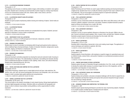#### **IL 272 — ILLUSTRATION RENDERING TECHNIQUES**

#### Prerequisite: IL 127

This painting course focuses on rendering realistic imagery while building on students' color application skills. Students learn to develop accurate facsimiles of photo images by creating visual illusions of 3D on two-dimensional surfaces with color, shadow, depth, mood, texture, and form. 1.5 CREDITS; 3 STUDIO HOURS PER WEEK

#### **IL 273 — ILLUSTRATION CONCEPTS AND APPLICATIONS I**

Prerequisite: IL 127

Students are given projects emphasizing realistic drawing and rendering of objects. Varied media are employed.

1.5 CREDITS; 3 STUDIO HOURS PER WEEK

#### **IL 274 — ILLUSTRATION PROCESS**

Prerequisite: IL 272

Fantasy, humor, conflict, and similar emotions are conceptualized into projects. Students' personal approach to illustration in various media is emphasized. 1.5 CREDITS; 3 STUDIO HOURS PER WEEK

#### **IL 299 — INDEPENDENT STUDY IN ILLUSTRATION**

Prerequisites: a minimum 3.5 GPA and approval of instructor, chairperson, and dean VARIABLE CREDITS (3 CREDITS MAXIMUM)

#### **IL 302 — DRAWING FOR ANIMATION I**

Students learn to draw for animation by developing skills through quick gestural action analysis as well as traditional figure drawing techniques. Creation of character interaction, backgrounds, layouts, storylines, staging, and theatrics is emphasized. (G6: Arts) 2 CREDITS; 1 LECTURE AND 2 STUDIO HOURS PER WEEK

#### **IL 303 — DRAWING FOR ANIMATION II**

#### Prerequisite: IL 302

Advanced drawing for animation preparation by drawing the nude and costumed model, focusing on gestural analysis of the figure. The understanding of continuity in storytelling and character development is emphasized through the correlation of color, lighting, media, music, and cultural influences. Students keep a sketchbook/journal. (G6: Arts) 1.5 CREDITS; 3 STUDIO HOURS PER WEEK

#### **IL 321 — DIGITAL SKETCHING AND COMPING FOR THE ILLUSTRATOR**

#### Prerequisite: PH 272

Courses

Using Adobe Photoshop, students learn to create digital artwork and type; make selections; file, retrieve, scan, print, edit, and retouch photography and artwork; and manipulate, color, and combine images in order to produce high-quality sketches and comprehensives.

1.5 CREDITS; 3 COMPUTER LABORATORY HOURS PER WEEK

#### **IL 323 — ADOBE ILLUSTRATOR FOR THE ILLUSTRATOR**

#### Prerequisites: CD 201 and IL 125

This course builds on the student's knowledge of vector-based drawing, bitmap-based applications, and basic digital typography and design. Illustrative skills are synthesized with typography and design in order to enhance visual problem-solving abilities as well as opportunities for artistic expression.

2 CREDITS; 1 LECTURE AND 2 COMPUTER LABORATORY HOURS PER WEEK

#### **IL 324 — DIGITAL PAINTING FOR THE ILLUSTRATOR**

Prerequisite: IL 125

Adobe Photoshop and Corel Painter are used to apply traditional painting and drawing techniques in a digital format. Students learn how to modify the interface using the Power User's method to work more efficiently. They are encouraged to use these programs to experiment stylistically. 1.5 CREDITS; 3 COMPUTER LABORATORY HOURS PER WEEK

#### **IL 362 — THE ILLUSTRATOR'S HERITAGE I**

Prerequisite: IL 212 or IL 224

Combines a survey of decorative artists and illustration (late 19th to early 20th century) with visits to museums, galleries, designers' showrooms, and studios. Students complete illustration projects based on lectures and drawings from a model. (G6: Arts) 3 CREDITS; 2 LECTURE AND 2 STUDIO HOURS PER WEEK

#### **IL 364 — THE ILLUSTRATOR'S HERITAGE II**

#### Prerequisite: IL 362

Continues a survey of various aesthetic influences on illustrators from the early 1900s to the present. Course is enriched by guest speakers, films, museum visits, and field trips. Students complete illustration projects based on lectures and drawings from the model. (G6: Arts) 3 CREDITS; 2 LECTURE AND 2 STUDIO HOURS PER WEEK

### **IL 374 — BOOK ILLUSTRATION I**

## Prerequisite: IL 212 or IL 224 Develops skills in interpreting a manuscript or story and creating visual images. The application of various techniques and materials is explored. (G6: Arts) 1.5 CREDITS; 3 STUDIO HOURS PER WEEK

#### **IL 375 — BOOK ILLUSTRATION II**

#### Prerequisite: IL 374

Explores aspects of book illustration, with emphasis on specific imagery for specialized areas such as children's books, science fiction, and juvenile. Emphasis is on professional procedures and portfolio preparation.

1.5 CREDITS; 3 STUDIO HOURS PER WEEK

## **IL 376 — FANTASY AND SCIENCE FICTION ILLUSTRATION**

Students explore this genre of illustration through consideration of art, film, novels, and mythology to develop the creative skills necessary to produce images that rely on the imagination, and the extrapolation and integration of visual reference. 2 CREDITS; 1 LECTURE AND 2 STUDIO HOURS PER WEEK

#### **IL 382 — THE ILLUSTRATOR'S VISUAL SELF-EXPRESSION**

#### Prerequisite: IL 212 or IL 224

Explores fantasy and symbolism, and poses conceptual challenges with the intent to expand the students' imagination and help them develop and express their personal viewpoints through composition and rendering of design elements.

3.5 CREDITS; 1 LECTURE AND 5 STUDIO HOURS PER WEEK

#### **IL 383 — ADVANCED DRAWING AND COMPOSITION: THE PERSONAL VIEW** Prerequisite: IL 382

Students acquire special drawing techniques to provide new ways of perceiving subjects. Emphasis is on complex projects (multiple figures in background) and research. 3.5 CREDITS; 1 LECTURE AND 5 STUDIO HOURS PER WEEK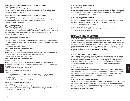#### **IL 388 — MATERIALS AND TECHNIQUES: MIXED MEDIA, INCLUDING PHOTOGRAPHY**

Prerequisite: IL 212 or IL 224

Examines the range of media available to the illustrator, including use of photographic reference material. Emphasis is on use of varied techniques to solve difficult or unusual design problems. 2 CREDITS; 4 STUDIO HOURS PER WEEK

## **IL 389 — MATERIALS AND TECHNIQUES: MIXED MEDIA, INCLUDING PHOTOGRAPHY**

Prerequisite: IL 388

Examines the range of unusual and experimental media available to the illustrator. Enlarges and develops students' personal techniques as it explores experimental options. 2 CREDITS; 4 STUDIO HOURS PER WEEK

#### **IL 461 — ILLUSTRATION WORKSHOP**

#### Prerequisites: IL 383 and IL 389

Exposes students to the working world by assigning actual client-generated projects. Students become familiar with standard business practices including client approval, bookkeeping systems, work schedules, and billing procedures. Reproduction-ready artwork is ultimately delivered to the client. 3 CREDITS; 6 STUDIO HOURS PER WEEK

### **IL 463 — ILLUSTRATOR'S PORTFOLIO DEVELOPMENT**

#### Prerequisite: approval of chairperson

The illustrator focuses on creating a professional-quality portfolio, developing specific commercial applications and markets for work, and career networking as the transition is made from art student to art professional.

1.5 CREDITS; 3 STUDIO HOURS PER WEEK

### **IL 471 — THE ILLUSTRATOR AS DOCUMENTARY ARTIST I**

#### Prerequisite: IL 383 and IL 389

Acquaints the student with the special considerations of reportage illustration. New techniques to capture the immediacy of on-the-spot specialized illustration are introduced. 2 CREDITS; 1 LECTURE AND 2 STUDIO HOURS PER WEEK

### **IL 472 — THE ILLUSTRATOR AS DOCUMENTARY ARTIST II**

### Prerequisite: IL 471

Allows a more in-depth study for the documentary artist, including the completion of a portfolio of on-location illustrations. Varied techniques are explored to encourage students to develop an individual approach.

### 2 CREDITS; 1 LECTURE AND 2 STUDIO HOURS PER WEEK

## **IL 482 — COLOR RENDERING IN ADVANCED MEDIA I**

#### Prerequisite: IL 389

Courses

Examines the techniques, materials, and methods of painting in oils and/or acrylics as they apply to illustration. Encourages professional development as well as experimentation in visual and narrative elements and style.

2.5 CREDITS; 1 LECTURE AND 3 STUDIO HOURS PER WEEK

## **IL 483 — COLOR RENDERING IN ADVANCED MEDIA II**

## Prerequisite: IL 482

Utilizing the knowledge and skills acquired in IL 482, students concentrate on developing a highly finished illustration technique while continuing to evolve their individual styles in painting. 1.5 CREDITS; 3 STUDIO HOURS PER WEEK

#### **IL 491 — MENTOR/SPECIALIZATION PROJECTS I**

#### Prerequisite: IL 389

Encourages the development of the student as a professional. Several semester projects are individually selected and completed under the supervision of the professional mentor, who may be a working professional, a faculty member who is an expert in a particular area of illustration, or a successful graduate. 3 CREDITS; 6 STUDIO/CONFERENCE HOURS PER WEEK

### **IL 492 — MENTOR/SPECIALIZATION PROJECTS II**

### Prerequisite: IL 491

Under the guidance of a professional mentor, the student has the opportunity to expand an area of specialization and develop a second specialty. Portfolio organization is emphasized. 3 CREDITS; 6 STUDIO/CONFERENCE HOURS PER WEEK

## **IL 499 — INDEPENDENT STUDY IN ILLUSTRATION**

Prerequisites: a minimum 3.5 GPA and approval of instructor, chairperson, and dean VARIABLE CREDITS (3 CREDITS MAXIMUM)

## International Trade and Marketing

## **IN 201 — GLOBAL SOURCING IN THE TEXTILE INDUSTRIES**

This overview of global sourcing in the textile industries examines how textile firms search for raw materials, textile chemicals, equipment, and manufacturing plans in foreign markets. Students analyze how various professions, including primary producers, commission manufacturers, jobbers, brokers, and trading companies, participate in the international production and distribution of the final product. Emphasis is on the dynamics of the supply side (resource development and production) and the demand side (resource procurement and management). 3 CREDITS

### **IN 301 — GLOBAL SOURCING IN HOME FURNISHINGS**

This introductory course examines the process of international sourcing in the home furnishings industries. Students study how U.S. home products companies, through product development, search for foreign manufacturers by evaluating various countries' production costs, quality standards, technical abilities, infrastructures, and cultural differences. Also addressed are U.S. trade policies, vendor management, and consumers' concerns about products manufactured abroad. 3 CREDITS

### **IN 312 — INTERNATIONAL TRADE**

Introduces international trade as it is practiced today. Students learn how various industries have developed different international trade patterns and how the internet is rapidly changing this field. Focus is placed on international trade as an industry, professional opportunities, project management, intercultural skills, and technical trends in logistics and online research. 3 CREDITS

## **IN 313 — INTERNATIONAL BUSINESS TRANSACTIONS**

The management of international trade transactions is introduced, with emphasis on agency, distributorship, franchising agreements, import/export, and licensing. Students learn the theory and practice of conducting international negotiations and how to apply the self-regulatory standards used in international trade. The use of the internet and business-to-business e-commerce websites to transact international business is also examined. 3 CREDITS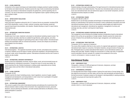#### **IN 322 — GLOBAL MARKETING**

Introduction to the research techniques and implementation strategies practiced in global marketing by the fashion and related industries. Students examine the major trends revolutionizing international marketing, the evolution of international companies into global firms, and the expanding role of ecommerce. The role of intercultural communication and negotiation styles in global marketing strategies is studied in detail.

3 CREDITS

#### **IN 323 — IMPORT/EXPORT REGULATIONS**

#### Prerequisite: IN 312

Import and export regulations enforced by the U.S. Customs Service are presented, including ECCN and HTSUS classification, country of origin, customer screening, export licensing, quota/visa, required import/export documentation, and valuation. Students develop an import or export international business plan.

3 CREDITS

#### **IN 324 — INTERNATIONAL MARKETING RESEARCH**

#### Prerequisite: IN 322

Students learn how to plan, implement, and present an international marketing research project. The course explores secondary data that are available through libraries, public agencies, and online resources and analyzes strategies for generating primary data in foreign markets. International teambuilding and presentation skills are reviewed and practiced. Lectures and critiques are provided by guest speakers from the industry.

3 CREDITS

#### **IN 341 — INTERNATIONAL LOGISTICS**

International logistics—the organized movement of goods, services, and people across countries is explored. Students survey the impact of market, government regulations, and technological forces on ground, ocean, and air transportation systems. International conventions and the role of unions in logistics are also studied.

3 CREDITS

### **IN 342 — INTERNATIONAL CORPORATE RESPONSIBILITY**

Students study the sustainability movement, and how ethical, social, and environmental issues are being addressed by multinational corporations. Through the review of current case studies, the course examines the role of fashion businesses in creating socially responsible and eco-friendly global supply chains and their effect in international trade policies. 3 CREDITS

### **IN 433 — GLOBAL SOURCING**

Prerequisite: IN 323

**228** Courses

Students examine the import marketing process, import regulations, sources of supply, supplier management and development, and transportation in order to learn how to participate in the global marketplace and negotiate in cross-cultural situations. 3 CREDITS

### **IN 434 — INTERNATIONAL MANAGEMENT**

This course is a guide to the world of international business and addresses the myriad factors that influence decision makers working in this environment. How organizational structure, personnel decisions, resource planning and allocation, and other business alternatives are affected by a firm's global participation is assessed. 3 CREDITS

#### **IN 441 — INTERNATIONAL BUSINESS LAW**

Students develop a thorough understanding of the legal framework for international business transactions in the fashion and related industries. They learn how international sales contracts are structured, how international trade rules and national laws apply to cross-border transactions, and how international business disputes are settled. 3 CREDITS

#### **IN 442 — INTERNATIONAL FINANCE**

#### Prerequisite: MA 222 or MA 311

Students learn to use the basic principles and techniques of international financial management and develop an understanding of the financial environment in which multinational corporations and small international businesses operate. Focus is on international capital budgets and capital structure, international cash management, international tax regulations, management of currency and exchange-rate risks, and short- and long-term trade finance. 3 CREDITS

#### **IN 443 — INTERNATIONAL BUSINESS STRATEGIES AND FASHION LAW**

This management course introduces the strategic business considerations faced by international fashion firms as they set up operations in foreign markets. Students examine the market entry process of fashion firms and identify key financial, legal, management, and marketing issues. 3 CREDITS

#### **IN 492 — INTERNATIONAL TRADE PRACTICUM**

Prerequisite: IN 312 or approval of chairperson

This course offers students a field trip to a key country of a regional trade agreement to experience international trade's impact on consumers, the fashion industries, and governments of foreign markets. Participants learn to conduct international field research, source international contacts, and develop safe travel skills. Students' findings are summarized in a written case study. An application must be submitted in the prior semester for a student to be considered for the course. 3 CREDITS; APPROXIMATELY 4 WEEKS IN JANUARY OR JUNE

## Interdivisional Studies

### **IS 299 — INDEPENDENT STUDY**

Prerequisite: a minimum 3.5 GPA and approval of instructor, chairperson, and dean VARIABLE CREDITS (3 CREDITS MAXIMUM)

#### **IS 313 — ENVIRONMENTAL EXPERIENCE**

For baccalaureate-level Interior Design students. Explores the social nature of human beings, how they adapt the environment to suit their needs, and how they react perceptually and behaviorally to the built environment. Emphasis is placed on the designer's role/responsibility in reacting sensitively to specific use-groups and improving their quality of life. 3 CREDITS

#### **IS 499 — INDEPENDENT STUDY**

Prerequisite: a minimum 3.5 GPA and approval of instructor, chairperson, and dean VARIABLE CREDITS (3 CREDITS MAXIMUM)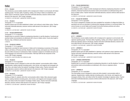## Italian

## **IT 111 — ITALIAN I**

This introductory course enables students with no background in Italian to communicate with Italianspeaking people. The basic skills of speaking, reading, and writing in Italian are established, and Italian culture is introduced. Teacher-instructed multimedia laboratory sessions reinforce skills learned in the classroom. (G8: Foreign Language) 3.5 CREDITS; 3 LECTURE AND 1 LABORATORY HOURS PER WEEK

#### **IT 112 — ITALIAN II**

## Prerequisite: IT 111 or equivalent

Students expand upon the skills established in Italian I and continue to study Italian culture. Teacherinstructed multimedia laboratory sessions reinforce skills learned in the classroom. (G8: Foreign Language)

3.5 CREDITS; 3 LECTURE AND 1 LABORATORY HOURS PER WEEK

#### **IT 122 — ITALIAN CONVERSATION I**

#### Prerequisite: IT 111 or equivalent

Students learn to converse in Italian by emphasizing interaction in real-life situations. Functional and practical verbal communications are addressed with a focus on Italian culture. Course also taught in Florence, Italy, in Winterim and Summer sessions.

3 CREDITS

## **IT 132 — ITALIAN IN FLORENCE**

#### Prerequisite: IT 112 or equivalent

Opportunity is provided for total immersion in Italian and for developing an awareness of the people, culture, and history of Florence and Italy. Students review, develop, and expand use of the basic spoken and written structures of contemporary Italian. Emphasis is placed on immediate and active use of the language as an instrument of communication. Field trips fulfill the lab component of this course. (G8: Foreign Language)

3.5 CREDITS; 4 DAYS PER WEEK FOR 4 WEEKS IN JUNE

#### **IT 213 — ITALIAN III**

## Prerequisite: IT 112 or equivalent

This intermediate course is designed to review and refine students' communication skills in Italian. Supplementary reading materials (including poetry, short stories, and magazine and newspaper articles), films, and videos further the students' knowledge of Italian culture. Teacher-instructed multimedia laboratory sessions reinforce skills learned in the classroom. (G8: Foreign Language) 3.5 CREDITS; 3 LECTURE AND 1 LABORATORY HOURS PER WEEK

### **IT 214 — ITALIAN IV**

Courses

#### Prerequisite: IT 213 or equivalent

Building on Italian III, students refine their communication skills in Italian. More advanced supplementary reading materials (including poetry, short stories, and magazine and newspaper articles), films, and videos further the students' knowledge of Italian culture. Teacher-instructed multimedia laboratory sessions reinforce skills learned in the classroom. (G8: Foreign Language) 3.5 CREDITS; 3 LECTURE AND 1 LABORATORY HOURS PER WEEK

## **IT 223 — ITALIAN CONVERSATION II**

Prerequisite: IT 112 or equivalent

Conversational ability in Italian is further developed and refined by emphasizing interaction in real-life situations. Advanced functional and practical verbal communications are addressed along with a focus on Italian culture. Teacher-instructed multimedia laboratory sessions reinforce skills learned in the classroom.

3.5 CREDITS; 3 LECTURE AND 1 LABORATORY HOURS PER WEEK

## **IT 311 — ITALIAN FOR BUSINESS**

Prerequisite: IT 214 or equivalent

This course is designed for students who have completed four semesters of college-level Italian (or equivalent) and who are interested in furthering their language proficiency in commercial Italian. The course focuses on current Italian and European Community business practices and culture. 3.5 CREDITS; 3 LECTURE AND 1 LABORATORY HOURS PER WEEK

## Japanese

### **JA 111 — JAPANESE I**

This introductory course enables students with no background in Japanese to communicate with Japanese-speaking people. The basic skills of speaking, reading, and writing in Japanese are established and Japanese culture is introduced. Teacher-instructed multimedia laboratory sessions reinforce skills learned in the classroom. (G8: Foreign Language)

3.5 CREDITS; 3 LECTURE AND 1 LABORATORY HOURS PER WEEK

## **JA 112 — JAPANESE II**

Prerequisite: JA 111 or equivalent

Students expand upon the skills established in Japanese I and continue to study Japanese culture. Teacher-instructed multimedia laboratory sessions reinforce skills learned in the classroom. (G8: Foreign Language) 3.5 CREDITS; 3 LECTURE AND 1 LABORATORY HOURS PER WEEK

### **JA 122 — JAPANESE CONVERSATION I**

Prerequisite: JA 111 or equivalent

Students learn to converse in Japanese by emphasizing interaction in real-life situations. Functional and practical verbal communications are addressed, with a focus on Japanese culture. 3 CREDITS

### **JA 213 — JAPANESE III**

Prerequisite: JA 112 or equivalent

This intermediate course is designed to review and refine students' communication skills in Japanese. Supplementary reading materials (including poetry, short stories, and magazine and newspaper articles), films, and videos further the students' knowledge of Japanese culture. Teacherinstructed multimedia laboratory sessions reinforce skills learned in the classroom. (G8: Foreign Language)

3.5 CREDITS; 3 LECTURE AND 1 LABORATORY HOURS PER WEEK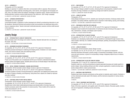#### **JA 214 — JAPANESE IV**

## Prerequisite: JA 213 or equivalent

Building on Japanese III, students refine their communication skills in Japanese. More advanced supplementary reading materials (including poetry, short stories, and magazine and newspaper articles), films, and videos further the students' knowledge of Japanese culture. Teacher-instructed multimedia laboratory sessions reinforce skills learned in the classroom. (G8: Foreign Language) 3.5 CREDITS; 3 LECTURE AND 1 LABORATORY HOURS PER WEEK

## **JA 223 — JAPANESE CONVERSATION II**

## Prerequisite: JA 112 or equivalent

Conversational ability in Japanese is further developed and refined by emphasizing interaction in reallife situations. Advanced functional and practical verbal communications are addressed along with a focus on Japanese culture. Teacher-instructed multimedia laboratory sessions reinforce skills learned in the classroom.

3.5 CREDITS; 3 LECTURE AND 1 LABORATORY HOURS PER WEEK

## Jewelry Design

## **JD 101 — INTRODUCTION TO JEWELRY FABRICATION**

Basic processes used in the design and creation of jewelry. Students fabricate their own designs in the studio. (G6: Arts) 2 CREDITS; 1 LECTURE AND 2 STUDIO HOURS PER WEEK

## **JD 113 — BEGINNING SOLDERING TECHNIQUES**

Co-requisites: JD 114, JD 121, JD 131, JD 133, and JD 172 or approval of chairperson Introduces precision techniques in soldering and shaping jewelry. Emphasis is on exact measurements, and control of jewelry tools and soldering torches. 1.5 CREDITS; 3 STUDIO HOURS PER WEEK

## **JD 114 — PIERCING AND SAWING TECHNIQUES**

Co-requisites: JD 113, JD 121, JD 131, JD 133, and JD 172 or approval of chairperson Proper use of the jeweler's saw is emphasized and the eye is trained to understand the balance between positive and negative spaces. Students pierce and saw an intricate design in flat sheet stock. 1.5 CREDITS; 3 STUDIO HOURS PER WEEK

## **JD 115 — METAL FORMING TECHNIQUES: CHASING AND REPOUSSE**

Prerequisites: All first-semester Jewelry Design courses or approval of chairperson Co-requisites: JD 116, JD 122, JD 134, JD 171, and JD 173 or approval of chairperson Introduces students to jewelry forming techniques by making their own dapping and chasing tools by means of forging, annealing, and tempering. Using these tools, objects are created by repousse and other methods.

1.5 CREDITS; 3 STUDIO HOURS PER WEEK

## **JD 116 — COSTUME JEWELRY WHITE METAL MODELS**

Prerequisites: all first-semester Jewelry Design courses Co-requisites: JD 115, JD 122, JD 134, JD 171, and JD 173 or approval of chairperson Students learn white metal modelmaking techniques and develop skills in the basic hand and machine processes used in the production of costume jewelry. These models will be made into molds and produced in JD 122. 1.5 CREDITS; 3 STUDIO HOURS PER WEEK

## **JD 121 — WAX CARVING**

Co-requisites: JD 113, JD 114, JD 131, JD 133, and JD 172 or approval of chairperson Wax carving of designs suitable for jewelry, stressing illusion and perspective, needed for both brooches and rings. Emphasis is on preparing a design and model for production. 1 CREDIT; 2 LABORATORY HOURS PER WEEK

### **JD 122 — JEWELRY CASTING**

#### Prerequisite: JD 121

Using designs developed in JD 121, students cast, learning the chemistry of alloying metals and the principles in all casting methods. Experience also is acquired in mold-making, spruing, and investing. 2 CREDITS; 1 LECTURE AND 2 LABORATORY HOURS PER WEEK

### **JD 131 — MECHANICAL DRAFTING FOR JEWELERS**

Co-requisites: JD 113, JD 114, JD 121, JD 133, and JD 172 or approval of chairperson Designed to teach students the fundamentals of mechanical and plan drawing as they apply to materials, mechanisms, concepts, and designs used in jewelry. 1.5 CREDITS; 3 STUDIO HOURS PER WEEK

#### **JD 133 — INTRODUCTION TO JEWELRY DESIGN**

Co-requisites: JD 113, JD 114, JD 121, JD 131, and JD 172 or approval of chairperson Emphasis is on developing creative ability. A visual sensitivity is developed through museum trips, nature studies, field trips, etc. Suitable rendering techniques, painting, and perspective requirements are covered.

1.5 CREDITS; 3 STUDIO HOURS PER WEEK

#### **JD 134 — JEWELRY DESIGN II**

Prerequisites: all first-semester Jewelry Design courses

Co-requisites: JD 115, JD 116, JD 122, JD 171, and JD 173 or approval of chairperson Advanced illustrative techniques in jewelry design. An elementary knowledge of stones, both precious and semi-precious, is given for incorporating in design. Assigned projects focus on industry requirements.

1.5 CREDITS; 3 STUDIO HOURS PER WEEK

### **JD 138 — INTRODUCTION TO CAD FOR JEWELRY DESIGN**

Prerequisites: CG 111 and JD 131 or approval of chairperson

Students create two- and three-dimensional computer-generated drawings and models specific to jewelry design. Using modeling software and other computer applications, students develop basic jewelry design skills to create a personal style.

2 CREDITS; 1 LECTURE AND 2 COMPUTER LABORATORY HOURS PER WEEK

## **JD 171 — MATERIALS AND PROPERTIES**

Students learn basic chemistry and physics as they pertain to materials used in jewelry. Emphasis is on how chemicals and acids used in the industry, and the chemical composition of various stones, affect production.

2 CREDITS

### **JD 172 — TOOLS, EQUIPMENT AND PROCESSES**

Co-requisites: JD 113, JD 114, JD 121, JD 131, and JD 133 or approval of chairperson Study of the tools, equipment, and supplies used in the jewelry industry. Discusses quality, function, and care of equipment, including sources and pricing. 1 CREDIT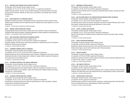## **JD 173 — MATERIALS AND FINDINGS FOR THE JEWELRY INDUSTRY**

Prerequisites: all first-semester Jewelry Design courses

Co-requisites: JD 115, JD 116, JD 122, JD 134, and JD 171 or approval of chairperson Studies buying procedures, sources, and up-to-date technology in the jewelry industry. Discusses precious and non-precious materials as well as sizes, nomenclature, and methods used in jewelry manufacturing.

1 CREDIT

#### **JD 181 — BASIC PRINCIPLES OF APPRAISING JEWELRY**

Establishes methods and values in the appraisal of jewelry and precious and semi-precious stones. Students acquire familiarity with the simple tests that are available and are given guidance on current market prices.

2 CREDITS; 1 LECTURE AND 2 LABORATORY HOURS PER WEEK

#### **JD 201 — MINERAL IDENTIFICATION AND LAPIDARY**

Using appropriate tools and instruments, students learn how to identify a variety of semiprecious materials and their specific properties. Emphasizes applications of these materials for the decorative arts. 2 CREDITS; 1 LECTURE AND 2 STUDIO HOURS PER WEEK

#### **JD 213 — NON-TRADITIONAL CONSTRUCTION TECHNIQUES IN METAL**

Prerequisites: all second-semester Jewelry Design courses Co-requisites: JD 214, JD 215, JD 216, and JD 251 or approval of chairperson Acquaints students with little-known experimental techniques in metalworking such as the Japanese methods of mokume-gane and shakudo. 1.5 CREDITS; 3 STUDIO HOURS PER WEEK

#### **JD 214 — HANDMADE DIAMOND JEWELRY TECHNIQUES**

Prerequisites: all second-semester Jewelry Design courses Co-requisites: JD 213, JD 215, JD 216, and JD 251 or approval of chairperson Students develop the start-to-finish techniques used by industry craftspeople in the creation of handmade diamond jewelry. Includes design layout, making of a copper chablon, planning the weight and use of diamonds, and the cutting of azures. 1.5 CREDITS; 3 STUDIO HOURS PER WEEK

### **JD 215 — ALTERNATIVE MATERIALS FOR JEWELRY FABRICATION**

Prerequisites: all second-semester Jewelry Design courses Co-requisites: JD 213, JD 214, JD 216, and JD 251 or approval of chairperson Covers the design approaches and special methods used in the manufacture of jewelry from common industrial materials, such as plastics, rubber, and stainless steel. Students design and produce prototypes for a small collection. 1.5 CREDITS; 3 STUDIO HOURS PER WEEK

## **JD 216 — ADVANCED PIERCING AND METAL CARVING**

Prerequisites: all second-semester Jewelry Design courses Co-requisites: JD 213, JD 214, JD 215, and JD 251 or approval of chairperson Concentrates on advanced piercing and metal carving techniques to create ring designs. Students maintain diaries of sketchwork and research. 1.5 CREDITS; 3 STUDIO HOURS PER WEEK

#### **JD 217 — HANDMADE PLATINUM JEWELRY**

Prerequisites: all third-semester Jewelry Design courses Co-requisites: JD 218, JD 219, and JD 252 or approval of chairperson Introduces various methods used in the making of handmade platinum jewelry, drawing upon skills learned in JD 214. 1.5 CREDITS; 3 STUDIO HOURS PER WEEK

#### **JD 218 — HOLLOW FORM JEWELRY: DIE CONSTRUCTION AND MANUFACTURING TECHNIQUES**

Prerequisites: all third-semester Jewelry Design courses Co-requisites: JD 217, JD 219, and JD 252 or approval of chairperson An intensive study of hollow form jewelry techniques to produce an original finished product of exhibition quality. Includes technical drawing and fabrication of a scale model. 1.5 CREDITS; 3 STUDIO HOURS PER WEEK

#### **JD 219 — CLASPS, CLOSINGS, AND FINDINGS**

Prerequisites: all third-semester Jewelry Design courses Co-requisites: JD 217, JD 218, and JD 252 or approval of chairperson Based on the principles of mechanical devices, students learn about and produce clasps, closings, and earbacks.

1.5 CREDITS; 3 STUDIO HOURS PER WEEK

#### **JD 231 — OBJECTS DESIGN AND RENDERING**

Prerequisites: all second-semester Jewelry Design courses Co-requisites: JD 233 and JD 263 or approval of chairperson Rendering of objects and accessories from shoes and belt buckles to hair ornaments and handbags. Studies colored glass, enamel, and rhinestones used in these accessories. 1.5 CREDITS; 3 STUDIO HOURS PER WEEK

#### **JD 233 — JEWELRY DESIGN III**

Prerequisites: all second-semester Jewelry Design courses Co-requisites: JD 231 and JD 263 or approval of chairperson Students are required to present an entire collection of jewelry around a particular viable theme such as certain stones, metals, or a specific market. 1.5 CREDITS; 3 STUDIO HOURS PER WEEK

#### **JD 235 — FINE JEWELRY PORTFOLIO**

Prerequisites: all third-semester Jewelry Design courses Co-requisite: JD 236 or approval of chairperson Students develop a portfolio of fine jewelry renderings, from a variety of precious and semi-precious materials, that reflect their level of accomplishment and an understanding of industry requirements. 1.5 CREDITS; 3 STUDIO HOURS PER WEEK

## **JD 236 — FASHION JEWELRY PORTFOLIOS**

Prerequisites: all third-semester Jewelry Design courses

Co-requisite: JD 235 or approval of chairperson

Students prepare a portfolio of costume jewelry renderings, creating seasonal lines that reflect their level of accomplishment and an understanding of industry requirements.

1.5 CREDITS; 3 STUDIO HOURS PER WEEK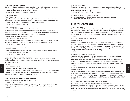#### **JD 241 — INTRODUCTION TO GEMOLOGY**

Study of the major gem species and their characteristics, with emphasis on their use in commercial production and price structure. Students acquire a thorough knowledge of all precious and semi-precious stones and the ways in which they are used in jewelry. 2 CREDITS; 1 LECTURE AND 2 LABORATORY HOURS PER WEEK

#### **JD 243 — GEMOLOGY II**

#### Prerequisite: JD 241

A gem identification course with students learning the use of various laboratory equipment such as the gemological microscope, dichroscope, polariscope, specific gravity balance, refractometer, ultraviolet light, spectroscope, and other instruments used in gem identification. 1.5 CREDITS; 3 LABORATORY HOURS PER WEEK

#### **JD 244 — GEMOLOGY III**

## Prerequisites: JD 243 and JD 281, or approval of chairperson

An in-depth study of gem materials and their synthetic counterparts is provided. Topics include functionality of gem equipment and its application in gem testing, and an understanding of the development of a gem material from its atomic structural nature to a polished gem. 3 CREDITS; 2 LECTURE AND 2 LABORATORY HOURS PER WEEK

#### **JD 251 — PRINCIPLES OF SILVERSMITHING**

Basic study of silversmithing, including advanced use of repousse, chasing, and forming. Small simple projects in either silver, bronze, or copper are created to study these basic procedures. 1.5 CREDITS; 3 STUDIO HOURS PER WEEK

#### **JD 252 — SILVERSMITHING PROJECT STUDIO**

#### Prerequisite: JD 251

Creation of a handmade, hand-formed silver piece with emphasis on developing students' creative ability. Project should be a major work of exhibition quality. 1.5 CREDITS; 3 STUDIO HOURS PER WEEK

### **JD 261 — CHANGES AND TRENDS IN JEWELRY DESIGN**

Study of the symbolic meaning as well as the economic rationale for jewelry in modern society. Students are made aware of stylistic differences, the reasons for them, and how styles are influenced by social and political events. 2 CREDITS

Courses

### **JD 262 — ESTIMATING COSTS**

Prerequisites: all second-semester Jewelry Design courses

Co-requisites: all third-semester Jewelry Design courses specific to option, or approval of chairperson Using current industry pricing standards, students estimate the cost of their own designs made of precious, semi-precious, or non-precious materials and stones. 1 CREDIT

#### **JD 263 — COSTUME JEWELRY PRODUCTION AND MARKETING**

Prerequisites: all second-semester Jewelry Design courses Co-requisites: JD 231 and JD 233

Explains jewelry fashion theory, principles, and cycles and their relationship to jewelry line development while studying trends in ready-to-wear, European, and American designer collections. 3 CREDITS

#### **JD 281 — DIAMOND GRADING**

Teaches techniques of grading diamonds as to color, clarity, and cut, including basic knowledge needed for diamond selection and establishment of base for pricing. Discusses history and technical terms pertaining to diamond grading.

2 CREDITS; 1 LECTURE AND 2 LABORATORY HOURS PER WEEK

#### **JD 299 — INDEPENDENT STUDY IN JEWELRY DESIGN**

Prerequisite: a minimum 3.5 GPA and approval of instructor, chairperson, and dean VARIABLE CREDITS (3 CREDITS MAXIMUM)

## Liberal Arts Divisional Studies

#### **LA 211 — DANCE AS ART**

This course surveys Western dance styles from the perspective of the creative process and cultural history. Students study ballet, modern dance, American dances of the African Diaspora, and world dances. The course uses film, lecture, performance, discussion, selected readings and guest lecturers to expose students to a wide range of dance traditions. No prior dance training is necessary. (G6: Arts) 3 CREDITS

### **LA 221 — U.S. HISTORY: CIVIL WAR TO PRESENT**

#### Prerequisite: EN 121

An introduction to American history, this course moves from a brief view of American geography, economics, and government to a more focused examination of the social, political, and economic experience from the Civil War through the Cold War and to the present. Students are introduced to basic historical methodology and learn to apply these techniques through critical reading, analytical writing, and verbal presentations. (G10: American History) 3 CREDITS

#### **LA 223 — SURVEY OF LATIN AMERICAN MUSIC**

A survey of Latin American music with an emphasis on the process of music composition and instrumentation that led to its creation. Students explore the creative process through in-class performances of musical excerpts and demonstrations of Latin American musical instruments. The class also focuses on the indigenous, cultivated, and vernacular traditions within Latin American music and their relation to regional histories. No previous musical background is required. (G6: Arts) 3 CREDITS

## **LA 224 — DISTANT NEIGHBORS: A HISTORY OF LATIN AMERICA AND THE UNITED STATES** Prerequisite: EN 121

This course compares the histories of Latin America and the United States from pre-Columbian times to the 20th century. Students learn about the deep influence of the United States in Latin American economies, politics, and culture, especially after the United States' independence, when American democracy became a political model for the former Spanish American colonies. (G10: American History) 3 CREDITS

### **LA 231 — LATIN AMERICAN FICTION: FROM THE 1960S TO THE PRESENT**

Prerequisites: EN 121 or equivalent, and one semester of college-level English

Students examine selected texts of Latin American fiction (in English translation) from the 1960s to the present. The course focuses on the literary themes and writing techniques of the authors and on the sociopolitical and historical conditions of Latin America where the texts are set. (G7: Humanities) 3 CREDITS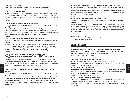#### **LA 299 — INDEPENDENT STUDY**

Prerequisites: a minimum 3.5 GPA and approval of instructor, chairperson, and dean VARIABLE CREDITS (3 CREDITS MAXIMUM)

#### **LA 321 — SURVEY OF AMERICAN MUSIC**

A study of the major styles, trends, and significant composers in American music. Through lecture and demonstration, students explore various types of music, including blues, current trends, folk, jazz, rock, show, and symphonic, focusing on their relation to the American experience. No musical background is necessary. (G6: Arts) 3 CREDITS

### **LA 391 — ISSUES IN THE HUMANITIES AND TECHNOLOGY (HONORS)**

Prerequisite: qualification for Presidential Scholars Program, or 3.5 GPA with approval of dean for Liberal Arts

Examines the relationship between cultural traditions and the technological present and future. Current issues in medicine, science, the arts, and artificial intelligence provide the platform to study the impact of technology on human society and the world. Major philosophical positions, definitions of terms, and their social and historical contexts are discussed. (G7: Humanities) 3 CREDITS

#### **LA 392 — UNITED STATES HISTORY AND CULTURE, 1860 TO PRESENT (HONORS)**

Prerequisite: qualification for Presidential Scholars Program, or 3.5 GPA with approval of dean for Liberal Arts

Major historic events and developments in United States history from 1860 to the present are examined in the context of their impact on the country's government, politics, and culture. Works by painters, photographers, sculptors, advertisers, dancers, musicians, novelists, filmmakers, and dramatists are used to broaden the study of U.S. history. (G10: American History) 3 CREDITS

### **LA 394 — THE OLD AND NEW TESTAMENTS IN THE HISTORY OF IDEAS (HONORS)**

Prerequisite: qualification for Presidential Scholars Program, or 3.5 GPA with approval of dean for Liberal Arts

Students examine the influence of selected books, chapters, and verses from the Old and New Testaments on the literature, philosophy, theology, and politics of western civilization. Emphasis is given to ideas located in scripture as they have been developed by religious thinkers, systematic theorists, and creative artists. (G5: Western Civilization; G7: Humanities) 3 CREDITS

Courses

## **LA 395 — MASTERPIECES OF MUSIC IN THE EUROPEAN CLASSICAL TRADITION (1500 TO PRESENT) (HONORS)**

Prerequisite: qualification for Presidential Scholars Program, or 3.5 GPA with approval of dean for Liberal Arts

This course is a survey of the major masterpieces of music in the European Classical tradition, with an emphasis on the compositional approaches that led to their creation. Through lectures and demonstrations, the course covers the main musical developments associated with the Medieval, Renaissance, Baroque, Classical, Romantic, and Modern periods. No previous musical background is required. (G6: Arts) 3 CREDITS

#### **LA 396 — RELIGION AND RELIGIOUS DISSENT IN AMERICAN HISTORY TO THE CIVIL WAR (HONORS)**

Prerequisite: qualification for Presidential Scholars Program, or 3.5 GPA with approval of dean for Liberal Arts

Students examine the ways in which religious controversies have figured, directly and indirectly, in many of the major events in the early history of the United States, up to and including the Civil War. (G7: Humanities; G10: American History) 3 CREDITS

#### **LA 397 — NEW YORK CITY AND THE INVENTION OF AMERICA (HONORS)**

Prerequisite: qualification for Presidential Scholars Program, or 3.5 GPA with approval of dean for Liberal Arts

Students learn the history of America from the Civil War to the present, through the lens of its greatest metropolis. Readings stress the roles that New York has played as innovator, counterpoint, and despised exception in the culture, economics, politics, and technology of the U.S. Students develop skills in basic primary research, public speaking, reading comprehension, and writing and revising. (G10: American History)

3 CREDITS

#### **LA 499 — INDEPENDENT STUDY**

Prerequisites: a minimum 3.5 GPA and approval of instructor, chairperson, and dean VARIABLE CREDITS (3 CREDITS MAXIMUM)

## Accessories Design

#### **LD 101 — ACCESSORIES DESIGN**

For students not majoring in Accessories Design. Introduction to major areas of accessories design. Various types of shoes, handbags, and belts are analyzed in terms of materials, construction, and presentation. Students acquire hands-on techniques in all three phases. 2 CREDITS; 1 LECTURE AND 2 STUDIO HOURS PER WEEK

### **LD 111 — LEATHER AND MATERIALS TECHNOLOGY**

Co-requisites: (for one-year AAS students) LD 121 and LD 165 Processes in the development of leathers, reptiles, plastics, and other textiles are analyzed. Emphasis is on the function and utilization of each for handbags, footwear, and related accessories. 2.5 CREDITS; 2 LECTURE AND 1 STUDIO HOURS PER WEEK

#### **LD 112 — DECORATIVE LEATHER TECHNIQUES**

Studying such ornamentation techniques as trapunto, inlay, welting, pleating, and weaving, students learn how to apply them to leather apparel and accessories design. Basic patternmaking skills used in the construction of handbags, belts, and portfolios are taught. 2.5 CREDITS; 1 LECTURE AND 3 STUDIO HOURS PER WEEK

#### **LD 113 — MANIPULATING LEATHER: VOLUME AND TEXTURE**

This course focuses on various decorative techniques to enhance the volume and texture of leather accessories. Students apply increasingly advanced techniques from decorative hand-stitching and embroidery to braiding and painting. Hand-quilting, gathering, ruffles, and patchwork techniques are also covered.

1.5 CREDITS; 3 STUDIO HOURS PER WEEK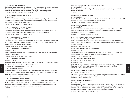## **LD 121 — ANATOMY FOR ACCESSORIES**

Students study the components of the foot, spine and hand to understand the relationship between the anatomical structure and the design of footwear, handbags and gloves. Students learn to create functional and fashionable accessories that are anatomically and ergonomically correct. 1.5 CREDITS; 1 LECTURE AND 1 STUDIO HOURS PER WEEK

## **LD 133 — FOOTWEAR DESIGN AND CONSTRUCTION I**

## Co-requisite: LD 121

The basic concepts of footwear design are introduced and the history and types of footwear are discussed. Students develop skills for working with a last and learn patternmaking, sewing, construction, and finishing techniques for closed shoes. 3 CREDITS; 1 LECTURE AND 4 STUDIO HOURS PER WEEK

## **LD 134 — FOOTWEAR DESIGN AND CONSTRUCTION II**

Prerequisites: LD 111, LD 121 and LD 133

Students analyze last styles, leathers, and components in terms of functionality and design. They continue to develop patternmaking skills by designing and making mules and oxfords. 3 CREDITS; 1 LECTURE AND 4 STUDIO HOURS PER WEEK

## **LD 143 — HANDBAG DESIGN AND CONSTRUCTION I**

### Co-requisites: LD 111 and LD 121

The skills to design and produce handbags are taught. Students become familiar with patternmaking techniques, machinery and equipment, and the various styles in handbag design. They learn how to translate original concepts into finished products. 3 CREDITS; 1 LECTURE AND 4 STUDIO HOURS PER WEEK

## **LD 144 — HANDBAG DESIGN AND CONSTRUCTION II**

Prerequisite: LD 143 Patternmaking and sample-making techniques are developed further as students design and construct frame and box bags. 3 CREDITS; 1 LECTURE AND 4 STUDIO HOURS PER WEEK

### **LD 145 — HANDBAG RECONSTRUCTION**

## Prerequisite: LD 144

Courses

Students learn how to evaluate a handbag to determine if it can be restored. They refurbish a handbag, learning how to reconstruct worn or broken components. 2.5 CREDITS; 1 LECTURE AND 3 STUDIO HOURS PER WEEK

## **LD 165 — SKETCHING ACCESSORIES**

For one-year Accessories Design students. This accelerated course introduces the various areas of accessory design, including handbags, gloves, shoes, hats, and belts. Students learn to draw and render current materials and textures applicable to today's market. 2.5 CREDITS; 1 LECTURE AND 3 STUDIO HOURS PER WEEK

## **LD 181 — ERGONOMICS FOR ATHLETIC FOOTWEAR**

This in-depth study of the ergonomic requirements of footwear for myriad athletic activities focuses on the anatomy and function of the lower extremities while maintaining design considerations. Students learn technical features and engineering requirements such as cushioning, shock resistance, and lateral support as well as environmental and safety issues. 2 CREDITS

## **LD 182 — PERFORMANCE MATERIALS FOR ATHLETIC FOOTWEAR**

Prerequisite: LD 181 Students learn about the different types of performance materials used in all aspects of athletic footwear construction. 2 CREDITS

## **LD 184 — ATHLETIC FOOTWEAR SKETCHING**

Prerequisite: LD 182

Students learn to hand-sketch the components of performance athletic footwear and integrate sketch development, function, and technology into the footwear design. 2.5 CREDITS; 1 LECTURE AND 3 STUDIO HOURS PER WEEK

#### **LD 185 — ATHLETIC FOOTWEAR DRAFTING**

Prerequisite: LD 184

Students draft the components of an athletic shoe using both freehand and CAD. A history of the athletic footwear industry and the integration of technology in athletic footwear are introduced. Students make a model of an outsole design.

2.5 CREDITS; 1 LECTURE AND 3 STUDIO HOURS PER WEEK

#### **LD 227 — INTRODUCTION TO LINE BUILDING (FORMERLY LD 226)**

Prerequisites: LD 134, LD 144, and LD 261

Using a specific theme or season, students learn the principles and techniques of line building by designing and producing a collection of accessories. Emphasis is on workmanship, fabrication, and execution of designs.

2 CREDITS; 4 STUDIO HOURS PER WEEK

#### **LD 231 — BOOT PATTERNMAKING AND CONSTRUCTION**

Prerequisite: LD 134

Students design and construct three different boot types: cowboy, Chelsea, and thigh-high. Boot detailing, advanced patternmaking, grading, and lasting techniques are taught. 1.5 CREDITS; 3 STUDIO HOURS PER WEEK

#### **LD 242 — ADVANCED HANDBAG CONSTRUCTION**

Prerequisites: LD 111, LD 121, and LD 144 Co-requisite: LD 261 Using such techniques as the pillow gusset/bottom and strip construction, students explore new handbag designs. Advanced patternmaking skills are taught. Emphasis is on detailing. 1.5 CREDITS; 3 STUDIO HOURS PER WEEK

#### **LD 243 — BELT DESIGN AND PATTERNMAKING**

Prerequisites: LD 111 and LD 121 The exploration of the design of the belt as a fashion and functional accessory is presented. Students acquire the skills needed to make several different kinds of belts. 1.5 CREDITS; 3 STUDIO HOURS PER WEEK

### **LD 251 — SPORT-SPECIFIC ACCESSORIES**

### Prerequisite: TS 171

Students are introduced to the sports accessories market with a focus on millinery, gloves, footwear, and carrying gear. They learn about environmental and safety issues relevant to sports, analyze materials, understand the relationship of biophysics to sport-specific accessories, and explore the necessity of product testing. A new or improved sport accessory is developed. 3 CREDITS; 2 LECTURE AND 2 STUDIO HOURS PER WEEK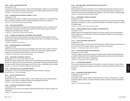#### **LD 252 — SMALL LEATHERGOODS FOR MEN**

#### Prerequisite: LD 143

Learning how to design and construct a variety of small leathergoods, students focus on the patternmaking and sample-making techniques required to produce a billfold, agenda, and travel kit for men. 2.5 CREDITS; 1 LECTURE AND 3 STUDIO HOURS PER WEEK

#### **LD 253 — DESIGNING DESK ACCESSORIES (FORMERLY LD 351)**

#### Prerequisite: LD 144

Students design and construct a collection of desk accessories. Emphasis is on researching design ideas, construction techniques, and the marketing information required to sell a collection. 2 CREDITS; 1 LECTURE AND 2 STUDIO HOURS PER WEEK

#### **LD 261 — SKETCHING ACCESSORIES**

Students are introduced to the concept of three-dimensional sketching and how it relates to accessories design. Concentrating on design detail, they learn to sketch the basic shapes in footwear, handbags, personal leather goods, and belts.

2.5 CREDITS; 1 LECTURE AND 3 STUDIO HOURS PER WEEK

### **LD 262 — TECHNICAL SPEC AND BLACK LINE DRAWING FOR ACCESSORIES**

Students learn black line graph techniques and develop specification sheets suitable for industry. Students sketch original and existing accessories designs, draw major core silhouettes of shoe lasts, and develop templates.

1.5 CREDITS; 3 STUDIO HOURS PER WEEK

### **LD 263 — MARKER RENDERING FOR ACCESSORIES**

#### Prerequisite: LD 262

Students learn to design accessories such as handbags, shoes, belts, hats, and gloves. They draw and render materials and textures appropriate for today's accessories market. Students become familiar with current trends and utilize research for sources of inspiration. 2.5 CREDITS; 1 LECTURE AND 3 STUDIO HOURS PER WEEK

### **LD 293 — DEVELOPING A SUCCESSFUL PORTFOLIO**

## Prerequisites: LD 111, LD 121, and LD 165 or LD 261

Working with industry design critics, students learn the fundamentals of assembling a professional portfolio for employment in the accessories industry. Using Adobe Photoshop and Adobe Illustrator, they explore marker rendering, theme pages, and print work. Areas of specialization are showcased. 3 CREDITS; 2 LECTURE AND 2 COMPUTER LABORATORY HOURS PER WEEK

### **LD 299 — INDEPENDENT STUDY IN ACCESSORIES DESIGN**

Prerequisites: a minimum 3.5 GPA and approval of instructor, chairperson, and dean VARIABLE CREDITS (3 CREDITS MAXIMUM)

#### **LD 331 — ATHLETIC FOOTWEAR DESIGN**

Prerequisite: LD 134

Courses

Students learn the aspects of athletic footwear in order to design and construct original products. Emphasis is on the variety of categories including running, basketball, and tennis. 3 CREDITS; 1 LECTURE AND 4 STUDIO HOURS PER WEEK

## **LD 332 — THEATRICAL AND CHARACTER FOOTWEAR**

Prerequisite: LD 134 Students design period shoes for the theater by learning about the history of footwear, design, and construction. 3 CREDITS; 2 LECTURE AND 2 STUDIO HOURS PER WEEK

## **LD 333 — NON-TRADITIONAL FOOTWEAR DESIGN AND CONSTRUCTION**

Prerequisite: LD 134

Students design and execute experimental and non-traditional footwear based upon their prior patternmaking and construction knowledge. Discussion of innovative design ideas is emphasized, as well as the use of unconventional materials and methods to create new concepts in footwear design. 3 CREDITS; 1 LECTURE AND 4 STUDIO HOURS PER WEEK

#### **LD 341 — EXPERIMENTAL HANDBAG TECHNIQUES**

#### Prerequisite: LD 144

Innovative, non-traditional handbags are designed and constructed using a variety of classic patternmaking styles. Emphasis is on use of unconventional materials and methods to create new concepts in handbag design.

3 CREDITS; 1 LECTURE AND 4 STUDIO HOURS PER WEEK

### **LD 342 — ZIPPERED HANDBAG DESIGN, HARDWARE, AND CONSTRUCTION**

Prerequisite: LD 143

Students expand their handbag patternmaking and construction skills by incorporating hardware such as zippers into more contemporary and functional designs. Emphasis is on new sewing and assembly techniques.

2.5 CREDITS; 5 STUDIO HOURS PER WEEK

### **LD 431 — ATHLETIC FOOTWEAR CONSTRUCTION**

### Prerequisite: LD 134

Students become familiar with the construction skills specific to athletic footwear by learning the history and evolution of this category. Fashion, style, and function are addressed. 3 CREDITS; 1 LECTURE AND 4 STUDIO HOURS PER WEEK

### **LD 451 — SPORTS-SPECIFIC BAGS AND CARRYING GEAR**

### Prerequisite: LD 144 or LD 341

The types of bags and carrying gear necessary for specific sports activities and technological gear are studied. Students learn how to develop the appropriate patterns and product while focusing on materials, proper fit, and protection of equipment.

3 CREDITS; 1 LECTURE AND 4 STUDIO HOURS PER WEEK

## **LD 471 — THE ACCESSORIES INDUSTRY**

This course provides a general overview of the industry: the history of accessories; import, export, and domestic manufacturing; developing a collection for a specific target market; and writing a business plan. 2 CREDITS

## **LD 491 — ACCESSORIES DESIGN SENIOR PROJECT**

Prerequisites: LD 341 and LD 471

Co-requisite: LD 492

This capstone course provides students with the opportunity to select a design project in a specific accessories category. Mastery of research techniques, design construction, and oral presentation is considered.

3 CREDITS; 6 STUDIO HOURS PER WEEK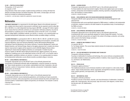#### **LD 492 — PORTFOLIO DEVELOPMENT**

Prerequisites: LD 341 and LD 471 Co-requisite: LD 491

Using elements of their senior projects, students develop portfolios by working with black line sketches and Adobe Illustrator and Adobe Photoshop. Spec sheets, concept pages, and mood boards are included for professional presentation.

2.5 CREDITS; 1 LECTURE AND 3 COMPUTER LABORATORY HOURS PER WEEK

## **Mathematics**

**\*ARITHMETIC PROFICIENCY** is a requirement for the AAS degree. Based on the arithmetic placement test, a student who shows need for improvement in arithmetic may be required to enroll in either MA 001 or MA 002 or in a math independent learning program (MD 008—see page 247) before registering for classes that have arithmetic proficiency as a prerequisite. Arithmetic proficiency may also be demonstrated by a qualifying score on the mathematics portion of the SAT or ACT, or by transfer credit in college algebra, quantitative methods, pre-calculus, or calculus, or by a passing grade in an equivalent developmental mathematics course offered at another accredited college or university.

**\*\*ALGEBRA PROFICIENCY** is a prerequisite for MA 131, MA 213, MA 311, MA 321, and MA 331 courses, which are required for the BS degrees in Advertising and Marketing Communications, Cosmetics and Fragrance Marketing, Direct and Interactive Marketing, Fashion Merchandising Management, International Trade and Marketing for the Fashion Industries, Production Management: Fashion and Related Industries, and Technical Design. Based on the algebra placement test, a student who shows need for improvement in algebra will be required to enroll in MA 003 (Algebra Review) before registering for classes that have Algebra proficiency as a prerequisite. A student may also choose to register for MA 003 without taking the placement test. Algebra proficiency may also be satisfied by a qualifying score on the mathematics portion of the SAT or ACT, or by transfer credit in college algebra, quantitative methods, pre-calculus, or calculus, or by a passing grade in an equivalent developmental mathematics course offered at another accredited college or university.

#### **MA 001 — DEVELOPMENTAL MATHEMATICS I**

Prerequisite: Appropriate score on the SAT/ACT exam or the arithmetic placement test Concentrates on fundamental arithmetic skills and applications, using the computer as a learning tool. Topics include operations on real numbers, exponentiation and order of operations, ratio and proportion, systems of measurement, fractions, decimals, and percents. Fundamentals of algebra and geometry are introduced. 0 CREDITS; 4 HOURS PER WEEK

**MA 002 — DEVELOPMENTAL MATHEMATICS II**

Prerequisite: Appropriate score on the SAT/ACT exam or the arithmetic placement test An accelerated arithmetic course emphasizing applications, and including such topics as percents, operations on fractions, ratios and proportions, and conversion between the metric and English measurement systems. Fundamentals of algebra and geometry are introduced. The computer is used as a learning tool.

0 CREDITS; 2 HOURS PER WEEK

#### **MA 003 — ALGEBRA REVIEW**

Prerequisite: Appropriate score on the SAT/ACT exam or the arithmetic placement test For those students who need improvement in algebra. Reviews basic algebra topics such as signed numbers, solving linear and simultaneous equations, factoring, exponents, and graphing linear equations, with emphasis on verbal problems. 0 CREDITS; 2 HOURS PER WEEK

#### **MA 005 — DEVELOPMENTAL MATH FOR FASHION MERCHANDISING MANAGEMENT**

Prerequisite: MA 001 and/or appropriate score on Fashion Merchandising Management math placement test

A developmental math course specifically designed for FMM students. In addition to the fundamentals of arithmetic, emphasis is placed on the skills needed for the quantitative study of merchandising in the FMM curriculum.

0 CREDITS; 4 HOURS PER WEEK

#### **MA 009 — DEVELOPMENTAL MATHEMATICS FOR FASHION DESIGN**

Prerequisite: Appropriate score on the SAT/ACT exam or the arithmetic placement test A developmental math course specifically designed for Fashion Design AAS students. The fundamentals of arithmetic and geometry are taught in the context of the design, production, and costing skills covered in the Fashion Design curriculum. 0 CREDITS; 3 HOURS PER WEEK

#### **MA 041 — GEOMETRY AND PROBABILITY SKILLS**

Co-requisite: MA 241 For Toy Design students. This course helps students develop the fundamental computational skills required for MA 241. 0 CREDITS; 1 HOUR PER WEEK

#### **MA 113 — COLLEGE MATHEMATICS FOR BUSINESS AND TECHNOLOGY**

Prerequisite: arithmetic proficiency\*

Focusing on mathematics for business and technology, this course reinforces computational skills and enables students to analyze and quantify problems in statistics, linear programming, graph theory, and finance. (G2: Mathematics)

3 CREDITS

#### **MA 131 — PRECALCULUS**

Prerequisite: algebra proficiency\*\*

This traditional precalculus course introduces students to math concepts for a wide variety of applications. Topics include polynomial, rational, exponential, and logarithmic functions; sequences and series; analytic geometry; and trigonometry. (G2: Mathematics) 3 CREDITS

### **MA 161 — MATHEMATICAL IDEAS**

Prerequisite: arithmetic proficiency\*

Provides an overview of the historic, heuristic, and visual dimensions of mathematics. Includes the golden ratio, fractal geometry, sets and groups, logic and circuits, Euler diagrams, number theory, and discrete math. (G2: Mathematics) 3 CREDITS

\* See Arithmetic Proficiency on page 244.

\*\* See Algebra Proficiency on page 244.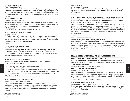#### **MA 213 — QUANTITATIVE METHODS**

#### Prerequisite: algebra proficiency\*\*

Explores the mathematical model-building process in the settings provided by linear programming and probability. Includes simplex methods for solving linear programs; duality; matrix algebra; probability models based on equally likely outcomes, independent events, and conditional probability; applications, particularly to business and economics; and elementary math of finance. (G2: Mathematics) 3 CREDITS

## **MA 222 — STATISTICAL ANALYSIS**

#### Prerequisite: arithmetic proficiency\*

Studies the principles and methods of statistical analysis including probability distributions, sampling distributions, error of estimate, significance tests, correlation and regression, chi-square, and ANOVA. Introduces the use of the computer to store, manipulate, and analyze data. (G2: Mathematics)

3.5 CREDITS; 3 LECTURE AND 1 COMPUTER LABORATORY HOURS PER WEEK

### **MA 241 — TOPICS IN PROBABILITY AND GEOMETRY**

### Co-requisite: MA 041

For Toy Design students. The understanding of geometry and probability in everyday natural and social environments and their use as tools for analysis and creativity in toy design. Shapes and figures are examined through geometrical study. Problems in probability are translated from mathematical concepts to real situations. (G2: Mathematics) 3 CREDITS

## **MA 242 — GEOMETRY AND THE ART OF DESIGN**

### Prerequisite: arithmetic proficiency\*

A contemporary primer of geometric topics that expand the concepts of shape and space, this course presents some of the established and emerging ways geometry can provide tools and insights for artists and designers. Included are a variety of visual phenomena such as fractals, knots, mazes, symmetry, and the golden ratio. (G2: Mathematics) 3 CREDITS

### **MA 299 — INDEPENDENT STUDY IN MATHEMATICS**

Prerequisites: a minimum 3.5 GPA and approval of instructor, chairperson, and dean VARIABLE CREDITS (3 CREDITS MAXIMUM)

### **MA 311 — MATHEMATICAL MODELING FOR BUSINESS APPLICATIONS**

### Prerequisite: algebra proficiency\*\*

To instill the value of mathematics as a tool for modeling real-life situations, this course focuses on an analytical approach to business decision-making. Topics covered include finance, cash flow, probability, linear programming, and the business applications of basic equations. Microsoft Excel is used. (G2: Mathematics)

3 CREDITS; 2 LECTURE AND 2 COMPUTER LABORATORY HOURS PER WEEK

### **MA 321 — DATA ANALYSIS FOR BUSINESS APPLICATIONS**

### Prerequisites: MA 222 and algebra proficiency\*\*

This course covers intermediate statistics topics with applications to business. Students graph, manipulate, and interpret data using statistical methods and Excel. Topics include data transformations, single and multiple regression, time series, analysis of variance, and chi-square tests. Applications are from the areas of retail, finance, management, and marketing. (G2: Mathematics) 3 CREDITS

\* See Arithmetic Proficiency on page 244.

\*\* See Algebra Proficiency on page 244.

Prerequisite: algebra proficiency\*\*

Develops basic principles of differential calculus and introduces integral calculus. Functions, graphing, and maxima-minima problems are studied in the context of business and other applications. (G2: Mathematics) 3 CREDITS

**MA 391 — MATHEMATICS OF THE ANCIENT WORLD IN ITS CULTURAL AND HISTORIC CONTEXT (HONORS)** Prerequisites: qualification for Presidential Scholars or a minimum 3.5 GPA with approval of dean for Liberal Arts, arithmetic\* and algebra proficiencies\*\*, and a minimum grade of 85 on Regents Math III, minimum SAT math score of 530, or G2: Math requirements

This interdisciplinary survey of mathematics from prehistory to Archimedes covers topics from the basic (different ways of conceiving numbers) to the complex (a proof of the Pythagorean theorem). The cultural and historical context of the mathematical achievements of ancient Egypt, Mesopotamia, and Greece are emphasized in a way that shows these achievements as a natural and integral part of the civilizations that created them. Comparisons to modern methods in mathematics are stressed. (G2: Mathematics)

3 CREDITS

## **MD 008 — MATH INDEPENDENT LEARNING**

Prerequisite: appropriate score on arithmetic proficiency exam\*

An accelerated arithmetic course emphasizing applications, including such topics as percents, operations on fractions, ratios and proportions, and conversion between the metric and English measurement systems. Fundamentals of algebra and geometry are introduced. Students are given computer software and customized assignments; work is done on their own time and computers. The final exam is given on campus.

0 CREDITS

## Production Management: Fashion and Related Industries

## **MG 108 — APPAREL AND HOME TEXTILE PRODUCTS MANUFACTURING**

For Textile Development and Marketing students. Surveys manufacturing processes for apparel and home textile products beginning with product development to acquisition of fabrics through cutting, sewing, and finishing operations.

2 CREDITS; 1 LECTURE AND 2 LABORATORY HOURS PER WEEK

### **MG 114 — PRINCIPLES OF PRODUCT CONSTRUCTION**

Prerequisite: TS 015/115, TS 111, or TS 131

Emphasizes the relationship between the quality and construction of a sewn product and focuses on the geometric principles of draping, drafting, and grading of industrial patterns. Students develop and interpret original patterns using both manual and computerized methods and apply the data to written specifications.

3 CREDITS; 2 LECTURE AND 2 LABORATORY HOURS PER WEEK

## **MG 132 — MARKETING FOR MANUFACTURERS**

Students are introduced to the basic concept of marketing and the components of the marketing mix in order to understand how fashion products are developed and successfully distributed. Computerassisted marketing, including barcoding, e-commerce, and the role of the internet, is investigated as a strategic tool for globalization.

3 CREDITS

\* See Arithmetic Proficiency on page 244.

\*\* See Algebra Proficiency on page 244.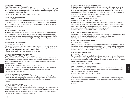#### **MG 153 — EXCEL FOR BUSINESS**

Prerequisite: Word and PowerPoint proficiency test

This course provides a comprehensive presentation of Microsoft Excel. Topics include charting, data tables, financial functions, formatting, formulas, functions, what-if analysis, working with large worksheets, and other business-related topics.

2 CREDITS; 1 LECTURE AND 2 COMPUTER LABORATORY HOURS PER WEEK

#### **MG 234 — SUPPLY CHAIN MANAGEMENT**

#### Prerequisite: MG 132

A thorough exploration of supply chain management from the manufacturer's perspective is presented. Major areas of global sourcing, vendor evaluation, quality assurance, materials resource planning, inventory control, and budget considerations are covered. Students develop a seasonal production plan as a final project.

3 CREDITS

#### **MG 242 — PRINCIPLES OF ACCOUNTING**

An intensive introduction to accounting theory and practice, employing manual and data-processing techniques. Includes problems in double-entry principles, trial balances, adjustments, valuation reserves, closing of books, and preparation of financial statements. Also introduces accounting for manufacturing costs, apportionment of overhead, job order costs, process costs, and standard costs. 3 CREDITS

#### **MG 252 — PRODUCT DATA MANAGEMENT**

#### Prerequisites: MG 153 and MG 253

This course offers a hands-on approach to learning how to generate, transmit, and manage product data in a global business environment. Students construct product document packages for use in engineering, finance, logistics, manufacturing, and quality control.

3 CREDITS; 2 LECTURE AND 2 COMPUTER LABORATORY HOURS PER WEEK

#### **MG 253 — OBJECT-ORIENTED DATABASE MANAGEMENT**

#### Prerequisite: AC 161 or MG 153 or TT 173 , or equivalent

Concepts of database management, including the development of object-oriented databases with Adobe Illustrator and Photoshop, are taught in this course. Integrating Microsoft Access with other programs within a microcomputer environment enables students to create data sets and reports, develop forms, and link databases.

2 CREDITS; 1 LECTURE AND 2 COMPUTER LABORATORY HOURS PER WEEK

#### **MG 299 — INDEPENDENT STUDY IN PRODUCTION MANAGEMENT: FASHION AND RELATED INDUSTRIES**

Prerequisites: a minimum 3.5 GPA and approval of instructor, chairperson, and dean VARIABLE CREDITS (3 CREDITS MAXIMUM)

#### **MG 301 — APPAREL PRODUCTION: LABOR ANALYSIS**

For baccalaureate-level Fashion Design students. Study of apparel mass-production techniques. Examines the transition of apparel products from designer's samples to finished production merchandise. Explores human resource management and labor relations in an apparel firm. 2 CREDITS

#### **MG 304 — INFORMATION SYSTEMS**

#### Prerequisite: AC 161or MG 153 or TT 173, or equivalent

This course presents an overview of management information systems (MIS) and how they impact the productivity and processes of a business organization. Case studies and problems focus on the issues of finances, human resources, organization, and technology as they relate to information systems. 2 CREDITS; 1 LECTURE AND 2 LABORATORY HOURS PER WEEK

#### **MG 305 — PRODUCTION PROCESSES FOR MERCHANDISERS**

For baccalaureate-level Fashion Merchandising Management students. This course introduces students to the processes and procedures used in the manufacturing of sewn products. Students learn about the types of equipment used, the specifications required to produce such products, and the methods for evaluating their construction, cost, and quality. The course is primarily designed for students without any background in the assembly and manufacturing processes. 3 CREDITS; 2 LECTURE AND 2 LABORATORY HOURS PER WEEK

#### **MG 306 — INFORMATION SYSTEMS: CASE ANALYSIS**

Prerequisite: AC 161 or MG 153 or TT 173, or equivalent

Principles of management information systems (MIS) are addressed. Students use database and spreadsheet tools (Access and Excel) to problem-solve business situations and present their solutions in PowerPoint. Topics include the business functions of human resources, marketing and sales, finance and accounting, manufacturing, and technology support. 2 CREDITS; 1 LECTURE AND 2 COMPUTER LABORATORY HOURS PER WEEK

#### **MG 311 — MANUFACTURING I: EQUIPMENT ANALYSIS**

Students develop a familiarity with the various kinds of assembly equipment used to construct sewn products. Stitchology, specifications development, and sourcing are also covered. 3 CREDITS; 2 LECTURE AND 2 COMPUTER LABORATORY HOURS PER WEEK

#### **MG 312 — MANUFACTURING II: PROCESS ANALYSIS**

#### Prerequisites: MG 114 and MG 311

This course presents the principles of workplace engineering in order to identify labor- and cost-saving methods. Students conduct time and motion studies, consider standardization procedures, and analyze garment assembly methods as factors in realizing efficiencies on the manufacturing floor. 3 CREDITS; 2 LECTURE AND 2 LABORATORY HOURS PER WEEK

#### **MG 313 — CUTTING ROOM PROCESSES**

#### Prerequisite: MG 114

The processes involved in the preproduction operations of sewn products - cut order planning, fabric utilization, marker making, fabric spreading, cutting, and costing - are studied. The fundamentals of laying out a cutting room and selecting equipment for specific applications are included. Students prepare markers by hand and computer.

3 CREDITS; 2 LECTURE AND 2 LABORATORY HOURS PER WEEK

#### **MG 314 — MANUFACTURING PROCESS ANALYSIS**

This course familiarizes students with the variety of equipment used to construct sewn products. Through hands-on use, students learn to select appropriate machinery and stitching types for various fabrications, garment categories, and end uses. 2 CREDITS, 1 LECTURE AND 2 LABORATORY HOURS PER WEEK

**MG 401 — MANUFACTURING MANAGEMENT**

For baccalaureate-level Fashion Design students. Examines business ownership and management, fashion manufacturer marketing philosophies, costing, and quality control. The financial aspects of a business are evaluated. 2 CREDITS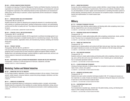#### **MG 403 — APPAREL MANUFACTURING PROCESSES**

For students not majoring in Production Management: Fashion and Related Industries. Examines the organization of a manufacturing firm: analysis of production techniques, cost development, and quality management; exploration of the relationship between product specifications and manufacturers' selling prices; and the study of customers' product requirements and the manufacturers' strategies for meeting them.

3 CREDITS

### **MG 411 — MANUFACTURING FACILITIES MANAGEMENT**

#### Prerequisites: MG 312 and MG 313

Students examine the criteria for designing and arranging the elements of a manufacturing facility with emphasis on modifying existing space, handling complementary products, and understanding workflow and the effect on quality and cost. They design and develop a detailed manufacturing facility layout.

3 CREDITS; 2 LECTURE AND 2 LABORATORY HOURS PER WEEK

#### **MG 432 — STRATEGY, POLICY, AND DECISION MAKING**

## Prerequisites: MG 411 and MG 442

This capstone course presents students with the opportunity to synthesize knowledge gained in previous semesters and prepare a complete business plan for a manufacturing company. They develop human resource policies, organization charts, and manufacturing, financial, marketing, and merchandising plans.

3 CREDITS

### **MG 442 — PRODUCT COSTING**

### Prerequisites: MG 242, MG 312, and MG 313

Cost-accounting and industrial engineering concepts are applied to estimating, accumulating, and assigning costs to products that are mass produced by apparel and apparel-related companies. Students learn cost-estimating techniques, practical methods to capture actual costs, and how to do variance analysis of actual and cost-estimated standards. 3 CREDITS

## **MG 499 — INDEPENDENT STUDY IN PRODUCTION MANAGEMENT: FASHION AND RELATED INDUSTRIES**

Prerequisites: a minimum 3.5 GPA and approval of instructor, chairperson, and dean VARIABLE CREDITS (3 CREDITS MAXIMUM)

## Marketing: Fashion and Related Industries

## **MK 301 — MARKETING FOR THE TOY INDUSTRY**

For Toy Design students. Application of basic marketing principles to the toy industry. Product development, market research, consumer behavior, product and pricing strategies, distribution, and international marketing are stressed.

3 CREDITS

## **MK 311 — PRINCIPLES OF MARKETING**

Surveys the fundamental features of contemporary marketing systems, concepts, and principles. Students study the components of the marketing mix: product, planning, distribution, pricing, and promotion. Also addresses the social, legal, and international environments in which marketing functions. 3 CREDITS

#### **MK 351 — MARKETING RESEARCH**

Surveys the entire marketing research process: problem definition, research design, data collection, sampling techniques, preparation of questionnaires, field surveys and methods of tabulation, analysis, and interpretations of results. Applies recent developments in marketing information systems to product planning, advertising research, and consumer and competitive analysis. Emphasizes development and implementation of a market research plan. 3 CREDITS

## **Millinery**

#### **ML 113 — BLOCKING TECHNIQUES FOR HATS**

Students acquire basic stitching, patternmaking, and blocking skills while completing a beret, baseball cap, draped felt hat, and a one-piece blocked felt hat. 2.5 CREDITS; 1 LECTURE AND 3 STUDIO HOURS PER WEEK

#### **ML 114 — HEADWEAR DESIGN AND PATTERNMAKING**

### Prerequisite: ML 113

Students continue to master patternmaking skills while completing a stylized beret, cloche, and fabric hat. They learn how to manipulate felt and acquire an understanding of straws. 2.5 CREDITS; 1 LECTURE AND 3 STUDIO HOURS PER WEEK

## **ML 115 — FABRIC HAT CONSTRUCTION**

### Prerequisite: ML 113

Students learn to develop patterns and construct soft fabric hats and caps. Grain lines, fabric qualities, and support materials are covered, as is the impact of the materials on the hat's shape and body. 2.5 CREDITS; 1 LECTURE AND 3 STUDIO HOURS PER WEEK

## **ML 116 — COLD WEATHER HEADGEAR**

### Prerequisite: ML 115

Students continue to master patternmaking and blocking skills while completing a helmet, hunting cap, and a cuff hat with a knit crown and a blocked fur crown. Students gain an understanding of how to manipulate specialized materials.

2.5 CREDITS; 1 LECTURE AND 3 STUDIO HOURS PER WEEK

## **ML 121 — CLASSIC DESIGN AND TECHNIQUES**

Introduces the basic elements of millinery design from conception to construction, including how to make a frame, a block, and a pattern.

2.5 CREDITS; 1 LECTURE AND 3 STUDIO HOURS PER WEEK

## **ML 122 — ADVANCED CUSTOM MILLINERY**

Prerequisite: ML 121

Students draw upon custom production techniques studied in ML 121 to design and execute custom-made hats in a variety of styles and materials. Emphasizes refining the design and construction of each hat as a three-dimensional sculptural object. 2.5 CREDITS; 1 LECTURE AND 3 STUDIO HOURS PER WEEK

## **ML 123 — CONTEMPORARY MEN'S HATS**

Prerequisite: ML 115 From blocked hats to baseball caps, students learn flat patternmaking, sewing, and blocking techniques in order to design and produce men's hats. 2.5 CREDITS; 1 LECTURE AND 3 STUDIO HOURS PER WEEK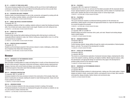#### **ML 131 — A SURVEY OF TRIMS IN MILLINERY**

This course introduces students to the world of millinery and the use of trims in both traditional and contemporary hatmaking. They learn about different hat silhouettes and how trims can alter them. 2.5 CREDITS; 2 LECTURE AND 1 STUDIO HOURS PER WEEK

## **ML 132 — DECORATIVE MILLINERY TRIMMING**

Students master trimming techniques for use on hats, accessories, and apparel by working with silk flowers, silk cording, horsehair, feathers, and artificial fruits and vegetables. 2 CREDITS; 1 LECTURE AND 2 STUDIO HOURS PER WEEK

## **ML 241 — BRIDAL AND SPECIAL OCCASION HEADWEAR**

### Prerequisite: ML 115

By completing a collection of hats for a wedding, students continue to master their blocking and sewing skills. How to block and create a classic turban is also taught. Students work with veiling and wire. 2.5 CREDITS; 1 LECTURE AND 3 STUDIO HOURS PER WEEK

## **ML 242 — CONCEPTUAL HEADWEAR**

## Prerequisite: ML 114

Students further develop their patternmaking and blocking skills while learning to combine and manipulate different materials to make a hat. Helmet, hunting cap, draped leather crown, fur cuff hat, and a period hat are completed.

2.5 CREDITS; 1 LECTURE AND 3 STUDIO HOURS PER WEEK

## **ML 243 — CREATIVE DESIGN IN HEADWEAR**

Prerequisite: ML 115

Students use the techniques acquired in their previous classes to create a challenging, unified collection of headwear that reflects their individual style. 2.5 CREDITS; 1 LECTURE AND 3 STUDIO HOURS PER WEEK

## **Menswear**

Courses

#### **MW 131 — MENSWEAR FLAT PATTERNMAKING DESIGN I**

Co-requisites: MW 141 and MW 151

Basic principles of drafting patterns on paper and testing them in muslin on three-dimensional forms for men's shirts and pants. Using basic construction techniques, students develop original garment designs in harmony with current trends and design-room practices. Special machine methods and the technical aspects of decorative seam finish and detail are studied.

3 CREDITS; 6 STUDIO HOURS PER WEEK

## **MW 141 — MENSWEAR CONSTRUCTION**

#### Co-requisites: MW 131 and MW 151

Introduces students to the many processes involved in the construction of first samples. Basic standards of construction are stressed, enabling the student to make finished garments. Classic shirt and trouser problems are studied. 1.5 CREDITS; 3 STUDIO HOURS PER WEEK

#### **MW 142 — MENSWEAR SEWING**

This course introduces students to the many processes involved in creating a first sample. Professional standards of construction are emphasized throughout the semester as students cut, layout, and construct a classic menswear shirt. 2 CREDITS; 1 LECTURE AND 2 STUDIO HOURS PER WEEK

#### **MW 143 — TAILORING I**

Prerequisite: MW 142 or approval of chairperson

Students learn how to lay out, cut, and sew all of the details associated with the classically tailored trouser. Special emphasis is given to the fly, tailored pockets, and the creation of a handmade waistband curtain. Students also learn to fit the classic trouser on various figure types. 2 CREDITS; 1 LECTURE AND 2 STUDIO HOURS PER WEEK

#### **MW 144 — TAILORING II**

Prerequisite: MW 143

This course introduces students to professional tailoring practices for the menswear suit jacket/blazer. Details specific to the jacket and appropriate finishes for a high-end tailored garment are covered throughout the semester. 2 CREDITS; 1 LECTURE AND 2 STUDIO HOURS PER WEEK

#### **MW 151 — MENSWEAR DESIGN I**

Co-requisites: MW 131 and MW 141 Students design and present menswear shirts, pants, and vests. Research and existing designs inspire original designs. 1.5 CREDITS; 3 STUDIO HOURS PER WEEK

#### **MW 152 — MENSWEAR DESIGN II**

Prerequisite: MW 151 Co-requisite: MW 232 Further develops students' design abilities through the creation and presentation of tailored jackets, blazers, and suits. The concept of line development is studied. 1.5 CREDITS; 3 STUDIO HOURS PER WEEK

#### **MW 221 — DIGITAL ART FOR MENSWEAR**

Prerequisite: MW 251 Co-requisite: MW 252

This course is a comprehensive exploration of advanced menswear design, emphasizing the refinement of the student's rendering, sketching, and digital art abilities. Market segment analysis, collection development, and appropriate design are examined as they apply to the development of portfolio-quality artwork for the menswear market. 1.5 CREDITS; 3 STUDIO HOURS PER WEEK

#### **MW 231 — MENSWEAR FLAT PATTERNMAKING DESIGN III**

Prerequisite: MW 232 Co-requisite: MW 251

Studies advanced design problems for tailored garments, making use of the master pattern. Original designs are tested in muslin, constructed in fabrics, and analyzed in terms of taste, fabric selection and properties, design principles, fashion interest, and commercial value. 4 CREDITS; 8 STUDIO HOURS PER WEEK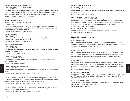#### **MW 232 — MENSWEAR FLAT PATTERNMAKING DESIGN II**

Prerequisites: MW 131 and MW 141, or equivalent Co-requisite: MW 152

Students learn how to develop flat patterns and create a finished jacket using professional standards. The course explores the four iconic prototypes of menswear jackets and traditional tailoring techniques and details. Students also learn to identify and define market trends in specific menswear markets and to present professional oral presentations. 2 CREDITS; 1 LECTURE AND 2 STUDIO HOURS PER WEEK

#### **MW 241 — TAILORING THE JACKET**

Prerequisite: MW 131 and MW 141, or equivalant Co-requisite: MW 152

This course introduces students to the art of tailoring. Classic details associated with the fully lined tailored jacket are defined and demonstrated as students work toward mastering the components comprising a finely crafted tailored suit jacket. 2 CREDITS; 1 LECTURE AND 2 STUDIO HOURS PER WEEK

#### **MW 242 — TAILORING III**

#### Prerequisite: MW 144

This course introduces students to the assembly processes and finishing details necessary to construct and tailor a high-end, fully lined suit jacket. 2 CREDITS; 1 LECTURE AND 2 STUDIO HOURS PER WEEK

#### **MW 251 — MENSWEAR DESIGN III**

Prerequisite: MW 152 Co-requisite: MW 231 Students create designs while refining advanced sketching skills. Classifications and collections are utilized throughout the semester. 1.5 CREDITS; 3 STUDIO HOURS PER WEEK

#### **MW 252 — MENSWEAR DESIGN IV**

Prerequisites: MW 231 and MW 251 Students design and execute original sportswear collections using international trends, colors, details, and fabrications. 5 CREDITS; 10 STUDIO HOURS PER WEEK

#### **MW 253 — ADVANCED COMPUTER FASHION DESIGN**

#### Prerequisite: MW 133

Courses

Using CAD software, students create flats, fashion drawings, and storyboards in color and black and white.

2 CREDITS; 1 LECTURE AND 2 COMPUTER LABORATORY HOURS PER WEEK

## **MW 254 — COMPUTER DESIGN I**

This course introduces students to the use of Adobe Illustrator as it applies to the menswear and accessories design industry. Students learn how to use Adobe Illustrator as a CAD tool for designing menswear and accessories. Auxiliary software includes Adobe Photoshop. 2 CREDITS; 1 LECTURE AND 2 COMPUTER LABORATORY HOURS PER WEEK

## **MW 255 — ACCESSORIES COMPUTER DESIGN I**

This course introduces students to Adobe Illustrator used as a CAD tool for designing accessories. Auxiliary software includes Adobe Photoshop. 2 CREDITS; 1 LECTURE AND 2 COMPUTER LABORATORY HOURS PER WEEK

## **MW 262 — PRESENTATION/PORTFOLIO**

Prerequisite: MW 152 Co-requisite: MW 251 Students learn to design professional collections which are analyzed, segmented, and developed for various markets. 2 CREDITS; 1 LECTURE AND 2 STUDIO HOURS PER WEEK

#### **MW 271 — COMPARATIVE INTERNATIONAL APPAREL**

Prerequisite: AR 101 or FF 112 or LD 144 or MW 152 , or approval of chairperson Students develop their ability to analyze trends, colors, fabrications, and apparel details in three international fashion centers. Through constructive analyses, critiques, and creative thinking, students present final projects incorporating aspects of comparative cultural aesthetics. 3 CREDITS; 2 LECTURE AND 2 STUDIO HOURS PER WEEK

#### **MW 299 — INDEPENDENT STUDY IN MENSWEAR**

Prerequisite: a minimum 3.5 GPA and approval of instructor, chairperson, and dean VARIABLE CREDITS (3 CREDITS MAXIMUM)

## Physical Education and Dance

#### **PE 111 — MODERN DANCE**

Introduces the fundamentals of modern dance through the development of dance technique and comprehension of rhythm. Elements of dance composition are introduced and provide students with an opportunity to create individual work. (G6: Arts) 1 CREDIT; 2 STUDIO HOURS PER WEEK

#### **PE 113 — JAZZ DANCE**

Introduces the fundamentals of jazz dance through the development of dance technique, comprehension of rhythm, and the ability to perform isolated movement. Elements of dance composition are introduced and provide students with an opportunity to create individual work. (G6: Arts) 1 CREDIT; 2 STUDIO HOURS PER WEEK

### **PE 114 — BALLET I**

Basic exercises are done at the barre to develop proper alignment, placement, strength, coordination, and understanding of ballet movement vocabulary in this introductory class. Center floor combinations and movement across the floor are used to integrate skills learned in the warm-up. (G6: Arts)

1 CREDIT; 2 STUDIO HOURS PER WEEK

## **PE 115 — SKIING (WINTERIM ONLY)**

For students of all skiing levels, this course presents proper and safe skiing techniques as well as the use of ski equipment and supplies and provides the opportunity to improve fitness and skills. 1 CREDIT; 2 HOURS PER WEEK

#### **PE 116 — AFRO-CARIBBEAN DANCE**

Students experience, learn, and perform the traditional dances and rhythms, rooted in African and European dance, of the Caribbean region. (G6: Arts) 1 CREDIT; 2 STUDIO HOURS PER WEEK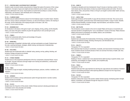#### **PE 117 — CREATING DANCE: AN INTRODUCTION TO MOVEMENT**

Students create movement studies using elements of design that capture the essence of their unique expressions. Concepts of space and weight and dance elements such as rhythm, symmetry, and shape are addressed in the course. Improvisations are performed according to a variety of themes, relationships, and situations, both individually and in small groups. 1 CREDIT; 2 STUDIO HOURS PER WEEK

#### **PE 118 — FLAMENCO DANCE**

Students execute traditional flamenco dances from the Andalusia region of southern Spain. Students learn how various cultures contributed to flamenco, as well as the flamenco rhythms, the meaning of the songs, and the relationship of the singing and guitar to the dance. (G6: Arts) 1 CREDIT; 2 STUDIO HOURS PER WEEK

#### **PE 122 — BEGINNING GOLF**

An introduction to the basics of the game of golf. Learn chipping, driving, putting, and the etiquette, history, and rules of the game. Students are given the opportunity to visit a private golf course. 1 CREDIT; 2 STUDIO HOURS PER WEEK

#### **PE 131 — TENNIS I**

Teaches the fundamental skills of tennis and knowledge of the game. 1 CREDIT; 2 STUDIO HOURS PER WEEK

#### **PE 135 — BASKETBALL**

The fundamentals of basketball, individual skills, and team participation are taught. Students learn the rules, coaching techniques, strategies, athletic training, and enjoyment of spectatorship. 1 CREDIT; 2 STUDIO HOURS PER WEEK

#### **PE 136 — VOLLEYBALL**

Students learn the fundamental skills of volleyball: setup, passing, serving, spiking, blocking, and bumping. Strategy and games are included. 1 CREDIT; 2 STUDIO HOURS PER WEEK

#### **PE 141 — FITNESS TRAINING**

Students focus on the progressive development of the four components of physical fitness: muscular strength, muscular endurance (through weight-room training and calisthenics), cardiovascular endurance, and fitness.

1 CREDIT; 2 STUDIO HOURS PER WEEK

#### **PE 143 — YOGA I**

Courses

The elements of yoga are taught, including breathing techniques, postures, nutrition, meditation, and relaxation.

1 CREDIT; 2 STUDIO HOURS PER WEEK

## **PE 144 — AEROBICS**

Students work to achieve a strong cardiovascular system through step-bench or aerobic routines. Toning exercises are included. 1 CREDIT; 2 STUDIO HOURS PER WEEK

## **PE 145 — TAI CHI I**

Students learn the Yang form of this ancient, holistic Chinese exercise to develop good balance and coordination and to relax physically and mentally. 1 CREDIT; 2 STUDIO HOURS PER WEEK

#### **PE 146 — KUNG FU**

Translated as discipline and inner development, Kung Fu focuses on learning a system of movements based upon the observations of nature by ancient Chinese priests and monks. The forms, basic stances, kicks, and punches of Shao-Lin Kung Fu are taught to achieve better health, harmony, and coordination.

1 CREDIT; 2 STUDIO HOURS PER WEEK

#### **PE 147 — GENTLE YOGA**

Gentle yoga introduces all the benefits of yoga with less demand on the body. This course can be enjoyed by all students, particularly those with limited physical health or range of motion. Benefits include enhanced flexibility, increased strength, improved balance, and reduction of stress. 1 CREDIT; 2 STUDIO HOURS PER WEEK

#### **PE 148 — MAT PILATES**

This introductory course is based on the work of Joseph Pilates and focuses on movements and exercises devoted to strengthening the "core or foundational" muscles of the body. Pilates enhances athletic performance by developing core stability, balance, and coordination. 1 CREDIT; 2 STUDIO HOURS PER WEEK

## **PE 153 — FENCING**

Students learn and practice the fundamentals of foil fencing, including positions and movements, offensive and defensive strategy, directing a fencing bout, and international rules. 1 CREDIT; 2 STUDIO HOURS PER WEEK

#### **PE 214 — BALLET II**

## Prerequisite: PE 114 or equivalent

More advanced steps focusing on coordination, musicality, and improvement of technique are introduced. Students execute movement phrases of their own and learn the history of ballet. (G6: Arts) 1 CREDIT; 2 STUDIO HOURS PER WEEK

#### **PE 231 — TENNIS II**

Prerequisite: PE 131 or equivalent

Building on Tennis I, students learn more advanced tennis skills focusing on specific strokes, court positioning, and strategies for singles, doubles, and competitive play. 1 CREDIT; 2 STUDIO HOURS PER WEEK

#### **PE 243 — YOGA II**

Prerequisite: PE 143

Students build upon their yoga experience by learning new yoga postures and variations of standard postures and breathing techniques while exploring additional concepts from the Yoga Sutras. 1 CREDIT; 2 STUDIO HOURS PER WEEK

## **PE 245 — TAI CHI II**

Prerequisite: PE 145 or equivalent

Students continue their study of this ancient, holistic Chinese exercise, developing greater strength, balance, coordination, and relaxation through the Yang form of Tai Chi. 1 CREDIT; 2 STUDIO HOURS PER WEEK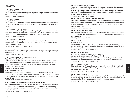## **Photography**

## **PH 003 — BASIC PHOTOGRAPHY STUDIO**

#### Co-requisite: PH 103

For Fine Arts students. Students learn the practical applications of digital camera operations and studio lighting techniques.

0 CREDITS; 1 STUDIO HOURS PER WEEK

## **PH 103 — BASIC PHOTOGRAPHY**

#### Co-requisite: PH 003

For Fine Arts students. Fundamentals of modern photographic practices including technical principles, aesthetic camera operation, and lighting techniques. Geared to aid the creative efforts of fine artists. 2 CREDITS

## **PH 112 — INTRODUCTION TO PHOTOGRAPHY**

Introduces students to the craft of photography, including lighting techniques, model direction and styling, and related exposure, film processing, and printing skills. Through discussion and critiques, students study photo trends for advertising, commercial, and editorial fashion uses. 3 CREDITS; 6 STUDIO HOURS PER WEEK

#### **PH 113 — PHOTOGRAPHIC TECHNIQUES**

An intense study of the photographic medium from a technical standpoint. Stresses an understanding of film and exposures as they relate to light, light measurement, contrast control, film processing, and photographic chemistry.

2 CREDITS; 1 LECTURE AND 2 STUDIO HOURS PER WEEK

### **PH 114 — INTRODUCTION TO DIGITAL PHOTOGRAPHY**

Students are introduced to digital photography techniques and new digital technologies as they apply to image capture.

1 CREDIT; 2 STUDIO HOURS PER WEEK

#### **PH 115 — ADVERTISING PHOTOGRAPHY WITH MEDIUM FORMAT**

#### Prerequisites: PH 112 and PH 131

Emphasizes the use of 2 1/4, medium-format cameras in the fashion photography studio. Students learn advanced tungsten light techniques, with an introduction to monoblock electronic flash units for photography of models and accessories for advertising, editorial, or illustration use. Advanced darkroom procedures are stressed.

3 CREDITS; 6 STUDIO HOURS PER WEEK

## **PH 116 — PHOTOGRAPHY BASICS**

Students develop an understanding of traditional film and digital cameras by learning basic studio and lighting setup, model direction, and related film exposure techniques. Working in color and black and white, students are encouraged to produce images that creatively explore personal themes and issues. (G6: Arts)

2 CREDITS; 1 LECTURE AND 2 STUDIO HOURS PER WEEK

## **PH 117 — PRINCIPLES OF PHOTOGRAPHY INCLUDING DARKROOM INSTRUCTION**

Introduces students to the techniques of black-and-white photography, including basic studio setup, lighting techniques, model direction, and related film exposure as applied to the 35mm camera. Instruction on enlarging techniques and film processing through the use of the darkroom are also covered. (G6: Arts)

2 CREDITS; 1 LECTURE AND 2 STUDIO HOURS PER WEEK

## **PH 118 — BEGINNING DIGITAL PHOTOGRAPHY**

An introductory course that familiarizes students with the basics of photography from visual, aesthetic, and technical viewpoints. The course explores the differences between conventional, silverbased (analog), and digital photographic tools. Students learn camera technique, the transfer of the image from the camera to the computer, basic scanning, and digital printing. Students are required to possess their own digital (DSLR) cameras.

2 CREDITS; 1 LECTURE AND 2 STUDIO HOURS PER WEEK

## **PH 119 — INTERNATIONAL PHOTOGRAPHIC STUDY AND PRACTICE**

This basic elective photography course focuses on the photographic image within a global environment. Students explore cultural themes and develop an understanding of digital photographic techniques including the proper use of digital cameras, managing digital files and sharing images via an image-sharing website.

1.5 CREDITS; 3 STUDIO HOURS PER WEEK

## **PH 121 — LARGE FORMAT PHOTOGRAPHY**

Basic techniques in professional operation of a large-format view camera as applied to commercial still-life photography. Covers fundamental camera movements, lighting setups, 4x5 film processing, and printing skills.

2 CREDITS; 4 STUDIO HOURS PER WEEK

## **PH 130 — LIGHTING I**

Co-requisite: PH 171

Students are introduced to the craft of lighting. They explore the qualities of various kinds of light and observe light from a scientific perspective, which informs their aesthetic decisions. This course is taught using digital cameras.

2 CREDITS; 1 LECTURE AND 2 STUDIO HOURS PER WEEK

### **PH 131 — LIGHTING PRINCIPLES**

Prerequisite: (for students not majoring in Photography) PH 117

Co-requisite: (for students majoring in Photography) PH 112

The student photographer is introduced to the creative practices of lighting for studio and outdoor photography. Use and control of continous light, natural light, and preexisting light are emphasized. 2 CREDITS; 1 LECTURE AND 2 STUDIO HOURS PER WEEK

### **PH 162 — PHOTOGRAPHIC STYLING**

Introduces the elements of photographic styling, stressing both creative sensitivity and technical skills, through lectures and demonstrations. Assignments include fashion, beauty, illustration, tabletop, and food styling. (G6: Arts)

2 CREDITS; 1 LECTURE AND 2 STUDIO HOURS PER WEEK

### **PH 171 — DIGITAL DARKROOM**

This course offers an in-depth study of the workflow necessary for the storage, editing, and output of digital photography. Students are introduced to computer-aided tools and techniques that apply to the production and aesthetic concerns of photography in the digital environment. 2 CREDITS; 1 LECTURE AND 2 STUDIO HOURS PER WEEK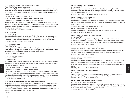#### **PH 201 — DIGITAL PHOTOGRAPHY FOR ACCESSORIES AND JEWELRY**

#### Prerequisite: PH 118 or approval of chairperson

Students learn to light and capture digital images of accessory and jewelry items. They explore lighting techniques for various surfaces and learn to enhance item color, contour, and contrast. A DSLR camera is required and a basic knowledge of an image-editing program such as Adobe Photoshop is strongly suggested.

2 CREDITS; 1 LECTURE AND 2 STUDIO HOURS PER WEEK

## **PH 211 — ADVANCED PROFESSIONAL FASHION AND BEAUTY PHOTOGRAPHY**

Prerequisites: PH 115 and portfolio review by chairperson or instructor

Students learn all aspects of fashion and beauty photography, from the creation of a competitive portfolio to post-production, with emphasis on developing an individual aesthetic vision. Exploration of the major technical elements include digital capture, studio and location shoots, client expectations, and contracts and fees.

4.5 CREDITS; 1 LECTURE AND 7 STUDIO HOURS PER WEEK

### **PH 230 — LIGHTING II**

#### Prerequisite: PH 130

Students continue the exploration of light begun in PH 130. They apply techniques learned with continuous lights to strobe lights, the standard lighting tool of the professional photographer. Students explore the unique quality of strobe lights and develop techniques using the monoblock strobe. 2.5 CREDITS; 1 LECTURE AND 3 STUDIO HOURS PER WEEK

## **PH 231 — ELECTRONIC FLASH**

#### Prerequisite: PH 115

Advances photographic skills through the use of electronic lighting equipment and techniques. Small-, medium-, and large-format cameras are used to photograph models and still-life subjects in black and white or color mediums. Includes related darkroom procedures. 4 CREDITS; 8 STUDIO HOURS PER WEEK

#### **PH 241 — FOUNDATIONS OF COLOR**

Prerequisite: PH 112

Co-requisite: PH 115

Courses

**260** Courses

Exploration of color as it applies to photography. Includes additive and subtractive color mixing, color harmony, lighting for color, light balancing, color correction, film, and digital color reproduction techniques. 2 CREDITS; 4 STUDIO HOURS PER WEEK

### **PH 242 — ADVANCED PROJECTS AND PORTFOLIO DEVELOPMENT**

#### Prerequisites: PH 231 and PH 241 or approval of chairperson

The relationship of advanced studio lighting, set preparation techniques, and digital image capture are explored in conjunction with color theories that apply to model and still-life photography for the printed page. Students complete industry-level assignments and personal interest images in the studio and on location. Emphasis is on preparation of an individualized portfolio presentation. 4.5 CREDITS; 9 STUDIO HOURS PER WEEK

### **PH 262 — PROFESSIONAL PROCEDURES FOR THE COMMERCIAL PHOTOGRAPHER**

An in-depth understanding of owning and operating a small professional photography business is provided. Students learn and practice organizational and career goal planning techniques, assignment pricing structures, the use of standard contracts, maintaining accurate records, and the creation of standard business forms. Emphasis is on understanding copyright law and tax structure, and learning criteria for retaining legal and financial services. 2 CREDITS

#### **PH 272 — PHOTOSHOP I FOR PHOTOGRAPHERS**

Prerequisite: CG 111

Students engage in a comprehensive study of Adobe Photoshop tools using the Macintosh platform. Methods and management techniques for scanning, creation of selections, layers, color correction, and basic image manipulation are studied.

2 CREDITS; 1 LECTURE AND 2 COMPUTER LABORATORY HOURS PER WEEK

#### **PH 274 — PHOTOSHOP II FOR PHOTOGRAPHERS**

Prerequisites: CG 111 and PH 272

Students develop an advanced knowledge of layers, channels, curves, image merging, color correction, and color matching in the Adobe Photoshop program. Scanning devices, file formats, and resolution levels are explored.

2 CREDITS; 1 LECTURE AND 2 COMPUTER LABORATORY HOURS PER WEEK

### **PH 299 — INDEPENDENT STUDY IN PHOTOGRAPHY**

Prerequisites: a minimum 3.5 GPA and approval of instructor, chairperson, and dean VARIABLE CREDITS (3 CREDITS MAXIMUM)

#### **PH 306 — DIGITAL PHOTOGRAPHY FOR PACKAGING DESIGN**

#### Prerequisite: PK 342

Students learn to produce professional-quality images for their portfolios. The course focuses on studio tabletop photography, lighting techniques, and use of image processing and editing software. Problem-solving skills are also acquired by working with a variety of materials used in packaging. 2 CREDITS; 1 LECTURE AND 2 STUDIO HOURS PER WEEK

### **PH 331 — LIGHTING FOR STILL AND MOVING IMAGES**

Prerequisites: PH 116 or equivalent, and (CG 211 or PH 272)

An in-depth study of the aesthetics, history, and expressive power of lighting, both natural and artificial, as it is used in still photography and the moving image. Camera experience is required. 2 CREDITS; 1 LECTURE AND 2 STUDIO HOURS PER WEEK

### **PH 341 — DIGITAL CRAFT AND THE EXHIBITION**

## Prerequisite: PH 242

Students explore methods for capture, editing and sequencing groups of digital images as cohesive statements with the aim of producing a photographic exhibition. Through field trips, critiques, and working with a guest art director, students study the signature styles and trends of various photographers.

3 CREDITS; 1 LECTURE AND 4 STUDIO HOURS PER WEEK

## **PH 342 — ADVANCED PROJECT IN STYLE AND MEDIA**

#### Prerequisite: PH 371

This course pairs photography and fashion design students, to create and produce professional press kits and a short digital documentary interpretation of style and fashion. 3 CREDITS; 1 LECTURE AND 4 STUDIO HOURS PER WEEK

#### **PH 351 — PROFESSIONAL APPROACH TO PHOTOJOURNALISM**

Prerequisite: PH 274 or approval of chairperson

Students learn how to unite image-making and writing skills to produce newsworthy picture stories. Topics covered include the legal and ethical issues that affect the process of photojournalism as well as the difference between objective and subjective judgments. 2 CREDITS; 1 LECTURE AND 2 STUDIO HOURS PER WEEK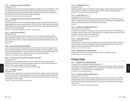#### **PH 361 — LOGISTICS OF LOCATION PHOTOGRAPHY**

#### Prerequisite: PH 371

Students develop the techniques of location photography, including environmental portraiture, industrial, fashion and architectural photography for editorial and advertising purposes. Assignments stress image design and are performed with medium- and large-format cameras using digital capture technology, as well as indoor and outdoor lighting techniques. 2 CREDITS; 1 LECTURE AND 2 STUDIO HOURS PER WEEK

#### **PH 371 — RETOUCHING/PRE-PRESS SOLUTIONS FOR PHOTOGRAPHERS**

#### Prerequisite: PH 274

Students explore ways to convey their ideas onto the printed page through retouching, editing and preparing digital files. High-end scanning, RGB to CMYK conversions, digital versus analog proofing and the differences between photographic, inkjet and offset printing are also explored from both theoretical and real-world perspectives.

2 CREDITS; 1 LECTURE AND 2 COMPUTER LABORATORY HOURS PER WEEK

#### **PH 372 — DIGITAL MEDIA TECHNOLOGY I**

#### Prerequisite: PH 371

This course provides practical, technical instruction in the use of high-end digital image capture backs coupled with traditional, medium format camera system hardware. Students explore the concepts and processes required to create photographic imagery using Adobe Photoshop, iMovie, and iDVD programs.

2 CREDITS

### **PH 404 — BASIC INTERIOR DESIGN PHOTOGRAPHY**

For baccalaureate-level Interior Design students or those interested in interior photography. A foundation for understanding and achieving control of the photographic medium as it applies to interior and architectural photography is provided. Students learn scale model and flat art photography, use of black and white and color films, metering, camera control, lighting, and filtration. 2 CREDITS; 1 LECTURE AND 2 STUDIO HOURS PER WEEK

### **PH 406 — DIGITAL SPECIAL EFFECTS AND PHOTOGRAPHIC RETOUCHING**

#### Prerequisite: IL 324

Students enhance their traditional illustration skills in a digital environment. Exploring Adobe Photoshop and its plug-ins for retouching and special aspects, they achieve the technical ability to transform initial creative inspirations into powerful imagery.

2 CREDITS; 1 LECTURE AND 2 COMPUTER LABORATORY HOURS PER WEEK

## **PH 451 — MULTIMEDIA CONCEPTS**

#### Prerequisite: PH 372

Courses

Students develop a critical point of view regarding video, electronic, digital, and print media through discussion, viewing, and critiquing published work. Assignments examine the relationship between art and media industries, covering topics that will include advertising, documentaries, the news, personal identity, and media imaging.

3 CREDITS; 1 LECTURE AND 4 STUDIO HOURS PER WEEK

## **PH 461 — MULTIMEDIA PORTFOLIO**

#### Prerequisite: PH 451

Graduating students assemble a professional-quality, digitally processed electronic and printed portfolio of imagery from thematic work produced during the sixth, seventh, and eighth semesters. 3 CREDITS; 1 LECTURE AND 4 STUDIO HOURS PER WEEK

## **PH 471 — DIGITAL MEDIA TECH. II**

Prerequisites: PH 371 and PH 372

Students study various forms of state-of-the-art lighting techniques used for digital high-end photography. Lighting for the specific commercial areas of still life, portrait/fashion, architecture/interior, jewelry, and corporate/industrial will be demonstrated and studied. 2 CREDITS

#### **PH 491 — RESEARCH FOR SENIOR DESIGN PROJECT**

#### Prerequisites: PH 341 and PH 342

This course assists students in developing a thesis proposal for the creation of a multimedia portfolio. Students research a chosen area of study and learn how to effectively plan and organize multimedia projects to be used in their senior design projects. 2 CREDITS; 1 LECTURE AND 2 STUDIO HOURS PER WEEK

#### **PH 492 — SENIOR DESIGN PROJECT**

#### Prerequisite: PH 491

Students prepare a capstone project resulting from the senior design project research completed in the prior semester. The course culminates in a multimedia presentation to faculty, mentors, and invited professionals and Advisory Board members for critique. 2 CREDITS; 4 STUDIO HOURS PER WEEK

### **PH 499 — INDEPENDENT STUDY IN PHOTOGRAPHY**

Prerequisites: a minimum 3.5 GPA and approval of instructor, chairperson, and dean VARIABLE CREDITS (3 CREDITS MAXIMUM)

# Packaging Design

## **PK 211 — INTRODUCTION TO PACKAGING DESIGN**

Prerequisite: (for Communication Design students) CD 171

An introduction to the field of packaging design, covering branding, graphics, materials, technology, and typography. This studio course focuses on design phases from concept to three-dimensional comprehensives, and includes field trips and guest lecturers. 1.5 CREDITS; 3 STUDIO HOURS PER WEEK

## **PK 301 — PACKAGING DESIGN FOR HOME PRODUCTS**

Prerequisite: HP 313 or HP 311

Students learn about packaging/brand design specific to home products retailing: brand identity, packaging design systems, and brand design applications throughout the retail environment. The creative process of design and strategic analysis of packaging as a marketing and merchandising tool is explored.

2 CREDITS; 1 LECTURE AND 2 STUDIO HOURS PER WEEK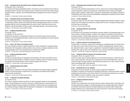#### **PK 302 — PACKAGING DESIGN FOR COSMETICS AND FRAGRANCE MARKETING**

#### Prerequisites: CM 311 and CM 341

For Cosmetics and Fragrance Marketing students. This hands-on course introduces the principles of packaging design for cosmetics and fragrance products. Students learn about brand identity, packaging design systems, materials, and the relationship between packaging and cosmetic and fragrance retailing.

2 CREDITS; 1 LECTURE AND 2 STUDIO HOURS PER WEEK

## **PK 303 — PACKAGING DESIGN FOR ACCESSORIES DESIGN**

For Accessories Design students. The packaging and brand design of accessory products is introduced. Through design projects, students learn about brand identity, packaging design systems, the variety of packaging materials, and how packaging affects the product at retail. Guest lecturers discuss how designers create brand identities, develop concepts, make design decisions, and oversee production. 2 CREDITS; 1 LECTURE AND 2 STUDIO HOURS PER WEEK

### **PK 313 — ADVANCED PACKAGING DESIGN I**

Prerequisite: PK 211

Co-requisites: PK 324 and PK 341

Students learn all aspects of packaging/brand design for food and beverage consumer products. Emphasis is on the packaging/brand design creative process and the application of creative solutions to meet strategic objectives.

4 CREDITS; 2 LECTURE AND 4 STUDIO HOURS PER WEEK

## **PK 315 — DIGITAL PRE-PRESS FOR PACKAGING DESIGN**

This course introduces students to digital mechanical art creation specifically for packaging design. Students learn file management, printing methods, color processes, packaging substrates, and how a packaging design moves from design approval to mechanical art creation.

2 CREDITS; 1 LECTURE AND 2 COMPUTER LABORATORY HOURS PER WEEK

### **PK 316 — ADVANCED PACKAGING DESIGN II**

### Prerequisite: PK 313

Provides an advanced approach to packaging and brand design with specific examination into distinct consumer product categories. Emphasis is placed on targeting consumer markets by developing integrated brand design systems which incorporate graphics and structures. 3.5 CREDITS; 1 LECTURE AND 5 STUDIO HOURS PER WEEK

### **PK 324 — PACKAGING BRAND DEVELOPMENT**

### Co-requisite: PK 313

Courses

Through hands-on exploration of the brand design development from design strategy, typographic identity to concept development, students learn to conceptualize and implement the branding process quickly and effectively. 2 CREDITS; 1 LECTURE AND 2 STUDIO HOURS PER WEEK

### **PK 325 — TYPOGRAPHY FOR BRAND PACKAGING**

### Co-requisite: PK 313

This course is designed to explore all aspects of creative typographic design for brand packaging design. Through assignments, exercises, and lectures, students develop an understanding of how professional designers develop and apply brand identities. Students explore how typographic decision-making and design strategies affect the application of typography for brand packaging design. 2 CREDITS; 1 LECTURE AND 2 STUDIO HOURS PER WEEK

## **PK 326 — PACKAGING DESIGN INTERDISCIPLINARY PROJECTS**

Prerequisite: PK 313

This course offers students the opportunity to work on a diverse array of brand packaging designs for a range of integrated, market-driven assignments. Interdisciplinary teams made up of packaging design students, students in related majors, and industry representatives work together to develop an understanding of the various roles and responsibilities in designing and marketing consumer brands. 1.5 CREDITS; 3 STUDIO HOURS PER WEEK

### **PK 331 — FLEXIBLE PACKAGING**

Provides the student with the wide variety of flexible packaging design materials available for today's designer. New technologies and materials are analyzed with the focus on strategic branding issues as product lines are developed. 3 CREDITS; 6 STUDIO HOURS PER WEEK

## **PK 336 — PACKAGING MATERIALS AND METHODS**

#### Co-requisite: PK 313

An introduction to the technology and production processes integral to the packaging design of consumer products, including beverages, cosmetics, food, fragrance, household care, personal care, and pharmaceuticals. Through design assignments, students develop an understanding of packaging materials and the technological and production processes that define packaging design. 2 CREDITS; 1 LECTURE AND 2 STUDIO HOURS PER WEEK

### **PK 341 — COMPUTER GRAPHICS FOR PACKAGING DESIGN**

Through hands-on interaction, students learn technology as a packaging design tool. Students learn the intricacies of various software tools as they are utilized in packaging design. Students create a die, utilizing the toolbox, plug-in resources, application of scanned and designed images and understanding color output as tools in the development of two- and three-dimensional packaging designs. 2 CREDITS; 1 LECTURE AND 2 COMPUTER LABORATORY HOURS PER WEEK

## **PK 342 — ADVANCED COMPUTER GRAPHICS FOR PACKAGING DESIGN**

### Prerequisite: PK 341. Co-requisite: PK 316

A hands-on studio using an advanced approach to current software programs to master the use of layers, create composites, customize tools, understand color and contrast adjustment, create convincing 3D images and apply gradients, adjust effects and transform art in order to achieve the best output of packaging design comprehensives.

2 CREDITS; 1 LECTURE AND 2 COMPUTER LABORATORY HOURS PER WEEK

### **PK 403 — PACKAGING FOR THE TOY DESIGNER**

Prerequisite: all seventh-semester Toy Design courses or approval of chairperson Emphasizes conceptual and mechanical toy packaging development, introducing students to types of packaging and constructions used in the toy industry. Environmental and safety issues are considered in addition to study of marketing, trends, and consumer motivation. 2 CREDITS; 1 LECTURE AND 2 STUDIO HOURS PER WEEK

### **PK 412 — ADVANCED PACKAGING DESIGN III**

### Prerequisite: PK 316

Students work in design teams and, through extensive research, design analysis, and problem solving, apply professional strategies in resolving packaging and brand design assignments. Students are directed to demonstrate advanced concept development and execution skills, meeting clear strategic objectives and an understanding of the retail environment in which the brand competes. 3.5 CREDITS; 1 LECTURE AND 5 STUDIO HOURS PER WEEK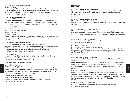#### **PK 426 — 3D CONCEPTS FOR PACKAGING DESIGN**

#### Co-requisite: PK 412

An advanced approach to composition and structural design skills to create three-dimensional models for packaging design. The course focuses on the issues and problems that arise in the transition between two-dimensional design explorations and three-dimensional representations. 1.5 CREDITS; 3 STUDIO HOURS PER WEEK

#### **PK 431 — SUSTAINABLE PACKAGING DESIGN**

#### Co-requisite: PK 412

Students learn the fundamentals of sustainable design for brand packaging design, including environmental and social issues, industry terminology, characteristics of various sustainable materials, life cycle analysis, understanding the sustainable packaging scorecard, and how to apply this knowledge to create positive change.

1.5 CREDITS; 3 STUDIO HOURS PER WEEK

#### **PK 451 — SURVEY OF PACKAGING DESIGN**

#### Prerequisite: PK 316

Co-requisite: PK 412

The global, historical, and social aspects of the packaging and brand design industry are researched and analyzed, with an emphasis on current professional practice and methodology. 2 CREDITS

#### **PK 461 — PACKAGING PORTFOLIO DEVELOPMENT**

Prerequisite: completion of all seventh-semester Packaging Design courses Students refine their portfolios to a highly professional level and develop marketable tools in preparation for career placement. Establishing action plans, setting career goals, and managing the professional portfolio development process are among the skills and concepts presented. 2.5 CREDITS; 1 LECTURE AND 3 STUDIO HOURS PER WEEK

## **PK 491 — INTERNSHIP**

An unsalaried 14-week internship with a design firm. Completion of a daily diary, a written report on the experience, and a portfolio of work are required. 3 CREDITS; 2 CONSECUTIVE DAYS OF INTERNSHIP PER WEEK

#### **PK 492 — SENIOR PROJECTS IN PACKAGING DESIGN**

#### Prerequisite: PK 412

Courses

#### Co-requisites: PK 461 and PK 491

This capstone course offers senior-level students the opportunity to research and develop design projects in a specific area within the packaging/brand design profession. Two final design projects, demonstrating strategic objectives, creative abilities, knowledge of packaging materials, and presentation skills, are developed for completion of the portfolio. 2 CREDITS; 1 LECTURE AND 2 STUDIO HOURS PER WEEK

## **PK 499 — INDEPENDENT STUDY IN PACKAGING DESIGN**

Prerequisites: a minimum 3.5 GPA and approval of instructor, chairperson, and dean VARIABLE CREDITS (3 CREDITS MAXIMUM)

## **Philosophy**

#### **PL 141 — INTRODUCTION TO WESTERN PHILOSOPHY**

A general introduction to western philosophy covering the existence of God, freedom and determinism, personal identity, death and the question of survival, and cross-cultural understanding. (G7: Humanities)

3 CREDITS

#### **PL 143 — INTRODUCTION TO ASIAN PHILOSOPHIES**

Introduces the major philosophies of the Asian world that underlie and shape Eastern cultures. Hinduism, Buddhism, Confucianism, and Taoism are emphasized. (G7: Humanities; G9: Other World Civilizations)

3 CREDITS

#### **PL 211 — INFORMAL LOGIC: A GUIDE TO CLEAR THINKING**

Introduction to practical techniques for evaluating, criticizing, and defending arguments using ordinary English. Both deductive and inductive reasoning are considered, and how to recognize fallacies is emphasized. Stresses techniques for producing good arguments of many types. (G7: Humanities) 3 CREDITS

#### **PL 299 — INDEPENDENT STUDY IN PHILOSOPHY**

Prerequisites: a minimum 3.5 GPA and approval of instructor, chairperson, and dean VARIABLE CREDITS (3 CREDITS MAXIMUM)

### **PL 321 — PHILOSOPHY OF ART**

Prerequisite: one semester of History of Art and Civilization

Considers the philosophy of art and the logical structure of criticism. Presents a group of problems arising from description, interpretation, and evaluation of aesthetic objects, with special emphasis on the visual arts. (G7: Humanities) 3 CREDITS

#### **PL 391 — ANCIENT GREEK PHILOSOPHY (HONORS)**

Prerequisite: qualification for Presidential Scholars program, or 3.5 GPA with approval of dean for Liberal Arts

A study of the origins and development of philosophy in the West, from Homer and Hesiod to the Hellenistic period. Contributions of Socrates, Plato, and Aristotle are emphasized, and the Greek influence on Roman and Christian philosophy is examined. (G5: Western Civilization; G7: Humanities) 3 CREDITS

#### **PL 431 — PHILOSOPHY: ETHICS**

An introduction to philosophy in general and to ethics in particular. Philosophy is presented as an ongoing activity with emphasis on providing students with logical and conceptual tools for dealing with real-life situations. The course is oriented toward the development of the student's ability to use reason to evaluate arguments, particularly ethical arguments. (G7: Humanities) 3 CREDITS

#### **PL 499 — INDEPENDENT STUDY IN PHILOSOPHY**

Prerequisites: a minimum 3.5 GPA and approval of instructor, chairperson, and dean VARIABLE CREDITS (3 CREDITS MAXIMUM)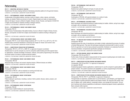## **Patternmaking**

## **PM 111 — INDUSTRIAL METHODS OF DRAPING**

Students learn the basic draping methods of developing production patterns for the garment industry. 3 CREDITS; 2 LECTURE AND 2 LABORATORY HOURS PER WEEK

## **PM 121 — PATTERNMAKING I: MISSES' AND WOMEN'S WEAR**

Fundamentals of flat patternmaking, covering a variety of slopers, collars, sleeves, and bodice stylings, are studied. Patterns are proven in muslin. Original slopers are made on measurements taken on the figure. Course is offered in English, Chinese, Korean, Russian, and Spanish. ES 023/123 is highly recommended for students enrolling in bilingual sections. 3 CREDITS; 2 LECTURE AND 2 LABORATORY HOURS PER WEEK

## **PM 122 — PATTERNMAKING II: MISSES' AND WOMEN'S WEAR**

#### Prerequisite: PM 121

Further study of fundamentals of flat patternmaking. Course is offered in English, Chinese, Korean, Russian, and Spanish. ES 023/123 is highly recommended for students enrolling in bilingual sections.

3 CREDITS; 2 LECTURE AND 2 LABORATORY HOURS PER WEEK

### **PM 171 — PATTERN GRADING: MISSES' AND WOMEN'S WEAR**

Prerequisite: PM 121; or (for Fashion Design students) (AP 111 or FD 111) or (AP 121 or FD 121) Students apply commercial standards in producing size ranges for misses' and women's wear. 3 CREDITS; 2 LECTURE AND 2 LABORATORY HOURS PER WEEK

## **PM 221 — COMPUTERIZED PRODUCTION PATTERNMAKING**

Prerequisites: PM 121, or FD 121, or MW 131, or approval of program coordinator Students learn to use the computer as a tool for production patternmaking and other apparel industry applications. Includes knowledge of hardware, software, and system programming on the Gerber Accumark system to produce a sample production pattern. 3 CREDITS; 2 LECTURE AND 2 COMPUTER LABORATORY HOURS PER WEEK

### **PM 231 — PATTERNMAKING: MISSES' AND WOMEN'S WEAR**

Prerequisites: PM 122 Advanced study of misses' and women's daytime dresses. Different dresses are drafted. 3 CREDITS; 2 LECTURE AND 2 LABORATORY HOURS PER WEEK

## **PM 232 — PATTERNMAKING: MISSES' AND WOMEN'S WEAR**

Prerequisite: PM 122 Continuation of PM 231, with an emphasis on evening and bridal wear. 3 CREDITS; 2 LECTURE AND 2 LABORATORY HOURS PER WEEK

### **PM 233 — PATTERNMAKING: MISSES' SPORTSWEAR**

Prerequisites: PM 122 Patternmaking for sportswear, including a variety of skirts, jackets, blouses, slacks, jumpers, and culottes, is taught. 3 CREDITS; 2 LECTURE AND 2 LABORATORY HOURS PER WEEK

### **PM 234 — PATTERNMAKING: MISSES' SPORTSWEAR**

Prerequisite: PM 233 Further study of patternmaking for casual sportswear. 3 CREDITS; 2 LECTURE AND 2 LABORATORY HOURS PER WEEK

## **PM 236 — PATTERNMAKING: COATS AND SUITS**

Prerequisites: PM 122 Students learn patternmaking for all types of coats and suits. 3 CREDITS; 2 LECTURE AND 2 LABORATORY HOURS PER WEEK

#### **PM 237 — PATTERNMAKING: COATS AND SUITS**

Prerequisite: PM 122 Continuation of PM 236, with special emphasis on a variety of coats. 3 CREDITS; 2 LECTURE AND 2 LABORATORY HOURS PER WEEK

#### **PM 241 — PATTERNMAKING: CHILDREN'S WEAR**

Basic techniques and industrial practices in patternmaking for toddler, children, and girl size ranges are taught, with an emphasis on woven fabrics. 3 CREDITS; 2 LECTURE AND 2 LABORATORY HOURS PER WEEK

## **PM 242 — PATTERNMAKING: CHILDREN'S WEAR**

Prerequisite: PM 122 Basic techniques and industrial practices in patternmaking for toddler, children, and girl size ranges are taught, with an emphasis on knit fabrics. 3 CREDITS; 2 LECTURE AND 2 LABORATORY HOURS PER WEEK

#### **PM 255 — FIT ANALYSIS AND TECHNICAL DOCUMENTATION** Prerequisite: PM 233

Students assume the roles of manufacturer and retailer to better understand the process of creating a finished fitted garment. They learn the techniques employed by technical staff in order to correct the fit of a garment so it can be mass-produced successfully. Emphasis is on analyzing fit and technical documentation. Computerized specification packages are introduced. 2.5 CREDITS; 1 LECTURE AND 3 LABORATORY HOURS PER WEEK

### **PM 271 — PATTERN GRADING: MISSES' AND WOMEN'S WEAR**

### Prerequisites: PM 122 and PM 171

Further study of body and pattern measurements for the purpose of grading larger and smaller sizes. 3 CREDITS; 2 LECTURE AND 2 LABORATORY HOURS PER WEEK

### **PM 273 — COMPUTERIZED PATTERN GRADING AND MARKER MAKING**

Prerequisites: PM 122 and PM 171 or approval of chairperson

Co-requisite: PM 263

Emphasizing apparel industry applications, students learn to use the computer to grade patterns and prepare markers. The system's hardware and capabilities, as well as programming for the Gerber Accumark system, are covered. Basic computer skills required. 3 CREDITS; 2 LECTURE AND 2 COMPUTER LABORATORY HOURS PER WEEK

### **PM 275 — COMPUTERIZED PATTERN GRADING AND MARKER-MAKING FOR LECTRA**

Prerequisites: PM 122, PM 171, and PM 263, or approval of chairperson

Through hands-on experience, students learn to use the Diamino, Lectra Modaris, and Vigiprint software programs to grade production patterns and prepare markers. By using the CAD system, they learn to digitize, plot, modify patterns, manipulate markers, and manage file information. The system's hardware and software capabilities are addressed, emphasizing apparel industry applications. Basic computer skills required.

2.5 CREDITS; 1 LECTURE AND 3 LABORATORY HOURS PER WEEK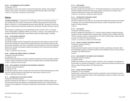#### **PM 283 — PATTERNMAKING FOR KNIT GARMENTS**

#### Prerequisites: PM 122

Patternmaking for misses' and women's cut-and-sew knit garments. Explores various styling for sweaters, pants, dresses, and costumes, including appropriate steaming, fitting, and finishing. 3 CREDITS; 2 LECTURE AND 2 LABORATORY HOURS PER WEEK

## Science

**\*ARITHMETIC PROFICIENCY** is a requirement for the AAS degree. Based on the arithmetic placement test, a student who shows need for improvement in arithmetic may be required to enroll in either MA 001 or MA 002 or in a math independent learning program (MD 008—see page 247) before registering for classes that have arithmetic proficiency as a prerequisite. Arithmetic proficiency may also be

demonstrated by a qualifying score on the mathematics portion of the SAT or ACT, or by transfer credit in college algebra, quantitative methods, pre-calculus, or calculus, or by a passing grade in an equivalent developmental mathematics course offered at another accredited college or university.

### **SC 032 — COLOR SCIENCE LABORATORY**

Prerequisite: arithmetic proficiency\*

### Co-requisite: SC 332

This lab offers students a hands-on opportunity to learn about the various topics covered in SC 332. State-of-the-art equipment is used to perform spectrophotometric and colorimetric analysis of samples prepared using paints, dyes, filters, colored lights, and colored papers to explore the relationship between color and light, the principles of additive and subtractive color mixing, and instrumentationbased color matching.

1 CREDIT; 2 LABORATORY HOURS PER WEEK

### **SC 045 — GENERAL AND ORGANIC CHEMISTRY LABORATORY**

Prerequisite: arithmetic proficiency\*

Co-requisite: SC 145

Stresses fundamental laboratory techniques. Experiments illustrate and reinforce principles presented in lectures. Organic compounds are prepared. Dyes and synthetic fibers are included where possible. 1 CREDIT; 2 LABORATORY HOURS PER WEEK

### **SC 046 — BASIC CHEMISTRY FOR COSMETICS AND FRAGRANCES LABORATORY**

Prerequisite: arithmetic proficiency\*

Co-requisite: SC 146

Courses

This lab offers students a hands-on opportunity to learn about the fundamental techniques and methods of the chemistry laboratory as they relate to the various topics covered in SC 146. 1 CREDIT; 2 LABORATORY HOURS PER WEEK

## **SC 111 — INTRODUCTION TO THE PHYSICAL SCIENCES**

#### Prerequisite: arithmetic proficiency\*

Not open to students who have taken SC 112. Presents basic principles of chemistry, physics, and earth and space sciences with emphasis on understanding the physical world. Includes theoretical concepts as well as applications. Illustrated by suitable lecture demonstrations. (G3: Natural Sciences) 3 CREDITS

### **SC 112 — EARTH SCIENCE**

Prerequisite: arithmetic proficiency\*

Not open to students who have taken SC 111. The historical development, current research, and fundamental principles associated with meteorology, geology, and astronomy are studied. Trips to research and field sites are included. (G3: Natural Sciences) 3.5 CREDITS; 3 LECTURE AND 1 LABORATORY HOURS PER WEEK

## **SC 121 — INTRODUCTION TO BIOLOGICAL SCIENCE**

Prerequisite: arithmetic proficiency\*

Not open to students who have taken SC 122. Examines the fundamentals of biology with emphasis on molecular, cell, and organismal biology. Biotic diversity, evolution, and genetics are also presented. (G3: Natural Sciences) 3 CREDITS

#### **SC 122 — FIELD BIOLOGY**

Prerequisite: arithmetic proficiency\*

Not open to students who have taken SC 121. Covers the major principles of biology by studying organisms and their interrelationships in natural settings. Emphasis is given to habitats within New York City. Laboratory sessions, a weekend field trip, and visits to wildlife refuges, botanical gardens, and parks are included. (G3: Natural Sciences) 3 CREDITS; 2 LECTURE AND 2 LABORATORY HOURS PER WEEK

#### **SC 145 — SURVEY OF GENERAL AND ORGANIC CHEMISTRY**

Prerequisite: arithmetic proficiency\*

Co-requisite: SC 045

Develops essential principles of general and organic chemistry, emphasizing a descriptive, rather than mathematical, approach. Provides an awareness of the identities and uses of various chemical compounds. (G3: Natural Sciences)

4 CREDITS

### **SC 146 — BASIC CHEMISTRY FOR COSMETICS AND FRAGRANCES**

Prerequisite: arithmetic proficiency\*

Co-requisite: SC 046

Students are introduced to the basic principles of chemistry, with an emphasis on its application to the formulation of cosmetics and fragrances, in order to understand the physical and chemical properties of a range of beauty products. (G3: Natural Sciences) 3 CREDITS

### **SC 243 — SPECIAL TOPICS IN CHEMISTRY**

Prerequisite: SC 145 or equivalent

Selected topics in organic and inorganic chemistry are addressed, with an introduction to polymer chemistry. Special consideration is given to the understanding of chemistry in relation to the conservation of museum objects.

2 CREDITS

\* See Arithmetic Proficiency on page 244. \* See Arithmetic Proficiency on page 244.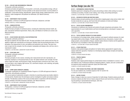#### **SC 253 — ECOLOGY AND ENVIRONMENTAL PROBLEMS**

#### Prerequisite: arithmetic proficiency\*

Introduces principles and applications of ecosystem, community, and population ecology, with particular emphasis on the effects of human activities on the natural environment. Current problems in acidification, conservation biology, desertification, global climate change, habitat destruction, ozone depletion, waste management, and pollution are addressed. (G3: Natural Sciences) 3 CREDITS

#### **SC 299 — INDEPENDENT STUDY IN SCIENCE**

Prerequisites: a minimum 3.5 GPA and approval of instructor, chairperson, and dean VARIABLE CREDITS (3 CREDITS MAXIMUM)

#### **SC 326 — HUMAN NUTRITION**

#### Prerequisite: arithmetic proficiency\*

Studies the basic principles of nutritional science, including the relationships between health, disease, and special nutritional requirements. History, fads, and fallacies of nutrition are covered. (G3: Natural Sciences)

3 CREDITS

#### **SC 331 — COLOR SCIENCE AND DIGITAL COLOR REPRODUCTION**

#### Prerequisite: arithmetic proficiency\*

Not open to students who have taken SC 332. The basic principles of color science and how they are applied in digital color reproduction are introduced. Students study the psychophysical basis of color perception, the measurement of color, and additive and subtractive color mixing. They learn how color is input into the computer, how the computer manipulates and displays color, and how color is reproduced in output.

3 CREDITS; 2 LECTURE AND 2 LABORATORY HOURS PER WEEK

## **SC 332 — COLOR AND LIGHT**

Prerequisite: arithmetic proficiency\*

## Co-requisite: SC 032

3 CREDITS

The basic principles of color science, including color measurement and color reproduction, are examined. Emphasis is on the physical basis of color: the relation between color and light, the interaction of light and matter, and the physics of light. Among the topics covered are color vision, color in art and nature, color imaging, light sources, CIE, colorimetric analysis, color matching, and quality control. (G3: Natural Sciences)

Courses

### **SC 391 — CRIME SCENE CHEMISTRY (HONORS)**

Prerequisite: qualification for Presidential Scholars Program or 3.5 GPA with approval of dean for Liberal Arts, and arithmetic proficiency\*

This course explores fundamental concepts in chemistry by examining actual case studies related to criminal activity. Students learn the techniques used by investigators to gather and analyze evidence and data. The laboratory section of the course provides hands-on experience with the techniques used by scientists in the field of forensics chemistry. (G3: Natural Sciences) 4 CREDITS; 3 LECTURE AND 2 LABORATORY HOURS PER WEEK

#### **SC 499 — INDEPENDENT STUDY IN SCIENCE**

Prerequisites: a minimum 3.5 GPA and approval of instructor, chairperson, and dean VARIABLE CREDITS (3 CREDITS MAXIMUM)

## Surface Design (see also TD)

#### **SD 101 — EXPERIMENTAL SCREEN PRINTING**

Students experiment in designing with screens and printing on fabric while working in an actual workshop surrounding. Includes screen making, color mixing, and printing techniques. 3 CREDITS; 2 LECTURE AND 2 STUDIO HOURS PER WEEK

#### **SD 102 — DECORATIVE PAPERS AND GREETING CARDS**

Students design and paint greeting cards and decorative wrapping paper using various media. Card formats include die-cut, pop-up, and French-fold with emphasis on trends and holidays. 3 CREDITS; 2 LECTURE AND 2 STUDIO HOURS PER WEEK

### **SD 112 — TEXTILE COLOR FUNDAMENTALS**

Introduction to traditional color theories and systems through comparisons and analysis. Color experimentation for use in textile fashion and home furnishing fabrics is developed in opaque watercolor (gouache).

2 CREDITS; 1 LECTURE AND 2 STUDIO HOURS PER WEEK

#### **SD 113 — TEXTILE SURFACE DESIGN STYLES AND SOURCES**

An introduction to the design styles, design vocabulary, and research methods necessary for creating original textile surface designs. Through image-based lectures, discussions, museum visits, design projects, and presentation critiques, students explore themes in fashion and the applied arts that will serve as a foundation in their future design work. 2 CREDITS; 1 LECTURE AND 2 STUDIO HOURS PER WEEK

## **SD 121 — STUDIO PRACTICES**

Students create painted designs and patterns for fashion fabrics appropriate for apparel using opaque watercolor (gouache). Emphasis is on developing original design concepts and exploring industry standards. 3 CREDITS; 6 STUDIO HOURS PER WEEK

## **SD 122 — PRINTED FABRICS**

Prerequisite: SD 121

Students create original painted designs for printed fashion fabrics marketable for women's, men's, and children's wear. Professional methods of designing patterns, repeats, and color combinations are explored using transparent watercolor (dyes) and mixed media. 3 CREDITS; 6 STUDIO HOURS PER WEEK

#### **SD 125 — PRINT DESIGN FOR APPAREL AND HOME FURNISHINGS**

For one-year students only. Combines aspects of SD 121 and SD 122. 4.5 CREDITS; 9 STUDIO HOURS PER WEEK

### **SD 141 — NATURE STUDIES**

Study of design in nature as a source of inspiration for textile design. Students analyze growth and structure of plants and other forms of nature using live flowers and marine life as models for drawing and painting in representational techniques. (G6: Arts)

1.5 CREDITS; 3 STUDIO HOURS PER WEEK

\* See Arithmetic Proficiency on page 244.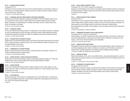#### **SD 142 — ADVANCED NATURE STUDIES**

#### Prerequisite: SD 141

Painting from flowers and other nature forms with continued emphasis on observation, selection of color, structure, and design patterns. Students use forms in nature as a basis for stylized compositions in line and color. (G6: Arts) 1.5 CREDITS; 3 STUDIO HOURS PER WEEK

#### **SD 151 — TECHNIQUES AND FAUX FINISH CONCEPTS FOR HOME FURNISHINGS**

Students learn the technical aspects of creating special effects for home furnishing surfaces, products, and furniture using a variety of mixed media as they integrate traditional skills with digital design. Emphasis is on experimentation in materials, techniques, and color. Design trends, references, and inspiration are studied.

3 CREDITS; 6 STUDIO HOURS PER WEEK

#### **SD 155 — DECORATIVE FABRICS**

For one-year Textile/Surface Design students. The application of print design techniques to designing for home furnishing fabrics and wall coverings, using various media. Using professional methods and technical requirements, designs are created for residential, commercial, and industrial spaces. 2 CREDITS; 4 STUDIO HOURS PER WEEK

#### **SD 156 — INTRODUCTION TO DECORATIVE FABRICS**

Students learn the fundamental design aspects and technical requirements appropriate for decorative fabrics. Large-scale layouts, research sources, and current trending information are utilized in creating original designs for the market. 2 CREDITS; 4 STUDIO HOURS PER WEEK

**SD 181 — FUNDAMENTALS OF SCREEN PRINTING**

Designs in repeat are printed on various fabrics in actual workshop surroundings. Emphasis is on screen printing techniques and original design. 1.5 CREDITS; 3 STUDIO HOURS PER WEEK

#### **SD 183 — SCREEN PRINTING: T-SHIRTS AND RELATED PRODUCTS**

Using modern screen print technology, students create original engineered designs for T-shirts and related products. Color mixing principles and screen printing techniques are taught. 2 CREDITS; 4 STUDIO HOURS PER WEEK

#### **SD 185 — SCREEN PRINTING**

Courses

For one-year Textile/Surface Design students. Students prepare screens of their designs, mix pigments, and print on fabric in workshop surroundings. Emphasis is on creative design using a variety of techniques and media.

2 CREDITS; 4 STUDIO HOURS PER WEEK

## **SD 201 — COLOR ANALYSIS**

Comparative analysis of color theories, emphasizing their use in the textile industry. Includes color harmony, psychological associations, optical illusions, experiments, sales appeal and promotion values, current color styling, and terminology. 2 CREDITS

## **SD 202 — COLOR TRENDS IN INDUSTRY TODAY**

Prerequisite: SD 112 or SD 201 or approval of chairperson

Develops an understanding of color trends in the apparel and home fashions industry for styling and forecasting purposes. Students research and track color trends for specific target markets and learn to present color line concepts. 2 CREDITS

#### **SD 211 — SURFACE DESIGN IN PARIS (SUMMER)**

Prerequisite: HA 112

Students learn how to do extensive surface design research while abroad in Paris. Through on-site visits to design studios, galleries, libraries, museums, stores, and trend forecasting companies, students research an area of design interest for hard and/or soft product. Students keep a journal/sketchbook, give weekly oral presentations, and write a paper about the project outcomes of their research.

3 CREDITS; APPROXIMATELY 3 WEEKS IN SUMMER

#### **SD 221 — TECHNIQUES FOR PRINTED TEXTILES AND SURFACES**

Prerequisite: SD 122 or approval of chairperson

Experimentation in a variety of materials and mixed media, techniques, and textures to create original and simulated designs for apparel and home fashion fabrics. Emphasis on awareness of color impact, current trends, industry standards, and marketability. 3 CREDITS; 6 STUDIO HOURS PER WEEK

#### **SD 224 — COMPUTER-AIDED PRINT DESIGN**

Using Adobe Photoshop, students scan images and create original designs, repeats, colorways, and coordinates targeting specific markets. Emphasis is on creative use of the software, awareness of industry trends, and the development of an original portfolio of digitally produced designs. 1.5 CREDITS; 3 COMPUTER LABORATORY HOURS PER WEEK

#### **SD 227 — PAINTING ON FABRIC**

Students paint directly on silk, cotton, and synthetic fabrics, using appropriate pigments or dyes for setting colors permanently. Explores use of hand-painted fabrics for home furnishings, fashion, and studio applications.

2 CREDITS; 1 LECTURE AND 2 STUDIO HOURS PER WEEK

#### **SD 228 — TECHNIQUES FOR FASHION FABRICS**

Prerequisite: SD 122 or SD 125

Students learn the research, design, and technical skills needed to create textiles for the apparel and home furnishings markets. Emphasis is placed on research methods and experimentation with materials, techniques, and color to create textural effects using a variety of mixed media. 2 CREDITS; 4 STUDIO HOURS PER WEEK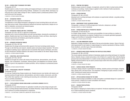#### **SD 229 — SCREEN-PRINT TECHNIQUES FOR FABRIC**

#### Prerequisite: SD 181

Students explore a variety of screen-making and imaging techniques in order to have an understanding of aesthetic and experimental printing methods. Emphasis is on surface effects, techniques, layering and color as they relate to design for fabric. Students present a professional portfolio of their work at the end of the semester.

2 CREDITS; 4 STUDIO HOURS PER WEEK

## **SD 251 — DECORATIVE FABRICS**

Prerequisite: SD 122 or approval of chairperson

The application of print design techniques to designing for home furnishing fabrics and wall coverings using various media. Using professional methods and technical requirements, designs are created for residential, commercial, and industrial spaces. 3 CREDITS; 6 STUDIO HOURS PER WEEK

#### **SD 252 — DECORATIVE FABRICS AND WALL COVERINGS**

### Prerequisite: SD 155 or SD 251 or approval of chairperson

Advanced work in home furnishing fabrics and wall covering design, stressing the coordination of patterns. Students also learn how to design sheets, pillowcases, towels, and linens, observing the technical requirements and limitations governing their production.

3 CREDITS; 6 STUDIO HOURS PER WEEK

#### **SD 253 — ADVANCED DECORATIVE FABRICS**

### Prerequisite: SD 155 or SD 156

Students learn the design and technical skills required in the home furnishings textile industry. Through on-site field trips and research, students explore and analyze design inspiration. The technical aspects of painting, layout, repeat and color are examined. New layouts, techniques, and colors are also introduced to sensitize students to the needs of home textiles for the interior design industry. 2 CREDITS; 4 STUDIO HOURS PER WEEK

#### **SD 261 — INDUSTRIAL AND STUDIO PRACTICES**

#### Prerequisite: SD 125 or SD 221

Students are brought into contact with industry through lectures, demonstrations, and mill visits. Repeats, color combinations, coordinates, reference pieces, and adaptations are stressed. Special attention is given to the preparation of student portfolios, with an emphasis on professional presen-

Courses

tation.

3 CREDITS; 6 STUDIO HOURS PER WEEK

## **SD 265 — PROFESSIONAL INDUSTRY TECHNIQUES**

### Prerequisite: SD 125

For one-year Textile/Surface Design students only. Students become more familiar with industry and business practices through lectures, demonstrations, and visits to studios, showrooms, and mills. They further their expertise in color matching and executing color combinations and repeats with focus on portfolio presentations.

2 CREDITS; 4 STUDIO HOURS PER WEEK

## **SD 271 — TEXTILE/SURFACE DESIGN USING ADOBE ILLUSTRATOR (FORMERLY SD 371)**

## Prerequisite: SD 224

Students learn to use Adobe Illustrator for application to textile and surface design and gain proficiency in working between Adobe Illustrator and Adobe Photoshop. Target markets and the creative use of software for portfolio development is emphasized. 2 CREDITS; 1 LECTURE AND 2 COMPUTER LABORATORY HOURS PER WEEK

## **SD 281 — PRINTING FOR FABRICS**

Students prepare screens for designs, mix pigments, and print on fabric in actual screen printing workshop surroundings. Creative design is applied to other methods of textile reproduction. 3 CREDITS; 6 STUDIO HOURS PER WEEK

#### **SD 282 — SCREEN PRINTING**

Prerequisite: SD 185 or SD 281 Advanced work in printing techniques with emphasis on experimental methods. Long table printing using large screens. 3 CREDITS; 6 STUDIO HOURS PER WEEK

#### **SD 299 — INDEPENDENT STUDY IN SURFACE DESIGN**

Prerequisites: a minimum 3.5 GPA and approval of instructor, chairperson, and dean VARIABLE CREDITS (3 CREDITS MAXIMUM)

#### **SD 303 — SCREEN PRINTING WITH TYPOGRAPHIC IMAGERY**

Prerequisites: CD 322 and GD 312

For Graphic Design students. The process and possibilities of screen printing as a medium of expression and reproduction are explored. Students focus on computer-generated typographic imagery and the effects of manipulation through this process. 1.5 CREDITS; 3 STUDIO HOURS PER WEEK

#### **SD 311 — LACE AND EMBROIDERY DESIGN**

Application of design principles to the needs of the lace and embroidery industry. Study of the technical requirements for and creation of original designs for machine reproduction of Bonnaz, Schiffli, Swiss-handloom, and other types of lace and embroidery.

1.5 CREDITS; 3 STUDIO HOURS PER WEEK

## **SD 321 — ADVANCED HAND SCREEN-PRINTING FOR PORTFOLIO DEVELOPMENT**

## Prerequisite: SD 185 or SD 229

This course explores advanced methods of developing repeats and printing techniques for long table fabrics. Students choose a market and produce a line of fabrics for a specific client, while developing personal style and professionalism in a modern screen-printing environment. Autographic as well as digitally produced positives may be used to produce large screens that will be printed in repeat and in multiple colorways.

2 CREDITS; 4 STUDIO HOURS PER WEEK

### **SD 351 — SURFACE DESIGN: PAPER PRODUCTS**

Learning to design products to specification for tabletop, students produce print designs, shopping bags, playing cards, and tissue boxes. The uniqueness of designing for paper products is emphasized. Licensing and market trends are discussed.

2 CREDITS; 4 STUDIO HOURS PER WEEK

### **SD 357 — APPLIED SURFACE DESIGN FOR THE HOME**

Students research design possibilities to create color/pattern-coordinated designs for a spectrum of home products. Critiques are in direct consultation with industry. 3 CREDITS; 6 STUDIO HOURS PER WEEK

## **SD 421 — FASHION PRINTS/APPAREL**

## Prerequisite: SD 261 New aspects of designing for fashion fabrics are explored. Introduces engineered prints using a variety of media emphasizing industry standards. 1.5 CREDITS; 3 STUDIO HOURS PER WEEK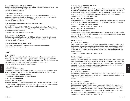#### **SD 451 — SURFACE DESIGN: PRINT MEDIA GRAPHICS**

Explores graphic design concepts for dinnerware, tabletop, and related products with special emphasis on the needs of industry and the marketplace. 2 CREDITS; 4 STUDIO HOURS PER WEEK

#### **SD 462 — PORTFOLIO COLLECTION**

Preparation of a professional portfolio collection inspired by research and influenced by market trends. Students' collections include coordinated designs for fashion, home, contract or product, incorporating printed, woven, fiberart, knit, and CAD applications. 3 CREDITS; 6 STUDIO HOURS PER WEEK

## **SD 471 — ADVANCED CAD WITH ADOBE PHOTOSHOP AND FASHION STUDIO**

#### Prerequisite: SD 224

Students develop advanced skills in Adobe Photoshop applied to surface design. Fashion Studio software is incorporated into the course, with the objective of designing product for a global marketplace using current trend information.

1.5 CREDITS; 3 COMPUTER LABORATORY HOURS PER WEEK

#### **SD 481 — SCREEN PRINTING: SCARVES**

Studies the requirements, limitations, and possibilities of designs for scarves. Students prepare screens, mix colors, and print a variety of fabrics with emphasis on techniques and fashion trends. 2 CREDITS; 4 STUDIO HOURS PER WEEK

### **SD 499 — INDEPENDENT STUDY IN SURFACE DESIGN**

Prerequisites: a minimum 3.5 GPA and approval of instructor, chairperson, and dean VARIABLE CREDITS (3 CREDITS MAXIMUM)

## Spanish

#### **SP 111 — SPANISH I**

This introductory course enables students with no background in Spanish to communicate with Spanish-speaking people. The basic skills of speaking, reading, and writing in Spanish are established and the cultures where Spanish is spoken are introduced. Teacher-instructed multimedia laboratory sessions reinforce skills learned in the classroom. (G8: Foreign Language) 3.5 CREDITS; 3 LECTURE AND 1 LABORATORY HOURS PER WEEK

## **SP 112 — SPANISH II** Courses

#### Prerequisite: SP 111 or equivalent

Students expand upon the skills established in Spanish I and continue to study the cultures where Spanish is spoken. Teacher-instructed multimedia language laboratory sessions reinforce skills learned in the classroom. (G8: Foreign Language) 3.5 CREDITS; 3 LECTURE AND 1 LABORATORY HOURS PER WEEK

#### **SP 122 — SPANISH CONVERSATION I**

#### Prerequisite: SP 111 or equivalent

Students learn to converse in Spanish by emphasizing interaction in real-life situations. Functional and practical verbal communications are addressed, with a focus on the cultures where Spanish is spoken. Course also taught abroad during the Winterim and Summer sessions. 3 CREDITS

#### **SP 132 — SPANISH IN SANTIAGO DE COMPOSTELA**

Prerequisite: SP 112 or equivalent

Provides an opportunity for total immersion in Spanish and for developing an awareness of the people, customs, and cultures of traditional Spain. Continuation of the practice, development, and use of the basic spoken and written structures of contemporary Spanish. Emphasis is placed on immediate active use of the language. Field trips fulfill the lab component of this course. (G8: Foreign Language) 3.5 CREDITS; 4 DAYS PER WEEK FOR 4 WEEKS IN JUNE

#### **SP 141 — SPANISH FOR SPANISH SPEAKERS I**

For Spanish-speaking students who wish to improve their skills in Spanish in order to be competitive in the job market as bilinguals. Teacher-instructed multimedia laboratory sessions reinforce skills learned in the classroom. (G8: Foreign Language) 3.5 CREDITS; 3 LECTURE AND 1 LABORATORY HOURS PER WEEK

#### **SP 142 — SPANISH FOR SPANISH SPEAKERS II**

Prerequisite: SP 141 or equivalent

Spanish-speaking students build on and refine their communications skills and cultural knowledge acquired in SP 141. Teacher-instructed multimedia laboratory sessions reinforce skills learned in the classroom. (G8: Foreign Language)

3.5 CREDITS; 3 LECTURE AND 1 LABORATORY HOURS PER WEEK

#### **SP 213 — SPANISH III**

Prerequisite: SP 112 or equivalent

This intermediate course is designed to review and refine students' communication skills in Spanish. Supplementary reading materials (including poetry, short stories, and magazine and newspaper articles), films, and videos further the students' knowledge of the cultures where Spanish is spoken. Teacher-instructed multimedia laboratory sessions reinforce skills learned in the classroom. (G8: Foreign Language)

3.5 CREDITS; 3 LECTURE AND 1 LABORATORY HOURS PER WEEK

#### **SP 214 — SPANISH IV**

Prerequisite: SP 213 or equivalent

Building on Spanish III, students refine their communication skills in Spanish. More advanced supplementary reading materials (including poetry, short stories, and magazine and newspaper articles), films, and videos further the students' knowledge of the cultures where Spanish is spoken. Teacher-instructed multimedia laboratory sessions reinforce skills learned in the classroom. (G8: Foreign Language) 3.5 CREDITS; 3 LECTURE AND 1 LABORATORY HOURS PER WEEK

#### **SP 223 — SPANISH CONVERSATION II**

Prerequisite: SP 112 or equivalent

Conversational ability in Spanish is further developed and refined by emphasizing interaction in reallife situations. Advanced functional and practical verbal communications are addressed with a focus on the cultures where Spanish is spoken.

3 CREDITS

### **SP 311 — SPANISH FOR BUSINESS**

Prerequisite: SP 142 or SP 214 or equivalent

Conducted entirely in Spanish, this course prepares students for successful communication in the Hispanic business world by building on their existing knowledge of Spanish and emphasizing its practical, real-life use. Students are introduced to technical vocabulary and cultural concepts for expressing basic economic ideas and conducting business. Teacher-instructed multimedia laboratory sessions reinforce skills learned in the classroom. (G8: Foreign Language) 3.5 CREDITS; 3 LECTURE AND 1 LABORATORY HOURS PER WEEK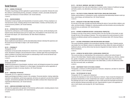## Social Sciences

## **SS 131 — GENERAL PSYCHOLOGY**

Principles of psychology and their application to general behavior are presented. Stresses the scientific method in understanding learning, perception, motivation, emotion, personality development, and the social influences on human behavior. (G4: Social Sciences) 3 CREDITS

## **SS 141 — MACROECONOMICS**

Introduction to basic principles and characteristics of economic systems. Primary emphasis is on macroeconomic issues, including national income determination, monetary and fiscal policy, and current economic problems. (G4: Social Sciences) 3 CREDITS

### **SS 151 — INTRODUCTION TO WORLD AFFAIRS**

Examines the contemporary world including changes in Europe, Russia, and the developing world. Explores timely international issues such as nuclear arms, the breakdown of the Soviet Union, and the Israeli-Arab dispute. (G4: Social Sciences; G9: Other World Civilizations) 3 CREDITS

### **SS 171 — INTRODUCTORY SOCIOLOGY**

Study of patterned social behavior and the interrelationships between individual life experience and the social structure that helps to shape it. (G4: Social Sciences) 3 CREDITS

#### **SS 231 — PERSONALITY**

## Prerequisite: SS 131

Emphasizes normal personality development as viewed from a variety of perspectives, including social, educational, biological, and psychodynamic factors. Students apply these psychological principles to problems of everyday living and gain an understanding of both normal and deviant reactions to life events. (G4: Social Sciences)

3 CREDITS

### **SS 232 — DEVELOPMENTAL PSYCHOLOGY**

### Prerequisite: SS 131

Studies the development of psychological, emotional, social, and biological processes from prenatal stage and birth to maturity. Emphasis is on critical stages in development as well as application of psychological principles to everyday situations. (G4: Social Sciences) 3 CREDITS

### **SS 237 — INDUSTRIAL PSYCHOLOGY**

#### Prerequisite: SS 131 or approval of chairperson

Applies psychological principles to issues in the workplace. Personnel selection, training, leadership, motivation, job satisfaction, performance appraisal, and stress are explored to provide future leaders, managers, and technical specialists with information and skills to enhance their interpersonal and organizational effectiveness. (G4: Social Sciences) 3 CREDITS

## **SS 251 — AMERICAN GOVERNMENT AND POLITICS**

Examines the organization and operation of the American political system, including analysis of present national policies and problems. (G4: Social Sciences) 3 CREDITS

#### **SS 272 — SEX ROLES, MARRIAGE, AND FAMILY IN TRANSITION**

Sociological study of sex roles and relationships in modern society. Analysis of traditional marriage and family systems, new alternatives, and future trends. (G4: Social Sciences) 3 CREDITS

#### **SS 273 — THE STUDY OF SOCIAL PROBLEMS: PROSTITUTION, DRUGS AND OTHER ISSUES**

Studies social problems in contemporary society, emphasizing interrelationships between social systems, social change, and individual lives. (G4: Social Sciences) 3 CREDITS

#### **SS 275 — SOCIOLOGY OF RACE AND ETHNIC RELATIONS**

An overview of the major concepts and theories defining the nature of race and ethnic relations, prejudice, and discrimination. Strategies for reducing prejudice and discrimination and promoting intergroup harmony are addressed. (G4: Social Sciences) 3 CREDITS

#### **SS 276 — DEVIANCE IN AMERICAN HISTORY: A SOCIOLOGICAL PERSPECTIVE**

Provides an overview of key events in American history from the Civil War to the present, as seen through the lens of the sociology of deviance. This course explores the social processes by which behaviors are defined as deviant, and the consequences of the deviance label. (G10: American History) 3 CREDITS

#### **SS 277 — CULTURAL EXPRESSIONS OF NON-WESTERN DRESS AND FASHION**

This course introduces students to the sociocultural meanings of ethnic dress. Students examine case studies from non-Western cultures to understand how dress reflects the values and beliefs of traditional cultures, and how ethnic dress has become integrated into today's fashions. (G9: Other World Civilizations)

3 CREDITS

### **SS 278 — LATINOS IN THE UNITED STATES: A SOCIOLOGICAL PERSPECTIVE**

This course provides an understanding of the socioeconomic, political, and cultural impact of Latinos in the United States. Students explore sociological issues including race, ethnicity, urbanization, gender, immigration, and social mobility that have helped shape Latino culture and values. Comparisons with other ethnic/racial groups in the United States, as well as the differences within the Latin community itself, are addressed. 3 CREDITS

#### **SS 299 — INDEPENDENT STUDY IN THE SOCIAL SCIENCES**

Prerequisites: a minimum 3.5 GPA and approval of instructor, chairperson, and dean for Liberal Arts VARIABLE CREDITS (3 CREDITS MAXIMUM)

#### **SS 334 — THE PSYCHOLOGY OF COLOR**

Prerequisite: SS 131 or approval of chairperson

Examines the importance of color and its influences on behavior. Topics include the biological and perceptual characteristics of color, fundamental color research, societal and cultural influences on the meanings and uses of color, adaptations of color in both natural and manmade environments, and the interaction between personality and color. Special attention is given to the application of color in both industry and everyday life. (G4: Social Sciences) 3 CREDITS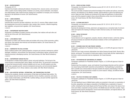#### **SS 342 — MICROECONOMICS**

#### Prerequisite: SS 141

Examines the principles underlying the behavior of business firms, resource owners, and consumers within a system of price-making markets. Emphasis is on pricing, resource allocation, cost analysis, price determination under market structures ranging from competition to monopoly, and a functional approach to the distribution of income. (G4: Social Sciences) 3 CREDITS

## **SS 343 — LABOR ECONOMICS**

#### Prerequisites: SS 141 and SS 342

Examines labor economics and labor institutions' role in the U.S. economy. Major subjects include the changing labor force and its composition, labor markets, labor unionism, collective bargaining, labor legislation, and government regulation. (G4: Social Sciences) 3 CREDITS

### **SS 352 — CONTEMPORARY WESTERN EUROPE**

Introduction to the Western European countries and societies, their relations with each other and with the rest of the world. (G4: Social Sciences) 3 CREDITS

## **SS 353 — LATIN AMERICA TODAY**

Introduction to modern Latin American states and societies with surveys of their economies, politics, and cultures. Also explores inter-American and international relations. (G4: Social Sciences; G9: Other World Civilizations)

3 CREDITS

Courses

### **SS 354 — COMPARATIVE POLITICAL SYSTEMS**

Study of political systems with a global perspective; compares and contrasts contemporary political ideologies, institutions, and processes from democracies to authoritarian regimes, advanced industrialized economies to developing countries. (G4: Social Sciences; G9: Other World Civilizations) 3 CREDITS

### **SS 355 — CONTEMPORARY AFRICAN POLITICS**

An introduction to modern African political, cultural, and social institutions. The first part of the course focuses on examining Egypt, Kenya, Nigeria, and South Africa. The second part concentrates on issues that transcend borders: political instability and civil wars, the AIDS epidemic and other health crises, population growth, economic development and poverty, and environmental degradation. The significance of U.S.-African relations is also studied. (G9: Other World Civilizations) 3 CREDITS

### **SS 356 — ASIA IN MOTION: NATIONAL, INTERNATIONAL, AND TRANSNATIONAL RELATIONS**

Examines the complexity, diversity, and dynamics of East Asian and Southeast Asian politics. The course analyzes Asia and its moves toward modernity in terms of politics, economics, and culture. Topics include modernization, post-World War II political settings, and post-Cold War regional integration. (G9: Other World Civilizations) 3 CREDITS

## **SS 374 — CROSS-CULTURAL STUDIES**

Prerequisites: two introductory Social Sciences courses (SS 131, SS 141, SS 151, SS 171) or approval of chairperson

This course provides conceptual and practical knowledge of the societies and cultures, economies, histories, and institutions of non-Western societies. Special attention is paid to the distinctive features of Japan and India. Students are introduced to the range and significance of cultural differences and will be prepared to adapt to these cultural differences as they move into international arenas. (G4: Social Science; G9: Other World Civilizations) 3 CREDITS

#### **SS 376 — CLOTHING AND SOCIETY**

Prerequisites: two introductory social sciences courses (SS 131, SS 141, SS 151, SS 171) or approval of chairperson

Examines the development of dress, adornment, and appearance as a nonverbal mode of communication and explores the meaning of clothing in modern American society. (G4: Social Sciences) 3 CREDITS

### **SS 385 — SOCIAL PSYCHOLOGY**

Prerequisite: SS 131

Human behaviors such as aggression, prejudice, attraction, attitude formation, conformity, helping, and group processes are examined with particular emphasis on their current applications. (G4: Social Sciences) 3 CREDITS

## **SS 391 — ECONOMIC IDEAS PAST AND PRESENT (HONORS)**

Prerequisite: qualification for Presidential Scholars Program, or 3.5 GPA with approval of dean for Liberal Arts

Traces the rise of major economic philosophies from before Quesnay through Smith, Ricardo, Marx, Keynes, and beyond. The evolution of broad-scale models of social reality and their relationships to the times in which economists lived are emphasized. (G4: Social Sciences) 3 CREDITS

### **SS 392 — PSYCHOPATHOLOGY AND MODERN LIFE (HONORS)**

Prerequisite: qualification for Presidential Scholars Program, or 3.5 GPA with approval of dean for Liberal Arts

Students learn the symptoms, causes, and treatment of psychological disorders and the contemporary issues facing mental health researchers and practitioners. Psychopathology is presented as both a scientific and a clinical endeavor that gives students the clearest understanding of the field. Information from the text and lectures is based on current research, findings, and different theoretical approaches. (G4: Social Sciences)

3 CREDITS

## **SS 393 — POLITICS IN THE MIDDLE EAST (HONORS)**

Prerequisite: qualification for Presidential Scholars Program, or 3.5 GPA with approval of dean for Liberal Arts

The most significant issues in Middle Eastern politics are presented in three parts: an examination of the ethnic, geopolitical, and religious composition of the Middle East; an exploration of issues of conflict, including the Arab-Israeli dispute and the Persian Gulf War; and a study of the nature of economic and military cooperation among countries in the Middle East and with other countries. Topics analyzed include economic development, moves toward democratization, and regional alliances. (G4: Social Science; G9: Other World Civilizations) 3 CREDITS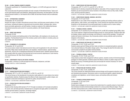#### **SS 394 — GLOBAL FINANCIAL MARKETS (HONORS)**

Prerequisite: qualification for Presidential Scholars Program, or 3.5 GPA with approval of dean for Liberal Arts

This course discusses the general principles and main concepts of international finance. Topics such as the world financial system and institutions, global financial instruments, and interruptions in the international financial markets (i.e. the financial crisis of 2008, the East Asian financial crisis) are addressed. 3 CREDITS

#### **SS 443 — INTERNATIONAL ECONOMICS**

#### Prerequisites: SS 141 and SS 342

Reviews the origins of modern international economic theory and discusses present patterns of trade and finance, including the balance of payments and its economic effects, exchange rates, international commodity agreements, and tariff policies. Includes an analysis of the relationship between international economics and current U.S. economic problems. (G4: Social Sciences) 3 CREDITS

#### **SS 445 — MONEY AND BANKING**

#### Prerequisite: SS 342

Reviews the monetary and banking system of the United States, with emphasis on its structure and regulation. The theoretical framework of the monetary system and its relation to monetary policy are also studied. (G4: Social Science)

3 CREDITS

#### **SS 446 — ECONOMIES OF LATIN AMERICA**

#### Prerequisites: SS 141 and SS 342

The course reviews modern international economic theory and its application to the Latin American economies. Major topics include trade theory and regulation, industrial policies, regional trading agreements, and the role of multinational enterprises and financial issues. Students examine theoretical concepts within the context of the historical and current economic experiences of Latin America. (G4: Social Sciences; G9: Other World Civilizations) 3 CREDITS

#### **SS 499 — INDEPENDENT STUDY IN THE SOCIAL SCIENCES**

Prerequisites: a minimum 3.5 GPA and approval of instructor, chairperson, and dean VARIABLE CREDITS (3 CREDITS MAXIMUM)

## Technical Design

Courses

## **TC 311 — PRODUCTION PATTERN DEVELOPMENT I**

Prerequisites: (DP 111 or FD 111), and (FD 121 or PM 121), and FD 131 This course focuses on the development of production-ready patterns for woven fabrics from technical specification sketches. Students analyze the effects of body measurements, pattern shapes, and production construction techniques on garment fit, quality, and performance. 2 CREDITS; 1 LECTURE AND 2 LABORATORY HOURS PER WEEK

#### **TC 312 — PRODUCTION PATTERN DEVELOPMENT II**

#### Prerequisite: TC 311

Students further develop skills learned in TC 311 through an emphasis on fit concepts and patterns for woven, knit, and lined garments. Students learn to recognize and apply pattern corrections that maintain garment balance, proportion, and design integrity. 2 CREDITS; 1 LECTURE AND 2 LABORATORY HOURS PER WEEK

#### **TC 321 — COMPUTERIZED PATTERN DEVELOPMENT**

Prerequisites: (DP 111 or FD 111), and (FD 121 or PM 121)

Students learn to develop computerized flat patterns using state-of-the-art apparel industry software. Students use and incorporate the various functions in the software menus as they create, modify, store, and plot production patterns.

2 CREDITS; 1 LECTURE AND 2 COMPUTER LABORATORY HOURS PER WEEK

### **TC 322 — COMPUTERIZED GRADING, MARKING, AND SPECS**

Prerequisites: TC 311 and TC 321

Students learn to use a state-of-the-art apparel industry grading and marking software system to grade patterns, make markers, and manage files. Course stresses the importance held by fabric properties on the development of accurate graded specs for patterns and for marker making. 3 CREDITS; 1 LECTURE AND 4 COMPUTER LABORATORY HOURS PER WEEK

#### **TC 341 — TECHNICAL DESIGN I: WOVENS**

Prerequisites: TC 311 and AR 215 (or FF 242) and FD 241 (or MG 252 completed spring 2008 or later) This course explores in depth the technical design process for woven garments. Students utilize digital imaging, industry-specific terminology, and software to create full tech packages. Through case studies and hands-on techniques, they incorporate problem-solving methods used by technical designers in the industry.

2 CREDITS; 1 LECTURE AND 2 COMPUTER LABORATORY HOURS PER WEEK

#### **TC 421 — COMPUTERIZED PATTERN AND FIT CORRECTIONS**

Prerequisites: TC 312, TC 322, and TC 341

Students analyze garment fittings and then make corrections to computerized patterns using the more advanced features of the pattern design system. They manage the data file information and communicate complete fit and pattern technical details.

2 CREDITS; 1 LECTURE AND 2 COMPUTER LABORATORY HOURS PER WEEK

#### **TC 441 — TECHNICAL DESIGN II: STRETCH**

Prerequisites: TC 312, TC 322, and TC 341

Using industry product data management software systems, students construct full technical design packages for stretch garments. Students explore the effects of stretch on pattern shape and fit. They identify the accuracy of finished garments and communicate the revisions necessary for various sample stages.

2 CREDITS; 1 LECTURE AND 2 COMPUTER LABORATORY HOURS PER WEEK

#### **TC 451 — PRODUCTION AND TECHNICAL DESIGN**

Prerequisites: TC 322, TC 341, and MG 314

This course stresses the relationship between technical design and the apparel production cycles and manufacturing processes. Discussions center on sourcing and logistics, apparel standards, compliance and regulations, current industry issues, and business ethics and conduct. 2 CREDITS

#### **TC 491 — TECHNICAL DESIGN SENIOR PROJECT**

Prerequisites: TC 421 and TC 441 Co-requisite: IC 497

Student teams strategize on how to improve the market share for a specific product or brand. Each team develops innovative technical design solutions for various product lifecycle stages. They present their actual products and a written review/case study subject to critical industry evaluation. 2.5 CREDITS; 1 LECTURE AND 3 LABORATORY HOURS PER WEEK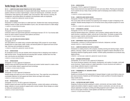## Textile Design (See also SD)

#### **TD 111 — COMPUTER-AIDED DESIGN PRINCIPLES FOR TEXTILE DESIGN**

An introduction to the fundamentals of computer-aided textile design. Students use current, off-the-shelf graphics software to produce original designs, croquis and repeat layouts, coordinates, and color combinations while exploring color palettes, scale, and proportion. Web resources, scanning, file management, and printing options are explained, and presentation skills are emphasized. 1.5 CREDITS; 3 COMPUTER LABORATORY HOURS PER WEEK

#### **TD 131 — WOVEN DESIGN**

Introduction to creating woven fabrics on a table hand loom. Students learn basic weaving techniques, drafting of weaves on paper, and the interrelation of yarns, color, and weave structure in a fabric design. 1.5 CREDITS; 3 STUDIO HOURS PER WEEK

#### **TD 132 — WOVEN DESIGN**

#### Prerequisite: TD 131 or approval of chairperson

Continued creative and experimental application of techniques learned in TD 131. Four-harness table looms are used to explore compound weave patterns and texture.

1.5 CREDITS; 3 STUDIO HOURS PER WEEK

#### **TD 133 — CAD FOR YARN-DYED WOVEN FABRICS**

#### Prerequisite: TD 131

Yarn-dyed patterns are created using a computer-aided design (CAD) program for woven design. Students learn to create checks, plaids, stripes, and textured patterns for apparel and home furnishings. Colorways and coordinates are explored. 1.5 CREDITS; 3 COMPUTER LABORATORY HOURS PER WEEK

#### **TD 137 — WOVEN DESIGN**

An accelerated course for one-year students which introduces them to designing woven textiles on table and floor looms. Through planning and executing fabric samples, students learn how fiber, color, and structure are interrelated in woven design. 3 CREDITS; 6 STUDIO HOURS PER WEEK

#### **TD 231 — WOVEN DESIGN**

Prerequisite: TD 132 or approval of chairperson

Students weave and draft 8-harness fabric structures and conduct market research to create a collection of woven textiles related to apparel and home furnishings. 1.5 CREDITS; 3 STUDIO HOURS PER WEEK

#### **TD 232 — WOVEN DESIGN**

Courses

#### Prerequisite: TD 132 or approval of chairperson

Students design and weave on an 8-or-more harness floor loom. They create their own professional, coordinated collections for both apparel and interior fabrics and begin cloth analysis. 3 CREDITS; 6 STUDIO HOURS PER WEEK

#### **TD 233 — WOVEN DESIGN**

Prerequisite: TD 137 or TD 232 or approval of chairperson

Students research and weave multi-layer complex structures, conduct cloth analysis, and develop a design collection of woven samples for apparel and/or contract markets. Woven designs are created on dobby and computerized looms. 3 CREDITS; 6 STUDIO HOURS PER WEEK

#### **TD 234 — WOVEN DESIGN**

Prerequisite: TD 231 or approval of chairperson

Study of piece-dyed and cross-dyed fabrics and color and weave effects. Planning and weaving fabrics for specific end use. Study of dyes and fibers used for developing woven textiles on 8-harness table looms.

1.5 CREDITS; 3 STUDIO HOURS PER WEEK

#### **TD 236 — COMPUTER-AIDED WOVEN DESIGN**

Prerequisite: TD 233 or TD 234 or approval of chairperson

This course deals with the transition from planning woven designs on paper to designing on the computer. Students develop designs for 8 to 24 harness looms using computer programs for woven desians.

1.5 CREDITS; 3 COMPUTER LABORATORY HOURS PER WEEK

#### **TD 237 — EXPERIMENTAL WOVENS**

Prerequisite: TD 131 or TD 137 or approval of chairperson

Using the standard design tools, a handloom, and a computer, students explore the hand, color, weave structure, construction, pattern, and end use of woven fabric. The hands-on aspect of the class encourages creativity, technical development, and exploration of texture and finishes. 2 CREDITS; 4 LABORATORY HOURS PER WEEK

#### **TD 299 — INDEPENDENT STUDY IN TEXTILE DESIGN**

Prerequisites: a minimum 3.5 GPA and approval of instructor, chairperson, and dean VARIABLE CREDITS (3 CREDITS MAXIMUM)

#### **TD 312 — COMPUTER GRAPHICS FOR TEXTILE DESIGN I**

Introduction to creating artwork on the computer, including scanning and cleaning images, original patterns, colorways, repeats, and woven fabrics. Designs are applied to fashion silhouettes for merchandising collections targeting specific markets. Portfolio-quality presentations are produced using digital printouts.

2 CREDITS; 1 LECTURE AND 2 COMPUTER LABORATORY HOURS PER WEEK

#### **TD 332 — ADVANCED WOVEN DESIGN**

#### Prerequisites: TD 131 and TD 132 or approval of chairperson

This course introduces students to the research, development, and creation of complex, multi-shaft woven structures. Projects include an in-depth exploration of woven structures and creation of woven design collections based on market trends. 2 CREDITS; 4 LABORATORY HOURS PER WEEK

**TD 333 — FUNDAMENTALS OF JACQUARD DESIGN**

#### Prerequisite: TD 332

Students are introduced to the fundamentals of Jacquard design to create woven fabrics using complex weave structures. Students use CAD technology to create a portfolio of innovative designs for today's textile industry.

3 CREDITS; 6 STUDIO HOURS PER WEEK

#### **TD 353 — CUSTOM RUG AND CARPET DESIGN**

Designing of tufted and printed carpeting for custom, commercial, and mass markets. Studies repeats and problems related to repeats in carpets, trends in construction, and color end use, and analyzes application of all types of printing and tufting equipment used in industry. Color coordination for various types of interiors. Guest speakers and field trips are included. 2 CREDITS; 4 STUDIO HOURS PER WEEK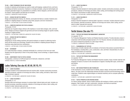#### **TD 355 — FIBER TECHNIQUES FOR ART AND DESIGN**

A variety of materials and techniques are used to create wall hangings, sculptural forms, and home furnishings and fashion accessories. Emphasis is on design principles, using new technologies and computer-generated imagery for presentations to architects, interior designers, and the home fashion industry. Guest speakers and field trips are included. 2 CREDITS; 4 LABORATORY HOURS PER WEEK

#### **TD 372 — DESIGN FOR KNITTED FABRICS I**

Design and development of jersey, rib, interlock, and double-knit fabrics is studied. Students solve problems in adapting designs to machines using wheel, jacquard, and drum mechanisms. 2 CREDITS; 1 LECTURE AND 2 STUDIO HOURS PER WEEK

#### **TD 412 — COMPUTER GRAPHICS FOR TEXTILE DESIGN II**

#### Prerequisite: TD 312

Advanced use of graphic design software with emphasis on woven fabric designs, knits, and tonal prints. Designs are texture-mapped onto garments and home furnishing images for specific markets, resulting in a digital portfolio.

2 CREDITS; 1 LECTURE AND 2 COMPUTER LABORATORY HOURS PER WEEK

#### **TD 472 — DESIGN FOR KNITTED FABRICS II**

#### Prerequisite: TD 372

Designing for circular knitting machines with special emphasis on repeats for patterning mechanisms and the newest yarn technology. Students solve problems in adapting jacquard design to machines using wheel and drum mechanisms. 2 CREDITS; 1 LECTURE AND 2 STUDIO HOURS PER WEEK

#### **TD 491 — INTERNSHIP**

A 12-week internship in industry, scheduled individually for a minimum of ten hours per week. Students have the opportunity to intern in the product design, home furnishings, or apparel industry. 3 CREDITS

#### **TD 499 — INDEPENDENT STUDY IN TEXTILE DESIGN**

Prerequisites: a minimum 3.5 GPA and approval of instructor, chairperson, and dean VARIABLE CREDITS (3 CREDITS MAXIMUM)

## Courses

## Ladies Tailoring (See also AF, AP, AR, DP, FD, FF)

#### **TL 111 — LADIES TAILORING I**

Introduces students to the fundamental hand and machine skills. Includes construction processes, assembly procedures, selection of trimmings and notions, fabric cutting, and fabrics. Basic knowledge of sewing is required.

2.5 CREDITS; 1 LECTURE AND 3 LABORATORY HOURS PER WEEK

#### **TL 112 — LADIES TAILORING II**

#### Prerequisite: TL 111

Develops skills and techniques necessary to produce ladies' tailored slacks and vests. Includes construction processes, assembly procedures, selection of trimmings and notions, fabric cutting, and finishes for ladies' tailored slacks and vests.

2.5 CREDITS; 1 LECTURE AND 3 LABORATORY HOURS PER WEEK

#### **TL 211 — LADIES TAILORING III**

#### Prerequisite: TL 112

Employs industrial standards for tailoring ladies' jackets. Includes construction processes, assembly procedures, selection of trimmings and notions, fabric cutting, and knowledge and working properties of fabrics and finishes for ladies' tailored jackets.

2.5 CREDITS; 1 LECTURE AND 3 LABORATORY HOURS PER WEEK

#### **TL 212 — LADIES TAILORING IV**

Prerequisite: TL 211

Employs industrial standards for tailoring ladies' topcoats or overcoats. Includes advanced construction processes, assembly procedures, selection of trimmings and notions, fabric cutting, and finishes for ladies' topcoats and overcoats.

2.5 CREDITS; 1 LECTURE AND 3 LABORATORY HOURS PER WEEK

## Textile Science (See also TT)

#### **TS 015 — TEXTILES FOR PRODUCTION MANAGEMENT LABORATORY**

Co-requisite: TS 115

For Production Management: Fashion and Related Industries students. Provides laboratory study in conjunction with the textile principles learned in TS 115. Physical, chemical, and optical procedures are used to evaluate the properties of a wide range of fabrics. 1.5 CREDITS; 3 LABORATORY HOURS PER WEEK

#### **TS 111 — FUNDAMENTALS OF TEXTILES**

General study of textile materials with an emphasis on the factors that produce successful fabrics in the marketplace, including fibers, yarns, construction, color, and finish. Characteristics of a wide range of market fabrics are examined.

3 CREDITS; 2 LECTURE AND 2 LABORATORY HOURS PER WEEK

#### **TS 115 — TEXTILES FOR PRODUCTION MANAGEMENT**

Co-requisite: TS 015

For Production Management: Fashion and Related Industries students. Study of textile materials with emphasis on factors of concern to the manufacturer of apparel, including fiber types, construction, and finishes. 3 CREDITS

#### **TS 116 — KNIT DESIGN PRINCIPLES AND TECHNOLOGY**

In this introductory course, students learn to identify, analyze, design, and document weft-knitted fabrics. The class covers the relationships between knit fabric structures and the technology used to create them. Students create original designs on industrial machinery and on computer patterning workstations.

2 CREDITS; 1 LECTURE AND 2 LABORATORY HOURS PER WEEK

#### **TS 122 — TEXTILE PRINCIPLES FOR INTERIOR DESIGN**

For Interior Design students. Study of textile materials with emphasis on fabrics used by interior designers. Fiber content, yarn type, construction, coloration, and finish are examined. 1.5 CREDITS; 1 LECTURE AND 1 LABORATORY HOURS PER WEEK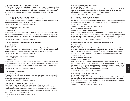#### **TS 132 — INTRODUCTION TO TEXTILES FOR FASHION DESIGNERS**

For Fashion Design students. An introduction to the concepts of sourcing textile materials and related products, both from the domestic and international perspectives. Emphasis is placed on identifying and evaluating the characteristics of textile materials, such as sewing yarns, fabrics, and interlinings designed for women's apparel. Comprehension of textile trade terminology is also stressed. 3 CREDITS

#### **TS 171 — HI-TECH TEXTILES FOR APPAREL AND ACCESSORIES**

Prerequisite: TS 111 or TS 132 or equivalent, or approval of chairperson This course takes an analytical approach to advanced textile design applications, focusing on specialized outerwear and high-performance apparel and accessories. 3 CREDITS; 2 LECTURE AND 2 LABORATORY HOURS PER WEEK

#### **TS 236 — STRIP KNITTING DESIGN TECHNOLOGY**

#### Prerequisite: TS 132

#### Co-requisite: TS 237

For Fashion Design students. Students learn the scope and limitations of the various types of industrial equipment required in the production of strip knit garments. Includes studies in fabric analysis and methods to graphically represent garments and fabric creations for translation by technicians into machine language.

2 CREDITS; 1 LECTURE AND 2 LABORATORY HOURS PER WEEK

#### **TS 237 — DESIGNING FABRIC STRUCTURES FOR STRIP KNIT GARMENTS**

Prerequisite: TS 132

#### Co-requisite: TS 236

For Fashion Design students. Students learn the fundamentals of strip knitting structures and design. Emphasis is on developing the ability to express creativity through the medium of knitting machinery. Students develop and produce their own fabrics on industrial sampling strip knit machinery. 2 CREDITS; 1 LECTURE AND 2 LABORATORY HOURS PER WEEK

#### **TS 261 — INTRODUCTION TO WEFT KNITTING PRINCIPLES**

Prerequisite: TS 132

Co-requisite: FF 352

For Fashion Design (knitwear track) BFA students. An introduction to the technical principles of weft knit structures, covering the relationships between stitch formation, fabric construction, yarn selection, and knitting machinery. Emphasis is placed on the creative and practical application of weftknitted structures.

3 CREDITS; 1 LECTURE AND 4 LABORATORY HOURS PER WEEK

#### **TS 263 — WEFT KNITTING TECHNOLOGY**

#### Prerequisite: TS 111

Courses

For Menswear students. Covers a wide range of knit fabric structures used in the menswear fashion industry. Students work with hand knitting and industrial machinery to create designs and to relate these designs to the knitting principles involved.

3 CREDITS; 2 LECTURE AND 2 LABORATORY HOURS PER WEEK

#### **TS 301 — ADVANCED TEXTILES FOR TECHNICAL DESIGN**

Prerequisite: TS 111 or TS 132 or TT 171 or similar course in Textile Fundamentals Through readings and lab work, students learn to recognize and differentiate textiles according to structure and style. Course emphasizes commercial methods and applications that enhance textile appearance and performance. Students study issues and requirements related to textile structural design, coloration, function, and expectations. 2.5 CREDITS; 2 LECTURE AND 1 LABORATORY HOUR PER WEEK

#### **TS 331 — INTRODUCTION TO KNITTING PRINCIPLES**

Prerequisite: TS 131 or TS 132

Students learn to identify, analyze, and design various weft knitted fabrics. Provides an understanding of the relationship between fabric structure, yarn type, stitch formation, and machine type. Students design and produce original fabric on hand or power machines. 3 CREDITS; 2 LECTURE AND 2 LABORATORY HOURS PER WEEK

#### **TS 341 — SURVEY OF TEXTILE PRINTING TECHNOLOGY**

Prerequisite: TS 214 or approval of chairperson

Survey of the rudiments of commercial textile printing to establish a basic common communications link between designer/stylist and production. Students use their own original design concepts for case-study lessons in feasibility.

2.5 CREDITS; 2 LECTURE AND 1 LABORATORY HOURS PER WEEK

#### **TS 361 — KNIT FABRICS AND MACHINES**

Prerequisite: TS 111 or approval of chairperson

For Production Management: Fashion and Related Industries students. The principles of weft and warp knit fabric structure and production are discussed. Topics include the relationship between fabric structure and machine capability, fabric analysis and development, costing, quality control, and production control. Students work on hand knitting machines to reinforce principles covered in lectures. 4 CREDITS; 2 LECTURE AND 4 LABORATORY HOURS PER WEEK

#### **TS 366 — EXPERIMENTATIONS WITH WEFT KNITTING STRUCTURES AND MACHINERY**

Prerequisite: TS 431

Co-requisite: FD 493

For Fashion Design (knitwear track) BFA students. This course summarizes the complex relationship between weft-knit structures and the machinery that produces them. Emphasis is placed on functional and aesthetic concerns in full-fashioned garment construction. Students are encouraged to experiment with creative combinations of advanced techniques, expanding their range of expertise. 2 CREDITS; 4 HOURS PER WEEK

#### **TS 367 — KNIT FABRICS AND MACHINERY**

#### Prerequisite: TS 111 or equivalent

For Production Management: Fashion and Related Industries students. Students analyze, identify, and document a range of knit fabric structures using industry-standard techniques and communication practices. Emphasis is placed on the relationships between fabric structures, machine capabilities, costing, sourcing, and quality control. Students knit basic weft structures on industrial hand machines and program fabrics on computer patterning workstations.

3 CREDITS; 2 LECTURE AND 2 LABORATORY HOURS PER WEEK

#### **TS 431 — ADVANCED CONCEPTS IN WEFT KNITTING**

#### Prerequisites: FD 354 and TS 261

Students are presented with advanced concepts in weft knit structures and introduced to the principles of designing for computerized industrial power machinery. Students design and knit complex fabrics on industrial machinery for garments designed in FD 451. Students maintain a swatch book of all fabrics analyzed and designed in this course.

2.5 CREDITS; 1 LECTURE AND 3 LABORATORY HOURS PER WEEK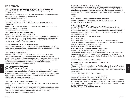## Textile Technology

#### **TT 038 — PRODUCT DEVELOPMENT AND MARKETING APPLICATIONS: WEFT KNITS LABORATORY**

Prerequisite: TS 015/115 or TS 111 or TS 122 or TS 132 or TT 171 or approval of chairperson Co-requisite: TT 338

Students design and develop weft knitted fabrics based on market applications using industry specifications, communications techniques, and styling practices. 2 CREDITS; 4 LABORATORY HOURS PER WEEK

#### **TT 054 — TEXTILE QUALITY ASSURANCE LABORATORY**

Prerequisite: TS 015/115 or TS 111 or TS 122 or TS 132 or TT 171 or approval of chairperson Co-requisite: TT 454 Standardized textile testing procedures are examined and performed on a variety of fabrics to deter-

mine suitability for end-use performance.

1.5 CREDITS; 3 LABORATORY HOURS PER WEEK

#### **TT 161 — SWEATER KNITTING TECHNOLOGY AND DESIGN I**

Prerequisite: (for Fashion Design BFA students) TS 331

Principles of design and development of fashioned and full-fashioned knit garments, and capabilities and limitations of flat knitting machines. Students analyze samples, design and lay out samples for various types of flat knitting equipment, and knit fabrics on the laboratory knitting machines. 3 CREDITS; 2 LECTURE AND 2 LABORATORY HOURS PER WEEK

#### **TT 173 — COMPUTER APPLICATIONS FOR TEXTILE DEVELOPMENT**

Develop introductory Macintosh computer skills applicable in the textiles industry, including word processing, spreadsheets, graphics, statistics, and databases, as well as weaving and knitting technology. 2 CREDITS; 4 COMPUTER LABORATORY HOURS PER WEEK

#### **TT 174 — COMPARATIVE FABRIC STRUCTURES**

Prerequisite: TS 015/115 or TS 111 or TS 122 or TS 132 or TT 171 or approval of chairperson Within the context of potential end use, students are taught how to compare, categorize, and describe major textile structures. The course presents an overview of principles that define structural design and demonstrates how designs can be modified through styling. Emphasis is on identifying and evaluating cost/benefit factors and designing for utilitarian performance properties. 3 CREDITS; 2 LECTURE AND 2 LABORATORY HOURS PER WEEK

#### **TT 235 — COMPUTER-ASSISTED KNIT DESIGN**

#### Prerequisite: TT 161 or approval of instructor

Presents principles of computer programming needed for producing sweater strip designs. A handson approach is used so that students may experience the entry of knitting data into a computerized pattern preparation system, and use the computer output for knitting their designs on computer-controlled knitting equipment. Includes various structures such as two- and three-color jacquard, pointelles, racked designs, and links jacquards.

3 CREDITS; 2 LECTURE AND 2 LABORATORY HOURS PER WEEK

#### **TT 247 — APPLIED COLOR TECHNOLOGY AND TEXTILE STYLING**

Prerequisite: TS 015/115 or TS 111 or TS 122 or TS 132 or TT 171, or approval of chairperson and SC 032/332

The visual and physical interaction of colors relative to commercial textile design and style structures is considered as are cost, performance, and marketing. Course includes discussion and use of specialized computer software for all phases of color development and shade matching. 2 CREDITS; 1 LECTURE AND 2 LABORATORY HOURS PER WEEK

#### **TT 273 — THE TEXTILE INDUSTRY: A HISTORICAL SURVEY**

Outlines origins of the American textile industry, with an analysis of the combined influences of evolving technologies and the development of marketing techniques. Views textile production as a dynamic system predicated on several established concepts, and current industry conditions are examined in terms of this system. A comparative analysis of modern industry with its antecedents is provided.

2 CREDITS

#### **TT 299 — INDEPENDENT STUDY IN TEXTILE DEVELOPMENT AND MARKETING**

Prerequisites: a minimum 3.5 GPA and approval of instructor, chairperson, and dean VARIABLE CREDITS (3 CREDITS MAXIMUM)

#### **TT 301 — TEXTILE APPLICATIONS**

Prerequisite: TS 015/115 or TS 111 or TS 122 or TS 132 or TT 171 or approval of chairperson Students study textile-based consumer goods from a raw materials perspective. Product design concepts are identified in terms of functional utility, aesthetic requirements, and target price points. Design data are used to determine fiber, yarn, fabric structure, and finishing systems best suited to developing successful products.

3 CREDITS; 2 LECTURE AND 2 LABORATORY HOURS PER WEEK

#### **TT 313 — TEXTILE FIBERS**

Prerequisite: TS 015/115 or TS 111 or TS 122 or TS 132 or TT 171 or approval of chairperson Studies the role of textile fibers in the design, styling, and marketing of textile products. Aesthetics, performance, and cost/price relationships are emphasized. 3 CREDITS; 2 LECTURE AND 2 LABORATORY HOURS PER WEEK

#### **TT 325 — PRODUCT DEVELOPMENT AND MARKET APPLICATIONS: WOVENS I**

Prerequisite: TS 015/115 or TS 111 or TS 122 or TS 132 or TT 171

Students learn to identify and analyze standard woven fabrics and the yarns used to weave them. Standard industry procedures and textile production software are used to construct woven fabric simulations suitable for industrial production. Emphasis is on the application of woven structures in current markets.

3 CREDITS; 2 LECTURE AND 2 LABORATORY HOURS PER WEEK

#### **TT 326 — PRODUCT DEVELOPMENT AND MARKET APPLICATIONS: WOVENS II** Prerequisite: TT 325

Advanced principles of woven textile development for dobby and jacquard production. This course builds on knowledge gained in TS 325 to analyze complex color and structure in woven fabrics. Students use professional CAD software and electronic dobby looms in class for woven samples and color simulations.

3 CREDITS; 2 LECTURE AND 2 LABORATORY HOURS PER WEEK

#### **TT 335 — PRODUCT DEVELOPMENT AND MARKET APPLICATIONS: KNITS I**

Prerequisite: TS 015/115 or TS 111 or TS 122 or TS 132 or TT 171

Students learn basic technical principles of weft- and warp-knit structures: the relationships between stitch formation, fabric construction, yarn selection and knitting machinery. Design parameters that affect aesthetics, performance, and cost are studied. Emphasis is placed on the practical application of knitted structures in current markets.

3 CREDITS; 2 LECTURE AND 2 LABORATORY HOURS PER WEEK

Courses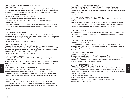#### **TT 336 — PRODUCT DEVELOPMENT AND MARKET APPLICATIONS: KNITS II**

Prerequisite: TT 335

This course focuses on advanced technical principles of weft- and warp-knit structures. Design parameters that affect aesthetics, performance, and cost are studied, and emphasis is placed on the practical application of knitted structures in current markets. Students develop and program advanced textured weft structures on industrial CAD workstations. 3 CREDITS; 2 LECTURE AND 2 LABORATORY HOURS PER WEEK

#### **TT 338 — PRODUCT DEVELOPMENT AND MARKETING APPLICATIONS: WEFT KNIT**

Prerequisite: TS 015/115 or TS 111 or TS 122 or TS 132 or TT 171 or approval of chairperson Co-requisite: TT 038

Through analysis techniques and market research, students identify the physical and aesthetic characteristics of weft-knitted fabrics. Design parameters that affect aesthetics, performance, and cost are studied.

2 CREDITS

#### **TT 342 — DYEING AND COLOR TECHNOLOGY**

Prerequisite: TS 015/115 or TS 111 or TS 122 or TS 132 or TT 171 or approval of chairperson Studies the enhancement of textile products through the application of color. Primary emphasis is on commercial textile dyeing and its relationship to fashion colors, application procedures, quality, and marketing principles.

3 CREDITS; 2 LECTURE AND 2 LABORATORY HOURS PER WEEK

#### **TT 446 — TEXTILE FINISHING TECHNOLOGY**

Prerequisite: TS 015/115 or TS 111 or TS 122 or TS 132 or TT 171 or approval of chairperson Presents the aesthetic and functional values of textile finishing. Finishing methods and their feasibility with respect to appearance, performance expectations, quality, and effect on hand are covered. Emphasis is placed on finish practicality, quality, and longevity. 2 CREDITS; 1 LECTURE AND 2 LABORATORY HOURS PER WEEK

#### **TT 454 — TEXTILE QUALITY ASSURANCE**

Prerequisite: TS 015/115 or TS 111 or TS 122 or TS 132 or TT 171 or approval of chairperson Co-requisite: TT 054

A study of the physical, chemical, optical, and colorfastness determination test methods, which are required to evaluate fabrics for specific end-use performance and in-process quality control. 1 CREDIT

#### **TT 471 — TECHNOLOGY AND MARKETING OF PRINTED TEXTILES**

Prerequisite: TS 015/115 or TS 111 or TS 122 or TS 132 or TT 171 or approval of chairperson Students study the marketing practices as well as the technical considerations of commercially accepted print processes and products. Color palettes, design repeat limitations, and marketing strategies for end-use applications in the apparel and home furnishings industries are emphasized. 2 CREDITS

#### **TT 472 — HI-TECH TEXTILES**

Prerequisite: TS 015/115 or TS 111 or TS 122 or TS 132 or TT 171 or approval of chairperson Examines the marketing of hi-tech fabrics. Product applications, major suppliers, technological trends, distribution channels, and industry/government standards are studied. Product development is discussed. 2 CREDITS

**TT 473 — TEXTILES FOR HOME FURNISHINGS MARKETS**

Prerequisite: TS 015/115 or TS 111 or TS 122 or TS 132 or TT 171 or approval of chairperson Presents the marketing strategies employed in the development of textile products for the home. Separates the production of home furnishings textiles into distinct market segments, highlighting the critical factors in each.

2 CREDITS

#### **TT 474 — TEXTILES: DOMESTIC AND INTERNATIONAL MARKETS**

Prerequisite: TS 015/115 or TS 111 or TS 114/214 or TS 122 or TS 132 or TT 171 or approval of chairperson

The American textile complex is examined as an interactive player in a global network of suppliers, production centers, and distribution markets. Primary emphasis is on a study of the international market forces that affect both domestic and off-shore textile product development. 3 CREDITS

#### **TT 475 — TEXTILE MARKETING**

Studies the textile industry and how its various products are marketed. Case studies involving both fiber producers and textile mills are analyzed. Students examine both the domestic and international textile marketplaces.

3 CREDITS

#### **TT 476 — TEXTILE PROJECT DEVELOPMENT**

Prerequisites: TT 342 and TT 477

Provides students with a realistic view of the production of a commercially marketable fabric line. Understanding of artistic inspiration, timing, manufacturing, and costing decisions are necessary for successful completion of the final project. 3 CREDITS

#### **TT 477 — TEXTILE CONVERTING AND COSTING**

#### Prerequisites: TT 038 and TT 338

Co-requisite: (for Textile Development and Marketing BS students) TT 342 Studies the principles and practices in purchasing yarn and greige goods for conversion to fashion fabrics. Domestic and global sourcing systems as well as costing procedures are examined. 3 CREDITS; 2 LECTURE AND 2 LABORATORY HOURS PER WEEK

#### **TT 478 — PRESENTATION AND E-PORTFOLIO**

Prerequisites: TT 326 and TT 336, or approval of chairperson

Students are exposed to various techniques for developing digital assets and assembling them into an electronic portfolio. Emphasis is placed on organization, critical thinking, and presentation skills. For their final project, students produce and present an e-portfolio that showcases their textile development and marketing skills.

1 CREDIT; 2 LABORATORY HOURS PER WEEK

#### **TT 499 — INDEPENDENT STUDY IN TEXTILE DEVELOPMENT AND MARKETING**

Prerequisite: a minimum 3.5 GPA and approval of instructor, chairperson, and dean VARIABLE CREDITS (3 CREDITS MAXIMUM)

Courses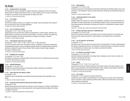## Toy Design

#### **TY 101 — INTRODUCTION TO TOY DESIGN**

This introductory course is designed for students interested in exploring the area of Toy Design. Students learn the design and invention process, as well as effective ways to visually communicate concepts for toy products. Some drawing skills are needed. (G6: Arts) 1.5 CREDITS; 3 STUDIO HOURS PER WEEK

#### **TY 311 — TOY DESIGN I**

#### Co-requisite: TY 351

Nurtures and develops creativity as it is applied to toy design. Various techniques for the design of toys are explored and used in practical application. 1.5 CREDITS; 3 STUDIO HOURS PER WEEK

#### **TY 313 — SOFT TOY AND DOLL DESIGN**

#### Prerequisites: TY 311, TY 321, TY 322, and TY 351

Designing plush toys and dolls from research and development, concept creation, sketching, and patternmaking, to prototype construction and presentation. The study of materials, manufacturing techniques, packaging, and industry requirements, as related to toy design, is stressed. 3 CREDITS; 6 STUDIO HOURS PER WEEK

#### **TY 314 — PROFESSIONAL PRACTICES IN TOY DESIGN**

Prerequisites: TY 311, TY 321, TY 322, TY 323, TY 351, TY 362, and SS 232 This course combines studio work, discussion of trends, consultation with industry professionals, and presentation practice in order to strengthen students' design and marketing skills and develop portfolios to address the needs of the job market. Work focuses on specific design categories according to individual needs.

1.5 CREDITS; 3 STUDIO HOURS PER WEEK

#### **TY 321 — DRAWING FOR TOY DESIGN**

Co-requisites: TY 311 and TY 322

Development of drawing and rendering skills as the primary tools for conceptual and visual presentation of three-dimensional toy designs. 1.5 CREDITS; 3 STUDIO HOURS PER WEEK

#### **TY 322 — MARKER RENDERING**

Courses

Co-requisites: TY 311 and TY 321 Develops the professional techniques of executing toy design renderings for presentation. 1.5 CREDITS; 3 STUDIO HOURS PER WEEK

#### **TY 323 — BASIC DRAFTING FOR PRODUCT DESIGN**

Co-requisite: TY 351 Establishes basic understanding of mechanical drawing fundamentals and its application to toy design. 1.5 CREDITS; 3 STUDIO HOURS PER WEEK

#### **TY 325 — COMPUTER-AIDED ADVANCED DRAFTING FOR PRODUCT DESIGN**

Prerequisite: TY 323

Students develop advanced techniques by learning to use the computer as a design and drafting tool. Through demonstrations and in-class assignments, they integrate drafting knowledge with working in a digital environment. 1.5 CREDITS; 3 COMPUTER LABORATORY HOURS PER WEEK

#### **TY 331 — MODELMAKING I**

#### Prerequisites: TY 311 and TY 323

Introduces the process of translating two-dimensional renderings into finished models in clay, wood, styrofoam, or thermoplastics. Vacuum-forming, fabricating, machining, and finishing techniques are presented.

2 CREDITS; 4 STUDIO HOURS PER WEEK

#### **TY 342 — COMPUTER GRAPHICS IN TOY DESIGN**

Prerequisite: TY 322

Students explore the computer as a tool for the presentation, refinement, and most importantly, the stimulation of creative design ideas. The fundamental principles of the two-dimensional bitmap and vector-based graphics using Adobe Photoshop and Illustrator on the Macintosh computer system are introduced.

2 CREDITS; 1 LECTURE AND 2 COMPUTER LABORATORY HOURS PER WEEK

#### **TY 351 — PRODUCT MATERIALS AND SAFETY CONSIDERATIONS**

#### Co-requisites: TY 311 and TY 323

Study of the materials, machinery, and methods used to manufacture plastic and non-plastic toys that meet specific design requirements, safety standards, and durability tests cost-effectively. 2 CREDITS

#### **TY 362 — THE TOY INDUSTRY: AN OVERVIEW**

Co-requisite: TY 311

Introduces scope of the toy industry through its history and development. Provides understanding of the industry's organizational structure, toy categories, marketing techniques, and specific nomenclature. Presentations are made by major toy company executives and retailers. 1 CREDIT; 2 STUDIO HOURS PER WEEK

#### **TY 411 — TOY DESIGN II AND PRODUCT UPDATE**

Prerequisites: TY 311 and TY 325 Advanced methods for generation of toy design ideas. Emphasizes areas of new toy creation, line extension, and licensing. (G6: Arts) 2 CREDITS; 4 STUDIO HOURS PER WEEK

#### **TY 414 — GAMES**

Prerequisites: TY 411, TY 416, TY 417, and TY 431

Game theory and logic are studied and applied to the design of games with special regard to such factors as age, play pattern, three-dimensional skills, action, strategy, and psychology. Emphasizes the successful execution and presentation of game concepts. 1.5 CREDITS; 3 STUDIO HOURS PER WEEK

#### **TY 415 — DOLL DESIGN**

Prerequisite: TY 313 or approval of associate chairperson

Examines the various stages in the development of a prototype from concept to three-dimensional model. Cost factors, product positioning, fashion trends, methods of doll decoration, and industry safety standards are addressed.

1.5 CREDITS; 3 STUDIO HOURS PER WEEK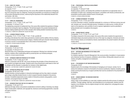#### **TY 416 — HARD TOY: DESIGN**

Prerequisites: TY 311, TY 325, TY 331, and TY 351 Co-requisite: TY 417

The design component of creating hard toys, this course offers students the experience of designing toys from among the major toy categories. Drawing and presentation are stressed as an integral part of the product development process, underscoring the importance of the relationship between form and function. (G6: Arts)

1.5 CREDITS; 3 STUDIO HOURS PER WEEK

#### **TY 417 — HARD TOY: ENGINEERING**

Prerequisites: TY 311, TY 325, TY 331, and TY 351 Co-requisites: TY 416 and TY 431

The engineering component of creating hard toys, this course offers students the experience of designing toys from among the major toy categories. The technical aspects of toy product development are stressed, helping students give form to their concepts while meeting standard manufacturing criteria. 1.5 CREDITS; 3 COMPUTER LABORATORY HOURS PER WEEK

#### **TY 418 — LICENSED PRODUCT DESIGN**

Prerequisites: TY 311, TY 313, TY 325, TY 331, TY 342, and MK 301

Providing a link between the creative ideas generated by students and the realities of the toy industry, this course introduces the licensed product category. Students build upon character ideas developed in previous courses to reconceptualize them in the context of licensed product. 1.5 CREDITS; 3 STUDIO HOURS PER WEEK

#### **TY 431 — MODELMAKING II**

Prerequisites: TY 331 and TY 351 Co-requisites: TY 416 and TY 417

Advanced study of toy modelmaking techniques and equipment. Working from individual concept sketches, students refine modelmaking skills by producing their own finished prototypes. 2 CREDITS; 4 STUDIO HOURS PER WEEK

#### **TY 442 — ADVANCED COMPUTER GRAPHICS IN TOY DESIGN**

Prerequisites: TY 313, TY 325, and TY 342

Offered in conjunction with GD 407, this course introduces the principles of three-dimensional computer graphics and digital book design. Students build a three-dimensional model based on their soft toy designs and the character in preparation for inclusion in their digital books. 2 CREDITS; 1 LECTURE AND 2 COMPUTER LABORATORY HOURS PER WEEK

#### **TY 443 — INTERACTIVE MEDIA FOR TOY DESIGN**

#### Prerequisites: GD 407 and TY 442

Students develop a strong foundation in interactive technologies and how they relate to computer game design using Macromedia Director in order to expand characters designed in the previous semester. Completed assignments involve creation of interactive products using graphics, sound, animation, and programming for CD-ROM.

2 CREDITS; 1 LECTURE AND 2 COMPUTER LABORATORY HOURS PER WEEK

#### **TY 461 — BUSINESS PRACTICES FOR THE TOY INDUSTRY**

Prerequisites: TY 351 and TY 411

Addresses the legal, ethical, and practical considerations involved in selling or licensing a toy design. Topics include patent, trademark, and copyright law; disclosure and licensing agreements; corporate and agency structure. 2 CREDITS

#### **TY 462 — PROFESSIONAL PORTFOLIO DEVELOPMENT**

Prerequisite: TY 442

Co-requisites: TY 443 and TY 493

Students analyze, position, and develop their portfolios for placement in an appropriate venue. A combination of studio work, marketing trend analysis, consultation with industry professionals, and presentation practice guides students toward a focused goal. 2 CREDITS; 4 STUDIO HOURS PER WEEK

#### **TY 491 — SUMMER INTERNSHIP: TOY DESIGN**

Prerequisites: TY 311, TY 313, and TY 331

A summer internship in industry, scheduled individually for a minimum of 160 hours during June and July. Includes a pre- and post-internship seminar. Completion of a daily journal, a written and oral report on the experience, and a portfolio of work is required. Applications must be submitted in spring semester prior to acceptance into program. 4 CREDITS

**TY 493 — SENIOR PROJECT: DESIGN**

Prerequisites: TY 411, TY 416, TY 417, and TY 431

The design component of the senior project, this course offers senior students the opportunity to individually design and present products from two of the major toy categories. Demands and restrictions of the toy industry are simulated by industry representatives who present students with actual market criteria.

1.5 CREDITS; 3 STUDIO HOURS PER WEEK

## Visual Art Management

#### **VA 321 — METHODS AND MEANINGS IN THE VISUAL ARTS**

Prerequisite: HA 112

For students majoring in Visual Art Management, this course provides a foundation in visual analysis and a historical overview of museums, exhibitions, and art history. Writing skills relevant to art commentary and gallery management are emphasized.

3 CREDITS

#### **VA 431 — THE BUSINESS OF ART MUSEUM MANAGEMENT**

#### Prerequisite: VA 321

Students build a firm knowledge of the business of managing an art museum, namely, how to achieve the institution's mission for the benefit of its diverse constituents. Students complete a group project covering the broad array of support activities that must be considered for the presentation of an exhibition.

3 CREDITS

#### **VA 491 — SENIOR SEMINAR: THE MUSEUM EXHIBITION**

#### Prerequisite: VA 431

Using a major current exhibition as a case study, students examine the entire process of creating an exhibition. Through readings, field trips, and presentations by art professionals, students track the trajectory of an exhibition, from its original concept to its final, realized form, and gauge the subsequent critical response.

3 CREDITS

Courses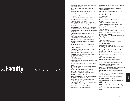>>>Faculty boxes by **Stephanie Aaron,** Adjunct Instructor, Visual Presentation and Exhibition Design

BFA, The Cooper Union for the Advancement of Science and Art

**Innocente E. Abah,** Adjunct Instructor, Social Sciences BSc, MSc, Ahmadu Bello University, Ziria, Nigeria

**Haitham Abdullah,** Adjunct Instructor, History of Art and Civilization

MA, MFA, The City College, City University of New York

**Martin L. Abramowitz,** Adjunct Assistant Professor, Fashion Merchandising Management AAS, Bronx Community College, City University of New York; BS, MS, Bernard M. Baruch College, City University of New York

**Maria V. Acevedo,** Adjunct Assistant Professor, Spanish BA, Queens College, City University of New York; MPhil, The Graduate School and University Center, City University of New York

**Carol Adelson,** Adjunct Associate Professor, Fashion Design

AAS, Fashion Institute of Technology; BA, MS, Herbert H. Lehman College, City University of New York

**Jens Ahlemeyer, Adjunct Instructor, Interior Design** Diploma, Advanced Technical College of Darmstadt, Germany

**Kwame Akonor,** Adjunct Instructor, Social Sciences PhD, The Graduate School and University Center, City University of New York

**Patricia Albin,** Adjunct Assistant Professor, Political Science and World Affairs BA, The City College, City University of New York

**Alex Alexandrou,** Adjunct Instructor, Advertising and Marketing Communications BA, Youngstown State University; MFA, Brooklyn College, City University of New York

**Benedetto Alibrandi,** Adjunct Assistant Professor, Fashion Design-Apparel

**Mary Ann Sorensen Allacci,** Adjunct Instructor, Interior Design

BA, Ramapo College of New Jersey; MA, Hunter College, City University of New York; MPhil, The Graduate School and University Center, City University of New York

**John Allen,** Adjunct Instructor, Fine Arts AB, University of California at Berkeley; MFA, Hunter College, City University of New York

**Candace Allenson,** Adjunct Instructor, Packaging Design BFA, Rochester Institute of Technology

**Edward Alter,** Adjunct Assistant Professor, Fashion Merchandising Management BBA, Bernard M. Baruch College, City University of New York; MBA, New York University

**Emily Altman,** Adjunct Assistant Professor, Italian BA, Smith College; MA, Columbia University

**Susan Altman,** Adjunct Assistant Professor, Educational Skills

BA, American University; MS, Hunter College, City University of New York

**Jean Amato,** Assistant Professor, English and Speech PhD, University of Oregon

**Albert Amatulli,** Adjunct Assistant Professor, Communication Design BFA, Pratt Institute

**Alan Ames,** Adjunct Instructor, Textile Development and Marketing Diploma, College of Fashion, London, England

**Loredana Anderson-Tirro,** Adjunct Instructor, Italian

PhD, University of California, Los Angeles **Suzanne Anoushian,** Assistant Professor, Communication Design, Graphic Design

BFA, Pratt Institute; MA, Fashion Institute of Technology **Joseph D. Antee,** Assistant Professor, Fashion Merchandising Management BS, Xavier University of Louisiana; MPS, Fashion Institute

of Technology **Barbara Arata-Gavere,** Adjunct Assistant Professor,

Fashion Design-Apparel AAS, Fashion Institute of Technology; BA, Certificate, Jersey City State College

**Vincent Arcilesi,** Professor, Fine Arts BFA, University of Oklahoma; BFA, MFA, School of the Art Institute of Chicago

**Gregory J. Arend,** Adjunct Assistant Professor, Fashion Merchandising Management BA, Iowa Wesleyan College; MA, New York University

**Alexandra Armillas,** Assistant Professor, Fashion Design-Apparel

AAS, Fashion Institute of Technology

**Roberta C. Aronoff,** Adjunct Assistant Professor, **Mathematics** 

BA, MA, The City College, City University of New York

**Raphael Aryeh,** Assistant Professor, Fashion Merchandising Management BA, The Hebrew University of Jerusalem; MBA, Bernard M. Baruch College, City University of New York

**Albert Ashforth,** Adjunct Assistant Professor, English and Speech

BA, Brooklyn College, City University of New York; MA, PhD, New York University

**Irina Ast.** Adjunct Instructor, Fashion Design-Apparel BFA, Fashion Institute of Technology

**Karen Bachmann,** Adjunct Assistant Professor, Jewelry Design BFA, Pratt Institute

**Cliff Bachner,** Adjunct Assistant Professor, Packaging

Design BFA, The Cooper Union for the Advancement of Science and Art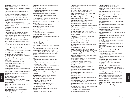**Ronald Bacsa,** Assistant Professor, Communication Design, Advertising Design AAS, New York City Community College; BA, Empire State College

**Frances Baer,** Adjunct Assistant Professor, American History

BA, State University of New York at Stony Brook; MA, Buffalo State College; PhD, University of Alabama

**Adele Bahn,** Adjunct Assistant Professor, Sociology BA, Hunter College, City University of New York; PhD, City University of New York

**Scott Bakal,** Adjunct Instructor, Illustration BFA, School of Visual Arts; MA, Syracuse University; MFA, University of Hartford

**Leslie Bakshi,** Adjunct Assistant Professor, Computer Graphics

BFA, Cornell University

**Melissa Baldock,** Adjunct Instructor, Interior Design BA, New York University; MS, Columbia University

**Richard Balestrino,** Assistant Professor and Chairperson of the Department, Advertising and Marketing Communications

BA, Long Island University; MA, Empire State College

**Gail M. Ballard,** Adjunct Assistant Professor, Educational Skills

BA, Xavier University; MS, Hunter College, City University of New York

**Jerome M. Baraz,** Adjunct Assistant Professor,

Psychology BA, Brooklyn College, City University of New York; MA, The City College, City University of New York

**William L. Barcham,** Professor, History of Art BA, Hunter College, City University of New York; MA, PhD, New York University

**Wayne Barker,** Assistant Professor, Textile Development and Marketing BS, Southeastern Massachusetts University

**Benetta Barnett,** Adjunct Instructor, Fashion Merchandising Management BS, Fashion Institute of Technology

**Renaldo Barnette,** Adjunct Assistant Professor, Fashion Design-Art

Certificate, Fashion Institute of Design and Merchandising **Judith S. Barr,** Adjunct Assistant Professor, Interior

Design

Faculty

AB, Boston University; MA, Fashion Institute of Technology; AAM, IDS, VSA

**Jack Barschi,** Professor, English and Speech BA, Hunter College, City University of New York; MA, PhD, New York University

**Richard A. Barth,** Adjunct Assistant Professor, Jewelry Design

BA, Amherst College; MFA, Pratt Institute

**Anna Bartosz,** Adjunct Assistant Professor, Textile Development and Marketing Diploma, Budapest Textile Technicum, Hungary

**Sharlot Battin,** Adjunct Assistant Professor, Accessories Design

BA, Brigham Young University

**Susan Adamo Baumbach,** Adjunct Instructor, Toy Design BA, New York University

**Deborah Beard,** Adjunct Instructor, Fashion Design-Art

**Anna Beaulieu,** Adjunct Assistant Professor, Textile Development and Marketing BS, Fashion Institute of Technology; MA, Brooklyn College, City University of New York

**Robert Beaulieu,** Assistant Professor, Textile Development and Marketing

BS, Southeastern Massachusetts University

**Jonathan Becker,** Adjunct Instructor, Toy Design BA, New York University

**Martin K. Behr III,** Adjunct Instructor, International Trade and Marketing BA, Rutgers University; MPA, Fairleigh Dickinson

University; JD, Rutgers School of Law

**Robert Bencal,** Adjunct Instructor, Fashion Merchandising Management BA, Ithaca College

**Glenn Bennett,** Adjunct Assistant Professor, Communication Design BArch, Pratt Institute; RA

**Celia J. Bergoffen,** Adjunct Assistant Professor, History of Art

BFA, Concordia University; MA, PhD, New York University

**Isabella Bertoletti,** Associate Professor, Italian BA, Queens College, City University of New York; PhD, The Graduate School and University Center, City University of New York

**Leonard Bess,** Assistant Professor, Fashion Design-Apparel

AAS, Fashion Institute of Technology; BS, Empire State College

**Renee Binzer,** Adjunct Assistant Professor, Health, Physical Education, and Dance BA, College of William and Mary; MA, University of Illinois;

CMA, Laban Institute of Movement Studies **Stephanie Bird,** Professor, Health, Physical Education, and

Dance BA, Adelphi University; MS, Hunter College, City University

of New York

**Jane Bixby-Weller,** Assistant Professor, Illustration Certificate, American Academy of Art

**Mark-Evan Blackman,** Assistant Professor and Chairperson of the Department, Menswear BA, University of Pennsylvania

**Pilar Blanco-Ruiz,** Assistant Professor, Spanish BA, Brooklyn College, City University of New York; MA, MPhil, New York University

**Terry Blum,** Assistant Professor and Director, Computer **Graphics** 

BFA, Boston University School of Fine Arts

**Leslie Blum,** Assistant Professor, Communication Design, Graphic Design BArch, Pratt Institute

**Anna Blume,** Assistant Professor, History of Art BA, Williams College; PhD, Yale University

**Evgeny Bogomolov,** Adjunct Instructor, Interior Design BFA, Fashion Institute of Technology

**Kimberly Bonner,** Adjunct Instructor, Fashion Design-Art BFA, Virginia Commonwealth University

**Virginia Bonofiglio,** Adjunct Associate Instructor, Cosmetics and Fragrance Marketing BA, Hunter College, City University of New York

**Martha Bordman,** Adjunct Assistant Professor, Educational Skills BS, New York University; MA, Hunter College, City University of New York

**Katherine Bradford,** Adjunct Instructor, Fine Arts BA, Bryn Mawr College; MFA, State University of New York, College at Purchase

**Janet L. Brav,** Professor, Advertising and Marketing **Communications** 

BA, Ithaca College; MS, Syracuse University

**Nathan Bright,** Adjunct Instructor, Interior Design BA, BArch, University of Texas at Austin

**Steven Broadway,** Adjunct Assistant Professor, Fashion Design-Art

BFA, Parsons School of Design

**David Brogna,** Assistant Professor, Home Products Development; Adjunct Assistant Professor, Interior Design BA, Queens College, City University of New York; BFA, Parsons School of Design

**Sass Brown,** Assistant Professor, Fashion Design-Apparel, and Resident Director, FIT in Florence BA, Ravensbourne College of Art and Design, England; MA, Fashion Institute of Technology

**Charlotte Brown,** Professor, Educational Skills BA, Clark University; MA, Teachers College, Columbia University

**Neil Brownlee,** Adjunct Instructor, Advertising and Marketing Communications BA, Herbert H. Lehman College, City University of New York

**Michele Wesen Bryant,** Adjunct Assistant Professor, Fashion Design-Art BFA, Syracuse University

**Jeffrey Buchman,** Professor, Advertising and Marketing Communications BA, State University of New York at Buffalo; MS, Brooklyn College, City University of New York

**Barbara Joan Burger,** Adjunct Instructor, Textile/Surface Design AAS, State University of New York College of Technology at Farmingdale; BA, Pace University

**Fredrick Bush,** Adjunct Assistant Professor, Communication Design, Graphic Design

**Lynn Cabot-Puro,** Adjunct Assistant Professor, Communication Design, Graphic Design BA, Fairleigh Dickinson University; MA, Fashion Institute of **Technology** 

**John Jay Cabuay,** Adjunct Instructor, Illustration BFA, Fashion Institute of Technology

**Anthony Cady,** Adjunct Instructor, Accessories Design AAS, BFA, Fashion Institute of Technology

**Andrew Calimano,** Adjunct Instructor, Direct and Interactive Marketing BS, State University of New York at Fredonia; MS, New York University

**Ethel Brown Camhi,** Adjunct Instructor, Fashion Design-Apparel BA, Queens College, City University of New York

**Robert Caplan,** Assistant Professor, Fashion Merchandising Management BA, State University of New York at Buffalo; MA, Seton Hall University

**Tony Capparelli,** Adjunct Assistant Professor, Illustration

**Dominic J. Carbone,** Adjunct Assistant Professor, Psychology BS, Fordham University; MA, Columbia University; MS, PhD, Cornell University

**Nelly Carbonell-Corujo,** Assistant Professor, Fashion Design-Apparel AAS, Fashion Institute of Technology; BS, Empire State College

**Anne Carpenter,** Adjunct Instructor, Textile/Surface Design BFA, Fashion Institute of Technology

**Lauren Carroll,** Adjunct Instructor, Advertising and Marketing Communications AAS, BS, Fashion Institute of Technology; MBA, Fordham University

**Shawn Grain Carter,** Associate Professor, Fashion Merchandising Management BA, University of Virginia; MFA, Fashion Institute of **Technology** 

**James Cascaito,** Associate Professor, Italian, and Chairperson of the Department, Foreign Languages BA, MA, University of Pittsburgh; MPhil, PhD, Columbia University

**Michael Casey,** Assistant Professor, Fashion Design-Art BFA, University of Texas at Austin

**Andrea Casson,** Adjunct Assistant Professor, Italian BA, Brandeis University; MA, New York University

**Salvatore Catalano,** Associate Professor, Illustration BA, Empire State College

**Alicia Cerrone,** Assistant Professor, Fashion Design-Apparel

AAS, Fashion Institute of Technology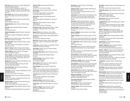**Peter Chan.** Adjunct Instructor, Production Management: Fashion and Related Industries

AAS, BS (Production Management: Apparel), BS (Production Management: Textiles), Fashion Institute of Technology; MS, MBA, University of Illinois; MPS, Cornell University

**Chloe Chapin,** Adjunct Instructor, Fashion Design-Art BFA, Cornish College of the Arts; MFA, Yale School of Drama

**Sonja Chapman,** Adjunct Instructor, International Trade and Marketing

BA, City University of New York

**Medina Charifova,** Adjunct Instructor, Fashion Design-Apparel

**Gene Chin,** Adjunct Assistant Professor, Computer Graphics BA, Columbia University

**Vasilios Christofilakos,** Assistant Professor, Accessories Design

AAS, Fashion Institute of Technology; BA, Empire State College

**Kien Chu,** Adjunct Assistant Professor, Fashion Design-Art AAS, Fashion Institute of Technology

**Margaret Cit Kovic,** Adjunct Assistant Professor, Fashion Design-Apparel AAS, Fashion Institute of Technology; BA, Long Island University, C.W. Post

**Marvin E. Clawson,** Adjunct Instructor, Interior Design BArch, Louisiana Tech University; MS, Columbia University

**Stedroy Cleghorne,** Adjunct Instructor, Photography Certificate, Digital Film Academy

**Paul C. Clement,** Assistant Professor, Economics, and Assistant Chairperson of the Department, Social Sciences BS, MA, Brooklyn College, City University of New York; MA, New School University

**Michael Coan,** Assistant Professor and Chairperson of the Department, Jewelry Design Diploma, Gemological Institute of America; BA, State University of New York at Albany

**Leslie Cober-Gentry,** Adjunct Instructor, Illustration BFA, Syracuse University

**Linda Cohen,** Instructor, Production Management: Fashion and Related Industries

AAS, BFA, Fashion Institute of Technology

#### Faculty **Steven Cohn,** Adjunct Instructor, Fashion Merchandising Management

BA, New York University; JD, Brooklyn Law School; LLM, New York University Law School

**Michael Cokkinos,** Associate Professor, Advertising and Marketing Communications

BA, MA, Hunter College, City University of New York

**Daniel James Cole,** Adjunct Assistant Professor, Fashion Design-Art

BA, University of Washington; MFA, New York University

**James W. Collier,** Adjunct Associate Professor, Photography AAS, New York City Community College

**Daniel Cooper,** Adjunct Assistant Professor, American History, Music BA, Columbia College; MMus, The New England

Conservatory; MFA, Princeton University **Sean Cormier,** Instructor, Textile Development and

Marketing AAS, Fashion Institute of Technology; BS, University of

Phoenix

**Valerie Corr,** Adjunct Assistant Professor, Fashion Design-Apparel AAS, BS, Fashion Institute of Technology

**Prudence M. Costa,** Adjunct Assistant Professor, English BA, Wellesley College; MA, MPhil, PhD, Columbia University

**Maureen Crilly,** Adjunct Instructor, Interior Design BS, University of Kansas; BFA, California College of Art

**Jerry Cross,** Assistant Professor, Fashion Merchandising Management

BS, Southeastern Oklahoma University

**Ruben Cruz,** Assistant Professor, Fashion Design-Apparel AAS, Fashion Institute of Technology; BS, Empire State College

**Frank Csoka,** Assistant Professor, Communication Design Certificate, Parsons School of Design

**John Culhane,** Adjunct Instructor, Computer Graphics BS, St. Louis University

**Christopher Stanley Culler,** Adjunct Assistant Professor, Psychology AB, Villanova University; MA, Fairleigh Dickinson

University **Colette Cummings,** Adjunct Instructor, Fashion Merchandising Management BS, University of Virginia

**Steven Cutting,** Adjunct Instructor, Fashion Design-Art BFA, Fashion Institute of Technology

**Zsuzsi Dahlquist,** Adjunct Professor, Textile/Surface Design

Certificate, BFA, The Cooper Union for the Advancement of Science and Art; BA, Brooklyn College, City University of New York; MA, Hunter College, City University of New York

**Linda Daly,** Adjunct Assistant Professor, Textile/Surface Design

BA, Newark State College; MFA, Instituto Allende-University of Mexico

**Antonietta D'Amelio,** Adjunct Instructor, Italian BA, MA, Hunter College, City University of New York

**Carole Daner,** Adjunct Associate Professor, Accessories Design

**Carolyn A. D'Angelo,** Adjunct Instructor, Fashion Merchandising Management, Home Products Development BBA, MBA, Pace University

**Eric Daniels,** Assistant Professor, Interior Design BArch, Pratt Institute

**Deborah S. David,** Assistant Professor, Advertising and Marketing Communications BA, The City College, City University of New York; PhD, Columbia University

**Donna David,** Associate Professor and Chairperson of the Department, Communication Design, Graphic Design BS, The Ohio State University; MFA, Parsons School of Design

**Dana Davis,** Adjunct Assistant Professor, Sociology BA, University of Maryland; MPH, Hunter College, City University of New York; PhD, The Graduate School and University Center, City University of New York

**Susan M. Daykin,** Professor, Fine Arts BFA, Washington University, St. Louis; MFA, Indiana University

**Diane A. DeAngelis,** Adjunct Instructor, Interior Design BFA, Pratt Institute

**David B. Dearinger,** Adjunct Assistant Professor, History of Art

BA, University of Kentucky; MA, MPhil, PhD, The Graduate School and University Center, City University of New York

**D.L. Debbie Deas,** Adjunct Assistant Professor, Computer Graphics BFA, Syracuse University

**Nancy Deihl,** Adjunct Instructor, Textile/Surface Design, Fashion and Textile Studies: History, Theory, Museum Practice

BA, Rutgers University, The State University of New Jersey: MA, New York University

**Juan J. Delacruz,** Adjunct Assistant, Economics BA, National Autonomous University of Mexico; MA, MPhil, New School University; PhD, New School for Social Research

**Enrique De La Huelga,** Adjunct Instructor, Photography BA, University of California at Los Angeles

**Carole Deletiner,** Assistant Professor, English and Speech BA, Herbert H. Lehman College, City University of New York; MA, Hunter College, City University of New York; PhD, New York University

**Dayna D'Eletto,** Adjunct Instructor, Interior Design BFA, Fashion Institute of Technology; MFA, State University of New York, College at Purchase

**Stephanie De Manuelle,** Assistant Professor and Chairperson of the Department, Fine Arts BA, MFA, Louisiana State University

**Jean Jacques Demerjian,** Adjunct Assistant Professor, Fashion Design-Apparel

**Diane De Mers,** Professor, Fashion Design-Art AAS, BFA, Fashion Institute of Technology

**Joseph R. Denaro,** Adjunct Assistant Professor, Illustration Certificate, Parsons School of Design

**Ann Denton,** Assistant Professor, Textile Development and Marketing

BA, Denison University; MA, University of Florida

**Richard Des Jardins,** Adjunct Assistant Professor, Interior Design

**Douglas Devita,** Adjunct Assistant Professor, Advertising Design, Communication Design BFA, Fashion Institute of Technology

**Dave Devries,** Adjunct Instructor, Illustration BFA, Syracuse University

**Josephine Di Iorio,** Adjunct Associate Professor, Fashion Design-Apparel

AAS, Fashion Institute of Technology; BA, Hunter College, City University of New York; Art Students League of New York

**Angelo R. Dicuonzo,** Adjunct Instructor, Italian Laurea in Lettere Moderne, University of Bologna, Italy; MA, The Graduate School and University Center, City University of New York

**James A. Dievler,** Adjunct Assistant Professor, English and Speech

BA, University of Pennsylvania; MFA, Temple University; PhD, New York University

**Vincent Difate,** Associate Professor, Illustration MA, Syracuse University

**Brigette T. Digiacomo,** Adjunct Assistant Professor, Fashion Merchandising Management BS, State University of New York, College at Oneonta

**Bernard L. Dillard,** Instructor, Science and Mathematics BA, Morehouse College; MAT, Emory University; MS, University of Maryland

**Eleanor M. Dipalma,** Adjunct Assistant Professor, Health, Physical Education, and Dance BA, Hofstra University; MS, Hunter College, City University of New York; PhD, New York University

**Lisa Donofrio,** Assistant Professor, Fashion Design-Apparel

BFA, Fashion Institute of Technology; MA, New York University; Certificate, Parsons School of Design

**Bil Donovan,** Adjunct Assistant Professor, Illustration AAS, Fashion Institute of Technology; BFA, School of Visual Arts

**Marie Dormuth,** Adjunct Instructor, Textile/Surface Design BFA, Philadelphia College of Art; MFA, Pratt Institute

**Daria Dorosh,** Adjunct Professor, Fashion Design-Art AAS, Fashion Institute of Technology; Certificate, The Cooper Union for the Advancement of Science and Art

**Wendell Dorris,** Adjunct Assistant Professor, Computer Graphics

BFA, Middle Tennessee State University; MFA, Pratt Institute

**John Dowling,** Assistant Professor and Assistant Chairperson of the Department, Textile/Surface Design

**Robin Drake,** Adjunct Instructor, Visual Presentation and Exhibition Design BS, Pratt Institute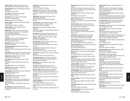**David J. Drogin,** Assistant Professor, History of Art BA, Wesleyan University; MA, PhD, Harvard University

**Donald Dubuisson,** Adjunct Assistant Professor, English and Speech MFA, Sarah Lawrence College

**Jana Duda,** Adjunct Instructor, Photography

BA, University of South Florida **John Duncan,** Adjunct Instructor, Interior Design BS, Art Center College of Design

**Alex Ebel,** Adjunct Instructor, Illustration

**Jaye G. Edelstein,** Adjunct Assistant Professor, Fashion Design-Apparel AAS, BFA, Fashion Institute of Technology

**Michael Edstrom,** Adjunct Assistant Professor, Communication Design

**Roberta Elins,** Professor, Advertising and Marketing Communications, and Chairperson of the Department, Direct and Interactive Marketing AB, Vassar College; MA, The New School for Social Research

**Judith Ellis,** Professor, Communication Design, and Chairperson of the Department, Toy Design BFA, Parsons School of Design

**Richard Elmer,** Adjunct Instructor, Illustration BFA, School of Visual Arts

**Rosalba Emanuel-King,** Adjunct Assistant Professor, Fashion Design-Art AAS, Fashion Institute of Technology; BFA, Parsons School

of Design

**Janet Esquirol,** Adjunct Instructor, Communication Design BA, Connecticut College; MFA, Parsons School of Design

**Thomas Evans,** Assistant Professor, Fine Arts BA, MFA, University of Minnesota

**Rose Fabricant,** Adjunct Assistant Professor, Fashion Design-Art

AAS, Fashion Institute of Technology; BFA, MFA, Pratt Institute

**Sean Fader,** Adjunct Instructor, Photography

**Terence Falk,** Adjunct Instructor, Photography BFA, University of Bridgeport

**Frank Farnham,** Adjunct Assistant Professor, Advertising and Marketing Communications BS, Boston University

**Teresa Fasolino,** Adjunct Instructor, Illustration Certificate, School of Visual Arts

Faculty

**Mario Federici,** Assistant Professor and Chairperson of the Department, Production Management: Fashion and Related Industries

AAS, Fashion Institute of Technology; BS, Empire State College

**Jean Feinberg,** Assistant Professor, Fine Arts BS, Skidmore College; MA, Hunter College, City University of New York

**Sandi Ferrara,** Adjunct Assistant Professor, Fashion Design-Apparel AAS, Fashion Institute of Technology

**Mary Ann C. Ferro,** Assistant Professor and Assistant Chairperson of the Department, Fashion Design-Apparel AAS, Fashion Institute of Technology; BS, Empire State College

**Juliana Fetter,** Adjunct Assistant Professor, Textile Development and Marketing Diploma, Staatliches Textil Technikum, Reutlingen, Germany

**Lisa Feuerherm,** Adjunct Assistant Professor, Fashion Design-Art, and Director, FIT Programs, Milan AAS, Fashion Institute of Technology

**Sherry Field,** Adjunct Assistant Professor, Fashion Design-Art

AAS, Fashion Institute of Technology; BA, State University of New York at Buffalo

**Oscar Fikar,** Adjunct Assistant Professor, History of Art BA, Columbia College; MA, MPhil, Columbia University

**Wallace J. Filler,** Adjunct Assistant Professor, Textile Development and Marketing BS, Greater Lowell Technical School

**Anne Finkelstein,** Adjunct Associate Professor, Visual Presentation and Exhibition Design BA, Bard College; MFA, Hunter College, City University of New York

**Linda Finnerty,** Assistant Professor, Advertising and Marketing Communications BS, Fordham University; Diploma, Hofstra University

**Terrance Fiore,** Assistant Professor, Direct and Interactive Marketing

BA, Hofstra University; MA, New York University

**Lauren Bavoso Flood,** Adjunct Instructor, Toy Design AAS (Fine Arts), AAS (Display and Exhibit Design), BA, Fashion Institute of Technology

**Michael Flynn,** Adjunct Instructor, Interior Design BFA, Pratt Institute

**Lourdes Font,** Assistant Professor, History of Art BA, Middlebury College; MA, PhD, New York University

**Susan A. Forbes,** Associate Professor, Interior Design Graduate Certificate, Parsons School of Design; BA, University of California at Berkeley; ASID, CID, IALD, IDEC

**Vito Fortuna,** Adjunct Instructor, Direct and Interactive Marketing

BS, Queens College, City University of New York; MS, New York University

**Kristin Fraidenburgh,** Adjunct Instructor, Textile/Surface Design, Fabric Styling

BS, Philadelphia College of Textiles and Science

**Frank T. Fraley,** Adjunct Assistant Professor, Jewelry Design AAS, Fashion Institute of Technology; Certificate, New York University

**Glenda Frank,** Adjunct Assistant Professor, English and **Speech** 

BA, MA, Brooklyn College, City University of New York; MPhil, PhD, The Graduate School and University Center, City University of New York

**Sandra Frank,** Adjunct Assistant Professor, Fashion Design-Art

BFA, Massachusetts College of Art **John J. Fraser,** Adjunct Instructor, Advertising and

Marketing Communications BA, State University of New York at Albany; MBA, Capella University

**Warren Frederick,** Adjunct Instructor, Toy Design BA, State University of New York, College at New Paltz; BFA, Fashion Institute of Technology

**Bill Freeman,** Adjunct Assistant Professor, Communication Design, Graphic Design BFA, Yale University; Certificate, American Academy of Dramatic Arts

**Gordon Frey,** Assistant Professor, Interior Design BA, Gettysburg College; MDiv, Union Theological Seminary; MA, Fashion Institute of Technology

**Herbert Frichner,** Adjunct Assistant Professor, Fashion Merchandising Management BBA, The City College, City University of New York

**Deborah Friedman,** Adjunct Assistant Professor, Fashion Merchandising Management

BS, Pennsylvania State University

**Wendy Friedman,** Adjunct Instructor, Fashion Design-Art

**Neal Furie,** Adjunct Instructor, Fashion Merchandising Management

BA, Brooklyn College, City University of New York **Joanne Galanos,** Adjunct Assistant Professor, Fashion Design-Art

AAS (Fashion Design), AAS (Interior Design), Fashion Institute of Technology; BFA, School of Visual Arts; MFA, New York Academy of Figurative Art

**Lawrence Galante,** Adjunct Associate Professor, Health, Physical Education, and Dance AB, Hunter College, City University of New York; MA, Hofstra University; PhD, Westbrook University

**Cynthia Gallagher,** Adjunct Assistant Professor, Fine Arts BFA, Philadelphia University of the Arts; MFA, Queens College, City University of New York

**Maurice P. Galli,** Adjunct Assistant Professor, Jewelry Design

**George J. Ganiaris,** Professor, Textile Development and Marketing

BS, Randolph-Macon College; MS, Institute of Textile **Technology** 

**Wildajean Gardner,** Adjunct Assistant Professor, Fashion Design-Art AAS, Fashion Institute of Technology

**Judith Garnar-Wortzel,** Adjunct Assistant Professor, Computer Graphics AAS, BFA, Fashion Institute of Technology

**Joseph Garofalo,** Professor, Textile Development and Marketing

AAS, Fashion Institute of Technology; BS, Philadelphia College of Textiles and Science; MS, Richmond College, City University of New York

**Judith Garrecht-Williams,** Adjunct Assistant Professor, English and Speech

BA, Vanderbilt University; MA, Teachers College, Columbia University; Licence de lettres modernes, Université de Paris VII; Maîtrise de lettres modernes, Université de Paris III

**J. Vincenzo Gatto,** Adjunct Instructor and International Coordinator, Fashion Merchandising Management BS, Fordham University

**Sarah Gaydos,** Adjunct Instructor, Communication Design BFA, The University of the Arts

**Catherine Geib,** Instructor, Fashion Merchandising Management AAS, Fashion Institute of Technology; BS, BA, State University of New York, College of Oneonta

**Karen Gentile,** Associate Professor and Chairperson of the Department, Textile/Surface Design and Fabric Styling AAS, BFA, Fashion Institute of Technology

**Patrice George,** Assistant Professor, Textile Development and Marketing

BA, University of Michigan

**Janice Giardina,** Adjunct Assistant Professor, Fashion Design-Art BFA, Fashion Institute of Technology

**Salvatore Giardina,** Adjunct Assistant Professor, Textile Development and Marketing AAS, BS, Fashion Institute of Technology

**Henry Gibson,** Professor, Mathematics BS, New York University; MBA, Columbia University; EdD, Teachers College, Columbia University

**Sarah Gilbert,** Adjunct Instructor, Patternmaking **Technology** 

AAS (Fashion Buying and Merchandising), AAS (Patternmaking Technology), Fashion Institute of Technology; BS, State University of New York College at Buffalo

**Jane M. Gill,** Adjunct Assistant Professor, Educational Skills

AB, Albertus Magnus College; MA, Teachers College, Columbia University

**Melinda Gist-Lorenz,** Adjunct Instructor, International Trade and Marketing

BA, Southern Methodist University; MBA, Thunderbird, The American Graduate School of International Management

**Erin Gleeson,** Adjunct Instructor, Photography MFA, School of Visual Arts

**Keith Godard,** Adjunct Instructor, Communication Design, Graphic Design BFA, London College of Printing; MFA, Yale University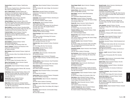**Susanne Goetz,** Assistant Professor, Textile/Surface Design

BA, University of Applied Science, Muenchberg, Germany; MSc, North Carolina State University

**Asli G. Gokhan-Kucuk,** Associate Professor and Chairperson of the Department, English and Speech BA, Bogazici University, Istanbul, Turkey; MA, University of Akron; PhD, University of Pittsburgh

**Nathaniel Gold,** Adjunct Instructor, Illustration BFA, MA, Fashion Institute of Technology

**Zehava Goldberg,** Adjunct Instructor, History of Art BA, Hofstra University; MA, Hunter College, City University of New York; MPhil, The Graduate School and University Center, City University of New York

**Mark Goldblatt,** Associate Professor, Educational Skills BA, Queens College, City University of New York; PhD, The Graduate School of the City University of New York

**Frederick Golden,** Adjunct Professor, Production Management: Fashion and Related Industries BS, Bucknell University; MBA, Harvard University; DPS, Pace University

**Henry Goldsmith,** Adjunct Associate Professor, Accessories Design

**Alice Goldstein,** Assistant Professor, Fashion Merchandising Management BA, Brooklyn College, City University of New York

**Ellen R. Goldstein,** Professor and Chairperson of the Department, Accessories Design BA, Hofstra University

**Mark Golubow,** Adjunct Assistant Professor, English and Speech

BA, State University of New York at Buffalo; MA, New York University

**Gustavo Gonzalez,** Adjunct Assistant Professor, Photography

BA, The City College, City University of New York **Myrna-Yamil Gonzalez,** Adjunct Instructor, Spanish

MA, Arizona State University **John Goodwin,** Adjunct Assistant Professor, Computer

Graphics BA, California State University at Fullerton; MA, University of California at Los Angeles

**Trudie Grace,** Adjunct Assistant Professor, History of Art BA, Sarah Lawrence College; MA, Columbia University; PhD, The Graduate School and University Center, City University of New York

**Sondra Graff,** Adjunct Assistant Professor, Communication Design, Graphic Design AAS, Parsons School of Design

**Edgar Grana,** Adjunct Instructor, Computer Graphics BA, Washington and Jefferson College; MFA, University of Iowa; MM, The Julliard School

**Joseph Gresia,** Adjunct Assistant Professor, Menswear

**Julie Gross,** Adjunct Assistant Professor, Communication Design

BFA, Pratt Institute; MA, Hunter College, City University of New York

**Naomi Gross,** Associate Professor and Assistant Chairperson of the Department, Fashion Merchandising Management BA, Oberlin College

**Craig Gugel,** Adjunct Assistant Professor, Advertising and Marketing Communications BA, University of Windsor, Ontario, Canada

**Hee Myung Han,** Adjunct Assistant Professor, Patternmaking Technology AAS, Fashion Institute of Technology; BA, Ewha Women's University, Seoul, Korea; MS, Sungshin Women's University, Seoul, Korea

**Barbara Hanlon,** Assistant Professor, Illustration Certificate, Parsons School of Design

**Phyllis Harbinger,** Adjunct Assistant Professor, Interior Design

AAS, Fashion Institute of Technology; BA, Syracuse University; ASID, CID

**Brian R. Hart,** Adjunct Instructor, Packaging Design BFA, Long Island University, C.W. Post

**Stephanie Hart,** Adjunct Assistant Professor, Educational Skills

BA, Finch College; MA, New York University

**Gloria Hartley,** Assistant Professor, Fashion Merchandising Management BA, MSEd, Fordham University

**Lewis Hecker,** Adjunct Counselor, Internship Center BA, Syracuse University

**Cornelia Hediger,** Adjunct Instructor, Photography BFA, MFA, Rutgers University, The State University of New Jersey

**Marilyn Hefferen,** Adjunct Instructor, Visual Presentation and Exhibition Design

AAS, Fashion Institute of Technology; BFA, Pratt Institute

**Holly Henderson,** Adjunct Assistant Professor, Textile/Surface Design

AAS, Fashion Institute of Technology

**Stan Henry,** Adjunct Assistant Professor, Communication Design

BFA, Kansas City Art Institute

**Patricia Henry,** Adjunct Assistant Professor, Photography BS, Fashion Institute of Technology

**Deborah Hernandez,** Adjunct Instructor, Textile/Surface Design

AAS, BFA, Fashion Institute of Technology

**Ellen Hess,** Adjunct Assistant Professor, Textile/Surface Design BA, State University of New York at Albany; MA, College of

New Rochelle

**Ron Hester,** Adjunct Instructor, Communication Design, Graphic Design BFA, Ohio State University

**Susan Hopper Hewitt,** Adjunct Instructor, Packaging Design BFA, MA, California College of Arts

**Andrew Hickes,** Adjunct Instructor, Interior Design BArch, Carnegie Mellon University

**Mark Higden,** Instructor, Fashion Merchandising Management BFA, Southeastern Massachusetts University

**Max Hilaire,** Assistant Professor, Photography

AAS, Fashion Institute of Technology; BA, Queens College, City University of New York

**Denise Hill,** Adjunct Instructor, Fashion Design-Art

**Allen Hochman,** Adjunct Assistant Professor, Photography BA, Hunter College, City University of New York

**Theodore Hoffman,** Adjunct Assistant Professor, Textile Development and Marketing BS, Lowell Technological Institute

**Margaret Holt,** Adjunct Assistant Professor, Fashion Design-Apparel AAS, Fashion Institute of Technology; BA, Queens College, City University of New York

**Avery M. Horowitz,** Adjunct Assistant Professor, Economics BA, Brooklyn College, City University of New York; MPhil, PhD, The Graduate School and University Center, City University of New York

**Gwendolyn Houston,** Adjunct Instructor, Home Products Development

AAS, BS, Fashion Institute of Technology

**Kim Hryniewicz,** Adjunct Instructor, Fashion Design-Art AAS, Fashion Institute of Technology; BS, Kansas State University

**Bing Hu,** Adjunct Instructor, Fine Arts BFA, Shanghai Teachers University; MFA, State University of New York, College at Purchase

**Elizabeth Hunter,** Adjunct Instructor, Advertising and Marketing Communications BS, Fordham University

**Michael Hyde,** Assistant Professor, English and Speech BA, University of Pennsylvania; MFA, Columbia University; PhD, New York University

**Patricia Iacobazzo,** Adjunct Assistant Professor, English and Speech BA, MA, Brooklyn College, City University of New York

**Rita Idelson,** Adjunct Assistant Professor, Science BS, Brooklyn College, City University of New York; MA, Hunter College, City University of New York

**Sabine Illes,** Adjunct Associate Instructor, Fashion Design-Apparel AAS, Fashion Institute of Technology

**Lauren B. Isaacson-Lev,** Adjunct Assistant Professor, Advertising and Marketing Communications BS, Fashion Institute of Technology; MS, Mercy College

**Kenneth Jacobs,** Adjunct Instructor, Advertising and Marketing Communications BS, Syracuse University

**Elisabeth Jacobsen,** Assistant Professor, Visual Presentation and Exhibition Design AAS, Fashion Institute of Technology; BFA, State University of New York, College at Purchase; MFA, State University of New York at Albany

**Susan Jacobson,** Adjunct Assistant Professor, Educational Skills BA, University of Michigan; MA, Hunter College, City

University of New York; MA, Teachers College, Columbia University

**Julia Jacquette,** Assistant Professor, Fine Arts BS, Skidmore College; MFA, Hunter College, City University of New York

**Jean Jacullo,** Instructor, Fashion Merchandising Management BS, University of Delaware; MPS, Fashion Institute of **Technology** 

**Ellen Jaffee,** Adjunct Assistant Professor, French BA, State University of New York at Buffalo; MS, Georgetown University

**Kay James,** Associate Professor, Textile Development and Marketing

BS, Philadelphia Textile Institute; MA, New York University

**Linda James,** Adjunct Instructor, Advertising and Marketing Communications BBA, MBA, Bernard M. Baruch College, City University of New York

**Barbara L. Janoff,** Associate Professor, English and Speech

BA, University of Pennsylvania; MA, PhD, Columbia University

**Lucy Jensen,** Adjunct Instructor, Communication Design BFA, Fashion Institute of Technology

**Robert Jessel,** Adjunct Assistant Professor, Fine Arts BFA, Kansas City Art Institute

**Guillermo Jimenez,** Assistant Professor, International Trade and Marketing

BA, Harvard University; JD, University of California at Berkeley

**Constance Johannsen,** Adjunct Assistant Professor, Interior Design BA, Jersey City State College; MS, Yeshiva University

**Bonnie Hunt Johnson,** Associate Professor, Fashion Merchandising Management MA in Ed, The University of Akron

**Clare F. Johnson,** Professor, Mathematics BS, Spring Hill College; MA, Duquesne University; PhD, Columbia University

**Hamilton Johnson,** Adjunct Assistant Professor, Computer **Graphics** BA, Oberlin College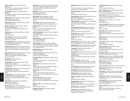**Hubert A. Johnson,** Adjunct Assistant Professor, **Mathematics** 

BS, MS, Central Connecticut State College; EdM, EdD, Teachers College, Columbia University

**Ingrid Johnson,** Professor, Textile Development and Marketing BS, Philadelphia College of Textile and Science; MA, North Carolina State University

**Lynda Johnson,** Adjunct Assistant Professor, Advertising and Marketing Communications AAS, Fashion Institute of Technology

**Marilyn Johnson,** Adjunct Instructor, Packaging Design BFA, University of Kansas

**Maurice J. Johnson,** Associate Professor, Fashion Merchandising Management BA, University of Wisconsin at Madison; MA, Cornell University

**Michael Johnson,** Adjunct Assistant Professor, English and Speech MFA, Yale University

**Peter Johnston,** Adjunct Instructor, Interior Design BS, Arizona State University; MArch, University of California at Los Angeles

**Sigrid Junkermann,** Adjunct Assistant Professor, Science BA, Friedrich-Wilhelms-Universitat, Bonn, Germany; MS, Freie Universitat, Berlin, Germany

**Orlando Justo,** Adjunct Assistant Professor, Economics BA, Higher Institute Relations, Cuba; Certificate, University of Miami; MA, The City College, City University of New York

**Bernard N. Kahn,** Adjunct Assistant Professor, Production Management: Fashion and Related Industries AAS, BS, Fashion Institute of Technology; MAOM, University of Phoenix

**Morton Kaish,** Professor, Illustration BFA, Syracuse University

**Georgia Kalivas,** Adjunct Assistant Professor, Textile Development and Marketing AAS, BS, Fashion Institute of Technology; MAEd, National Louis University

**Takashi Kamiya,** Associate Professor and Chairperson of the Department, Interior Design AAS, BFA, Fashion Institute of Technology; ASID, IDEC, NCIDQ

**Kenneth Kanrich,** Adjunct Assistant Professor, Production Management: Fashion and Related Industries AB, Harvard University; BS, Massachusetts Institute of **Technology** 

**Stacey Karesh,** Adjunct Instructor, Advertising and Marketing Communications BS, University of South Carolina

**Barry P. Karp,** Adjunct Professor, Psychology BA, Queens College, City University of New York; MA, PhD, The City College, City University of New York

**Eileen Karp,** Assistant Professor, Fashion Design-Apparel AAS, Fashion Institute of Technology; BS, North Dakota State University; Certificate, MSEd, California State University East Bay

**Arnold Karr,** Adjunct Assistant Professor, Advertising and Marketing Communications BA, Carnegie Mellon University

**Mary Kassner,** Assistant Professor, Production Management: Fashion and Related Industries AAS, BS, Fashion Institute of Technology; MBA, Dowling College

**Yoko Katagiri,** Adjunct Instructor, Social Sciences MPhil, The Graduate Center, City University of New York

**John Katimaris,** Adjunct Assistant Professor, Interior Design

BS, New York Institute of Technology; MFA, Parsons School of Design; AIA, IES, IIDA, RA

**Judith Katz-Geschwind,** Adjunct Instructor, International Trade and Marketing BA, Brandeis University; MS, Massachusetts Institute of **Technology** 

**Bernard Kaufman,** Assistant Professor, Fashion Merchandising Management BS, Long Island University

**Yuniya Kawamura,** Associate Professor, Sociology Diploma, Bunka School of Fashion, Japan; AAS, Fashion Institute of Technology; BA, Sophia University, Japan; MA, PhD, Columbia University

**Arnetta Kenney,** Adjunct Assistant Professor, Textile/Surface Design

**Thomas A. Kenney,** Adjunct Assistant Professor, Textile Development and Marketing AA, BA, Thomas A. Edison College

**Constance K. Kent,** Adjunct Assistant Professor, English

and Speech BA, MA, Long Island University, C. W. Post College; PhD,

Columbia University

**Barbara Kerin,** Assistant Professor, Fashion Design-Apparel

BFA, Washington University; MS, Bank Street College of Education, Parsons School of Design

**Kerwin Kettler,** Adjunct Associate Instructor, Interior Design

Diploma, Parsons School of Design; BS, New York University; MS, University of Wisconsin; MA, University of Pennsylvania

**Elvin Elias Lee Kince,** Assistant Professor, Communication Design, Graphic Design BFA, University of Cincinnati; MFA, Yale University School of Art

**Kenneth D. King,** Adjunct Instructor, Fashion Design-Apparel

BFA, Central State University

**Raymond S. Kinlock,** Adjunct Assistant Professor, Textile/Surface Design

**Anna Kiper,** Adjunct Assistant Professor, Fashion Design-Art

AAS, Fashion Institute of Technology; BFA, Moscow College of Art and Technology, Russia

**Nomi Dale Kleinman,** Assistant Professor, Textile/Surface Design BFA, Rhode Island School of Design

**Stanley Kleinman,** Adjunct Assistant Professor, Fashion Merchandising Management

BBA, The City College, City University of New York

**Deborah Klesenski,** Assistant Professor and Chairperson of the Department, Photography AAS, Fashion Institute of Technology; BS, Empire State College

**Marianne Rosner Klimchuk,** Associate Professor and Associate Chairperson of the Department, Packaging Design BA, Wesleyan University; MS, Pratt Institute

**Stanley Klotz,** Adjunct Assistant Professor, Fashion Merchandising Management

**Andrew Kner,** Adjunct Instructor, Packaging Design, Toy Design BA, MFA, Yale University

**Patrick Knisley,** Assistant Professor, English and Speech AB, Harvard College; MA, PhD, University of Colorado

**Nobuko Kodama,** Adjunct Assistant Professor, Japanese MA, Seton Hall University; PhD, New York University

**John Koerner,** Adjunct Instructor, Toy Design BS, University of Cincinnati

**Anthony Kokinos,** Adjunct Assistant Professor, Illustration

**Anne Kong,** Assistant Professor, Visual Presentation and Exhibition Design

AAS, Fashion Institute of Technology; BS, Empire State College

**Arthur H. Kopelman,** Professor, Science BA, Queens College, City University of New York; MPhil, PhD, The Graduate School of the City University of New York

**Harriet Korman,** Adjunct Assistant Professor, Fine Arts BA, Queens College, City University of New York

**Igor Kozlenko,** Adjunct Instructor, Menswear BA, Odessa Fashion School of Design and Tailoring

**Madelyne Kraft,** Assistant Professor, Science PhD, Hunter College, City University of New York

**Sandra A. Krasovec,** Associate Professor, Packaging Design

BFA, Northern Illinois University

**Richard Krisburg,** Adjunct Instructor, Advertising and Marketing Communications BA, MBA, State University of New York at Binghamton

**Ken Krug,** Adjunct Instructor, Textile/Surface Design BFA, San Francisco Art Institute

**Haeran Ku,** Adjunct Instructor, Interior Design AAS, Fashion Institute of Technology; BFA, Hong-ik University, Seoul, South Korea

**Paul Jeffrey Lamarre,** Adjunct Instructor, Computer **Graphics** 

BA, Pennsylvania State University

**Gary L. Lampley,** Adjunct Assistant Professor, Fashion Merchandising Management BS, University of Tennessee; MA, Empire State College

**Sonja Lamut,** Assistant Professor, Illustration BFA, University of Arts, Belgrade, Yugoslavia; MFA, Hunter College, City University of New York

**Gloria Lang,** Adjunct Instructor, Home Products Development BS, Cornell University

**Lawrence Langham,** Assistant Professor and Chairperson of the Department, Visual Presentation and Exhibition Design BID, Pratt Institute

**John Larosa,** Adjunct Instructor, Advertising and Marketing Communications BBA, Bernard M. Baruch College, City University of New York

**Sophia Latto,** Adjunct Instructor, Visual Presentation and Exhibition Design BFA, Pratt Institute

**Jules Lavner,** Assistant Professor, Textile Development and Marketing BS, North Carolina State College

**Athena Lazarides,** Adjunct Instructor, Fashion Merchandising Management BA, Queens College, City University of New York; MIA, Columbia University

**Shannon M. Leddy,** Adjunct Instructor, Interior Design AAS, BFA, Fashion Institute of Technology

**Dennis Lee,** Adjunct Instructor, Textile/Surface Design AAS, Broome Community College at Binghamton; AAS, Fashion Institute of Technology

**Mary Ann Lee,** Adjunct Assistant Professor, Patternmaking Technology BA, University of Washington

**Yvonne Lee-Urena,** Adjunct Instructor, Fashion Design-Art

**Joseph Lembo,** Assistant Professor, Interior Design BFA, New School University

**Amy Lemmon,** Associate Professor, English and Speech BA, Ohio Wesleyan University; MA, PhD, University of Cincinnati

**Anthony Lent,** Assistant Professor, Jewelry Design Goldsmithing Certificate, Fachhochschule, Schwabisch-Gmund, Germany

**Olivia McGregor Leon,** Adjunct Assistant Professor, Fashion Merchandising Management BA, Sweet Briar College

**Rocco Leonardis,** Adjunct Associate Professor, Interior Design BArch, Pratt Institute; MFA, New York Academy of Figurative Arts; RA, RIBA, NCARB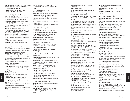**Alison Kyle Leopold,** Assistant Professor, Advertising and Marketing Communications and Internship Center BA, George Washington University

**Tisa Lynn Lerner,** Adjunct Assistant Professor, Communication Design, Graphic Design BFA, MFA, Pratt Institute

**Stanley Levine,** Adjunct Assistant Professor, Marketing: Fashion and Related Industries BS, The City College, City University of New York; JD, Brooklyn Law School; LLM, New York University

**Yasemin Celik Levine,** Associate Professor, Political Science and World Affairs BA, Franklin and Marshall College; MA, Boston University; PhD, The Graduate School and University Center, City University of New York

#### **Marion Levine,** Assistant Professor, Speech

BA, Hunter College, City University of New York; MPhil, City University of New York; MS, Brooklyn College, City University of New York; PhD, The Graduate School and University Center, City University of New York; CCC-A, CCC-SP, American Speech and Hearing Association

**Jeanne L. Levinson,** Adjunct Instructor, Textile/Surface Design

BS, New Bedford Institute of Technology

**Robert Levy,** Adjunct Instructor, Enterprise Center BS, Temple University

**Ted Lewis,** Adjunct Instructor, Health, Physical Education, and Dance

BA, Hunter College, City University of New York; MA, New York University; MS, Queens College, City of New York

**Andrea Licari,** Adjunct Instructor, Production Management: Fashion and Related Industries BS, MBA, St. John's University; DPS, Pace University

**Joseph C. Liddicoat,** Adjunct Assistant Professor, Science BA, Wayne State University; MA, Dartmouth College; PhD, University of California, Santa Cruz

**J. Evelyne Liebmann,** Adjunct Assistant Professor, Fashion Merchandising Management BA, Adelphi University

**Kristin Lilley,** Adjunct Instructor, Communication Design BA, University of New Hampshire; MS, Pratt Institute

**Albert Lin,** Adjunct Instructor, Communication Design, Graphic Design

BFA, School of Visual Arts

Faculty

**Hsiu-Yung Lin,** Adjunct Assistant Professor, Fashion Design-Apparel

AAS, Fashion Institute of Technology; BS, Fu Jen University, Taiwan; MS, University of Rhode Island

**Sylvia Yeuhling Lin,** Adjunct Instructor, Patternmaking Technology

Certificate, The Tres Bien School of Fashion; AAS, Parsons School of Design; BA, Feng Chia University

**Janet Linville,** Adjunct Assistant Professor, Accessories Design

BS, State University of New York, College at Oneonta

**Carol Litt,** Professor, Textile/Surface Design AAS, Fashion Institute of Technology; BA, Empire State College

**Dik Liu,** Adjunct Instructor, Fine Arts MFA, Yale University

**Nancy Loeber,** Adjunct Instructor, Communication Design

**Sharon Kramer Loew,** Adjunct Instructor, Visual Presentation and Exhibition Design BFA, The Cooper Union for the Advancement of Science and Art

**Dolores Lombardi,** Adjunct Assistant Professor, Fashion Design-Apparel AAS, Parsons School of Design; BA, MA, Brooklyn College, City University of New York

**Ladonna C. Love,** Professor, Fashion Merchandising Management

AAS, Fashion Institute of Technology; BS, Howard University; MA, Teachers College, Columbia University

**Dorothy Loverro,** Assistant Professor, Illustration Certificate, Parsons School of Design

**William Low,** Assistant Professor, Illustration

**Maria Lucca,** Adjunct Instructor, Advertising and Marketing Communications BFA, Rochester Institute of Technology

**Susanna Luckey,** Assistant Professor and Assistant Chairperson of the Department, Fashion Design-Art BFA, Parsons School of Design

**Mario Lupia,** Adjunct Associate Professor, Fashion Design-Apparel BA, Empire State College

**Jose Madera,** Adjunct Assistant Professor, Fashion Design-Apparel

**Stuart Mager,** Adjunct Assistant Professor, Interior Design BFA, Pratt Institute

**Michael Maione,** Adjunct Assistant Professor, French BA, St. Lawrence University; MA, Middlebury College; PhD, University of Connecticut

**Joseph J. Maiorca,** Associate Professor, Psychology BA, Herbert H. Lehman College, City University of New York; MA, Fordham University

**Kam Mak,** Associate Professor, Illustration BFA, School of Visual Arts

**Suman V. Mallipattana,** Adjunct Instructor, French Diplome, Paul Valery University, France; MA, PhD, Karnatak University, India

**Nicole Malone,** Adjunct Assistant Professor, Accessories Design

AAS, BFA, Fashion Institute of Technology

**William Manfredi,** Adjunct Assistant Professor, Jewelry Design

BA, St. Francis College

**Alan Manheim,** Adjunct Assistant Professor, Science BA, Queens College, City University of New York; MS, Adelphi University; MA, Teachers College, Columbia University

**Rafael Marino,** Adjunct Instructor, Science and **Mathematics** EdD, Columbia University

**Sandra Markus,** Assistant Professor, Fashion Design-Apparel AAS, Fashion Institute of Technology; BA, McGill University; MFA, University of Illinois

**Elena M. Martinez,** Adjunct Assistant Professor, Spanish BA, University of Puerto Rico; MA, PhD, New York University

**Francine Martini,** Adjunct Instructor, Interior Design BA, The College of New Jersey; MPS, Pratt Institute

**Anthony Martino,** Adjunct Assistant Professor, Fine Arts BFA, Maryland Institute, College of Art; MFA, Parsons School of Design; MFA, The New School for Social Research

**Joseph Masibay, Adjunct Instructor, Toy Design** BFA, University of Illinois

**Carol Massa,** Adjunct Assistant Professor, Communication Design AA, Miami Dade Community College

**Lori A. Massaro,** Associate Professor, Fashion Merchandising Management

AAS, Nassau Community College; BA, New York University; MPS, Fashion Institute of Technology

**Rene Mathez,** Associate Professor, Science and Mathematics, and Acting Chairperson of the Department, Health, Physical Education, and Dance BA, Yale University; MS, New Jersey Institute of Technology; MS, Massachusetts Institute of Technology

**Mary Costantini Mathieu,** Adjunct Assistant Professor, Visual Presentation and Exhibition Design BA, Caldwell College; MA, Rosary College

**Amy Mato,** Assistant Professor, Counselor, Internship Center

BS, Fashion Institute of Technology

**Arlene Mehlman,** Adjunct Assistant Professor, Health, Physical Education, and Dance BS, MS, Brooklyn College, City University of New York; MSW, Rutgers University, The State University of New Jersey

**Steven Melick, Adjunct Instructor, Toy Design** AAS, DuCret School of the Arts

**Joan Melnick,** Professor, Interior Design AAS, Fashion Institute of Technology; BS, MS, State University of New York, College at New Paltz

**James Mendolia,** Adjunct Assistant Professor, Fashion Merchandising Management AAS, BS, Fashion Institute of Technology

**Larry Menna,** Adjunct Assistant Professor, American History BA, MA, MPhil, PhD, Columbia University

**Janice Rovito Messinger,** Instructor, Fashion Merchandising Management BA, St. Joseph's University

**Madeleine Meyerson,** Adjunct Assistant Professor, Educational Skills BA, Augusta College; MA, Hunter College, City University of New York

**Katherine J. Michaelsen,** Professor, History of Art BA, MA, PhD, Columbia University

**Marlene Middlemiss,** Instructor, Fashion Design-Apparel AAS, Fashion Institute of Technology

**Karen Middleton,** Assistant Professor, Fashion Design-Apparel

AAS, Fashion Institute of Technology; BFA, Parsons School of Design

**Margaret A. Miele,** Assistant Professor, Psychology BS, The City College, City University of New York; MA, Hunter College, City University of New York

**David Miles,** Adjunct Instructor, Home Products Development AAS, BS, Fashion Institute of Technology

**Madeline Millán,** Assistant Professor, Spanish PhD, Stony Brook University, State University of New York

**John Mincarelli,** Professor, Fashion Merchandising Management BA, Wagner College; MA, New York University

**Daniel Mirer,** Adjunct Instructor, Photography MFA, California Institute of the Arts

**Eileen Mislove,** Adjunct Assistant Professor, Textile/Surface Design BFA, The Cooper Union for the Advancement of Science and Art

**Jeannette Monaco,** Adjunct Instructor, Fashion Merchandising Management MBA, New York University

**Laurence Montalto,** Adjunct Assistant Professor, Fine Arts BFA, Pratt Institute; MFA, Brooklyn College, City University of New York; PhD, New York University

**Luigi Montesano,** Adjunct Assistant Professor, Accessories Design

**William Mooney,** Associate Professor, English and Speech BA, Boston University; MA, Pennsylvania State University; PhD, University of Iowa

**Vincent Morales,** Adjunct Assistant Professor, Patternmaking Technology AAS, BS, Fashion Institute of Technology

**Jacqui Morgan,** Adjunct Assistant Professor, Illustration BFA, Pratt Institute; MA, Hunter College, City University of New York

**Peter Morrone,** Adjunct Instructor, Fashion Design-Apparel BBA, Manhattan College

**Vicki Moss,** Adjunct Assistant Professor, English BA, The City College, City University of New York; MA, The Graduate School and University Center, City University of New York; MA, Colorado State University

**Andrew Moszynski,** Associate Professor, Interior Design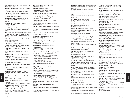**Anita Mott,** Adjunct Assistant Professor, Communication Design, Graphic Design

**Marshall W. Mount,** Adjunct Assistant Professor, History of Art

BA, Columbia College; MA, PhD, Columbia University **Linda Muglia,** Adjunct Assistant Professor, Fashion Design-Apparel

AAS, Fashion Institute of Technology

**Douglas Mulaire,** Assistant Professor, Photography BS, Boston College; MFA, Rochester Institute of **Technology** 

**Donald Mulligan,** Adjunct Assistant Professor, Communication Design BFA, University of Illinois

**Sarah Mullins,** Assistant Professor, Accessories Design AAS, Fashion Institute of Technology; BA, Burlington College

**Hilda Mundo-Lopez,** Adjunct Assistant Professor, Spanish BA, University of Puerto Rico at Rio Piedras; MA, State University of New York at Stony Brook; MPhil, New York University

**Richard Murnak,** Adjunct Assistant Professor, Advertising and Marketing Communications BA, University of Miami

**Ed Murr,** Adjunct Instructor, Illustration BFA, State University of New York College at Purchase; MA, Fashion Institute of Technology

**Shireen Musa,** Assistant Professor, International Trade and Marketing

BS, Fashion Institute of Technology; MBA, Saint Peter's College

**Raoul Nacinovich,** Adjunct Professor, Health, Physical Education, and Dance BS, MS, The City College, City University of New York

**Eva Bernard Nambath,** Adjunct Professor, Fashion Design-Apparel

AAS, Fashion Institute of Technology

**Nora Navarro,** Adjunct Assistant Professor, Accessories Design

**Kathy Neely,** Assistant Professor, Computer Graphics BA, Temple University

**Kim Nelson,** Adjunct Instructor, Jewelry Design AAS, Fashion Institute of Technology; BS, Utah State University

**Susan Nestel,** Adjunct Assistant Professor, Textile/Surface Design

BFA, Rhode Island School of Design

**Don Newcomb,** Adjunct Assistant Professor, Fashion Design-Art

BFA, University of Utah; MFA, Carnegie-Mellon University **Joan Nicosia,** Adjunct Instructor, Packaging Design

AAS, BFA, Fashion Institute of Technology

**Ruth Nier,** Assistant Professor, Fashion Design-Apparel AAS (Fashion Design), AAS (Textile Technology), BS, Fashion Institute of Technology; MS, New York Institute of Technology

**Jeffrey Ninesling,** Adjunct Assistant Professor, Textile/Surface Design AAS, Fashion Institute of Technology

**Chuck Nitzberg,** Adjunct Instructor, Illustration BFA, Rhode Island School of Design

**Natalie Nizhny,** Adjunct Instructor, Fashion Design-Art BS, Fashion Institute of Technology

**Scott Nobles,** Adjunct Instructor, Photography BFA, Rochester Institute of Technology

**Michael Nolan,** Adjunct Instructor, Health, Physical Education, and Dance MA, The Ohio State University; MFA, State University of New York at Brockport

**Raymond J. Noonan,** Assistant Professor, Health, Physical Education, and Dance BA, Thomas A. Edison State College; MA, PhD, New York

University **Alexa Nosal,** Adjunct Instructor, Communication Design BA, Montclair State University

**Jeanette Nostra,** Adjunct Instructor, Fashion Merchandising Management BA, Goddard University

**Anthony J. Nuzzo,** Adjunct Assistant Professor, Fashion Design-Apparel

AAS, Fashion Institute of Technology

**Margaret O'Bryan,** Adjunct Assistant Professor, Educational Skills BFA, New York University; MA, Hunter College, City University of New York

**Justin O'Connor,** Adjunct Assistant Professor, History of Art BA, Boston College; MA, Columbia University

**Vladimir Ocokoljic,** Adjunct Instructor, Interior Design AAS, BFA, Fashion Institute of Technology

**Abimbola Ogunsola,** Assistant Professor, Advertising and Marketing Communications BA, Bowdoin College; MBA, Cornell University

**Marcos Oksenhendler,** Adjunct Assistant Professor, Illustration

**Kathryn M. Olen,** Adjunct Assistant Professor, Communication Design

**Sarah Olson,** Adjunct Assistant Professor, Educational Skills BA, University of California, Berkeley; MA, Teachers College, Columbia University

**Dennis J. Oppenheim,** Adjunct Assistant Professor, Advertising and Marketing Communications BS, Boston University; MA, Teachers College, Columbia University

**Gennady Osmerkin,** Adjunct Assistant Professor, Jewelry Design

Abramzevo Art School; Certificate, Design Center in Moscow

**Ellen Oster,** Adjunct Assistant Professor, Textile/Surface Design

AAS, Fashion Institute of Technology; BFA, Alfred University College of Ceramics

**Nancy Kaplan Ostroff,** Associate Professor and Assistant Chairperson of the Department, Fashion Merchandising Management

BS, Fashion Institute of Technology; MA, New York University

**Motonobu Otsu,** Adjunct Associate Professor, Interior Design AAS, Fashion Institute of Technology; BFA, Kanazawa College of Art

**Emre Ozsoz,** Instructor, Social Sciences BA, Franklin and Marshall College; MA, PhD, Fordham University

**Jo Ann Paganette,** Adjunct Assistant Professor, Advertising and Marketing Communications BA, Marygrove College

**Roberta T. Paley,** Assistant Professor, Psychology BA, Queens College, City University of New York; MA, PhD, Fordham University

**Bill Pangburn,** Adjunct Instructor, Fine Arts MFA, Pratt Institute

**Laura Pantazis,** Adjunct Instructor, Health, Physical Education, and Dance MA, Hunter College, City University of New York

**Alice Papazian,** Adjunct Associate Professor, CL 112- Special Programs BA, The Cooper Union for the Advancement of Science and Art

**Brad Paris,** Assistant Professor, Photography BFA, Rochester Institute of Technology

**Isaac Paris,** Adjunct Assistant Professor, Communication Design, Graphic Design BFA, Parsons School of Design

**Esther Pariser,** Adjunct Assistant Professor, Fashion Merchandising Management AAS, Fashion Institute of Technology; BA, New York University; MA, The New School for Social Research

**Jinbae Park,** Assistant Professor, Interior Design BA, MS, PhD, Yonsei University, Seoul, Korea; MS, Pratt Institute

**Kingsley Parker,** Associate Professor and Assistant Chairperson of the Department, Communication Design, Graphic Design BA, Middlebury College; MA, Hunter College, City University of New York

**Steven Parker,** Adjunct Assistant Professor, Jewelry Design AAS, Fashion Institute of Technology; AAS, Parkland

College; BA, Columbia University

**Ken Parsons,** Adjunct Instructor, Textile/Surface Design BS, Pembroke State University

**Luz Pascal,** Assistant Professor, Patternmaking **Technology** 

AAS, Fashion Institute of Technology; BA, The New School for Social Research

**Karen R. Pearson,** Assistant Professor, Science and **Mathematics** 

BA, Clark University; PhD, Washington State University

**Linda Peer,** Adjunct Assistant Professor, Fine Arts BFA, Boston University; MFA, Queens College, City University of New York

**Marie Peppard,** Adjunct Assistant Professor, Fashion Design-Art

AAS, Fashion Institute of Technology; BFA, New York Institute of Technology; MA, Long Island University

**Don Perlis,** Associate Professor, Fine Arts AAS, New York City Community College

**Sara Petitt, Assistant Professor, Textile/Surface Design** and Coordinator, Fabric Styling BA, Bennington College

**Anthony Petrizzo,** Adjunct Assistant Professor, Textile/Surface Design BFA, Fashion Institute of Technology

**Matthew Petrunia,** Assistant Professor, English and Speech

BA, Youngstown State University; MA, Colorado State University; PhD, University of New Mexico

**Suzanne Piazza,** Adjunct Assistant Professor, Fashion Merchandising Management AAS, Fashion Institute of Technology

**Michelle Piccora,** Adjunct Assistant Professor, Textile/Surface Design BFA, Fashion Institute of Technology

**Grazyna Pilatowicz,** Assistant Professor, Interior Design BFA, Fashion Institute of Technology; MA, Lublin Catholic University, Lublin, Poland

**Sharon Pinckney,** Adjunct Assistant Professor, Fashion Design-Art BS, Howard University

**Lauren Pipkorn,** Adjunct Assistant Professor, Jewelry Design

AAS, Fashion Institute of Technology; BA, Florida State University

**Rocco Piscatello,** Adjunct Assistant Professor, Communication Design, Graphic Design BFA, State University of New York, College at Fredonia; Certificate, New York University

**Richard Pitts,** Professor, Fine Arts BFA, Pratt Institute

**Jacqueline Polite,** Adjunct Associate Instructor, Production Management: Fashion and Related Industries BA, University of Toledo; MA, State University of New York at Albany

**Nicholas Politis,** Professor, Interior Design BArch, BS, The City College, City University of New York; RA; Certificate, NCARB; IIDA, ASID-Allied, IDEC

**Carol Poll,** Professor, Sociology BA, MA, Hunter College, City University of New York; MS, Adelphi University; PhD, The City College, City University of New York

**Eve Pollack,** Associate Professor, Fashion Merchandising Management BA, MS, New York University

Faculty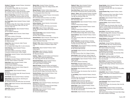**Christine S. Pomeranz,** Assistant Professor, International Trade and Marketing

AB, Assumption College; MBA, New York University

**Ernest Poole,** Assistant Professor, Economics BSc, Polytechnic School, London; MA, Brooklyn College, City University of New York; MA, New York University

**Mario A. Pozada-Burga,** Assistant Professor, Spanish MA, The City College, City University of New York; PhD, The Graduate School and University Center, City University of New York

**Ann Pringle-Harris,** Adjunct Assistant Professor, English and Speech

BA, Wellesley College; MA, Hunter College, The Graduate School of the City University of New York; PhD, City University of New York

**Karen Pritchett-Neuman,** Adjunct Assistant Professor, Fashion Design-Art AST, Art Institute of Pittsburgh

**Tommaso Proscia,** Adjunct Instructor, Fashion Design-Apparel

AAS, Fashion Institute of Technology

**Alis Purcell,** Adjunct Assistant Professor, Advertising and Marketing Communications BA, Wilkes University

**Howard Puro,** Adjunct Instructor, Health, Physical Education, and Dance BA, Los Angeles State College; MA, St. John's University

**Emily Putterman,** Adjunct Assistant Professor, Accessories Design AAS, Fashion Institute of Technology; Certificate, Cordwainers Footwear School, London, England

**Vincent Quan,** Assistant Professor, Fashion Merchandising Management BS, New York University

**Eric Ramirez,** Associate Professor, Textile/Surface Design AAS, BFA, Fashion Institute of Technology

**Robert Rand,** Adjunct Assistant Professor, Textile Development and Marketing AAS, BS, Fashion Institute of Technology

**Meryl Ranzer,** Adjunct Instructor, Fashion Design-Art BFA, School of Visual Arts

**Glenville Rawlins,** Adjunct Assistant Professor, Economics

BA, University of the West Indies; MA, Howard University; PhD, New York University

**Sarah Reader,** Adjunct Assistant Professor, Illustration

**Walter Reichel,** Adjunct Instructor, Advertising and Marketing Communications BA, Columbia University; MA, MPhil, New York University

**Robert J. Reid,** Adjunct Instructor, Fashion Merchandising Management

BS, James Madison University

**James Reid,** Adjunct Instructor, Fine Arts MFA, Indiana University

**Melanie Reim,** Assistant Professor, Illustration BS, State University of New York, College at Buffalo; MFA, Syracuse University

**Michael Renzulli,** Professor, Fashion Design-Apparel BFA, Pratt Institute; Diploma, National Experimental Center of Cinematography School, Rome, Italy

**Alfredo Rico,** Adjunct Assistant Professor, Communication Design, Graphic Design

BFA, Universidad Autonoma de Nuevo León, Mexico

**Susan Rietman,** Professor, Textile/Surface Design BS, Skidmore College

**Barbara Rietschel,** Adjunct Instructor, Communication Design, Graphic Design

BFA, School of Visual Arts; MFA, Marywood University

**Esther Rifkin,** Adjunct Professor, Mathematics BS, MA, Montclair State College; MS, Fairleigh Dickenson University

**Karen Curinton Rippy,** Adjunct Assistant Professor, Fashion Design-Apparel AAS, BFA, Fashion Institute of Technology

**Doreen Rivieccio,** Adjunct Instructor, Fashion Design-Art

**Flavio Rizzo,** Adjunct Assistant Professor, Italian

Laurea, University of Rome, Italy

**George A. Rizzo,** Adjunct Assistant Professor, Illustration Certificate, Pratt Institute; Art Students League of New York

**Rosario Rizzo,** Adjunct Assistant Professor, Fashion Design-Apparel

**Alvin Rogers,** Adjunct Instructor, Production Management: Fashion and Related Industries BS, Roosevelt University

**Geoffrey L. Rogers,** Associate Professor and Chairperson of the Department, Science and Mathematics BA, Colby College; MS, PhD, New York University

**Reginald Keith Rogers,** Adjunct Assistant Professor, Visual Presentation and Exhibition Design AAS, Fashion Institute of Technology

**Albert M. Romano,** Assistant Professor and Assistant Chairperson of the Department, Advertising and Marketing Communications

BA, Hunter College, City University of New York; MS, Bernard M. Baruch College, City University of New York

**Veronica Romano,** Adjunct Assistant Professor, Visual Presentation and Exhibition Design AAS, Fashion Institute of Technology

**Elena Romero,** Adjunct Instructor, Advertising and Marketing Communications BA, MS, New York University

**Dean Rorvig,** Adjunct Assistant Professor, Advertising and Marketing Communications AAS, Fashion Institute of Technology; BS, North Dakota State University; MA, Syracuse University

**Sallie Rosal,** Adjunct Assistant Professor, Fashion Merchandising Management BS, Pennsylvania State University

**Stephen B. Rose,** Adjunct Assistant Professor, Advertising and Marketing Communications BS, New York University

**Rena Sichel Rosen,** Adjunct Instructor, Interior Design BA, University of Pennsylvania; MS, Columbia University

**Sharon L. Rosen,** Adjunct Assistant Professor, Sociology BA, Herbert H. Lehman College, City University of New York; MA, City University of New York

**Harvey Rosenberg,** Professor, Interior Design BFA, Pratt Institute; ASID

**Richard Rosenfeld,** Adjunct Assistant Professor, Fashion Design-Art Certificate, Parsons School of Design

**Ruth Rosenthal,** Adjunct Assistant Professor, Fashion Design-Art Certificate, Parsons School of Design

**Nancy Ross,** Adjunct Counselor, Internship Center BA, Hamilton/Kirkland College; MEd, Goucher College

**Sharon Rothman,** Adjunct Assistant Professor, Fashion Design-Art AAS, State University of New York, Technical Institute at

Farmingdale **Ruth P. Rubinstein,** Associate Professor, Sociology BS, New York University; MA, PhD, Rutgers University, The State University of New Jersey

**Robert Rubyan,** Adjunct Assistant Professor, Advertising and Marketing Communications BA, MA, Wayne State University

**Jess Rudolph,** Adjunct Instructor, Fashion Merchandising Management

BS, State University of New York, College at Fredonia

**Karen Ruenitz,** Adjunct Instructor, Fashion Design-Art BS, Cornell University; BFA, California College of the Arts

**Lyla Ann Ruggiero,** Adjunct Assistant Professor, Fashion Design-Apparel AAS, Fashion Institute of Technology

**Nicole Ruimy,** Associate Professor, French Licence, Maîtrise, Diplôme d'Etudes Supérieures, Université de Paris Sorbonne, France

**Sam Rumley,** Adjunct Assistant Professor, Science and **Mathematics** 

BS, The City College, City University of New York; MA, St. John's University

**G. Carl Rutberg,** Adjunct Assistant Professor, American History

Certificate, New York University; BS, Stockholm School of Economics; MA, Pratt Institute

**Janis Salek,** Adjunct Instructor, Illustration Certificate, School of Visual Arts; BS, University of Rochester; BFA, MFA, University of Pennsylvania

**Robert Salem,** Adjunct Assistant Professor, Fashion Merchandising Management BBA, Bernard M. Baruch College, City University of New York; MS, New York University

**Debra Samitz,** Adjunct Instructor, Fashion Design-Art

**George Sanchez,** Adjunct Assistant Professor, Fashion Merchandising Management BS, Fordham University; MPS, New York Institute of **Technology** 

**Carmita Sanchez-Fong,** Assistant Professor, Interior Design Diploma, Eurocentre de Paris, France; BArch, The City College, City University of New York; IDEC

**Linda Sands,** Adjunct Assistant Professor, Fashion Design-Apparel AAS, BFA, Fashion Institute of Technology

**Lawrence Santoro,** Adjunct Assistant Professor, **Mathematics** 

BA, Hunter College, City University of New York; MA, Herbert H. Lehman College, City University of New York; MPhil, The Graduate School and University Center, City University of New York

**Karen Santry,** Associate Professor, Illustration BS, Skidmore College; MFA, University of Pennsylvania

**Anthony Santuoso,** Adjunct Instructor, Fine Arts Certificate, School of Visual Arts

**Herbert Satzman,** Adjunct Assistant Professor, Advertising and Marketing Communications BS, New York University

**Lasse Savola,** Assistant Professor, Mathematics BA, Rice University; MS, PhD, Columbia University

**Catherine Scalere,** Adjunct Instructor, Toy Design BFA, Fashion Institute of Technology

**Theodore Schachter,** Assistant Professsor, Advertising and Marketing Communications BBA, Bernard M. Baruch College, City University of New York; MBA, St. John's University

**Gilbert Schaye,** Professor, Speech and Theatre BSS, The City College, City University of New York; MA, New York University

**Karen Scheetz,** Associate Professor and Assistant Chairperson of the Department, Fashion Design-Art BA, Empire State College; Certificate, Parsons School of Design

**Spencer M. Schein,** Professor, Philosophy BA, Brooklyn College, City University of New York; MPhil, City University of New York

**Irving Schild,** Adjunct Professor, Photography BFA, The Cooper Union for the Advancement of Science and Art

**Michael L. Schlueter,** Adjunct Assistant Professor, Advertising and Marketing Communications BFA, School of Visual Arts

**Jason Schoenfeld,** Adjunct Assistant Professor, Educational Skills BA, MA, Hunter College, City University of New York; MA, Columbia University

**Frederun Scholz,** Assistant Professor and Assistant Chairperson of the Department, Communication Design, Graphic Design AAS, Parsons School of Design; BS, Empire State College; MA, Fashion Institute of Technology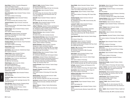**Aaron Schorr,** Professor, Production Management: Fashion and Related Industries

AAS, Fashion Institute of Technology; BBA, University of Arkansas at Little Rock; MBA, University of Arkansas at Fayetteville

**Nancy Schumacher,** Adjunct Assistant Professor, Fashion Design-Art AAS, Fashion Institute of Technology

**Martha Schwendener,** Adjunct Associate Professor, History of Art

BA, Columbia University; MA, University of Texas

**Jeaninne Scimeme,** Adjunct Instructor, Accessories Design AAS (Accessories Design), AAS (Fashion Design), Fashion Institute of Technology

**Barbara Seggio,** Adjunct Assistant Professor, Fashion Design-Apparel AAS, Fashion Institute of Technology

**Andrew Seifer,** Assistant Professor and Assistant Chairperson of the Department, Interior Design BArch, Pratt Institute; RA

**Michael Seiz,** Adjunct Professor, Fashion Design-Apparel Certificate, Reutlingen University, Germany

**Christene Selleck,** Adjunct Instructor, Visual Presentation and Exhibition Design AAS, Fashion Institute of Technology

**Edward Seltzer,** Adjunct Assistant Professor, Textile/Surface Design

**David Setlow,** Adjunct Instructor, Textile/Surface Design BFA, School of Visual Arts

**Haggai Shamir,** Adjunct Assistant Professor, Communication Design, Graphic Design BFA, Bezalel Academy of Art and Design, Israel

**Vera Shanov,** Adjunct Instructor, Advertising and Marketing Communications BA, MBA, New York University

**Phyllis Shapiro,** Adjunct Instructor, Fashion Merchandising Management BS, Fashion Institute of Technology

**Ram K. Sharma,** Assistant Professor, Science MSc, University of Rajasthan, India; PhD, University of Saskatchewan, Canada

**Rebecca Sharpe Karpus,** Adjunct Assistant Professor, Internship Center MFA, Pratt Institute

Faculty

**Christine M. Shaw,** Adjunct Assistant Professor, Social Sciences BA, Harvard University; MA, Cambridge University; PhD,

Columbia University

**Diane Sheridan,** Adjunct Instructor, Packaging Design AAS, BFA, Fashion Institute of Technology

**Nancy F. Sheridan,** Assistant Professor, Fashion Merchandising Management BS, University of Maryland; MSP, Fashion Institute of **Technology** 

**Robert H. Shultz,** Assistant Professor, Fashion Merchandising Management

BS, Shippensburg State College; MA, New York University

**Laura Sidorowicz,** Adjunct Assistant Professor, Psychology

BA, Hunter College, City University of New York; MPhil, PhD, The Graduate School and University Center, City University of New York

**David Siff,** Adjunct Assistant Professor, English and Speech

BA, Bard College; MA, PhD, New York University

**Barry Sigel,** Adjunct Assistant Professor, Fine Arts BFA, Maryland Institute, College of Art

**Jeffrey P. Silberman,** Assistant Professor and Chairperson of the Department, Textile Development and Marketing BS, Philadelphia College of Textiles and Science; MA, North Carolina State University College of Textiles

**Marjorie Silverman,** Adjunct Assistant Professor, Internship Center BS, Boston University; MA, Columbia University

**Rena Sussman Silverman,** Adjunct Associate Professor,

Textile/Surface Design, Fabric Styling, and Adjunct Associate Professor-Counselor, Internship Center AAS (Display and Exhibit Design), AAS (Textile/Surface Design), Fashion Institute of Technology

**Michael Silverstein,** Adjunct Professor, Production Management: Fashion and Related Industries AAS, Fashion Institute of Technology; BBA, Pace College; MBA, Bernard M. Baruch College, City University of New York; Diploma, New York University

**Richard W. Silvia,** Adjunct Assistant Professor, Textile Development and Marketing BS, Southeastern Massachusetts Technological Institute

**John Simone,** Assistant Professor, Advertising and Marketing Communications and Associate Chairperson of the Department, Cosmetic and Fragrance Marketing BA, University of Notre Dame; MA, Bernard M. Baruch College, City University of New York

**Caroline Simonelli,** Adjunct Instructor, Fashion Design-Apparel

Certificate, Parsons School of Design

**George M. Simonton,** Assistant Professor, Fashion Design-Apparel

AAS, Fashion Institute of Technology; BS, Empire State College

**Nicholas Skirka,** Adjunct Associate Instructor, Health, Physical Education, and Dance BS, MA, University of Maryland; PhD, New York University

**Asta Skocir,** Assistant Professor, Fashion Design-Apparel

Diploma, Ryersan University; Certificate, New School University

**Alfred V. Sloan Jr.,** Professor, Fashion Merchandising Management BA, Rutgers University; MSc, PhD, New York University **Susan Slotkis,** Adjunct Associate Professor, Interior Design

AAS, Fashion Institute of Technology; BA, State University of New York at Albany; MSSS, Boston University

**Wallace Sloves,** Adjunct Professor, Fashion Design-Apparel AAS, Fashion Institute of Technology; BPS, Empire State College

**Christine Slusarek,** Adjunct Instructor, Direct and Interactive Marketing BS, Philadelphia University; MBA, Drexel University; MS, Fordham University

**Laurence R. Smith,** Adjunct Assistant Professor, Cosmetics and Fragrance Marketing BS, Long Island University

**Stephen A. Smith,** Associate Professor, Production Management: Fashion and Related Industries AAS, Fashion Institute of Technology; BS, State University of New York at Stony Brook; MA, The New School for Social Research

**Stacy Stewart Smith,** Adjunct Instructor, Fashion Design-Art

BFA, School of Visual Arts

**Eliane Sobral,** Adjunct Instructor, Production Management: Fashion and Related Industries BS, Fudação Armando Alvares Penteado, São Paulo, Brazil; MS, Golden Gate University

**Ronald J. Sok,** Associate Professor, Advertising and Marketing Communications BS, University of Connecticut; MBA, Rensselaer Polytechnic Institute

**Glenn Sokoli,** Adjunct Assistant Professor, Visual Presentation and Exhibition Design

**Juliette Solomon,** Adjunct Instructor, Fashion Design-Apparel

AAS, Fashion Institute of Technology

**Stanley Solomon,** Associate Professor, English and Speech BA, St. Lawrence University; MA, PhD, New York University

**Ed Soyka,** Assistant Professor and Chairperson of the Department, Illustration

AAS, Fashion Institute of Technology; BS, Regents College **Amy Sperber,** Adjunct Instructor, Fashion Design-Art BFA, Fashion Institute of Technology

**Kathleen Cwirko Spero,** Adjunct Instructor, Home Products Development

BS, Fashion Institute of Technology

**Paul Spina,** Adjunct Assistant Professor, Illustration BFA, Pratt Institute

**Dolores Spivack,** Adjunct Assistant Professor, Interior Design

BArch, Pratt Institute; RA

**Richard Spokowski,** Adjunct Assistant Professor, Interior Design

BFA, Concordia University, Montreal, Canada; MFA, Pratt Institute

**Chris Spollen,** Adjunct Associate Professor, Illustration BFA, Parsons School of Design

**Joseph Staluppi,** Assistant Professor, Communication Design BFA, Pratt Institute

**Monique Stampleman,** Assistant Professsor, Advertising and Marketing Communications BA, University of Michigan; MS, College of New Rochelle

**Cameron Stanford,** Adjunct Instructor, Fashion Design-Art AAS, The Colorado Institute of Art

**Scottie Stephens,** Adjunct Instructor, Menswear

**Lee Stewart,** Adjunct Assistant Professor, Textile/Surface Design

**Lynda T. Stewart,** Adjunct Instructor, Fashion Merchandising Management BA, Long Island University

**Michael Stiller,** Adjunct Instructor, Interior Design BA, Bard College

**Steven Stipelman,** Associate Professor, Fashion Design-Art AAS, Fashion Institute of Technology; BFA, Empire State College

**Kathy Strack,** Adjunct Assistant Professor, Fashion Design-Art

AAS, Fashion Institute of Technology

**Richard M. Strassberg,** Adjunct Assistant Professor, **Mathematics** AB, Columbia College; MS, Bernard M. Baruch College,

City University of New York

**Adam Straus,** Adjunct Assistant Professor, Packaging Design

BFA, Rochester Institute of Technology

**Patricia Quinn Stuart,** Adjunct Assistant Professor, Fashion Design-Art BA, Antioch College

**Rhonda Burrell Stubbs,** Assistant Professor, Fashion Design-Apparel

AAS, Fashion Institute of Technology; BS, Nyack College

**James J. Sullivan,** Associate Professor, Educational Skills BA, Boston College; MA, Long Island University; MA, MPhil, PhD, Columbia University

**David Sussman,** Adjunct Assistant Professor, Science BS, The City College, City University of New York; MS, PhD, New York University

**Judith Szarama,** Adjunct Assistant Professor, Communication Design, Graphic Design BFA, Swain School of Design

**Thomas P. Taaffe,** Adjunct Assistant Professor, Philosophy

BA, Iona College; MA, St. John's University; PhD, The Graduate School and University Center, City University of New York

**Gina L. Taglieri,** Adjunct Assistant Professor, English and Speech BA, Stanford University; MA, MPhil, Columbia University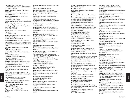**Linda Tain,** Professor, Fashion Design-Art AAS, Fashion Institute of Technology; BA, Queens College, City University of New York

**George A. Tay,** Adjunct Professor, Textile Development and Marketing BS, New York Institute of Technology; MEng, Stevens Institute of Technology

**Tomoyuki Chie Teratani,** Adjunct Assistant Professor, Jewelry Design Certificate, Tokyo Design Academy

**Stephanie Tevonian,** Adjunct Assistant Professor, Graphic Design BA, Vassar College; BFA, MFA, Yale University

**Paula Thompson,** Adjunct Assistant Professor, Fashion Merchandising Management BA, University of Cincinnati

**Denton R. Tillman,** Adjunct Assistant Professor, Photography BA, Empire State College

**Dominic Tinnerello,** Adjunct Assistant Professor, Fashion Merchandising Management AAS, BS, Fashion Institute of Technology

**Christina Tisi-Kramer,** Adjunct Instructor, Photography

**Melissa Tombro,** Assistant Professor, English and Speech BA, Rutgers College, Rutgers University; MA, University of Chicago

**Jeffrey Toplin,** Adjunct Assistant Professor, Jewelry Design

AAS, Fashion Institute of Technology

**Larry Toth,** Adjunct Assistant Professor, Textile/Surface Design

BA, Southern Illinois University

**Leonard Trattner,** Adjunct Assistant Professor, Patternmaking Technology AAS, BS, Fashion Institute of Technology

**Jack Travis,** Adjunct Assistant Professor, Interior Design BArch, Arizona State University; MArch, University of Illinois; RA, AIA, ASID, NCIDQ, NOMA

**Vincent Trocchia,** Adjunct Assistant Professor, Interior Design

BArch, Pratt Institute; AIA, New York State Society of **Architects** 

**Richard Turnbull,** Assistant Professor, History of Art BA, Cornell University; MA, PhD, Institute of Fine Arts, New York University

**Freddy Tutiven,** Adjunct Instructor, Toy Design AAS, BFA, Fashion Institute of Technology

**Misha Tzar,** Adjunct Instructor, Fashion Design-Apparel Diploma, Conservatory of Art and Music

**Cynthia J. Underwood,** Adjunct Assistant Professor, Fashion Design-Apparel AAS, Fashion Institute of Technology

**Virginia Urban,** Professor, Mathematics BA, Oberlin College; MA, Teachers College, Columbia University

**Christopher Uvenio,** Assistant Professor, Fashion Design-Art

AAS, BFA, Fashion Institute of Technology

**Umut Uzer,** Adjunct Instructor, Social Sciences BS, Bilkent University, Ankara, Turkey; MS, Middle East Technical University, Ankara, Turkey; PhD, University of Virginia

**Diann Valentini,** Professor, Fashion Merchandising Management

AAS, Fashion Institute of Technology; BS, Bernard M. Baruch College, City University of New York; MBA, Hofstra University

**David Van Buskirk,** Adjunct Associate Professor, Textile/Surface Design

**Kenneth R. Van Pelt,** Adjunct Instructor, Psychology BS, MEd, Wayne State University; MBA, Wagner College

**Josephine Vargas,** Adjunct Assistant Professor, Fashion Design-Art

**Makis Vass,** Adjunct Instructor, Interior Design BS, BArch, The City College, City University of New York; MArch, Pratt Institute

**Robert W. Vassalotti,** Associate Professor, Fashion Merchandising Management BBA, Hofstra University; MA, Teachers College, Columbia University

**Rebecca Vaughan,** Adjunct Assistant Professor, Educational Skills BA, Temple University; MA, Hunter College, City University of New York

**Ari Vega,** Assistant Professor, Production Management: Fashion and Related Industries AAS (Fashion Design), AAS (Fashion Merchandising Management), AAS (Patternmaking), BS, Fashion Institute of Technology; MSCIS, University of Phoenix

**Phil Vehap,** Adjunct Instructor, Communication Design, Graphic Design

AAS, BFA, Fashion Institute of Technology

**Eric Velasquez,** Adjunct Instructor, Illustration BFA, School of Visual Arts

**Alberto Velez,** Adjunct Instructor, Interior Design AAS, Fashion Institute of Technology

**Rebeca Velez-San Andres,** Associate Professor, Fashion Design-Apparel AAS, Fashion Institute of Technology; BS, Empire State College

**Vincenzo Vella,** Adjunct Assistant Professor, Communication Design, Graphic Design BFA, School of Visual Arts

**Robert T. Viscardi,** Adjunct Instructor, Advertising and Marketing Communications BS, Fairleigh Dickinson University; MBA, Fordham University

**Loretta Volpe,** Professor, Advertising and Marketing Communications BBA, MBA, Bernard M. Baruch College, City University of New York

**Nancy C. Waites,** Adjunct Assistant Professor, Fashion Merchandising Management BS, Auburn University

**Sandra Walcott-Tabb,** Adjunct Assistant Professor, Accessories Design AB, Colby College

**Marcia Briggs Wallace,** Associate Professor, History of Art

BFA, John Herron School of Art; MA, Hunter College, City University of New York; PhD, The Graduate School and University Center, City University of New York

**Chungkuang Wang,** Adjunct Assistant Professor, **Mathematics** 

MA, St. John's University; MS, Stanford University

**Annie C. Warren,** Adjunct Assistant Professor, Sociology BA, Paine College; MA, Long Island University; MPhil, PhD, St. John's University

**Michele Washington,** Assistant Professor, Communications Design, Graphic Design BA, Adelphi University; MS, Pratt Institute

**Jeffrey Way,** Assistant Professor, Fine Arts BA, Kenyon College; MA, New York University

**Carolyn Webb,** Adjunct Instructor, Health, Physical Education, and Dance MFA, University of Michigan

**Peter Weber,** Adjunct Associate Professor, Communication Design

**Andrew Weinstein,** Assistant Professor, History of Art BA, Brown University; MA, University of Pennsylvania; MA, PhD, New York University

**Laural Weintraub,** Adjunct Assistant Professor, History of Art

BA, University of California at Los Angeles; MA, University of Southern California; PhD, The Graduate School and University Center, City University of New York

**Paul J. Weisbroat,** Adjunct Assistant Professor, Jewelry Design

AAS, Fashion Institute of Technology; Diploma, Gemological Institute of America; Certified Gemologist, American Gem Society

**Raymond Weisman,** Adjunct Instructor, American History BA, Vassar College; MA, MPH, PhD, Columbia University

**Henry Welt,** Adjunct Instructor, International Trade and Marketing

AB, Columbia College; JD, Columbia Law School

**Kurt Wendt,** Adjunct Instructor, Computer Graphics BS, New York Institute of Technology

**Barbara S. Wentz,** Adjunct Assistant Professor, Communication Design, Packaging Design BFA, Pratt Institute

**Allison Wermager,** Assistant Professor, Photography BFA, Iowa State University; MA, University of New Mexico; MFA, Cornell University

**Jane Werner,** Professor, Fashion Merchandising Management BS, MSEd, St. John's University

**Joel Werring,** Assistant Professor, Fine Arts BA, University of California at Berkeley; MFA, Yale University

**Katherine Wexler,** Adjunct Instructor, Textile Development and Marketing AAS, BFA, Fashion Institute of Technology; MA, Trent Polytechnic, Nottingham, England

**Sharon B. White,** Assistant Professor, Fashion Merchandising Management AAS, BS, Fashion Institute of Technology; MBA, Columbia **University** 

**Lee Whiting,** Adjunct Assistant Professor, Educational Skills BA, State University of New York, College at Purchase; MA, Columbia University

**Daniel Levinson Wilk,** Assistant Professor, American History BA, Amherst College; MA, PhD, Duke University

**Cassandra Williams,** Assistant Professor, Patternmaking **Technology** BFA, Parsons School of Design

**Troy Williams,** Adjunct Instructor, Visual Presentation and Exhibition Design AAS, Fashion Institute of Technology

**Calvin Williamson,** Assistant Professor, Science and **Mathematics** BA, University of South Florida; PhD, University of Michigan

**Sue Willis,** Adjunct Associate Professor, Fine Arts BFA, University of Illinois at Urbana-Champaign; MFA, Tyler School of Art

**Curtis Willocks,** Adjunct Assistant Professor, Photography AAS, Fashion Institute of Technology

**Marym Wilson,** Assistant Professor, Menswear BFA, Parsons School of Design

**Gary Wolf,** Assistant Professor, Production Management: Fashion and Related Industries BBA, University of Georgia; MBA, Georgia State University

**Colette L. Wong,** Associate Professor and Chairperson of the Department, Fashion Design AAS, Fashion Institute of Technology; BS, Empire State College

**Marie Wright,** Assistant Professor, Fashion Design-Apparel; Adjunct Assistant Professor, Fashion Design-Art AAS, Fashion Institute of Technology; BA, Queens College, City University of New York

**Jessica Wynne,** Assistant Professor, Photography MFA, Yale University

**Patrick Yanez,** Assistant Professor, International Trade and Marketing

BA, State University of New York, College at Old Westbury

**Renee Yates Cooper,** Associate Professor and Acting Chairperson of the Department, Fashion Merchandising **Management** BS, Morgan State University; MPS, Fashion Institute of **Technology**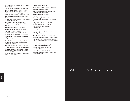**C.J. Yeh,** Assistant Professor, Communication Design, Graphic Design

BFA, Pratt Institute; MFA, University of Pennsylvania

**Ron York,** Adjunct Assistant Professor, Advertising Design, Communication Design, Graphic Design AAS, New York City Community College; BS, Brooklyn College, City University of New York; MS, Pratt Institute

**Wendy Yothers,** Adjunct Assistant Professor, Jewelry Design

BS, University of Phoenix; Certificate, Croyden College of Art, London, United Kingdom

**Heidi Younger,** Adjunct Instructor, Illustration BFA, School of Visual Arts; MA, Fashion Institute of **Technology** 

**David Yum,** Adjunct Instructor, Interior Design

**Robin Zachary,** Adjunct Instructor, Photography

**Louis Zaera,** Professor, Economics BS, Carnegie-Mellon University; MBA, Seton Hall University; MA, The New School for Social Research

**Bernard Zamkoff,** Adjunct Professor, Fashion Design-Apparel

BFA, Pratt Institute

**Michael J. Zartler,** Adjunct Instructor, American History BS, New York University; MA, Stony Brook University, State University of New York

**Mark Zeller,** Adjunct Assistant Professor, Toy Design BS, University of Akron; BFA, Cleveland Institute of Art

**Joel Zucker,** Adjunct Associate Professor, Production Management: Fashion and Related Industries, Textile Development and Marketing AAS, Fashion Institute of Technology; BS, Philadelphia College of Textiles and Science

#### CLASSROOM ASSISTANTS

**Norbert Bogner,** Textile Development and Marketing AAS, Fashion Institute of Technology

**Anthony Capone,** Textile Development and Marketing AAS, Fashion Institute of Technology

**Debra Geller,** Textile/Surface Design AAS, Fashion Institute of Technology

**Kaarin Holmberg,** Textile/Surface Design AAS, Fashion Institute of Technology; BFA, Syracuse University

**Kathryn Malik,** Textile Development and Marketing AAS, BS, Fashion Institute of Technology

**Brian Mcelroy,** Advertising and Marketing **Communications** Certificate, Center for Media Arts

**Michella Peck,** Advertising and Marketing Communications BFA, New York University

**Marvin L. Rippy,** Health, Physical Education, and Dance AAS, Fashion Institute of Technology; BS, Baker University

**Cesar Saavedra,** Textile Development and Marketing Certificate, American Association of Textile Chemists and Colorists

**Susan Schoenfeld,** Textile/Surface Design BA, University of California at Berkeley

**Brijesh K. Singh, Science and Mathematics** BS, Lucknow University

**Karen Williams,** Textile/Surface Design AAS, Fashion Institute of Technology; BS, New York Institute of Technology

>>>

> > > > > >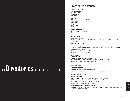## >>>Directories > > > > > >

## Fashion Institute of Technology

#### BOARD OF TRUSTEES

**Edwin A. Goodman,** Chair **Elizabeth T. Peek,** Vice Chair **Richard Anderman Jay H. Baker Robin R. Burns-McNeill Judith I. Byrd William Cope,** Student Trustee, 2009-10 **Yaz Hernández Joan B. Hornig George S. Kaufman Beverly S. Mack Jay Mazur**

#### **FIT Trustees Emeriti**

**Peter G. Scotese,** Chairman Emeritus **John J. Pomerantz**

#### ADMINISTRATION

**Joyce F. Brown,** President BA, Marymount College at Tarrytown; MA, PhD, New York University; Certificate, Institute for Educational Management, Harvard University

#### **Office of the President**

**Shari Prussin,** Deputy to the President for Strategic Initiatives and Executive Assistant to the President BS, The City College, City University of New York; MBA, Bernard M. Baruch College, City University of New York

**David Rankert,** Internal Auditor BS, Rochester Institute of Technology; MS, Clarkson University

**Griselda Gonzalez,** Affirmative Action Officer

#### ACADEMIC AFFAIRS

**Reginetta Haboucha,** Vice President for Academic Affairs BA, Queens College, City University of New York; MA, PhD, The Johns Hopkins University

**Howard Dillon,** Associate Vice President for Academic Affairs BA, Knox College; MA, Indiana University

#### **Academic Deans**

#### **Curriculum and Instruction**

**Dympna Bowles,** Dean for Curriculum and Instruction BA, St. John's University; MS, Fordham University; EdD, Teachers College, Columbia University

**Frances Dearing,** Assistant Dean for Curriculum and Instruction BS, MBA, Northwestern University

#### **School of Art and Design**

**Joanne Arbuckle,** Dean, School of Art and Design and Professor, Fashion Design-Apparel AAS, Fashion Institute of Technology; BS, Empire State College; MA, New York University

**Erika D. Muhammad,** Assistant Dean for the School of Art and Design BA, MA, University of Chicago; PhD, New York University

#### **Jay and Patty Baker School of Business and Technology**

**Robin Sackin,** Acting Dean for the Jay and Patty Baker School of Business and Technology and Assistant Professor, Fashion Merchandising Management BA, Rider College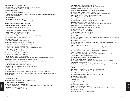#### **School of Continuing and Professional Studies**

**Lisa R. Braverman,** Dean for the School of Continuing and Professional Studies BA, Brandeis University; MA, PhD, New York University

#### **School of Graduate Studies**

**Steven Zucker,** Dean for the School of Graduate Studies BA, Bard College; MA, Hunter College, City University of New York; MPhil, PhD, The Graduate School and University Center, City University of New York

#### **School of Liberal Arts**

**Scott Stoddard,** Dean for the School of Liberal Arts BA, University of Maine at Farmington; MA, PhD, University of Illinois at Urbana

#### **Academic Affairs Directors and Coordinators**

**Georgianna Appignani,** Director of International Programs BS, Cornell University; MA, PhD, New York University

**Irene Buchman,** Coordinator, Presidential Scholars Program and Professor, Educational Skills BA, Brown University; MA, EdD, Teachers College, Columbia University

**J. Nathan Bullock,** Coordinator, Adult Credit Programs BA, Williams Baptist College; MA, Dallas Baptist University

**Tamara Cupples,** Executive Director for Online Learning and Academic Technologies BA, Pace University; MS, Rensselaer Polytechnic University

**Brian Fallon,** Director of Writing BA, University of Kansas; MA, Colorado State University

**Jeanne Golly,** Associate Professor, Director of the Internship Center BS, University of Texas at Austin; MA, Michigan State University

**Christine Helm,** Program Manager, Enterprise Center BS, Bowling Green State University; MA, MEd, Teachers College, Columbia University

**Eric Hertz,** Director of Executive Studies BA, Yale University; MS, Syracuse University

**Deborah Levine,** Coordinator for Academic Skills Center BS, Montclair State College; MA, New York University

**Elaine Maldonado,** Director of Faculty Development/CET BFA, The Cooper Union for the Advancement of Science and Art; MS, Hunter College, City University of New York

**Michele Nagel,** Director of Evening, Weekend, and Precollege Programs BFA, Parsons School of Design; MSEd, Bernard M. Baruch College, City University of New York

**Esther Oliveras,** Coordinator of Faculty Services BA, Herbet H. Lehman College, City University of New York

**Connie Passarella,** Associate Professor, Acting Director, Career Services BA, MSEd, St. John's University

**Deborah Stein,** Grants Coordinator BA, Brooklyn College, City University of New York; MA, University of Arizona; MPA, New York University

**Joan O. Volpe,** Adjunct Assistant Professor, Fashion Merchandising Management; Managing Coordinator, Center for Professional Studies BA, Caldwell College; MA, The New School for Social Research

#### **Gladys Marcus Library**

**N.J. Wolfe,** Professor-Librarian and Director, Gladys Marcus Library BS, Kutztown University; MS, Drexel University

**Karl Baranoff,** Adjunct Assistant Professor-Librarian BM, Indiana University School of Music; MM, Temple University College of Music; MLS, University of Illinois

**Lana Bittman,** Assistant Professor-Librarian BA, Washington University; MS, Rutgers University **Jennifer B. Blum,** Adjunct Associate Professor-Librarian BA, New York University; MA, Brandeis University; MLS, Simmons College

**Naomi Schwer Bricker,** Adjunct Assistant Professor-Librarian BA, The City College, City University of New York; MS, Columbia University

**Karen Trivette Cannell,** Assistant Professor-Librarian BA, University of North Carolina, Chapel Hill; MLS, State University of New York at Albany

**Greta K. Earnest,** Associate Professor-Librarian and Assistant Director BA, Bard College; MLA, State University of New York at Albany

**Alicia Estes,** Adjunct Assistant Professor-Librarian BA, Hampton Institute; MS, Columbia University; MS, New York University

**Arno Kastner,** Adjunct Assistant Professor-Librarian BA, University of Wisconsin; MA, New York University; MS, Case Western Reserve University

**Rosanne Lapaglia,** Adjunct Assistant Professor-Adjunct Librarian BA, St. Peter's College; MLS, Catholic University; MA, Trinity College

**Marjorie Miller,** Adjunct Professor-Librarian AB, Wheaton College (Ill.); MS, Columbia University

**Leslie Lowe Preston,** Adjunct Instructor-Librarian BA, University of Georgia; MS, University of Tennessee

**Beryl Rentof,** Professor-Librarian BS, New York University; MPA, Bernard M. Baruch College, City University of New York; MLS, Queens College, City University of New York

**Stephen Rosenberger,** Professor-Librarian BA, College of William and Mary; MSLS, Catholic University of America; Advanced Certificate, Queens College, City University of New York

**Janette B. Rozene,** Professor-Librarian BA, Boston University; MLS, Columbia University; MA, Hunter College, City University of New York

**Mata Stevenson,** Adjunct Assistant Professor-Librarian BA, Grinnell College; MLS, Rutgers University, The State University of New Jersey

**Joshua P. Waller,** Adjunct Assistant Professor-Librarian BA, University of California, Davis; MLS, Rutgers University, The State University of New Jersey

**Lorraine Catherine Weberg,** Assistant Professor-Librarian BA, Hunter College, City University of New York; MS, Pratt Institute

**Marian Weston,** Adjunct Assistant Professor-Librarian BA, State University of New York at Binghamton; MLS, University of North Carolina, Chapel Hill

**Judith Wood,** Adjunct Professor-Librarian BA, The City College, City University of New York; AMLS, University of Michigan; MA, New York University

#### FINANCE

**Sherry Brabham,** Treasurer and Vice President for Finance and Operations BA, University of North Carolina; MDiv, Princeton Theological Seminary

**Mark Blaifeder,** Assistant Vice President for Finance BA, Queens College, City University of New York; MILR, Cornell University

**Curtis Dixon,** Director of Security BS, New York Institute of Technology

**Carl Harrell,** Bursar BA, Virginia Wesleyan College

**George Jefremow,** Executive Director of Facilities BS, New Jersey Institute of Technology

**David Levin,** Controller/Assistant Treasurer BA, University of Chicago; MA, Columbia University; MBA, State University of New York at Binghamton

**Nancy Su,** Director of Budget BA, Harvard-Radcliffe College; MPPM, Yale University

Directori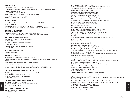#### GENERAL COUNSEL

**Jeffrey I. Slonim,** General Counsel and Secretary of the College BS, State University of New York at Stony Brook; JD, The National Law Center, The George Washington University

**Lisa Okubo,** Associate General Counsel BA, Barnard College; JD, Fordham University

**Joseph J. Arcoleo,** Director of Environmental, Health, and Safety Compliance BS, Cook College, Rutgers University, The State University of New Jersey; MS, New Jersey Institute of Technology; CSP, CHMM

#### HUMAN RESOURCES

**Arthur E. Brown, Jr.,** Vice President for Human Resource Management and Labor Relations BA, MA, Rider University

**Laura Solomon,** Assistant Vice President for Human Resources and Labor Relations BA, New York University; MSILR, Cornell University and Bernard M. Baruch College, City University of New York

#### INSTITUTIONAL ADVANCEMENT

**Loretta Lawrence Keane,** Vice President for Advancement and External Relations AAS, BA, St. Francis College; Certificate, Institute for Educational Management, Harvard University

#### **Communications and External Relations**

**Cheri Fein,** Executive Director of Public and Media Relations BA, Oberlin College

**Carol Leven,** Assistant Vice President for Communications BS, University of Wisconsin

**Lisa Wager,** Director of Government and Community Relations BA, Vassar College

#### **Development and Alumni Affairs**

**Vacancy,** Director of Major Gifts

#### INFORMATION TECHNOLOGY

**Gregg Chottiner,** Vice President and CIO of Information Technology BSEE, Capitol College; MSIT, University of Maryland University College; Certificate, General Services Administration CIO University

**Carolyn Vanzandt Rieger,** Assistant Vice President of Academic Technology BS, Adelphi University; MEd, Johnson State College

**Van Buren Winston Jr.,** Assistant Vice President for Software Services and Information Access BS, Stevens Institute of Technology; Certificate, Management Program for Executives, University of Pittsburgh

#### ENROLLMENT MANAGEMENT AND STUDENT SUCCESS

**Marybeth Murphy,** Vice President for Enrollment Management and Student Success BA, Farleigh Dickinson University; MA, Columbia University

**Laylage Courie,** Acting Director of Institutional Research BA, Agnes Scott College

#### **Enrollment Management and Student Success Deans**

**Daisy Alverio,** Acting Dean for Student Development BA, Cabrini College; MSEd, The City College, City University of of New York **Vacancy,** Dean for Enrollment Services

Directori

#### **Student Affairs Directors and Coordinators**

**Ahmed K. Elmatbagi,** Campus Card Manager BS, Empire State College

**Mina Friedmann,** Professor-Director of Financial Aid BA, The City College, City University of New York; MPS, New York Institute of Technology

**Terry Ginder,** Assistant Professor-Director of the Counseling Center BA, East Stroudsburg University; MSW, Marywood University

**Nancy Jacobs Grossman,** Professor-Director of Student Life BA, University of Pennsylvania; MA, PhD, New York University

**Young-Ja Kim,** Professor-Director of Registration and Records BA, Ewha Women's University, Korea; MA, Teachers College, Columbia University

**Dolores Lombardi,** Professor-Director of Admissions and Recruitment AAS, Parsons School of Design; BA, MA, Brooklyn College, City University of New York

**Kerri-Ann McTiernan,** Director of Athletics and Recreation BA, Johns Hopkins University; MPA, Long Island University

**Anne Miller,** Director of Health Services BSN, MSN, State University of New York at Stony Brook

**Liz Holly Mortensen,** Coordinator of Disability Services and ADA Coordinator BFA, Pennsylvania State University; MFA, Parsons School of Design

**Taur D. Orange,** Assistant Professor-Director of Educational Opportunity Programs BA, Wesleyan University; MPS, New York Institute of Technology

**Sally White,** Professor-Registrar BA, St. Thomas Aquinas College; MBA, Bernard M. Baruch College, City University of New York

#### **Student Affairs Faculty**

**Laura M. Arbogast,** Instructor-Admissions Counselor BS, MEd, Virginia Commonwealth University

**Susan Breton,** Assistant Professor-Counselor to Students BA, Bennington College; MA, Wesleyan University; PhD, Clark University

**Amber Carpenter-Lagattuta,** Assistant Professor-Assistant Director of Registration and Records BA, State University of New York at Albany; EdM, EdD, Rutgers University, The State University of New Jersey

**Mercedes Cepeda,** Instructor-Admissions Counselor BA, State University of New York at Binghamton; MSEd, Brooklyn College, City University of New York

**Patrice Choy,** Assistant Professor-Career Counselor BFA, PD, University of Hawaii; MSEd, Hunter College, City University of New York

**Anthony Dipaola,** Assistant Professor-Admissions Counselor BFA, School of Visual Arts; MFA, Arizona State University; MA, State University of New York at Stony Brook

**Barry R. Fischer,** Professor-Assistant Director of Financial Aid BA, State University of New York at Stony Brook; MA, Eastern Michigan University

**Helena Diamant Glass,** Associate Professor-Registrar BA, MA, New York University; Certificate, University of Toronto

**Patrice Goumba,** Instructor-Financial Aid Counselor BS, MS, Adelphi University

**Elizabeth S. Grubic,** Assistant Professor-Assistant Director of Admissions BFA, Indiana University; MFA, Queens College, City University of New York

**Ellyn M. Halpern,** Assistant Professor-Registrar AAS, Kingsborough Community College, City University of New York; BS, Empire State College; MSEd, Bernard M. Baruch College, City University of New York

**Percess H. Jonas-Atteloney,** Assistant Professor-Assistant Director of Registration and Records BS, York College, City University of New York; MSEd, Bernard M. Baruch College, City University of New York

**Fran Kalish,** Assistant Professor-Financial Aid Counselor BS, MS, Bernard M. Baruch College, City University of New York

**Philip J. Milio,** Professor-Student Life Counselor AAS, Fashion Institute of Technology; BA, Empire State College; MA, New York University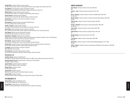**Frank Mitchell,** Acting Assistant Professor-Admissions Counselor BA, Wilkes University; MSEd, Bernard M. Baruch College, City University of New York

**Michele Morad,** Assistant Professor-Career Counselor BS, State University of New York, College at Oswego; MSEd, Alfred University

**Andrew Omotoso,** Assistant Professor-Registrar BA, University of London; MA, EdD, Teachers College, Columbia University

**Jeffrey Riman,** Coordinator for the Center for Excellence in Teaching BFA, Pratt Institute

**Erika Rohrbach,** Assistant Professor-International Student Advisor BA, Ursinus College; MA, Columbia University

**Juliette J. Romano,** Professor-Career Counselor BA, College of New Rochelle; MS, Hunter College, City University of New York

**Ellen Simpao,** Adjunct Assistant Professor-Counselor to Students BS, Loyola University; MA, EdM, Teachers College, Columbia University; PhD, Long Island University

**Ilona Tykotski,** Adjunct Instructor-Financial Aid Counselor BA, Montclair State University; JD, New York Law School

**Rajasekhar R. Vangapaty,** Assistant Professor-Registrar B Engg, Osmania Univeristy, India; MTech, Institute of Technology, India; Diplome D'Ingenieur Expert, Institut National Polytechnique de Lorraine, France; MS, City University of New York

**Sree Vegunta, Assistant Professor-Counselor to Students** BS, University of Michigan; MS, Purdue University; MSW, Columbia University

**Arnaldo Vidal,** Assistant Professor-International Student Advisor and Assistant Director of Admissions BA, University of Puerto Rico; MA, Teachers College, Columbia University

**Liza Wolsky,** Assistant Professor-Counselor to Students BSW, MSW, New York University

**Pam Zuckerman,** Associate Professor-Career Counselor BA, University of Pennsylvania; MA, MEd, Teachers College, Columbia University

#### **Residential Life**

**Ann Marie Grappo,** Director of Residential Life BA, Herbert H. Lehman College, City University of New York; MSW, Hunter College, City University of New York

**Gabrielle Arthurton-Crumb,** Assistant Director of Outreach and Judicial Affairs BA, MSW, Fordham University

**Joseph Gaschen,** Assistant Director of Operations BFA, University of Missouri; MFA, Pratt Institute

**Melissa Vidam,** Resident Counselor BA, MA, Rider University

**Joshua Wilkin,** Resident Counselor BM, North Carolina School of the Arts; MEd, Widener University

**Danielle Wyck,** Resident Counselor BA, State University of New York College at Purchase; MS, University of Rhode Island

#### THE MUSEUM AT FIT

**Valerie Steele,** Director of The Museum at FIT BA, Dartmouth College; MA, PhD, Yale University

**Patricia Mears,** Deputy Director of The Museum at FIT BA, MBA, The George Washington University; MA, Fashion Institute of Technology

#### EMERITI ASSOCIATES

**Alan Fishman,** Professor Emeritus of Fine Arts 1968-1991 BFA

**Eleanor L. Fried,** Professor Emeritus of Illustration 1947-1973 BA

**Barry S. Ginsburg,** Professor Emeritus of Science and Mathematics 1956-1992 BA, MA, EdD

**Newton Godnick,** Professor Emeritus of Fashion Buying and Merchandising 1963-1992 BS, MS

**Hilde W. Jaffe,** Professor Emeritus of Fashion Design 1959-1992 AAS, BA

**Richard J. Meagher,** Dean Emeritus for Continuing Education 1965-1994 BA, MA, EdD

**Julius Panero,** Professor Emeritus of Interior Design 1959-1994 BArch, MS

**Vittorina Rolfo,** Professor Emeritus of Apparel Design 1945-1970 **BS** 

**Rosalind Snyder,** Founder Dean Emeritus 1944-1963 BS, MA

**Louis Stollar,** Professor Emeritus of Psychology 1950-1998 BBA, MS

**Elaine Stone,** Professor Emeritus of Fashion Merchandising Management, 1977-2003 BA, MA

**Arthur A. Winters,** Professor Emeritus of Advertising and Marketing Communications, 1959-1992 BA, MBA, EdD

Directori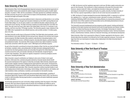## State University of New York

State University of New York's 64 geographically dispersed campuses bring educational opportunity to virtually all New Yorkers and comprise the nation's largest comprehensive system of public higher education. Founded in 1948, with the consolidation of 29 state-operated but unaffiliated institutions, the State University has grown to a point where its impact is felt educationally, culturally and economically the length and breadth of the state.

Nearly 440,000 students are pursuing traditional study in classrooms and laboratories or are working at home, at their own pace, through such innovative institutions as the SUNY Learning Network and Empire State College, for over 25 years a leader in non-traditional education, distance learning, and assessment of prior learning. The State University's students are predominantly New York State residents. They also come from every other state in the United States, from four U.S. territories or possessions, and from more than 170 foreign countries. The University passed a major milestone in the mid-1980s when it graduated its one-millionth alumnus, and currently numbers 1.9 million graduates on its rolls.

The State University enrolls close to 40 percent of all New York State high school graduates, and its total enrollment is just under 440,000 (full-time and part-time). Because of its structure and comprehensive programs, the State University offers students a wide diversity of educational options: shortterm vocational/technical courses, certificate programs, baccalaureate degrees, graduate degrees, and postdoctoral studies. The University offers access to almost every field of academic or professional study somewhere within the system–some 7,669 degree and certificate programs

As part of the University's commitment to bring to the students of New York the very best and brightest scholars, scientists, artists, and professionals, the State University's distinguished faculty is recruited from the finest graduate schools and universities throughout the United States and many countries around the world, and includes nationally and internationally recognized figures in all the major disciplines. Their efforts are regularly recognized in numerous prestigious awards and honors, including the Nobel Prize.

State University's research contributions are helping to solve some of today's most urgent problems. At the same time, contracts and grants received by University faculty directly benefit the economic development of the regions in which they are located. State University researchers pioneered nuclear magnetic resonance imaging and the supermarket bar code scanner, introduced timelapse photography of forestry subjects, isolated the bacteria that causes Lyme disease, and developed the first implantable heart pacemaker. Other University researchers continue important studies in such wide-ranging areas as breast cancer, immunology, marine biology, sickle-cell anemia, and robotics, and make hundreds of other contributions, inventions, and innovations for the benefit of society.

The University's program for the educationally and economically disadvantaged, consisting of Educational Opportunity Programs (EOP) and Educational Opportunity Centers (EOC), has become <sup>a</sup> model for delivering better learning opportunities to young people and adults traditionally bypassed by higher education.

The 30 locally-sponsored two-year community colleges operating under the program of the State University offer local citizens programs that are directly and immediately job-related as well as degree programs that serve as job-entry educational experience or a transfer opportunity to a baccalaureate degree at a senior campus.

In 1998, the Governor and the Legislature approved a multi-year, \$2 billion capital construction program for the University. This investment in critical maintenance will protect the University's infrastructure, valued at nearly \$11 billion, and enable the University to keep pace with modern technology for the benefit of its students and faculty. As a public university, the State University of New York has a special responsibility to make its rich and varied resources accessible to all.

In 1995, the Board of Trustees developed the document *Rethinking SUNY*, in response to a call from the Legislature for a "multi-year, comprehensive system wide plan to increase cost efficiency." Underlying Rethinking SUNY is the theme of increasing efficiency by empowering campuses to manage directly more of their academic and financial affairs and by eliminating disincentives to the prudent use of campus and system resources.

The University's economic development services programs provide research, training and technical assistance to the state's business and industrial community through Business and Industry Centers, the New York State Small Business Development Center, the Strategic Partnership for Industrial Resurgence, Rural Services Institutes, the Trade Adjustment Assistance Center, Technical Assistance Centers, Small Business Institutes, Centers for Advanced Technology, and international development.

State University of New York is governed by a Board of Trustees, appointed by the Governor, which directly determines the policies to be followed by the 34 state-supported campuses. Community colleges have their own local boards of trustees whose relationship to the State University Board is defined by law.

The University's motto is: "To Learn — To Search — To Serve."

## State University of New York Board of Trustees

**Carl T Hayden,** Chairman **Aminy I. Audi Robert J. Bellafiore Edward F. Cox Stephen J. Hunt H. Carl McCall John Murad Pedro Antonio Noguera**

**Kenneth P. O'Brien Michael E. Russell Linda S. Sanford Carl Spielvogel Cary Staller Harvey F. Wachsman Gerri Warren-Merrick**

## State University of New York Administration

**Nancy L. Zimpher** Chancellor of the University

**John J. O'Connor** Vice Chancellor and Secretary of the University

**Dr. Risa I. Palm** Provost and Vice Chancellor for Academic Affairs

**James R. Van Voorst** Vice Chancellor and Chief Financial Officer **Dr. Dennis Golladay** Vice Chancellor for Community Colleges

**Nicholas Rostow** University Counsel and Vice Chancellor for Legal Affairs

**Michael C. Trunzo** Vice Chancellor for Government Relations

**Philip W. Wood** Vice Chancellor for Capital Facilities

Directories

**Directories**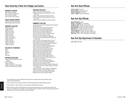## State University of New York Colleges and Centers

#### UNIVERSITY CENTERS

State University at Albany State University at Binghamton State University at Buffalo\* State University at Stony Brook\*

#### HEALTH SCIENCE CENTERS

Health Science Center at Brooklyn Health Science Center at Syracuse

#### UNIVERSITY COLLEGES

College at Brockport College at Buffalo College at Cortland Empire State College College at Fredonia College at Geneseo College at New Paltz College at Old Westbury College at Oneonta College at Oswego College at Plattsburgh College at Potsdam College at Purchase

#### COLLEGES OF TECHNOLOGY

Alfred **Canton** Cobleskill Delhi Morrisville

#### SPECIALIZED COLLEGES

College of Environmental Science and Forestry Maritime College College of Optometry College of Technology at Farmingdale Institute of Technology at Utica/Rome\*\*

#### STATUTORY COLLEGES\*\*\*

College of Ceramics at Alfred University College of Agriculture and Life Sciences at Cornell **University** College of Human Ecology at Cornell University

School of Industrial and Labor Relations at Cornell **University** 

College of Veterinary Medicine at Cornell University

#### COMMUNITY COLLEGES

(Locally sponsored, two-year colleges under the program of State University) Adirondack Community College at Glens Falls

Broome Community College at Binghamton Cayuga County Community College at Auburn Clinton Community College at Plattsburgh Columbia-Greene Community College at Hudson Corning Community College at Corning Dutchess Community College at Poughkeepsie Erie Community College at Williamsville, Buffalo, and Orchard Park

Fashion Institute of Technology at New York City\*\*\*\* Finger Lakes Community College at Canandaigua Fulton-Montgomery Community College at Johnstown Genesee Community College at Batavia Herkimer County Community College at Herkimer Hudson Valley Community College at Troy Jamestown Community College at Jamestown Jefferson Community College at Watertown Mohawk Valley Community College at Utica Monroe Community College at Rochester Nassau Community College at Garden City Niagara County Community College at Sanborn North Country Community College at Saranac Lake, Malone, and Ticonderoga

Onondaga Community College at Syracuse Orange County Community College at Middletown Rockland Community College at Suffern Schenectady County Community College at Schenectady Suffolk County Community College at Selden, Riverhead, and Brentwood

Sullivan County Community College at Loch Sheldrake Tompkins Cortland Community College at Dryden Ulster County Community College at Stone Ridge Westchester Community College at Valhalla

- \*The Health Sciences Centers at Buffalo and Stony Brook are operated under the administration of their respective University Centers.
- \*\*This is an upper-division institution authorized to offer baccalaureate and master's degree programs.
- \*\*\*These operate as "contract colleges" on the campuses of independent universities.
- \*\*\*\*While authorized to offer such baccalaureate and master's degree programs as may be approved pursuant to the provisions of the Master Plan in addition to the associate's degree, the Fashion Institute of Technology is financed and administered in the manner provided for community colleges.

## New York State Officials

**David A. Paterson,** Governor **Richard Ravitch,** Lieutenant Governor **Thomas P. DiNapoli,** Comptroller **Robert L. Megna,** Director of the Budget

## New York City Officials

**Michael Bloomberg,** Mayor **William C. Thompson, Jr.,** Comptroller **Christine C. Quinn,** Speaker of the Council **Scott M. Stringer,** President, Borough of Manhattan **Marty Markowitz,** President, Borough of Brooklyn **Ruben Diaz, Jr.,** President, Borough of the Bronx **Helen M. Marshall,** President, Borough of Queens **James P. Molinaro,** President, Borough of Staten Island **Mark Page,** Director, Office of Management and Budget

## New York City Department of Education

**Joel I. Klein,** Chancellor

**Directories**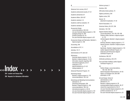Absences from courses, 46–47

Academic advisement, 67 Academic Affairs, 325–327 Academic calendar, 2–3

Academic standards, 44 Accessories Design

Academic achievement awards, 47–51

Academic credit by evaluation, 19

course descriptions, 239–244

packaging design for, 264 portfolio evaluation for, 16

degree program in, 108

Administration of FIT, 325–331

Associate degree programs, 13–19 Bachelor's degree programs, 19–20 information requests regarding, 352 international applicants, 20–21

Accounting, 248 Accreditation of FIT, 11 Activities, 70–71

Admissions

notification of, 22

Advertising Design

admission to, 13

special assistance for, 21–22 visiting students, 21

Advanced Placement Program, 19

advertising photography, 258 Bachelor's degree program in, 109 course descriptions, 139–143 international programs in, 39–40 one-year Associate degree program in, 101 two-year Associate degree program in, 83

Bachelor's degree program in, 110 course descriptions, 143–144

Advertising and Marketing Communications

one-year Associate degree program in, 100

two-year Associate degree program in, 82 Accessories Design and Fabrication, Bachelor's

Advisory groups, 5

Aerobics, 256

Affirmative Action policies, 73

Algebra proficiency, 244

Algebra review, 245

Alumni, 10 placement of graduates, 41–42

Alumni Association, 10

American History, 38, 237, 238

Animation, 154–159

Apparel (Fashion Design) course descriptions, 145–148, 182–188 Children's Wear, Bachelor's degree program in, 115 Intimate Apparel, Bachelor's degree program in, 116 Knitwear, Bachelor's degree program in, 117 Special Occasion, Bachelor's degree program in, 118 Sportswear, Bachelor's degree program in, 119 Leather Apparel Certificate Program, 27 Outerwear and Performance Apparel Certificate Program, 28

Architecture, 206, 207

Arithmetic proficiency, 244, 270

Aron and Esther Goldfarb Leather Apparel Certificate Program, 27

#### Art

Fashion Design, course descriptions, 148–149, 189–193 General Education Requirements in, 34–35 History of Civilization and, 203–208 philosophy of, 267

Art and Design, School of administration of, 325 admission to, 13 Bachelor's degree programs in, 26 evening/weekend degree programs, 26, 27 Liberal Arts requirements for, 30–31 one-year Associate degree programs in, 25 portfolio evaluations for, 15–17 two-year Associate degree programs in, 25

>>>Index 354 Location and Campus Map >> > > > > > >

356 Requests for Admissions Information

**336** Courses Index **337**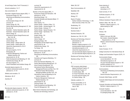Art and Design Center, Fred P. Pomerantz, 6 Artwork evaluations, 15–17 Asia concentration, 29 Associate in Applied Science degree (AAS), 11 Accessories Design, 82, 100 Advertising and Marketing Communications, 83, 101 Communication Design, 84, 102 curricula, 25 Fashion Design, 85, 103 Fashion Merchandising Management, 87, 104 Fine Arts, 88 Illustration - Fashion Illustration option, 89 Illustration - General Illustration option, 90 Interior Design, 91 International Fashion Design/Florence and New York, 86 internships for, 211 Jewelry Design, 105 Jewelry Design - Design option, 92 Jewelry Design - Studio option, 93 Liberal Arts requirements for, 30–31 Menswear, 94 one-year programs, 18–19 Photography, 95 Production Management: Fashion and Related Industries, 96 requirements for, 45–46 Textile Development and Marketing, 97, 106 Textile/Surface Design, 98, 107 two-year programs, 18 Visual Presentation and Exhibition Design, 99 Associate degree programs, 25

academic achievement awards for, 48–50 admission to, 13–19

Athletics and recreation, 70

Attendance, 46–47

Australia, 40

#### **B**

Baccalaureate degree programs, 108–136 academic achievement awards for, 47–48 admission to, 19–20

curricula, 26 Liberal Arts requirements for, 31 requirements for, 46 Bachelor of Fine Arts degree (BFA), 11 Accessories Design and Fabrication, 108 admission to, 19–20 Advertising Design, 110 Computer Animation and Interactive Media, 111 curricula, 26 Fabric Styling, 114 Fashion Design - Children's Wear, 115 Fashion Design - Intimate Apparel, 116 Fashion Design - Knitwear, 117 Fashion Design - Special Occasion, 118 Fashion Design - Sportswear, 119 Fine Arts, 123 Graphic Design, 124 Illustration, 126 Interior Design, 127 Packaging Design, 129 Photography and the Digital Image, 130 requirements for, 46 Textile/Surface Design, 134 Toy Design, 135 Bachelor of Science degree (BS), 11

admission to, 19–20 Advertising and Marketing Communications, 109 Cosmetics and Fragrance Marketing, 112 curricula, 26 Direct and Interactive Marketing, 113 Fashion Merchandising Management, 121 Home Products Development, 125 International Fashion Merchandising Management/Florence and New York, 122 International Fashion Merchandising Management/Milan and New York, 120 International Trade and Marketing for the Fashion Industries, 128 Production Management: Fashion and Related Industries, 131 requirements for, 46 Technical Design, 132 Textile Development and Marketing, 133 Visual Art Management, 136

Baker School of Business and Technology, see Business and Technology, School of

Ballet, 255, 257 Basic Communications, 32 Basketball, 256 Bauhaus, 207 Biology, 271 Board of Trustees Fashion Institute of Technology, 11, 325 State University of New York, 333 Bookbinding, 151 Bridal design, 187 Business Center, 7 Business Enterprise, 150 Business Law, 150–151, 229 Business and Technology, School of administration of, 325 admission to, 13 Bachelor's degree programs in, 26 evening/weekend degree programs, 27 international programs in, 40 Liberal Arts requirements for, 31 one-year Associate degree programs in, 25 two-year Associate degree programs in, 25 Business and Technology Studies, 151

Business writing, 170, 176

#### **C**

CAD (computer-aided design) Apparel Certificate Program, 27 Art Certificate Program, 27 for textile design, 286 for Visual Presentation, 162, 163 for woven and print styling, 201 for Fashion Design, 148

Calendar, academic, 2–3

Campus and facilities, 6–10 crime statistics for, 77–79 map of, 350

Canada, 40

Career planning, 6 courses in, 208 internships in, 211

Career services, 41–42

Certificate programs, 27–28

Chemistry, 271–272

Childcare Assistance Program (CAP), 22

Children's Wear, 185, 186, 191 Bachelor's degree program in, 115 patternmaking for, 269

China, 40

Chinese, 159

**Civilization** 

History of Art and, 203–208 Non-western, General Education Requirements in, 37–38 Western, General Education Requirements in, 33–34

Clubs, 70–71

Code of Conduct, 72–73

College Consortium for International Study, 40

College-Level Examination Program (CLEP), 19

Communication Design course descriptions, 151–154 international programs in, 40 one-year Associate degree program in, 102 portfolio evaluation for, 16 two-year Associate degree program in, 84

Communications

Advertising and Marketing Communications, 139–143 General Education Requirements in, 32

Computer-Aided Design, see CAD

Computer-Aided Design and Communications Center, 7

Computer Animation and Interactive Media, Bachelor's degree program in, 111

Computer Graphics course descriptions, 154–159 for packaging design, 265

Index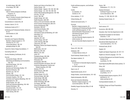in toy design, 297, 298 Computers CAD for Fashion Designers Certificate Programs, 27 online courses, 42 Peter G. Scotese Computer-Aided Design and Communications Center, 7 Concentrations in Liberal Arts, 29 Conduct, Code of, 72–73 Conference Center at FIT, 7 Continuing and Professional Studies, School of, 42–43 administration of, 325 Corsetry, 184 Cosmetics and Fragrance Marketing Bachelor's degree program in, 112 chemistry for, 271, 272 course descriptions, 160–161 packaging design for, 264 Council for Interior Design Accreditation, 11 Counseling Center, 67 Country Residency Certificates, 54–55 Courses Accessories Design, 239–244 Advertising and Marketing Communications, 139–143 Advertising Design, 143–144 attendance in, 46–47 Business and Technology Studies, 151 Business Enterprise, 150 Business Law, 150–151 Chinese, 159 Communication Design, 151–154 Computer Graphics, 154–159 Cosmetics and Fragrance Marketing, 160–161 designations for, 138 Design Studies, 161–162 Direct and Interactive Marketing, 165–166 Draping Techniques, 166 Educational Skills, 175–176 English and Speech, 167–174 Fabric Styling, 200–201

for textile design, 286, 287

Fashion and Culture of the World, 160 Fashion Design, 145 Fashion Design - Apparel, 145–148, 182–188 Fashion Design - Art, 148–149, 189–193 Fashion Merchandising Management, 193–198 Fine Arts, 176–182 French, 198–199 Graphic Design, 201–203 Health Education, 208–209 History of Art and Civilization, 203–208 Home Products Development, 209–210 Human Development, 208 Illustration, 220–227 Interdivisional Studies, 229 Interior Design, 211–219 International Trade and Marketing, 227–229 internships, 211 Italian, 230–231 Japanese, 231–232 Jewelry Design, 232–237 Ladies Tailoring, 288–289 Liberal Arts, 237–239 Marketing: Fashion and Related Industries, 250–251 Mathematics, 244–247 Menswear, 252–255 Millinery, 251–252 online, 42 Packaging Design, 263–266 Patternmaking, 268–270 Philosophy, 267 Photography, 258–263 Physical Education and Dance, 255–257 Production Management: Fashion and Related Industries, 247–250 Science, 270–273 Social Sciences, 280–284 Spanish, 278–279 Surface Design, 273–278 Technical Design, 284–285 Textile Design, 286–288 Textile Science, 289–291 Textile Technology, 292–295 Toy Design, 296–299 Visual Art Management, 299 Visual Presentation and Exhibition Design, 162–165

Credit certificate programs, see Certificate Programs

**Credits** by evaluation, 19 transfers of, 45

Crime statistics, 77–79

Critical thinking, 38

Cultural and social events, 71

#### **Curricula**

Bachelor's degree programs, 26 Continuing and Professional Studies, 42–43 credit certificate programs, 27–28 General Education Requirements, 31–38 international programs, 39–41 liberal arts, 29–31 one-year Associate degree programs, 25 online courses, 42 two-year Associate degree programs, 25

#### **D**

Dance, 237, 255, 256 Databases, 248 in Gladys Marcus Library, 8 David Dubinsky Student Center, 10 Day degree students, 13 Deadlines for admission to Associate degree programs, 13–19 for tuition payments, 56 Dean's List, 47 Departmental awards, 50–51 Design Studies, course descriptions, 161–162 Digital photography, 258–263 Direct and Interactive Marketing

Bachelor's degree program in, 113 course descriptions, 165–166 Disability Support Services Office, 67–68 Diversity, 73

Drama, 169 Shakespeare, 171, 173, 174

Draping Techniques Certificate Program in, 27–28 course descriptions, 166

Drawing, 177–180, 189, 221–225 Dubinsky Student Center, 10

#### **E**

Earth science, 271

Economics, 280, 282–284

Education, New York City Department of, 335

Educational Foundation for the Fashion Industries, 11, 60

Educational Opportunity Program (EOP), 21

Educational Skills Department, 29 course descriptions, 175–176

Endowed funds, 60–62

England, 40

English and Speech Department, 30, 167–174

English as a Second Language, 175–176

Enrollment Management and Student Success, Division of, 67 e-portfolios, 16, 193

Equal Opportunity/Affirmative Action policies, 73

Ethics, 267

Evaluation academic credit by, 19 of portfolios, 15–17

Evening/weekend degree programs, 26–27 admission to, 19 tuition and fees for, 53

Evening/weekend students, 13

Exhibition Design and Visual Presentation, 162–165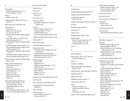Fabric Styling Bachelor's degree program in, 114 course descriptions, 200–201

Faculty, 5 directory of, 301–322

Family Educational Rights and Privacy Act (FERPA), 73

Fashion and Culture of the World, 160

Fashion Design admission to, 13 Apparel, 145–148, 182–188 Art, 148–149, 189–193 Children's Wear, Bachelor's degree program in, 115 course descriptions, 145–149, 182–193 international programs in, 39 Intimate Apparel, Bachelor's degree program in, 116 Knitwear, Bachelor's degree program in, 117 one-year Associate degree program in, 103 portfolio evaluation for, 16 Special Occasion, Bachelor's degree program in, 118 Sportswear, Bachelor's degree program in, 119 two-year Associate degree program in, 85 Fashion Illustration, two-year Associate degree program in, 89 Fashion Institute of Technology, 5 administration, 325–331 alumni of, 10 campus and facilities, 6–11 crime statistics for, 77–79 faculty of, 301–322 history and mission of, 11 location and map of, 350 visits to, 22 Fashion Merchandising Management

Bachelor's degree program in, 121 course descriptions, 193–198 international programs in, 39, 40 math for, 245 one-year Associate degree program in, 104 two-year Associate degree program in, 87

#### Fees, see Tuition and fees

Feldman Center, 7 Fencing, 257

Fiction, 167, 171 writing, 172

Film, history of, 172

Financial aid, 58–60 Educational Foundation for the Fashion Industries, 60

#### Fine Arts Bachelor's degree program in, 123 course descriptions, 176–182

portfolio evaluation for, 16 two-year Associate degree program in, 88 FIT-ABLE: Disability Support Services, 67–68

Fitness Center, 70

Fitness training, 256

FIT Student-Faculty Corporation, 72

Florence (Italy), 230 International Fashion Design/Florence and New York, 86 International Fashion Merchandising Management/Florence and New York, 122 international programs in, 39, 40

Foreign languages Chinese, 159 Department of, 30 English as a second language, 175–176 French, 198–199 General Education Requirements in, 37 Italian, 230–231 Japanese, 231–232 Spanish, 278–279 Fragrance and Cosmetics Marketing, 160–161 France, 40, 160

Fred P. Pomerantz Art and Design Center, 6

Free Application for Federal Student Aid (FAFSA), 58

French, 198–199

**342** Index Index **343** Full-time students, 13 refunds of tuition and fees for, 57 tuition and fees for, 53

#### **G**

Gemology, 236 General Education Requirements, 31–38 George Levinson Multimedia Room, 8 Gladys Marcus Library, 8 staff of, 326–327 Goldfarb Leather Apparel Certificate Program, 27 Golf, 256

Goodman Resource Center, 8

Governance, 72

Grades, 43–44

Graduate Studies, School of, 326

Graphic Design Bachelor's degree program in, 124 Computer Graphics, 154–159 course descriptions, 201–203

Gym, 70

#### **H**

Hats, see Millinery

Haute Couture, 146, 147, 149, 183–184 Certificate Program, 28

Hazing, 77

Headware, see Millinery

Health, Physical Education, and Dance Department, 30

Health Education, course descriptions, 208–209

Health insurance, 68

Health Services, 68

Highlights (monthly calendar), 71

Historic preservation, 218

#### History

American, courses in, 38 of Art and Civilization, 203–208 of FIT, 11 United States, 237, 238

History of Art and Civilization Department, 30

Home Products Development Bachelor's degree program in, 125 course descriptions, 209–210 packaging design for, 263 Hong Kong (China), 40 Honorary chairs, 60 Honor society (Phi Theta Kappa), 71

Housing, 69 fees for, 56–57 refunds of fees for, 58

Human Development, 208

Humanities, 238 General Education Requirements in, 35–37

**I**

ICON (literary magazine), 71

**Illustration** 

Bachelor's degree program in, 126 course descriptions, 220–227 Fashion Illustration, two-year Associate degree program in, 89 General Illustration, two-year Associate degree program in, 90 portfolio evaluation for, 17

Immunity against infectious diseases, 68

Independent study, 39, 229 accessories design, 242 advertising and marketing communications, 141 business and technology studies, 151 computer graphics, 155 design studies, 162 display and exhibit design, 164 English or speech, 170, 174 fabric styling, 201 fashion design, 145 fashion merchandising management, 198 fine arts, 180, 182 history of art and civilization, 205, 208 illustration, 224, 227 interior design, 215, 219 jewelry design, 237 liberal arts, 237 mathematics, 246 menswear, 255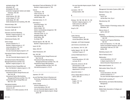packaging design, 266 philosophy, 267 photography, 261, 263 production management: fashion and related industries, 248, 250 science, 272 social sciences, 281, 284 surface design, 277, 278 textile design, 287, 288 textile development and marketing, 293, 295

Industrial design, 206

Information Management, 38

Insurance, health, 68

Interactive and Direct Marketing Bachelor's degree program in, 113 course descriptions, 165–166

Interdivisional Studies, 229

Interior Design artwork evaluation for, 17 Bachelor's degree program in, 127 course descriptions, 211–219 textile principles for, 289 two-year Associate degree program in, 91

International Fashion Design/Florence and New York two-year Associate degree program in, 86

International Fashion Merchandising Management/Florence and New York Bachelor's degree program in, 122

International Fashion Design/Milan and New York Bachelor's degree program in, 120

International programs, 39–41 International Fashion Design/Florence and New York, 86 International Fashion Merchandising Management/Florence and New York, 122 International Fashion Design/Milan and New York, 120

International students admissions requirements for, 20–21 advisors for, 69 residency of, for tuition purposes, 54–55 International Trade and Marketing, 227–229 Bachelor's degree program in, 128

Internet marketing on, 166 online courses, 42 web page construction, 155 website design, 202

Internship Center, 41, 211

Internships, 6 advertising design, 144 fabric styling, 201 fashion design, 193 fashion merchandising management, 198 interior design, 219 Internship Center, 41, 211 packaging design, 266 textile design, 288 tov design, 299

Intimate Apparel, 186, 188, 192 Bachelor's degree program in, 116

Israel, 40, 205

Italian, 230–231

Italian Renaissance, 207

- Italy, 160, 200
- International Fashion Design/Florence and New York, 86 International Fashion Merchandising Management/Florence and New York, 122 International Fashion Merchandising Management/Milan and New York, 120 international programs in, 39, 40

#### **J**

Japanese, 231–232

Jay and Patty Baker School of Business and Technology, see Business and Technology, School of

Jewelry Design artwork evaluation for, 17 course descriptions, 232–237 one-year Associate degree program in, 105 two-year Associate degree program, Design option, 92

two-year Associate degree program, Studio option, 93

Journalism, 139–141 photojournalism, 262

#### **K**

Knitwear, 146, 185, 186, 188, 191, 192 Bachelor's degree program in, 117 textile science for, 289–291 weft knitting, 290, 291

Kung Fu, 257

#### **L**

Ladies Tailoring Certificate Program, 28 course descriptions, 288–289

Languages, see Foreign languages

Latin America concentration, 29

Law, Business, 150–151, 229

Leather Apparel, 146, 148, 188 Certificate Program, 27

Levinson Multimedia Room, 8

Liberal Arts course descriptions, 237–239 curricula, 29–31

Liberal Arts, School of, 29–30 administration of, 326 Bachelor's degree programs in, 26 departments in, 29–30

Liberal Arts Center, 7

Library (Gladys Marcus Library), 8 staff of, 326–327

Literature English, 167–174 French, 199

**M**

Management Information Systems (MIS), 249

Mandarin Chinese, 159

Manhattan map of, 351 see also New York, City of

Manufacturing, 249

Maps Fashion Institute of Technology campus, 350 Manhattan, 351

Marcus Library, 8 staff of, 326–327

**Marketing** 

Advertising and Marketing Communications, 139–143 Cosmetics and Fragrance Marketing, 160–161 Direct and Interactive, 113, 165–166 Fashion and Related Industries, 250–251 International Trade and, 227–229

textiles, 293

Marketing research, 251

Marvin Feldman Center, 7

**Mathematics** 

course descriptions, 244–247 in degree requirements, 45 General Education Requirements in, 32

Matriculated Students, 13

Matriculation Status Policy, 46

Menswear course descriptions, 252–255 portfolio evaluation for, 17 two-year Associate degree program in, 94

Mental health counseling, 67

Merchandising, see Fashion Merchandising Management

Mexico, 40

Middle States Association of Colleges and Schools, 11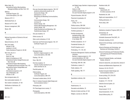## Index

International Fashion Merchandising Management/Milan and New York, 120

Millinery

Milan (Italy), 39

Certificate Program, 28 course descriptions, 251–252

Mission of FIT, 11

Multimedia Room, 8

Museum at FIT, 9, 330

Museum management, 299

Music, 238

#### **N**

National Association of Schools of Art and Design, 11

Natural Sciences, 32–33

New York (state) officials of, 335 residency in, 54-55 Tuition Assistance Program of, 59–60

New York, City of, 5 art in, 204 history of, 239 history of architecture of, 207 International Fashion Design/Florence and New York, 86 International Fashion Merchandising Management/Florence and New York, 122 International Fashion Design/Milan and New York, 120 international programs in, 39 map of Manhattan, 351 officials of, 335

Non-immigrant aliens, 55

Non-matriculated students, 14

Non-western civilizations, 37–38

Notification of admission, 22

Nutrition, 272

**O**

One-year Associate degree programs, 100–107 academic achievement awards for, 49 Accessories Design, 100 admissions to, 18–19 Advertising and Marketing Communications, 101 Communication Design, 102 curricula, 25 Fashion Design, 103 Fashion Merchandising Management, 104

Jewelry Design, 105 Textile Development and Marketing, 106 Textile/Surface Design, 107

One-year students, 13

Online courses, 42

Other world civilizations, 37–38

Outerwear and Performance Apparel, 145, 147 Certificate Program, 28

#### **P**

Packaging Design Bachelor's degree program in, 129 course descriptions, 263–266

Painting, 176–181

Paris, 199, 275

Part-time students, 13 refunds of tuition and fees for, 57 tuition and fees for, 53

Pass/fail grades, 44

Patternmaking Certificate Program, 28 course descriptions, 268–270

Permanent resident aliens, 54–55

Peter G. Scotese Computer-Aided Design and Communications Center, 7

Philosophy, 267

Phi Theta Kappa honor society, 71 Photography course descriptions, 258–263

and Digital Image, Bachelor's degree program in, 130 history of, 206 portfolio evaluation for, 17 two-year Associate degree program in, 95

Physical Education, 255–257

Placement of graduates, 42

Poetry, 167 writing, 172, 174

Political science, 280–284

Pomerantz Art and Design Center, 6

Portfolio (yearbook), 71

Portfolio development packaging design, 266 photography, 260, 263 in toy design, 299

Portfolio evaluations, 15–17

Presidential Scholars, 29

Print/FX Graphics Lab, 6

Printmaking, 177, 179, 181

Production Management: Fashion and Related Industries Bachelor's degree program in, 131 course descriptions, 247–250 two-year Associate degree program in, 96

Psychology, 280–281, 283

Publications, student, 71

Public relations, 141

Public speaking, 168, 171

#### **Q**

Quantitative methods, 246

#### **R**

Readmissions, 15 Recreation and athletics, 70 Refunds of tuition and fees, 57–58 Religion, courses on, 238, 239

Residence halls, 69 Residency requirements, 46 for tuition purposes, 54–55 Residential Life, 330 Rights and responsibilities, 72–77 Rolling admissions, 14 Rome (Italy), 204

#### **S**

Satisfactory Academic Progress (SAP), 59 Scholarships, 62 contributors to, 63–65 Scholastic Assessment Test (SAT), 18 Scholastic standing, 43–45 School of Art and Design, see Art and Design, School of School of Business and Technology, see Business and Technology, School of School of Continuing and Professional Studies, see Continuing and Professional Studies, School of School of Graduate Studies, see Graduate Studies, School of School of Liberal Arts, see Liberal Arts, School of Science and Mathematics Department, 30 Sciences, 32–33, 270–272 Scotese Computer-Aided Design and Communications Center, 7 Screen printing, 274, 276–278 Screenwriting, 169 Sculpture, 177, 179–181 Selective Service System, 22 Sewing, 183 Sexual assault, 75–76 Sexual harassment, 74–76

Sexual offense policy, 76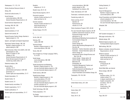Shakespeare, 171, 173, 174

Shirley Goodman Resource Center, 8

Skiing, 255

Social and cultural events, 71

Social Sciences course descriptions, 280–284 General Education Requirements in, 33

Social Sciences Department, 30

Sociology, 280, 281, 283

Spanish, 278–279

Special assistance, 21–22

Special merit awards, 50

Special Occasion Fashion Design, Bachelor's degree program in, 118

Speech, see English and Speech Department

Sportswear Fashion Design, 188, 192 Bachelor's degree program in, 119 patternmaking for, 268

State University of New York (SUNY), 332–334 administration of, 333 Board of Trustees of, 333 colleges of, 334 General Education Requirements of, 31 Study Abroad programs through, 41 transferring credits within, 45

Statistical analysis, 246

Student affairs

activities, 70–71 administration and faculty of, 329–330 governance, 72 student rights and responsibilities, 72–77

Student Association, 72

Student Center, 10

Student council, 72

Student-faculty committees, 72

Student organizations, 70–71

Student publications, 71

Student rights and responsibilities, 72–77

study abroad during, 41 tuition and fees for, 53 Surface Design, 273–278

**Students** 

categories of, 13–14 Student visas, 20–21, 55

Summerim sessions

Summer sessions

tuition and fees for, 53

Study Abroad programs, 39–41

refunds of tuition and fees for, 57

refunds of tuition and fees for, 57

**T**

Tai Chi, 256, 257

Tailoring, 253 Ladies, 288–289

Technical Design Bachelor's degree program in, 132 course descriptions, 284–285

Tennis, 256, 257

Test of English as a Foreign Language (TOEFL), 15, 18, 20

Textile Design course descriptions, 286–288 history of, 206

Textile Development and Marketing Bachelor's degree program in, 133 one-year Associate degree program in, 106 two-year Associate degree program in, 97

Textile Science, 289–291

Textile/Surface Design Bachelor's degree program in, 134 course descriptions, 273–278 international programs in, 40 one-year Associate degree program in, 107 portfolio evaluation for, 17 two-year Associate degree program in, 98 Textile Technology, 292–295 Thesis preparation, 170 Toy Design Bachelor's degree program in, 135

course descriptions, 296–299 graphic design for, 203 marketing for toy industry, 250 Trade, International, 227–229 Transcripts, in admission process, 15 Transferring credits, 45 Tuition and fees, 53–57 deposits, 22 financial aid for, 59 refunds of, 57–58 Tuition Assistance Program (TAP), 59–60 Two-year Associate degree programs, 82–99 academic achievement awards for, 48–49 Accessories Design major, 82 admissions to, 18 Advertising and Marketing Communications, 83 Communication Design, 84 curricula, 25 Fashion Design, 85 Fashion Merchandising Management, 87 Fine Arts, 88 Illustration - Fashion Illustration option, 89 Illustration - General Illustration option, 90 Interior Design, 91 International Fashion Design/Florence and New York, 86 Jewelry Design - Design option, 92 Jewelry Design - Studio option, 93 Menswear, 94 Photography, 95 Production Management: Fashion and Related Industries, 96 Textile Development and Marketing, 97 Textile/Surface Design, 98 Visual Presentation and Exhibition Design, 99 Typography, 152–154, 264

#### **U**

United States history, 237, 238

#### **V**

Venice (Italy), 207 Veterans, 22 Visas, 20–21, 55

Visiting Students, 21

Visits to FIT, 22

Visual Art Management Bachelor's degree program in, 136 course descriptions, 299

Visual Presentation and Exhibition Design artwork evaluation for, 17 course descriptions, 162–165 two-year Associate degree program in, 99

Volleyball, 256

#### **W**

W27 (student newspaper), 71 Web page construction, 155 Website design, 202 Weekend degree programs, see Evening/weekend degree programs Weft knitting, 290, 291 Western civilization, General Education Requirements in, 33–34 Winterim sessions refunds of tuition and fees for, 57 study abroad during, 41 tuition and fees for, 53 **Withdrawals** of financial aid, 59 from FIT, 47

World Wide Web, see Internet

Woven design, 286–287

**Writing** business writing, 170, 176 creative writing, 172 in degree requirements, 45 English composition, 167 journalism, 139–141 poetry, 174 screenwriting, 169 specialized, 170

#### **Y**

Index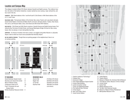## Location and Campus Map

The college is located at West 27th Street, between Seventh and Eighth avenues. This midtown location, the center of the fashion industries, is easily reached by every subway, major railroad line, and bus route in the city.

**SUBWAYS** 28th Street stations of the 1 and the N and R; 23rd Street or 34th Street stations of the A, C, E, and F lines.

**RAILROAD LINES** Pennsylvania Station of the Amtrak, New Jersey Transit, and Long Island railroads; Grand Central Station of Amtrak and Metro-North commuter railroads (Harlem, Hudson, New Haven, Port Jervis, and Pascack Valley Lines); 23rd Street and 34th Street PATH Stations.

**BUS ROUTES** 23rd Street and 34th Street crosstown; Seventh Avenue and Eighth Avenue buses; Port Authority Bus Terminal at Fortieth Street, and George Washington Bridge Terminal for New Jersey buses, then via subway or most metropolitan bus lines.

**AIRPORTS** For those air travelers who have a choice, we suggest using either Newark or LaGuardia Airport, both of which are much more accessible than Kennedy Airport.

**NO ON-CAMPUS PARKING** Though there are parking garages in the neighborhood, there is no on-campus parking.



#### FIT BUILDINGS

| David Dubinsky Student Center           | А   |
|-----------------------------------------|-----|
| <b>Business and Liberal Arts Center</b> | B   |
| Marvin Feldman Center                   | ſ.  |
| Conference Center at FIT                | CC. |
| Fred P. Pomerantz Art and               | D   |
| Design Center                           |     |
| Shirley Goodman Resource Center         | F.  |

#### RESIDENCE HALLS

Alumni Hall 210 West 27th Street Nagler Hall 220 West 27th Street Co-ed Hall 230 West 27th Street Kaufman Hall 406 West 31st Street (not shown)



- 1. Fashion Institute of Technology®
- 2. Chelsea Piers
- 3. Greenwich Village
- 4. Penn Station/Madison Square Garden
- Empire State Building 5.
- 6. Javits Convention Center
- 7. Circle Line Sightseeing Boats
- 8. Port Authority Bus Terminal
- 9. Times Square
- 10. New York Public Library
- 11. Grand Central Station
- 12. United Nations
- 13. Theatre District
- 14. Museum of Modern Art, American Folk Art Museum
- 15. Time Warner Center, Museum of Arts & Design
- 16. Lincoln Center
- 17. Central Park
- 18. Whitney Museum of Art
- 19. The New-York Historical Society
- 20. Museum of Natural History/Planetarium
- 21. Metropolitan Museum of Art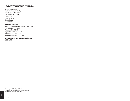## Requests for Admissions Information

Director of Admissions Fashion Institute of Technology Seventh Avenue at 27 Street New York City 10001-5992 212 217.3760 1-800-GO-TO-FIT fitinfo @fitnyc.edu www.fitnyc.edu

#### **For Special Information**

Bursar's Office–Cashiering Operations 212 217.3680 Financial Aid 212 217.3560 Registrar 212 217.3820 Registration Center 212 217.3850 Residential Life 212 217.3900 General Information 212 217.7999

**Details Regarding Emergency College Closings**  212 217.7792

FIT Undergraduate Catalogue, 2009-11 Produced by: Communications and External Relations Production by: Di Vision Creative Group